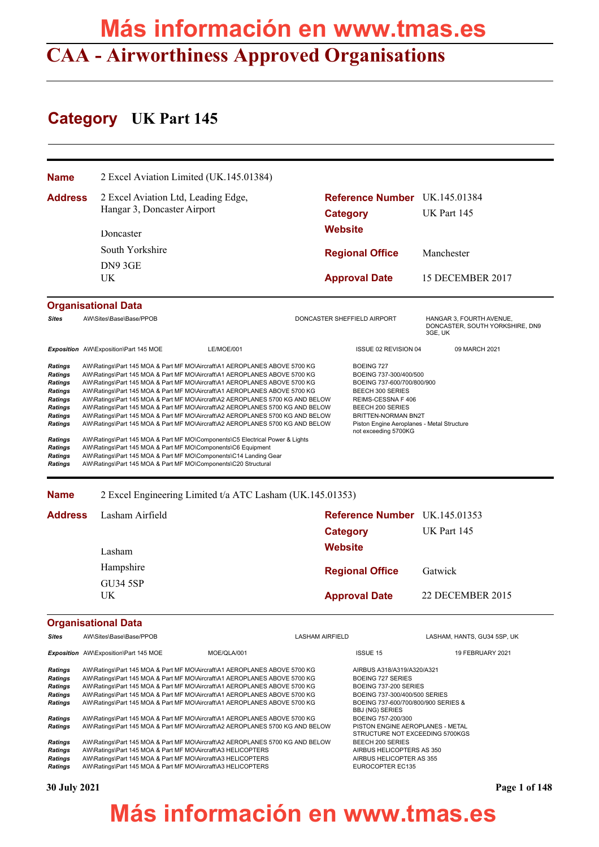# **CAA - Airworthiness Approved Organisations Más información en www.tmas.es**

# **Category UK Part 145**

| Name                                                                                                                                      | 2 Excel Aviation Limited (UK.145.01384)                                                                                                                                                                                                                                                                                                                                                                                                                                                                                                                                                                                                                                                                                              |                                                                                                                        |         |                                                                                                                                                                                                                                                    |                                                                        |
|-------------------------------------------------------------------------------------------------------------------------------------------|--------------------------------------------------------------------------------------------------------------------------------------------------------------------------------------------------------------------------------------------------------------------------------------------------------------------------------------------------------------------------------------------------------------------------------------------------------------------------------------------------------------------------------------------------------------------------------------------------------------------------------------------------------------------------------------------------------------------------------------|------------------------------------------------------------------------------------------------------------------------|---------|----------------------------------------------------------------------------------------------------------------------------------------------------------------------------------------------------------------------------------------------------|------------------------------------------------------------------------|
| <b>Address</b>                                                                                                                            |                                                                                                                                                                                                                                                                                                                                                                                                                                                                                                                                                                                                                                                                                                                                      | Reference Number UK.145.01384<br>2 Excel Aviation Ltd, Leading Edge,<br>Hangar 3, Doncaster Airport<br><b>Category</b> |         |                                                                                                                                                                                                                                                    | UK Part 145                                                            |
|                                                                                                                                           | Doncaster                                                                                                                                                                                                                                                                                                                                                                                                                                                                                                                                                                                                                                                                                                                            |                                                                                                                        | Website |                                                                                                                                                                                                                                                    |                                                                        |
|                                                                                                                                           | South Yorkshire                                                                                                                                                                                                                                                                                                                                                                                                                                                                                                                                                                                                                                                                                                                      |                                                                                                                        |         | <b>Regional Office</b>                                                                                                                                                                                                                             | Manchester                                                             |
|                                                                                                                                           | DN9 3GE<br>UK.                                                                                                                                                                                                                                                                                                                                                                                                                                                                                                                                                                                                                                                                                                                       |                                                                                                                        |         | <b>Approval Date</b>                                                                                                                                                                                                                               | 15 DECEMBER 2017                                                       |
|                                                                                                                                           | <b>Organisational Data</b>                                                                                                                                                                                                                                                                                                                                                                                                                                                                                                                                                                                                                                                                                                           |                                                                                                                        |         |                                                                                                                                                                                                                                                    |                                                                        |
| <b>Sites</b>                                                                                                                              | AW\Sites\Base\Base/PPOB                                                                                                                                                                                                                                                                                                                                                                                                                                                                                                                                                                                                                                                                                                              |                                                                                                                        |         | DONCASTER SHEFFIELD AIRPORT                                                                                                                                                                                                                        | HANGAR 3, FOURTH AVENUE,<br>DONCASTER, SOUTH YORKSHIRE, DN9<br>3GE, UK |
|                                                                                                                                           | Exposition AW\Exposition\Part 145 MOE                                                                                                                                                                                                                                                                                                                                                                                                                                                                                                                                                                                                                                                                                                | <b>LE/MOE/001</b>                                                                                                      |         | ISSUE 02 REVISION 04                                                                                                                                                                                                                               | 09 MARCH 2021                                                          |
| <b>Ratings</b><br><b>Ratings</b><br>Ratings<br><b>Ratings</b><br><b>Ratings</b><br><b>Ratings</b><br>Ratings<br>Ratings<br><b>Ratings</b> | AW\Ratings\Part 145 MOA & Part MF MO\Aircraft\A1 AEROPLANES ABOVE 5700 KG<br>AW\Ratings\Part 145 MOA & Part MF MO\Aircraft\A1 AEROPLANES ABOVE 5700 KG<br>AW\Ratings\Part 145 MOA & Part MF MO\Aircraft\A1 AEROPLANES ABOVE 5700 KG<br>AW\Ratings\Part 145 MOA & Part MF MO\Aircraft\A1 AEROPLANES ABOVE 5700 KG<br>AW\Ratings\Part 145 MOA & Part MF MO\Aircraft\A2 AEROPLANES 5700 KG AND BELOW<br>AW\Ratings\Part 145 MOA & Part MF MO\Aircraft\A2 AEROPLANES 5700 KG AND BELOW<br>AW\Ratings\Part 145 MOA & Part MF MO\Aircraft\A2 AEROPLANES 5700 KG AND BELOW<br>AW\Ratings\Part 145 MOA & Part MF MO\Aircraft\A2 AEROPLANES 5700 KG AND BELOW<br>AW\Ratings\Part 145 MOA & Part MF MO\Components\C5 Electrical Power & Lights |                                                                                                                        |         | <b>BOEING 727</b><br>BOEING 737-300/400/500<br>BOEING 737-600/700/800/900<br><b>BEECH 300 SERIES</b><br>REIMS-CESSNA F 406<br><b>BEECH 200 SERIES</b><br>BRITTEN-NORMAN BN2T<br>Piston Engine Aeroplanes - Metal Structure<br>not exceeding 5700KG |                                                                        |
| <b>Ratings</b><br><b>Ratings</b><br>Ratings                                                                                               | AW\Ratings\Part 145 MOA & Part MF MO\Components\C6 Equipment<br>AW\Ratings\Part 145 MOA & Part MF MO\Components\C14 Landing Gear<br>AW\Ratings\Part 145 MOA & Part MF MO\Components\C20 Structural                                                                                                                                                                                                                                                                                                                                                                                                                                                                                                                                   |                                                                                                                        |         |                                                                                                                                                                                                                                                    |                                                                        |

**Name** 2 Excel Engineering Limited t/a ATC Lasham (UK.145.01353)

| Address | Lasham Airfield       | Reference Number UK.145.01353 |                  |
|---------|-----------------------|-------------------------------|------------------|
|         |                       | Category                      | UK Part 145      |
|         | Lasham                | <b>Website</b>                |                  |
|         | Hampshire             | <b>Regional Office</b>        | Gatwick          |
|         | <b>GU34 5SP</b><br>UK | <b>Approval Date</b>          | 22 DECEMBER 2015 |

### **Organisational Data**

| <b>Sites</b>   | AW\Sites\Base\Base/PPOB                                                       |             | <b>LASHAM AIRFIELD</b> |                                                                     | LASHAM, HANTS, GU34 5SP, UK |
|----------------|-------------------------------------------------------------------------------|-------------|------------------------|---------------------------------------------------------------------|-----------------------------|
|                | <b>Exposition</b> AW\Exposition\Part 145 MOE                                  | MOE/OLA/001 |                        | <b>ISSUE 15</b>                                                     | <b>19 FEBRUARY 2021</b>     |
| <b>Ratings</b> | AW\Ratings\Part 145 MOA & Part MF MO\Aircraft\A1 AEROPLANES ABOVE 5700 KG     |             |                        | AIRBUS A318/A319/A320/A321                                          |                             |
| <b>Ratings</b> | AW\Ratings\Part 145 MOA & Part MF MO\Aircraft\A1 AEROPLANES ABOVE 5700 KG     |             |                        | BOEING 727 SERIES                                                   |                             |
| <b>Ratings</b> | AW\Ratings\Part 145 MOA & Part MF MO\Aircraft\A1 AEROPLANES ABOVE 5700 KG     |             |                        | BOEING 737-200 SERIES                                               |                             |
| <b>Ratings</b> | AW\Ratings\Part 145 MOA & Part MF MO\Aircraft\A1 AEROPLANES ABOVE 5700 KG     |             |                        | BOEING 737-300/400/500 SERIES                                       |                             |
| <b>Ratings</b> | AW\Ratings\Part 145 MOA & Part MF MO\Aircraft\A1 AEROPLANES ABOVE 5700 KG     |             |                        | BOEING 737-600/700/800/900 SERIES &<br><b>BBJ (NG) SERIES</b>       |                             |
| <b>Ratings</b> | AW\Ratings\Part 145 MOA & Part MF MO\Aircraft\A1 AEROPLANES ABOVE 5700 KG     |             |                        | BOEING 757-200/300                                                  |                             |
| <b>Ratings</b> | AW\Ratings\Part 145 MOA & Part MF MO\Aircraft\A2 AEROPLANES 5700 KG AND BELOW |             |                        | PISTON ENGINE AEROPLANES - METAL<br>STRUCTURE NOT EXCEEDING 5700KGS |                             |
| <b>Ratings</b> | AW\Ratings\Part 145 MOA & Part MF MO\Aircraft\A2 AEROPLANES 5700 KG AND BELOW |             |                        | BEECH 200 SERIES                                                    |                             |
| <b>Ratings</b> | AW\Ratings\Part 145 MOA & Part MF MO\Aircraft\A3 HELICOPTERS                  |             |                        | AIRBUS HELICOPTERS AS 350                                           |                             |
| <b>Ratings</b> | AW\Ratings\Part 145 MOA & Part MF MO\Aircraft\A3 HELICOPTERS                  |             |                        | AIRBUS HELICOPTER AS 355                                            |                             |
| <b>Ratings</b> | AW\Ratings\Part 145 MOA & Part MF MO\Aircraft\A3 HELICOPTERS                  |             |                        | EUROCOPTER EC135                                                    |                             |
|                |                                                                               |             |                        |                                                                     |                             |

**30 July 2021 Page 1 of 148**

# **Más información en www.tmas.es**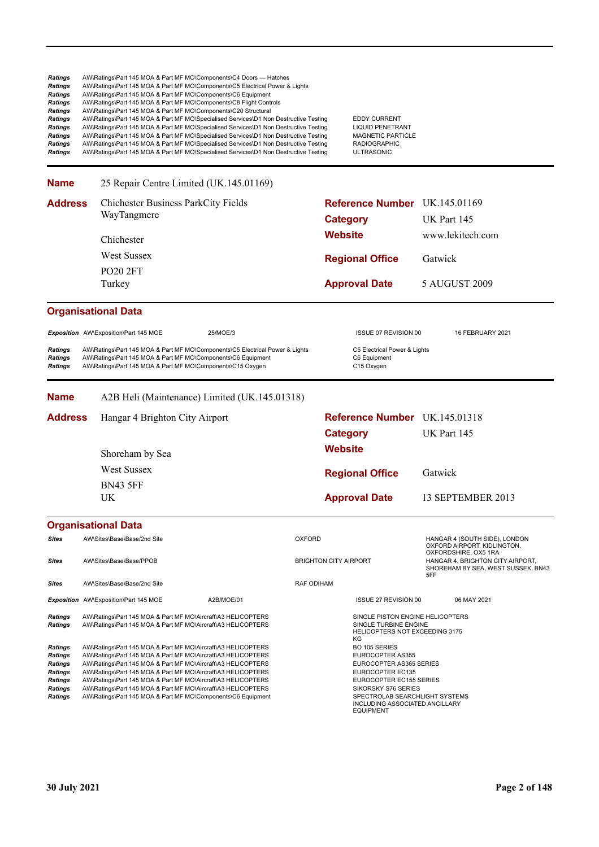| Ratings<br>Ratings<br><b>Ratings</b><br>Ratings<br>Ratings<br>Ratings<br>Ratings<br>Ratings<br>Ratings<br><b>Ratings</b> | AW\Ratings\Part 145 MOA & Part MF MO\Components\C4 Doors — Hatches<br>AW\Ratings\Part 145 MOA & Part MF MO\Components\C5 Electrical Power & Lights<br>AW\Ratings\Part 145 MOA & Part MF MO\Components\C6 Equipment<br>AW\Ratings\Part 145 MOA & Part MF MO\Components\C8 Flight Controls<br>AW\Ratings\Part 145 MOA & Part MF MO\Components\C20 Structural<br>AW\Ratings\Part 145 MOA & Part MF MO\Specialised Services\D1 Non Destructive Testing<br>AW\Ratings\Part 145 MOA & Part MF MO\Specialised Services\D1 Non Destructive Testing<br>AW\Ratings\Part 145 MOA & Part MF MO\Specialised Services\D1 Non Destructive Testing<br>AW\Ratings\Part 145 MOA & Part MF MO\Specialised Services\D1 Non Destructive Testing<br>AW\Ratings\Part 145 MOA & Part MF MO\Specialised Services\D1 Non Destructive Testing |            |                              | <b>EDDY CURRENT</b><br><b>LIQUID PENETRANT</b><br><b>MAGNETIC PARTICLE</b><br><b>RADIOGRAPHIC</b><br><b>ULTRASONIC</b>                                                                                                                                                    |                                                                                                |  |
|--------------------------------------------------------------------------------------------------------------------------|--------------------------------------------------------------------------------------------------------------------------------------------------------------------------------------------------------------------------------------------------------------------------------------------------------------------------------------------------------------------------------------------------------------------------------------------------------------------------------------------------------------------------------------------------------------------------------------------------------------------------------------------------------------------------------------------------------------------------------------------------------------------------------------------------------------------|------------|------------------------------|---------------------------------------------------------------------------------------------------------------------------------------------------------------------------------------------------------------------------------------------------------------------------|------------------------------------------------------------------------------------------------|--|
| <b>Name</b>                                                                                                              | 25 Repair Centre Limited (UK.145.01169)                                                                                                                                                                                                                                                                                                                                                                                                                                                                                                                                                                                                                                                                                                                                                                            |            |                              |                                                                                                                                                                                                                                                                           |                                                                                                |  |
| <b>Address</b>                                                                                                           | Chichester Business ParkCity Fields                                                                                                                                                                                                                                                                                                                                                                                                                                                                                                                                                                                                                                                                                                                                                                                |            |                              | Reference Number UK.145.01169                                                                                                                                                                                                                                             |                                                                                                |  |
|                                                                                                                          | WayTangmere                                                                                                                                                                                                                                                                                                                                                                                                                                                                                                                                                                                                                                                                                                                                                                                                        |            | <b>Category</b>              |                                                                                                                                                                                                                                                                           | UK Part 145                                                                                    |  |
|                                                                                                                          | Chichester                                                                                                                                                                                                                                                                                                                                                                                                                                                                                                                                                                                                                                                                                                                                                                                                         |            | <b>Website</b>               |                                                                                                                                                                                                                                                                           | www.lekitech.com                                                                               |  |
|                                                                                                                          | <b>West Sussex</b>                                                                                                                                                                                                                                                                                                                                                                                                                                                                                                                                                                                                                                                                                                                                                                                                 |            |                              | <b>Regional Office</b>                                                                                                                                                                                                                                                    | Gatwick                                                                                        |  |
|                                                                                                                          | <b>PO20 2FT</b>                                                                                                                                                                                                                                                                                                                                                                                                                                                                                                                                                                                                                                                                                                                                                                                                    |            |                              |                                                                                                                                                                                                                                                                           |                                                                                                |  |
|                                                                                                                          | Turkey                                                                                                                                                                                                                                                                                                                                                                                                                                                                                                                                                                                                                                                                                                                                                                                                             |            |                              | <b>Approval Date</b>                                                                                                                                                                                                                                                      | 5 AUGUST 2009                                                                                  |  |
|                                                                                                                          | <b>Organisational Data</b>                                                                                                                                                                                                                                                                                                                                                                                                                                                                                                                                                                                                                                                                                                                                                                                         |            |                              |                                                                                                                                                                                                                                                                           |                                                                                                |  |
|                                                                                                                          | Exposition AW\Exposition\Part 145 MOE                                                                                                                                                                                                                                                                                                                                                                                                                                                                                                                                                                                                                                                                                                                                                                              | 25/MOE/3   |                              | <b>ISSUE 07 REVISION 00</b>                                                                                                                                                                                                                                               | 16 FEBRUARY 2021                                                                               |  |
| <b>Ratings</b><br><b>Ratings</b><br><b>Ratings</b>                                                                       | AW\Ratings\Part 145 MOA & Part MF MO\Components\C5 Electrical Power & Lights<br>AW\Ratings\Part 145 MOA & Part MF MO\Components\C6 Equipment<br>AW\Ratings\Part 145 MOA & Part MF MO\Components\C15 Oxygen                                                                                                                                                                                                                                                                                                                                                                                                                                                                                                                                                                                                         |            |                              | C5 Electrical Power & Lights<br>C6 Equipment<br>C15 Oxygen                                                                                                                                                                                                                |                                                                                                |  |
| <b>Name</b>                                                                                                              | A2B Heli (Maintenance) Limited (UK.145.01318)                                                                                                                                                                                                                                                                                                                                                                                                                                                                                                                                                                                                                                                                                                                                                                      |            |                              |                                                                                                                                                                                                                                                                           |                                                                                                |  |
| <b>Address</b>                                                                                                           | Hangar 4 Brighton City Airport                                                                                                                                                                                                                                                                                                                                                                                                                                                                                                                                                                                                                                                                                                                                                                                     |            |                              | Reference Number UK.145.01318                                                                                                                                                                                                                                             |                                                                                                |  |
|                                                                                                                          |                                                                                                                                                                                                                                                                                                                                                                                                                                                                                                                                                                                                                                                                                                                                                                                                                    |            | <b>Category</b>              |                                                                                                                                                                                                                                                                           | UK Part 145                                                                                    |  |
|                                                                                                                          | Shoreham by Sea                                                                                                                                                                                                                                                                                                                                                                                                                                                                                                                                                                                                                                                                                                                                                                                                    |            | <b>Website</b>               |                                                                                                                                                                                                                                                                           |                                                                                                |  |
|                                                                                                                          | <b>West Sussex</b>                                                                                                                                                                                                                                                                                                                                                                                                                                                                                                                                                                                                                                                                                                                                                                                                 |            |                              |                                                                                                                                                                                                                                                                           |                                                                                                |  |
|                                                                                                                          | <b>BN43 5FF</b>                                                                                                                                                                                                                                                                                                                                                                                                                                                                                                                                                                                                                                                                                                                                                                                                    |            |                              | <b>Regional Office</b>                                                                                                                                                                                                                                                    | Gatwick                                                                                        |  |
|                                                                                                                          | UK                                                                                                                                                                                                                                                                                                                                                                                                                                                                                                                                                                                                                                                                                                                                                                                                                 |            |                              | <b>Approval Date</b>                                                                                                                                                                                                                                                      | 13 SEPTEMBER 2013                                                                              |  |
|                                                                                                                          | <b>Organisational Data</b>                                                                                                                                                                                                                                                                                                                                                                                                                                                                                                                                                                                                                                                                                                                                                                                         |            |                              |                                                                                                                                                                                                                                                                           |                                                                                                |  |
| <b>Sites</b>                                                                                                             | AW\Sites\Base\Base/2nd Site                                                                                                                                                                                                                                                                                                                                                                                                                                                                                                                                                                                                                                                                                                                                                                                        |            | <b>OXFORD</b>                |                                                                                                                                                                                                                                                                           | HANGAR 4 (SOUTH SIDE), LONDON<br>OXFORD AIRPORT, KIDLINGTON,                                   |  |
| Sites                                                                                                                    | AW\Sites\Base\Base/PPOB                                                                                                                                                                                                                                                                                                                                                                                                                                                                                                                                                                                                                                                                                                                                                                                            |            | <b>BRIGHTON CITY AIRPORT</b> |                                                                                                                                                                                                                                                                           | OXFORDSHIRE, OX5 1RA<br>HANGAR 4, BRIGHTON CITY AIRPORT,<br>SHOREHAM BY SEA, WEST SUSSEX, BN43 |  |
| Sites                                                                                                                    | AW\Sites\Base\Base/2nd Site                                                                                                                                                                                                                                                                                                                                                                                                                                                                                                                                                                                                                                                                                                                                                                                        |            | <b>RAF ODIHAM</b>            |                                                                                                                                                                                                                                                                           | 5FF                                                                                            |  |
|                                                                                                                          | Exposition AW\Exposition\Part 145 MOE                                                                                                                                                                                                                                                                                                                                                                                                                                                                                                                                                                                                                                                                                                                                                                              | A2B/MOE/01 |                              | <b>ISSUE 27 REVISION 00</b>                                                                                                                                                                                                                                               | 06 MAY 2021                                                                                    |  |
| Ratings<br><b>Ratings</b><br>Ratings<br>Ratings<br>Ratings<br>Ratings<br><b>Ratings</b><br>Ratings<br>Ratings            | AW\Ratings\Part 145 MOA & Part MF MO\Aircraft\A3 HELICOPTERS<br>AW\Ratings\Part 145 MOA & Part MF MO\Aircraft\A3 HELICOPTERS<br>AW\Ratings\Part 145 MOA & Part MF MO\Aircraft\A3 HELICOPTERS<br>AW\Ratings\Part 145 MOA & Part MF MO\Aircraft\A3 HELICOPTERS<br>AW\Ratings\Part 145 MOA & Part MF MO\Aircraft\A3 HELICOPTERS<br>AW\Ratings\Part 145 MOA & Part MF MO\Aircraft\A3 HELICOPTERS<br>AW\Ratings\Part 145 MOA & Part MF MO\Aircraft\A3 HELICOPTERS<br>AW\Ratings\Part 145 MOA & Part MF MO\Aircraft\A3 HELICOPTERS<br>AW\Ratings\Part 145 MOA & Part MF MO\Components\C6 Equipment                                                                                                                                                                                                                       |            |                              | SINGLE PISTON ENGINE HELICOPTERS<br>SINGLE TURBINE ENGINE<br>HELICOPTERS NOT EXCEEDING 3175<br>ΚG<br>BO 105 SERIES<br>EUROCOPTER AS355<br>EUROCOPTER AS365 SERIES<br>EUROCOPTER EC135<br>EUROCOPTER EC155 SERIES<br>SIKORSKY S76 SERIES<br>SPECTROLAB SEARCHLIGHT SYSTEMS |                                                                                                |  |
|                                                                                                                          |                                                                                                                                                                                                                                                                                                                                                                                                                                                                                                                                                                                                                                                                                                                                                                                                                    |            |                              | INCLUDING ASSOCIATED ANCILLARY<br><b>EQUIPMENT</b>                                                                                                                                                                                                                        |                                                                                                |  |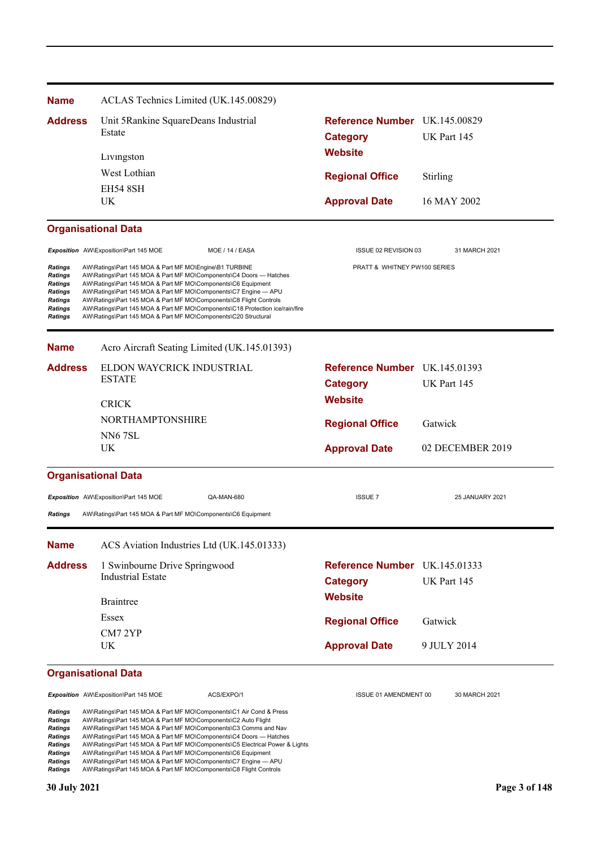| <b>Name</b>                                                                             | ACLAS Technics Limited (UK.145.00829)                                                                                                                                                                                                                                                                                                                                                                                                                                                   |                                                                    |                        |
|-----------------------------------------------------------------------------------------|-----------------------------------------------------------------------------------------------------------------------------------------------------------------------------------------------------------------------------------------------------------------------------------------------------------------------------------------------------------------------------------------------------------------------------------------------------------------------------------------|--------------------------------------------------------------------|------------------------|
| <b>Address</b>                                                                          | Unit 5Rankine SquareDeans Industrial<br>Estate                                                                                                                                                                                                                                                                                                                                                                                                                                          | Reference Number UK.145.00829<br><b>Category</b>                   | UK Part 145            |
|                                                                                         | Livingston                                                                                                                                                                                                                                                                                                                                                                                                                                                                              | <b>Website</b>                                                     |                        |
|                                                                                         | West Lothian                                                                                                                                                                                                                                                                                                                                                                                                                                                                            | <b>Regional Office</b>                                             | Stirling               |
|                                                                                         | <b>EH54 8SH</b><br>UK                                                                                                                                                                                                                                                                                                                                                                                                                                                                   | <b>Approval Date</b>                                               | 16 MAY 2002            |
|                                                                                         | <b>Organisational Data</b>                                                                                                                                                                                                                                                                                                                                                                                                                                                              |                                                                    |                        |
|                                                                                         | Exposition AW\Exposition\Part 145 MOE<br>MOE / 14 / EASA                                                                                                                                                                                                                                                                                                                                                                                                                                | ISSUE 02 REVISION 03                                               | 31 MARCH 2021          |
| Ratings<br>Ratings<br>Ratings<br><b>Ratings</b><br>Ratings<br><b>Ratings</b><br>Ratings | AW\Ratings\Part 145 MOA & Part MF MO\Engine\B1 TURBINE<br>AW\Ratings\Part 145 MOA & Part MF MO\Components\C4 Doors - Hatches<br>AW\Ratings\Part 145 MOA & Part MF MO\Components\C6 Equipment<br>AW\Ratings\Part 145 MOA & Part MF MO\Components\C7 Engine - APU<br>AW\Ratings\Part 145 MOA & Part MF MO\Components\C8 Flight Controls<br>AW\Ratings\Part 145 MOA & Part MF MO\Components\C18 Protection ice/rain/fire<br>AW\Ratings\Part 145 MOA & Part MF MO\Components\C20 Structural | PRATT & WHITNEY PW100 SERIES                                       |                        |
| <b>Name</b>                                                                             | Acro Aircraft Seating Limited (UK.145.01393)                                                                                                                                                                                                                                                                                                                                                                                                                                            |                                                                    |                        |
| <b>Address</b>                                                                          | ELDON WAYCRICK INDUSTRIAL<br><b>ESTATE</b>                                                                                                                                                                                                                                                                                                                                                                                                                                              | Reference Number UK.145.01393<br><b>Category</b>                   | UK Part 145            |
|                                                                                         | <b>CRICK</b>                                                                                                                                                                                                                                                                                                                                                                                                                                                                            | <b>Website</b>                                                     |                        |
|                                                                                         | NORTHAMPTONSHIRE<br><b>NN67SL</b>                                                                                                                                                                                                                                                                                                                                                                                                                                                       | <b>Regional Office</b>                                             | Gatwick                |
|                                                                                         | UK                                                                                                                                                                                                                                                                                                                                                                                                                                                                                      | <b>Approval Date</b>                                               | 02 DECEMBER 2019       |
|                                                                                         | <b>Organisational Data</b>                                                                                                                                                                                                                                                                                                                                                                                                                                                              |                                                                    |                        |
| Ratings                                                                                 | Exposition AW\Exposition\Part 145 MOE<br>QA-MAN-680<br>AW\Ratings\Part 145 MOA & Part MF MO\Components\C6 Equipment                                                                                                                                                                                                                                                                                                                                                                     | <b>ISSUE 7</b>                                                     | 25 JANUARY 2021        |
| <b>Name</b>                                                                             | ACS Aviation Industries Ltd (UK.145.01333)                                                                                                                                                                                                                                                                                                                                                                                                                                              |                                                                    |                        |
| <b>Address</b>                                                                          | 1 Swinbourne Drive Springwood<br><b>Industrial Estate</b><br>Braintree                                                                                                                                                                                                                                                                                                                                                                                                                  | Reference Number UK.145.01333<br><b>Category</b><br><b>Website</b> | UK Part 145            |
|                                                                                         | Essex                                                                                                                                                                                                                                                                                                                                                                                                                                                                                   |                                                                    |                        |
|                                                                                         | CM7 2YP<br>UK                                                                                                                                                                                                                                                                                                                                                                                                                                                                           | <b>Regional Office</b><br><b>Approval Date</b>                     | Gatwick<br>9 JULY 2014 |
|                                                                                         | <b>Organisational Data</b>                                                                                                                                                                                                                                                                                                                                                                                                                                                              |                                                                    |                        |
|                                                                                         | Exposition AW\Exposition\Part 145 MOE<br>ACS/EXPO/1                                                                                                                                                                                                                                                                                                                                                                                                                                     | ISSUE 01 AMENDMENT 00                                              | 30 MARCH 2021          |
| Ratings<br>Ratings                                                                      | AW\Ratings\Part 145 MOA & Part MF MO\Components\C1 Air Cond & Press<br>AW\Ratings\Part 145 MOA & Part MF MO\Components\C2 Auto Flight                                                                                                                                                                                                                                                                                                                                                   |                                                                    |                        |

**Ratings** AW\Ratings\Part 145 MOA & Part MF MO\Components\C3 Comms and Nav<br> **Ratings** AW\Ratings\Part 145 MOA & Part MF MO\Components\C4 Doors — Hatches<br> **Ratings** AW\Ratings\Part 145 MOA & Part MF MO\Components\C5 Electri *Ratings* AW\Ratings\Part 145 MOA & Part MF MO\Components\C4 Doors — Hatches

*Ratings* AW\Ratings\Part 145 MOA & Part MF MO\Components\C5 Electrical Power & Lights

*Ratings* AW\Ratings\Part 145 MOA & Part MF MO\Components\C6 Equipment

*Ratings* AW\Ratings\Part 145 MOA & Part MF MO\Components\C7 Engine — APU *Ratings* AW\Ratings\Part 145 MOA & Part MF MO\Components\C8 Flight Controls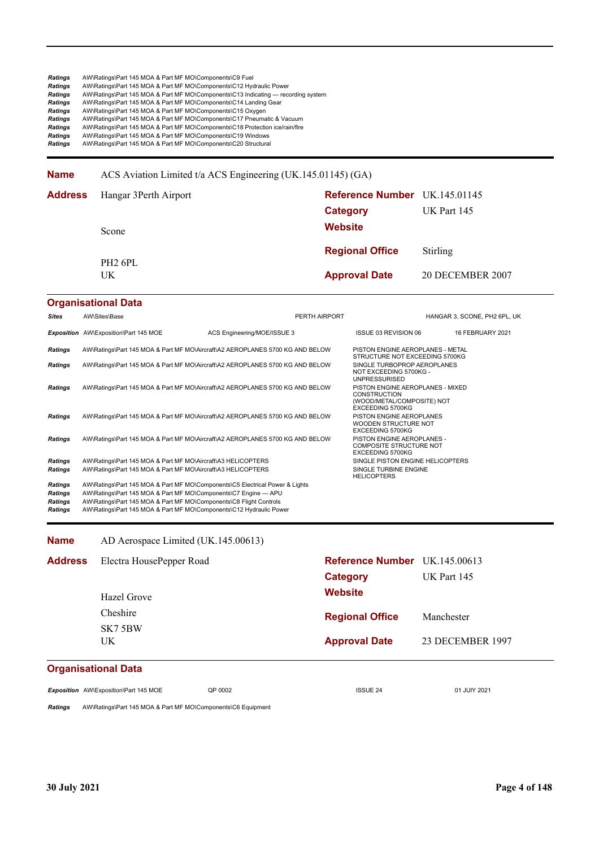**Name** ACS Aviation Limited t/a ACS Engineering (UK.145.01145) (GA)

| <b>Address</b> Hangar 3Perth Airport | Reference Number UK.145.01145 |                  |
|--------------------------------------|-------------------------------|------------------|
|                                      | Category                      | UK Part 145      |
| Scone                                | <b>Website</b>                |                  |
| PH <sub>2</sub> 6PL                  | <b>Regional Office</b>        | Stirling         |
| UK                                   | <b>Approval Date</b>          | 20 DECEMBER 2007 |

### **Organisational Data Sites** AW\Sites\Base Perth AIRPORT PERTH AIRPORT HANGAR 3, SCONE, PH2 6PL, UK Exposition AW\Exposition\Part 145 MOE ACS Engineering/MOE/ISSUE 3 ISSUE 03 REVISION 06 16 FEBRUARY 2021 *Ratings* AW\Ratings\Part 145 MOA & Part MF MO\Aircraft\A2 AEROPLANES 5700 KG AND BELOW PISTON ENGINE AEROPLANES - METAL STRUCTURE NOT EXCEEDING 5700KG<br>SINGLE TURBOPROP AEROPLANES **Ratings** AW\Ratings\Part 145 MOA & Part MF MO\Aircraft\A2 AEROPLANES 5700 KG AND BELOW NOT EXCEEDING 5700KG - UNPRESSURISED *Ratings* AW\Ratings\Part 145 MOA & Part MF MO\Aircraft\A2 AEROPLANES 5700 KG AND BELOW PISTON ENGINE AEROPLANES - MIXED CONSTRUCTION (WOOD/METAL/COMPOSITE) NOT EXCEEDING 5700KG *Ratings* AW\Ratings\Part 145 MOA & Part MF MO\Aircraft\A2 AEROPLANES 5700 KG AND BELOW PISTON ENGINE AEROPLANES WOODEN STRUCTURE NOT EXCEEDING 5700KG<br>PISTON ENGINE AEROPLANES -*Ratings* AW\Ratings\Part 145 MOA & Part MF MO\Aircraft\A2 AEROPLANES 5700 KG AND BELOW COMPOSITE STRUCTURE NOT EXCEEDING 5700KG **Ratings** AW\Ratings\Part 145 MOA & Part MF MO\Aircraft\A3 HELICOPTERS STATES SINGLE PISTON ENGINE HELICOPTERS Natings\Part 145 MOA & Part MF MO\Aircraft\A3 HELICOPTERS **Ratings** AW\Ratings\Part 145 MOA & Part MF MO\Aircraft\A3 HELICOPTERS HELICOPTERS *Ratings* AW\Ratings\Part 145 MOA & Part MF MO\Components\C5 Electrical Power & Lights *Ratings* AW\Ratings\Part 145 MOA & Part MF MO\Components\C7 Engine — APU *Ratings* AW\Ratings\Part 145 MOA & Part MF MO\Components\C8 Flight Controls *Ratings* AW\Ratings\Part 145 MOA & Part MF MO\Components\C12 Hydraulic Power

**Name** AD Aerospace Limited (UK.145.00613)

| <b>Address</b>                       | Electra HousePepper Road<br>Hazel Grove | Reference Number UK.145.00613<br><b>Category</b><br><b>Website</b> | UK Part 145      |
|--------------------------------------|-----------------------------------------|--------------------------------------------------------------------|------------------|
|                                      | Cheshire                                | <b>Regional Office</b>                                             | Manchester       |
|                                      | SK7 5BW<br>UK.                          | <b>Approval Date</b>                                               | 23 DECEMBER 1997 |
| Construction of the set of the state |                                         |                                                                    |                  |

### **Organisational Data**

**Exposition** AW\Exposition\Part 145 MOE QP 0002 001 2021 ISSUE 24 02 01 JULY 2021

*Ratings* AW\Ratings\Part 145 MOA & Part MF MO\Components\C6 Equipment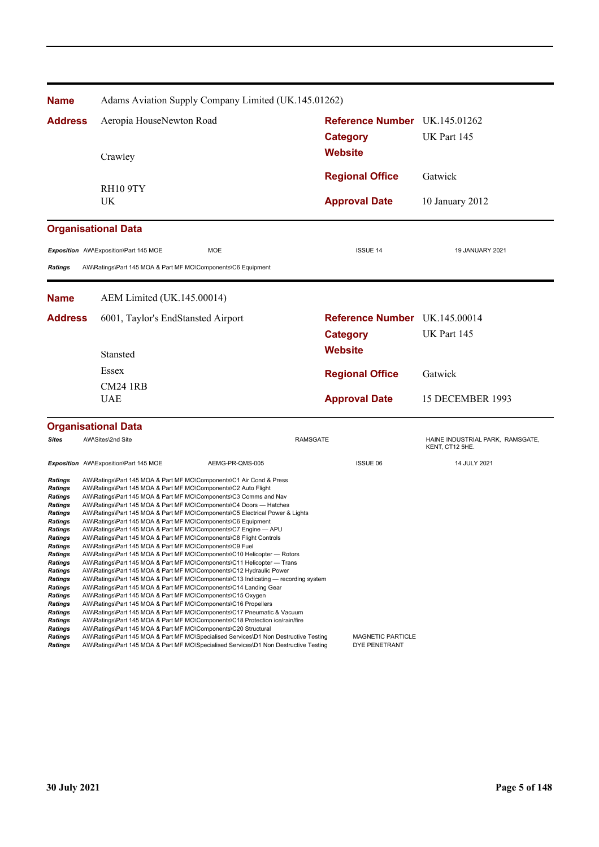| <b>Name</b>                      | Adams Aviation Supply Company Limited (UK.145.01262)                                                                                                     |                 |                               |                                                     |
|----------------------------------|----------------------------------------------------------------------------------------------------------------------------------------------------------|-----------------|-------------------------------|-----------------------------------------------------|
| <b>Address</b>                   | Aeropia HouseNewton Road                                                                                                                                 |                 | Reference Number UK.145.01262 |                                                     |
|                                  |                                                                                                                                                          |                 | <b>Category</b>               | UK Part 145                                         |
|                                  |                                                                                                                                                          |                 | <b>Website</b>                |                                                     |
|                                  | Crawley                                                                                                                                                  |                 |                               |                                                     |
|                                  |                                                                                                                                                          |                 | <b>Regional Office</b>        | Gatwick                                             |
|                                  | <b>RH10 9TY</b><br>UK                                                                                                                                    |                 | <b>Approval Date</b>          | 10 January 2012                                     |
|                                  |                                                                                                                                                          |                 |                               |                                                     |
|                                  | <b>Organisational Data</b>                                                                                                                               |                 |                               |                                                     |
|                                  | <b>MOE</b><br>Exposition AW\Exposition\Part 145 MOE                                                                                                      |                 | <b>ISSUE 14</b>               | 19 JANUARY 2021                                     |
| <b>Ratings</b>                   | AW\Ratings\Part 145 MOA & Part MF MO\Components\C6 Equipment                                                                                             |                 |                               |                                                     |
|                                  |                                                                                                                                                          |                 |                               |                                                     |
| <b>Name</b>                      | AEM Limited (UK.145.00014)                                                                                                                               |                 |                               |                                                     |
| <b>Address</b>                   | 6001, Taylor's EndStansted Airport                                                                                                                       |                 | Reference Number UK.145.00014 |                                                     |
|                                  |                                                                                                                                                          |                 | <b>Category</b>               | UK Part 145                                         |
|                                  | Stansted                                                                                                                                                 |                 | <b>Website</b>                |                                                     |
|                                  | Essex                                                                                                                                                    |                 |                               |                                                     |
|                                  |                                                                                                                                                          |                 | <b>Regional Office</b>        | Gatwick                                             |
|                                  | <b>CM24 1RB</b><br><b>UAE</b>                                                                                                                            |                 | <b>Approval Date</b>          | 15 DECEMBER 1993                                    |
|                                  |                                                                                                                                                          |                 |                               |                                                     |
|                                  | <b>Organisational Data</b>                                                                                                                               |                 |                               |                                                     |
| <b>Sites</b>                     | AW\Sites\2nd Site                                                                                                                                        | <b>RAMSGATE</b> |                               | HAINE INDUSTRIAL PARK, RAMSGATE,<br>KENT, CT12 5HE. |
|                                  | Exposition AW\Exposition\Part 145 MOE                                                                                                                    | AEMG-PR-QMS-005 | <b>ISSUE 06</b>               | 14 JULY 2021                                        |
| <b>Ratings</b>                   | AW\Ratings\Part 145 MOA & Part MF MO\Components\C1 Air Cond & Press                                                                                      |                 |                               |                                                     |
| Ratings<br>Ratings               | AW\Ratings\Part 145 MOA & Part MF MO\Components\C2 Auto Flight<br>AW\Ratings\Part 145 MOA & Part MF MO\Components\C3 Comms and Nav                       |                 |                               |                                                     |
| Ratings                          | AW\Ratings\Part 145 MOA & Part MF MO\Components\C4 Doors - Hatches                                                                                       |                 |                               |                                                     |
| <b>Ratings</b><br>Ratings        | AW\Ratings\Part 145 MOA & Part MF MO\Components\C5 Electrical Power & Lights<br>AW\Ratings\Part 145 MOA & Part MF MO\Components\C6 Equipment             |                 |                               |                                                     |
| Ratings                          | AW\Ratings\Part 145 MOA & Part MF MO\Components\C7 Engine — APU                                                                                          |                 |                               |                                                     |
| <b>Ratings</b><br><b>Ratings</b> | AW\Ratings\Part 145 MOA & Part MF MO\Components\C8 Flight Controls<br>AW\Ratings\Part 145 MOA & Part MF MO\Components\C9 Fuel                            |                 |                               |                                                     |
| <b>Ratings</b>                   | AW\Ratings\Part 145 MOA & Part MF MO\Components\C10 Helicopter — Rotors                                                                                  |                 |                               |                                                     |
| <b>Ratings</b>                   | AW\Ratings\Part 145 MOA & Part MF MO\Components\C11 Helicopter — Trans                                                                                   |                 |                               |                                                     |
| <b>Ratings</b><br><b>Ratings</b> | AW\Ratings\Part 145 MOA & Part MF MO\Components\C12 Hydraulic Power<br>AW\Ratings\Part 145 MOA & Part MF MO\Components\C13 Indicating — recording system |                 |                               |                                                     |
| Ratings                          | AW\Ratings\Part 145 MOA & Part MF MO\Components\C14 Landing Gear                                                                                         |                 |                               |                                                     |
| <b>Ratings</b><br><b>Ratings</b> | AW\Ratings\Part 145 MOA & Part MF MO\Components\C15 Oxygen<br>AW\Ratings\Part 145 MOA & Part MF MO\Components\C16 Propellers                             |                 |                               |                                                     |
| Ratings                          | AW\Ratings\Part 145 MOA & Part MF MO\Components\C17 Pneumatic & Vacuum                                                                                   |                 |                               |                                                     |
| Ratings                          | AW\Ratings\Part 145 MOA & Part MF MO\Components\C18 Protection ice/rain/fire                                                                             |                 |                               |                                                     |
| <b>Ratings</b><br><b>Ratings</b> | AW\Ratings\Part 145 MOA & Part MF MO\Components\C20 Structural<br>AW\Ratings\Part 145 MOA & Part MF MO\Specialised Services\D1 Non Destructive Testing   |                 | MAGNETIC PARTICLE             |                                                     |
| <b>Ratings</b>                   | AW\Ratings\Part 145 MOA & Part MF MO\Specialised Services\D1 Non Destructive Testing                                                                     |                 | DYE PENETRANT                 |                                                     |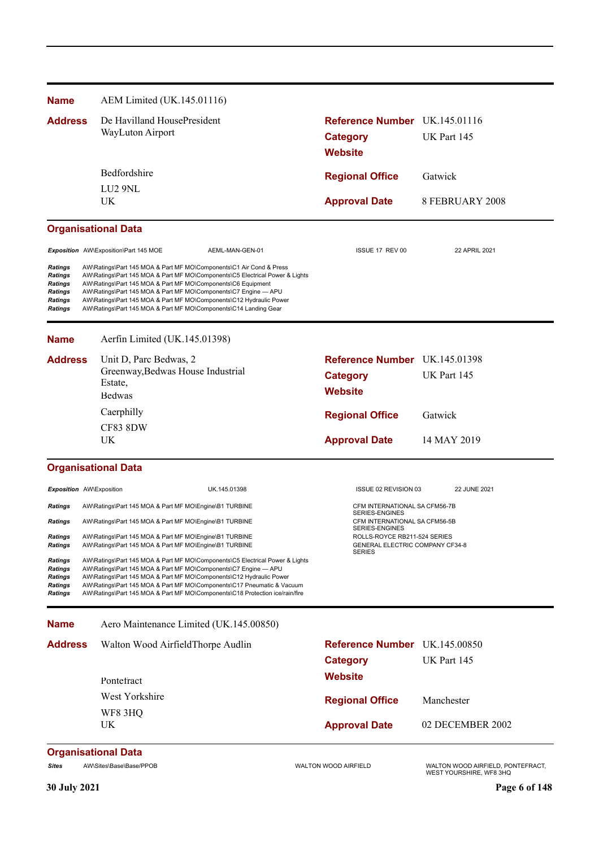| <b>Name</b>                                                                         | AEM Limited (UK.145.01116)                                                                                                                                                                                                                                                                                                                                                                                                        |                                                                    |                                                              |  |
|-------------------------------------------------------------------------------------|-----------------------------------------------------------------------------------------------------------------------------------------------------------------------------------------------------------------------------------------------------------------------------------------------------------------------------------------------------------------------------------------------------------------------------------|--------------------------------------------------------------------|--------------------------------------------------------------|--|
| <b>Address</b>                                                                      | De Havilland HousePresident<br>WayLuton Airport                                                                                                                                                                                                                                                                                                                                                                                   | Reference Number UK.145.01116<br><b>Category</b><br><b>Website</b> | UK Part 145                                                  |  |
|                                                                                     | Bedfordshire                                                                                                                                                                                                                                                                                                                                                                                                                      | <b>Regional Office</b>                                             | Gatwick                                                      |  |
|                                                                                     | LU <sub>2</sub> 9NL                                                                                                                                                                                                                                                                                                                                                                                                               |                                                                    |                                                              |  |
|                                                                                     | UK                                                                                                                                                                                                                                                                                                                                                                                                                                | <b>Approval Date</b>                                               | 8 FEBRUARY 2008                                              |  |
|                                                                                     | <b>Organisational Data</b>                                                                                                                                                                                                                                                                                                                                                                                                        |                                                                    |                                                              |  |
|                                                                                     | Exposition AW\Exposition\Part 145 MOE<br>AEML-MAN-GEN-01                                                                                                                                                                                                                                                                                                                                                                          | ISSUE 17 REV 00                                                    | 22 APRIL 2021                                                |  |
| <b>Ratings</b><br>Ratings<br>Ratings<br><b>Ratings</b><br>Ratings<br><b>Ratings</b> | AW\Ratings\Part 145 MOA & Part MF MO\Components\C1 Air Cond & Press<br>AW\Ratings\Part 145 MOA & Part MF MO\Components\C5 Electrical Power & Lights<br>AW\Ratings\Part 145 MOA & Part MF MO\Components\C6 Equipment<br>AW\Ratings\Part 145 MOA & Part MF MO\Components\C7 Engine - APU<br>AW\Ratings\Part 145 MOA & Part MF MO\Components\C12 Hydraulic Power<br>AW\Ratings\Part 145 MOA & Part MF MO\Components\C14 Landing Gear |                                                                    |                                                              |  |
| <b>Name</b>                                                                         | Aerfin Limited (UK.145.01398)                                                                                                                                                                                                                                                                                                                                                                                                     |                                                                    |                                                              |  |
| <b>Address</b>                                                                      | Unit D, Parc Bedwas, 2                                                                                                                                                                                                                                                                                                                                                                                                            | Reference Number UK.145.01398                                      |                                                              |  |
|                                                                                     | Greenway, Bedwas House Industrial<br>Estate,                                                                                                                                                                                                                                                                                                                                                                                      | <b>Category</b>                                                    | UK Part 145                                                  |  |
|                                                                                     | <b>Bedwas</b>                                                                                                                                                                                                                                                                                                                                                                                                                     | <b>Website</b>                                                     |                                                              |  |
|                                                                                     | Caerphilly                                                                                                                                                                                                                                                                                                                                                                                                                        | <b>Regional Office</b>                                             | Gatwick                                                      |  |
|                                                                                     | CF83 8DW                                                                                                                                                                                                                                                                                                                                                                                                                          |                                                                    |                                                              |  |
|                                                                                     | UK                                                                                                                                                                                                                                                                                                                                                                                                                                | <b>Approval Date</b>                                               | 14 MAY 2019                                                  |  |
|                                                                                     | <b>Organisational Data</b>                                                                                                                                                                                                                                                                                                                                                                                                        |                                                                    |                                                              |  |
| <b>Exposition</b> AW\Exposition                                                     | UK.145.01398                                                                                                                                                                                                                                                                                                                                                                                                                      | ISSUE 02 REVISION 03                                               | 22 JUNE 2021                                                 |  |
| Ratings                                                                             | AW\Ratings\Part 145 MOA & Part MF MO\Engine\B1 TURBINE                                                                                                                                                                                                                                                                                                                                                                            | CFM INTERNATIONAL SA CFM56-7B<br>SERIES-ENGINES                    |                                                              |  |
| <b>Ratings</b>                                                                      | AW\Ratings\Part 145 MOA & Part MF MO\Engine\B1 TURBINE                                                                                                                                                                                                                                                                                                                                                                            | CFM INTERNATIONAL SA CFM56-5B<br>SERIES-ENGINES                    |                                                              |  |
| <b>Ratings</b><br><b>Ratings</b>                                                    | AW\Ratings\Part 145 MOA & Part MF MO\Engine\B1 TURBINE<br>AW\Ratings\Part 145 MOA & Part MF MO\Engine\B1 TURBINE                                                                                                                                                                                                                                                                                                                  | ROLLS-ROYCE RB211-524 SERIES<br>GENERAL ELECTRIC COMPANY CF34-8    |                                                              |  |
| <b>Ratings</b><br><b>Ratings</b><br>Ratings<br><b>Ratings</b><br><b>Ratings</b>     | AW\Ratings\Part 145 MOA & Part MF MO\Components\C5 Electrical Power & Lights<br>AW\Ratings\Part 145 MOA & Part MF MO\Components\C7 Engine - APU<br>AW\Ratings\Part 145 MOA & Part MF MO\Components\C12 Hydraulic Power<br>AW\Ratings\Part 145 MOA & Part MF MO\Components\C17 Pneumatic & Vacuum<br>AW\Ratings\Part 145 MOA & Part MF MO\Components\C18 Protection ice/rain/fire                                                  | <b>SERIES</b>                                                      |                                                              |  |
| <b>Name</b>                                                                         | Aero Maintenance Limited (UK.145.00850)                                                                                                                                                                                                                                                                                                                                                                                           |                                                                    |                                                              |  |
| <b>Address</b>                                                                      | Walton Wood AirfieldThorpe Audlin                                                                                                                                                                                                                                                                                                                                                                                                 | Reference Number UK.145.00850                                      |                                                              |  |
|                                                                                     |                                                                                                                                                                                                                                                                                                                                                                                                                                   | <b>Category</b>                                                    | UK Part 145                                                  |  |
|                                                                                     | Pontefract                                                                                                                                                                                                                                                                                                                                                                                                                        | <b>Website</b>                                                     |                                                              |  |
|                                                                                     | West Yorkshire                                                                                                                                                                                                                                                                                                                                                                                                                    | <b>Regional Office</b>                                             | Manchester                                                   |  |
|                                                                                     | WF8 3HQ                                                                                                                                                                                                                                                                                                                                                                                                                           |                                                                    |                                                              |  |
|                                                                                     | UK                                                                                                                                                                                                                                                                                                                                                                                                                                | <b>Approval Date</b>                                               | 02 DECEMBER 2002                                             |  |
|                                                                                     | <b>Organisational Data</b>                                                                                                                                                                                                                                                                                                                                                                                                        |                                                                    |                                                              |  |
| <b>Sites</b>                                                                        | AW\Sites\Base\Base/PPOB                                                                                                                                                                                                                                                                                                                                                                                                           | WALTON WOOD AIRFIELD                                               | WALTON WOOD AIRFIELD, PONTEFRACT,<br>WEST YOURSHIRE, WF8 3HQ |  |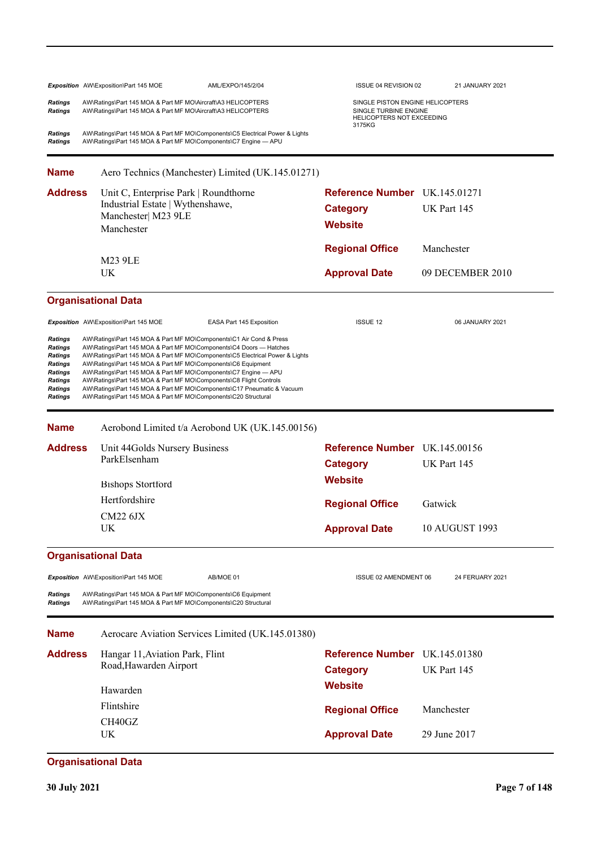|                                                                                                    | Exposition AW\Exposition\Part 145 MOE<br>AML/EXPO/145/2/04                                                                                                                                                                                                                                                                                                                                                                                                                                                                                                                     | ISSUE 04 REVISION 02                                                                                    | 21 JANUARY 2021  |
|----------------------------------------------------------------------------------------------------|--------------------------------------------------------------------------------------------------------------------------------------------------------------------------------------------------------------------------------------------------------------------------------------------------------------------------------------------------------------------------------------------------------------------------------------------------------------------------------------------------------------------------------------------------------------------------------|---------------------------------------------------------------------------------------------------------|------------------|
| <b>Ratings</b><br>Ratings                                                                          | AW\Ratings\Part 145 MOA & Part MF MO\Aircraft\A3 HELICOPTERS<br>AW\Ratings\Part 145 MOA & Part MF MO\Aircraft\A3 HELICOPTERS                                                                                                                                                                                                                                                                                                                                                                                                                                                   | SINGLE PISTON ENGINE HELICOPTERS<br>SINGLE TURBINE ENGINE<br><b>HELICOPTERS NOT EXCEEDING</b><br>3175KG |                  |
| <b>Ratings</b><br>Ratings                                                                          | AW\Ratings\Part 145 MOA & Part MF MO\Components\C5 Electrical Power & Lights<br>AW\Ratings\Part 145 MOA & Part MF MO\Components\C7 Engine - APU                                                                                                                                                                                                                                                                                                                                                                                                                                |                                                                                                         |                  |
| <b>Name</b>                                                                                        | Aero Technics (Manchester) Limited (UK.145.01271)                                                                                                                                                                                                                                                                                                                                                                                                                                                                                                                              |                                                                                                         |                  |
| Address                                                                                            | Unit C, Enterprise Park   Roundthorne                                                                                                                                                                                                                                                                                                                                                                                                                                                                                                                                          | <b>Reference Number</b> UK.145.01271                                                                    |                  |
|                                                                                                    | Industrial Estate   Wythenshawe,                                                                                                                                                                                                                                                                                                                                                                                                                                                                                                                                               | <b>Category</b>                                                                                         | UK Part 145      |
|                                                                                                    | Manchester  M23 9LE<br>Manchester                                                                                                                                                                                                                                                                                                                                                                                                                                                                                                                                              | <b>Website</b>                                                                                          |                  |
|                                                                                                    |                                                                                                                                                                                                                                                                                                                                                                                                                                                                                                                                                                                | <b>Regional Office</b>                                                                                  | Manchester       |
|                                                                                                    | <b>M23 9LE</b>                                                                                                                                                                                                                                                                                                                                                                                                                                                                                                                                                                 |                                                                                                         |                  |
|                                                                                                    | UK                                                                                                                                                                                                                                                                                                                                                                                                                                                                                                                                                                             | <b>Approval Date</b>                                                                                    | 09 DECEMBER 2010 |
|                                                                                                    | <b>Organisational Data</b>                                                                                                                                                                                                                                                                                                                                                                                                                                                                                                                                                     |                                                                                                         |                  |
|                                                                                                    | Exposition AW\Exposition\Part 145 MOE<br>EASA Part 145 Exposition                                                                                                                                                                                                                                                                                                                                                                                                                                                                                                              | <b>ISSUE 12</b>                                                                                         | 06 JANUARY 2021  |
| Ratings<br>Ratings<br><b>Ratings</b><br>Ratings<br>Ratings<br>Ratings<br><b>Ratings</b><br>Ratings | AW\Ratings\Part 145 MOA & Part MF MO\Components\C1 Air Cond & Press<br>AW\Ratings\Part 145 MOA & Part MF MO\Components\C4 Doors - Hatches<br>AW\Ratings\Part 145 MOA & Part MF MO\Components\C5 Electrical Power & Lights<br>AW\Ratings\Part 145 MOA & Part MF MO\Components\C6 Equipment<br>AW\Ratings\Part 145 MOA & Part MF MO\Components\C7 Engine - APU<br>AW\Ratings\Part 145 MOA & Part MF MO\Components\C8 Flight Controls<br>AW\Ratings\Part 145 MOA & Part MF MO\Components\C17 Pneumatic & Vacuum<br>AW\Ratings\Part 145 MOA & Part MF MO\Components\C20 Structural |                                                                                                         |                  |
| <b>Name</b>                                                                                        | Aerobond Limited t/a Aerobond UK (UK.145.00156)                                                                                                                                                                                                                                                                                                                                                                                                                                                                                                                                |                                                                                                         |                  |
| <b>Address</b>                                                                                     | Unit 44Golds Nursery Business<br>ParkElsenham                                                                                                                                                                                                                                                                                                                                                                                                                                                                                                                                  | Reference Number UK.145.00156<br><b>Category</b>                                                        | UK Part 145      |
|                                                                                                    | <b>Bishops Stortford</b>                                                                                                                                                                                                                                                                                                                                                                                                                                                                                                                                                       | <b>Website</b>                                                                                          |                  |
|                                                                                                    | Hertfordshire                                                                                                                                                                                                                                                                                                                                                                                                                                                                                                                                                                  | <b>Regional Office</b>                                                                                  | Gatwick          |
|                                                                                                    | $CM22$ $6JX$                                                                                                                                                                                                                                                                                                                                                                                                                                                                                                                                                                   |                                                                                                         |                  |
|                                                                                                    | UK                                                                                                                                                                                                                                                                                                                                                                                                                                                                                                                                                                             | <b>Approval Date</b>                                                                                    | 10 AUGUST 1993   |
|                                                                                                    | <b>Organisational Data</b>                                                                                                                                                                                                                                                                                                                                                                                                                                                                                                                                                     |                                                                                                         |                  |
|                                                                                                    | AB/MOE 01<br>Exposition AW\Exposition\Part 145 MOE                                                                                                                                                                                                                                                                                                                                                                                                                                                                                                                             | ISSUE 02 AMENDMENT 06                                                                                   | 24 FERUARY 2021  |
| <b>Ratings</b><br>Ratings                                                                          | AW\Ratings\Part 145 MOA & Part MF MO\Components\C6 Equipment<br>AW\Ratings\Part 145 MOA & Part MF MO\Components\C20 Structural                                                                                                                                                                                                                                                                                                                                                                                                                                                 |                                                                                                         |                  |
| <b>Name</b>                                                                                        | Aerocare Aviation Services Limited (UK.145.01380)                                                                                                                                                                                                                                                                                                                                                                                                                                                                                                                              |                                                                                                         |                  |
| <b>Address</b>                                                                                     | Hangar 11, Aviation Park, Flint<br>Road, Hawarden Airport                                                                                                                                                                                                                                                                                                                                                                                                                                                                                                                      | <b>Reference Number</b> UK.145.01380<br><b>Category</b>                                                 | UK Part 145      |
|                                                                                                    | Hawarden                                                                                                                                                                                                                                                                                                                                                                                                                                                                                                                                                                       | <b>Website</b>                                                                                          |                  |
|                                                                                                    | Flintshire                                                                                                                                                                                                                                                                                                                                                                                                                                                                                                                                                                     | <b>Regional Office</b>                                                                                  | Manchester       |
|                                                                                                    | CH40GZ                                                                                                                                                                                                                                                                                                                                                                                                                                                                                                                                                                         |                                                                                                         |                  |
|                                                                                                    | UK                                                                                                                                                                                                                                                                                                                                                                                                                                                                                                                                                                             | <b>Approval Date</b>                                                                                    | 29 June 2017     |
|                                                                                                    | <b>Organisational Data</b>                                                                                                                                                                                                                                                                                                                                                                                                                                                                                                                                                     |                                                                                                         |                  |

# **30 July 2021 Page 7 of 148**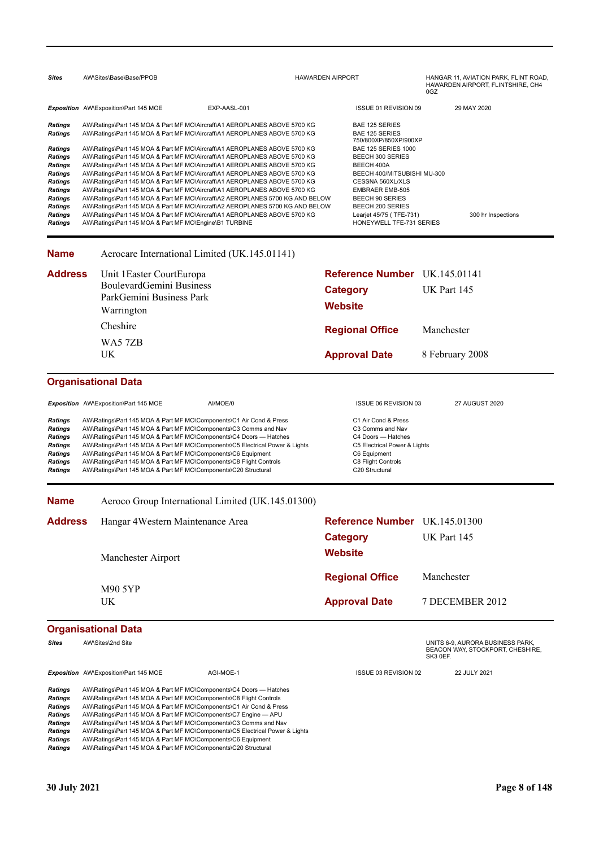| <b>Sites</b>                                                                                                                                                                                           | AW\Sites\Base\Base/PPOB                                                                                                                                                                                                                                                                                                                                                                                                                                                                                                                                                                                                                                                                                                                                                                                                                                                                                                                       |              | <b>HAWARDEN AIRPORT</b>           |                                                                                                                                                                                                                                                                                                                           | 0GZ         | HANGAR 11, AVIATION PARK, FLINT ROAD,<br>HAWARDEN AIRPORT, FLINTSHIRE, CH4 |
|--------------------------------------------------------------------------------------------------------------------------------------------------------------------------------------------------------|-----------------------------------------------------------------------------------------------------------------------------------------------------------------------------------------------------------------------------------------------------------------------------------------------------------------------------------------------------------------------------------------------------------------------------------------------------------------------------------------------------------------------------------------------------------------------------------------------------------------------------------------------------------------------------------------------------------------------------------------------------------------------------------------------------------------------------------------------------------------------------------------------------------------------------------------------|--------------|-----------------------------------|---------------------------------------------------------------------------------------------------------------------------------------------------------------------------------------------------------------------------------------------------------------------------------------------------------------------------|-------------|----------------------------------------------------------------------------|
|                                                                                                                                                                                                        | Exposition AW\Exposition\Part 145 MOE                                                                                                                                                                                                                                                                                                                                                                                                                                                                                                                                                                                                                                                                                                                                                                                                                                                                                                         | EXP-AASL-001 |                                   | ISSUE 01 REVISION 09                                                                                                                                                                                                                                                                                                      |             | 29 MAY 2020                                                                |
| <b>Ratings</b><br><b>Ratings</b><br>Ratings<br><b>Ratings</b><br><b>Ratings</b><br><b>Ratings</b><br><b>Ratings</b><br><b>Ratings</b><br><b>Ratings</b><br><b>Ratings</b><br><b>Ratings</b><br>Ratings | AW\Ratings\Part 145 MOA & Part MF MO\Aircraft\A1 AEROPLANES ABOVE 5700 KG<br>AW\Ratings\Part 145 MOA & Part MF MO\Aircraft\A1 AEROPLANES ABOVE 5700 KG<br>AW\Ratings\Part 145 MOA & Part MF MO\Aircraft\A1 AEROPLANES ABOVE 5700 KG<br>AW\Ratings\Part 145 MOA & Part MF MO\Aircraft\A1 AEROPLANES ABOVE 5700 KG<br>AW\Ratings\Part 145 MOA & Part MF MO\Aircraft\A1 AEROPLANES ABOVE 5700 KG<br>AW\Ratings\Part 145 MOA & Part MF MO\Aircraft\A1 AEROPLANES ABOVE 5700 KG<br>AW\Ratings\Part 145 MOA & Part MF MO\Aircraft\A1 AEROPLANES ABOVE 5700 KG<br>AW\Ratings\Part 145 MOA & Part MF MO\Aircraft\A1 AEROPLANES ABOVE 5700 KG<br>AW\Ratings\Part 145 MOA & Part MF MO\Aircraft\A2 AEROPLANES 5700 KG AND BELOW<br>AW\Ratings\Part 145 MOA & Part MF MO\Aircraft\A2 AEROPLANES 5700 KG AND BELOW<br>AW\Ratings\Part 145 MOA & Part MF MO\Aircraft\A1 AEROPLANES ABOVE 5700 KG<br>AW\Ratings\Part 145 MOA & Part MF MO\Engine\B1 TURBINE |              |                                   | BAE 125 SERIES<br><b>BAE 125 SERIES</b><br>750/800XP/850XP/900XP<br><b>BAE 125 SERIES 1000</b><br><b>BEECH 300 SERIES</b><br>BEECH 400A<br>BEECH 400/MITSUBISHI MU-300<br>CESSNA 560XL/XLS<br><b>EMBRAER EMB-505</b><br><b>BEECH 90 SERIES</b><br>BEECH 200 SERIES<br>Learjet 45/75 (TFE-731)<br>HONEYWELL TFE-731 SERIES |             | 300 hr Inspections                                                         |
| <b>Name</b>                                                                                                                                                                                            | Aerocare International Limited (UK.145.01141)                                                                                                                                                                                                                                                                                                                                                                                                                                                                                                                                                                                                                                                                                                                                                                                                                                                                                                 |              |                                   |                                                                                                                                                                                                                                                                                                                           |             |                                                                            |
| <b>Address</b>                                                                                                                                                                                         | Unit 1Easter CourtEuropa<br>BoulevardGemini Business<br>ParkGemini Business Park<br>Warrington                                                                                                                                                                                                                                                                                                                                                                                                                                                                                                                                                                                                                                                                                                                                                                                                                                                |              | <b>Category</b><br><b>Website</b> | Reference Number UK.145.01141                                                                                                                                                                                                                                                                                             | UK Part 145 |                                                                            |
|                                                                                                                                                                                                        | Cheshire<br>WA57ZB                                                                                                                                                                                                                                                                                                                                                                                                                                                                                                                                                                                                                                                                                                                                                                                                                                                                                                                            |              |                                   | <b>Regional Office</b>                                                                                                                                                                                                                                                                                                    | Manchester  |                                                                            |
|                                                                                                                                                                                                        | UK.                                                                                                                                                                                                                                                                                                                                                                                                                                                                                                                                                                                                                                                                                                                                                                                                                                                                                                                                           |              |                                   | <b>Approval Date</b>                                                                                                                                                                                                                                                                                                      |             | 8 February 2008                                                            |
|                                                                                                                                                                                                        | <b>Organisational Data</b>                                                                                                                                                                                                                                                                                                                                                                                                                                                                                                                                                                                                                                                                                                                                                                                                                                                                                                                    |              |                                   |                                                                                                                                                                                                                                                                                                                           |             |                                                                            |

*Exposition* AW\Exposition\Part 145 MOE AI/MOE/0 ISSUE 06 REVISION 03 27 AUGUST 2020 Ratings AW\Ratings\Part 145 MOA & Part MF MO\Components\C1 Air Cond & Press C1 Air Cond & Press<br> **Ratings** AW\Ratings\Part 145 MOA & Part MF MO\Components\C3 Comms and Nav C3 Comms and Nav Ratings AW\Ratings\Part 145 MOA & Part MF MO\Components\C3 Comms and Nav C3 Comms and Nav<br> **Ratings** AW\Ratings\Part 145 MOA & Part MF MO\Components\C4 Doors — Hatches C4 Doors — Hatches AW\Ratings\Part 145 MOA & Part MF MO\Components\C4 Doors — Hatches C4 Doors — Hatches C4 Doors — Hatches AW\Ratings\Part 145 MOA & Part MF MO\Components\C5 Electrical Power & Lights C5 Electrical Power & Lights Ratings AW\Ratings\Part 145 MOA & Part MF MO\Components\C5 Electrical Power & Lights C5 Electrical Power & Lights Ratings AW\Ratings\Part 145 MOA & Part MF MO\Components\C6 Equipment C6 Equipment C6 Equipment Ratings AW\Ratings\Part 145 MOA & Part MF MO\Components\C8 Flight Controls C8 Flight Controls C8 Flight Controls Ratings AW\Ratings\Part 145 MOA & Part MF MO\Components\C20 Structural **Ratings** C20 Structural

**Name** Aeroco Group International Limited (UK.145.01300)

| Address | Hangar 4 Western Maintenance Area | Reference Number UK.145.01300 |                 |
|---------|-----------------------------------|-------------------------------|-----------------|
|         |                                   | Category                      | UK Part 145     |
|         | Manchester Airport                | <b>Website</b>                |                 |
|         |                                   | <b>Regional Office</b>        | Manchester      |
|         | M90 5YP<br>UK.                    | <b>Approval Date</b>          | 7 DECEMBER 2012 |

### **Organisational Data**

|                | $\bullet$ . Settle with the settle                                           |           |                      |                                                                                  |
|----------------|------------------------------------------------------------------------------|-----------|----------------------|----------------------------------------------------------------------------------|
| Sites          | AW\Sites\2nd Site                                                            |           |                      | UNITS 6-9, AURORA BUSINESS PARK.<br>BEACON WAY, STOCKPORT, CHESHIRE.<br>SK3 0EF. |
|                | <b>Exposition</b> AW\Exposition\Part 145 MOE                                 | AGI-MOE-1 | ISSUE 03 REVISION 02 | 22 JULY 2021                                                                     |
| <b>Ratings</b> | AW\Ratings\Part 145 MOA & Part MF MO\Components\C4 Doors — Hatches           |           |                      |                                                                                  |
| <b>Ratings</b> | AW\Ratings\Part 145 MOA & Part MF MO\Components\C8 Flight Controls           |           |                      |                                                                                  |
| <b>Ratings</b> | AW\Ratings\Part 145 MOA & Part MF MO\Components\C1 Air Cond & Press          |           |                      |                                                                                  |
| <b>Ratings</b> | AW\Ratings\Part 145 MOA & Part MF MO\Components\C7 Engine - APU              |           |                      |                                                                                  |
| <b>Ratings</b> | AW\Ratings\Part 145 MOA & Part MF MO\Components\C3 Comms and Nav             |           |                      |                                                                                  |
| <b>Ratings</b> | AW\Ratings\Part 145 MOA & Part MF MO\Components\C5 Electrical Power & Lights |           |                      |                                                                                  |
| <b>Ratings</b> | AW\Ratings\Part 145 MOA & Part MF MO\Components\C6 Equipment                 |           |                      |                                                                                  |
|                |                                                                              |           |                      |                                                                                  |

*Ratings* AW\Ratings\Part 145 MOA & Part MF MO\Components\C20 Structural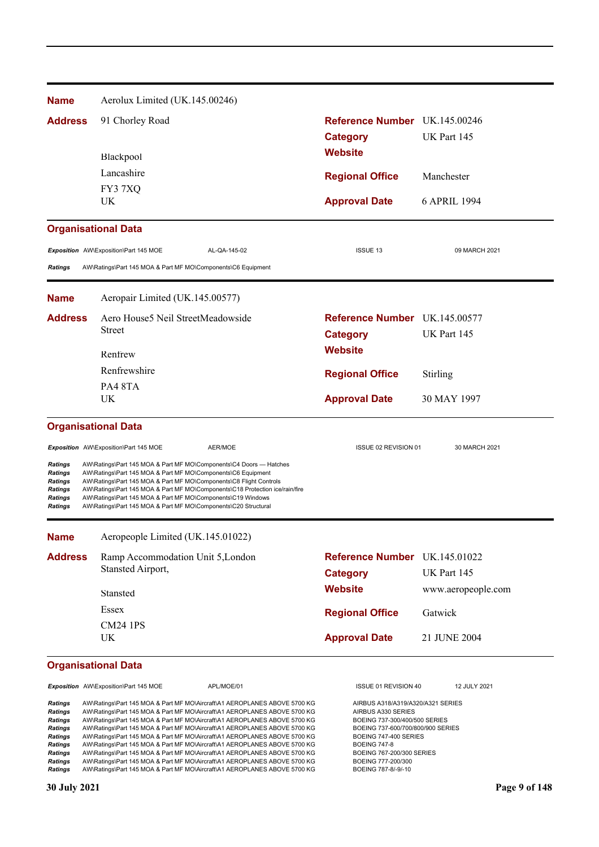| <b>Name</b>                                                                                              | Aerolux Limited (UK.145.00246)                                                                                                                                                                                                                                                                                                                                                                                            |                                                  |                    |
|----------------------------------------------------------------------------------------------------------|---------------------------------------------------------------------------------------------------------------------------------------------------------------------------------------------------------------------------------------------------------------------------------------------------------------------------------------------------------------------------------------------------------------------------|--------------------------------------------------|--------------------|
| <b>Address</b>                                                                                           | 91 Chorley Road                                                                                                                                                                                                                                                                                                                                                                                                           | Reference Number UK.145.00246<br><b>Category</b> | UK Part 145        |
|                                                                                                          | Blackpool                                                                                                                                                                                                                                                                                                                                                                                                                 | <b>Website</b>                                   |                    |
|                                                                                                          | Lancashire                                                                                                                                                                                                                                                                                                                                                                                                                | <b>Regional Office</b>                           | Manchester         |
|                                                                                                          | FY37XQ                                                                                                                                                                                                                                                                                                                                                                                                                    |                                                  |                    |
|                                                                                                          | UK                                                                                                                                                                                                                                                                                                                                                                                                                        | <b>Approval Date</b>                             | 6 APRIL 1994       |
|                                                                                                          | <b>Organisational Data</b>                                                                                                                                                                                                                                                                                                                                                                                                |                                                  |                    |
|                                                                                                          | Exposition AW\Exposition\Part 145 MOE<br>AL-QA-145-02                                                                                                                                                                                                                                                                                                                                                                     | <b>ISSUE 13</b>                                  | 09 MARCH 2021      |
| <b>Ratings</b>                                                                                           | AW\Ratings\Part 145 MOA & Part MF MO\Components\C6 Equipment                                                                                                                                                                                                                                                                                                                                                              |                                                  |                    |
| <b>Name</b>                                                                                              | Aeropair Limited (UK.145.00577)                                                                                                                                                                                                                                                                                                                                                                                           |                                                  |                    |
| <b>Address</b>                                                                                           | Aero House5 Neil StreetMeadowside                                                                                                                                                                                                                                                                                                                                                                                         | Reference Number UK 145,00577                    |                    |
|                                                                                                          | Street                                                                                                                                                                                                                                                                                                                                                                                                                    | <b>Category</b>                                  | UK Part 145        |
|                                                                                                          | Renfrew                                                                                                                                                                                                                                                                                                                                                                                                                   | <b>Website</b>                                   |                    |
|                                                                                                          | Renfrewshire                                                                                                                                                                                                                                                                                                                                                                                                              | <b>Regional Office</b>                           | Stirling           |
|                                                                                                          | PA48TA                                                                                                                                                                                                                                                                                                                                                                                                                    |                                                  |                    |
|                                                                                                          | UK                                                                                                                                                                                                                                                                                                                                                                                                                        | <b>Approval Date</b>                             | 30 MAY 1997        |
|                                                                                                          | <b>Organisational Data</b>                                                                                                                                                                                                                                                                                                                                                                                                |                                                  |                    |
|                                                                                                          | Exposition AW\Exposition\Part 145 MOE<br>AER/MOE                                                                                                                                                                                                                                                                                                                                                                          | ISSUE 02 REVISION 01                             | 30 MARCH 2021      |
| <b>Ratings</b><br><b>Ratings</b><br><b>Ratings</b><br><b>Ratings</b><br><b>Ratings</b><br><b>Ratings</b> | AW\Ratings\Part 145 MOA & Part MF MO\Components\C4 Doors - Hatches<br>AW\Ratings\Part 145 MOA & Part MF MO\Components\C6 Equipment<br>AW\Ratings\Part 145 MOA & Part MF MO\Components\C8 Flight Controls<br>AW\Ratings\Part 145 MOA & Part MF MO\Components\C18 Protection ice/rain/fire<br>AW\Ratings\Part 145 MOA & Part MF MO\Components\C19 Windows<br>AW\Ratings\Part 145 MOA & Part MF MO\Components\C20 Structural |                                                  |                    |
| <b>Name</b>                                                                                              | Aeropeople Limited (UK.145.01022)                                                                                                                                                                                                                                                                                                                                                                                         |                                                  |                    |
| <b>Address</b>                                                                                           | Ramp Accommodation Unit 5, London                                                                                                                                                                                                                                                                                                                                                                                         | Reference Number UK.145.01022                    |                    |
|                                                                                                          | Stansted Airport,                                                                                                                                                                                                                                                                                                                                                                                                         | <b>Category</b>                                  | UK Part 145        |
|                                                                                                          | Stansted                                                                                                                                                                                                                                                                                                                                                                                                                  | <b>Website</b>                                   | www.aeropeople.com |
|                                                                                                          | Essex                                                                                                                                                                                                                                                                                                                                                                                                                     | <b>Regional Office</b>                           | Gatwick            |
|                                                                                                          | <b>CM24 1PS</b>                                                                                                                                                                                                                                                                                                                                                                                                           |                                                  |                    |
|                                                                                                          | UK                                                                                                                                                                                                                                                                                                                                                                                                                        | <b>Approval Date</b>                             | 21 JUNE 2004       |

**Exposition** AW\Exposition\Part 145 MOE <br>
APL/MOE/01 ISSUE 01 REVISION 40 12 JULY 2021

**Ratings** AW\Ratings\Part 145 MOA & Part MF MO\Aircraft\A1 AEROPLANES ABOVE 5700 KG AIRBUS A318/A319/A320/A321 SERIES<br>Ratings AW\Ratings\Part 145 MOA & Part MF MO\Aircraft\A1 AEROPLANES ABOVE 5700 KG AIRBUS A330 SERIES **Ratings** AW\Ratings\Part 145 MOA & Part MF MO\Aircraft\A1 AEROPLANES ABOVE 5700 KG AIRBUS A330 SERIES<br>
Ratings AW\Ratings\Part 145 MOA & Part MF MO\Aircraft\A1 AEROPLANES ABOVE 5700 KG BOEING 737-300/400/500 SERIES Ratings AW\Ratings\Part 145 MOA & Part MF MO\Aircraft\A1 AEROPLANES ABOVE 5700 KG BOEING 737-300/400/500 SERIES<br>Ratings AW\Ratings\Part 145 MOA & Part MF MO\Aircraft\A1 AEROPLANES ABOVE 5700 KG BOEING 737-600/700/800/900 S Ratings AW\Ratings\Part 145 MOA & Part MF MO\Aircraft\A1 AEROPLANES ABOVE 5700 KG BOEING 737-600/700/800/<br>Ratings AW\Ratings\Part 145 MOA & Part MF MO\Aircraft\A1 AEROPLANES ABOVE 5700 KG BOEING 747-400 SERIES Ratings AW\Ratings\Part 145 MOA & Part MF MO\Aircraft\A1 AEROPLANES ABOVE 5700 KG BOEING 747-40<br>Ratings AW\Ratings\Part 145 MOA & Part MF MO\Aircraft\A1 AEROPLANES ABOVE 5700 KG BOEING 747-8 AW\Ratings\Part 145 MOA & Part MF MO\Aircraft\A1 AEROPLANES ABOVE 5700 KG BOEING 747-8<br>AW\Ratings\Part 145 MOA & Part MF MO\Aircraft\A1 AEROPLANES ABOVE 5700 KG BOEING 767-200/300 SERIES<br>AW\Ratings\Part 145 MOA & Part MF M **Ratings** AW\Ratings\Part 145 MOA & Part MF MO\Aircraft\A1 AEROPLANES ABOVE 5700 KG Ratings AW\Ratings\Part 145 MOA & Part MF MO\Aircraft\A1 AEROPLANES ABOVE 5700 KG BOEING 777-200/300 Ratings AW\Ratings\Part 145 MOA & Part MF MO\Aircraft\A1 AEROPLANES ABOVE 5700 KG BOEING 787-8/-9/-10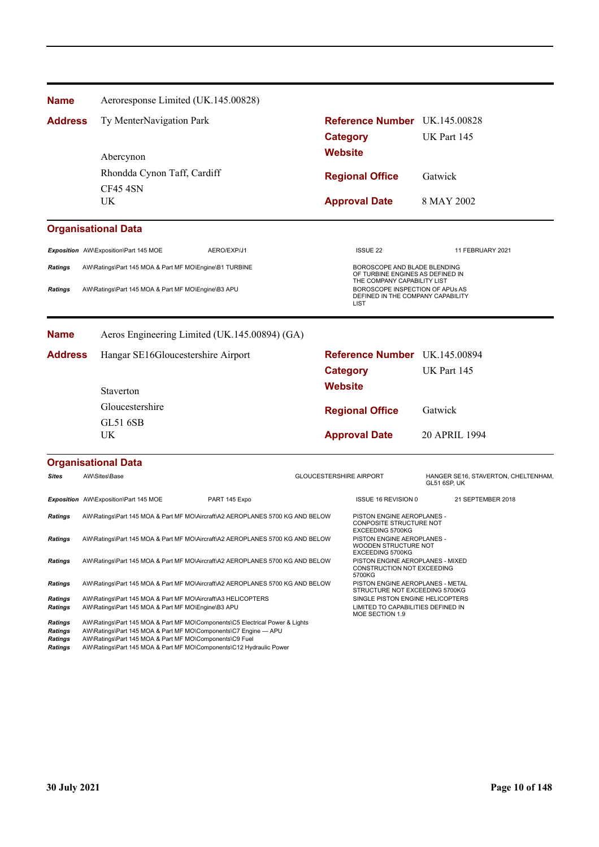| <b>Name</b>                                        | Aeroresponse Limited (UK.145.00828)                                                                                                                                                                        |                                                    |                                |                                                                           |                                                            |  |
|----------------------------------------------------|------------------------------------------------------------------------------------------------------------------------------------------------------------------------------------------------------------|----------------------------------------------------|--------------------------------|---------------------------------------------------------------------------|------------------------------------------------------------|--|
| <b>Address</b>                                     | Ty MenterNavigation Park                                                                                                                                                                                   |                                                    |                                | Reference Number UK.145.00828                                             |                                                            |  |
|                                                    |                                                                                                                                                                                                            |                                                    |                                | <b>Category</b>                                                           | UK Part 145                                                |  |
|                                                    |                                                                                                                                                                                                            |                                                    |                                | <b>Website</b>                                                            |                                                            |  |
|                                                    | Abercynon                                                                                                                                                                                                  |                                                    |                                |                                                                           |                                                            |  |
|                                                    | Rhondda Cynon Taff, Cardiff                                                                                                                                                                                |                                                    |                                | <b>Regional Office</b>                                                    | Gatwick                                                    |  |
|                                                    | CF454SN<br>UK                                                                                                                                                                                              |                                                    |                                |                                                                           |                                                            |  |
|                                                    |                                                                                                                                                                                                            |                                                    |                                | <b>Approval Date</b>                                                      | 8 MAY 2002                                                 |  |
|                                                    | <b>Organisational Data</b>                                                                                                                                                                                 |                                                    |                                |                                                                           |                                                            |  |
|                                                    | Exposition AW\Exposition\Part 145 MOE                                                                                                                                                                      | AERO/EXP/J1                                        |                                | <b>ISSUE 22</b>                                                           | 11 FEBRUARY 2021                                           |  |
| <b>Ratings</b>                                     | AW\Ratings\Part 145 MOA & Part MF MO\Engine\B1 TURBINE                                                                                                                                                     |                                                    |                                | BOROSCOPE AND BLADE BLENDING<br>OF TURBINE ENGINES AS DEFINED IN          |                                                            |  |
| <b>Ratings</b>                                     |                                                                                                                                                                                                            | AW\Ratings\Part 145 MOA & Part MF MO\Engine\B3 APU |                                | THE COMPANY CAPABILITY LIST<br>BOROSCOPE INSPECTION OF APUs AS            |                                                            |  |
|                                                    |                                                                                                                                                                                                            |                                                    |                                | DEFINED IN THE COMPANY CAPABILITY<br><b>LIST</b>                          |                                                            |  |
| <b>Name</b>                                        |                                                                                                                                                                                                            | Aeros Engineering Limited (UK.145.00894) (GA)      |                                |                                                                           |                                                            |  |
| <b>Address</b>                                     | Hangar SE16Gloucestershire Airport                                                                                                                                                                         |                                                    |                                | Reference Number UK.145.00894                                             |                                                            |  |
|                                                    |                                                                                                                                                                                                            |                                                    |                                | <b>Category</b>                                                           | UK Part 145                                                |  |
|                                                    | Staverton                                                                                                                                                                                                  |                                                    |                                | <b>Website</b>                                                            |                                                            |  |
|                                                    | Gloucestershire                                                                                                                                                                                            |                                                    |                                |                                                                           |                                                            |  |
|                                                    | <b>GL51 6SB</b>                                                                                                                                                                                            |                                                    |                                | <b>Regional Office</b>                                                    | Gatwick                                                    |  |
|                                                    | UK                                                                                                                                                                                                         |                                                    |                                | <b>Approval Date</b>                                                      | 20 APRIL 1994                                              |  |
|                                                    |                                                                                                                                                                                                            |                                                    |                                |                                                                           |                                                            |  |
|                                                    | <b>Organisational Data</b>                                                                                                                                                                                 |                                                    |                                |                                                                           |                                                            |  |
| <b>Sites</b>                                       | AW\Sites\Base                                                                                                                                                                                              |                                                    | <b>GLOUCESTERSHIRE AIRPORT</b> |                                                                           | HANGER SE16, STAVERTON, CHELTENHAM,<br><b>GL51 6SP, UK</b> |  |
|                                                    | Exposition AW\Exposition\Part 145 MOE                                                                                                                                                                      | PART 145 Expo                                      |                                | ISSUE 16 REVISION 0                                                       | 21 SEPTEMBER 2018                                          |  |
| <b>Ratings</b>                                     | AW\Ratings\Part 145 MOA & Part MF MO\Aircraft\A2 AEROPLANES 5700 KG AND BELOW                                                                                                                              |                                                    |                                | PISTON ENGINE AEROPLANES -<br>CONPOSITE STRUCTURE NOT<br>EXCEEDING 5700KG |                                                            |  |
| <b>Ratings</b>                                     | AW\Ratings\Part 145 MOA & Part MF MO\Aircraft\A2 AEROPLANES 5700 KG AND BELOW                                                                                                                              |                                                    |                                | PISTON ENGINE AEROPLANES -<br>WOODEN STRUCTURE NOT<br>EXCEEDING 5700KG    |                                                            |  |
| <b>Ratings</b>                                     | AW\Ratings\Part 145 MOA & Part MF MO\Aircraft\A2 AEROPLANES 5700 KG AND BELOW                                                                                                                              |                                                    |                                | PISTON ENGINE AEROPLANES - MIXED<br>CONSTRUCTION NOT EXCEEDING<br>5700KG  |                                                            |  |
| Ratings                                            | AW\Ratings\Part 145 MOA & Part MF MO\Aircraft\A2 AEROPLANES 5700 KG AND BELOW                                                                                                                              |                                                    |                                | PISTON ENGINE AEROPLANES - METAL<br>STRUCTURE NOT EXCEEDING 5700KG        |                                                            |  |
| Ratings<br>Ratings                                 | AW\Ratings\Part 145 MOA & Part MF MO\Aircraft\A3 HELICOPTERS<br>AW\Ratings\Part 145 MOA & Part MF MO\Engine\B3 APU                                                                                         |                                                    |                                | SINGLE PISTON ENGINE HELICOPTERS<br>LIMITED TO CAPABILITIES DEFINED IN    |                                                            |  |
|                                                    |                                                                                                                                                                                                            |                                                    |                                | MOE SECTION 1.9                                                           |                                                            |  |
| <b>Ratings</b><br><b>Ratings</b><br><b>Ratings</b> | AW\Ratings\Part 145 MOA & Part MF MO\Components\C5 Electrical Power & Lights<br>AW\Ratings\Part 145 MOA & Part MF MO\Components\C7 Engine - APU<br>AW\Ratings\Part 145 MOA & Part MF MO\Components\C9 Fuel |                                                    |                                |                                                                           |                                                            |  |

*Ratings* AW\Ratings\Part 145 MOA & Part MF MO\Components\C12 Hydraulic Power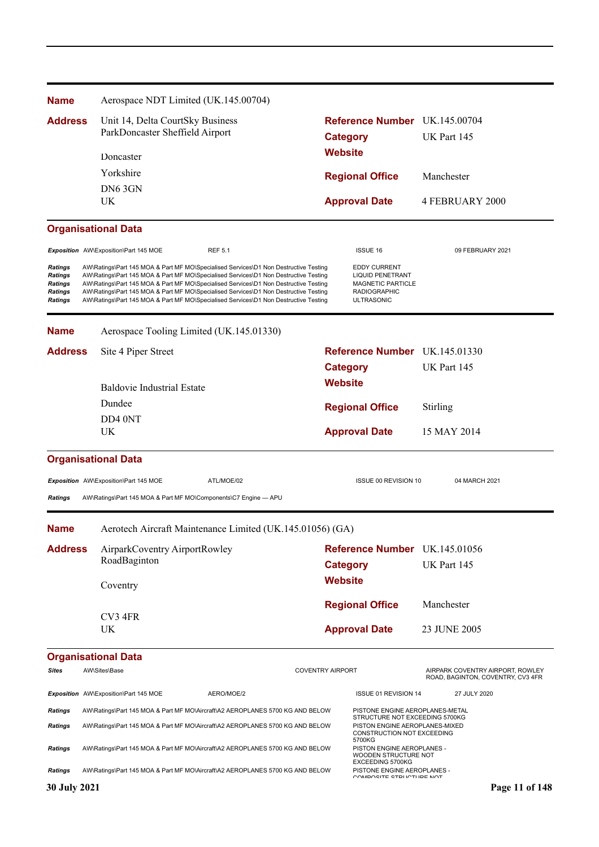| <b>Name</b>                                                       | Aerospace NDT Limited (UK.145.00704)                                                                                                                                                                                                                                                                                                                                                                                                                 |                         |                                                                                                                        |                                                                       |
|-------------------------------------------------------------------|------------------------------------------------------------------------------------------------------------------------------------------------------------------------------------------------------------------------------------------------------------------------------------------------------------------------------------------------------------------------------------------------------------------------------------------------------|-------------------------|------------------------------------------------------------------------------------------------------------------------|-----------------------------------------------------------------------|
| <b>Address</b>                                                    | Unit 14, Delta CourtSky Business<br>ParkDoncaster Sheffield Airport<br>Doncaster                                                                                                                                                                                                                                                                                                                                                                     |                         | Reference Number UK.145.00704                                                                                          |                                                                       |
|                                                                   |                                                                                                                                                                                                                                                                                                                                                                                                                                                      |                         | <b>Category</b>                                                                                                        | UK Part 145                                                           |
|                                                                   |                                                                                                                                                                                                                                                                                                                                                                                                                                                      |                         | <b>Website</b>                                                                                                         |                                                                       |
|                                                                   | Yorkshire                                                                                                                                                                                                                                                                                                                                                                                                                                            |                         | <b>Regional Office</b>                                                                                                 | Manchester                                                            |
|                                                                   | DN6 3GN<br>UK                                                                                                                                                                                                                                                                                                                                                                                                                                        |                         |                                                                                                                        | <b>4 FEBRUARY 2000</b>                                                |
|                                                                   |                                                                                                                                                                                                                                                                                                                                                                                                                                                      |                         | <b>Approval Date</b>                                                                                                   |                                                                       |
|                                                                   | <b>Organisational Data</b>                                                                                                                                                                                                                                                                                                                                                                                                                           |                         |                                                                                                                        |                                                                       |
|                                                                   | Exposition AW\Exposition\Part 145 MOE<br><b>REF 5.1</b>                                                                                                                                                                                                                                                                                                                                                                                              |                         | <b>ISSUE 16</b>                                                                                                        | 09 FEBRUARY 2021                                                      |
| <b>Ratings</b><br>Ratings<br>Ratings<br>Ratings<br><b>Ratings</b> | AW\Ratings\Part 145 MOA & Part MF MO\Specialised Services\D1 Non Destructive Testing<br>AW\Ratings\Part 145 MOA & Part MF MO\Specialised Services\D1 Non Destructive Testing<br>AW\Ratings\Part 145 MOA & Part MF MO\Specialised Services\D1 Non Destructive Testing<br>AW\Ratings\Part 145 MOA & Part MF MO\Specialised Services\D1 Non Destructive Testing<br>AW\Ratings\Part 145 MOA & Part MF MO\Specialised Services\D1 Non Destructive Testing |                         | <b>EDDY CURRENT</b><br><b>LIQUID PENETRANT</b><br><b>MAGNETIC PARTICLE</b><br><b>RADIOGRAPHIC</b><br><b>ULTRASONIC</b> |                                                                       |
| <b>Name</b>                                                       | Aerospace Tooling Limited (UK.145.01330)                                                                                                                                                                                                                                                                                                                                                                                                             |                         |                                                                                                                        |                                                                       |
| <b>Address</b>                                                    | Site 4 Piper Street                                                                                                                                                                                                                                                                                                                                                                                                                                  |                         | Reference Number UK.145.01330                                                                                          |                                                                       |
|                                                                   |                                                                                                                                                                                                                                                                                                                                                                                                                                                      |                         | <b>Category</b>                                                                                                        | UK Part 145                                                           |
|                                                                   | <b>Baldovie Industrial Estate</b>                                                                                                                                                                                                                                                                                                                                                                                                                    | <b>Website</b>          |                                                                                                                        |                                                                       |
|                                                                   | Dundee                                                                                                                                                                                                                                                                                                                                                                                                                                               |                         | <b>Regional Office</b>                                                                                                 | Stirling                                                              |
|                                                                   | DD4 0NT                                                                                                                                                                                                                                                                                                                                                                                                                                              |                         |                                                                                                                        |                                                                       |
|                                                                   | UK                                                                                                                                                                                                                                                                                                                                                                                                                                                   | <b>Approval Date</b>    |                                                                                                                        | 15 MAY 2014                                                           |
|                                                                   | <b>Organisational Data</b>                                                                                                                                                                                                                                                                                                                                                                                                                           |                         |                                                                                                                        |                                                                       |
|                                                                   | ATL/MOE/02<br>Exposition AW\Exposition\Part 145 MOE                                                                                                                                                                                                                                                                                                                                                                                                  |                         | ISSUE 00 REVISION 10                                                                                                   | 04 MARCH 2021                                                         |
| <b>Ratings</b>                                                    | AW\Ratings\Part 145 MOA & Part MF MO\Components\C7 Engine - APU                                                                                                                                                                                                                                                                                                                                                                                      |                         |                                                                                                                        |                                                                       |
| <b>Name</b>                                                       | Aerotech Aircraft Maintenance Limited (UK.145.01056) (GA)                                                                                                                                                                                                                                                                                                                                                                                            |                         |                                                                                                                        |                                                                       |
| <b>Address</b>                                                    | AirparkCoventry AirportRowley<br>RoadBaginton<br>Coventry                                                                                                                                                                                                                                                                                                                                                                                            |                         | Reference Number UK.145.01056                                                                                          |                                                                       |
|                                                                   |                                                                                                                                                                                                                                                                                                                                                                                                                                                      |                         | <b>Category</b>                                                                                                        | UK Part 145                                                           |
|                                                                   |                                                                                                                                                                                                                                                                                                                                                                                                                                                      |                         | <b>Website</b>                                                                                                         |                                                                       |
|                                                                   |                                                                                                                                                                                                                                                                                                                                                                                                                                                      |                         | <b>Regional Office</b>                                                                                                 | Manchester                                                            |
|                                                                   | CV3 4FR                                                                                                                                                                                                                                                                                                                                                                                                                                              |                         |                                                                                                                        |                                                                       |
|                                                                   | UK                                                                                                                                                                                                                                                                                                                                                                                                                                                   |                         | <b>Approval Date</b>                                                                                                   | 23 JUNE 2005                                                          |
|                                                                   | <b>Organisational Data</b>                                                                                                                                                                                                                                                                                                                                                                                                                           |                         |                                                                                                                        |                                                                       |
| <b>Sites</b>                                                      | AW\Sites\Base                                                                                                                                                                                                                                                                                                                                                                                                                                        | <b>COVENTRY AIRPORT</b> |                                                                                                                        | AIRPARK COVENTRY AIRPORT, ROWLEY<br>ROAD, BAGINTON, COVENTRY, CV3 4FR |
|                                                                   | Exposition AW\Exposition\Part 145 MOE<br>AERO/MOE/2                                                                                                                                                                                                                                                                                                                                                                                                  |                         | ISSUE 01 REVISION 14                                                                                                   | 27 JULY 2020                                                          |
| <b>Ratings</b>                                                    | AW\Ratings\Part 145 MOA & Part MF MO\Aircraft\A2 AEROPLANES 5700 KG AND BELOW                                                                                                                                                                                                                                                                                                                                                                        |                         | PISTONE ENGINE AEROPLANES-METAL<br>STRUCTURE NOT EXCEEDING 5700KG                                                      |                                                                       |
| Ratings                                                           | AW\Ratings\Part 145 MOA & Part MF MO\Aircraft\A2 AEROPLANES 5700 KG AND BELOW                                                                                                                                                                                                                                                                                                                                                                        |                         | PISTON ENGINE AEROPLANES-MIXED<br>CONSTRUCTION NOT EXCEEDING<br>5700KG                                                 |                                                                       |
| Ratings                                                           | AW\Ratings\Part 145 MOA & Part MF MO\Aircraft\A2 AEROPLANES 5700 KG AND BELOW                                                                                                                                                                                                                                                                                                                                                                        |                         | PISTON ENGINE AEROPLANES -<br>WOODEN STRUCTURE NOT<br>EXCEEDING 5700KG                                                 |                                                                       |
| <b>Ratings</b>                                                    | AW\Ratings\Part 145 MOA & Part MF MO\Aircraft\A2 AEROPLANES 5700 KG AND BELOW                                                                                                                                                                                                                                                                                                                                                                        |                         | PISTONE ENGINE AEROPLANES -<br>COMPOSITE STRUCTURE MOT                                                                 |                                                                       |
| 30 July 2021                                                      |                                                                                                                                                                                                                                                                                                                                                                                                                                                      |                         |                                                                                                                        | Page 11 of 148                                                        |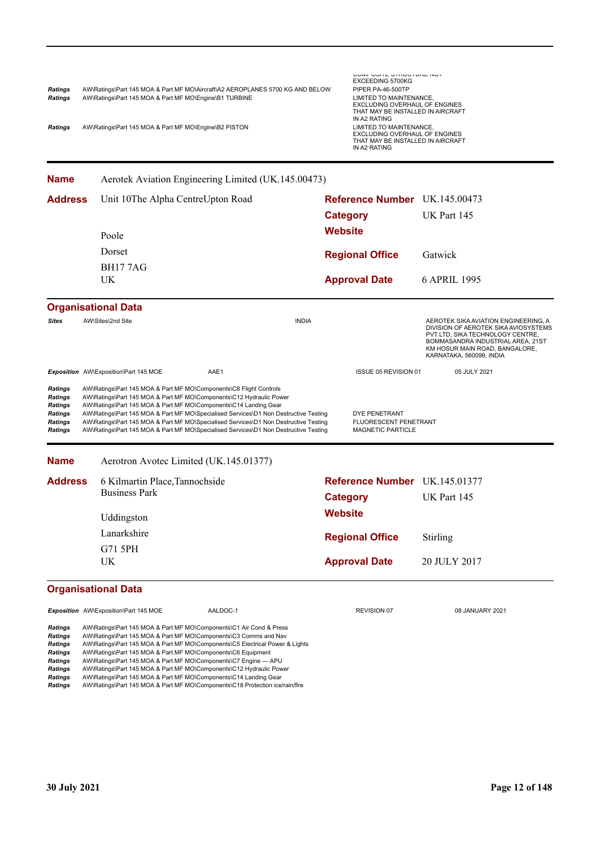| Ratings | AW\Ratings\Part 145 MOA & Part MF MO\Aircraft\A2 AEROPLANES 5700 KG AND BELOW | PIPER PA-46-500TP                 |
|---------|-------------------------------------------------------------------------------|-----------------------------------|
| Ratings | AW\Ratings\Part 145 MOA & Part MF MO\Engine\B1 TURBINE                        | LIMITED TO MAINTENANCE.           |
|         |                                                                               | EXCLUDING OVERHAUL OF ENGINES     |
|         |                                                                               | THAT MAY BE INSTALLED IN AIRCRAFT |
|         |                                                                               | IN A2 RATING                      |

COMPOSITE STRUCTURE NOT EXCEEDING 5700KG *RIPER PA-46-500TP* EXCLUDING OVERHAUL OF ENGINES THAT MAY BE INSTALLED IN AIRCRAFT IN A2 RATING

**Ratings** AW\Ratings\Part 145 MOA & Part MF MO\Engine\B2 PISTON

**Name** Aerotek Aviation Engineering Limited (UK.145.00473)

| <b>Address</b>                                                                      | Unit 10The Alpha CentreUpton Road                                                                                                                                                                                                                                                                                                        |                                        |              | Reference Number UK.145.00473                               |                                                                                                                                                                                                                     |  |
|-------------------------------------------------------------------------------------|------------------------------------------------------------------------------------------------------------------------------------------------------------------------------------------------------------------------------------------------------------------------------------------------------------------------------------------|----------------------------------------|--------------|-------------------------------------------------------------|---------------------------------------------------------------------------------------------------------------------------------------------------------------------------------------------------------------------|--|
|                                                                                     |                                                                                                                                                                                                                                                                                                                                          |                                        |              | <b>Category</b>                                             | UK Part 145                                                                                                                                                                                                         |  |
|                                                                                     |                                                                                                                                                                                                                                                                                                                                          |                                        |              | <b>Website</b>                                              |                                                                                                                                                                                                                     |  |
|                                                                                     | Poole                                                                                                                                                                                                                                                                                                                                    |                                        |              |                                                             |                                                                                                                                                                                                                     |  |
|                                                                                     | Dorset                                                                                                                                                                                                                                                                                                                                   |                                        |              | <b>Regional Office</b>                                      | Gatwick                                                                                                                                                                                                             |  |
|                                                                                     | <b>BH177AG</b>                                                                                                                                                                                                                                                                                                                           |                                        |              |                                                             |                                                                                                                                                                                                                     |  |
|                                                                                     | <b>UK</b>                                                                                                                                                                                                                                                                                                                                |                                        |              | <b>Approval Date</b>                                        | 6 APRIL 1995                                                                                                                                                                                                        |  |
|                                                                                     | <b>Organisational Data</b>                                                                                                                                                                                                                                                                                                               |                                        |              |                                                             |                                                                                                                                                                                                                     |  |
| <b>Sites</b>                                                                        | AW\Sites\2nd Site                                                                                                                                                                                                                                                                                                                        |                                        | <b>INDIA</b> |                                                             | AEROTEK SIKA AVIATION ENGINEERING, A<br>DIVISION OF AEROTEK SIKA AVIOSYSTEMS<br>PVT LTD, SIKA TECHNOLOGY CENTRE,<br>BOMMASANDRA INDUSTRIAL AREA, 21ST<br>KM HOSUR MAIN ROAD, BANGALORE,<br>KARNATAKA, 560099, INDIA |  |
|                                                                                     | Exposition AW\Exposition\Part 145 MOE                                                                                                                                                                                                                                                                                                    | AAE1                                   |              | ISSUE 05 REVISION 01                                        | 05 JULY 2021                                                                                                                                                                                                        |  |
| <b>Ratings</b><br><b>Ratings</b><br><b>Ratings</b><br><b>Ratings</b><br><b>Name</b> | AW\Ratings\Part 145 MOA & Part MF MO\Components\C14 Landing Gear<br>AW\Ratings\Part 145 MOA & Part MF MO\Specialised Services\D1 Non Destructive Testing<br>AW\Ratings\Part 145 MOA & Part MF MO\Specialised Services\D1 Non Destructive Testing<br>AW\Ratings\Part 145 MOA & Part MF MO\Specialised Services\D1 Non Destructive Testing | Aerotron Avotec Limited (UK.145.01377) |              | DYE PENETRANT<br>FLUORESCENT PENETRANT<br>MAGNETIC PARTICLE |                                                                                                                                                                                                                     |  |
| <b>Address</b>                                                                      | 6 Kilmartin Place, Tannochside                                                                                                                                                                                                                                                                                                           |                                        |              | Reference Number UK.145.01377                               |                                                                                                                                                                                                                     |  |
|                                                                                     | <b>Business Park</b>                                                                                                                                                                                                                                                                                                                     |                                        |              | <b>Category</b>                                             | UK Part 145                                                                                                                                                                                                         |  |
|                                                                                     | Uddingston                                                                                                                                                                                                                                                                                                                               |                                        |              | <b>Website</b>                                              |                                                                                                                                                                                                                     |  |
|                                                                                     | Lanarkshire                                                                                                                                                                                                                                                                                                                              |                                        |              | <b>Regional Office</b>                                      | Stirling                                                                                                                                                                                                            |  |
|                                                                                     | G71 5PH                                                                                                                                                                                                                                                                                                                                  |                                        |              |                                                             |                                                                                                                                                                                                                     |  |
|                                                                                     | UK                                                                                                                                                                                                                                                                                                                                       |                                        |              | <b>Approval Date</b>                                        | 20 JULY 2017                                                                                                                                                                                                        |  |
|                                                                                     | <b>Organisational Data</b>                                                                                                                                                                                                                                                                                                               |                                        |              |                                                             |                                                                                                                                                                                                                     |  |
|                                                                                     | Exposition AW\Exposition\Part 145 MOE                                                                                                                                                                                                                                                                                                    | AALDOC-1                               |              | REVISION 07                                                 | 08 JANUARY 2021                                                                                                                                                                                                     |  |
| <b>Ratings</b><br><b>Ratings</b><br><b>Ratings</b>                                  | AW\Ratings\Part 145 MOA & Part MF MO\Components\C1 Air Cond & Press<br>AW\Ratings\Part 145 MOA & Part MF MO\Components\C3 Comms and Nav<br>AW\Ratings\Part 145 MOA & Part MF MO\Components\C5 Electrical Power & Lights                                                                                                                  |                                        |              |                                                             |                                                                                                                                                                                                                     |  |

*Ratings* AW\Ratings\Part 145 MOA & Part MF MO\Components\C6 Equipment

**Ratings** AW\Ratings\Part 145 MOA & Part MF MO\Components\C7 Engine — APU<br>**Ratings** AW\Ratings\Part 145 MOA & Part MF MO\Components\C12 Hydraulic Pow

*Ratings* AW\Ratings\Part 145 MOA & Part MF MO\Components\C12 Hydraulic Power *Ratings* AW\Ratings\Part 145 MOA & Part MF MO\Components\C14 Landing Gear

*Ratings* AW\Ratings\Part 145 MOA & Part MF MO\Components\C18 Protection ice/rain/fire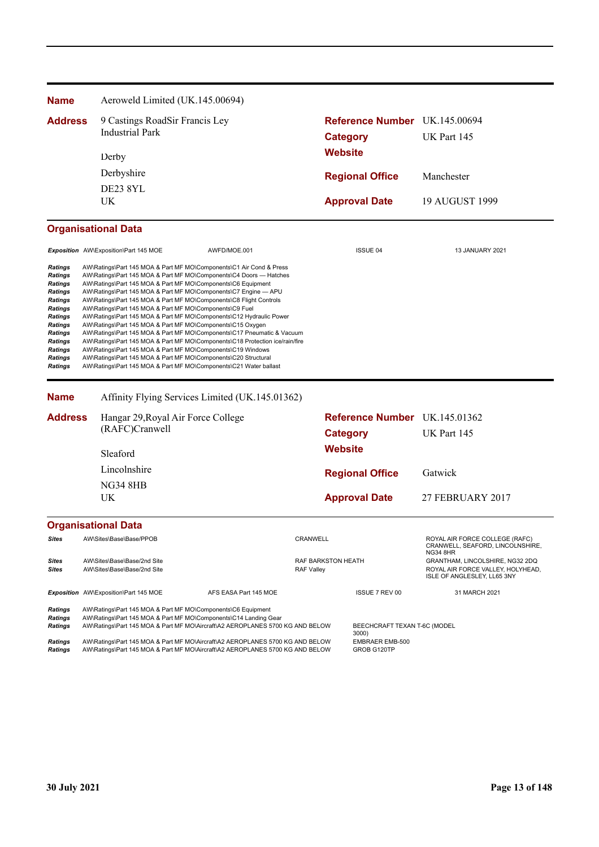| <b>Name</b>                                                                                                                                          |       | Aeroweld Limited (UK.145.00694)                                                                                                                                                                                                                        |                                                                                                                                                                                                                                                                                                                                                                                                                                             |                                         |                |                                       |                                                                                                                        |
|------------------------------------------------------------------------------------------------------------------------------------------------------|-------|--------------------------------------------------------------------------------------------------------------------------------------------------------------------------------------------------------------------------------------------------------|---------------------------------------------------------------------------------------------------------------------------------------------------------------------------------------------------------------------------------------------------------------------------------------------------------------------------------------------------------------------------------------------------------------------------------------------|-----------------------------------------|----------------|---------------------------------------|------------------------------------------------------------------------------------------------------------------------|
| <b>Address</b>                                                                                                                                       |       | 9 Castings RoadSir Francis Ley                                                                                                                                                                                                                         |                                                                                                                                                                                                                                                                                                                                                                                                                                             |                                         |                |                                       | Reference Number UK.145.00694                                                                                          |
|                                                                                                                                                      |       | <b>Industrial Park</b>                                                                                                                                                                                                                                 |                                                                                                                                                                                                                                                                                                                                                                                                                                             | <b>Category</b>                         |                | UK Part 145                           |                                                                                                                        |
|                                                                                                                                                      | Derby |                                                                                                                                                                                                                                                        |                                                                                                                                                                                                                                                                                                                                                                                                                                             | <b>Website</b>                          |                |                                       |                                                                                                                        |
|                                                                                                                                                      |       | Derbyshire                                                                                                                                                                                                                                             |                                                                                                                                                                                                                                                                                                                                                                                                                                             |                                         |                |                                       |                                                                                                                        |
|                                                                                                                                                      |       |                                                                                                                                                                                                                                                        |                                                                                                                                                                                                                                                                                                                                                                                                                                             |                                         |                | <b>Regional Office</b>                | Manchester                                                                                                             |
|                                                                                                                                                      |       | <b>DE23 8YL</b><br>UK                                                                                                                                                                                                                                  |                                                                                                                                                                                                                                                                                                                                                                                                                                             |                                         |                | <b>Approval Date</b>                  | 19 AUGUST 1999                                                                                                         |
|                                                                                                                                                      |       |                                                                                                                                                                                                                                                        |                                                                                                                                                                                                                                                                                                                                                                                                                                             |                                         |                |                                       |                                                                                                                        |
|                                                                                                                                                      |       | <b>Organisational Data</b>                                                                                                                                                                                                                             |                                                                                                                                                                                                                                                                                                                                                                                                                                             |                                         |                |                                       |                                                                                                                        |
|                                                                                                                                                      |       | Exposition AW\Exposition\Part 145 MOE                                                                                                                                                                                                                  | AWFD/MOE.001                                                                                                                                                                                                                                                                                                                                                                                                                                |                                         |                | <b>ISSUE 04</b>                       | <b>13 JANUARY 2021</b>                                                                                                 |
| Ratings<br><b>Ratings</b><br>Ratings<br><b>Ratings</b><br><b>Ratings</b><br>Ratings<br>Ratings<br><b>Ratings</b><br><b>Ratings</b><br><b>Ratings</b> |       | AW\Ratings\Part 145 MOA & Part MF MO\Components\C9 Fuel<br>AW\Ratings\Part 145 MOA & Part MF MO\Components\C15 Oxygen<br>AW\Ratings\Part 145 MOA & Part MF MO\Components\C19 Windows<br>AW\Ratings\Part 145 MOA & Part MF MO\Components\C20 Structural | AW\Ratings\Part 145 MOA & Part MF MO\Components\C7 Engine - APU<br>AW\Ratings\Part 145 MOA & Part MF MO\Components\C8 Flight Controls<br>AW\Ratings\Part 145 MOA & Part MF MO\Components\C12 Hydraulic Power<br>AW\Ratings\Part 145 MOA & Part MF MO\Components\C17 Pneumatic & Vacuum<br>AW\Ratings\Part 145 MOA & Part MF MO\Components\C18 Protection ice/rain/fire<br>AW\Ratings\Part 145 MOA & Part MF MO\Components\C21 Water ballast |                                         |                |                                       |                                                                                                                        |
| <b>Name</b>                                                                                                                                          |       |                                                                                                                                                                                                                                                        | Affinity Flying Services Limited (UK.145.01362)                                                                                                                                                                                                                                                                                                                                                                                             |                                         |                |                                       |                                                                                                                        |
| <b>Address</b>                                                                                                                                       |       | Hangar 29, Royal Air Force College                                                                                                                                                                                                                     |                                                                                                                                                                                                                                                                                                                                                                                                                                             |                                         |                |                                       | Reference Number UK.145.01362                                                                                          |
|                                                                                                                                                      |       | (RAFC)Cranwell                                                                                                                                                                                                                                         |                                                                                                                                                                                                                                                                                                                                                                                                                                             | <b>Category</b>                         |                | UK Part 145                           |                                                                                                                        |
|                                                                                                                                                      |       | Sleaford                                                                                                                                                                                                                                               |                                                                                                                                                                                                                                                                                                                                                                                                                                             |                                         | <b>Website</b> |                                       |                                                                                                                        |
|                                                                                                                                                      |       | Lincolnshire                                                                                                                                                                                                                                           |                                                                                                                                                                                                                                                                                                                                                                                                                                             |                                         |                | <b>Regional Office</b>                | Gatwick                                                                                                                |
|                                                                                                                                                      |       | <b>NG34 8HB</b>                                                                                                                                                                                                                                        |                                                                                                                                                                                                                                                                                                                                                                                                                                             |                                         |                |                                       |                                                                                                                        |
|                                                                                                                                                      |       | UK                                                                                                                                                                                                                                                     |                                                                                                                                                                                                                                                                                                                                                                                                                                             |                                         |                | <b>Approval Date</b>                  | 27 FEBRUARY 2017                                                                                                       |
|                                                                                                                                                      |       | <b>Organisational Data</b>                                                                                                                                                                                                                             |                                                                                                                                                                                                                                                                                                                                                                                                                                             |                                         |                |                                       |                                                                                                                        |
| Sites                                                                                                                                                |       | AW\Sites\Base\Base/PPOB                                                                                                                                                                                                                                |                                                                                                                                                                                                                                                                                                                                                                                                                                             | CRANWELL                                |                |                                       | ROYAL AIR FORCE COLLEGE (RAFC)<br>CRANWELL, SEAFORD, LINCOLNSHIRE,                                                     |
| Sites<br>Sites                                                                                                                                       |       | AW\Sites\Base\Base/2nd Site<br>AW\Sites\Base\Base/2nd Site                                                                                                                                                                                             |                                                                                                                                                                                                                                                                                                                                                                                                                                             | RAF BARKSTON HEATH<br><b>RAF Valley</b> |                |                                       | <b>NG34 8HR</b><br>GRANTHAM, LINCOLSHIRE, NG32 2DQ<br>ROYAL AIR FORCE VALLEY. HOLYHEAD.<br>ISLE OF ANGLESLEY, LL65 3NY |
|                                                                                                                                                      |       | Exposition AW\Exposition\Part 145 MOE                                                                                                                                                                                                                  | AFS EASA Part 145 MOE                                                                                                                                                                                                                                                                                                                                                                                                                       |                                         |                | ISSUE 7 REV 00                        | 31 MARCH 2021                                                                                                          |
| <b>Ratings</b><br>Ratings<br>Ratings                                                                                                                 |       | AW\Ratings\Part 145 MOA & Part MF MO\Components\C6 Equipment                                                                                                                                                                                           | AW\Ratings\Part 145 MOA & Part MF MO\Components\C14 Landing Gear<br>AW\Ratings\Part 145 MOA & Part MF MO\Aircraft\A2 AEROPLANES 5700 KG AND BELOW                                                                                                                                                                                                                                                                                           |                                         |                | BEECHCRAFT TEXAN T-6C (MODEL<br>3000) |                                                                                                                        |
| <b>Ratings</b>                                                                                                                                       |       |                                                                                                                                                                                                                                                        | AW\Ratings\Part 145 MOA & Part MF MO\Aircraft\A2 AEROPLANES 5700 KG AND BELOW                                                                                                                                                                                                                                                                                                                                                               |                                         |                | EMBRAER EMB-500                       |                                                                                                                        |

Ratings AW\Ratings\Part 145 MOA & Part MF MO\Aircraft\A2 AEROPLANES 5700 KG AND BELOW GROB G120TP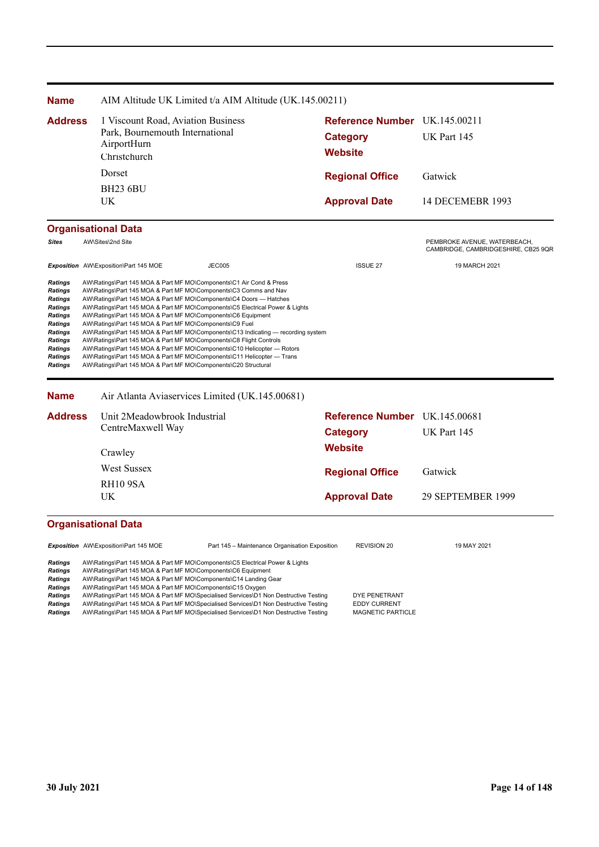| <b>Name</b>                                                                                                                                                                                 |                                                                                                                                                                                                                                                                                                                                                                                                                                                                                                                                                                                                                                                                                                                                                                                                            | AIM Altitude UK Limited t/a AIM Altitude (UK.145.00211)                         |                                   |                                                                     |  |
|---------------------------------------------------------------------------------------------------------------------------------------------------------------------------------------------|------------------------------------------------------------------------------------------------------------------------------------------------------------------------------------------------------------------------------------------------------------------------------------------------------------------------------------------------------------------------------------------------------------------------------------------------------------------------------------------------------------------------------------------------------------------------------------------------------------------------------------------------------------------------------------------------------------------------------------------------------------------------------------------------------------|---------------------------------------------------------------------------------|-----------------------------------|---------------------------------------------------------------------|--|
| <b>Address</b>                                                                                                                                                                              | AirportHurn<br>Christchurch                                                                                                                                                                                                                                                                                                                                                                                                                                                                                                                                                                                                                                                                                                                                                                                | 1 Viscount Road, Aviation Business<br>Park, Bournemouth International<br>Dorset |                                   | Reference Number UK.145.00211<br>UK Part 145                        |  |
|                                                                                                                                                                                             |                                                                                                                                                                                                                                                                                                                                                                                                                                                                                                                                                                                                                                                                                                                                                                                                            |                                                                                 |                                   | Gatwick                                                             |  |
|                                                                                                                                                                                             | <b>BH23 6BU</b>                                                                                                                                                                                                                                                                                                                                                                                                                                                                                                                                                                                                                                                                                                                                                                                            |                                                                                 | <b>Regional Office</b>            |                                                                     |  |
|                                                                                                                                                                                             | UK.                                                                                                                                                                                                                                                                                                                                                                                                                                                                                                                                                                                                                                                                                                                                                                                                        |                                                                                 | <b>Approval Date</b>              | 14 DECEMEBR 1993                                                    |  |
|                                                                                                                                                                                             | <b>Organisational Data</b>                                                                                                                                                                                                                                                                                                                                                                                                                                                                                                                                                                                                                                                                                                                                                                                 |                                                                                 |                                   |                                                                     |  |
| <b>Sites</b>                                                                                                                                                                                | AW\Sites\2nd Site                                                                                                                                                                                                                                                                                                                                                                                                                                                                                                                                                                                                                                                                                                                                                                                          |                                                                                 |                                   | PEMBROKE AVENUE, WATERBEACH,<br>CAMBRIDGE, CAMBRIDGESHIRE, CB25 9QR |  |
|                                                                                                                                                                                             | Exposition AW\Exposition\Part 145 MOE                                                                                                                                                                                                                                                                                                                                                                                                                                                                                                                                                                                                                                                                                                                                                                      | <b>JEC005</b>                                                                   | <b>ISSUE 27</b>                   | 19 MARCH 2021                                                       |  |
| <b>Ratings</b><br><b>Ratings</b><br><b>Ratings</b><br><b>Ratings</b><br><b>Ratings</b><br><b>Ratings</b><br><b>Ratings</b><br><b>Ratings</b><br><b>Ratings</b><br>Ratings<br><b>Ratings</b> | AW\Ratings\Part 145 MOA & Part MF MO\Components\C1 Air Cond & Press<br>AW\Ratings\Part 145 MOA & Part MF MO\Components\C3 Comms and Nav<br>AW\Ratings\Part 145 MOA & Part MF MO\Components\C4 Doors - Hatches<br>AW\Ratings\Part 145 MOA & Part MF MO\Components\C5 Electrical Power & Lights<br>AW\Ratings\Part 145 MOA & Part MF MO\Components\C6 Equipment<br>AW\Ratings\Part 145 MOA & Part MF MO\Components\C9 Fuel<br>AW\Ratings\Part 145 MOA & Part MF MO\Components\C13 Indicating - recording system<br>AW\Ratings\Part 145 MOA & Part MF MO\Components\C8 Flight Controls<br>AW\Ratings\Part 145 MOA & Part MF MO\Components\C10 Helicopter - Rotors<br>AW\Ratings\Part 145 MOA & Part MF MO\Components\C11 Helicopter - Trans<br>AW\Ratings\Part 145 MOA & Part MF MO\Components\C20 Structural |                                                                                 |                                   |                                                                     |  |
| <b>Name</b>                                                                                                                                                                                 |                                                                                                                                                                                                                                                                                                                                                                                                                                                                                                                                                                                                                                                                                                                                                                                                            | Air Atlanta Aviaservices Limited (UK.145.00681)                                 |                                   |                                                                     |  |
| <b>Address</b>                                                                                                                                                                              | CentreMaxwell Way                                                                                                                                                                                                                                                                                                                                                                                                                                                                                                                                                                                                                                                                                                                                                                                          | Unit 2Meadowbrook Industrial                                                    |                                   | Reference Number UK.145.00681<br>UK Part 145                        |  |
|                                                                                                                                                                                             | Crawley                                                                                                                                                                                                                                                                                                                                                                                                                                                                                                                                                                                                                                                                                                                                                                                                    |                                                                                 | <b>Category</b><br><b>Website</b> |                                                                     |  |
|                                                                                                                                                                                             | <b>West Sussex</b>                                                                                                                                                                                                                                                                                                                                                                                                                                                                                                                                                                                                                                                                                                                                                                                         |                                                                                 | <b>Regional Office</b>            | Gatwick                                                             |  |
|                                                                                                                                                                                             | RH109SA                                                                                                                                                                                                                                                                                                                                                                                                                                                                                                                                                                                                                                                                                                                                                                                                    |                                                                                 |                                   |                                                                     |  |
|                                                                                                                                                                                             | <b>UK</b>                                                                                                                                                                                                                                                                                                                                                                                                                                                                                                                                                                                                                                                                                                                                                                                                  |                                                                                 |                                   | 29 SEPTEMBER 1999                                                   |  |
|                                                                                                                                                                                             | <b>Organisational Data</b>                                                                                                                                                                                                                                                                                                                                                                                                                                                                                                                                                                                                                                                                                                                                                                                 |                                                                                 |                                   |                                                                     |  |
|                                                                                                                                                                                             | Exposition AW\Exposition\Part 145 MOE                                                                                                                                                                                                                                                                                                                                                                                                                                                                                                                                                                                                                                                                                                                                                                      | Part 145 - Maintenance Organisation Exposition                                  | <b>REVISION 20</b>                | 19 MAY 2021                                                         |  |
| <b>Ratings</b><br><b>Ratings</b><br><b>Ratings</b><br><b>Ratings</b>                                                                                                                        | AW\Ratings\Part 145 MOA & Part MF MO\Components\C5 Electrical Power & Lights<br>AW\Ratings\Part 145 MOA & Part MF MO\Components\C6 Equipment<br>AW\Ratings\Part 145 MOA & Part MF MO\Components\C14 Landing Gear<br>AW\Ratings\Part 145 MOA & Part MF MO\Components\C15 Oxygen                                                                                                                                                                                                                                                                                                                                                                                                                                                                                                                             |                                                                                 |                                   |                                                                     |  |

Ratings AW\Ratings\Part 145 MOA & Part MF MO\Specialised Services\D1 Non Destructive Testing DYE PENETRANT Ratings AW\Ratings\Part 145 MOA & Part MF MO\Specialised Services\D1 Non Destructive Testing EDDY CURRENT

Ratings AW\Ratings\Part 145 MOA & Part MF MO\Specialised Services\D1 Non Destructive Testing MAGNETIC PARTICLE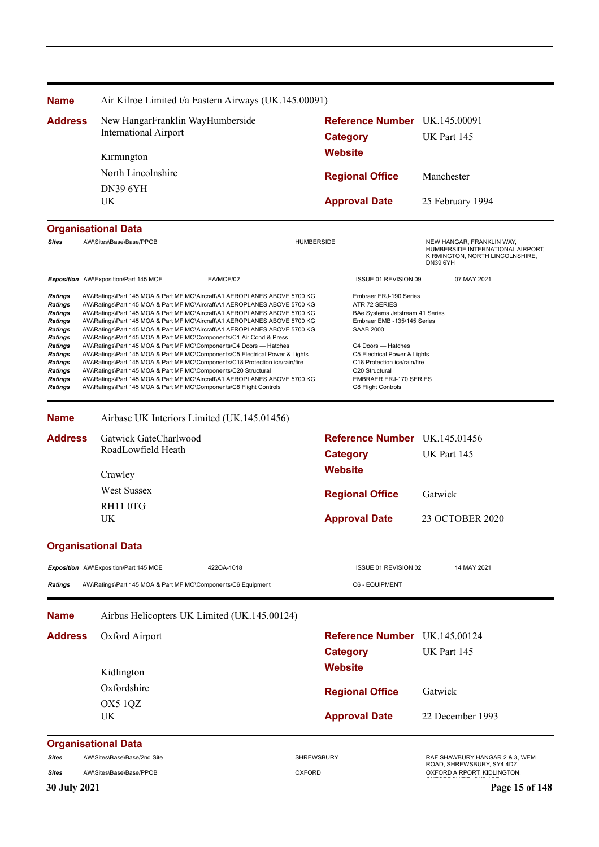| <b>Name</b>                                                                                                                                                  | Air Kilroe Limited t/a Eastern Airways (UK.145.00091)                                                                                                                                                                                                                                                                                                                                                                                                                                                                                                                                                                                                                                                                                                                                                                                                                                                                           |                                                                                                                                                                                                                                                                                              |                                                                                                                      |
|--------------------------------------------------------------------------------------------------------------------------------------------------------------|---------------------------------------------------------------------------------------------------------------------------------------------------------------------------------------------------------------------------------------------------------------------------------------------------------------------------------------------------------------------------------------------------------------------------------------------------------------------------------------------------------------------------------------------------------------------------------------------------------------------------------------------------------------------------------------------------------------------------------------------------------------------------------------------------------------------------------------------------------------------------------------------------------------------------------|----------------------------------------------------------------------------------------------------------------------------------------------------------------------------------------------------------------------------------------------------------------------------------------------|----------------------------------------------------------------------------------------------------------------------|
| <b>Address</b>                                                                                                                                               | New HangarFranklin WayHumberside                                                                                                                                                                                                                                                                                                                                                                                                                                                                                                                                                                                                                                                                                                                                                                                                                                                                                                | Reference Number UK.145.00091                                                                                                                                                                                                                                                                |                                                                                                                      |
|                                                                                                                                                              | <b>International Airport</b>                                                                                                                                                                                                                                                                                                                                                                                                                                                                                                                                                                                                                                                                                                                                                                                                                                                                                                    | <b>Category</b>                                                                                                                                                                                                                                                                              | UK Part 145                                                                                                          |
|                                                                                                                                                              | Kirmington                                                                                                                                                                                                                                                                                                                                                                                                                                                                                                                                                                                                                                                                                                                                                                                                                                                                                                                      | <b>Website</b>                                                                                                                                                                                                                                                                               |                                                                                                                      |
|                                                                                                                                                              | North Lincolnshire                                                                                                                                                                                                                                                                                                                                                                                                                                                                                                                                                                                                                                                                                                                                                                                                                                                                                                              | <b>Regional Office</b>                                                                                                                                                                                                                                                                       | Manchester                                                                                                           |
|                                                                                                                                                              | <b>DN39 6YH</b>                                                                                                                                                                                                                                                                                                                                                                                                                                                                                                                                                                                                                                                                                                                                                                                                                                                                                                                 |                                                                                                                                                                                                                                                                                              |                                                                                                                      |
|                                                                                                                                                              | UK                                                                                                                                                                                                                                                                                                                                                                                                                                                                                                                                                                                                                                                                                                                                                                                                                                                                                                                              | <b>Approval Date</b>                                                                                                                                                                                                                                                                         | 25 February 1994                                                                                                     |
|                                                                                                                                                              | <b>Organisational Data</b>                                                                                                                                                                                                                                                                                                                                                                                                                                                                                                                                                                                                                                                                                                                                                                                                                                                                                                      |                                                                                                                                                                                                                                                                                              |                                                                                                                      |
| <b>Sites</b>                                                                                                                                                 | AW\Sites\Base\Base/PPOB                                                                                                                                                                                                                                                                                                                                                                                                                                                                                                                                                                                                                                                                                                                                                                                                                                                                                                         | <b>HUMBERSIDE</b>                                                                                                                                                                                                                                                                            | NEW HANGAR, FRANKLIN WAY,<br>HUMBERSIDE INTERNATIONAL AIRPORT,<br>KIRMINGTON, NORTH LINCOLNSHIRE,<br><b>DN39 6YH</b> |
|                                                                                                                                                              | Exposition AW\Exposition\Part 145 MOE<br>EA/MOE/02                                                                                                                                                                                                                                                                                                                                                                                                                                                                                                                                                                                                                                                                                                                                                                                                                                                                              | ISSUE 01 REVISION 09                                                                                                                                                                                                                                                                         | 07 MAY 2021                                                                                                          |
| <b>Ratings</b><br>Ratings<br>Ratings<br>Ratings<br><b>Ratings</b><br>Ratings<br><b>Ratings</b><br>Ratings<br><b>Ratings</b><br>Ratings<br>Ratings<br>Ratings | AW\Ratings\Part 145 MOA & Part MF MO\Aircraft\A1 AEROPLANES ABOVE 5700 KG<br>AW\Ratings\Part 145 MOA & Part MF MO\Aircraft\A1 AEROPLANES ABOVE 5700 KG<br>AW\Ratings\Part 145 MOA & Part MF MO\Aircraft\A1 AEROPLANES ABOVE 5700 KG<br>AW\Ratings\Part 145 MOA & Part MF MO\Aircraft\A1 AEROPLANES ABOVE 5700 KG<br>AW\Ratings\Part 145 MOA & Part MF MO\Aircraft\A1 AEROPLANES ABOVE 5700 KG<br>AW\Ratings\Part 145 MOA & Part MF MO\Components\C1 Air Cond & Press<br>AW\Ratings\Part 145 MOA & Part MF MO\Components\C4 Doors - Hatches<br>AW\Ratings\Part 145 MOA & Part MF MO\Components\C5 Electrical Power & Lights<br>AW\Ratings\Part 145 MOA & Part MF MO\Components\C18 Protection ice/rain/fire<br>AW\Ratings\Part 145 MOA & Part MF MO\Components\C20 Structural<br>AW\Ratings\Part 145 MOA & Part MF MO\Aircraft\A1 AEROPLANES ABOVE 5700 KG<br>AW\Ratings\Part 145 MOA & Part MF MO\Components\C8 Flight Controls | Embraer ERJ-190 Series<br>ATR 72 SERIES<br>BAe Systems Jetstream 41 Series<br>Embraer EMB -135/145 Series<br><b>SAAB 2000</b><br>C4 Doors - Hatches<br>C5 Electrical Power & Lights<br>C18 Protection ice/rain/fire<br>C20 Structural<br><b>EMBRAER ERJ-170 SERIES</b><br>C8 Flight Controls |                                                                                                                      |
| <b>Name</b>                                                                                                                                                  | Airbase UK Interiors Limited (UK.145.01456)                                                                                                                                                                                                                                                                                                                                                                                                                                                                                                                                                                                                                                                                                                                                                                                                                                                                                     |                                                                                                                                                                                                                                                                                              |                                                                                                                      |
| <b>Address</b>                                                                                                                                               | Gatwick GateCharlwood                                                                                                                                                                                                                                                                                                                                                                                                                                                                                                                                                                                                                                                                                                                                                                                                                                                                                                           | Reference Number UK.145.01456                                                                                                                                                                                                                                                                |                                                                                                                      |
|                                                                                                                                                              | RoadLowfield Heath                                                                                                                                                                                                                                                                                                                                                                                                                                                                                                                                                                                                                                                                                                                                                                                                                                                                                                              | <b>Category</b>                                                                                                                                                                                                                                                                              | UK Part 145                                                                                                          |
|                                                                                                                                                              | Crawley                                                                                                                                                                                                                                                                                                                                                                                                                                                                                                                                                                                                                                                                                                                                                                                                                                                                                                                         | <b>Website</b>                                                                                                                                                                                                                                                                               |                                                                                                                      |
|                                                                                                                                                              | <b>West Sussex</b>                                                                                                                                                                                                                                                                                                                                                                                                                                                                                                                                                                                                                                                                                                                                                                                                                                                                                                              | <b>Regional Office</b>                                                                                                                                                                                                                                                                       | Gatwick                                                                                                              |
|                                                                                                                                                              | RH11 0TG                                                                                                                                                                                                                                                                                                                                                                                                                                                                                                                                                                                                                                                                                                                                                                                                                                                                                                                        |                                                                                                                                                                                                                                                                                              |                                                                                                                      |
|                                                                                                                                                              | UK                                                                                                                                                                                                                                                                                                                                                                                                                                                                                                                                                                                                                                                                                                                                                                                                                                                                                                                              | <b>Approval Date</b>                                                                                                                                                                                                                                                                         | 23 OCTOBER 2020                                                                                                      |
|                                                                                                                                                              | <b>Organisational Data</b>                                                                                                                                                                                                                                                                                                                                                                                                                                                                                                                                                                                                                                                                                                                                                                                                                                                                                                      |                                                                                                                                                                                                                                                                                              |                                                                                                                      |
|                                                                                                                                                              | Exposition AW\Exposition\Part 145 MOE<br>422QA-1018                                                                                                                                                                                                                                                                                                                                                                                                                                                                                                                                                                                                                                                                                                                                                                                                                                                                             | ISSUE 01 REVISION 02                                                                                                                                                                                                                                                                         | 14 MAY 2021                                                                                                          |
| <b>Ratings</b>                                                                                                                                               | AW\Ratings\Part 145 MOA & Part MF MO\Components\C6 Equipment                                                                                                                                                                                                                                                                                                                                                                                                                                                                                                                                                                                                                                                                                                                                                                                                                                                                    | C6 - EQUIPMENT                                                                                                                                                                                                                                                                               |                                                                                                                      |
| <b>Name</b>                                                                                                                                                  | Airbus Helicopters UK Limited (UK.145.00124)                                                                                                                                                                                                                                                                                                                                                                                                                                                                                                                                                                                                                                                                                                                                                                                                                                                                                    |                                                                                                                                                                                                                                                                                              |                                                                                                                      |
| <b>Address</b>                                                                                                                                               | Oxford Airport                                                                                                                                                                                                                                                                                                                                                                                                                                                                                                                                                                                                                                                                                                                                                                                                                                                                                                                  | <b>Reference Number</b> UK.145.00124                                                                                                                                                                                                                                                         |                                                                                                                      |
|                                                                                                                                                              | Kidlington                                                                                                                                                                                                                                                                                                                                                                                                                                                                                                                                                                                                                                                                                                                                                                                                                                                                                                                      | <b>Category</b><br><b>Website</b>                                                                                                                                                                                                                                                            | UK Part 145                                                                                                          |
|                                                                                                                                                              | Oxfordshire                                                                                                                                                                                                                                                                                                                                                                                                                                                                                                                                                                                                                                                                                                                                                                                                                                                                                                                     |                                                                                                                                                                                                                                                                                              |                                                                                                                      |
|                                                                                                                                                              | OX5 1QZ                                                                                                                                                                                                                                                                                                                                                                                                                                                                                                                                                                                                                                                                                                                                                                                                                                                                                                                         | <b>Regional Office</b>                                                                                                                                                                                                                                                                       | Gatwick                                                                                                              |
|                                                                                                                                                              | UK                                                                                                                                                                                                                                                                                                                                                                                                                                                                                                                                                                                                                                                                                                                                                                                                                                                                                                                              | <b>Approval Date</b>                                                                                                                                                                                                                                                                         | 22 December 1993                                                                                                     |
|                                                                                                                                                              | <b>Organisational Data</b>                                                                                                                                                                                                                                                                                                                                                                                                                                                                                                                                                                                                                                                                                                                                                                                                                                                                                                      |                                                                                                                                                                                                                                                                                              |                                                                                                                      |
| Sites                                                                                                                                                        | AW\Sites\Base\Base/2nd Site                                                                                                                                                                                                                                                                                                                                                                                                                                                                                                                                                                                                                                                                                                                                                                                                                                                                                                     | <b>SHREWSBURY</b>                                                                                                                                                                                                                                                                            | RAF SHAWBURY HANGAR 2 & 3, WEM<br>ROAD, SHREWSBURY, SY4 4DZ                                                          |
| Sites                                                                                                                                                        | AW\Sites\Base\Base/PPOB                                                                                                                                                                                                                                                                                                                                                                                                                                                                                                                                                                                                                                                                                                                                                                                                                                                                                                         | <b>OXFORD</b>                                                                                                                                                                                                                                                                                | OXFORD AIRPORT. KIDLINGTON,                                                                                          |
| <b>30 July 2021</b>                                                                                                                                          |                                                                                                                                                                                                                                                                                                                                                                                                                                                                                                                                                                                                                                                                                                                                                                                                                                                                                                                                 |                                                                                                                                                                                                                                                                                              | Page 15 of 148                                                                                                       |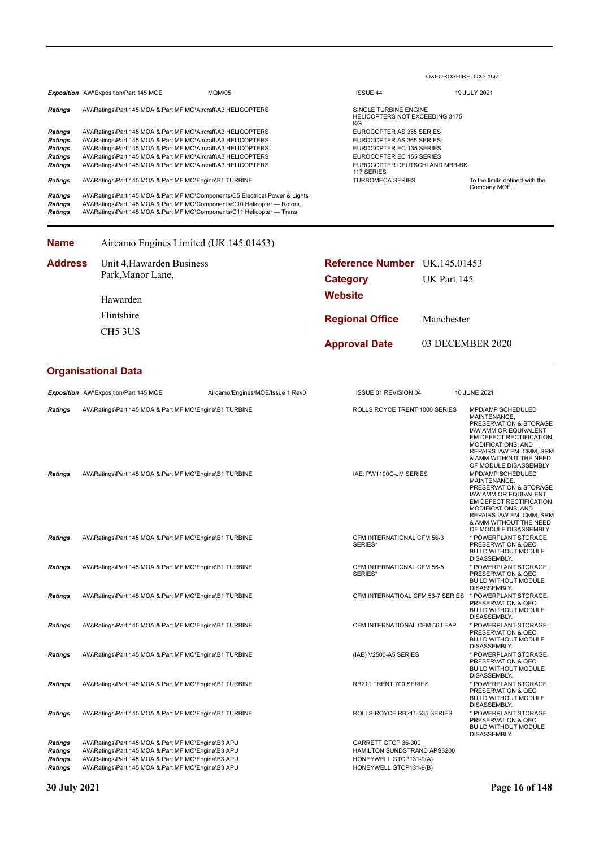|                                                     |                                                                                                                                                                                                                                                                                                                              |                                                                | OXFORDSHIRE, OX5 1QZ                                                                                                                                |                                                                                                                                                                                                                              |
|-----------------------------------------------------|------------------------------------------------------------------------------------------------------------------------------------------------------------------------------------------------------------------------------------------------------------------------------------------------------------------------------|----------------------------------------------------------------|-----------------------------------------------------------------------------------------------------------------------------------------------------|------------------------------------------------------------------------------------------------------------------------------------------------------------------------------------------------------------------------------|
|                                                     | Exposition AW\Exposition\Part 145 MOE<br><b>MQM/05</b>                                                                                                                                                                                                                                                                       | <b>ISSUE 44</b>                                                |                                                                                                                                                     | 19 JULY 2021                                                                                                                                                                                                                 |
| Ratings                                             | AW\Ratings\Part 145 MOA & Part MF MO\Aircraft\A3 HELICOPTERS                                                                                                                                                                                                                                                                 | SINGLE TURBINE ENGINE<br><b>HELICOPTERS NOT EXCEEDING 3175</b> |                                                                                                                                                     |                                                                                                                                                                                                                              |
| Ratings<br>Ratings<br>Ratings<br>Ratings<br>Ratings | AW\Ratings\Part 145 MOA & Part MF MO\Aircraft\A3 HELICOPTERS<br>AW\Ratings\Part 145 MOA & Part MF MO\Aircraft\A3 HELICOPTERS<br>AW\Ratings\Part 145 MOA & Part MF MO\Aircraft\A3 HELICOPTERS<br>AW\Ratings\Part 145 MOA & Part MF MO\Aircraft\A3 HELICOPTERS<br>AW\Ratings\Part 145 MOA & Part MF MO\Aircraft\A3 HELICOPTERS | 117 SERIES                                                     | ΚG<br>EUROCOPTER AS 355 SERIES<br>EUROCOPTER AS 365 SERIES<br>EUROCOPTER EC 135 SERIES<br>EUROCOPTER EC 155 SERIES<br>EUROCOPTER DEUTSCHLAND MBB-BK |                                                                                                                                                                                                                              |
| Ratings                                             | AW\Ratings\Part 145 MOA & Part MF MO\Engine\B1 TURBINE                                                                                                                                                                                                                                                                       | <b>TURBOMECA SERIES</b>                                        |                                                                                                                                                     | To the limits defined with the<br>Company MOE.                                                                                                                                                                               |
| Ratings<br>Ratings<br>Ratings                       | AW\Ratings\Part 145 MOA & Part MF MO\Components\C5 Electrical Power & Lights<br>AW\Ratings\Part 145 MOA & Part MF MO\Components\C10 Helicopter - Rotors<br>AW\Ratings\Part 145 MOA & Part MF MO\Components\C11 Helicopter - Trans                                                                                            |                                                                |                                                                                                                                                     |                                                                                                                                                                                                                              |
| Name                                                | Aircamo Engines Limited (UK.145.01453)                                                                                                                                                                                                                                                                                       |                                                                |                                                                                                                                                     |                                                                                                                                                                                                                              |
| <b>Address</b>                                      | Unit 4, Hawarden Business                                                                                                                                                                                                                                                                                                    | <b>Reference Number</b> UK.145.01453                           |                                                                                                                                                     |                                                                                                                                                                                                                              |
|                                                     | Park, Manor Lane,                                                                                                                                                                                                                                                                                                            | <b>Category</b>                                                | UK Part 145                                                                                                                                         |                                                                                                                                                                                                                              |
|                                                     |                                                                                                                                                                                                                                                                                                                              | <b>Website</b>                                                 |                                                                                                                                                     |                                                                                                                                                                                                                              |
|                                                     | Hawarden                                                                                                                                                                                                                                                                                                                     |                                                                |                                                                                                                                                     |                                                                                                                                                                                                                              |
|                                                     | Flintshire                                                                                                                                                                                                                                                                                                                   | <b>Regional Office</b>                                         | Manchester                                                                                                                                          |                                                                                                                                                                                                                              |
|                                                     | CH <sub>5</sub> 3US                                                                                                                                                                                                                                                                                                          | <b>Approval Date</b>                                           | 03 DECEMBER 2020                                                                                                                                    |                                                                                                                                                                                                                              |
|                                                     | <b>Organisational Data</b>                                                                                                                                                                                                                                                                                                   |                                                                |                                                                                                                                                     |                                                                                                                                                                                                                              |
|                                                     | Exposition AW\Exposition\Part 145 MOE<br>Aircamo/Engines/MOE/Issue 1 Rev0                                                                                                                                                                                                                                                    | ISSUE 01 REVISION 04                                           |                                                                                                                                                     | 10 JUNE 2021                                                                                                                                                                                                                 |
| Ratings                                             | AW\Ratings\Part 145 MOA & Part MF MO\Engine\B1 TURBINE                                                                                                                                                                                                                                                                       | ROLLS ROYCE TRENT 1000 SERIES                                  |                                                                                                                                                     | MPD/AMP SCHEDULED<br>MAINTENANCE,<br>PRESERVATION & STORAGE<br>IAW AMM OR EQUIVALENT<br>EM DEFECT RECTIFICATION,<br>MODIFICATIONS, AND<br>REPAIRS IAW EM, CMM, SRM<br>& AMM WITHOUT THE NEED                                 |
| Ratings                                             | AW\Ratings\Part 145 MOA & Part MF MO\Engine\B1 TURBINE                                                                                                                                                                                                                                                                       | IAE: PW1100G-JM SERIES                                         |                                                                                                                                                     | OF MODULE DISASSEMBLY<br><b>MPD/AMP SCHEDULED</b><br>MAINTENANCE,<br>PRESERVATION & STORAGE<br>IAW AMM OR EQUIVALENT<br>EM DEFECT RECTIFICATION,<br>MODIFICATIONS, AND<br>REPAIRS IAW EM, CMM, SRM<br>& AMM WITHOUT THE NEED |
| Ratings                                             | AW\Ratings\Part 145 MOA & Part MF MO\Engine\B1 TURBINE                                                                                                                                                                                                                                                                       | CFM INTERNATIONAL CFM 56-3<br>SERIES*                          |                                                                                                                                                     | OF MODULE DISASSEMBLY<br>* POWERPLANT STORAGE,<br>PRESERVATION & QEC<br><b>BUILD WITHOUT MODULE</b><br>DISASSEMBLY.                                                                                                          |
| Ratings                                             | AW\Ratings\Part 145 MOA & Part MF MO\Engine\B1 TURBINE                                                                                                                                                                                                                                                                       | CFM INTERNATIONAL CFM 56-5<br>SERIES*                          |                                                                                                                                                     | * POWERPLANT STORAGE,<br>PRESERVATION & QEC<br><b>BUILD WITHOUT MODULE</b><br>DISASSEMBLY.                                                                                                                                   |
| Ratings                                             | AW\Ratings\Part 145 MOA & Part MF MO\Engine\B1 TURBINE                                                                                                                                                                                                                                                                       | CFM INTERNATIOAL CFM 56-7 SERIES                               |                                                                                                                                                     | * POWERPLANT STORAGE,<br>PRESERVATION & QEC<br><b>BUILD WITHOUT MODULE</b><br>DISASSEMBLY.                                                                                                                                   |
| Ratings                                             | AW\Ratings\Part 145 MOA & Part MF MO\Engine\B1 TURBINE                                                                                                                                                                                                                                                                       | CFM INTERNATIONAL CFM 56 LEAP                                  |                                                                                                                                                     | * POWERPLANT STORAGE,<br>PRESERVATION & QEC<br><b>BUILD WITHOUT MODULE</b><br>DISASSEMBLY.                                                                                                                                   |
| Ratings                                             | AW\Ratings\Part 145 MOA & Part MF MO\Engine\B1 TURBINE                                                                                                                                                                                                                                                                       | (IAE) V2500-A5 SERIES                                          |                                                                                                                                                     | * POWERPLANT STORAGE,<br>PRESERVATION & QEC<br><b>BUILD WITHOUT MODULE</b><br>DISASSEMBLY.                                                                                                                                   |
| Ratings                                             | AW\Ratings\Part 145 MOA & Part MF MO\Engine\B1 TURBINE                                                                                                                                                                                                                                                                       | RB211 TRENT 700 SERIES                                         |                                                                                                                                                     | * POWERPLANT STORAGE,<br>PRESERVATION & QEC<br><b>BUILD WITHOUT MODULE</b><br>DISASSEMBLY.                                                                                                                                   |
| Ratings                                             | AW\Ratings\Part 145 MOA & Part MF MO\Engine\B1 TURBINE                                                                                                                                                                                                                                                                       | ROLLS-ROYCE RB211-535 SERIES                                   |                                                                                                                                                     | * POWERPLANT STORAGE,                                                                                                                                                                                                        |

*Ratings* AW\Ratings\Part 145 MOA & Part MF MO\Engine\B3 APU GARRETT GTCP 36-300 *Ratings* AW\Ratings\Part 145 MOA & Part MF MO\Engine\B3 APU HAMILTON SUNDSTRAND APS3200 Ratings AW\Ratings\Part 145 MOA & Part MF MO\Engine\B3 APU HONEYWELL GTCP131-9(A) Ratings AW\Ratings\Part 145 MOA & Part MF MO\Engine\B3 APU HONEYWELL GTCP131-9(B)

**30 July 2021 Page 16 of 148**

PRESERVATION & QEC BUILD WITHOUT MODULE DISASSEMBLY.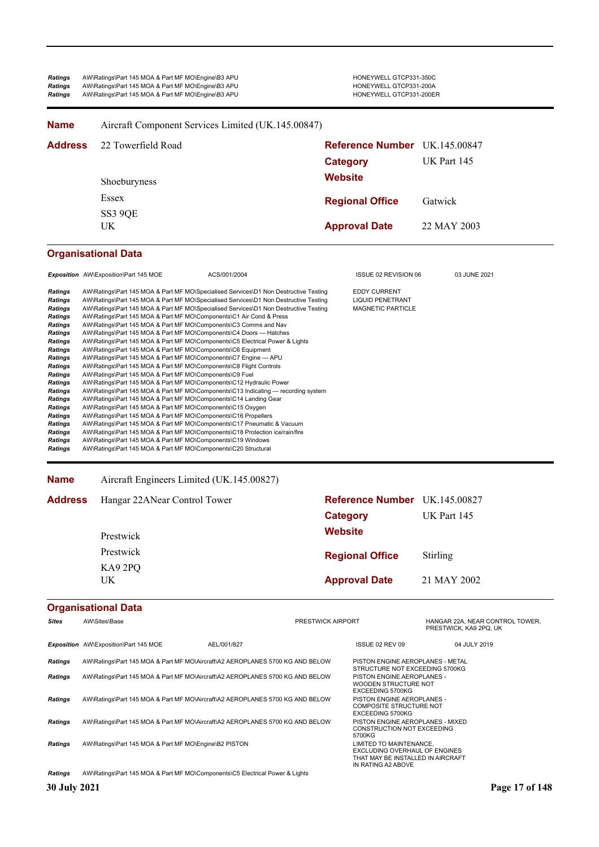| <b>Ratings</b> | AW\Ratings\Part 145 MOA & Part MF MO\Engine\B3 APU | HONEYWELL GTCP331-350C  |
|----------------|----------------------------------------------------|-------------------------|
| Ratings        | AW\Ratings\Part 145 MOA & Part MF MO\Engine\B3 APU | HONEYWELL GTCP331-200A  |
| <b>Ratings</b> | AW\Ratings\Part 145 MOA & Part MF MO\Engine\B3 APU | HONEYWELL GTCP331-200ER |

| <b>Name</b>                | Aircraft Component Services Limited (UK.145.00847) |                                                                    |             |
|----------------------------|----------------------------------------------------|--------------------------------------------------------------------|-------------|
| <b>Address</b>             | 22 Towerfield Road                                 | Reference Number UK.145.00847<br><b>Category</b><br><b>Website</b> | UK Part 145 |
|                            | Shoeburyness<br>Essex<br>SS3 9QE                   | <b>Regional Office</b>                                             | Gatwick     |
|                            | UK.                                                | <b>Approval Date</b>                                               | 22 MAY 2003 |
| <b>Organisational Data</b> |                                                    |                                                                    |             |

|                | <b>Exposition</b> AW\Exposition\Part 145 MOE                   | ACS/001/2004                                                                         | <b>ISSUE 02 REVISION 06</b> | 03 JUNE 2021 |
|----------------|----------------------------------------------------------------|--------------------------------------------------------------------------------------|-----------------------------|--------------|
| Ratings        |                                                                | AW\Ratings\Part 145 MOA & Part MF MO\Specialised Services\D1 Non Destructive Testing | <b>EDDY CURRENT</b>         |              |
| <b>Ratings</b> |                                                                | AW\Ratings\Part 145 MOA & Part MF MO\Specialised Services\D1 Non Destructive Testing | <b>LIQUID PENETRANT</b>     |              |
| <b>Ratings</b> |                                                                | AW\Ratings\Part 145 MOA & Part MF MO\Specialised Services\D1 Non Destructive Testing | <b>MAGNETIC PARTICLE</b>    |              |
| <b>Ratings</b> |                                                                | AW\Ratings\Part 145 MOA & Part MF MO\Components\C1 Air Cond & Press                  |                             |              |
| <b>Ratings</b> |                                                                | AW\Ratings\Part 145 MOA & Part MF MO\Components\C3 Comms and Nav                     |                             |              |
| Ratings        |                                                                | AW\Ratings\Part 145 MOA & Part MF MO\Components\C4 Doors — Hatches                   |                             |              |
| <b>Ratings</b> |                                                                | AW\Ratings\Part 145 MOA & Part MF MO\Components\C5 Electrical Power & Lights         |                             |              |
| <b>Ratings</b> | AW\Ratings\Part 145 MOA & Part MF MO\Components\C6 Equipment   |                                                                                      |                             |              |
| <b>Ratings</b> |                                                                | AW\Ratings\Part 145 MOA & Part MF MO\Components\C7 Engine - APU                      |                             |              |
| Ratings        |                                                                | AW\Ratings\Part 145 MOA & Part MF MO\Components\C8 Flight Controls                   |                             |              |
| <b>Ratings</b> | AW\Ratings\Part 145 MOA & Part MF MO\Components\C9 Fuel        |                                                                                      |                             |              |
| <b>Ratings</b> |                                                                | AW\Ratings\Part 145 MOA & Part MF MO\Components\C12 Hydraulic Power                  |                             |              |
| <b>Ratings</b> |                                                                | AW\Ratings\Part 145 MOA & Part MF MO\Components\C13 Indicating — recording system    |                             |              |
| Ratings        |                                                                | AW\Ratings\Part 145 MOA & Part MF MO\Components\C14 Landing Gear                     |                             |              |
| <b>Ratings</b> | AW\Ratings\Part 145 MOA & Part MF MO\Components\C15 Oxygen     |                                                                                      |                             |              |
| Ratings        | AW\Ratings\Part 145 MOA & Part MF MO\Components\C16 Propellers |                                                                                      |                             |              |
| Ratings        |                                                                | AW\Ratings\Part 145 MOA & Part MF MO\Components\C17 Pneumatic & Vacuum               |                             |              |
| <b>Ratings</b> |                                                                | AW\Ratings\Part 145 MOA & Part MF MO\Components\C18 Protection ice/rain/fire         |                             |              |
| <b>Ratings</b> | AW\Ratings\Part 145 MOA & Part MF MO\Components\C19 Windows    |                                                                                      |                             |              |
| Ratings        | AW\Ratings\Part 145 MOA & Part MF MO\Components\C20 Structural |                                                                                      |                             |              |
|                |                                                                |                                                                                      |                             |              |

**Name** Aircraft Engineers Limited (UK.145.00827)

| <b>Address</b> | Hangar 22ANear Control Tower | Reference Number UK.145.00827 |                 |
|----------------|------------------------------|-------------------------------|-----------------|
|                |                              | Category                      | UK Part 145     |
|                | Prestwick                    | <b>Website</b>                |                 |
|                | Prestwick                    | <b>Regional Office</b>        | <b>Stirling</b> |
|                | KA9 2PQ                      |                               |                 |
|                | UK.                          | <b>Approval Date</b>          | 21 MAY 2002     |

| <b>Sites</b>   | AW\Sites\Base                                                                 |             | <b>PRESTWICK AIRPORT</b> |                                                                                                                     | HANGAR 22A, NEAR CONTROL TOWER,<br>PRESTWICK, KA9 2PQ, UK |
|----------------|-------------------------------------------------------------------------------|-------------|--------------------------|---------------------------------------------------------------------------------------------------------------------|-----------------------------------------------------------|
|                | <b>Exposition</b> AW\Exposition\Part 145 MOE                                  | AEL/001/827 |                          | ISSUE 02 REV 09                                                                                                     | 04 JULY 2019                                              |
| Ratings        | AW\Ratings\Part 145 MOA & Part MF MO\Aircraft\A2 AEROPLANES 5700 KG AND BELOW |             |                          | PISTON ENGINE AEROPLANES - METAL<br>STRUCTURE NOT EXCEEDING 5700KG                                                  |                                                           |
| <b>Ratings</b> | AW\Ratings\Part 145 MOA & Part MF MO\Aircraft\A2 AEROPLANES 5700 KG AND BELOW |             |                          | PISTON ENGINE AEROPLANES -<br>WOODEN STRUCTURE NOT<br>EXCEEDING 5700KG                                              |                                                           |
| Ratings        | AW\Ratings\Part 145 MOA & Part MF MO\Aircraft\A2 AEROPLANES 5700 KG AND BELOW |             |                          | PISTON ENGINE AEROPLANES -<br><b>COMPOSITE STRUCTURE NOT</b><br><b>EXCEEDING 5700KG</b>                             |                                                           |
| Ratings        | AW\Ratings\Part 145 MOA & Part MF MO\Aircraft\A2 AEROPLANES 5700 KG AND BELOW |             |                          | PISTON ENGINE AEROPLANES - MIXED<br><b>CONSTRUCTION NOT EXCEEDING</b><br>5700KG                                     |                                                           |
| <b>Ratings</b> | AW\Ratings\Part 145 MOA & Part MF MO\Engine\B2 PISTON                         |             |                          | LIMITED TO MAINTENANCE.<br>EXCLUDING OVERHAUL OF ENGINES<br>THAT MAY BE INSTALLED IN AIRCRAFT<br>IN RATING A2 ABOVE |                                                           |
| <b>Ratings</b> | AW\Ratings\Part 145 MOA & Part MF MO\Components\C5 Electrical Power & Lights  |             |                          |                                                                                                                     |                                                           |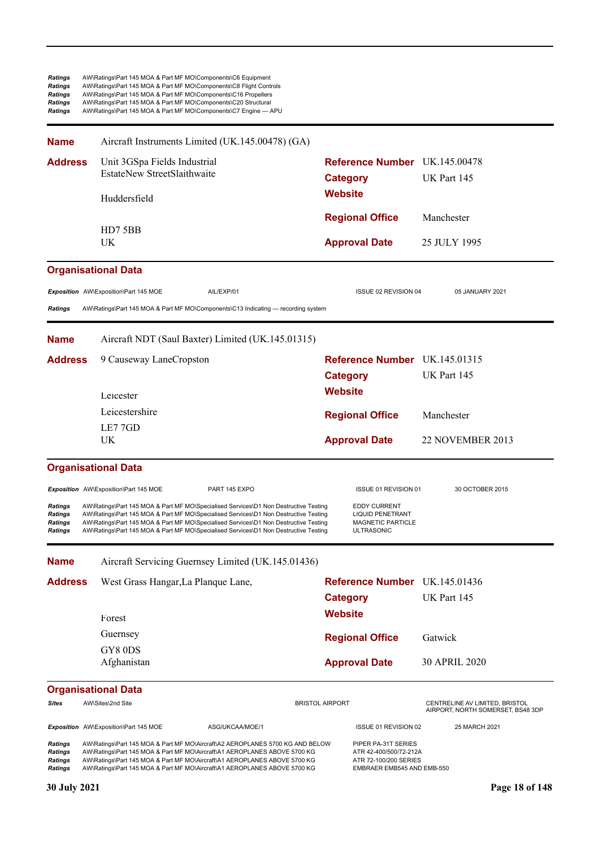| Ratings<br><b>Ratings</b><br><b>Ratings</b><br><b>Ratings</b><br><b>Ratings</b> | AW\Ratings\Part 145 MOA & Part MF MO\Components\C6 Equipment<br>AW\Ratings\Part 145 MOA & Part MF MO\Components\C8 Flight Controls<br>AW\Ratings\Part 145 MOA & Part MF MO\Components\C16 Propellers<br>AW\Ratings\Part 145 MOA & Part MF MO\Components\C20 Structural<br>AW\Ratings\Part 145 MOA & Part MF MO\Components\C7 Engine - APU                    |                                                    |                        |                                                                                                      |                                                                     |
|---------------------------------------------------------------------------------|--------------------------------------------------------------------------------------------------------------------------------------------------------------------------------------------------------------------------------------------------------------------------------------------------------------------------------------------------------------|----------------------------------------------------|------------------------|------------------------------------------------------------------------------------------------------|---------------------------------------------------------------------|
| <b>Name</b>                                                                     |                                                                                                                                                                                                                                                                                                                                                              | Aircraft Instruments Limited (UK.145.00478) (GA)   |                        |                                                                                                      |                                                                     |
| <b>Address</b>                                                                  | Unit 3GSpa Fields Industrial<br>EstateNew StreetSlaithwaite                                                                                                                                                                                                                                                                                                  |                                                    | <b>Category</b>        | Reference Number UK.145.00478                                                                        | UK Part 145                                                         |
|                                                                                 | Huddersfield                                                                                                                                                                                                                                                                                                                                                 |                                                    | <b>Website</b>         |                                                                                                      |                                                                     |
|                                                                                 | HD75BB                                                                                                                                                                                                                                                                                                                                                       |                                                    |                        | <b>Regional Office</b>                                                                               | Manchester                                                          |
|                                                                                 | <b>UK</b>                                                                                                                                                                                                                                                                                                                                                    |                                                    |                        | <b>Approval Date</b>                                                                                 | 25 JULY 1995                                                        |
|                                                                                 | <b>Organisational Data</b>                                                                                                                                                                                                                                                                                                                                   |                                                    |                        |                                                                                                      |                                                                     |
|                                                                                 | Exposition AW\Exposition\Part 145 MOE                                                                                                                                                                                                                                                                                                                        | AIL/EXP/01                                         |                        | ISSUE 02 REVISION 04                                                                                 | 05 JANUARY 2021                                                     |
| <b>Ratings</b>                                                                  | AW\Ratings\Part 145 MOA & Part MF MO\Components\C13 Indicating — recording system                                                                                                                                                                                                                                                                            |                                                    |                        |                                                                                                      |                                                                     |
| <b>Name</b>                                                                     |                                                                                                                                                                                                                                                                                                                                                              | Aircraft NDT (Saul Baxter) Limited (UK.145.01315)  |                        |                                                                                                      |                                                                     |
| <b>Address</b>                                                                  | 9 Causeway LaneCropston                                                                                                                                                                                                                                                                                                                                      |                                                    |                        | Reference Number UK.145.01315                                                                        |                                                                     |
|                                                                                 |                                                                                                                                                                                                                                                                                                                                                              |                                                    | <b>Category</b>        |                                                                                                      | UK Part 145                                                         |
|                                                                                 | Leicester                                                                                                                                                                                                                                                                                                                                                    |                                                    | <b>Website</b>         |                                                                                                      |                                                                     |
|                                                                                 | Leicestershire                                                                                                                                                                                                                                                                                                                                               |                                                    |                        | <b>Regional Office</b>                                                                               | Manchester                                                          |
|                                                                                 | LE77GD                                                                                                                                                                                                                                                                                                                                                       |                                                    |                        |                                                                                                      |                                                                     |
|                                                                                 | UK                                                                                                                                                                                                                                                                                                                                                           |                                                    |                        | <b>Approval Date</b>                                                                                 | 22 NOVEMBER 2013                                                    |
|                                                                                 | <b>Organisational Data</b>                                                                                                                                                                                                                                                                                                                                   |                                                    |                        |                                                                                                      |                                                                     |
|                                                                                 | Exposition AW\Exposition\Part 145 MOE                                                                                                                                                                                                                                                                                                                        | PART 145 EXPO                                      |                        | ISSUE 01 REVISION 01                                                                                 | 30 OCTOBER 2015                                                     |
| <b>Ratings</b><br>Ratings<br><b>Ratings</b><br><b>Ratings</b>                   | AW\Ratings\Part 145 MOA & Part MF MO\Specialised Services\D1 Non Destructive Testing<br>AW\Ratings\Part 145 MOA & Part MF MO\Specialised Services\D1 Non Destructive Testing<br>AW\Ratings\Part 145 MOA & Part MF MO\Specialised Services\D1 Non Destructive Testing<br>AW\Ratings\Part 145 MOA & Part MF MO\Specialised Services\D1 Non Destructive Testing |                                                    |                        | <b>EDDY CURRENT</b><br><b>LIQUID PENETRANT</b><br><b>MAGNETIC PARTICLE</b><br><b>ULTRASONIC</b>      |                                                                     |
| <b>Name</b>                                                                     |                                                                                                                                                                                                                                                                                                                                                              | Aircraft Servicing Guernsey Limited (UK.145.01436) |                        |                                                                                                      |                                                                     |
| <b>Address</b>                                                                  | West Grass Hangar, La Planque Lane,                                                                                                                                                                                                                                                                                                                          |                                                    |                        | <b>Reference Number</b> UK.145.01436                                                                 |                                                                     |
|                                                                                 |                                                                                                                                                                                                                                                                                                                                                              |                                                    | <b>Category</b>        |                                                                                                      | UK Part 145                                                         |
|                                                                                 | Forest                                                                                                                                                                                                                                                                                                                                                       |                                                    | <b>Website</b>         |                                                                                                      |                                                                     |
|                                                                                 | Guernsey                                                                                                                                                                                                                                                                                                                                                     |                                                    |                        | <b>Regional Office</b>                                                                               | Gatwick                                                             |
|                                                                                 | GY80DS                                                                                                                                                                                                                                                                                                                                                       |                                                    |                        |                                                                                                      |                                                                     |
|                                                                                 | Afghanistan                                                                                                                                                                                                                                                                                                                                                  |                                                    |                        | <b>Approval Date</b>                                                                                 | 30 APRIL 2020                                                       |
|                                                                                 | <b>Organisational Data</b>                                                                                                                                                                                                                                                                                                                                   |                                                    |                        |                                                                                                      |                                                                     |
| Sites                                                                           | AW\Sites\2nd Site                                                                                                                                                                                                                                                                                                                                            |                                                    | <b>BRISTOL AIRPORT</b> |                                                                                                      | CENTRELINE AV LIMITED, BRISTOL<br>AIRPORT, NORTH SOMERSET, BS48 3DP |
|                                                                                 | Exposition AW\Exposition\Part 145 MOE                                                                                                                                                                                                                                                                                                                        | ASG/UKCAA/MOE/1                                    |                        | ISSUE 01 REVISION 02                                                                                 | 25 MARCH 2021                                                       |
| <b>Ratings</b><br>Ratings<br>Ratings<br><b>Ratings</b>                          | AW\Ratings\Part 145 MOA & Part MF MO\Aircraft\A2 AEROPLANES 5700 KG AND BELOW<br>AW\Ratings\Part 145 MOA & Part MF MO\Aircraft\A1 AEROPLANES ABOVE 5700 KG<br>AW\Ratings\Part 145 MOA & Part MF MO\Aircraft\A1 AEROPLANES ABOVE 5700 KG<br>AW\Ratings\Part 145 MOA & Part MF MO\Aircraft\A1 AEROPLANES ABOVE 5700 KG                                         |                                                    |                        | PIPER PA-31T SERIES<br>ATR 42-400/500/72-212A<br>ATR 72-100/200 SERIES<br>EMBRAER EMB545 AND EMB-550 |                                                                     |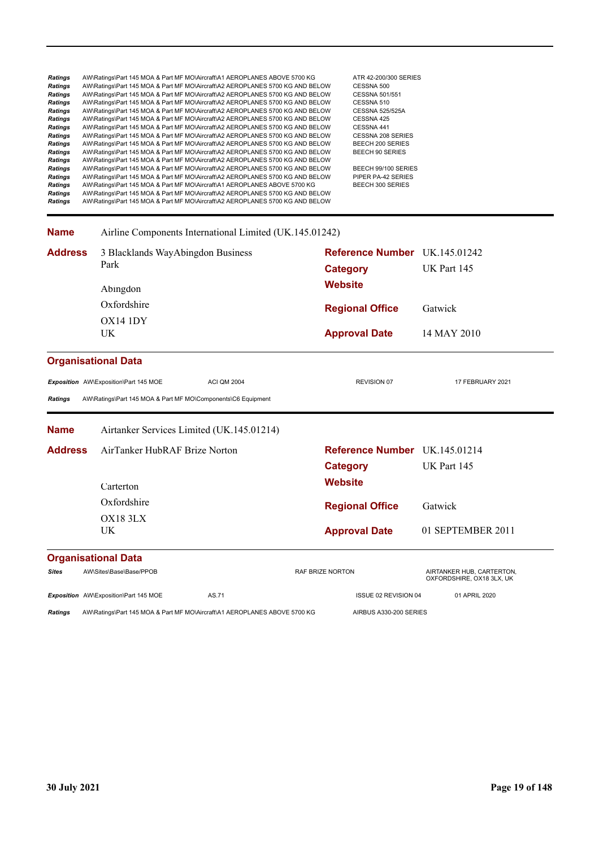| <b>Ratings</b><br><b>Ratings</b><br><b>Ratings</b><br><b>Ratings</b><br><b>Ratings</b><br>Ratings<br>Ratings<br>Ratings<br>Ratings<br>Ratings<br>Ratings<br>Ratings<br>Ratings<br><b>Ratings</b><br>Ratings<br><b>Ratings</b> | AW\Ratings\Part 145 MOA & Part MF MO\Aircraft\A1 AEROPLANES ABOVE 5700 KG<br>AW\Ratings\Part 145 MOA & Part MF MO\Aircraft\A2 AEROPLANES 5700 KG AND BELOW<br>AW\Ratings\Part 145 MOA & Part MF MO\Aircraft\A2 AEROPLANES 5700 KG AND BELOW<br>AW\Ratings\Part 145 MOA & Part MF MO\Aircraft\A2 AEROPLANES 5700 KG AND BELOW<br>AW\Ratings\Part 145 MOA & Part MF MO\Aircraft\A2 AEROPLANES 5700 KG AND BELOW<br>AW\Ratings\Part 145 MOA & Part MF MO\Aircraft\A2 AEROPLANES 5700 KG AND BELOW<br>AW\Ratings\Part 145 MOA & Part MF MO\Aircraft\A2 AEROPLANES 5700 KG AND BELOW<br>AW\Ratings\Part 145 MOA & Part MF MO\Aircraft\A2 AEROPLANES 5700 KG AND BELOW<br>AW\Ratings\Part 145 MOA & Part MF MO\Aircraft\A2 AEROPLANES 5700 KG AND BELOW<br>AW\Ratings\Part 145 MOA & Part MF MO\Aircraft\A2 AEROPLANES 5700 KG AND BELOW<br>AW\Ratings\Part 145 MOA & Part MF MO\Aircraft\A2 AEROPLANES 5700 KG AND BELOW<br>AW\Ratings\Part 145 MOA & Part MF MO\Aircraft\A2 AEROPLANES 5700 KG AND BELOW<br>AW\Ratings\Part 145 MOA & Part MF MO\Aircraft\A2 AEROPLANES 5700 KG AND BELOW<br>AW\Ratings\Part 145 MOA & Part MF MO\Aircraft\A1 AEROPLANES ABOVE 5700 KG<br>AW\Ratings\Part 145 MOA & Part MF MO\Aircraft\A2 AEROPLANES 5700 KG AND BELOW<br>AW\Ratings\Part 145 MOA & Part MF MO\Aircraft\A2 AEROPLANES 5700 KG AND BELOW | ATR 42-200/300 SERIES<br>CESSNA 500<br>CESSNA 501/551<br>CESSNA 510<br><b>CESSNA 525/525A</b><br>CESSNA 425<br>CESSNA 441<br><b>CESSNA 208 SERIES</b><br>BEECH 200 SERIES<br><b>BEECH 90 SERIES</b><br>BEECH 99/100 SERIES<br>PIPER PA-42 SERIES<br>BEECH 300 SERIES |                                                        |
|-------------------------------------------------------------------------------------------------------------------------------------------------------------------------------------------------------------------------------|--------------------------------------------------------------------------------------------------------------------------------------------------------------------------------------------------------------------------------------------------------------------------------------------------------------------------------------------------------------------------------------------------------------------------------------------------------------------------------------------------------------------------------------------------------------------------------------------------------------------------------------------------------------------------------------------------------------------------------------------------------------------------------------------------------------------------------------------------------------------------------------------------------------------------------------------------------------------------------------------------------------------------------------------------------------------------------------------------------------------------------------------------------------------------------------------------------------------------------------------------------------------------------------------------------------------------------------|----------------------------------------------------------------------------------------------------------------------------------------------------------------------------------------------------------------------------------------------------------------------|--------------------------------------------------------|
| <b>Name</b>                                                                                                                                                                                                                   | Airline Components International Limited (UK.145.01242)                                                                                                                                                                                                                                                                                                                                                                                                                                                                                                                                                                                                                                                                                                                                                                                                                                                                                                                                                                                                                                                                                                                                                                                                                                                                              |                                                                                                                                                                                                                                                                      |                                                        |
| <b>Address</b>                                                                                                                                                                                                                | 3 Blacklands WayAbingdon Business<br>Park                                                                                                                                                                                                                                                                                                                                                                                                                                                                                                                                                                                                                                                                                                                                                                                                                                                                                                                                                                                                                                                                                                                                                                                                                                                                                            | Reference Number UK.145.01242<br><b>Category</b>                                                                                                                                                                                                                     | UK Part 145                                            |
|                                                                                                                                                                                                                               | Abingdon                                                                                                                                                                                                                                                                                                                                                                                                                                                                                                                                                                                                                                                                                                                                                                                                                                                                                                                                                                                                                                                                                                                                                                                                                                                                                                                             | <b>Website</b>                                                                                                                                                                                                                                                       |                                                        |
|                                                                                                                                                                                                                               | Oxfordshire                                                                                                                                                                                                                                                                                                                                                                                                                                                                                                                                                                                                                                                                                                                                                                                                                                                                                                                                                                                                                                                                                                                                                                                                                                                                                                                          | <b>Regional Office</b>                                                                                                                                                                                                                                               | Gatwick                                                |
|                                                                                                                                                                                                                               | OX14 1DY<br>UK                                                                                                                                                                                                                                                                                                                                                                                                                                                                                                                                                                                                                                                                                                                                                                                                                                                                                                                                                                                                                                                                                                                                                                                                                                                                                                                       | <b>Approval Date</b>                                                                                                                                                                                                                                                 | 14 MAY 2010                                            |
|                                                                                                                                                                                                                               | <b>Organisational Data</b>                                                                                                                                                                                                                                                                                                                                                                                                                                                                                                                                                                                                                                                                                                                                                                                                                                                                                                                                                                                                                                                                                                                                                                                                                                                                                                           |                                                                                                                                                                                                                                                                      |                                                        |
| <b>Ratings</b>                                                                                                                                                                                                                | Exposition AW\Exposition\Part 145 MOE<br><b>ACI QM 2004</b><br>AW\Ratings\Part 145 MOA & Part MF MO\Components\C6 Equipment                                                                                                                                                                                                                                                                                                                                                                                                                                                                                                                                                                                                                                                                                                                                                                                                                                                                                                                                                                                                                                                                                                                                                                                                          | <b>REVISION 07</b>                                                                                                                                                                                                                                                   | 17 FEBRUARY 2021                                       |
| <b>Name</b>                                                                                                                                                                                                                   | Airtanker Services Limited (UK.145.01214)                                                                                                                                                                                                                                                                                                                                                                                                                                                                                                                                                                                                                                                                                                                                                                                                                                                                                                                                                                                                                                                                                                                                                                                                                                                                                            |                                                                                                                                                                                                                                                                      |                                                        |
| <b>Address</b>                                                                                                                                                                                                                | AirTanker HubRAF Brize Norton<br>Carterton                                                                                                                                                                                                                                                                                                                                                                                                                                                                                                                                                                                                                                                                                                                                                                                                                                                                                                                                                                                                                                                                                                                                                                                                                                                                                           | Reference Number UK.145.01214<br><b>Category</b><br><b>Website</b>                                                                                                                                                                                                   | UK Part 145                                            |
|                                                                                                                                                                                                                               | Oxfordshire                                                                                                                                                                                                                                                                                                                                                                                                                                                                                                                                                                                                                                                                                                                                                                                                                                                                                                                                                                                                                                                                                                                                                                                                                                                                                                                          |                                                                                                                                                                                                                                                                      |                                                        |
|                                                                                                                                                                                                                               | OX18 3LX                                                                                                                                                                                                                                                                                                                                                                                                                                                                                                                                                                                                                                                                                                                                                                                                                                                                                                                                                                                                                                                                                                                                                                                                                                                                                                                             | <b>Regional Office</b>                                                                                                                                                                                                                                               | Gatwick                                                |
|                                                                                                                                                                                                                               | UK                                                                                                                                                                                                                                                                                                                                                                                                                                                                                                                                                                                                                                                                                                                                                                                                                                                                                                                                                                                                                                                                                                                                                                                                                                                                                                                                   | <b>Approval Date</b>                                                                                                                                                                                                                                                 | 01 SEPTEMBER 2011                                      |
|                                                                                                                                                                                                                               | <b>Organisational Data</b>                                                                                                                                                                                                                                                                                                                                                                                                                                                                                                                                                                                                                                                                                                                                                                                                                                                                                                                                                                                                                                                                                                                                                                                                                                                                                                           |                                                                                                                                                                                                                                                                      |                                                        |
| <b>Sites</b>                                                                                                                                                                                                                  | AW\Sites\Base\Base/PPOB                                                                                                                                                                                                                                                                                                                                                                                                                                                                                                                                                                                                                                                                                                                                                                                                                                                                                                                                                                                                                                                                                                                                                                                                                                                                                                              | <b>RAF BRIZE NORTON</b>                                                                                                                                                                                                                                              | AIRTANKER HUB, CARTERTON,<br>OXFORDSHIRE, OX18 3LX, UK |
|                                                                                                                                                                                                                               | Exposition AW\Exposition\Part 145 MOE<br>AS.71                                                                                                                                                                                                                                                                                                                                                                                                                                                                                                                                                                                                                                                                                                                                                                                                                                                                                                                                                                                                                                                                                                                                                                                                                                                                                       | ISSUE 02 REVISION 04                                                                                                                                                                                                                                                 | 01 APRIL 2020                                          |

Ratings AW\Ratings\Part 145 MOA & Part MF MO\Aircraft\A1 AEROPLANES ABOVE 5700 KG AIRBUS A330-200 SERIES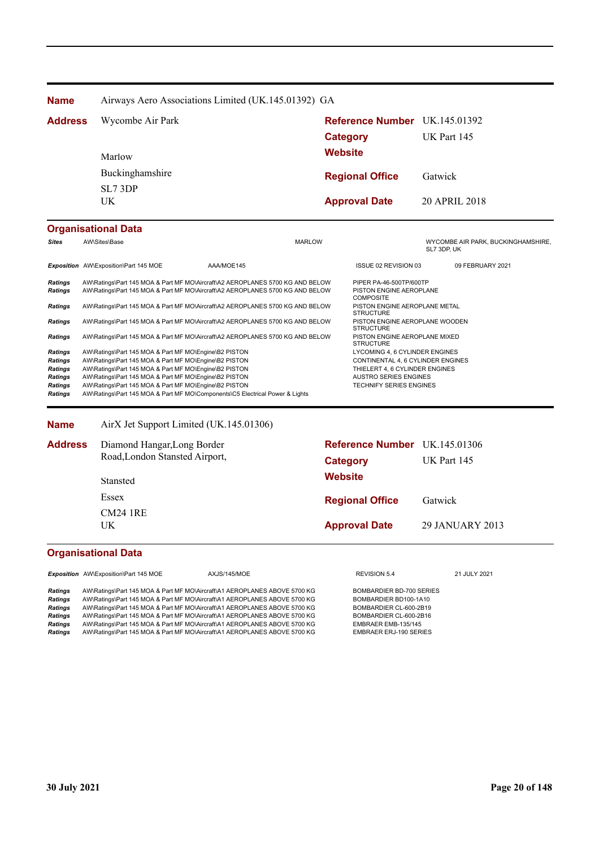| Airways Aero Associations Limited (UK.145.01392) GA |                                                                              |                                                                                                                                                                                                                                                                                           |                                                                                                                                                                                                                                                                                                                                                                                                                                    |                                                                                                                                          |                                                                                                                                                                                                                                                                                                                                                                                                                                                      |
|-----------------------------------------------------|------------------------------------------------------------------------------|-------------------------------------------------------------------------------------------------------------------------------------------------------------------------------------------------------------------------------------------------------------------------------------------|------------------------------------------------------------------------------------------------------------------------------------------------------------------------------------------------------------------------------------------------------------------------------------------------------------------------------------------------------------------------------------------------------------------------------------|------------------------------------------------------------------------------------------------------------------------------------------|------------------------------------------------------------------------------------------------------------------------------------------------------------------------------------------------------------------------------------------------------------------------------------------------------------------------------------------------------------------------------------------------------------------------------------------------------|
| Wycombe Air Park<br><b>Address</b>                  |                                                                              |                                                                                                                                                                                                                                                                                           |                                                                                                                                                                                                                                                                                                                                                                                                                                    |                                                                                                                                          |                                                                                                                                                                                                                                                                                                                                                                                                                                                      |
|                                                     |                                                                              |                                                                                                                                                                                                                                                                                           |                                                                                                                                                                                                                                                                                                                                                                                                                                    | UK Part 145                                                                                                                              |                                                                                                                                                                                                                                                                                                                                                                                                                                                      |
| Marlow<br>Buckinghamshire                           |                                                                              |                                                                                                                                                                                                                                                                                           |                                                                                                                                                                                                                                                                                                                                                                                                                                    |                                                                                                                                          |                                                                                                                                                                                                                                                                                                                                                                                                                                                      |
|                                                     |                                                                              |                                                                                                                                                                                                                                                                                           |                                                                                                                                                                                                                                                                                                                                                                                                                                    | Gatwick                                                                                                                                  |                                                                                                                                                                                                                                                                                                                                                                                                                                                      |
| SL7 3DP                                             |                                                                              |                                                                                                                                                                                                                                                                                           |                                                                                                                                                                                                                                                                                                                                                                                                                                    |                                                                                                                                          |                                                                                                                                                                                                                                                                                                                                                                                                                                                      |
| UK.                                                 |                                                                              |                                                                                                                                                                                                                                                                                           |                                                                                                                                                                                                                                                                                                                                                                                                                                    | 20 APRIL 2018                                                                                                                            |                                                                                                                                                                                                                                                                                                                                                                                                                                                      |
| <b>Organisational Data</b>                          |                                                                              |                                                                                                                                                                                                                                                                                           |                                                                                                                                                                                                                                                                                                                                                                                                                                    |                                                                                                                                          |                                                                                                                                                                                                                                                                                                                                                                                                                                                      |
| AW\Sites\Base                                       |                                                                              |                                                                                                                                                                                                                                                                                           |                                                                                                                                                                                                                                                                                                                                                                                                                                    | SL7 3DP, UK                                                                                                                              |                                                                                                                                                                                                                                                                                                                                                                                                                                                      |
| Exposition AW\Exposition\Part 145 MOE               | AAA/MOE145                                                                   |                                                                                                                                                                                                                                                                                           |                                                                                                                                                                                                                                                                                                                                                                                                                                    |                                                                                                                                          |                                                                                                                                                                                                                                                                                                                                                                                                                                                      |
|                                                     |                                                                              |                                                                                                                                                                                                                                                                                           | <b>COMPOSITE</b>                                                                                                                                                                                                                                                                                                                                                                                                                   |                                                                                                                                          |                                                                                                                                                                                                                                                                                                                                                                                                                                                      |
|                                                     |                                                                              |                                                                                                                                                                                                                                                                                           |                                                                                                                                                                                                                                                                                                                                                                                                                                    |                                                                                                                                          |                                                                                                                                                                                                                                                                                                                                                                                                                                                      |
|                                                     |                                                                              |                                                                                                                                                                                                                                                                                           |                                                                                                                                                                                                                                                                                                                                                                                                                                    |                                                                                                                                          |                                                                                                                                                                                                                                                                                                                                                                                                                                                      |
|                                                     |                                                                              |                                                                                                                                                                                                                                                                                           |                                                                                                                                                                                                                                                                                                                                                                                                                                    |                                                                                                                                          |                                                                                                                                                                                                                                                                                                                                                                                                                                                      |
|                                                     |                                                                              |                                                                                                                                                                                                                                                                                           |                                                                                                                                                                                                                                                                                                                                                                                                                                    |                                                                                                                                          |                                                                                                                                                                                                                                                                                                                                                                                                                                                      |
|                                                     |                                                                              |                                                                                                                                                                                                                                                                                           |                                                                                                                                                                                                                                                                                                                                                                                                                                    |                                                                                                                                          |                                                                                                                                                                                                                                                                                                                                                                                                                                                      |
|                                                     |                                                                              |                                                                                                                                                                                                                                                                                           |                                                                                                                                                                                                                                                                                                                                                                                                                                    |                                                                                                                                          |                                                                                                                                                                                                                                                                                                                                                                                                                                                      |
|                                                     |                                                                              |                                                                                                                                                                                                                                                                                           |                                                                                                                                                                                                                                                                                                                                                                                                                                    |                                                                                                                                          |                                                                                                                                                                                                                                                                                                                                                                                                                                                      |
|                                                     | AW\Ratings\Part 145 MOA & Part MF MO\Components\C5 Electrical Power & Lights |                                                                                                                                                                                                                                                                                           |                                                                                                                                                                                                                                                                                                                                                                                                                                    |                                                                                                                                          |                                                                                                                                                                                                                                                                                                                                                                                                                                                      |
|                                                     |                                                                              | AW\Ratings\Part 145 MOA & Part MF MO\Engine\B2 PISTON<br>AW\Ratings\Part 145 MOA & Part MF MO\Engine\B2 PISTON<br>AW\Ratings\Part 145 MOA & Part MF MO\Engine\B2 PISTON<br>AW\Ratings\Part 145 MOA & Part MF MO\Engine\B2 PISTON<br>AW\Ratings\Part 145 MOA & Part MF MO\Engine\B2 PISTON | <b>MARLOW</b><br>AW\Ratings\Part 145 MOA & Part MF MO\Aircraft\A2 AEROPLANES 5700 KG AND BELOW<br>AW\Ratings\Part 145 MOA & Part MF MO\Aircraft\A2 AEROPLANES 5700 KG AND BELOW<br>AW\Ratings\Part 145 MOA & Part MF MO\Aircraft\A2 AEROPLANES 5700 KG AND BELOW<br>AW\Ratings\Part 145 MOA & Part MF MO\Aircraft\A2 AEROPLANES 5700 KG AND BELOW<br>AW\Ratings\Part 145 MOA & Part MF MO\Aircraft\A2 AEROPLANES 5700 KG AND BELOW | Category<br><b>Website</b><br><b>Regional Office</b><br><b>Approval Date</b><br><b>STRUCTURE</b><br><b>STRUCTURE</b><br><b>STRUCTURE</b> | Reference Number UK.145.01392<br>WYCOMBE AIR PARK, BUCKINGHAMSHIRE,<br>ISSUE 02 REVISION 03<br>09 FEBRUARY 2021<br>PIPER PA-46-500TP/600TP<br>PISTON ENGINE AEROPLANE<br>PISTON ENGINE AEROPLANE METAL<br>PISTON ENGINE AEROPLANE WOODEN<br>PISTON ENGINE AEROPLANE MIXED<br>LYCOMING 4, 6 CYLINDER ENGINES<br>CONTINENTAL 4, 6 CYLINDER ENGINES<br>THIELERT 4, 6 CYLINDER ENGINES<br><b>AUSTRO SERIES ENGINES</b><br><b>TECHNIFY SERIES ENGINES</b> |

| <b>Address</b> | Diamond Hangar, Long Border    | Reference Number UK.145.01306 |                 |
|----------------|--------------------------------|-------------------------------|-----------------|
|                | Road, London Stansted Airport, | Category                      | UK Part 145     |
|                | Stansted                       | Website                       |                 |
|                | Essex                          | <b>Regional Office</b>        | Gatwick         |
|                | <b>CM24 1RE</b><br>UK.         | <b>Approval Date</b>          | 29 JANUARY 2013 |
|                |                                |                               |                 |

|                                                                                                   | <b>Exposition</b> AW\Exposition\Part 145 MOE                                                                                                                                                                                                                                                                                                                                                                                                                               | AXJS/145/MOE | REVISION 5.4                                                                                                                                                  | 21 JULY 2021 |
|---------------------------------------------------------------------------------------------------|----------------------------------------------------------------------------------------------------------------------------------------------------------------------------------------------------------------------------------------------------------------------------------------------------------------------------------------------------------------------------------------------------------------------------------------------------------------------------|--------------|---------------------------------------------------------------------------------------------------------------------------------------------------------------|--------------|
| <b>Ratings</b><br>Ratings<br><b>Ratings</b><br><b>Ratings</b><br><b>Ratings</b><br><b>Ratings</b> | AW\Ratings\Part 145 MOA & Part MF MO\Aircraft\A1 AEROPLANES ABOVE 5700 KG<br>AW\Ratings\Part 145 MOA & Part MF MO\Aircraft\A1 AEROPLANES ABOVE 5700 KG<br>AW\Ratings\Part 145 MOA & Part MF MO\Aircraft\A1 AEROPLANES ABOVE 5700 KG<br>AW\Ratings\Part 145 MOA & Part MF MO\Aircraft\A1 AEROPLANES ABOVE 5700 KG<br>AW\Ratings\Part 145 MOA & Part MF MO\Aircraft\A1 AEROPLANES ABOVE 5700 KG<br>AW\Ratings\Part 145 MOA & Part MF MO\Aircraft\A1 AEROPLANES ABOVE 5700 KG |              | BOMBARDIER BD-700 SERIES<br>BOMBARDIER BD100-1A10<br>BOMBARDIER CL-600-2B19<br>BOMBARDIER CL-600-2B16<br>EMBRAER EMB-135/145<br><b>EMBRAER ERJ-190 SERIES</b> |              |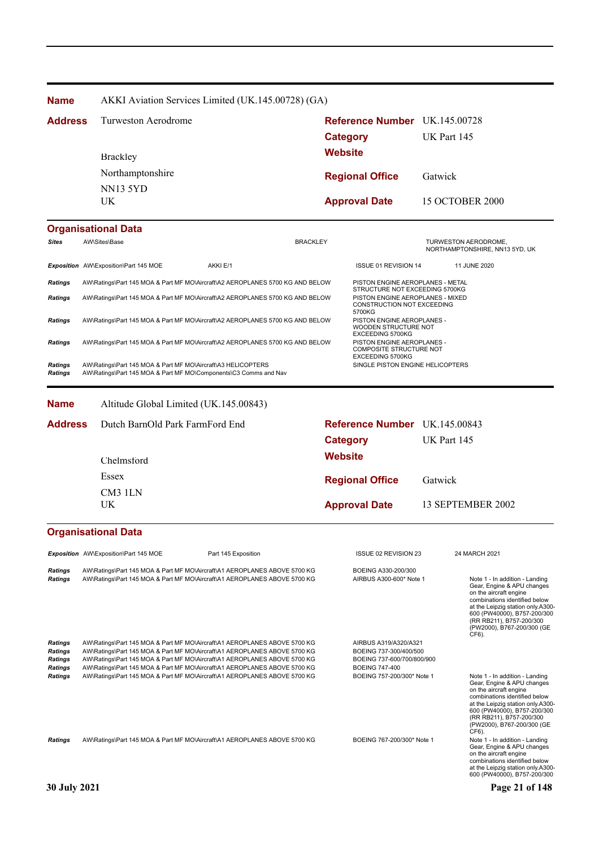| <b>Name</b>                                                                            |                                                                                                                                  | AKKI Aviation Services Limited (UK.145.00728) (GA)                                                                                                                                                                                                                                                                                                                                            |                 |                                                                                                                                      |             |                                                                                                                                                                                                                                                                |  |
|----------------------------------------------------------------------------------------|----------------------------------------------------------------------------------------------------------------------------------|-----------------------------------------------------------------------------------------------------------------------------------------------------------------------------------------------------------------------------------------------------------------------------------------------------------------------------------------------------------------------------------------------|-----------------|--------------------------------------------------------------------------------------------------------------------------------------|-------------|----------------------------------------------------------------------------------------------------------------------------------------------------------------------------------------------------------------------------------------------------------------|--|
| <b>Address</b>                                                                         | Turweston Aerodrome                                                                                                              |                                                                                                                                                                                                                                                                                                                                                                                               |                 | Reference Number UK.145.00728<br><b>Category</b>                                                                                     | UK Part 145 |                                                                                                                                                                                                                                                                |  |
|                                                                                        | <b>Brackley</b>                                                                                                                  |                                                                                                                                                                                                                                                                                                                                                                                               | <b>Website</b>  |                                                                                                                                      |             |                                                                                                                                                                                                                                                                |  |
|                                                                                        | Northamptonshire                                                                                                                 |                                                                                                                                                                                                                                                                                                                                                                                               |                 |                                                                                                                                      |             |                                                                                                                                                                                                                                                                |  |
|                                                                                        | <b>NN13 5YD</b>                                                                                                                  |                                                                                                                                                                                                                                                                                                                                                                                               |                 | <b>Regional Office</b>                                                                                                               | Gatwick     |                                                                                                                                                                                                                                                                |  |
|                                                                                        | UK                                                                                                                               |                                                                                                                                                                                                                                                                                                                                                                                               |                 | <b>Approval Date</b>                                                                                                                 |             | <b>15 OCTOBER 2000</b>                                                                                                                                                                                                                                         |  |
|                                                                                        | <b>Organisational Data</b>                                                                                                       |                                                                                                                                                                                                                                                                                                                                                                                               |                 |                                                                                                                                      |             |                                                                                                                                                                                                                                                                |  |
| Sites                                                                                  | AW\Sites\Base                                                                                                                    |                                                                                                                                                                                                                                                                                                                                                                                               | <b>BRACKLEY</b> |                                                                                                                                      |             | TURWESTON AERODROME,<br>NORTHAMPTONSHIRE, NN13 5YD, UK                                                                                                                                                                                                         |  |
|                                                                                        | Exposition AW\Exposition\Part 145 MOE                                                                                            | AKKI E/1                                                                                                                                                                                                                                                                                                                                                                                      |                 | ISSUE 01 REVISION 14                                                                                                                 |             | 11 JUNE 2020                                                                                                                                                                                                                                                   |  |
| <b>Ratings</b>                                                                         |                                                                                                                                  | AW\Ratings\Part 145 MOA & Part MF MO\Aircraft\A2 AEROPLANES 5700 KG AND BELOW                                                                                                                                                                                                                                                                                                                 |                 | PISTON ENGINE AEROPLANES - METAL                                                                                                     |             |                                                                                                                                                                                                                                                                |  |
| Ratings                                                                                |                                                                                                                                  | AW\Ratings\Part 145 MOA & Part MF MO\Aircraft\A2 AEROPLANES 5700 KG AND BELOW                                                                                                                                                                                                                                                                                                                 |                 | STRUCTURE NOT EXCEEDING 5700KG<br>PISTON ENGINE AEROPLANES - MIXED<br>CONSTRUCTION NOT EXCEEDING<br>5700KG                           |             |                                                                                                                                                                                                                                                                |  |
| <b>Ratings</b>                                                                         | AW\Ratings\Part 145 MOA & Part MF MO\Aircraft\A2 AEROPLANES 5700 KG AND BELOW                                                    |                                                                                                                                                                                                                                                                                                                                                                                               |                 | PISTON ENGINE AEROPLANES -<br>WOODEN STRUCTURE NOT<br>EXCEEDING 5700KG                                                               |             |                                                                                                                                                                                                                                                                |  |
| Ratings                                                                                |                                                                                                                                  | AW\Ratings\Part 145 MOA & Part MF MO\Aircraft\A2 AEROPLANES 5700 KG AND BELOW                                                                                                                                                                                                                                                                                                                 |                 | PISTON ENGINE AEROPLANES -<br><b>COMPOSITE STRUCTURE NOT</b><br>EXCEEDING 5700KG                                                     |             |                                                                                                                                                                                                                                                                |  |
| Ratings<br><b>Ratings</b>                                                              | AW\Ratings\Part 145 MOA & Part MF MO\Aircraft\A3 HELICOPTERS<br>AW\Ratings\Part 145 MOA & Part MF MO\Components\C3 Comms and Nav |                                                                                                                                                                                                                                                                                                                                                                                               |                 | SINGLE PISTON ENGINE HELICOPTERS                                                                                                     |             |                                                                                                                                                                                                                                                                |  |
| <b>Name</b>                                                                            | Altitude Global Limited (UK.145.00843)                                                                                           |                                                                                                                                                                                                                                                                                                                                                                                               |                 |                                                                                                                                      |             |                                                                                                                                                                                                                                                                |  |
| <b>Address</b>                                                                         | Dutch BarnOld Park FarmFord End                                                                                                  |                                                                                                                                                                                                                                                                                                                                                                                               |                 | Reference Number UK.145.00843                                                                                                        |             |                                                                                                                                                                                                                                                                |  |
|                                                                                        |                                                                                                                                  |                                                                                                                                                                                                                                                                                                                                                                                               |                 | <b>Category</b>                                                                                                                      | UK Part 145 |                                                                                                                                                                                                                                                                |  |
|                                                                                        | Chelmsford                                                                                                                       |                                                                                                                                                                                                                                                                                                                                                                                               | <b>Website</b>  |                                                                                                                                      |             |                                                                                                                                                                                                                                                                |  |
|                                                                                        | Essex                                                                                                                            |                                                                                                                                                                                                                                                                                                                                                                                               |                 | <b>Regional Office</b>                                                                                                               | Gatwick     |                                                                                                                                                                                                                                                                |  |
|                                                                                        | CM3 1LN                                                                                                                          |                                                                                                                                                                                                                                                                                                                                                                                               |                 |                                                                                                                                      |             |                                                                                                                                                                                                                                                                |  |
|                                                                                        | UK                                                                                                                               |                                                                                                                                                                                                                                                                                                                                                                                               |                 | <b>Approval Date</b>                                                                                                                 |             | 13 SEPTEMBER 2002                                                                                                                                                                                                                                              |  |
|                                                                                        | <b>Organisational Data</b>                                                                                                       |                                                                                                                                                                                                                                                                                                                                                                                               |                 |                                                                                                                                      |             |                                                                                                                                                                                                                                                                |  |
|                                                                                        | Exposition AW\Exposition\Part 145 MOE                                                                                            | Part 145 Exposition                                                                                                                                                                                                                                                                                                                                                                           |                 | ISSUE 02 REVISION 23                                                                                                                 |             | 24 MARCH 2021                                                                                                                                                                                                                                                  |  |
| <b>Ratings</b><br><b>Ratings</b>                                                       |                                                                                                                                  | AW\Ratings\Part 145 MOA & Part MF MO\Aircraft\A1 AEROPLANES ABOVE 5700 KG<br>AW\Ratings\Part 145 MOA & Part MF MO\Aircraft\A1 AEROPLANES ABOVE 5700 KG                                                                                                                                                                                                                                        |                 | BOEING A330-200/300<br>AIRBUS A300-600* Note 1                                                                                       |             | Note 1 - In addition - Landing<br>Gear, Engine & APU changes<br>on the aircraft engine<br>combinations identified below<br>at the Leipzig station only.A300-<br>600 (PW40000), B757-200/300<br>(RR RB211), B757-200/300<br>(PW2000), B767-200/300 (GE<br>CF6). |  |
| <b>Ratings</b><br><b>Ratings</b><br><b>Ratings</b><br><b>Ratings</b><br><b>Ratings</b> |                                                                                                                                  | AW\Ratings\Part 145 MOA & Part MF MO\Aircraft\A1 AEROPLANES ABOVE 5700 KG<br>AW\Ratings\Part 145 MOA & Part MF MO\Aircraft\A1 AEROPLANES ABOVE 5700 KG<br>AW\Ratings\Part 145 MOA & Part MF MO\Aircraft\A1 AEROPLANES ABOVE 5700 KG<br>AW\Ratings\Part 145 MOA & Part MF MO\Aircraft\A1 AEROPLANES ABOVE 5700 KG<br>AW\Ratings\Part 145 MOA & Part MF MO\Aircraft\A1 AEROPLANES ABOVE 5700 KG |                 | AIRBUS A319/A320/A321<br>BOEING 737-300/400/500<br>BOEING 737-600/700/800/900<br><b>BOEING 747-400</b><br>BOEING 757-200/300* Note 1 |             | Note 1 - In addition - Landing<br>Gear, Engine & APU changes<br>on the aircraft engine<br>combinations identified below<br>at the Leipzig station only.A300-<br>600 (PW40000), B757-200/300<br>(RR RB211), B757-200/300<br>(PW2000), B767-200/300 (GE<br>CF6). |  |
| <b>Ratings</b>                                                                         |                                                                                                                                  | AW\Ratings\Part 145 MOA & Part MF MO\Aircraft\A1 AEROPLANES ABOVE 5700 KG                                                                                                                                                                                                                                                                                                                     |                 | BOEING 767-200/300* Note 1                                                                                                           |             | Note 1 - In addition - Landing<br>Gear, Engine & APU changes<br>on the aircraft engine<br>combinations identified below<br>at the Leipzig station only.A300-<br>600 (PW40000), B757-200/300                                                                    |  |
| <b>30 July 2021</b>                                                                    |                                                                                                                                  |                                                                                                                                                                                                                                                                                                                                                                                               |                 |                                                                                                                                      |             | Page 21 of 148                                                                                                                                                                                                                                                 |  |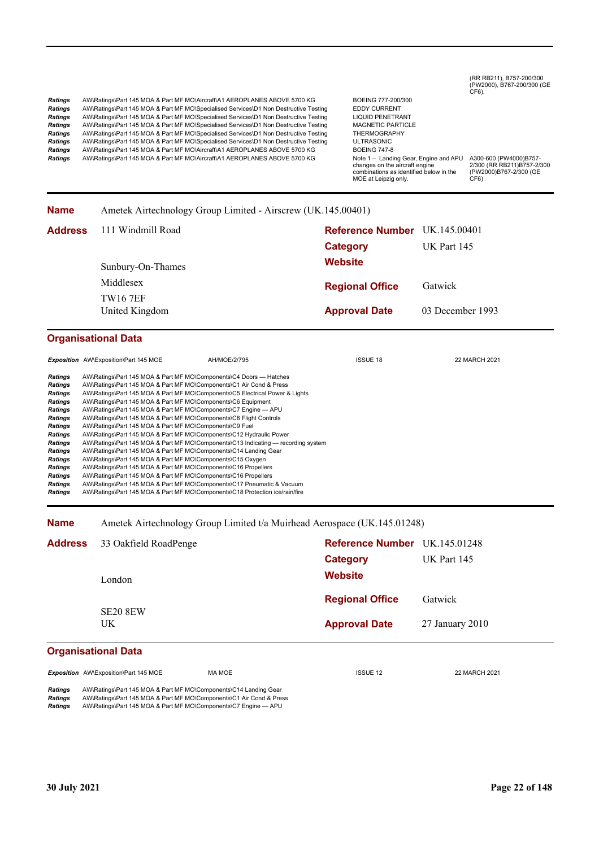# (RR RB211), B757-200/300 (PW2000), B767-200/300 (GE CF6).

Ratings AW\Ratings\Part 145 MOA & Part MF MO\Aircraft\A1 AEROPLANES ABOVE 5700 KG BOEING 777-200/300 Ratings AW\Ratings\Part 145 MOA & Part MF MO\Specialised Services\D1 Non Destructive Testing EDDY CURRENT<br>
Ratings AW\Ratings\Part 145 MOA & Part MF MO\Specialised Services\D1 Non Destructive Testing LIQUID PENETRANT **Ratings** AW\Ratings\Part 145 MOA & Part MF MO\Specialised Services\D1 Non Destructive Testing LIQUID PENETRANT<br> **Ratings** AW\Ratings\Part 145 MOA & Part MF MO\Specialised Services\D1 Non Destructive Testing MAGNETIC PARTI Ratings AW\Ratings\Part 145 MOA & Part MF MO\Specialised Services\D1 Non Destructive Testing MAGNETIC PARTIC<br>
Ratings AW\Ratings\Part 145 MOA & Part MF MO\Specialised Services\D1 Non Destructive Testing THERMOGRAPHY Ratings AW\Ratings\Part 145 MOA & Part MF MO\Specialised Services\D1 Non Destructive Testing THERMOGRA<br>
Ratings AW\Ratings\Part 145 MOA & Part MF MO\Specialised Services\D1 Non Destructive Testing ULTRASONIC **Ratings** AW\Ratings\Part 145 MOA & Part MF MO\Specialised Services\D1 Non Destructive Testing ULTRASONIC<br> **Ratings** AW\Ratings\Part 145 MOA & Part MF MO\Aircraft\A1 AEROPLANES ABOVE 5700 KG BOEING 747-8 **Ratings** AW\Ratings\Part 145 MOA & Part MF MO\Aircraft\A1 AEROPLANES ABOVE 5700 KG <br>**Ratings** AW\Ratings\Part 145 MOA & Part MF MO\Aircraft\A1 AEROPLANES ABOVE 5700 KG AW\Ratings\Part 145 MOA & Part MF MO\Aircraft\A1 AEROPLANES ABOVE 5700 KG

changes on the aircraft engine combinations as identified below in the MOE at Leipzig only.

A300-600 (PW4000)B757- 2/300 (RR RB211)B757-2/300 (PW2000)B767-2/300 (GE CF6)

| Name | Ametek Airtechnology Group Limited - Airscrew (UK.145.00401) |
|------|--------------------------------------------------------------|
|------|--------------------------------------------------------------|

| <b>Address</b> 111 Windmill Road | <b>Reference Number</b> UK.145.00401<br>Category | UK Part 145      |
|----------------------------------|--------------------------------------------------|------------------|
| Sunbury-On-Thames                | <b>Website</b>                                   |                  |
| Middlesex                        | <b>Regional Office</b>                           | Gatwick          |
| <b>TW167EF</b><br>United Kingdom | <b>Approval Date</b>                             | 03 December 1993 |

### **Organisational Data**

|                | <b>Exposition</b> AW\Exposition\Part 145 MOE                       | AH/MOE/2/795                                                                      | <b>ISSUE 18</b> | 22 MARCH 2021 |
|----------------|--------------------------------------------------------------------|-----------------------------------------------------------------------------------|-----------------|---------------|
|                |                                                                    |                                                                                   |                 |               |
| <b>Ratings</b> |                                                                    | AW\Ratings\Part 145 MOA & Part MF MO\Components\C4 Doors — Hatches                |                 |               |
| <b>Ratings</b> |                                                                    | AW\Ratings\Part 145 MOA & Part MF MO\Components\C1 Air Cond & Press               |                 |               |
| <b>Ratings</b> |                                                                    | AW\Ratings\Part 145 MOA & Part MF MO\Components\C5 Electrical Power & Lights      |                 |               |
| <b>Ratings</b> | AW\Ratings\Part 145 MOA & Part MF MO\Components\C6 Equipment       |                                                                                   |                 |               |
| <b>Ratings</b> | AW\Ratings\Part 145 MOA & Part MF MO\Components\C7 Engine - APU    |                                                                                   |                 |               |
| Ratings        | AW\Ratings\Part 145 MOA & Part MF MO\Components\C8 Flight Controls |                                                                                   |                 |               |
| Ratings        | AW\Ratings\Part 145 MOA & Part MF MO\Components\C9 Fuel            |                                                                                   |                 |               |
| Ratings        |                                                                    | AW\Ratings\Part 145 MOA & Part MF MO\Components\C12 Hydraulic Power               |                 |               |
| <b>Ratings</b> |                                                                    | AW\Ratings\Part 145 MOA & Part MF MO\Components\C13 Indicating — recording system |                 |               |
| <b>Ratings</b> | AW\Ratings\Part 145 MOA & Part MF MO\Components\C14 Landing Gear   |                                                                                   |                 |               |
| <b>Ratings</b> | AW\Ratings\Part 145 MOA & Part MF MO\Components\C15 Oxygen         |                                                                                   |                 |               |
| <b>Ratings</b> | AW\Ratings\Part 145 MOA & Part MF MO\Components\C16 Propellers     |                                                                                   |                 |               |
| <b>Ratings</b> | AW\Ratings\Part 145 MOA & Part MF MO\Components\C16 Propellers     |                                                                                   |                 |               |
| <b>Ratings</b> |                                                                    | AW\Ratings\Part 145 MOA & Part MF MO\Components\C17 Pneumatic & Vacuum            |                 |               |
| Ratings        |                                                                    | AW\Ratings\Part 145 MOA & Part MF MO\Components\C18 Protection ice/rain/fire      |                 |               |

#### **Name** Ametek Airtechnology Group Limited t/a Muirhead Aerospace (UK.145.01248)

| <b>Address</b>             | 33 Oakfield RoadPenge  | Reference Number UK.145.01248 |                 |
|----------------------------|------------------------|-------------------------------|-----------------|
|                            |                        | Category                      | UK Part 145     |
|                            | London                 | <b>Website</b>                |                 |
|                            |                        | <b>Regional Office</b>        | Gatwick         |
|                            | <b>SE20 8EW</b><br>UK. | <b>Approval Date</b>          | 27 January 2010 |
| <b>Organicational Data</b> |                        |                               |                 |

### **Organisational Data**

**Exposition** AW\Exposition\Part 145 MOE MA MOE MA MOE ISSUE 12 22 MARCH 2021

*Ratings* AW\Ratings\Part 145 MOA & Part MF MO\Components\C14 Landing Gear *Ratings* AW\Ratings\Part 145 MOA & Part MF MO\Components\C1 Air Cond & Press AW\Ratings\Part 145 MOA & Part MF MO\Components\C7 Engine - APU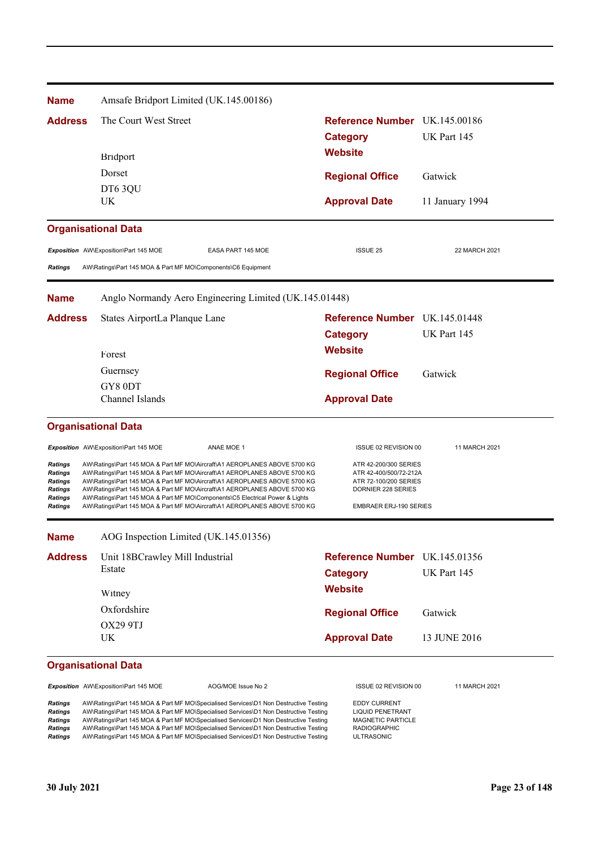| <b>Name</b>                                                       | Amsafe Bridport Limited (UK.145.00186)                                                                                                                                                                                                                                                                                                                                                                                                               |                                                                                                                 |                 |  |
|-------------------------------------------------------------------|------------------------------------------------------------------------------------------------------------------------------------------------------------------------------------------------------------------------------------------------------------------------------------------------------------------------------------------------------------------------------------------------------------------------------------------------------|-----------------------------------------------------------------------------------------------------------------|-----------------|--|
| <b>Address</b>                                                    | The Court West Street                                                                                                                                                                                                                                                                                                                                                                                                                                | Reference Number UK.145.00186                                                                                   |                 |  |
|                                                                   |                                                                                                                                                                                                                                                                                                                                                                                                                                                      | <b>Category</b>                                                                                                 | UK Part 145     |  |
|                                                                   | <b>Bridport</b>                                                                                                                                                                                                                                                                                                                                                                                                                                      | <b>Website</b>                                                                                                  |                 |  |
|                                                                   | Dorset                                                                                                                                                                                                                                                                                                                                                                                                                                               | <b>Regional Office</b>                                                                                          | Gatwick         |  |
|                                                                   | DT63QU                                                                                                                                                                                                                                                                                                                                                                                                                                               |                                                                                                                 |                 |  |
|                                                                   | <b>UK</b>                                                                                                                                                                                                                                                                                                                                                                                                                                            | <b>Approval Date</b>                                                                                            | 11 January 1994 |  |
|                                                                   | <b>Organisational Data</b>                                                                                                                                                                                                                                                                                                                                                                                                                           |                                                                                                                 |                 |  |
|                                                                   | Exposition AW\Exposition\Part 145 MOE<br>EASA PART 145 MOE                                                                                                                                                                                                                                                                                                                                                                                           | <b>ISSUE 25</b>                                                                                                 | 22 MARCH 2021   |  |
| <b>Ratings</b>                                                    | AW\Ratings\Part 145 MOA & Part MF MO\Components\C6 Equipment                                                                                                                                                                                                                                                                                                                                                                                         |                                                                                                                 |                 |  |
| <b>Name</b>                                                       | Anglo Normandy Aero Engineering Limited (UK.145.01448)                                                                                                                                                                                                                                                                                                                                                                                               |                                                                                                                 |                 |  |
| <b>Address</b>                                                    | States AirportLa Planque Lane                                                                                                                                                                                                                                                                                                                                                                                                                        | Reference Number UK 145.01448                                                                                   |                 |  |
|                                                                   |                                                                                                                                                                                                                                                                                                                                                                                                                                                      | <b>Category</b>                                                                                                 | UK Part 145     |  |
|                                                                   | Forest                                                                                                                                                                                                                                                                                                                                                                                                                                               | <b>Website</b>                                                                                                  |                 |  |
|                                                                   | Guernsey                                                                                                                                                                                                                                                                                                                                                                                                                                             | <b>Regional Office</b>                                                                                          | Gatwick         |  |
|                                                                   | GY80DT                                                                                                                                                                                                                                                                                                                                                                                                                                               |                                                                                                                 |                 |  |
|                                                                   | Channel Islands                                                                                                                                                                                                                                                                                                                                                                                                                                      | <b>Approval Date</b>                                                                                            |                 |  |
|                                                                   | <b>Organisational Data</b>                                                                                                                                                                                                                                                                                                                                                                                                                           |                                                                                                                 |                 |  |
|                                                                   | Exposition AW\Exposition\Part 145 MOE<br>ANAE MOE 1                                                                                                                                                                                                                                                                                                                                                                                                  | ISSUE 02 REVISION 00                                                                                            | 11 MARCH 2021   |  |
| Ratings                                                           | AW\Ratings\Part 145 MOA & Part MF MO\Aircraft\A1 AEROPLANES ABOVE 5700 KG                                                                                                                                                                                                                                                                                                                                                                            | ATR 42-200/300 SERIES                                                                                           |                 |  |
| Ratings<br><b>Ratings</b>                                         | AW\Ratings\Part 145 MOA & Part MF MO\Aircraft\A1 AEROPLANES ABOVE 5700 KG<br>AW\Ratings\Part 145 MOA & Part MF MO\Aircraft\A1 AEROPLANES ABOVE 5700 KG                                                                                                                                                                                                                                                                                               | ATR 42-400/500/72-212A<br>ATR 72-100/200 SERIES                                                                 |                 |  |
| <b>Ratings</b><br><b>Ratings</b><br><b>Ratings</b>                | AW\Ratings\Part 145 MOA & Part MF MO\Aircraft\A1 AEROPLANES ABOVE 5700 KG<br>AW\Ratings\Part 145 MOA & Part MF MO\Components\C5 Electrical Power & Lights<br>AW\Ratings\Part 145 MOA & Part MF MO\Aircraft\A1 AEROPLANES ABOVE 5700 KG                                                                                                                                                                                                               | DORNIER 228 SERIES<br><b>EMBRAER ERJ-190 SERIES</b>                                                             |                 |  |
|                                                                   |                                                                                                                                                                                                                                                                                                                                                                                                                                                      |                                                                                                                 |                 |  |
| <b>Name</b>                                                       | AOG Inspection Limited (UK.145.01356)                                                                                                                                                                                                                                                                                                                                                                                                                |                                                                                                                 |                 |  |
| <b>Address</b>                                                    | Unit 18BCrawley Mill Industrial                                                                                                                                                                                                                                                                                                                                                                                                                      | Reference Number UK.145.01356                                                                                   |                 |  |
|                                                                   | Estate                                                                                                                                                                                                                                                                                                                                                                                                                                               | <b>Category</b>                                                                                                 | UK Part 145     |  |
|                                                                   | Witney                                                                                                                                                                                                                                                                                                                                                                                                                                               | <b>Website</b>                                                                                                  |                 |  |
|                                                                   | Oxfordshire                                                                                                                                                                                                                                                                                                                                                                                                                                          | <b>Regional Office</b>                                                                                          | Gatwick         |  |
|                                                                   | OX29 9TJ                                                                                                                                                                                                                                                                                                                                                                                                                                             |                                                                                                                 |                 |  |
|                                                                   | UK                                                                                                                                                                                                                                                                                                                                                                                                                                                   | <b>Approval Date</b>                                                                                            | 13 JUNE 2016    |  |
|                                                                   | <b>Organisational Data</b>                                                                                                                                                                                                                                                                                                                                                                                                                           |                                                                                                                 |                 |  |
|                                                                   | Exposition AW\Exposition\Part 145 MOE<br>AOG/MOE Issue No 2                                                                                                                                                                                                                                                                                                                                                                                          | ISSUE 02 REVISION 00                                                                                            | 11 MARCH 2021   |  |
| <b>Ratings</b><br>Ratings<br>Ratings<br><b>Ratings</b><br>Ratings | AW\Ratings\Part 145 MOA & Part MF MO\Specialised Services\D1 Non Destructive Testing<br>AW\Ratings\Part 145 MOA & Part MF MO\Specialised Services\D1 Non Destructive Testing<br>AW\Ratings\Part 145 MOA & Part MF MO\Specialised Services\D1 Non Destructive Testing<br>AW\Ratings\Part 145 MOA & Part MF MO\Specialised Services\D1 Non Destructive Testing<br>AW\Ratings\Part 145 MOA & Part MF MO\Specialised Services\D1 Non Destructive Testing | <b>EDDY CURRENT</b><br><b>LIQUID PENETRANT</b><br><b>MAGNETIC PARTICLE</b><br><b>RADIOGRAPHIC</b><br>ULTRASONIC |                 |  |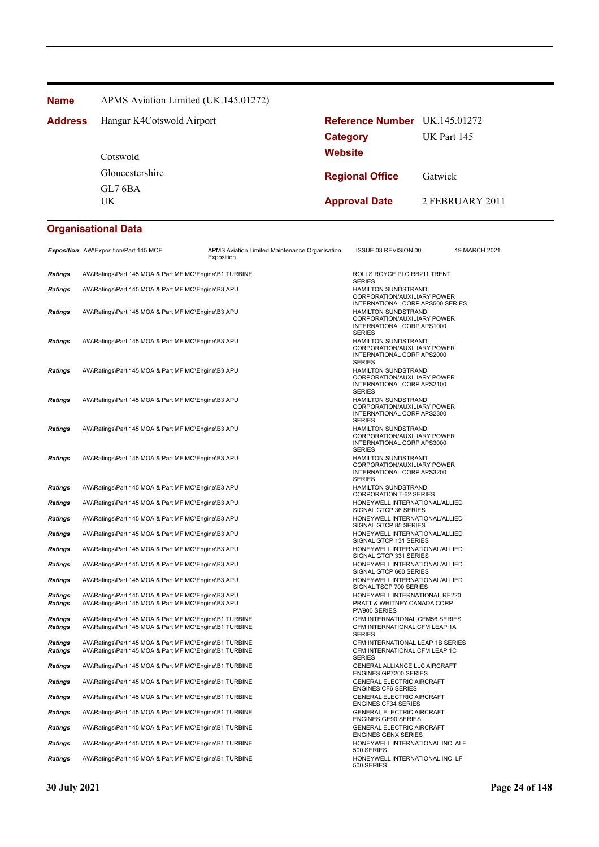**Name** APMS Aviation Limited (UK.145.01272)

| <b>Address</b> | Hangar K4Cotswold Airport | <b>Reference Number</b> UK.145.01272 |                 |  |
|----------------|---------------------------|--------------------------------------|-----------------|--|
|                |                           | <b>Category</b>                      | UK Part 145     |  |
|                | Cotswold                  | Website                              |                 |  |
|                | Gloucestershire           | <b>Regional Office</b>               | Gatwick         |  |
|                | GL7 6BA<br>UK             | <b>Approval Date</b>                 | 2 FEBRUARY 2011 |  |

|                                  | Exposition AW\Exposition\Part 145 MOE                                                                            | APMS Aviation Limited Maintenance Organisation<br>Exposition | ISSUE 03 REVISION 00                                                                                     | 19 MARCH 2021 |
|----------------------------------|------------------------------------------------------------------------------------------------------------------|--------------------------------------------------------------|----------------------------------------------------------------------------------------------------------|---------------|
| <b>Ratings</b>                   | AW\Ratings\Part 145 MOA & Part MF MO\Engine\B1 TURBINE                                                           |                                                              | ROLLS ROYCE PLC RB211 TRENT<br><b>SERIES</b>                                                             |               |
| Ratings                          | AW\Ratings\Part 145 MOA & Part MF MO\Engine\B3 APU                                                               |                                                              | HAMILTON SUNDSTRAND<br>CORPORATION/AUXILIARY POWER<br>INTERNATIONAL CORP APS500 SERIES                   |               |
| <b>Ratings</b>                   | AW\Ratings\Part 145 MOA & Part MF MO\Engine\B3 APU                                                               |                                                              | <b>HAMILTON SUNDSTRAND</b><br>CORPORATION/AUXILIARY POWER<br>INTERNATIONAL CORP APS1000<br><b>SERIES</b> |               |
| <b>Ratings</b>                   | AW\Ratings\Part 145 MOA & Part MF MO\Engine\B3 APU                                                               |                                                              | <b>HAMILTON SUNDSTRAND</b><br>CORPORATION/AUXILIARY POWER<br>INTERNATIONAL CORP APS2000<br><b>SERIES</b> |               |
| <b>Ratings</b>                   | AW\Ratings\Part 145 MOA & Part MF MO\Engine\B3 APU                                                               |                                                              | <b>HAMILTON SUNDSTRAND</b><br>CORPORATION/AUXILIARY POWER<br>INTERNATIONAL CORP APS2100<br><b>SERIES</b> |               |
| <b>Ratings</b>                   | AW\Ratings\Part 145 MOA & Part MF MO\Engine\B3 APU                                                               |                                                              | HAMILTON SUNDSTRAND<br>CORPORATION/AUXILIARY POWER<br>INTERNATIONAL CORP APS2300<br><b>SERIES</b>        |               |
| <b>Ratings</b>                   | AW\Ratings\Part 145 MOA & Part MF MO\Engine\B3 APU                                                               |                                                              | HAMILTON SUNDSTRAND<br>CORPORATION/AUXILIARY POWER<br>INTERNATIONAL CORP APS3000<br><b>SERIES</b>        |               |
| Ratings                          | AW\Ratings\Part 145 MOA & Part MF MO\Engine\B3 APU                                                               |                                                              | <b>HAMILTON SUNDSTRAND</b><br>CORPORATION/AUXILIARY POWER<br>INTERNATIONAL CORP APS3200<br><b>SERIES</b> |               |
| Ratings                          | AW\Ratings\Part 145 MOA & Part MF MO\Engine\B3 APU                                                               |                                                              | HAMILTON SUNDSTRAND<br><b>CORPORATION T-62 SERIES</b>                                                    |               |
| Ratings                          | AW\Ratings\Part 145 MOA & Part MF MO\Engine\B3 APU                                                               |                                                              | HONEYWELL INTERNATIONAL/ALLIED<br>SIGNAL GTCP 36 SERIES                                                  |               |
| <b>Ratings</b>                   | AW\Ratings\Part 145 MOA & Part MF MO\Engine\B3 APU                                                               |                                                              | HONEYWELL INTERNATIONAL/ALLIED<br>SIGNAL GTCP 85 SERIES                                                  |               |
| <b>Ratings</b>                   | AW\Ratings\Part 145 MOA & Part MF MO\Engine\B3 APU                                                               |                                                              | HONEYWELL INTERNATIONAL/ALLIED<br>SIGNAL GTCP 131 SERIES                                                 |               |
| <b>Ratings</b>                   | AW\Ratings\Part 145 MOA & Part MF MO\Engine\B3 APU                                                               |                                                              | HONEYWELL INTERNATIONAL/ALLIED<br>SIGNAL GTCP 331 SERIES                                                 |               |
| Ratings                          | AW\Ratings\Part 145 MOA & Part MF MO\Engine\B3 APU                                                               |                                                              | HONEYWELL INTERNATIONAL/ALLIED<br>SIGNAL GTCP 660 SERIES                                                 |               |
| <b>Ratings</b>                   | AW\Ratings\Part 145 MOA & Part MF MO\Engine\B3 APU                                                               |                                                              | HONEYWELL INTERNATIONAL/ALLIED<br>SIGNAL TSCP 700 SERIES                                                 |               |
| <b>Ratings</b><br><b>Ratings</b> | AW\Ratings\Part 145 MOA & Part MF MO\Engine\B3 APU<br>AW\Ratings\Part 145 MOA & Part MF MO\Engine\B3 APU         |                                                              | HONEYWELL INTERNATIONAL RE220<br>PRATT & WHITNEY CANADA CORP<br>PW900 SERIES                             |               |
| Ratings<br><b>Ratings</b>        | AW\Ratings\Part 145 MOA & Part MF MO\Engine\B1 TURBINE<br>AW\Ratings\Part 145 MOA & Part MF MO\Engine\B1 TURBINE |                                                              | CFM INTERNATIONAL CFM56 SERIES<br>CFM INTERNATIONAL CFM LEAP 1A<br><b>SERIES</b>                         |               |
| <b>Ratings</b>                   | AW\Ratings\Part 145 MOA & Part MF MO\Engine\B1 TURBINE                                                           |                                                              | CFM INTERNATIONAL LEAP 1B SERIES                                                                         |               |
| <b>Ratings</b>                   | AW\Ratings\Part 145 MOA & Part MF MO\Engine\B1 TURBINE                                                           |                                                              | CFM INTERNATIONAL CFM LEAP 1C<br><b>SERIES</b>                                                           |               |
| Ratings                          | AW\Ratings\Part 145 MOA & Part MF MO\Engine\B1 TURBINE                                                           |                                                              | GENERAL ALLIANCE LLC AIRCRAFT<br><b>ENGINES GP7200 SERIES</b>                                            |               |
| Ratings                          | AW\Ratings\Part 145 MOA & Part MF MO\Engine\B1 TURBINE                                                           |                                                              | <b>GENERAL ELECTRIC AIRCRAFT</b><br><b>ENGINES CF6 SERIES</b>                                            |               |
| <b>Ratings</b>                   | AW\Ratings\Part 145 MOA & Part MF MO\Engine\B1 TURBINE<br>AW\Ratings\Part 145 MOA & Part MF MO\Engine\B1 TURBINE |                                                              | <b>GENERAL ELECTRIC AIRCRAFT</b><br><b>ENGINES CF34 SERIES</b><br><b>GENERAL ELECTRIC AIRCRAFT</b>       |               |
| <b>Ratings</b>                   |                                                                                                                  |                                                              | <b>ENGINES GE90 SERIES</b>                                                                               |               |
| Ratings                          | AW\Ratings\Part 145 MOA & Part MF MO\Engine\B1 TURBINE                                                           |                                                              | <b>GENERAL ELECTRIC AIRCRAFT</b><br><b>ENGINES GENX SERIES</b>                                           |               |
| Ratings                          | AW\Ratings\Part 145 MOA & Part MF MO\Engine\B1 TURBINE                                                           |                                                              | HONEYWELL INTERNATIONAL INC. ALF<br>500 SERIES                                                           |               |
| <b>Ratings</b>                   | AW\Ratings\Part 145 MOA & Part MF MO\Engine\B1 TURBINE                                                           |                                                              | HONEYWELL INTERNATIONAL INC. LF<br>500 SERIES                                                            |               |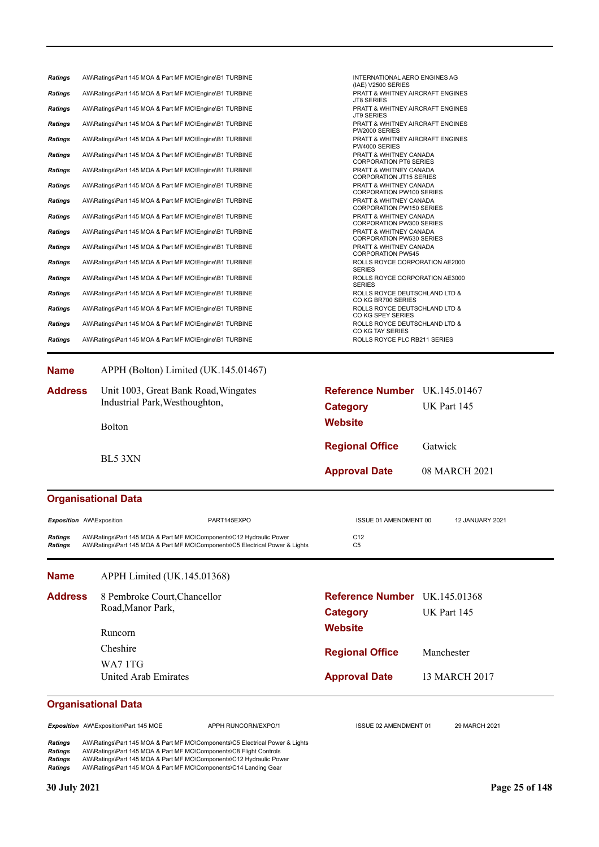| <b>Ratings</b>           | AW\Ratings\Part 145 MOA & Part MF MO\Engine\B1 TURBINE                       | INTERNATIONAL AERO ENGINES AG<br>(IAE) V2500 SERIES          |
|--------------------------|------------------------------------------------------------------------------|--------------------------------------------------------------|
| Ratings                  | AW\Ratings\Part 145 MOA & Part MF MO\Engine\B1 TURBINE                       | PRATT & WHITNEY AIRCRAFT ENGINES<br><b>JT8 SERIES</b>        |
| Ratings                  | AW\Ratings\Part 145 MOA & Part MF MO\Engine\B1 TURBINE                       | PRATT & WHITNEY AIRCRAFT ENGINES<br><b>JT9 SERIES</b>        |
| Ratings                  | AW\Ratings\Part 145 MOA & Part MF MO\Engine\B1 TURBINE                       | <b>PRATT &amp; WHITNEY AIRCRAFT ENGINES</b><br>PW2000 SERIES |
| Ratings                  | AW\Ratings\Part 145 MOA & Part MF MO\Engine\B1 TURBINE                       | PRATT & WHITNEY AIRCRAFT ENGINES<br>PW4000 SERIES            |
| Ratings                  | AW\Ratings\Part 145 MOA & Part MF MO\Engine\B1 TURBINE                       | PRATT & WHITNEY CANADA<br><b>CORPORATION PT6 SERIES</b>      |
| Ratings                  | AW\Ratings\Part 145 MOA & Part MF MO\Engine\B1 TURBINE                       | PRATT & WHITNEY CANADA<br><b>CORPORATION JT15 SERIES</b>     |
| Ratings                  | AW\Ratings\Part 145 MOA & Part MF MO\Engine\B1 TURBINE                       | PRATT & WHITNEY CANADA<br>CORPORATION PW100 SERIES           |
| <b>Ratings</b>           | AW\Ratings\Part 145 MOA & Part MF MO\Engine\B1 TURBINE                       | PRATT & WHITNEY CANADA<br><b>CORPORATION PW150 SERIES</b>    |
| Ratings                  | AW\Ratings\Part 145 MOA & Part MF MO\Engine\B1 TURBINE                       | PRATT & WHITNEY CANADA                                       |
| Ratings                  | AW\Ratings\Part 145 MOA & Part MF MO\Engine\B1 TURBINE                       | <b>CORPORATION PW300 SERIES</b><br>PRATT & WHITNEY CANADA    |
| Ratings                  | AW\Ratings\Part 145 MOA & Part MF MO\Engine\B1 TURBINE                       | <b>CORPORATION PW530 SERIES</b><br>PRATT & WHITNEY CANADA    |
| Ratings                  | AW\Ratings\Part 145 MOA & Part MF MO\Engine\B1 TURBINE                       | <b>CORPORATION PW545</b><br>ROLLS ROYCE CORPORATION AE2000   |
| Ratings                  | AW\Ratings\Part 145 MOA & Part MF MO\Engine\B1 TURBINE                       | <b>SERIES</b><br>ROLLS ROYCE CORPORATION AE3000              |
| Ratings                  | AW\Ratings\Part 145 MOA & Part MF MO\Engine\B1 TURBINE                       | <b>SERIES</b><br>ROLLS ROYCE DEUTSCHLAND LTD &               |
| Ratings                  | AW\Ratings\Part 145 MOA & Part MF MO\Engine\B1 TURBINE                       | CO KG BR700 SERIES<br>ROLLS ROYCE DEUTSCHLAND LTD &          |
| Ratings                  | AW\Ratings\Part 145 MOA & Part MF MO\Engine\B1 TURBINE                       | CO KG SPEY SERIES<br>ROLLS ROYCE DEUTSCHLAND LTD &           |
| <b>Ratings</b>           | AW\Ratings\Part 145 MOA & Part MF MO\Engine\B1 TURBINE                       | CO KG TAY SERIES<br>ROLLS ROYCE PLC RB211 SERIES             |
|                          |                                                                              |                                                              |
| <b>Name</b>              | APPH (Bolton) Limited (UK.145.01467)                                         |                                                              |
|                          |                                                                              |                                                              |
| <b>Address</b>           | Unit 1003, Great Bank Road, Wingates<br>Industrial Park, Westhoughton,       | <b>Reference Number</b> UK.145.01467                         |
|                          |                                                                              | UK Part 145<br><b>Category</b>                               |
|                          | Bolton                                                                       | <b>Website</b>                                               |
|                          |                                                                              | <b>Regional Office</b><br>Gatwick                            |
|                          | BL5 3XN                                                                      |                                                              |
|                          |                                                                              | <b>Approval Date</b><br>08 MARCH 2021                        |
|                          |                                                                              |                                                              |
|                          | <b>Organisational Data</b>                                                   |                                                              |
| Exposition AW\Exposition | PART145EXPO                                                                  | ISSUE 01 AMENDMENT 00<br><b>12 JANUARY 2021</b>              |
| Ratings                  | AW\Ratings\Part 145 MOA & Part MF MO\Components\C12 Hydraulic Power          | C12                                                          |
| <b>Ratings</b>           | AW\Ratings\Part 145 MOA & Part MF MO\Components\C5 Electrical Power & Lights | C <sub>5</sub>                                               |
| <b>Name</b>              | APPH Limited (UK.145.01368)                                                  |                                                              |
| <b>Address</b>           | 8 Pembroke Court, Chancellor                                                 | Reference Number UK.145.01368                                |
|                          | Road, Manor Park,                                                            |                                                              |
|                          |                                                                              | UK Part 145<br><b>Category</b>                               |
|                          | Runcorn                                                                      | <b>Website</b>                                               |
|                          | Cheshire                                                                     | <b>Regional Office</b><br>Manchester                         |
|                          | WA71TG                                                                       |                                                              |
|                          | United Arab Emirates                                                         | <b>Approval Date</b><br>13 MARCH 2017                        |
|                          |                                                                              |                                                              |
|                          | <b>Organisational Data</b>                                                   |                                                              |
|                          |                                                                              |                                                              |
|                          | Exposition AW\Exposition\Part 145 MOE<br>APPH RUNCORN/EXPO/1                 | ISSUE 02 AMENDMENT 01<br>29 MARCH 2021                       |

*Ratings* AW\Ratings\Part 145 MOA & Part MF MO\Components\C8 Flight Controls *Ratings* AW\Ratings\Part 145 MOA & Part MF MO\Components\C12 Hydraulic Power *Ratings* AW\Ratings\Part 145 MOA & Part MF MO\Components\C14 Landing Gear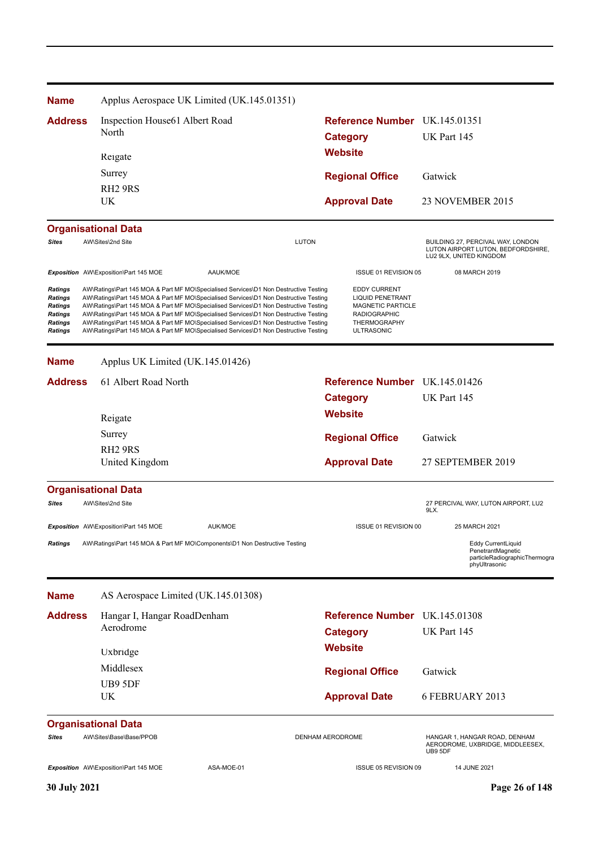| <b>Name</b>                                                                                | Applus Aerospace UK Limited (UK.145.01351)                                                                                                                                                                                                                                                                                                                                                                                                                                                                                                   |                                                                                                                                 |                                                                                                    |
|--------------------------------------------------------------------------------------------|----------------------------------------------------------------------------------------------------------------------------------------------------------------------------------------------------------------------------------------------------------------------------------------------------------------------------------------------------------------------------------------------------------------------------------------------------------------------------------------------------------------------------------------------|---------------------------------------------------------------------------------------------------------------------------------|----------------------------------------------------------------------------------------------------|
| <b>Address</b>                                                                             | Inspection House61 Albert Road<br>North                                                                                                                                                                                                                                                                                                                                                                                                                                                                                                      | Reference Number UK.145.01351<br><b>Category</b>                                                                                | UK Part 145                                                                                        |
|                                                                                            | Reigate                                                                                                                                                                                                                                                                                                                                                                                                                                                                                                                                      | <b>Website</b>                                                                                                                  |                                                                                                    |
|                                                                                            | Surrey                                                                                                                                                                                                                                                                                                                                                                                                                                                                                                                                       | <b>Regional Office</b>                                                                                                          | Gatwick                                                                                            |
|                                                                                            | RH <sub>2</sub> 9RS                                                                                                                                                                                                                                                                                                                                                                                                                                                                                                                          |                                                                                                                                 |                                                                                                    |
|                                                                                            | UK                                                                                                                                                                                                                                                                                                                                                                                                                                                                                                                                           | <b>Approval Date</b>                                                                                                            | <b>23 NOVEMBER 2015</b>                                                                            |
|                                                                                            | <b>Organisational Data</b>                                                                                                                                                                                                                                                                                                                                                                                                                                                                                                                   |                                                                                                                                 |                                                                                                    |
| <b>Sites</b>                                                                               | AW\Sites\2nd Site                                                                                                                                                                                                                                                                                                                                                                                                                                                                                                                            | <b>LUTON</b>                                                                                                                    | BUILDING 27, PERCIVAL WAY, LONDON<br>LUTON AIRPORT LUTON, BEDFORDSHIRE,<br>LU2 9LX, UNITED KINGDOM |
|                                                                                            | Exposition AW\Exposition\Part 145 MOE<br>AAUK/MOE                                                                                                                                                                                                                                                                                                                                                                                                                                                                                            | ISSUE 01 REVISION 05                                                                                                            | 08 MARCH 2019                                                                                      |
| Ratings<br><b>Ratings</b><br><b>Ratings</b><br>Ratings<br><b>Ratings</b><br><b>Ratings</b> | AW\Ratings\Part 145 MOA & Part MF MO\Specialised Services\D1 Non Destructive Testing<br>AW\Ratings\Part 145 MOA & Part MF MO\Specialised Services\D1 Non Destructive Testing<br>AW\Ratings\Part 145 MOA & Part MF MO\Specialised Services\D1 Non Destructive Testing<br>AW\Ratings\Part 145 MOA & Part MF MO\Specialised Services\D1 Non Destructive Testing<br>AW\Ratings\Part 145 MOA & Part MF MO\Specialised Services\D1 Non Destructive Testing<br>AW\Ratings\Part 145 MOA & Part MF MO\Specialised Services\D1 Non Destructive Testing | <b>EDDY CURRENT</b><br>LIQUID PENETRANT<br><b>MAGNETIC PARTICLE</b><br><b>RADIOGRAPHIC</b><br>THERMOGRAPHY<br><b>ULTRASONIC</b> |                                                                                                    |
| <b>Name</b>                                                                                | Applus UK Limited (UK.145.01426)                                                                                                                                                                                                                                                                                                                                                                                                                                                                                                             |                                                                                                                                 |                                                                                                    |
| <b>Address</b>                                                                             | 61 Albert Road North                                                                                                                                                                                                                                                                                                                                                                                                                                                                                                                         | Reference Number UK.145.01426                                                                                                   |                                                                                                    |
|                                                                                            |                                                                                                                                                                                                                                                                                                                                                                                                                                                                                                                                              | <b>Category</b>                                                                                                                 | UK Part 145                                                                                        |
|                                                                                            | Reigate                                                                                                                                                                                                                                                                                                                                                                                                                                                                                                                                      | <b>Website</b>                                                                                                                  |                                                                                                    |
|                                                                                            | Surrey                                                                                                                                                                                                                                                                                                                                                                                                                                                                                                                                       |                                                                                                                                 |                                                                                                    |
|                                                                                            | RH <sub>2</sub> 9RS                                                                                                                                                                                                                                                                                                                                                                                                                                                                                                                          | <b>Regional Office</b>                                                                                                          | Gatwick                                                                                            |
|                                                                                            | United Kingdom                                                                                                                                                                                                                                                                                                                                                                                                                                                                                                                               | <b>Approval Date</b>                                                                                                            | 27 SEPTEMBER 2019                                                                                  |
|                                                                                            | <b>Organisational Data</b>                                                                                                                                                                                                                                                                                                                                                                                                                                                                                                                   |                                                                                                                                 |                                                                                                    |
| Sites                                                                                      | AW\Sites\2nd Site                                                                                                                                                                                                                                                                                                                                                                                                                                                                                                                            |                                                                                                                                 | 27 PERCIVAL WAY, LUTON AIRPORT, LU2<br>9LX.                                                        |
|                                                                                            | AUK/MOE<br><b>Exposition</b> AW\Exposition\Part 145 MOE                                                                                                                                                                                                                                                                                                                                                                                                                                                                                      | ISSUE 01 REVISION 00                                                                                                            | 25 MARCH 2021                                                                                      |
| <b>Ratings</b>                                                                             | AW\Ratings\Part 145 MOA & Part MF MO\Components\D1 Non Destructive Testing                                                                                                                                                                                                                                                                                                                                                                                                                                                                   |                                                                                                                                 | <b>Eddy CurrentLiquid</b><br>PenetrantMagnetic<br>particleRadiographicThermogra<br>phyUltrasonic   |
| <b>Name</b>                                                                                | AS Aerospace Limited (UK.145.01308)                                                                                                                                                                                                                                                                                                                                                                                                                                                                                                          |                                                                                                                                 |                                                                                                    |
| <b>Address</b>                                                                             | Hangar I, Hangar RoadDenham                                                                                                                                                                                                                                                                                                                                                                                                                                                                                                                  | <b>Reference Number</b> UK.145.01308                                                                                            |                                                                                                    |
|                                                                                            | Aerodrome                                                                                                                                                                                                                                                                                                                                                                                                                                                                                                                                    | <b>Category</b>                                                                                                                 | UK Part 145                                                                                        |
|                                                                                            | Uxbridge                                                                                                                                                                                                                                                                                                                                                                                                                                                                                                                                     | <b>Website</b>                                                                                                                  |                                                                                                    |
|                                                                                            | Middlesex                                                                                                                                                                                                                                                                                                                                                                                                                                                                                                                                    |                                                                                                                                 |                                                                                                    |
|                                                                                            | UB9 5DF                                                                                                                                                                                                                                                                                                                                                                                                                                                                                                                                      | <b>Regional Office</b>                                                                                                          | Gatwick                                                                                            |
|                                                                                            | UK.                                                                                                                                                                                                                                                                                                                                                                                                                                                                                                                                          | <b>Approval Date</b>                                                                                                            | 6 FEBRUARY 2013                                                                                    |
|                                                                                            | <b>Organisational Data</b>                                                                                                                                                                                                                                                                                                                                                                                                                                                                                                                   |                                                                                                                                 |                                                                                                    |
| Sites                                                                                      | AW\Sites\Base\Base/PPOB                                                                                                                                                                                                                                                                                                                                                                                                                                                                                                                      | DENHAM AERODROME                                                                                                                | HANGAR 1, HANGAR ROAD, DENHAM<br>AERODROME, UXBRIDGE, MIDDLEESEX,<br>UB9 5DF                       |
|                                                                                            | Exposition AW\Exposition\Part 145 MOE<br>ASA-MOE-01                                                                                                                                                                                                                                                                                                                                                                                                                                                                                          | ISSUE 05 REVISION 09                                                                                                            | 14 JUNE 2021                                                                                       |
| 30 July 2021                                                                               |                                                                                                                                                                                                                                                                                                                                                                                                                                                                                                                                              |                                                                                                                                 | Page 26 of 148                                                                                     |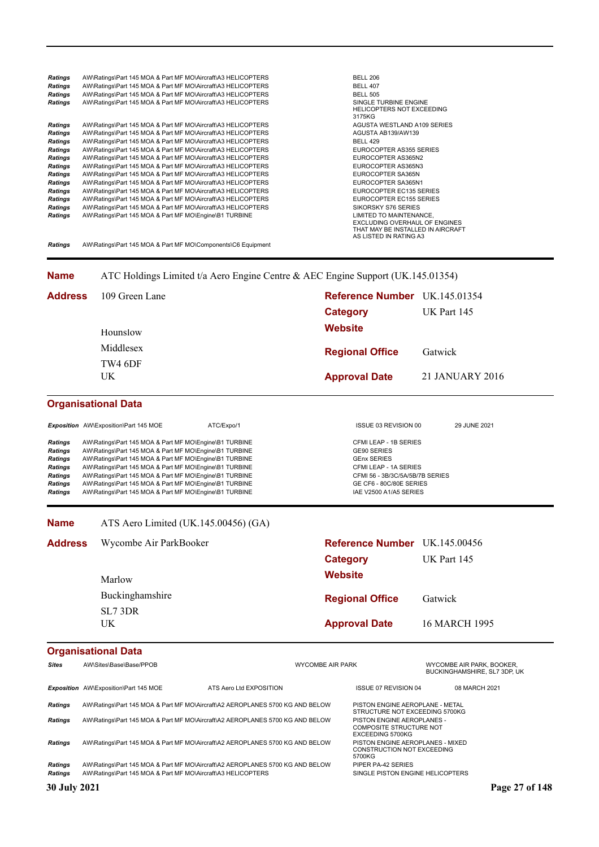| <b>Ratings</b> | AW\Ratings\Part 145 MOA & Part MF MO\Aircraft\A3 HELICOPTERS | <b>BELL 206</b>                                                                                                         |
|----------------|--------------------------------------------------------------|-------------------------------------------------------------------------------------------------------------------------|
| Ratings        | AW\Ratings\Part 145 MOA & Part MF MO\Aircraft\A3 HELICOPTERS | <b>BELL 407</b>                                                                                                         |
| Ratings        | AW\Ratings\Part 145 MOA & Part MF MO\Aircraft\A3 HELICOPTERS | <b>BELL 505</b>                                                                                                         |
| <b>Ratings</b> | AW\Ratings\Part 145 MOA & Part MF MO\Aircraft\A3 HELICOPTERS | SINGLE TURBINE ENGINE<br><b>HELICOPTERS NOT EXCEEDING</b><br>3175KG                                                     |
| Ratings        | AW\Ratings\Part 145 MOA & Part MF MO\Aircraft\A3 HELICOPTERS | AGUSTA WESTLAND A109 SERIES                                                                                             |
| Ratings        | AW\Ratings\Part 145 MOA & Part MF MO\Aircraft\A3 HELICOPTERS | AGUSTA AB139/AW139                                                                                                      |
| <b>Ratings</b> | AW\Ratings\Part 145 MOA & Part MF MO\Aircraft\A3 HELICOPTERS | <b>BELL 429</b>                                                                                                         |
| <b>Ratings</b> | AW\Ratings\Part 145 MOA & Part MF MO\Aircraft\A3 HELICOPTERS | EUROCOPTER AS355 SERIES                                                                                                 |
| <b>Ratings</b> | AW\Ratings\Part 145 MOA & Part MF MO\Aircraft\A3 HELICOPTERS | EUROCOPTER AS365N2                                                                                                      |
| <b>Ratings</b> | AW\Ratings\Part 145 MOA & Part MF MO\Aircraft\A3 HELICOPTERS | EUROCOPTER AS365N3                                                                                                      |
| <b>Ratings</b> | AW\Ratings\Part 145 MOA & Part MF MO\Aircraft\A3 HELICOPTERS | EUROCOPTER SA365N                                                                                                       |
| Ratings        | AW\Ratings\Part 145 MOA & Part MF MO\Aircraft\A3 HELICOPTERS | EUROCOPTER SA365N1                                                                                                      |
| Ratings        | AW\Ratings\Part 145 MOA & Part MF MO\Aircraft\A3 HELICOPTERS | EUROCOPTER EC135 SERIES                                                                                                 |
| <b>Ratings</b> | AW\Ratings\Part 145 MOA & Part MF MO\Aircraft\A3 HELICOPTERS | EUROCOPTER EC155 SERIES                                                                                                 |
| <b>Ratings</b> | AW\Ratings\Part 145 MOA & Part MF MO\Aircraft\A3 HELICOPTERS | SIKORSKY S76 SERIES                                                                                                     |
| <b>Ratings</b> | AW\Ratings\Part 145 MOA & Part MF MO\Engine\B1 TURBINE       | LIMITED TO MAINTENANCE,<br>EXCLUDING OVERHAUL OF ENGINES<br>THAT MAY BE INSTALLED IN AIRCRAFT<br>AS LISTED IN RATING A3 |

*Ratings* AW\Ratings\Part 145 MOA & Part MF MO\Components\C6 Equipment

#### **Name** ATC Holdings Limited t/a Aero Engine Centre & AEC Engine Support (UK.145.01354)

| <b>Address</b> | 109 Green Lane | Reference Number UK.145.01354 |                 |  |
|----------------|----------------|-------------------------------|-----------------|--|
|                |                | Category                      | UK Part 145     |  |
|                | Hounslow       | <b>Website</b>                |                 |  |
|                | Middlesex      | <b>Regional Office</b>        | Gatwick         |  |
|                | TW4 6DF<br>UK. | <b>Approval Date</b>          | 21 JANUARY 2016 |  |

# **Organisational Data**

|                                                                                                                            | <b>Exposition</b> AW\Exposition\Part 145 MOE                                                                                                                                                                                                                                                                                                                                                                       | ATC/Expo/1 | ISSUE 03 REVISION 00                                                                                                                                                        | 29 JUNE 2021 |
|----------------------------------------------------------------------------------------------------------------------------|--------------------------------------------------------------------------------------------------------------------------------------------------------------------------------------------------------------------------------------------------------------------------------------------------------------------------------------------------------------------------------------------------------------------|------------|-----------------------------------------------------------------------------------------------------------------------------------------------------------------------------|--------------|
| <b>Ratings</b><br><b>Ratings</b><br><b>Ratings</b><br><b>Ratings</b><br><b>Ratings</b><br><b>Ratings</b><br><b>Ratings</b> | AW\Ratings\Part 145 MOA & Part MF MO\Engine\B1 TURBINE<br>AW\Ratings\Part 145 MOA & Part MF MO\Engine\B1 TURBINE<br>AW\Ratings\Part 145 MOA & Part MF MO\Engine\B1 TURBINE<br>AW\Ratings\Part 145 MOA & Part MF MO\Engine\B1 TURBINE<br>AW\Ratings\Part 145 MOA & Part MF MO\Engine\B1 TURBINE<br>AW\Ratings\Part 145 MOA & Part MF MO\Engine\B1 TURBINE<br>AW\Ratings\Part 145 MOA & Part MF MO\Engine\B1 TURBINE |            | CFMI LEAP - 1B SERIES<br>GE90 SERIES<br><b>GEnx SERIES</b><br>CFMI LEAP - 1A SERIES<br>CFMI 56 - 3B/3C/5A/5B/7B SERIES<br>GE CF6 - 80C/80E SERIES<br>IAE V2500 A1/A5 SERIES |              |

#### **Name** ATS Aero Limited (UK.145.00456) (GA)

| <b>Address</b> | Wycombe Air ParkBooker | Reference Number UK.145.00456 |               |  |
|----------------|------------------------|-------------------------------|---------------|--|
|                |                        | <b>Category</b>               | UK Part 145   |  |
|                | Marlow                 | <b>Website</b>                |               |  |
|                | Buckinghamshire        | <b>Regional Office</b>        | Gatwick       |  |
|                | SL7 3DR<br>UK          | <b>Approval Date</b>          | 16 MARCH 1995 |  |

| <b>Sites</b>        | AW\Sites\Base\Base/PPOB                                                       |                         | <b>WYCOMBE AIR PARK</b> |                                                                                  | WYCOMBE AIR PARK, BOOKER.<br>BUCKINGHAMSHIRE, SL7 3DP, UK |                |
|---------------------|-------------------------------------------------------------------------------|-------------------------|-------------------------|----------------------------------------------------------------------------------|-----------------------------------------------------------|----------------|
|                     | Exposition AW\Exposition\Part 145 MOE                                         | ATS Aero Ltd EXPOSITION |                         | <b>ISSUE 07 REVISION 04</b>                                                      | 08 MARCH 2021                                             |                |
| <b>Ratings</b>      | AW\Ratings\Part 145 MOA & Part MF MO\Aircraft\A2 AEROPLANES 5700 KG AND BELOW |                         |                         | PISTON ENGINE AEROPLANE - METAL<br>STRUCTURE NOT EXCEEDING 5700KG                |                                                           |                |
| <b>Ratings</b>      | AW\Ratings\Part 145 MOA & Part MF MO\Aircraft\A2 AEROPLANES 5700 KG AND BELOW |                         |                         | PISTON ENGINE AEROPLANES -<br><b>COMPOSITE STRUCTURE NOT</b><br>EXCEEDING 5700KG |                                                           |                |
| <b>Ratings</b>      | AW\Ratings\Part 145 MOA & Part MF MO\Aircraft\A2 AEROPLANES 5700 KG AND BELOW |                         |                         | PISTON ENGINE AEROPLANES - MIXED<br><b>CONSTRUCTION NOT EXCEEDING</b><br>5700KG  |                                                           |                |
| <b>Ratings</b>      | AW\Ratings\Part 145 MOA & Part MF MO\Aircraft\A2 AEROPLANES 5700 KG AND BELOW |                         |                         | PIPER PA-42 SERIES                                                               |                                                           |                |
| <b>Ratings</b>      | AW\Ratings\Part 145 MOA & Part MF MO\Aircraft\A3 HELICOPTERS                  |                         |                         | SINGLE PISTON ENGINE HELICOPTERS                                                 |                                                           |                |
| <b>30 July 2021</b> |                                                                               |                         |                         |                                                                                  |                                                           | Page 27 of 148 |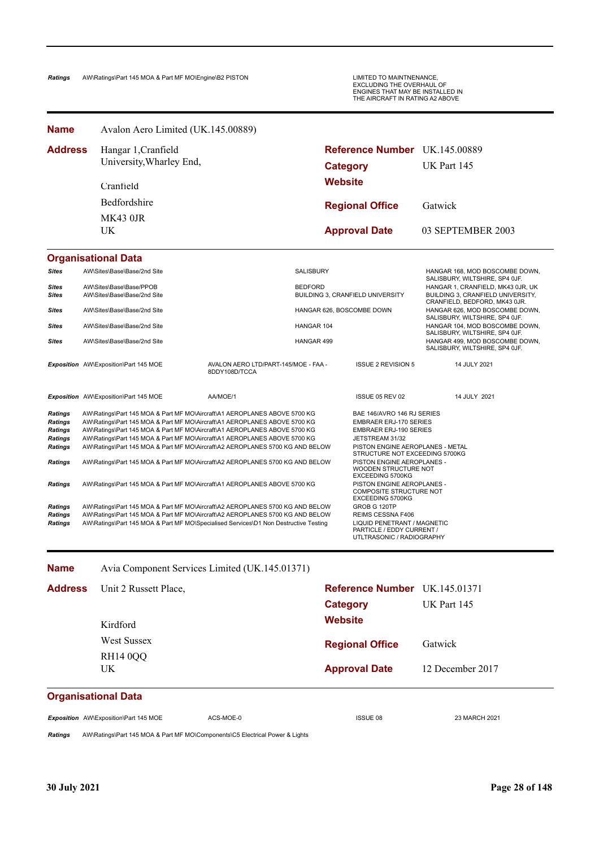| <b>Name</b>                                                                            | Avalon Aero Limited (UK.145.00889)                                                                                                                                                                                                                                                                                                                                                                |                                                       |                   |                                                                                                                                                                                       |                                                                                                         |
|----------------------------------------------------------------------------------------|---------------------------------------------------------------------------------------------------------------------------------------------------------------------------------------------------------------------------------------------------------------------------------------------------------------------------------------------------------------------------------------------------|-------------------------------------------------------|-------------------|---------------------------------------------------------------------------------------------------------------------------------------------------------------------------------------|---------------------------------------------------------------------------------------------------------|
| <b>Address</b>                                                                         | Hangar 1, Cranfield<br>University, Wharley End,                                                                                                                                                                                                                                                                                                                                                   |                                                       |                   | <b>Reference Number</b> UK.145.00889<br><b>Category</b>                                                                                                                               | UK Part 145                                                                                             |
|                                                                                        | Cranfield                                                                                                                                                                                                                                                                                                                                                                                         |                                                       |                   | <b>Website</b>                                                                                                                                                                        |                                                                                                         |
|                                                                                        | Bedfordshire                                                                                                                                                                                                                                                                                                                                                                                      |                                                       |                   | <b>Regional Office</b>                                                                                                                                                                | Gatwick                                                                                                 |
|                                                                                        | <b>MK43 0JR</b>                                                                                                                                                                                                                                                                                                                                                                                   |                                                       |                   |                                                                                                                                                                                       |                                                                                                         |
|                                                                                        | UK.                                                                                                                                                                                                                                                                                                                                                                                               |                                                       |                   | <b>Approval Date</b>                                                                                                                                                                  | 03 SEPTEMBER 2003                                                                                       |
|                                                                                        | <b>Organisational Data</b>                                                                                                                                                                                                                                                                                                                                                                        |                                                       |                   |                                                                                                                                                                                       |                                                                                                         |
| Sites                                                                                  | AW\Sites\Base\Base/2nd Site                                                                                                                                                                                                                                                                                                                                                                       |                                                       | <b>SALISBURY</b>  |                                                                                                                                                                                       | HANGAR 168, MOD BOSCOMBE DOWN,<br>SALISBURY, WILTSHIRE, SP4 OJF.                                        |
| Sites<br><b>Sites</b>                                                                  | AW\Sites\Base\Base/PPOB<br>AW\Sites\Base\Base/2nd Site                                                                                                                                                                                                                                                                                                                                            |                                                       | <b>BEDFORD</b>    | BUILDING 3, CRANFIELD UNIVERSITY                                                                                                                                                      | HANGAR 1, CRANFIELD, MK43 0JR, UK<br>BUILDING 3, CRANFIELD UNIVERSITY,<br>CRANFIELD, BEDFORD, MK43 0JR. |
| <b>Sites</b>                                                                           | AW\Sites\Base\Base/2nd Site                                                                                                                                                                                                                                                                                                                                                                       |                                                       |                   | HANGAR 626, BOSCOMBE DOWN                                                                                                                                                             | HANGAR 626, MOD BOSCOMBE DOWN,<br>SALISBURY, WILTSHIRE, SP4 OJF.                                        |
| Sites                                                                                  | AW\Sites\Base\Base/2nd Site                                                                                                                                                                                                                                                                                                                                                                       |                                                       | <b>HANGAR 104</b> |                                                                                                                                                                                       | HANGAR 104, MOD BOSCOMBE DOWN,                                                                          |
| Sites                                                                                  | AW\Sites\Base\Base/2nd Site                                                                                                                                                                                                                                                                                                                                                                       |                                                       | HANGAR 499        |                                                                                                                                                                                       | SALISBURY, WILTSHIRE, SP4 OJF.<br>HANGAR 499, MOD BOSCOMBE DOWN,<br>SALISBURY, WILTSHIRE, SP4 OJF.      |
|                                                                                        | <b>Exposition</b> AW\Exposition\Part 145 MOE                                                                                                                                                                                                                                                                                                                                                      | AVALON AERO LTD/PART-145/MOE - FAA -<br>8DDY108D/TCCA |                   | <b>ISSUE 2 REVISION 5</b>                                                                                                                                                             | 14 JULY 2021                                                                                            |
|                                                                                        | Exposition AW\Exposition\Part 145 MOE                                                                                                                                                                                                                                                                                                                                                             | AA/MOE/1                                              |                   | ISSUE 05 REV 02                                                                                                                                                                       | 14 JULY 2021                                                                                            |
| <b>Ratings</b><br><b>Ratings</b><br><b>Ratings</b><br><b>Ratings</b><br><b>Ratings</b> | AW\Ratings\Part 145 MOA & Part MF MO\Aircraft\A1 AEROPLANES ABOVE 5700 KG<br>AW\Ratings\Part 145 MOA & Part MF MO\Aircraft\A1 AEROPLANES ABOVE 5700 KG<br>AW\Ratings\Part 145 MOA & Part MF MO\Aircraft\A1 AEROPLANES ABOVE 5700 KG<br>AW\Ratings\Part 145 MOA & Part MF MO\Aircraft\A1 AEROPLANES ABOVE 5700 KG<br>AW\Ratings\Part 145 MOA & Part MF MO\Aircraft\A2 AEROPLANES 5700 KG AND BELOW |                                                       |                   | BAE 146/AVRO 146 RJ SERIES<br><b>EMBRAER ERJ-170 SERIES</b><br><b>EMBRAER ERJ-190 SERIES</b><br>JETSTREAM 31/32<br>PISTON ENGINE AEROPLANES - METAL<br>STRUCTURE NOT EXCEEDING 5700KG |                                                                                                         |
| Ratings                                                                                | AW\Ratings\Part 145 MOA & Part MF MO\Aircraft\A2 AEROPLANES 5700 KG AND BELOW                                                                                                                                                                                                                                                                                                                     |                                                       |                   | PISTON ENGINE AEROPLANES -<br>WOODEN STRUCTURE NOT<br><b>EXCEEDING 5700KG</b>                                                                                                         |                                                                                                         |
| Ratings                                                                                | AW\Ratings\Part 145 MOA & Part MF MO\Aircraft\A1 AEROPLANES ABOVE 5700 KG                                                                                                                                                                                                                                                                                                                         |                                                       |                   | PISTON ENGINE AEROPLANES -<br>COMPOSITE STRUCTURE NOT<br>EXCEEDING 5700KG                                                                                                             |                                                                                                         |
| <b>Ratings</b><br><b>Ratings</b><br><b>Ratings</b>                                     | AW\Ratings\Part 145 MOA & Part MF MO\Aircraft\A2 AEROPLANES 5700 KG AND BELOW<br>AW\Ratings\Part 145 MOA & Part MF MO\Aircraft\A2 AEROPLANES 5700 KG AND BELOW<br>AW\Ratings\Part 145 MOA & Part MF MO\Specialised Services\D1 Non Destructive Testing                                                                                                                                            |                                                       |                   | GROB G 120TP<br>REIMS CESSNA F406<br>LIQUID PENETRANT / MAGNETIC<br>PARTICLE / EDDY CURRENT /<br>UTLTRASONIC / RADIOGRAPHY                                                            |                                                                                                         |

| <b>Name</b>         | Avia Component Services Limited (UK.145.01371) |                               |                  |
|---------------------|------------------------------------------------|-------------------------------|------------------|
| <b>Address</b>      | Unit 2 Russett Place,                          | Reference Number UK.145.01371 |                  |
|                     |                                                | Category                      | UK Part 145      |
|                     | Kirdford                                       | <b>Website</b>                |                  |
|                     | West Sussex                                    | <b>Regional Office</b>        | Gatwick          |
|                     | <b>RH14 0QQ</b>                                |                               |                  |
|                     | UK.                                            | <b>Approval Date</b>          | 12 December 2017 |
| Organicational Data |                                                |                               |                  |

### **Organisational Data**

**Exposition** AW\Exposition\Part 145 MOE ACS-MOE-0 ACS-MOE-0 ISSUE 08 ISSUE 08 23 MARCH 2021

*Ratings* AW\Ratings\Part 145 MOA & Part MF MO\Components\C5 Electrical Power & Lights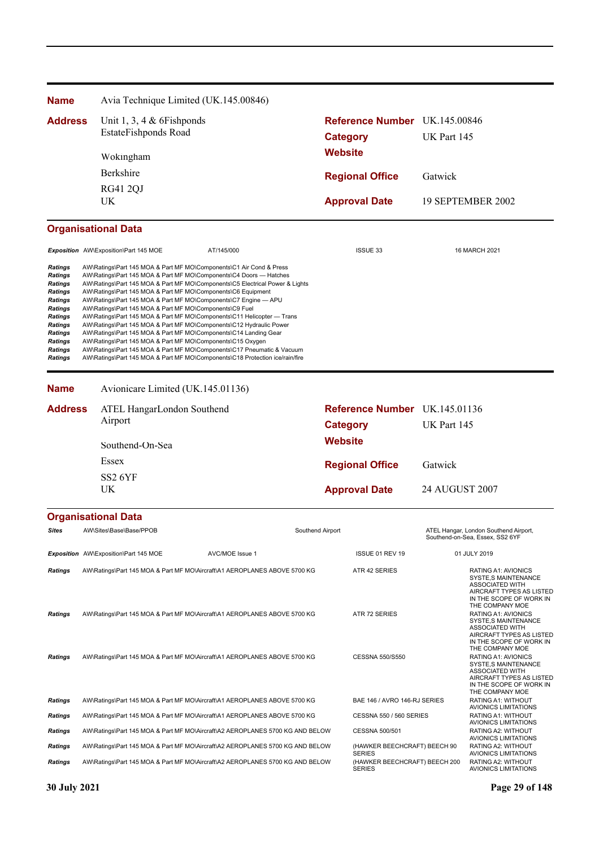| <b>Name</b>                                                                                                                                                  | Avia Technique Limited (UK.145.00846)                                                                                                                                                                                                                                                                                                                                                                                                                                                                                                                                                                                                                                                                                                                                                                                                                                |                 |                  |                                                |                       |                                                                                                                                                                                                                        |
|--------------------------------------------------------------------------------------------------------------------------------------------------------------|----------------------------------------------------------------------------------------------------------------------------------------------------------------------------------------------------------------------------------------------------------------------------------------------------------------------------------------------------------------------------------------------------------------------------------------------------------------------------------------------------------------------------------------------------------------------------------------------------------------------------------------------------------------------------------------------------------------------------------------------------------------------------------------------------------------------------------------------------------------------|-----------------|------------------|------------------------------------------------|-----------------------|------------------------------------------------------------------------------------------------------------------------------------------------------------------------------------------------------------------------|
| <b>Address</b>                                                                                                                                               | Unit 1, 3, 4 $&$ 6 Fishponds                                                                                                                                                                                                                                                                                                                                                                                                                                                                                                                                                                                                                                                                                                                                                                                                                                         |                 |                  | Reference Number UK.145.00846                  |                       |                                                                                                                                                                                                                        |
|                                                                                                                                                              | EstateFishponds Road                                                                                                                                                                                                                                                                                                                                                                                                                                                                                                                                                                                                                                                                                                                                                                                                                                                 |                 |                  | <b>Category</b>                                | UK Part 145           |                                                                                                                                                                                                                        |
|                                                                                                                                                              | Wokingham                                                                                                                                                                                                                                                                                                                                                                                                                                                                                                                                                                                                                                                                                                                                                                                                                                                            |                 | <b>Website</b>   |                                                |                       |                                                                                                                                                                                                                        |
|                                                                                                                                                              | Berkshire                                                                                                                                                                                                                                                                                                                                                                                                                                                                                                                                                                                                                                                                                                                                                                                                                                                            |                 |                  | <b>Regional Office</b>                         | Gatwick               |                                                                                                                                                                                                                        |
|                                                                                                                                                              | <b>RG41 2QJ</b>                                                                                                                                                                                                                                                                                                                                                                                                                                                                                                                                                                                                                                                                                                                                                                                                                                                      |                 |                  |                                                |                       |                                                                                                                                                                                                                        |
|                                                                                                                                                              | UK                                                                                                                                                                                                                                                                                                                                                                                                                                                                                                                                                                                                                                                                                                                                                                                                                                                                   |                 |                  | <b>Approval Date</b>                           |                       | 19 SEPTEMBER 2002                                                                                                                                                                                                      |
|                                                                                                                                                              | <b>Organisational Data</b>                                                                                                                                                                                                                                                                                                                                                                                                                                                                                                                                                                                                                                                                                                                                                                                                                                           |                 |                  |                                                |                       |                                                                                                                                                                                                                        |
|                                                                                                                                                              | Exposition AW\Exposition\Part 145 MOE                                                                                                                                                                                                                                                                                                                                                                                                                                                                                                                                                                                                                                                                                                                                                                                                                                | AT/145/000      |                  | <b>ISSUE 33</b>                                |                       | 16 MARCH 2021                                                                                                                                                                                                          |
| Ratings<br><b>Ratings</b><br>Ratings<br>Ratings<br>Ratings<br><b>Ratings</b><br>Ratings<br>Ratings<br>Ratings<br><b>Ratings</b><br>Ratings<br><b>Ratings</b> | AW\Ratings\Part 145 MOA & Part MF MO\Components\C1 Air Cond & Press<br>AW\Ratings\Part 145 MOA & Part MF MO\Components\C4 Doors - Hatches<br>AW\Ratings\Part 145 MOA & Part MF MO\Components\C5 Electrical Power & Lights<br>AW\Ratings\Part 145 MOA & Part MF MO\Components\C6 Equipment<br>AW\Ratings\Part 145 MOA & Part MF MO\Components\C7 Engine - APU<br>AW\Ratings\Part 145 MOA & Part MF MO\Components\C9 Fuel<br>AW\Ratings\Part 145 MOA & Part MF MO\Components\C11 Helicopter - Trans<br>AW\Ratings\Part 145 MOA & Part MF MO\Components\C12 Hydraulic Power<br>AW\Ratings\Part 145 MOA & Part MF MO\Components\C14 Landing Gear<br>AW\Ratings\Part 145 MOA & Part MF MO\Components\C15 Oxygen<br>AW\Ratings\Part 145 MOA & Part MF MO\Components\C17 Pneumatic & Vacuum<br>AW\Ratings\Part 145 MOA & Part MF MO\Components\C18 Protection ice/rain/fire |                 |                  |                                                |                       |                                                                                                                                                                                                                        |
| <b>Name</b>                                                                                                                                                  | Avionicare Limited (UK.145.01136)                                                                                                                                                                                                                                                                                                                                                                                                                                                                                                                                                                                                                                                                                                                                                                                                                                    |                 |                  |                                                |                       |                                                                                                                                                                                                                        |
| <b>Address</b>                                                                                                                                               | ATEL HangarLondon Southend                                                                                                                                                                                                                                                                                                                                                                                                                                                                                                                                                                                                                                                                                                                                                                                                                                           |                 |                  | Reference Number UK.145.01136                  |                       |                                                                                                                                                                                                                        |
|                                                                                                                                                              | Airport                                                                                                                                                                                                                                                                                                                                                                                                                                                                                                                                                                                                                                                                                                                                                                                                                                                              |                 |                  | <b>Category</b>                                | UK Part 145           |                                                                                                                                                                                                                        |
|                                                                                                                                                              | Southend-On-Sea                                                                                                                                                                                                                                                                                                                                                                                                                                                                                                                                                                                                                                                                                                                                                                                                                                                      |                 | <b>Website</b>   |                                                |                       |                                                                                                                                                                                                                        |
|                                                                                                                                                              | Essex                                                                                                                                                                                                                                                                                                                                                                                                                                                                                                                                                                                                                                                                                                                                                                                                                                                                |                 |                  | <b>Regional Office</b>                         | Gatwick               |                                                                                                                                                                                                                        |
|                                                                                                                                                              | SS <sub>2</sub> 6YF                                                                                                                                                                                                                                                                                                                                                                                                                                                                                                                                                                                                                                                                                                                                                                                                                                                  |                 |                  |                                                |                       |                                                                                                                                                                                                                        |
|                                                                                                                                                              | UK                                                                                                                                                                                                                                                                                                                                                                                                                                                                                                                                                                                                                                                                                                                                                                                                                                                                   |                 |                  | <b>Approval Date</b>                           | <b>24 AUGUST 2007</b> |                                                                                                                                                                                                                        |
|                                                                                                                                                              | <b>Organisational Data</b>                                                                                                                                                                                                                                                                                                                                                                                                                                                                                                                                                                                                                                                                                                                                                                                                                                           |                 |                  |                                                |                       |                                                                                                                                                                                                                        |
| Sites                                                                                                                                                        | AW\Sites\Base\Base/PPOB                                                                                                                                                                                                                                                                                                                                                                                                                                                                                                                                                                                                                                                                                                                                                                                                                                              |                 | Southend Airport |                                                |                       | ATEL Hangar, London Southend Airport,<br>Southend-on-Sea, Essex, SS2 6YF                                                                                                                                               |
|                                                                                                                                                              | Exposition AW\Exposition\Part 145 MOE                                                                                                                                                                                                                                                                                                                                                                                                                                                                                                                                                                                                                                                                                                                                                                                                                                | AVC/MOE Issue 1 |                  | ISSUE 01 REV 19                                |                       | 01 JULY 2019                                                                                                                                                                                                           |
| <b>Ratings</b><br><b>Ratings</b>                                                                                                                             | AW\Ratings\Part 145 MOA & Part MF MO\Aircraft\A1 AEROPLANES ABOVE 5700 KG<br>AW\Ratings\Part 145 MOA & Part MF MO\Aircraft\A1 AEROPLANES ABOVE 5700 KG                                                                                                                                                                                                                                                                                                                                                                                                                                                                                                                                                                                                                                                                                                               |                 |                  | ATR 42 SERIES<br>ATR 72 SERIES                 |                       | RATING A1: AVIONICS<br>SYSTE,S MAINTENANCE<br><b>ASSOCIATED WITH</b><br>AIRCRAFT TYPES AS LISTED<br>IN THE SCOPE OF WORK IN<br>THE COMPANY MOE<br>RATING A1: AVIONICS<br>SYSTE,S MAINTENANCE<br><b>ASSOCIATED WITH</b> |
| <b>Ratings</b>                                                                                                                                               | AW\Ratings\Part 145 MOA & Part MF MO\Aircraft\A1 AEROPLANES ABOVE 5700 KG                                                                                                                                                                                                                                                                                                                                                                                                                                                                                                                                                                                                                                                                                                                                                                                            |                 |                  | CESSNA 550/S550                                |                       | AIRCRAFT TYPES AS LISTED<br>IN THE SCOPE OF WORK IN<br>THE COMPANY MOE<br>RATING A1: AVIONICS<br><b>SYSTE,S MAINTENANCE</b><br>ASSOCIATED WITH<br>AIRCRAFT TYPES AS LISTED<br>IN THE SCOPE OF WORK IN                  |
| <b>Ratings</b>                                                                                                                                               | AW\Ratings\Part 145 MOA & Part MF MO\Aircraft\A1 AEROPLANES ABOVE 5700 KG                                                                                                                                                                                                                                                                                                                                                                                                                                                                                                                                                                                                                                                                                                                                                                                            |                 |                  | BAE 146 / AVRO 146-RJ SERIES                   |                       | THE COMPANY MOE<br>RATING A1: WITHOUT                                                                                                                                                                                  |
| <b>Ratings</b>                                                                                                                                               | AW\Ratings\Part 145 MOA & Part MF MO\Aircraft\A1 AEROPLANES ABOVE 5700 KG                                                                                                                                                                                                                                                                                                                                                                                                                                                                                                                                                                                                                                                                                                                                                                                            |                 |                  | <b>CESSNA 550 / 560 SERIES</b>                 |                       | AVIONICS LIMITATIONS<br>RATING A1: WITHOUT                                                                                                                                                                             |
| Ratings                                                                                                                                                      | AW\Ratings\Part 145 MOA & Part MF MO\Aircraft\A2 AEROPLANES 5700 KG AND BELOW                                                                                                                                                                                                                                                                                                                                                                                                                                                                                                                                                                                                                                                                                                                                                                                        |                 |                  | CESSNA 500/501                                 |                       | AVIONICS LIMITATIONS<br>RATING A2: WITHOUT<br><b>AVIONICS LIMITATIONS</b>                                                                                                                                              |
| Ratings                                                                                                                                                      | AW\Ratings\Part 145 MOA & Part MF MO\Aircraft\A2 AEROPLANES 5700 KG AND BELOW                                                                                                                                                                                                                                                                                                                                                                                                                                                                                                                                                                                                                                                                                                                                                                                        |                 |                  | (HAWKER BEECHCRAFT) BEECH 90<br><b>SERIES</b>  |                       | RATING A2: WITHOUT<br><b>AVIONICS LIMITATIONS</b>                                                                                                                                                                      |
| <b>Ratings</b>                                                                                                                                               | AW\Ratings\Part 145 MOA & Part MF MO\Aircraft\A2 AEROPLANES 5700 KG AND BELOW                                                                                                                                                                                                                                                                                                                                                                                                                                                                                                                                                                                                                                                                                                                                                                                        |                 |                  | (HAWKER BEECHCRAFT) BEECH 200<br><b>SERIES</b> |                       | RATING A2: WITHOUT<br>AVIONICS LIMITATIONS                                                                                                                                                                             |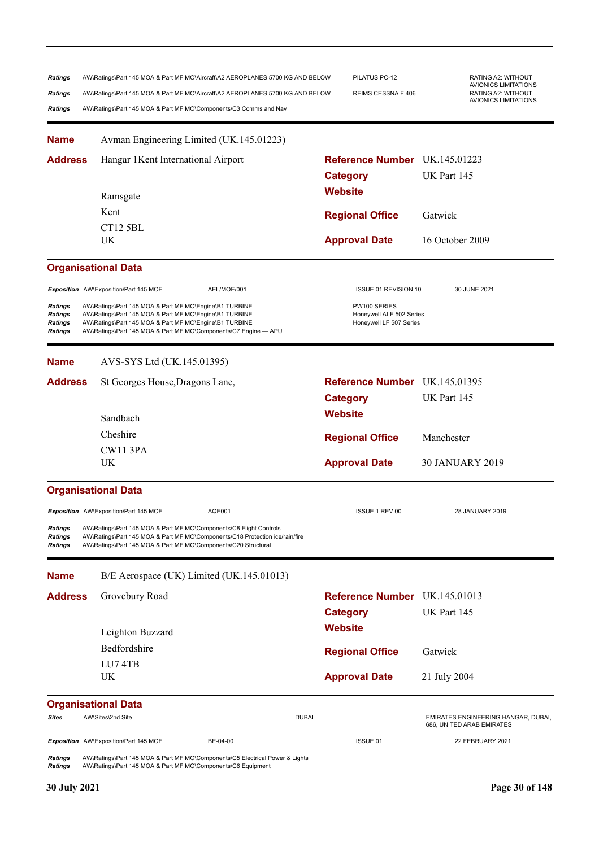| <b>Ratings</b><br>Ratings<br>Ratings     | AW\Ratings\Part 145 MOA & Part MF MO\Aircraft\A2 AEROPLANES 5700 KG AND BELOW<br>AW\Ratings\Part 145 MOA & Part MF MO\Aircraft\A2 AEROPLANES 5700 KG AND BELOW<br>AW\Ratings\Part 145 MOA & Part MF MO\Components\C3 Comms and Nav            | PILATUS PC-12<br>REIMS CESSNA F 406                                 | RATING A2: WITHOUT<br>AVIONICS LIMITATIONS<br>RATING A2: WITHOUT<br><b>AVIONICS LIMITATIONS</b> |
|------------------------------------------|-----------------------------------------------------------------------------------------------------------------------------------------------------------------------------------------------------------------------------------------------|---------------------------------------------------------------------|-------------------------------------------------------------------------------------------------|
| <b>Name</b>                              | Avman Engineering Limited (UK.145.01223)                                                                                                                                                                                                      |                                                                     |                                                                                                 |
| <b>Address</b>                           | Hangar 1Kent International Airport                                                                                                                                                                                                            | Reference Number UK.145.01223<br><b>Category</b>                    | UK Part 145                                                                                     |
|                                          | Ramsgate                                                                                                                                                                                                                                      | <b>Website</b>                                                      |                                                                                                 |
|                                          | Kent                                                                                                                                                                                                                                          | <b>Regional Office</b>                                              | Gatwick                                                                                         |
|                                          | CT12 5BL                                                                                                                                                                                                                                      |                                                                     |                                                                                                 |
|                                          | UK                                                                                                                                                                                                                                            | <b>Approval Date</b>                                                | 16 October 2009                                                                                 |
|                                          | <b>Organisational Data</b>                                                                                                                                                                                                                    |                                                                     |                                                                                                 |
|                                          | Exposition AW\Exposition\Part 145 MOE<br>AEL/MOE/001                                                                                                                                                                                          | ISSUE 01 REVISION 10                                                | 30 JUNE 2021                                                                                    |
| Ratings<br>Ratings<br>Ratings<br>Ratings | AW\Ratings\Part 145 MOA & Part MF MO\Engine\B1 TURBINE<br>AW\Ratings\Part 145 MOA & Part MF MO\Engine\B1 TURBINE<br>AW\Ratings\Part 145 MOA & Part MF MO\Engine\B1 TURBINE<br>AW\Ratings\Part 145 MOA & Part MF MO\Components\C7 Engine - APU | PW100 SERIES<br>Honeywell ALF 502 Series<br>Honeywell LF 507 Series |                                                                                                 |
| <b>Name</b>                              | AVS-SYS Ltd (UK.145.01395)                                                                                                                                                                                                                    |                                                                     |                                                                                                 |
| <b>Address</b>                           | St Georges House, Dragons Lane,                                                                                                                                                                                                               | Reference Number UK.145.01395                                       |                                                                                                 |
|                                          |                                                                                                                                                                                                                                               | <b>Category</b>                                                     | UK Part 145                                                                                     |
|                                          | Sandbach                                                                                                                                                                                                                                      | <b>Website</b>                                                      |                                                                                                 |
|                                          | Cheshire                                                                                                                                                                                                                                      | <b>Regional Office</b>                                              | Manchester                                                                                      |
|                                          | <b>CW11 3PA</b>                                                                                                                                                                                                                               |                                                                     |                                                                                                 |
|                                          | UK                                                                                                                                                                                                                                            | <b>Approval Date</b>                                                | <b>30 JANUARY 2019</b>                                                                          |
|                                          | <b>Organisational Data</b>                                                                                                                                                                                                                    |                                                                     |                                                                                                 |
|                                          | Exposition AW\Exposition\Part 145 MOE<br>AQE001                                                                                                                                                                                               | <b>ISSUE 1 REV 00</b>                                               | 28 JANUARY 2019                                                                                 |
| Ratings<br>Ratings<br>Ratings            | AW\Ratings\Part 145 MOA & Part MF MO\Components\C8 Flight Controls<br>AW\Ratings\Part 145 MOA & Part MF MO\Components\C18 Protection ice/rain/fire<br>AW\Ratings\Part 145 MOA & Part MF MO\Components\C20 Structural                          |                                                                     |                                                                                                 |
| <b>Name</b>                              | B/E Aerospace (UK) Limited (UK.145.01013)                                                                                                                                                                                                     |                                                                     |                                                                                                 |
| <b>Address</b>                           | Grovebury Road                                                                                                                                                                                                                                | Reference Number UK.145.01013                                       |                                                                                                 |
|                                          |                                                                                                                                                                                                                                               | <b>Category</b>                                                     | UK Part 145                                                                                     |
|                                          | Leighton Buzzard                                                                                                                                                                                                                              | <b>Website</b>                                                      |                                                                                                 |
|                                          | Bedfordshire                                                                                                                                                                                                                                  | <b>Regional Office</b>                                              | Gatwick                                                                                         |
|                                          | LU74TB                                                                                                                                                                                                                                        |                                                                     |                                                                                                 |
|                                          | UK                                                                                                                                                                                                                                            | <b>Approval Date</b>                                                | 21 July 2004                                                                                    |
|                                          | <b>Organisational Data</b>                                                                                                                                                                                                                    |                                                                     |                                                                                                 |
| Sites                                    | AW\Sites\2nd Site                                                                                                                                                                                                                             | <b>DUBAI</b>                                                        | EMIRATES ENGINEERING HANGAR, DUBAI,<br>686, UNITED ARAB EMIRATES                                |
|                                          | Exposition AW\Exposition\Part 145 MOE<br>BE-04-00                                                                                                                                                                                             | ISSUE 01                                                            | 22 FEBRUARY 2021                                                                                |
| Ratings<br>Ratings                       | AW\Ratings\Part 145 MOA & Part MF MO\Components\C5 Electrical Power & Lights<br>AW\Ratings\Part 145 MOA & Part MF MO\Components\C6 Equipment                                                                                                  |                                                                     |                                                                                                 |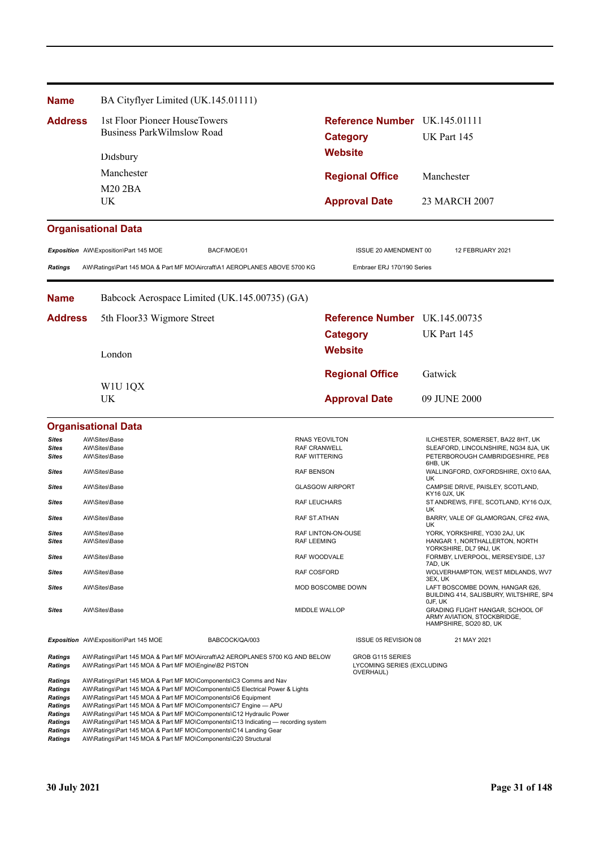| <b>Name</b>                                                                                                             | BA Cityflyer Limited (UK.145.01111)                                                                                            |                                                                                                                                                                                                                                                                                                                                                                                                                                                     |                                              |                                                             |             |                                                                                           |
|-------------------------------------------------------------------------------------------------------------------------|--------------------------------------------------------------------------------------------------------------------------------|-----------------------------------------------------------------------------------------------------------------------------------------------------------------------------------------------------------------------------------------------------------------------------------------------------------------------------------------------------------------------------------------------------------------------------------------------------|----------------------------------------------|-------------------------------------------------------------|-------------|-------------------------------------------------------------------------------------------|
| <b>Address</b>                                                                                                          | 1st Floor Pioneer HouseTowers<br><b>Business ParkWilmslow Road</b>                                                             |                                                                                                                                                                                                                                                                                                                                                                                                                                                     |                                              | Reference Number UK.145.01111                               |             |                                                                                           |
|                                                                                                                         |                                                                                                                                |                                                                                                                                                                                                                                                                                                                                                                                                                                                     |                                              | <b>Category</b>                                             | UK Part 145 |                                                                                           |
|                                                                                                                         | Didsbury                                                                                                                       |                                                                                                                                                                                                                                                                                                                                                                                                                                                     | <b>Website</b>                               |                                                             |             |                                                                                           |
|                                                                                                                         | Manchester                                                                                                                     |                                                                                                                                                                                                                                                                                                                                                                                                                                                     |                                              |                                                             | Manchester  |                                                                                           |
|                                                                                                                         | <b>M20 2BA</b>                                                                                                                 |                                                                                                                                                                                                                                                                                                                                                                                                                                                     |                                              | <b>Regional Office</b>                                      |             |                                                                                           |
|                                                                                                                         | UK                                                                                                                             |                                                                                                                                                                                                                                                                                                                                                                                                                                                     |                                              | <b>Approval Date</b>                                        |             | 23 MARCH 2007                                                                             |
|                                                                                                                         | <b>Organisational Data</b>                                                                                                     |                                                                                                                                                                                                                                                                                                                                                                                                                                                     |                                              |                                                             |             |                                                                                           |
|                                                                                                                         | Exposition AW\Exposition\Part 145 MOE                                                                                          | BACF/MOE/01                                                                                                                                                                                                                                                                                                                                                                                                                                         |                                              | ISSUE 20 AMENDMENT 00                                       |             | 12 FEBRUARY 2021                                                                          |
| <b>Ratings</b>                                                                                                          |                                                                                                                                | AW\Ratings\Part 145 MOA & Part MF MO\Aircraft\A1 AEROPLANES ABOVE 5700 KG                                                                                                                                                                                                                                                                                                                                                                           |                                              | Embraer ERJ 170/190 Series                                  |             |                                                                                           |
| <b>Name</b>                                                                                                             |                                                                                                                                | Babcock Aerospace Limited (UK.145.00735) (GA)                                                                                                                                                                                                                                                                                                                                                                                                       |                                              |                                                             |             |                                                                                           |
| <b>Address</b>                                                                                                          | 5th Floor 33 Wigmore Street                                                                                                    |                                                                                                                                                                                                                                                                                                                                                                                                                                                     |                                              | Reference Number UK.145.00735                               |             |                                                                                           |
|                                                                                                                         |                                                                                                                                |                                                                                                                                                                                                                                                                                                                                                                                                                                                     |                                              | <b>Category</b>                                             | UK Part 145 |                                                                                           |
|                                                                                                                         | London                                                                                                                         |                                                                                                                                                                                                                                                                                                                                                                                                                                                     | <b>Website</b>                               |                                                             |             |                                                                                           |
|                                                                                                                         |                                                                                                                                |                                                                                                                                                                                                                                                                                                                                                                                                                                                     |                                              | <b>Regional Office</b>                                      | Gatwick     |                                                                                           |
|                                                                                                                         | WIU 1QX                                                                                                                        |                                                                                                                                                                                                                                                                                                                                                                                                                                                     |                                              |                                                             |             |                                                                                           |
|                                                                                                                         | UK                                                                                                                             |                                                                                                                                                                                                                                                                                                                                                                                                                                                     |                                              | <b>Approval Date</b>                                        |             | 09 JUNE 2000                                                                              |
|                                                                                                                         | <b>Organisational Data</b>                                                                                                     |                                                                                                                                                                                                                                                                                                                                                                                                                                                     |                                              |                                                             |             |                                                                                           |
| <b>Sites</b><br>Sites                                                                                                   | AW\Sites\Base<br>AW\Sites\Base                                                                                                 |                                                                                                                                                                                                                                                                                                                                                                                                                                                     | <b>RNAS YEOVILTON</b><br><b>RAF CRANWELL</b> |                                                             |             | ILCHESTER, SOMERSET, BA22 8HT, UK<br>SLEAFORD, LINCOLNSHIRE, NG34 8JA, UK                 |
| <b>Sites</b>                                                                                                            | AW\Sites\Base                                                                                                                  |                                                                                                                                                                                                                                                                                                                                                                                                                                                     | <b>RAF WITTERING</b>                         |                                                             | 6HB, UK     | PETERBOROUGH CAMBRIDGESHIRE, PE8                                                          |
| Sites                                                                                                                   | AW\Sites\Base                                                                                                                  |                                                                                                                                                                                                                                                                                                                                                                                                                                                     | <b>RAF BENSON</b>                            |                                                             | UK          | WALLINGFORD, OXFORDSHIRE, OX10 6AA,                                                       |
| Sites                                                                                                                   | AW\Sites\Base                                                                                                                  |                                                                                                                                                                                                                                                                                                                                                                                                                                                     | <b>GLASGOW AIRPORT</b>                       |                                                             |             | CAMPSIE DRIVE, PAISLEY, SCOTLAND,<br>KY16 0JX, UK                                         |
| Sites                                                                                                                   | AW\Sites\Base                                                                                                                  |                                                                                                                                                                                                                                                                                                                                                                                                                                                     | <b>RAF LEUCHARS</b>                          |                                                             | UK          | ST ANDREWS, FIFE, SCOTLAND, KY16 OJX,                                                     |
| <b>Sites</b>                                                                                                            | AW\Sites\Base                                                                                                                  |                                                                                                                                                                                                                                                                                                                                                                                                                                                     | RAF ST.ATHAN                                 |                                                             | UK          | BARRY, VALE OF GLAMORGAN, CF62 4WA,                                                       |
| Sites<br><b>Sites</b>                                                                                                   | AW\Sites\Base<br>AW\Sites\Base                                                                                                 |                                                                                                                                                                                                                                                                                                                                                                                                                                                     | RAF LINTON-ON-OUSE<br><b>RAF LEEMING</b>     |                                                             |             | YORK, YORKSHIRE, YO30 2AJ, UK<br>HANGAR 1, NORTHALLERTON, NORTH<br>YORKSHIRE, DL7 9NJ, UK |
| Sites                                                                                                                   | AW\Sites\Base                                                                                                                  |                                                                                                                                                                                                                                                                                                                                                                                                                                                     | RAF WOODVALE                                 |                                                             | 7AD, UK     | FORMBY, LIVERPOOL, MERSEYSIDE, L37                                                        |
| <b>Sites</b>                                                                                                            | AW\Sites\Base                                                                                                                  |                                                                                                                                                                                                                                                                                                                                                                                                                                                     | <b>RAF COSFORD</b>                           |                                                             | 3EX, UK     | WOLVERHAMPTON, WEST MIDLANDS, WV7                                                         |
| <b>Sites</b>                                                                                                            | AW\Sites\Base                                                                                                                  |                                                                                                                                                                                                                                                                                                                                                                                                                                                     | MOD BOSCOMBE DOWN                            |                                                             | OJF, UK     | LAFT BOSCOMBE DOWN, HANGAR 626,<br>BUILDING 414, SALISBURY, WILTSHIRE, SP4                |
| <b>Sites</b>                                                                                                            | AW\Sites\Base                                                                                                                  |                                                                                                                                                                                                                                                                                                                                                                                                                                                     | MIDDLE WALLOP                                |                                                             |             | GRADING FLIGHT HANGAR, SCHOOL OF<br>ARMY AVIATION, STOCKBRIDGE,<br>HAMPSHIRE, SO20 8D, UK |
|                                                                                                                         | Exposition AW\Exposition\Part 145 MOE                                                                                          | BABCOCK/QA/003                                                                                                                                                                                                                                                                                                                                                                                                                                      |                                              | <b>ISSUE 05 REVISION 08</b>                                 |             | 21 MAY 2021                                                                               |
| <b>Ratings</b><br><b>Ratings</b>                                                                                        | AW\Ratings\Part 145 MOA & Part MF MO\Engine\B2 PISTON                                                                          | AW\Ratings\Part 145 MOA & Part MF MO\Aircraft\A2 AEROPLANES 5700 KG AND BELOW                                                                                                                                                                                                                                                                                                                                                                       |                                              | GROB G115 SERIES<br>LYCOMING SERIES (EXCLUDING<br>OVERHAUL) |             |                                                                                           |
| <b>Ratings</b><br>Ratings<br><b>Ratings</b><br>Ratings<br><b>Ratings</b><br>Ratings<br><b>Ratings</b><br><b>Ratings</b> | AW\Ratings\Part 145 MOA & Part MF MO\Components\C6 Equipment<br>AW\Ratings\Part 145 MOA & Part ME MO\Components\C20 Structural | AW\Ratings\Part 145 MOA & Part MF MO\Components\C3 Comms and Nav<br>AW\Ratings\Part 145 MOA & Part MF MO\Components\C5 Electrical Power & Lights<br>AW\Ratings\Part 145 MOA & Part MF MO\Components\C7 Engine - APU<br>AW\Ratings\Part 145 MOA & Part MF MO\Components\C12 Hydraulic Power<br>AW\Ratings\Part 145 MOA & Part MF MO\Components\C13 Indicating — recording system<br>AW\Ratings\Part 145 MOA & Part MF MO\Components\C14 Landing Gear |                                              |                                                             |             |                                                                                           |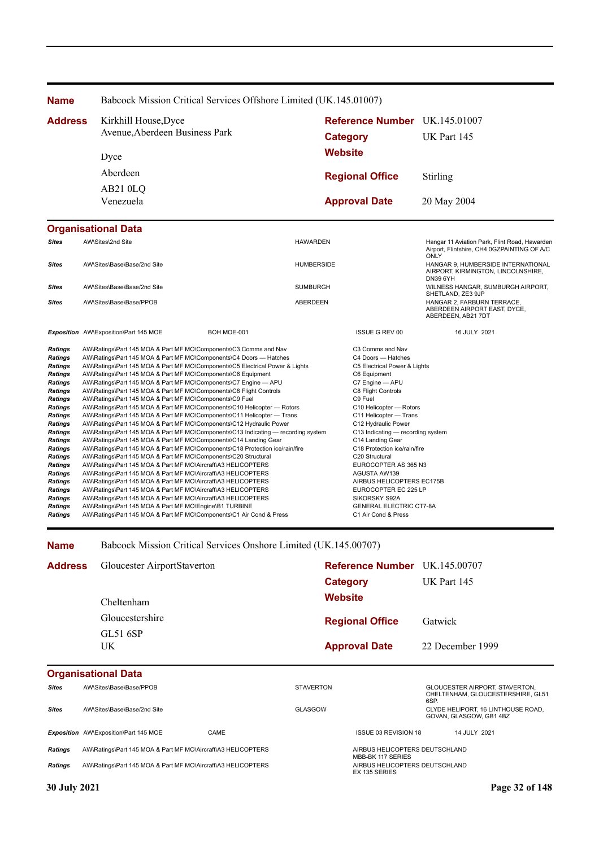| <b>Name</b>                                                                                                                                                                                                                                                                                                                                                                     | Babcock Mission Critical Services Offshore Limited (UK.145.01007)                                                                                                                                                                                                                                                                                                                                                                                                                                                                                                                                                                                                                                                                                                                                                                                                                                                                                                                                                                                                                                                                                                                                                                                                                                                                                                                                                                                                                                  |                   |                                                                                                                                                                                                                                                                                                                                                                                                                                                                                                                      |                                                                                                      |  |
|---------------------------------------------------------------------------------------------------------------------------------------------------------------------------------------------------------------------------------------------------------------------------------------------------------------------------------------------------------------------------------|----------------------------------------------------------------------------------------------------------------------------------------------------------------------------------------------------------------------------------------------------------------------------------------------------------------------------------------------------------------------------------------------------------------------------------------------------------------------------------------------------------------------------------------------------------------------------------------------------------------------------------------------------------------------------------------------------------------------------------------------------------------------------------------------------------------------------------------------------------------------------------------------------------------------------------------------------------------------------------------------------------------------------------------------------------------------------------------------------------------------------------------------------------------------------------------------------------------------------------------------------------------------------------------------------------------------------------------------------------------------------------------------------------------------------------------------------------------------------------------------------|-------------------|----------------------------------------------------------------------------------------------------------------------------------------------------------------------------------------------------------------------------------------------------------------------------------------------------------------------------------------------------------------------------------------------------------------------------------------------------------------------------------------------------------------------|------------------------------------------------------------------------------------------------------|--|
| <b>Address</b>                                                                                                                                                                                                                                                                                                                                                                  | Kirkhill House, Dyce                                                                                                                                                                                                                                                                                                                                                                                                                                                                                                                                                                                                                                                                                                                                                                                                                                                                                                                                                                                                                                                                                                                                                                                                                                                                                                                                                                                                                                                                               |                   | Reference Number UK.145.01007                                                                                                                                                                                                                                                                                                                                                                                                                                                                                        |                                                                                                      |  |
|                                                                                                                                                                                                                                                                                                                                                                                 | Avenue, Aberdeen Business Park                                                                                                                                                                                                                                                                                                                                                                                                                                                                                                                                                                                                                                                                                                                                                                                                                                                                                                                                                                                                                                                                                                                                                                                                                                                                                                                                                                                                                                                                     |                   | <b>Category</b>                                                                                                                                                                                                                                                                                                                                                                                                                                                                                                      | UK Part 145                                                                                          |  |
|                                                                                                                                                                                                                                                                                                                                                                                 |                                                                                                                                                                                                                                                                                                                                                                                                                                                                                                                                                                                                                                                                                                                                                                                                                                                                                                                                                                                                                                                                                                                                                                                                                                                                                                                                                                                                                                                                                                    |                   |                                                                                                                                                                                                                                                                                                                                                                                                                                                                                                                      |                                                                                                      |  |
|                                                                                                                                                                                                                                                                                                                                                                                 | Dyce                                                                                                                                                                                                                                                                                                                                                                                                                                                                                                                                                                                                                                                                                                                                                                                                                                                                                                                                                                                                                                                                                                                                                                                                                                                                                                                                                                                                                                                                                               |                   | <b>Website</b>                                                                                                                                                                                                                                                                                                                                                                                                                                                                                                       |                                                                                                      |  |
|                                                                                                                                                                                                                                                                                                                                                                                 | Aberdeen                                                                                                                                                                                                                                                                                                                                                                                                                                                                                                                                                                                                                                                                                                                                                                                                                                                                                                                                                                                                                                                                                                                                                                                                                                                                                                                                                                                                                                                                                           |                   | <b>Regional Office</b>                                                                                                                                                                                                                                                                                                                                                                                                                                                                                               | Stirling                                                                                             |  |
|                                                                                                                                                                                                                                                                                                                                                                                 | AB210LQ                                                                                                                                                                                                                                                                                                                                                                                                                                                                                                                                                                                                                                                                                                                                                                                                                                                                                                                                                                                                                                                                                                                                                                                                                                                                                                                                                                                                                                                                                            |                   |                                                                                                                                                                                                                                                                                                                                                                                                                                                                                                                      |                                                                                                      |  |
|                                                                                                                                                                                                                                                                                                                                                                                 | Venezuela                                                                                                                                                                                                                                                                                                                                                                                                                                                                                                                                                                                                                                                                                                                                                                                                                                                                                                                                                                                                                                                                                                                                                                                                                                                                                                                                                                                                                                                                                          |                   | <b>Approval Date</b>                                                                                                                                                                                                                                                                                                                                                                                                                                                                                                 | 20 May 2004                                                                                          |  |
|                                                                                                                                                                                                                                                                                                                                                                                 | <b>Organisational Data</b>                                                                                                                                                                                                                                                                                                                                                                                                                                                                                                                                                                                                                                                                                                                                                                                                                                                                                                                                                                                                                                                                                                                                                                                                                                                                                                                                                                                                                                                                         |                   |                                                                                                                                                                                                                                                                                                                                                                                                                                                                                                                      |                                                                                                      |  |
| <b>Sites</b>                                                                                                                                                                                                                                                                                                                                                                    | AW\Sites\2nd Site                                                                                                                                                                                                                                                                                                                                                                                                                                                                                                                                                                                                                                                                                                                                                                                                                                                                                                                                                                                                                                                                                                                                                                                                                                                                                                                                                                                                                                                                                  | <b>HAWARDEN</b>   |                                                                                                                                                                                                                                                                                                                                                                                                                                                                                                                      | Hangar 11 Aviation Park, Flint Road, Hawarden<br>Airport, Flintshire, CH4 0GZPAINTING OF A/C<br>ONLY |  |
| <b>Sites</b>                                                                                                                                                                                                                                                                                                                                                                    | AW\Sites\Base\Base/2nd Site                                                                                                                                                                                                                                                                                                                                                                                                                                                                                                                                                                                                                                                                                                                                                                                                                                                                                                                                                                                                                                                                                                                                                                                                                                                                                                                                                                                                                                                                        | <b>HUMBERSIDE</b> |                                                                                                                                                                                                                                                                                                                                                                                                                                                                                                                      | HANGAR 9, HUMBERSIDE INTERNATIONAL<br>AIRPORT, KIRMINGTON, LINCOLNSHIRE,<br><b>DN39 6YH</b>          |  |
| <b>Sites</b>                                                                                                                                                                                                                                                                                                                                                                    | AW\Sites\Base\Base/2nd Site                                                                                                                                                                                                                                                                                                                                                                                                                                                                                                                                                                                                                                                                                                                                                                                                                                                                                                                                                                                                                                                                                                                                                                                                                                                                                                                                                                                                                                                                        | <b>SUMBURGH</b>   |                                                                                                                                                                                                                                                                                                                                                                                                                                                                                                                      | WILNESS HANGAR, SUMBURGH AIRPORT,<br>SHETLAND, ZE3 9JP                                               |  |
| <b>Sites</b>                                                                                                                                                                                                                                                                                                                                                                    | AW\Sites\Base\Base/PPOB                                                                                                                                                                                                                                                                                                                                                                                                                                                                                                                                                                                                                                                                                                                                                                                                                                                                                                                                                                                                                                                                                                                                                                                                                                                                                                                                                                                                                                                                            | <b>ABERDEEN</b>   |                                                                                                                                                                                                                                                                                                                                                                                                                                                                                                                      | HANGAR 2, FARBURN TERRACE.<br>ABERDEEN AIRPORT EAST, DYCE,<br>ABERDEEN, AB21 7DT                     |  |
|                                                                                                                                                                                                                                                                                                                                                                                 | Exposition AW\Exposition\Part 145 MOE<br>BOH MOE-001                                                                                                                                                                                                                                                                                                                                                                                                                                                                                                                                                                                                                                                                                                                                                                                                                                                                                                                                                                                                                                                                                                                                                                                                                                                                                                                                                                                                                                               |                   | <b>ISSUE G REV 00</b>                                                                                                                                                                                                                                                                                                                                                                                                                                                                                                | 16 JULY 2021                                                                                         |  |
| <b>Ratings</b><br><b>Ratings</b><br><b>Ratings</b><br><b>Ratings</b><br><b>Ratings</b><br><b>Ratings</b><br><b>Ratings</b><br><b>Ratings</b><br><b>Ratings</b><br><b>Ratings</b><br><b>Ratings</b><br>Ratings<br><b>Ratings</b><br><b>Ratings</b><br><b>Ratings</b><br><b>Ratings</b><br><b>Ratings</b><br><b>Ratings</b><br><b>Ratings</b><br><b>Ratings</b><br><b>Ratings</b> | AW\Ratings\Part 145 MOA & Part MF MO\Components\C3 Comms and Nav<br>AW\Ratings\Part 145 MOA & Part MF MO\Components\C4 Doors - Hatches<br>AW\Ratings\Part 145 MOA & Part MF MO\Components\C5 Electrical Power & Lights<br>AW\Ratings\Part 145 MOA & Part MF MO\Components\C6 Equipment<br>AW\Ratings\Part 145 MOA & Part MF MO\Components\C7 Engine - APU<br>AW\Ratings\Part 145 MOA & Part MF MO\Components\C8 Flight Controls<br>AW\Ratings\Part 145 MOA & Part MF MO\Components\C9 Fuel<br>AW\Ratings\Part 145 MOA & Part MF MO\Components\C10 Helicopter - Rotors<br>AW\Ratings\Part 145 MOA & Part MF MO\Components\C11 Helicopter - Trans<br>AW\Ratings\Part 145 MOA & Part MF MO\Components\C12 Hydraulic Power<br>AW\Ratings\Part 145 MOA & Part MF MO\Components\C13 Indicating — recording system<br>AW\Ratings\Part 145 MOA & Part MF MO\Components\C14 Landing Gear<br>AW\Ratings\Part 145 MOA & Part MF MO\Components\C18 Protection ice/rain/fire<br>AW\Ratings\Part 145 MOA & Part MF MO\Components\C20 Structural<br>AW\Ratings\Part 145 MOA & Part MF MO\Aircraft\A3 HELICOPTERS<br>AW\Ratings\Part 145 MOA & Part MF MO\Aircraft\A3 HELICOPTERS<br>AW\Ratings\Part 145 MOA & Part MF MO\Aircraft\A3 HELICOPTERS<br>AW\Ratings\Part 145 MOA & Part MF MO\Aircraft\A3 HELICOPTERS<br>AW\Ratings\Part 145 MOA & Part MF MO\Aircraft\A3 HELICOPTERS<br>AW\Ratings\Part 145 MOA & Part MF MO\Engine\B1 TURBINE<br>AW\Ratings\Part 145 MOA & Part MF MO\Components\C1 Air Cond & Press |                   | C3 Comms and Nav<br>C4 Doors - Hatches<br>C5 Electrical Power & Lights<br>C6 Equipment<br>C7 Engine - APU<br>C8 Flight Controls<br>C9 Fuel<br>C10 Helicopter - Rotors<br>C11 Helicopter - Trans<br>C12 Hydraulic Power<br>C13 Indicating - recording system<br>C14 Landing Gear<br>C18 Protection ice/rain/fire<br>C <sub>20</sub> Structural<br>EUROCOPTER AS 365 N3<br>AGUSTA AW139<br>AIRBUS HELICOPTERS EC175B<br>EUROCOPTER EC 225 LP<br>SIKORSKY S92A<br><b>GENERAL ELECTRIC CT7-8A</b><br>C1 Air Cond & Press |                                                                                                      |  |

**Name** Babcock Mission Critical Services Onshore Limited (UK.145.00707)

| <b>Address</b> | Gloucester AirportStaverton | Reference Number UK.145.00707 |                  |
|----------------|-----------------------------|-------------------------------|------------------|
|                |                             | Category                      | UK Part 145      |
|                | Cheltenham                  | <b>Website</b>                |                  |
|                | Gloucestershire             | <b>Regional Office</b>        | Gatwick          |
|                | GL51 6SP<br>UK              | <b>Approval Date</b>          | 22 December 1999 |

|                | <b>Organisational Data</b>                                   |      |                  |                                                     |      |                                                                            |
|----------------|--------------------------------------------------------------|------|------------------|-----------------------------------------------------|------|----------------------------------------------------------------------------|
| <b>Sites</b>   | AW\Sites\Base\Base/PPOB                                      |      | <b>STAVERTON</b> |                                                     | 6SP. | <b>GLOUCESTER AIRPORT, STAVERTON.</b><br>CHELTENHAM, GLOUCESTERSHIRE, GL51 |
| <b>Sites</b>   | AW\Sites\Base\Base/2nd Site                                  |      | GLASGOW          |                                                     |      | CLYDE HELIPORT. 16 LINTHOUSE ROAD.<br>GOVAN, GLASGOW, GB1 4BZ              |
|                | <b>Exposition</b> AW\Exposition\Part 145 MOE                 | CAME |                  | ISSUE 03 REVISION 18                                |      | 14 JULY 2021                                                               |
| <b>Ratings</b> | AW\Ratings\Part 145 MOA & Part MF MO\Aircraft\A3 HELICOPTERS |      |                  | AIRBUS HELICOPTERS DEUTSCHLAND<br>MBB-BK 117 SERIES |      |                                                                            |
| <b>Ratings</b> | AW\Ratings\Part 145 MOA & Part MF MO\Aircraft\A3 HELICOPTERS |      |                  | AIRBUS HELICOPTERS DEUTSCHLAND<br>EX 135 SERIES     |      |                                                                            |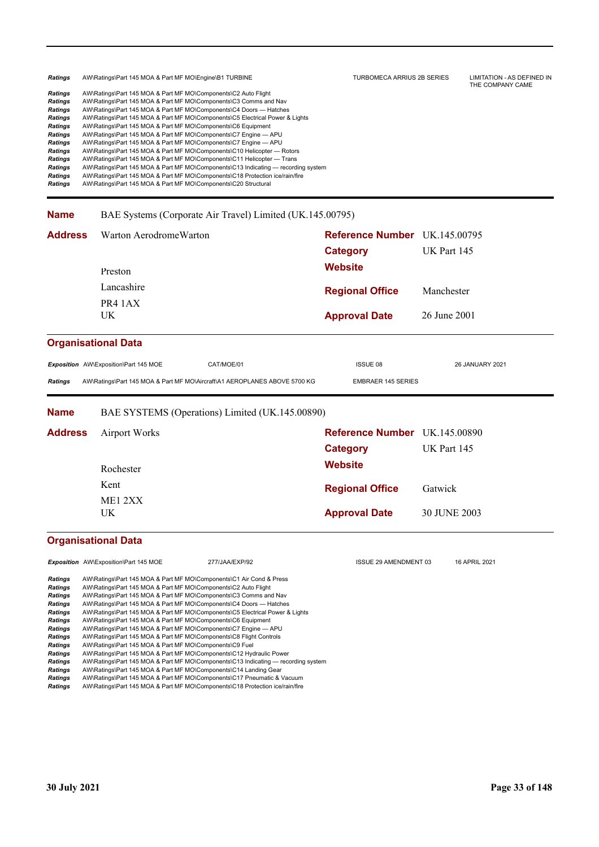| Ratings        | AW\Ratings\Part 145 MOA & Part MF MO\Engine\B1 TURBINE                            | TURBOMECA ARRIUS 2B SERIES | LIMITATION - AS DEFINED IN<br>THE COMPANY CAME |
|----------------|-----------------------------------------------------------------------------------|----------------------------|------------------------------------------------|
| Ratings        | AW\Ratings\Part 145 MOA & Part MF MO\Components\C2 Auto Flight                    |                            |                                                |
| <b>Ratings</b> | AW\Ratings\Part 145 MOA & Part MF MO\Components\C3 Comms and Nav                  |                            |                                                |
| <b>Ratings</b> | AW\Ratings\Part 145 MOA & Part MF MO\Components\C4 Doors — Hatches                |                            |                                                |
| <b>Ratings</b> | AW\Ratings\Part 145 MOA & Part MF MO\Components\C5 Electrical Power & Lights      |                            |                                                |
| <b>Ratings</b> | AW\Ratings\Part 145 MOA & Part MF MO\Components\C6 Equipment                      |                            |                                                |
| <b>Ratings</b> | AW\Ratings\Part 145 MOA & Part MF MO\Components\C7 Engine - APU                   |                            |                                                |
| <b>Ratings</b> | AW\Ratings\Part 145 MOA & Part MF MO\Components\C7 Engine - APU                   |                            |                                                |
| <b>Ratings</b> | AW\Ratings\Part 145 MOA & Part MF MO\Components\C10 Helicopter — Rotors           |                            |                                                |
| <b>Ratings</b> | AW\Ratings\Part 145 MOA & Part MF MO\Components\C11 Helicopter — Trans            |                            |                                                |
| <b>Ratings</b> | AW\Ratings\Part 145 MOA & Part MF MO\Components\C13 Indicating — recording system |                            |                                                |
| <b>Ratings</b> | AW\Ratings\Part 145 MOA & Part MF MO\Components\C18 Protection ice/rain/fire      |                            |                                                |
| <b>Ratings</b> | AW\Ratings\Part 145 MOA & Part MF MO\Components\C20 Structural                    |                            |                                                |
|                |                                                                                   |                            |                                                |

**Name** BAE Systems (Corporate Air Travel) Limited (UK.145.00795)

| <b>Address</b>                              | Warton AerodromeWarton                |                                                                                                                                                                                                           | Reference Number UK.145.00795<br><b>Category</b> | UK Part 145     |  |
|---------------------------------------------|---------------------------------------|-----------------------------------------------------------------------------------------------------------------------------------------------------------------------------------------------------------|--------------------------------------------------|-----------------|--|
|                                             | Preston                               |                                                                                                                                                                                                           | <b>Website</b>                                   |                 |  |
|                                             | Lancashire                            |                                                                                                                                                                                                           | <b>Regional Office</b>                           | Manchester      |  |
|                                             | PR4 1AX<br>UK.                        |                                                                                                                                                                                                           | <b>Approval Date</b>                             | 26 June 2001    |  |
|                                             | <b>Organisational Data</b>            |                                                                                                                                                                                                           |                                                  |                 |  |
|                                             | Exposition AW\Exposition\Part 145 MOE | CAT/MOE/01                                                                                                                                                                                                | ISSUE 08                                         | 26 JANUARY 2021 |  |
| <b>Ratings</b>                              |                                       | AW\Ratings\Part 145 MOA & Part MF MO\Aircraft\A1 AEROPLANES ABOVE 5700 KG                                                                                                                                 | <b>EMBRAER 145 SERIES</b>                        |                 |  |
| <b>Name</b>                                 |                                       | BAE SYSTEMS (Operations) Limited (UK.145.00890)                                                                                                                                                           |                                                  |                 |  |
| <b>Address</b>                              | <b>Airport Works</b>                  |                                                                                                                                                                                                           | <b>Reference Number</b> UK.145.00890             |                 |  |
|                                             |                                       |                                                                                                                                                                                                           | <b>Category</b>                                  | UK Part 145     |  |
|                                             | Rochester                             |                                                                                                                                                                                                           | <b>Website</b>                                   |                 |  |
|                                             | Kent                                  |                                                                                                                                                                                                           | <b>Regional Office</b>                           | Gatwick         |  |
|                                             | ME12XX                                |                                                                                                                                                                                                           |                                                  |                 |  |
|                                             | UK.                                   |                                                                                                                                                                                                           | <b>Approval Date</b>                             | 30 JUNE 2003    |  |
|                                             | <b>Organisational Data</b>            |                                                                                                                                                                                                           |                                                  |                 |  |
|                                             | Exposition AW\Exposition\Part 145 MOE | 277/JAA/EXP/92                                                                                                                                                                                            | <b>ISSUE 29 AMENDMENT 03</b>                     | 16 APRIL 2021   |  |
| <b>Ratings</b><br><b>Ratings</b><br>Ratings |                                       | AW\Ratings\Part 145 MOA & Part MF MO\Components\C1 Air Cond & Press<br>AW\Ratings\Part 145 MOA & Part MF MO\Components\C2 Auto Flight<br>AW\Ratings\Part 145 MOA & Part ME MO\Components\C3 Comms and Nav |                                                  |                 |  |

*Ratings* AW\Ratings\Part 145 MOA & Part MF MO\Components\C3 Comms and Nav *Ratings* AW\Ratings\Part 145 MOA & Part MF MO\Components\C4 Doors — Hatches *Ratings* AW\Ratings\Part 145 MOA & Part MF MO\Components\C5 Electrical Power & Lights *Ratings* AW\Ratings\Part 145 MOA & Part MF MO\Components\C6 Equipment *Ratings* AW\Ratings\Part 145 MOA & Part MF MO\Components\C7 Engine — APU *Ratings* AW\Ratings\Part 145 MOA & Part MF MO\Components\C8 Flight Controls **Ratings** AW\Ratings\Part 145 MOA & Part MF MO\Components\C8 Flight<br> **Ratings** AW\Ratings\Part 145 MOA & Part MF MO\Components\C9 Fuel<br> **Ratings** AW\Ratings\Part 145 MOA & Part MF MO\Components\C12 Hyd *Ratings* AW\Ratings\Part 145 MOA & Part MF MO\Components\C12 Hydraulic Power **Ratings** AW\Ratings\Part 145 MOA & Part MF MO\Components\C13 Indicating — recording system<br>**Ratings** AW\Ratings\Part 145 MOA & Part MF MO\Components\C13 Indicating — recording system **Ratings** AW\Ratings\Part 145 MOA & Part MF MO\Components\C14 Landing Gear<br>**Ratings** AW\Ratings\Part 145 MOA & Part MF MO\Components\C17 Pneumatic & \ **Ratings** AW\Ratings\Part 145 MOA & Part MF MO\Components\C17 Pneumatic & Vacuum<br> **Ratings** AW\Ratings\Part 145 MOA & Part MF MO\Components\C18 Protection ice/rain/fire *Ratings* AW\Ratings\Part 145 MOA & Part MF MO\Components\C18 Protection ice/rain/fire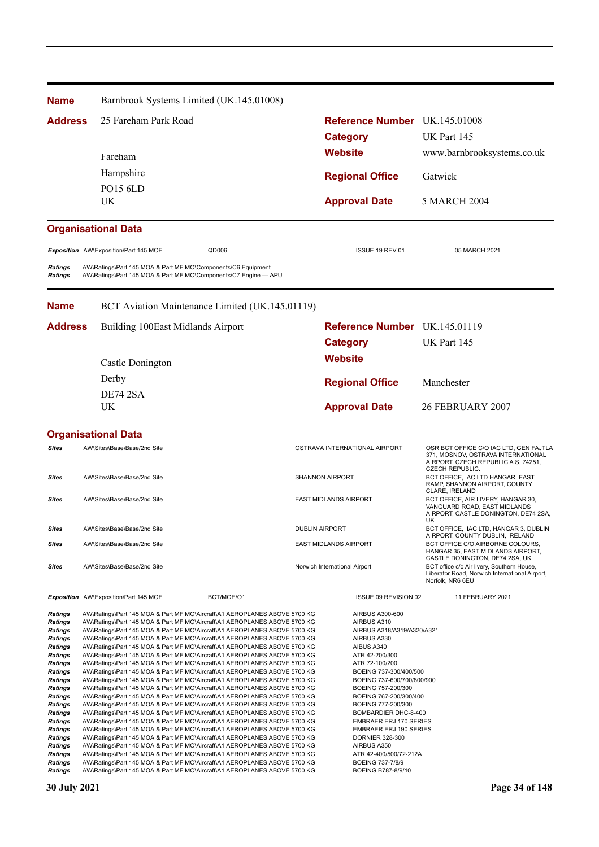| Name                                                                                                                                                                               | Barnbrook Systems Limited (UK.145.01008)                                                                                                                                                                                                                                                                                                                                                                                                                                                                                                                                                                                                                                                                                                                                                                                                                                                                                                                                                                                                                                                                           |                                                                                                                                                                                                                                                                                                                      |                                                                                                                                               |
|------------------------------------------------------------------------------------------------------------------------------------------------------------------------------------|--------------------------------------------------------------------------------------------------------------------------------------------------------------------------------------------------------------------------------------------------------------------------------------------------------------------------------------------------------------------------------------------------------------------------------------------------------------------------------------------------------------------------------------------------------------------------------------------------------------------------------------------------------------------------------------------------------------------------------------------------------------------------------------------------------------------------------------------------------------------------------------------------------------------------------------------------------------------------------------------------------------------------------------------------------------------------------------------------------------------|----------------------------------------------------------------------------------------------------------------------------------------------------------------------------------------------------------------------------------------------------------------------------------------------------------------------|-----------------------------------------------------------------------------------------------------------------------------------------------|
| <b>Address</b>                                                                                                                                                                     | 25 Fareham Park Road                                                                                                                                                                                                                                                                                                                                                                                                                                                                                                                                                                                                                                                                                                                                                                                                                                                                                                                                                                                                                                                                                               |                                                                                                                                                                                                                                                                                                                      | Reference Number UK.145.01008                                                                                                                 |
|                                                                                                                                                                                    |                                                                                                                                                                                                                                                                                                                                                                                                                                                                                                                                                                                                                                                                                                                                                                                                                                                                                                                                                                                                                                                                                                                    | <b>Category</b>                                                                                                                                                                                                                                                                                                      | UK Part 145                                                                                                                                   |
|                                                                                                                                                                                    | Fareham                                                                                                                                                                                                                                                                                                                                                                                                                                                                                                                                                                                                                                                                                                                                                                                                                                                                                                                                                                                                                                                                                                            | <b>Website</b>                                                                                                                                                                                                                                                                                                       | www.barnbrooksystems.co.uk                                                                                                                    |
|                                                                                                                                                                                    | Hampshire                                                                                                                                                                                                                                                                                                                                                                                                                                                                                                                                                                                                                                                                                                                                                                                                                                                                                                                                                                                                                                                                                                          |                                                                                                                                                                                                                                                                                                                      |                                                                                                                                               |
|                                                                                                                                                                                    | <b>PO15 6LD</b>                                                                                                                                                                                                                                                                                                                                                                                                                                                                                                                                                                                                                                                                                                                                                                                                                                                                                                                                                                                                                                                                                                    | <b>Regional Office</b>                                                                                                                                                                                                                                                                                               | Gatwick                                                                                                                                       |
|                                                                                                                                                                                    | UK.                                                                                                                                                                                                                                                                                                                                                                                                                                                                                                                                                                                                                                                                                                                                                                                                                                                                                                                                                                                                                                                                                                                | <b>Approval Date</b>                                                                                                                                                                                                                                                                                                 | <b>5 MARCH 2004</b>                                                                                                                           |
|                                                                                                                                                                                    | <b>Organisational Data</b>                                                                                                                                                                                                                                                                                                                                                                                                                                                                                                                                                                                                                                                                                                                                                                                                                                                                                                                                                                                                                                                                                         |                                                                                                                                                                                                                                                                                                                      |                                                                                                                                               |
|                                                                                                                                                                                    | Exposition AW\Exposition\Part 145 MOE<br>QD006                                                                                                                                                                                                                                                                                                                                                                                                                                                                                                                                                                                                                                                                                                                                                                                                                                                                                                                                                                                                                                                                     | ISSUE 19 REV 01                                                                                                                                                                                                                                                                                                      | 05 MARCH 2021                                                                                                                                 |
| Ratings<br>Ratings                                                                                                                                                                 | AW\Ratings\Part 145 MOA & Part MF MO\Components\C6 Equipment<br>AW\Ratings\Part 145 MOA & Part MF MO\Components\C7 Engine - APU                                                                                                                                                                                                                                                                                                                                                                                                                                                                                                                                                                                                                                                                                                                                                                                                                                                                                                                                                                                    |                                                                                                                                                                                                                                                                                                                      |                                                                                                                                               |
| Name                                                                                                                                                                               | BCT Aviation Maintenance Limited (UK.145.01119)                                                                                                                                                                                                                                                                                                                                                                                                                                                                                                                                                                                                                                                                                                                                                                                                                                                                                                                                                                                                                                                                    |                                                                                                                                                                                                                                                                                                                      |                                                                                                                                               |
| <b>Address</b>                                                                                                                                                                     | Building 100East Midlands Airport                                                                                                                                                                                                                                                                                                                                                                                                                                                                                                                                                                                                                                                                                                                                                                                                                                                                                                                                                                                                                                                                                  |                                                                                                                                                                                                                                                                                                                      | <b>Reference Number</b> UK.145.01119                                                                                                          |
|                                                                                                                                                                                    |                                                                                                                                                                                                                                                                                                                                                                                                                                                                                                                                                                                                                                                                                                                                                                                                                                                                                                                                                                                                                                                                                                                    | <b>Category</b>                                                                                                                                                                                                                                                                                                      | UK Part 145                                                                                                                                   |
|                                                                                                                                                                                    | Castle Donington                                                                                                                                                                                                                                                                                                                                                                                                                                                                                                                                                                                                                                                                                                                                                                                                                                                                                                                                                                                                                                                                                                   | <b>Website</b>                                                                                                                                                                                                                                                                                                       |                                                                                                                                               |
|                                                                                                                                                                                    | Derby                                                                                                                                                                                                                                                                                                                                                                                                                                                                                                                                                                                                                                                                                                                                                                                                                                                                                                                                                                                                                                                                                                              | <b>Regional Office</b>                                                                                                                                                                                                                                                                                               | Manchester                                                                                                                                    |
|                                                                                                                                                                                    | <b>DE74 2SA</b>                                                                                                                                                                                                                                                                                                                                                                                                                                                                                                                                                                                                                                                                                                                                                                                                                                                                                                                                                                                                                                                                                                    |                                                                                                                                                                                                                                                                                                                      |                                                                                                                                               |
|                                                                                                                                                                                    | <b>UK</b>                                                                                                                                                                                                                                                                                                                                                                                                                                                                                                                                                                                                                                                                                                                                                                                                                                                                                                                                                                                                                                                                                                          | <b>Approval Date</b>                                                                                                                                                                                                                                                                                                 | 26 FEBRUARY 2007                                                                                                                              |
|                                                                                                                                                                                    | <b>Organisational Data</b>                                                                                                                                                                                                                                                                                                                                                                                                                                                                                                                                                                                                                                                                                                                                                                                                                                                                                                                                                                                                                                                                                         |                                                                                                                                                                                                                                                                                                                      |                                                                                                                                               |
| <b>Sites</b>                                                                                                                                                                       | AW\Sites\Base\Base/2nd Site                                                                                                                                                                                                                                                                                                                                                                                                                                                                                                                                                                                                                                                                                                                                                                                                                                                                                                                                                                                                                                                                                        | OSTRAVA INTERNATIONAL AIRPORT                                                                                                                                                                                                                                                                                        | OSR BCT OFFICE C/O IAC LTD, GEN FAJTLA<br>371, MOSNOV, OSTRAVA INTERNATIONAL<br>AIRPORT, CZECH REPUBLIC A.S, 74251,<br><b>CZECH REPUBLIC.</b> |
| Sites                                                                                                                                                                              | AW\Sites\Base\Base/2nd Site                                                                                                                                                                                                                                                                                                                                                                                                                                                                                                                                                                                                                                                                                                                                                                                                                                                                                                                                                                                                                                                                                        | <b>SHANNON AIRPORT</b>                                                                                                                                                                                                                                                                                               | BCT OFFICE, IAC LTD HANGAR, EAST<br>RAMP, SHANNON AIRPORT, COUNTY<br>CLARE, IRELAND                                                           |
| Sites                                                                                                                                                                              | AW\Sites\Base\Base/2nd Site                                                                                                                                                                                                                                                                                                                                                                                                                                                                                                                                                                                                                                                                                                                                                                                                                                                                                                                                                                                                                                                                                        | <b>EAST MIDLANDS AIRPORT</b>                                                                                                                                                                                                                                                                                         | BCT OFFICE, AIR LIVERY, HANGAR 30,<br>VANGUARD ROAD, EAST MIDLANDS<br>AIRPORT, CASTLE DONINGTON, DE74 2SA,                                    |
| <b>Sites</b>                                                                                                                                                                       | AW\Sites\Base\Base/2nd Site                                                                                                                                                                                                                                                                                                                                                                                                                                                                                                                                                                                                                                                                                                                                                                                                                                                                                                                                                                                                                                                                                        | <b>DUBLIN AIRPORT</b>                                                                                                                                                                                                                                                                                                | UK.<br>BCT OFFICE. IAC LTD. HANGAR 3. DUBLIN<br>AIRPORT, COUNTY DUBLIN, IRELAND                                                               |
| Sites                                                                                                                                                                              | AW\Sites\Base\Base/2nd Site                                                                                                                                                                                                                                                                                                                                                                                                                                                                                                                                                                                                                                                                                                                                                                                                                                                                                                                                                                                                                                                                                        | <b>EAST MIDLANDS AIRPORT</b>                                                                                                                                                                                                                                                                                         | BCT OFFICE C/O AIRBORNE COLOURS,<br>HANGAR 35, EAST MIDLANDS AIRPORT,<br>CASTLE DONINGTON, DE74 2SA, UK                                       |
| Sites                                                                                                                                                                              | AW\Sites\Base\Base/2nd Site                                                                                                                                                                                                                                                                                                                                                                                                                                                                                                                                                                                                                                                                                                                                                                                                                                                                                                                                                                                                                                                                                        | Norwich International Airport                                                                                                                                                                                                                                                                                        | BCT office c/o Air livery, Southern House,<br>Liberator Road, Norwich International Airport,<br>Norfolk, NR6 6EU                              |
|                                                                                                                                                                                    | Exposition AW\Exposition\Part 145 MOE<br>BCT/MOE/O1                                                                                                                                                                                                                                                                                                                                                                                                                                                                                                                                                                                                                                                                                                                                                                                                                                                                                                                                                                                                                                                                | ISSUE 09 REVISION 02                                                                                                                                                                                                                                                                                                 | 11 FEBRUARY 2021                                                                                                                              |
| Ratings<br><b>Ratings</b><br>Ratings<br>Ratings<br>Ratings<br><b>Ratings</b><br>Ratings<br><b>Ratings</b><br>Ratings<br><b>Ratings</b><br>Ratings<br>Ratings<br>Ratings<br>Ratings | AW\Ratings\Part 145 MOA & Part MF MO\Aircraft\A1 AEROPLANES ABOVE 5700 KG<br>AW\Ratings\Part 145 MOA & Part MF MO\Aircraft\A1 AEROPLANES ABOVE 5700 KG<br>AW\Ratings\Part 145 MOA & Part MF MO\Aircraft\A1 AEROPLANES ABOVE 5700 KG<br>AW\Ratings\Part 145 MOA & Part MF MO\Aircraft\A1 AEROPLANES ABOVE 5700 KG<br>AW\Ratings\Part 145 MOA & Part MF MO\Aircraft\A1 AEROPLANES ABOVE 5700 KG<br>AW\Ratings\Part 145 MOA & Part MF MO\Aircraft\A1 AEROPLANES ABOVE 5700 KG<br>AW\Ratings\Part 145 MOA & Part MF MO\Aircraft\A1 AEROPLANES ABOVE 5700 KG<br>AW\Ratings\Part 145 MOA & Part MF MO\Aircraft\A1 AEROPLANES ABOVE 5700 KG<br>AW\Ratings\Part 145 MOA & Part MF MO\Aircraft\A1 AEROPLANES ABOVE 5700 KG<br>AW\Ratings\Part 145 MOA & Part MF MO\Aircraft\A1 AEROPLANES ABOVE 5700 KG<br>AW\Ratings\Part 145 MOA & Part MF MO\Aircraft\A1 AEROPLANES ABOVE 5700 KG<br>AW\Ratings\Part 145 MOA & Part MF MO\Aircraft\A1 AEROPLANES ABOVE 5700 KG<br>AW\Ratings\Part 145 MOA & Part MF MO\Aircraft\A1 AEROPLANES ABOVE 5700 KG<br>AW\Ratings\Part 145 MOA & Part MF MO\Aircraft\A1 AEROPLANES ABOVE 5700 KG | AIRBUS A300-600<br>AIRBUS A310<br>AIRBUS A318/A319/A320/A321<br>AIRBUS A330<br>AIBUS A340<br>ATR 42-200/300<br>ATR 72-100/200<br>BOEING 737-300/400/500<br>BOEING 737-600/700/800/900<br>BOEING 757-200/300<br>BOEING 767-200/300/400<br>BOEING 777-200/300<br>BOMBARDIER DHC-8-400<br><b>EMBRAER ERJ 170 SERIES</b> |                                                                                                                                               |
| Ratings<br>Ratings                                                                                                                                                                 | AW\Ratings\Part 145 MOA & Part MF MO\Aircraft\A1 AEROPLANES ABOVE 5700 KG<br>AW\Ratings\Part 145 MOA & Part MF MO\Aircraft\A1 AEROPLANES ABOVE 5700 KG                                                                                                                                                                                                                                                                                                                                                                                                                                                                                                                                                                                                                                                                                                                                                                                                                                                                                                                                                             | <b>EMBRAER ERJ 190 SERIES</b><br><b>DORNIER 328-300</b>                                                                                                                                                                                                                                                              |                                                                                                                                               |
| Ratings<br>Ratings                                                                                                                                                                 | AW\Ratings\Part 145 MOA & Part MF MO\Aircraft\A1 AEROPLANES ABOVE 5700 KG<br>AW\Ratings\Part 145 MOA & Part MF MO\Aircraft\A1 AEROPLANES ABOVE 5700 KG                                                                                                                                                                                                                                                                                                                                                                                                                                                                                                                                                                                                                                                                                                                                                                                                                                                                                                                                                             | AIRBUS A350<br>ATR 42-400/500/72-212A                                                                                                                                                                                                                                                                                |                                                                                                                                               |
| Ratings<br>Ratings                                                                                                                                                                 | AW\Ratings\Part 145 MOA & Part MF MO\Aircraft\A1 AEROPLANES ABOVE 5700 KG<br>AW\Ratings\Part 145 MOA & Part MF MO\Aircraft\A1 AEROPLANES ABOVE 5700 KG                                                                                                                                                                                                                                                                                                                                                                                                                                                                                                                                                                                                                                                                                                                                                                                                                                                                                                                                                             | BOEING 737-7/8/9<br>BOEING B787-8/9/10                                                                                                                                                                                                                                                                               |                                                                                                                                               |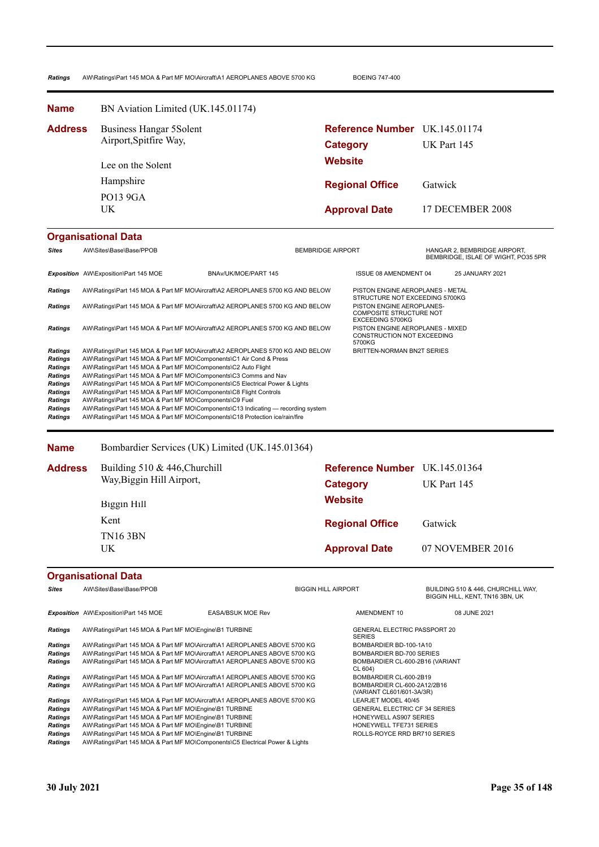Ratings AW\Ratings\Part 145 MOA & Part MF MO\Aircraft\A1 AEROPLANES ABOVE 5700 KG BOEING 747-400

**Approval Date** 17 DECEMBER 2008 **Website Category** UK Part 145 **Reference Number** UK.145.01174 **Regional Office Name Address** Gatwick UK PO13 9GA Hampshire Lee on the Solent Business Hangar 5Solent Airport,Spitfire Way, BN Aviation Limited (UK.145.01174)

## **Organisational Data**

| <b>Sites</b>                                                                                                                          | AW\Sites\Base\Base/PPOB                                                                                                                                                                                                                                                                                                                                                                                                                                                                                                                                                                          |                      | <b>BEMBRIDGE AIRPORT</b> |                                                                                        |  | HANGAR 2, BEMBRIDGE AIRPORT,<br>BEMBRIDGE, ISLAE OF WIGHT, PO35 5PR |  |
|---------------------------------------------------------------------------------------------------------------------------------------|--------------------------------------------------------------------------------------------------------------------------------------------------------------------------------------------------------------------------------------------------------------------------------------------------------------------------------------------------------------------------------------------------------------------------------------------------------------------------------------------------------------------------------------------------------------------------------------------------|----------------------|--------------------------|----------------------------------------------------------------------------------------|--|---------------------------------------------------------------------|--|
|                                                                                                                                       | Exposition AW\Exposition\Part 145 MOE                                                                                                                                                                                                                                                                                                                                                                                                                                                                                                                                                            | BNAv/UK/MOE/PART 145 |                          | <b>ISSUE 08 AMENDMENT 04</b>                                                           |  | 25 JANUARY 2021                                                     |  |
| <b>Ratings</b>                                                                                                                        | AW\Ratings\Part 145 MOA & Part MF MO\Aircraft\A2 AEROPLANES 5700 KG AND BELOW                                                                                                                                                                                                                                                                                                                                                                                                                                                                                                                    |                      |                          | PISTON ENGINE AEROPLANES - METAL<br>STRUCTURE NOT EXCEEDING 5700KG                     |  |                                                                     |  |
| Ratings                                                                                                                               | AW\Ratings\Part 145 MOA & Part MF MO\Aircraft\A2 AEROPLANES 5700 KG AND BELOW                                                                                                                                                                                                                                                                                                                                                                                                                                                                                                                    |                      |                          | PISTON ENGINE AEROPLANES-<br><b>COMPOSITE STRUCTURE NOT</b><br><b>EXCEEDING 5700KG</b> |  |                                                                     |  |
| <b>Ratings</b>                                                                                                                        | AW\Ratings\Part 145 MOA & Part MF MO\Aircraft\A2 AEROPLANES 5700 KG AND BELOW                                                                                                                                                                                                                                                                                                                                                                                                                                                                                                                    |                      |                          | PISTON ENGINE AEROPLANES - MIXED<br><b>CONSTRUCTION NOT EXCEEDING</b><br>5700KG        |  |                                                                     |  |
| <b>Ratings</b><br><b>Ratings</b><br><b>Ratings</b><br>Ratings<br><b>Ratings</b><br><b>Ratings</b><br><b>Ratings</b><br><b>Ratings</b> | AW\Ratings\Part 145 MOA & Part MF MO\Aircraft\A2 AEROPLANES 5700 KG AND BELOW<br>AW\Ratings\Part 145 MOA & Part MF MO\Components\C1 Air Cond & Press<br>AW\Ratings\Part 145 MOA & Part MF MO\Components\C2 Auto Flight<br>AW\Ratings\Part 145 MOA & Part MF MO\Components\C3 Comms and Nav<br>AW\Ratings\Part 145 MOA & Part MF MO\Components\C5 Electrical Power & Lights<br>AW\Ratings\Part 145 MOA & Part MF MO\Components\C8 Flight Controls<br>AW\Ratings\Part 145 MOA & Part MF MO\Components\C9 Fuel<br>AW\Ratings\Part 145 MOA & Part MF MO\Components\C13 Indicating — recording system |                      |                          | <b>BRITTEN-NORMAN BN2T SERIES</b>                                                      |  |                                                                     |  |
| <b>Ratings</b>                                                                                                                        | AW\Ratings\Part 145 MOA & Part MF MO\Components\C18 Protection ice/rain/fire                                                                                                                                                                                                                                                                                                                                                                                                                                                                                                                     |                      |                          |                                                                                        |  |                                                                     |  |

**Name** Bombardier Services (UK) Limited (UK.145.01364)

| <b>Address</b> | Building $510 \& 446$ , Churchill<br>Way, Biggin Hill Airport, | <b>Reference Number</b> UK.145.01364 |                  |  |
|----------------|----------------------------------------------------------------|--------------------------------------|------------------|--|
|                |                                                                | Category                             | UK Part 145      |  |
|                | Biggin Hill                                                    | <b>Website</b>                       |                  |  |
|                | Kent                                                           | <b>Regional Office</b>               | Gatwick          |  |
|                | <b>TN16 3BN</b><br>UK                                          | <b>Approval Date</b>                 | 07 NOVEMBER 2016 |  |

| <b>Sites</b>   | AW\Sites\Base\Base/PPOB                                                      |                                                                                   | <b>BIGGIN HILL AIRPORT</b> |                                                          | BUILDING 510 & 446, CHURCHILL WAY,<br>BIGGIN HILL, KENT, TN16 3BN, UK |  |
|----------------|------------------------------------------------------------------------------|-----------------------------------------------------------------------------------|----------------------------|----------------------------------------------------------|-----------------------------------------------------------------------|--|
|                | <b>Exposition</b> AW\Exposition\Part 145 MOE                                 | <b>EASA/BSUK MOE Rev</b>                                                          |                            | AMENDMENT 10                                             | 08 JUNE 2021                                                          |  |
| <b>Ratings</b> | AW\Ratings\Part 145 MOA & Part MF MO\Engine\B1 TURBINE                       |                                                                                   |                            | <b>GENERAL ELECTRIC PASSPORT 20</b><br><b>SERIES</b>     |                                                                       |  |
| Ratings        | AW\Ratings\Part 145 MOA & Part MF MO\Aircraft\A1 AEROPLANES ABOVE 5700 KG    |                                                                                   |                            | BOMBARDIER BD-100-1A10                                   |                                                                       |  |
| Ratings        | AW\Ratings\Part 145 MOA & Part MF MO\Aircraft\A1 AEROPLANES ABOVE 5700 KG    |                                                                                   | BOMBARDIER BD-700 SERIES   |                                                          |                                                                       |  |
| <b>Ratings</b> | AW\Ratings\Part 145 MOA & Part MF MO\Aircraft\A1 AEROPLANES ABOVE 5700 KG    |                                                                                   |                            | BOMBARDIER CL-600-2B16 (VARIANT<br>CL 604)               |                                                                       |  |
| <b>Ratings</b> | AW\Ratings\Part 145 MOA & Part MF MO\Aircraft\A1 AEROPLANES ABOVE 5700 KG    |                                                                                   |                            | BOMBARDIER CL-600-2B19                                   |                                                                       |  |
| Ratings        | AW\Ratings\Part 145 MOA & Part MF MO\Aircraft\A1 AEROPLANES ABOVE 5700 KG    |                                                                                   |                            | BOMBARDIER CL-600-2A12/2B16<br>(VARIANT CL601/601-3A/3R) |                                                                       |  |
| <b>Ratings</b> | AW\Ratings\Part 145 MOA & Part MF MO\Aircraft\A1 AEROPLANES ABOVE 5700 KG    |                                                                                   |                            | LEARJET MODEL 40/45                                      |                                                                       |  |
| Ratings        | AW\Ratings\Part 145 MOA & Part MF MO\Engine\B1 TURBINE                       |                                                                                   |                            | <b>GENERAL ELECTRIC CF 34 SERIES</b>                     |                                                                       |  |
| <b>Ratings</b> | AW\Ratings\Part 145 MOA & Part MF MO\Engine\B1 TURBINE                       |                                                                                   |                            | <b>HONEYWELL AS907 SERIES</b>                            |                                                                       |  |
| Ratings        |                                                                              | AW\Ratings\Part 145 MOA & Part MF MO\Engine\B1 TURBINE<br>HONEYWELL TFE731 SERIES |                            |                                                          |                                                                       |  |
| <b>Ratings</b> | AW\Ratings\Part 145 MOA & Part MF MO\Engine\B1 TURBINE                       |                                                                                   |                            | ROLLS-ROYCE RRD BR710 SERIES                             |                                                                       |  |
| Ratings        | AW\Ratings\Part 145 MOA & Part MF MO\Components\C5 Electrical Power & Lights |                                                                                   |                            |                                                          |                                                                       |  |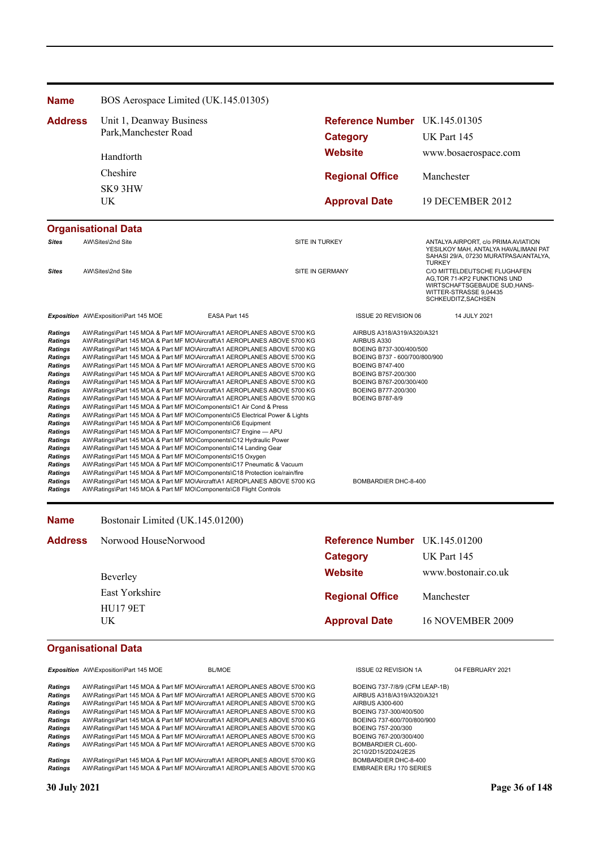| Reference Number UK.145.01305<br><b>Address</b><br>Unit 1, Deanway Business<br>Park, Manchester Road<br>UK Part 145<br><b>Category</b><br><b>Website</b><br>Handforth<br>Cheshire<br><b>Regional Office</b><br>Manchester<br>SK93HW<br>UK<br><b>Approval Date</b><br>AW\Sites\2nd Site<br><b>Sites</b><br>SITE IN TURKEY<br><b>TURKEY</b><br><b>Sites</b><br>AW\Sites\2nd Site<br>SITE IN GERMANY<br>WITTER-STRASSE 9,04435<br>SCHKEUDITZ, SACHSEN<br>Exposition AW\Exposition\Part 145 MOE<br><b>ISSUE 20 REVISION 06</b><br>14 JULY 2021<br>EASA Part 145<br>AW\Ratings\Part 145 MOA & Part MF MO\Aircraft\A1 AEROPLANES ABOVE 5700 KG<br>AIRBUS A318/A319/A320/A321<br><b>Ratings</b><br>AW\Ratings\Part 145 MOA & Part MF MO\Aircraft\A1 AEROPLANES ABOVE 5700 KG<br>AIRBUS A330<br><b>Ratings</b><br><b>Ratings</b><br>AW\Ratings\Part 145 MOA & Part MF MO\Aircraft\A1 AEROPLANES ABOVE 5700 KG<br>BOEING B737-300/400/500<br><b>Ratings</b><br>AW\Ratings\Part 145 MOA & Part MF MO\Aircraft\A1 AEROPLANES ABOVE 5700 KG<br>BOEING B737 - 600/700/800/900<br><b>Ratings</b><br>AW\Ratings\Part 145 MOA & Part MF MO\Aircraft\A1 AEROPLANES ABOVE 5700 KG<br><b>BOEING B747-400</b><br><b>Ratings</b><br>AW\Ratings\Part 145 MOA & Part MF MO\Aircraft\A1 AEROPLANES ABOVE 5700 KG<br>BOEING B757-200/300<br>AW\Ratings\Part 145 MOA & Part MF MO\Aircraft\A1 AEROPLANES ABOVE 5700 KG<br>BOEING B767-200/300/400<br><b>Ratings</b><br>AW\Ratings\Part 145 MOA & Part MF MO\Aircraft\A1 AEROPLANES ABOVE 5700 KG<br>BOEING B777-200/300<br>Ratings<br>AW\Ratings\Part 145 MOA & Part MF MO\Aircraft\A1 AEROPLANES ABOVE 5700 KG<br><b>BOEING B787-8/9</b><br><b>Ratings</b><br><b>Ratings</b><br>AW\Ratings\Part 145 MOA & Part MF MO\Components\C1 Air Cond & Press<br><b>Ratings</b><br>AW\Ratings\Part 145 MOA & Part MF MO\Components\C5 Electrical Power & Lights<br><b>Ratings</b><br>AW\Ratings\Part 145 MOA & Part MF MO\Components\C6 Equipment<br><b>Ratings</b><br>AW\Ratings\Part 145 MOA & Part MF MO\Components\C7 Engine - APU<br>AW\Ratings\Part 145 MOA & Part MF MO\Components\C12 Hydraulic Power<br><b>Ratings</b><br><b>Ratings</b><br>AW\Ratings\Part 145 MOA & Part MF MO\Components\C14 Landing Gear<br>AW\Ratings\Part 145 MOA & Part MF MO\Components\C15 Oxygen | <b>Name</b>    |  | BOS Aerospace Limited (UK.145.01305) |  |                                                                                                                      |
|--------------------------------------------------------------------------------------------------------------------------------------------------------------------------------------------------------------------------------------------------------------------------------------------------------------------------------------------------------------------------------------------------------------------------------------------------------------------------------------------------------------------------------------------------------------------------------------------------------------------------------------------------------------------------------------------------------------------------------------------------------------------------------------------------------------------------------------------------------------------------------------------------------------------------------------------------------------------------------------------------------------------------------------------------------------------------------------------------------------------------------------------------------------------------------------------------------------------------------------------------------------------------------------------------------------------------------------------------------------------------------------------------------------------------------------------------------------------------------------------------------------------------------------------------------------------------------------------------------------------------------------------------------------------------------------------------------------------------------------------------------------------------------------------------------------------------------------------------------------------------------------------------------------------------------------------------------------------------------------------------------------------------------------------------------------------------------------------------------------------------------------------------------------------------------------------------------------------------------------------------------------------------------------------------|----------------|--|--------------------------------------|--|----------------------------------------------------------------------------------------------------------------------|
| <b>Organisational Data</b>                                                                                                                                                                                                                                                                                                                                                                                                                                                                                                                                                                                                                                                                                                                                                                                                                                                                                                                                                                                                                                                                                                                                                                                                                                                                                                                                                                                                                                                                                                                                                                                                                                                                                                                                                                                                                                                                                                                                                                                                                                                                                                                                                                                                                                                                       |                |  |                                      |  |                                                                                                                      |
|                                                                                                                                                                                                                                                                                                                                                                                                                                                                                                                                                                                                                                                                                                                                                                                                                                                                                                                                                                                                                                                                                                                                                                                                                                                                                                                                                                                                                                                                                                                                                                                                                                                                                                                                                                                                                                                                                                                                                                                                                                                                                                                                                                                                                                                                                                  |                |  |                                      |  |                                                                                                                      |
|                                                                                                                                                                                                                                                                                                                                                                                                                                                                                                                                                                                                                                                                                                                                                                                                                                                                                                                                                                                                                                                                                                                                                                                                                                                                                                                                                                                                                                                                                                                                                                                                                                                                                                                                                                                                                                                                                                                                                                                                                                                                                                                                                                                                                                                                                                  |                |  |                                      |  | www.bosaerospace.com                                                                                                 |
|                                                                                                                                                                                                                                                                                                                                                                                                                                                                                                                                                                                                                                                                                                                                                                                                                                                                                                                                                                                                                                                                                                                                                                                                                                                                                                                                                                                                                                                                                                                                                                                                                                                                                                                                                                                                                                                                                                                                                                                                                                                                                                                                                                                                                                                                                                  |                |  |                                      |  |                                                                                                                      |
|                                                                                                                                                                                                                                                                                                                                                                                                                                                                                                                                                                                                                                                                                                                                                                                                                                                                                                                                                                                                                                                                                                                                                                                                                                                                                                                                                                                                                                                                                                                                                                                                                                                                                                                                                                                                                                                                                                                                                                                                                                                                                                                                                                                                                                                                                                  |                |  |                                      |  |                                                                                                                      |
|                                                                                                                                                                                                                                                                                                                                                                                                                                                                                                                                                                                                                                                                                                                                                                                                                                                                                                                                                                                                                                                                                                                                                                                                                                                                                                                                                                                                                                                                                                                                                                                                                                                                                                                                                                                                                                                                                                                                                                                                                                                                                                                                                                                                                                                                                                  |                |  |                                      |  | 19 DECEMBER 2012                                                                                                     |
|                                                                                                                                                                                                                                                                                                                                                                                                                                                                                                                                                                                                                                                                                                                                                                                                                                                                                                                                                                                                                                                                                                                                                                                                                                                                                                                                                                                                                                                                                                                                                                                                                                                                                                                                                                                                                                                                                                                                                                                                                                                                                                                                                                                                                                                                                                  |                |  |                                      |  |                                                                                                                      |
|                                                                                                                                                                                                                                                                                                                                                                                                                                                                                                                                                                                                                                                                                                                                                                                                                                                                                                                                                                                                                                                                                                                                                                                                                                                                                                                                                                                                                                                                                                                                                                                                                                                                                                                                                                                                                                                                                                                                                                                                                                                                                                                                                                                                                                                                                                  |                |  |                                      |  | ANTALYA AIRPORT, c/o PRIMA AVIATION<br>YESILKOY MAH, ANTALYA HAVALIMANI PAT<br>SAHASI 29/A, 07230 MURATPASA/ANTALYA, |
|                                                                                                                                                                                                                                                                                                                                                                                                                                                                                                                                                                                                                                                                                                                                                                                                                                                                                                                                                                                                                                                                                                                                                                                                                                                                                                                                                                                                                                                                                                                                                                                                                                                                                                                                                                                                                                                                                                                                                                                                                                                                                                                                                                                                                                                                                                  |                |  |                                      |  | C/O MITTELDEUTSCHE FLUGHAFEN<br>AG, TOR 71-KP2 FUNKTIONS UND<br>WIRTSCHAFTSGEBAUDE SUD, HANS-                        |
|                                                                                                                                                                                                                                                                                                                                                                                                                                                                                                                                                                                                                                                                                                                                                                                                                                                                                                                                                                                                                                                                                                                                                                                                                                                                                                                                                                                                                                                                                                                                                                                                                                                                                                                                                                                                                                                                                                                                                                                                                                                                                                                                                                                                                                                                                                  |                |  |                                      |  |                                                                                                                      |
| <b>Ratings</b><br>AW\Ratings\Part 145 MOA & Part MF MO\Components\C17 Pneumatic & Vacuum<br><b>Ratings</b><br>AW\Ratings\Part 145 MOA & Part MF MO\Components\C18 Protection ice/rain/fire<br><b>Ratings</b><br>AW\Ratings\Part 145 MOA & Part MF MO\Aircraft\A1 AEROPLANES ABOVE 5700 KG<br>BOMBARDIER DHC-8-400<br>AW\Ratings\Part 145 MOA & Part MF MO\Components\C8 Flight Controls<br><b>Ratings</b>                                                                                                                                                                                                                                                                                                                                                                                                                                                                                                                                                                                                                                                                                                                                                                                                                                                                                                                                                                                                                                                                                                                                                                                                                                                                                                                                                                                                                                                                                                                                                                                                                                                                                                                                                                                                                                                                                        | <b>Ratings</b> |  |                                      |  |                                                                                                                      |

| <b>Address</b> | Norwood HouseNorwood  | <b>Reference Number</b> UK.145.01200 |                         |
|----------------|-----------------------|--------------------------------------|-------------------------|
|                |                       | Category                             | <b>UK Part 145</b>      |
|                | Beverley              | <b>Website</b>                       | www.bostonair.co.uk     |
|                | East Yorkshire        | <b>Regional Office</b>               | Manchester              |
|                | <b>HU17 9ET</b><br>UK | <b>Approval Date</b>                 | <b>16 NOVEMBER 2009</b> |

## **Organisational Data**

**Exposition** AW\Exposition\Part 145 MOE BL/MOE BL/MOE ISSUE 02 REVISION 1A 04 FEBRUARY 2021

Ratings AW\Ratings\Part 145 MOA & Part MF MO\Aircraft\A1 AEROPLANES ABOVE 5700 KG BOEING 737-7/8/9 (CFM LEAP-1B)<br>Ratings AW\Ratings\Part 145 MOA & Part MF MO\Aircraft\A1 AEROPLANES ABOVE 5700 KG AIRBUS A318/A319/A320/A321 *Ratings* AW\Ratings\Part 145 MOA & Part MF MO\Aircraft\A1 AEROPLANES ABOVE 5700 KG AIRBUS A318/A319/A320/A321 *Ratings* AW\Ratings\Part 145 MOA & Part MF MO\Aircraft\A1 AEROPLANES ABOVE 5700 KG AIRBUS A300-600 Ratings AW\Ratings\Part 145 MOA & Part MF MO\Aircraft\A1 AEROPLANES ABOVE 5700 KG BOEING 737-300/400/500<br>
Ratings AW\Ratings\Part 145 MOA & Part MF MO\Aircraft\A1 AEROPLANES ABOVE 5700 KG BOEING 737-600/700/800/900 Ratings AW\Ratings\Part 145 MOA & Part MF MO\Aircraft\A1 AEROPLANES ABOVE 5700 KG BOEING 737-600/700/<br>Ratings AW\Ratings\Part 145 MOA & Part MF MO\Aircraft\A1 AEROPLANES ABOVE 5700 KG BOEING 757-200/300 Ratings AW\Ratings\Part 145 MOA & Part MF MO\Aircraft\A1 AEROPLANES ABOVE 5700 KG BOEING 757-200/300<br>
Ratings AW\Ratings\Part 145 MOA & Part MF MO\Aircraft\A1 AEROPLANES ABOVE 5700 KG BOEING 767-200/300/400 AW\Ratings\Part 145 MOA & Part MF MO\Aircraft\A1 AEROPLANES ABOVE 5700 KG Ratings AW\Ratings\Part 145 MOA & Part MF MO\Aircraft\A1 AEROPLANES ABOVE 5700 KG

Ratings AW\Ratings\Part 145 MOA & Part MF MO\Aircraft\A1 AEROPLANES ABOVE 5700 KG BOMBARDIER DHC-8-400<br>Ratings AW\Ratings\Part 145 MOA & Part MF MO\Aircraft\A1 AEROPLANES ABOVE 5700 KG EMBRAER ERJ 170 SERIES AW\Ratings\Part 145 MOA & Part MF MO\Aircraft\A1 AEROPLANES ABOVE 5700 KG

BOMBARDIER CL-600-<br>2C10/2D15/2D24/2E25<br>BOMBARDIER DHC-8-400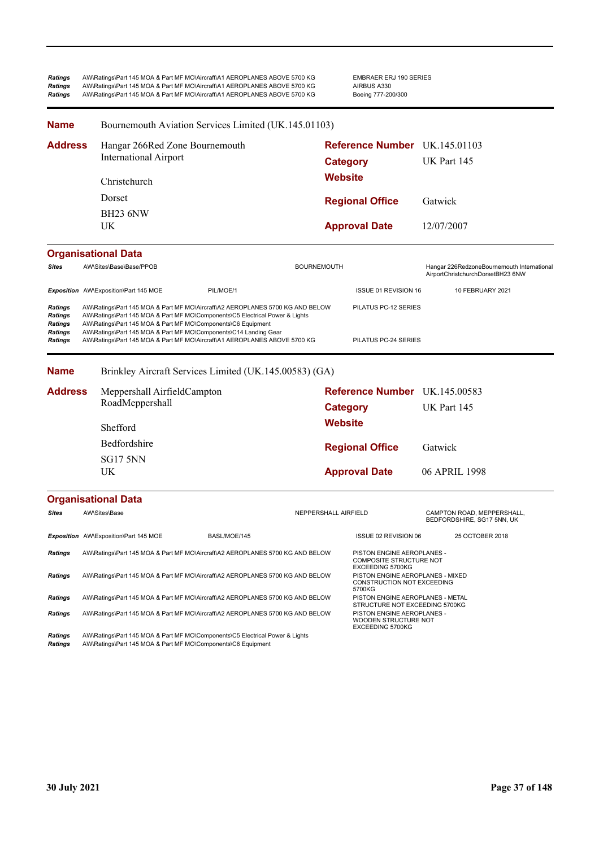| Ratings<br>Ratings<br>Ratings                                            |                                       | AW\Ratings\Part 145 MOA & Part MF MO\Aircraft\A1 AEROPLANES ABOVE 5700 KG<br>AW\Ratings\Part 145 MOA & Part MF MO\Aircraft\A1 AEROPLANES ABOVE 5700 KG<br>AW\Ratings\Part 145 MOA & Part MF MO\Aircraft\A1 AEROPLANES ABOVE 5700 KG                                                                                                                                            |                      | <b>EMBRAER ERJ 190 SERIES</b><br>AIRBUS A330<br>Boeing 777-200/300                 |             |                                                                                 |
|--------------------------------------------------------------------------|---------------------------------------|--------------------------------------------------------------------------------------------------------------------------------------------------------------------------------------------------------------------------------------------------------------------------------------------------------------------------------------------------------------------------------|----------------------|------------------------------------------------------------------------------------|-------------|---------------------------------------------------------------------------------|
| Name                                                                     |                                       | Bournemouth Aviation Services Limited (UK.145.01103)                                                                                                                                                                                                                                                                                                                           |                      |                                                                                    |             |                                                                                 |
| <b>Address</b>                                                           |                                       | Hangar 266Red Zone Bournemouth                                                                                                                                                                                                                                                                                                                                                 |                      | Reference Number UK.145.01103                                                      |             |                                                                                 |
|                                                                          | <b>International Airport</b>          |                                                                                                                                                                                                                                                                                                                                                                                |                      | <b>Category</b>                                                                    | UK Part 145 |                                                                                 |
|                                                                          | Christchurch                          |                                                                                                                                                                                                                                                                                                                                                                                | <b>Website</b>       |                                                                                    |             |                                                                                 |
|                                                                          | Dorset                                |                                                                                                                                                                                                                                                                                                                                                                                |                      | <b>Regional Office</b>                                                             | Gatwick     |                                                                                 |
|                                                                          | BH <sub>23</sub> 6NW                  |                                                                                                                                                                                                                                                                                                                                                                                |                      |                                                                                    |             |                                                                                 |
|                                                                          | UK                                    |                                                                                                                                                                                                                                                                                                                                                                                |                      | <b>Approval Date</b>                                                               | 12/07/2007  |                                                                                 |
|                                                                          | <b>Organisational Data</b>            |                                                                                                                                                                                                                                                                                                                                                                                |                      |                                                                                    |             |                                                                                 |
| <b>Sites</b>                                                             | AW\Sites\Base\Base/PPOB               |                                                                                                                                                                                                                                                                                                                                                                                | <b>BOURNEMOUTH</b>   |                                                                                    |             | Hangar 226RedzoneBournemouth International<br>AirportChristchurchDorsetBH23 6NW |
|                                                                          | Exposition AW\Exposition\Part 145 MOE | PIL/MOE/1                                                                                                                                                                                                                                                                                                                                                                      |                      | <b>ISSUE 01 REVISION 16</b>                                                        |             | 10 FEBRUARY 2021                                                                |
| <b>Ratings</b><br>Ratings<br><b>Ratings</b><br>Ratings<br><b>Ratings</b> |                                       | AW\Ratings\Part 145 MOA & Part MF MO\Aircraft\A2 AEROPLANES 5700 KG AND BELOW<br>AW\Ratings\Part 145 MOA & Part MF MO\Components\C5 Electrical Power & Lights<br>AW\Ratings\Part 145 MOA & Part MF MO\Components\C6 Equipment<br>AW\Ratings\Part 145 MOA & Part MF MO\Components\C14 Landing Gear<br>AW\Ratings\Part 145 MOA & Part MF MO\Aircraft\A1 AEROPLANES ABOVE 5700 KG |                      | PILATUS PC-12 SERIES<br>PILATUS PC-24 SERIES                                       |             |                                                                                 |
| <b>Name</b>                                                              |                                       | Brinkley Aircraft Services Limited (UK.145.00583) (GA)                                                                                                                                                                                                                                                                                                                         |                      |                                                                                    |             |                                                                                 |
| <b>Address</b>                                                           | Meppershall AirfieldCampton           |                                                                                                                                                                                                                                                                                                                                                                                |                      | <b>Reference Number</b> UK.145.00583                                               |             |                                                                                 |
|                                                                          | RoadMeppershall                       |                                                                                                                                                                                                                                                                                                                                                                                |                      | <b>Category</b>                                                                    | UK Part 145 |                                                                                 |
|                                                                          | Shefford                              |                                                                                                                                                                                                                                                                                                                                                                                | <b>Website</b>       |                                                                                    |             |                                                                                 |
|                                                                          | Bedfordshire                          |                                                                                                                                                                                                                                                                                                                                                                                |                      | <b>Regional Office</b>                                                             | Gatwick     |                                                                                 |
|                                                                          | <b>SG17 5NN</b>                       |                                                                                                                                                                                                                                                                                                                                                                                |                      |                                                                                    |             |                                                                                 |
|                                                                          | UK                                    |                                                                                                                                                                                                                                                                                                                                                                                |                      | <b>Approval Date</b>                                                               |             | 06 APRIL 1998                                                                   |
|                                                                          | <b>Organisational Data</b>            |                                                                                                                                                                                                                                                                                                                                                                                |                      |                                                                                    |             |                                                                                 |
| <b>Sites</b>                                                             | AW\Sites\Base                         |                                                                                                                                                                                                                                                                                                                                                                                | NEPPERSHALL AIRFIELD |                                                                                    |             | CAMPTON ROAD, MEPPERSHALL,<br>BEDFORDSHIRE, SG17 5NN, UK                        |
|                                                                          | Exposition AW\Exposition\Part 145 MOE | BASL/MOE/145                                                                                                                                                                                                                                                                                                                                                                   |                      | ISSUE 02 REVISION 06                                                               |             | 25 OCTOBER 2018                                                                 |
| <b>Ratings</b>                                                           |                                       | AW\Ratings\Part 145 MOA & Part MF MO\Aircraft\A2 AEROPLANES 5700 KG AND BELOW                                                                                                                                                                                                                                                                                                  |                      | PISTON ENGINE AEROPLANES -<br>COMPOSITE STRUCTURE NOT                              |             |                                                                                 |
| Ratings                                                                  |                                       | AW\Ratings\Part 145 MOA & Part MF MO\Aircraft\A2 AEROPLANES 5700 KG AND BELOW                                                                                                                                                                                                                                                                                                  |                      | EXCEEDING 5700KG<br>PISTON ENGINE AEROPLANES - MIXED<br>CONSTRUCTION NOT EXCEEDING |             |                                                                                 |
| Ratings                                                                  |                                       | AW\Ratings\Part 145 MOA & Part MF MO\Aircraft\A2 AEROPLANES 5700 KG AND BELOW                                                                                                                                                                                                                                                                                                  |                      | 5700KG<br>PISTON ENGINE AEROPLANES - METAL<br>STRUCTURE NOT EXCEEDING 5700KG       |             |                                                                                 |
| <b>Ratings</b>                                                           |                                       | AW\Ratings\Part 145 MOA & Part MF MO\Aircraft\A2 AEROPLANES 5700 KG AND BELOW                                                                                                                                                                                                                                                                                                  |                      | PISTON ENGINE AEROPLANES -<br>WOODEN STRUCTURE NOT<br>EXCEEDING 5700KG             |             |                                                                                 |
| Ratings<br>Ratings                                                       |                                       | AW\Ratings\Part 145 MOA & Part MF MO\Components\C5 Electrical Power & Lights<br>AW\Ratings\Part 145 MOA & Part MF MO\Components\C6 Equipment                                                                                                                                                                                                                                   |                      |                                                                                    |             |                                                                                 |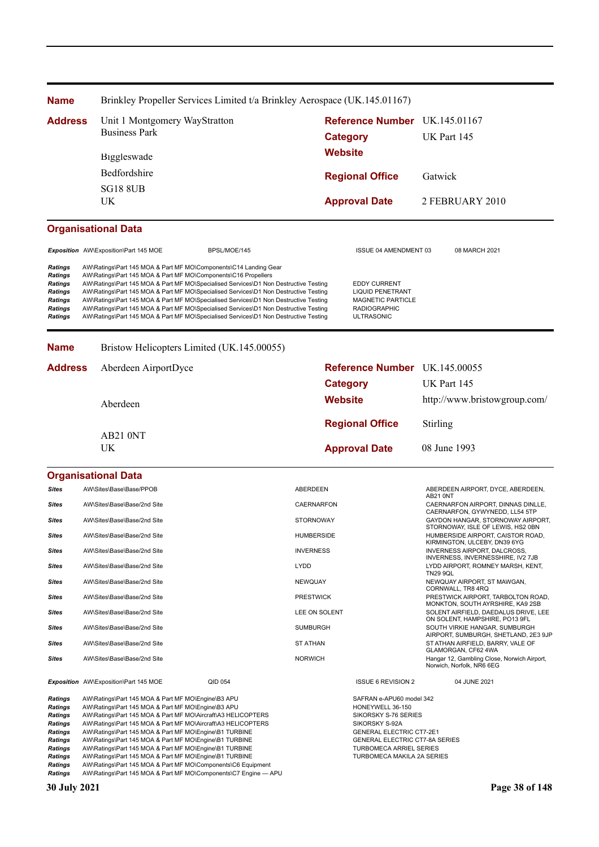| <b>Name</b>                                                                                                                     |                                                                                                                                                                                                                                                                                                                                                                                                                                                                                                                                                                                                                     | Brinkley Propeller Services Limited t/a Brinkley Aerospace (UK.145.01167) |                                    |                                                                                                                                                                                                                             |                                                                                        |
|---------------------------------------------------------------------------------------------------------------------------------|---------------------------------------------------------------------------------------------------------------------------------------------------------------------------------------------------------------------------------------------------------------------------------------------------------------------------------------------------------------------------------------------------------------------------------------------------------------------------------------------------------------------------------------------------------------------------------------------------------------------|---------------------------------------------------------------------------|------------------------------------|-----------------------------------------------------------------------------------------------------------------------------------------------------------------------------------------------------------------------------|----------------------------------------------------------------------------------------|
| <b>Address</b>                                                                                                                  | Unit 1 Montgomery WayStratton                                                                                                                                                                                                                                                                                                                                                                                                                                                                                                                                                                                       |                                                                           |                                    | <b>Reference Number</b>                                                                                                                                                                                                     | UK.145.01167                                                                           |
|                                                                                                                                 | <b>Business Park</b>                                                                                                                                                                                                                                                                                                                                                                                                                                                                                                                                                                                                |                                                                           |                                    | <b>Category</b>                                                                                                                                                                                                             | UK Part 145                                                                            |
|                                                                                                                                 | Biggleswade                                                                                                                                                                                                                                                                                                                                                                                                                                                                                                                                                                                                         |                                                                           | <b>Website</b>                     |                                                                                                                                                                                                                             |                                                                                        |
|                                                                                                                                 | Bedfordshire                                                                                                                                                                                                                                                                                                                                                                                                                                                                                                                                                                                                        |                                                                           |                                    | <b>Regional Office</b>                                                                                                                                                                                                      | Gatwick                                                                                |
|                                                                                                                                 | <b>SG18 8UB</b>                                                                                                                                                                                                                                                                                                                                                                                                                                                                                                                                                                                                     |                                                                           |                                    |                                                                                                                                                                                                                             |                                                                                        |
|                                                                                                                                 | UK                                                                                                                                                                                                                                                                                                                                                                                                                                                                                                                                                                                                                  |                                                                           |                                    | <b>Approval Date</b>                                                                                                                                                                                                        | 2 FEBRUARY 2010                                                                        |
|                                                                                                                                 | <b>Organisational Data</b>                                                                                                                                                                                                                                                                                                                                                                                                                                                                                                                                                                                          |                                                                           |                                    |                                                                                                                                                                                                                             |                                                                                        |
|                                                                                                                                 | Exposition AW\Exposition\Part 145 MOE                                                                                                                                                                                                                                                                                                                                                                                                                                                                                                                                                                               | BPSL/MOE/145                                                              |                                    | ISSUE 04 AMENDMENT 03                                                                                                                                                                                                       | 08 MARCH 2021                                                                          |
| <b>Ratings</b><br><b>Ratings</b><br>Ratings<br>Ratings<br>Ratings<br>Ratings<br>Ratings                                         | AW\Ratings\Part 145 MOA & Part MF MO\Components\C14 Landing Gear<br>AW\Ratings\Part 145 MOA & Part MF MO\Components\C16 Propellers<br>AW\Ratings\Part 145 MOA & Part MF MO\Specialised Services\D1 Non Destructive Testing<br>AW\Ratings\Part 145 MOA & Part MF MO\Specialised Services\D1 Non Destructive Testing<br>AW\Ratings\Part 145 MOA & Part MF MO\Specialised Services\D1 Non Destructive Testing<br>AW\Ratings\Part 145 MOA & Part MF MO\Specialised Services\D1 Non Destructive Testing<br>AW\Ratings\Part 145 MOA & Part MF MO\Specialised Services\D1 Non Destructive Testing                          |                                                                           |                                    | <b>EDDY CURRENT</b><br><b>LIQUID PENETRANT</b><br><b>MAGNETIC PARTICLE</b><br><b>RADIOGRAPHIC</b><br><b>ULTRASONIC</b>                                                                                                      |                                                                                        |
| <b>Name</b>                                                                                                                     |                                                                                                                                                                                                                                                                                                                                                                                                                                                                                                                                                                                                                     | Bristow Helicopters Limited (UK.145.00055)                                |                                    |                                                                                                                                                                                                                             |                                                                                        |
| <b>Address</b>                                                                                                                  | Aberdeen AirportDyce                                                                                                                                                                                                                                                                                                                                                                                                                                                                                                                                                                                                |                                                                           |                                    | Reference Number UK.145.00055                                                                                                                                                                                               |                                                                                        |
|                                                                                                                                 |                                                                                                                                                                                                                                                                                                                                                                                                                                                                                                                                                                                                                     |                                                                           |                                    | <b>Category</b>                                                                                                                                                                                                             | UK Part 145                                                                            |
|                                                                                                                                 | Aberdeen                                                                                                                                                                                                                                                                                                                                                                                                                                                                                                                                                                                                            |                                                                           | <b>Website</b>                     |                                                                                                                                                                                                                             | http://www.bristowgroup.com/                                                           |
|                                                                                                                                 |                                                                                                                                                                                                                                                                                                                                                                                                                                                                                                                                                                                                                     |                                                                           |                                    | <b>Regional Office</b>                                                                                                                                                                                                      | Stirling                                                                               |
|                                                                                                                                 | AB21 0NT<br>UK                                                                                                                                                                                                                                                                                                                                                                                                                                                                                                                                                                                                      |                                                                           |                                    | <b>Approval Date</b>                                                                                                                                                                                                        | 08 June 1993                                                                           |
|                                                                                                                                 | <b>Organisational Data</b>                                                                                                                                                                                                                                                                                                                                                                                                                                                                                                                                                                                          |                                                                           |                                    |                                                                                                                                                                                                                             |                                                                                        |
| Sites                                                                                                                           | AW\Sites\Base\Base/PPOB                                                                                                                                                                                                                                                                                                                                                                                                                                                                                                                                                                                             |                                                                           | ABERDEEN                           |                                                                                                                                                                                                                             | ABERDEEN AIRPORT, DYCE, ABERDEEN,<br>AB21 0NT                                          |
| Sites                                                                                                                           | AW\Sites\Base\Base/2nd Site                                                                                                                                                                                                                                                                                                                                                                                                                                                                                                                                                                                         |                                                                           | CAERNARFON                         |                                                                                                                                                                                                                             | CAERNARFON AIRPORT, DINNAS DINLLE,<br>CAERNARFON, GYWYNEDD, LL54 5TP                   |
| Sites                                                                                                                           | AW\Sites\Base\Base/2nd Site                                                                                                                                                                                                                                                                                                                                                                                                                                                                                                                                                                                         |                                                                           | <b>STORNOWAY</b>                   |                                                                                                                                                                                                                             | GAYDON HANGAR, STORNOWAY AIRPORT,<br>STORNOWAY, ISLE OF LEWIS, HS2 0BN                 |
| Sites                                                                                                                           | AW\Sites\Base\Base/2nd Site                                                                                                                                                                                                                                                                                                                                                                                                                                                                                                                                                                                         |                                                                           | <b>HUMBERSIDE</b>                  |                                                                                                                                                                                                                             | HUMBERSIDE AIRPORT, CAISTOR ROAD,<br>KIRMINGTON, ULCEBY, DN39 6YG                      |
| Sites                                                                                                                           | AW\Sites\Base\Base/2nd Site                                                                                                                                                                                                                                                                                                                                                                                                                                                                                                                                                                                         |                                                                           | <b>INVERNESS</b>                   |                                                                                                                                                                                                                             | <b>INVERNESS AIRPORT, DALCROSS.</b><br>INVERNESS, INVERNESSHIRE, IV2 7JB               |
| Sites                                                                                                                           | AW\Sites\Base\Base/2nd Site                                                                                                                                                                                                                                                                                                                                                                                                                                                                                                                                                                                         |                                                                           | <b>LYDD</b>                        |                                                                                                                                                                                                                             | LYDD AIRPORT, ROMNEY MARSH, KENT,<br><b>TN29 9QL</b>                                   |
| Sites<br>Sites                                                                                                                  | AW\Sites\Base\Base/2nd Site<br>AW\Sites\Base\Base/2nd Site                                                                                                                                                                                                                                                                                                                                                                                                                                                                                                                                                          |                                                                           | <b>NEWQUAY</b><br><b>PRESTWICK</b> |                                                                                                                                                                                                                             | NEWQUAY AIRPORT, ST MAWGAN,<br>CORNWALL, TR8 4RQ<br>PRESTWICK AIRPORT, TARBOLTON ROAD, |
| Sites                                                                                                                           | AW\Sites\Base\Base/2nd Site                                                                                                                                                                                                                                                                                                                                                                                                                                                                                                                                                                                         |                                                                           | LEE ON SOLENT                      |                                                                                                                                                                                                                             | MONKTON, SOUTH AYRSHIRE, KA9 2SB<br>SOLENT AIRFIELD, DAEDALUS DRIVE, LEE               |
| Sites                                                                                                                           | AW\Sites\Base\Base/2nd Site                                                                                                                                                                                                                                                                                                                                                                                                                                                                                                                                                                                         |                                                                           | <b>SUMBURGH</b>                    |                                                                                                                                                                                                                             | ON SOLENT, HAMPSHIRE, PO13 9FL<br>SOUTH VIRKIE HANGAR, SUMBURGH                        |
| Sites                                                                                                                           | AW\Sites\Base\Base/2nd Site                                                                                                                                                                                                                                                                                                                                                                                                                                                                                                                                                                                         |                                                                           | <b>ST ATHAN</b>                    |                                                                                                                                                                                                                             | AIRPORT, SUMBURGH, SHETLAND, 2E3 9JP<br>ST ATHAN AIRFIELD, BARRY, VALE OF              |
| Sites                                                                                                                           | AW\Sites\Base\Base/2nd Site                                                                                                                                                                                                                                                                                                                                                                                                                                                                                                                                                                                         |                                                                           | <b>NORWICH</b>                     |                                                                                                                                                                                                                             | GLAMORGAN, CF62 4WA<br>Hangar 12, Gambling Close, Norwich Airport,                     |
|                                                                                                                                 |                                                                                                                                                                                                                                                                                                                                                                                                                                                                                                                                                                                                                     |                                                                           |                                    |                                                                                                                                                                                                                             | Norwich, Norfolk, NR6 6EG                                                              |
|                                                                                                                                 | Exposition AW\Exposition\Part 145 MOE                                                                                                                                                                                                                                                                                                                                                                                                                                                                                                                                                                               | QID 054                                                                   |                                    | <b>ISSUE 6 REVISION 2</b>                                                                                                                                                                                                   | 04 JUNE 2021                                                                           |
| Ratings<br>Ratings<br>Ratings<br>Ratings<br><b>Ratings</b><br>Ratings<br><b>Ratings</b><br>Ratings<br>Ratings<br><b>Ratings</b> | AW\Ratings\Part 145 MOA & Part MF MO\Engine\B3 APU<br>AW\Ratings\Part 145 MOA & Part MF MO\Engine\B3 APU<br>AW\Ratings\Part 145 MOA & Part MF MO\Aircraft\A3 HELICOPTERS<br>AW\Ratings\Part 145 MOA & Part MF MO\Aircraft\A3 HELICOPTERS<br>AW\Ratings\Part 145 MOA & Part MF MO\Engine\B1 TURBINE<br>AW\Ratings\Part 145 MOA & Part MF MO\Engine\B1 TURBINE<br>AW\Ratings\Part 145 MOA & Part MF MO\Engine\B1 TURBINE<br>AW\Ratings\Part 145 MOA & Part MF MO\Engine\B1 TURBINE<br>AW\Ratings\Part 145 MOA & Part MF MO\Components\C6 Equipment<br>AW\Ratings\Part 145 MOA & Part MF MO\Components\C7 Engine - APU |                                                                           |                                    | SAFRAN e-APU60 model 342<br>HONEYWELL 36-150<br>SIKORSKY S-76 SERIES<br>SIKORSKY S-92A<br><b>GENERAL ELECTRIC CT7-2E1</b><br>GENERAL ELECTRIC CT7-8A SERIES<br><b>TURBOMECA ARRIEL SERIES</b><br>TURBOMECA MAKILA 2A SERIES |                                                                                        |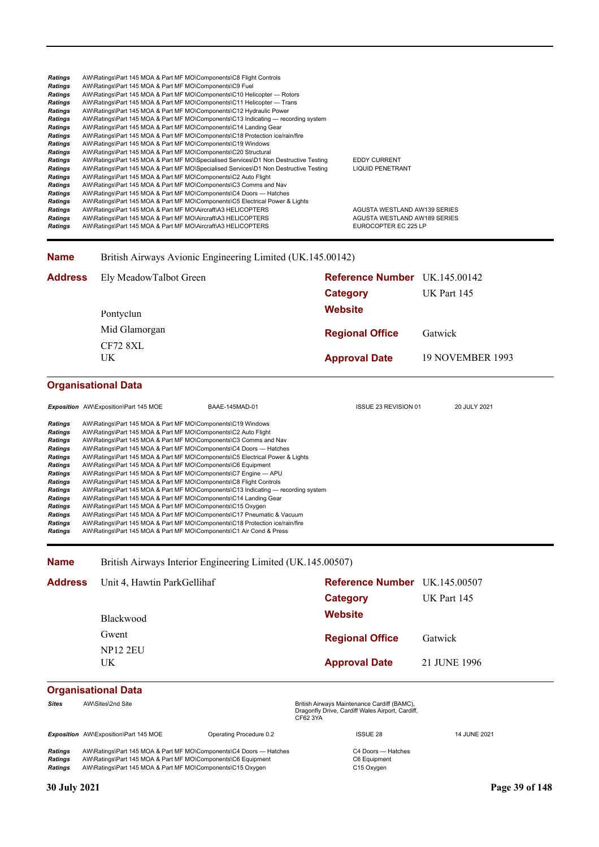| Ratings        | AW\Ratings\Part 145 MOA & Part MF MO\Components\C8 Flight Controls                   |                              |
|----------------|--------------------------------------------------------------------------------------|------------------------------|
| <b>Ratings</b> | AW\Ratings\Part 145 MOA & Part MF MO\Components\C9 Fuel                              |                              |
| <b>Ratings</b> | AW\Ratings\Part 145 MOA & Part MF MO\Components\C10 Helicopter — Rotors              |                              |
| Ratings        | AW\Ratings\Part 145 MOA & Part MF MO\Components\C11 Helicopter — Trans               |                              |
| Ratings        | AW\Ratings\Part 145 MOA & Part MF MO\Components\C12 Hydraulic Power                  |                              |
| Ratings        | AW\Ratings\Part 145 MOA & Part MF MO\Components\C13 Indicating — recording system    |                              |
| <b>Ratings</b> | AW\Ratings\Part 145 MOA & Part MF MO\Components\C14 Landing Gear                     |                              |
| Ratings        | AW\Ratings\Part 145 MOA & Part MF MO\Components\C18 Protection ice/rain/fire         |                              |
| Ratings        | AW\Ratings\Part 145 MOA & Part MF MO\Components\C19 Windows                          |                              |
| Ratings        | AW\Ratings\Part 145 MOA & Part MF MO\Components\C20 Structural                       |                              |
| Ratings        | AW\Ratings\Part 145 MOA & Part MF MO\Specialised Services\D1 Non Destructive Testing | <b>EDDY CURRENT</b>          |
| <b>Ratings</b> | AW\Ratings\Part 145 MOA & Part MF MO\Specialised Services\D1 Non Destructive Testing | <b>LIQUID PENETRANT</b>      |
| <b>Ratings</b> | AW\Ratings\Part 145 MOA & Part MF MO\Components\C2 Auto Flight                       |                              |
| Ratings        | AW\Ratings\Part 145 MOA & Part MF MO\Components\C3 Comms and Nav                     |                              |
| <b>Ratings</b> | AW\Ratings\Part 145 MOA & Part MF MO\Components\C4 Doors — Hatches                   |                              |
| <b>Ratings</b> | AW\Ratings\Part 145 MOA & Part MF MO\Components\C5 Electrical Power & Lights         |                              |
| Ratings        | AW\Ratings\Part 145 MOA & Part MF MO\Aircraft\A3 HELICOPTERS                         | AGUSTA WESTLAND AW139 SERIES |
| Ratings        | AW\Ratings\Part 145 MOA & Part MF MO\Aircraft\A3 HELICOPTERS                         | AGUSTA WESTLAND AW189 SERIES |
| Ratings        | AW\Ratings\Part 145 MOA & Part MF MO\Aircraft\A3 HELICOPTERS                         | EUROCOPTER EC 225 LP         |
|                |                                                                                      |                              |

#### **Name** British Airways Avionic Engineering Limited (UK.145.00142)

| <b>Address</b> Ely MeadowTalbot Green<br>Pontyclun | Reference Number UK.145.00142<br>Category<br><b>Website</b> | <b>UK Part 145</b>      |
|----------------------------------------------------|-------------------------------------------------------------|-------------------------|
| Mid Glamorgan<br>CF72 8XL                          | <b>Regional Office</b>                                      | Gatwick                 |
| UK                                                 | <b>Approval Date</b>                                        | <b>19 NOVEMBER 1993</b> |

# **Organisational Data**

|                | <b>Exposition</b> AW\Exposition\Part 145 MOE                                 | BAAE-145MAD-01                                                                    | <b>ISSUE 23 REVISION 01</b> | 20 JULY 2021 |
|----------------|------------------------------------------------------------------------------|-----------------------------------------------------------------------------------|-----------------------------|--------------|
| <b>Ratings</b> | AW\Ratings\Part 145 MOA & Part MF MO\Components\C19 Windows                  |                                                                                   |                             |              |
| <b>Ratings</b> | AW\Ratings\Part 145 MOA & Part MF MO\Components\C2 Auto Flight               |                                                                                   |                             |              |
| <b>Ratings</b> | AW\Ratings\Part 145 MOA & Part MF MO\Components\C3 Comms and Nav             |                                                                                   |                             |              |
| <b>Ratings</b> | AW\Ratings\Part 145 MOA & Part MF MO\Components\C4 Doors — Hatches           |                                                                                   |                             |              |
| <b>Ratings</b> | AW\Ratings\Part 145 MOA & Part MF MO\Components\C5 Electrical Power & Lights |                                                                                   |                             |              |
| <b>Ratings</b> | AW\Ratings\Part 145 MOA & Part MF MO\Components\C6 Equipment                 |                                                                                   |                             |              |
| <b>Ratings</b> | AW\Ratings\Part 145 MOA & Part MF MO\Components\C7 Engine - APU              |                                                                                   |                             |              |
| <b>Ratings</b> | AW\Ratings\Part 145 MOA & Part MF MO\Components\C8 Flight Controls           |                                                                                   |                             |              |
| <b>Ratings</b> |                                                                              | AW\Ratings\Part 145 MOA & Part MF MO\Components\C13 Indicating — recording system |                             |              |
| <b>Ratings</b> | AW\Ratings\Part 145 MOA & Part MF MO\Components\C14 Landing Gear             |                                                                                   |                             |              |
| <b>Ratings</b> | AW\Ratings\Part 145 MOA & Part MF MO\Components\C15 Oxygen                   |                                                                                   |                             |              |
| <b>Ratings</b> | AW\Ratings\Part 145 MOA & Part MF MO\Components\C17 Pneumatic & Vacuum       |                                                                                   |                             |              |
| <b>Ratings</b> | AW\Ratings\Part 145 MOA & Part MF MO\Components\C18 Protection ice/rain/fire |                                                                                   |                             |              |
| <b>Ratings</b> | AW\Ratings\Part 145 MOA & Part MF MO\Components\C1 Air Cond & Press          |                                                                                   |                             |              |

**Name** British Airways Interior Engineering Limited (UK.145.00507)

| <b>Address</b> | Unit 4, Hawtin ParkGellihaf | Reference Number UK.145.00507 |              |
|----------------|-----------------------------|-------------------------------|--------------|
|                |                             | Category                      | UK Part 145  |
|                | <b>Blackwood</b>            | <b>Website</b>                |              |
|                | Gwent                       | <b>Regional Office</b>        | Gatwick      |
|                | <b>NP12 2EU</b><br>UK       | <b>Approval Date</b>          | 21 JUNE 1996 |

# **Organisational Data**

| <b>Sites</b> | AW\Sites\2nd Site                                                  |                         | British Airways Maintenance Cardiff (BAMC),<br>Dragonfly Drive, Cardiff Wales Airport, Cardiff,<br>CF62 3YA |              |
|--------------|--------------------------------------------------------------------|-------------------------|-------------------------------------------------------------------------------------------------------------|--------------|
|              | Exposition AW\Exposition\Part 145 MOE                              | Operating Procedure 0.2 | <b>ISSUE 28</b>                                                                                             | 14 JUNE 2021 |
| Ratings      | AW\Ratings\Part 145 MOA & Part MF MO\Components\C4 Doors — Hatches |                         | C4 Doors — Hatches                                                                                          |              |

*Ratings* AW\Ratings\Part 145 MOA & Part MF MO\Components\C6 Equipment C6 Equipment AW\Ratings\Part 145 MOA & Part MF MO\Components\C15 Oxygen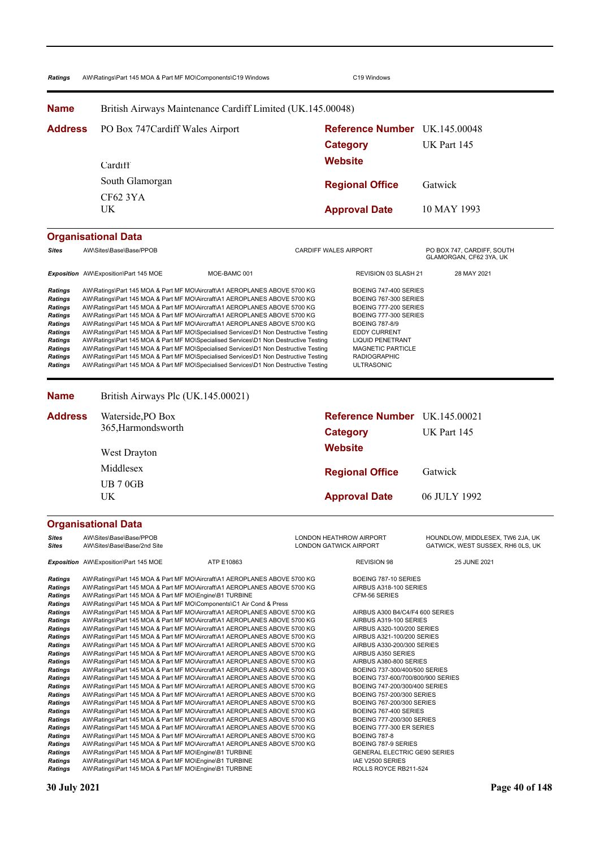| Ratings                                                                                                                                                        | AW\Ratings\Part 145 MOA & Part MF MO\Components\C19 Windows                                                                                                                                                                                                                                                                                                                                                                                                                                                                                                                                                                                                                                                                                                              | C19 Windows                                                                                                                                                                                                                |                                                                       |
|----------------------------------------------------------------------------------------------------------------------------------------------------------------|--------------------------------------------------------------------------------------------------------------------------------------------------------------------------------------------------------------------------------------------------------------------------------------------------------------------------------------------------------------------------------------------------------------------------------------------------------------------------------------------------------------------------------------------------------------------------------------------------------------------------------------------------------------------------------------------------------------------------------------------------------------------------|----------------------------------------------------------------------------------------------------------------------------------------------------------------------------------------------------------------------------|-----------------------------------------------------------------------|
| <b>Name</b>                                                                                                                                                    | British Airways Maintenance Cardiff Limited (UK.145.00048)                                                                                                                                                                                                                                                                                                                                                                                                                                                                                                                                                                                                                                                                                                               |                                                                                                                                                                                                                            |                                                                       |
| <b>Address</b>                                                                                                                                                 | PO Box 747 Cardiff Wales Airport                                                                                                                                                                                                                                                                                                                                                                                                                                                                                                                                                                                                                                                                                                                                         | Reference Number UK.145.00048<br><b>Category</b>                                                                                                                                                                           | UK Part 145                                                           |
|                                                                                                                                                                | Cardiff                                                                                                                                                                                                                                                                                                                                                                                                                                                                                                                                                                                                                                                                                                                                                                  | <b>Website</b>                                                                                                                                                                                                             |                                                                       |
|                                                                                                                                                                | South Glamorgan                                                                                                                                                                                                                                                                                                                                                                                                                                                                                                                                                                                                                                                                                                                                                          |                                                                                                                                                                                                                            |                                                                       |
|                                                                                                                                                                | <b>CF62 3YA</b>                                                                                                                                                                                                                                                                                                                                                                                                                                                                                                                                                                                                                                                                                                                                                          | <b>Regional Office</b>                                                                                                                                                                                                     | Gatwick                                                               |
|                                                                                                                                                                | UK                                                                                                                                                                                                                                                                                                                                                                                                                                                                                                                                                                                                                                                                                                                                                                       | <b>Approval Date</b>                                                                                                                                                                                                       | 10 MAY 1993                                                           |
|                                                                                                                                                                | <b>Organisational Data</b>                                                                                                                                                                                                                                                                                                                                                                                                                                                                                                                                                                                                                                                                                                                                               |                                                                                                                                                                                                                            |                                                                       |
| <b>Sites</b>                                                                                                                                                   | AW\Sites\Base\Base/PPOB                                                                                                                                                                                                                                                                                                                                                                                                                                                                                                                                                                                                                                                                                                                                                  | CARDIFF WALES AIRPORT                                                                                                                                                                                                      | PO BOX 747, CARDIFF, SOUTH<br>GLAMORGAN, CF62 3YA, UK                 |
|                                                                                                                                                                | Exposition AW\Exposition\Part 145 MOE<br>MOE-BAMC 001                                                                                                                                                                                                                                                                                                                                                                                                                                                                                                                                                                                                                                                                                                                    | REVISION 03 SLASH 21                                                                                                                                                                                                       | 28 MAY 2021                                                           |
| <b>Ratings</b><br><b>Ratings</b><br><b>Ratings</b><br><b>Ratings</b><br><b>Ratings</b><br><b>Ratings</b><br><b>Ratings</b><br><b>Ratings</b><br><b>Ratings</b> | AW\Ratings\Part 145 MOA & Part MF MO\Aircraft\A1 AEROPLANES ABOVE 5700 KG<br>AW\Ratings\Part 145 MOA & Part MF MO\Aircraft\A1 AEROPLANES ABOVE 5700 KG<br>AW\Ratings\Part 145 MOA & Part MF MO\Aircraft\A1 AEROPLANES ABOVE 5700 KG<br>AW\Ratings\Part 145 MOA & Part MF MO\Aircraft\A1 AEROPLANES ABOVE 5700 KG<br>AW\Ratings\Part 145 MOA & Part MF MO\Specialised Services\D1 Non Destructive Testing<br>AW\Ratings\Part 145 MOA & Part MF MO\Specialised Services\D1 Non Destructive Testing<br>AW\Ratings\Part 145 MOA & Part MF MO\Specialised Services\D1 Non Destructive Testing<br>AW\Ratings\Part 145 MOA & Part MF MO\Specialised Services\D1 Non Destructive Testing<br>AW\Ratings\Part 145 MOA & Part MF MO\Specialised Services\D1 Non Destructive Testing | BOEING 767-300 SERIES<br>BOEING 777-200 SERIES<br>BOEING 777-300 SERIES<br><b>BOEING 787-8/9</b><br><b>EDDY CURRENT</b><br><b>LIQUID PENETRANT</b><br><b>MAGNETIC PARTICLE</b><br><b>RADIOGRAPHIC</b><br><b>ULTRASONIC</b> |                                                                       |
| <b>Name</b>                                                                                                                                                    | British Airways Plc (UK.145.00021)                                                                                                                                                                                                                                                                                                                                                                                                                                                                                                                                                                                                                                                                                                                                       |                                                                                                                                                                                                                            |                                                                       |
| <b>Address</b>                                                                                                                                                 | Waterside, PO Box                                                                                                                                                                                                                                                                                                                                                                                                                                                                                                                                                                                                                                                                                                                                                        | Reference Number UK.145.00021                                                                                                                                                                                              |                                                                       |
|                                                                                                                                                                | 365, Harmondsworth                                                                                                                                                                                                                                                                                                                                                                                                                                                                                                                                                                                                                                                                                                                                                       | <b>Category</b>                                                                                                                                                                                                            | UK Part 145                                                           |
|                                                                                                                                                                | West Drayton                                                                                                                                                                                                                                                                                                                                                                                                                                                                                                                                                                                                                                                                                                                                                             | <b>Website</b>                                                                                                                                                                                                             |                                                                       |
|                                                                                                                                                                | Middlesex                                                                                                                                                                                                                                                                                                                                                                                                                                                                                                                                                                                                                                                                                                                                                                |                                                                                                                                                                                                                            |                                                                       |
|                                                                                                                                                                | <b>UB 70GB</b>                                                                                                                                                                                                                                                                                                                                                                                                                                                                                                                                                                                                                                                                                                                                                           | <b>Regional Office</b>                                                                                                                                                                                                     | Gatwick                                                               |
|                                                                                                                                                                | UK                                                                                                                                                                                                                                                                                                                                                                                                                                                                                                                                                                                                                                                                                                                                                                       | <b>Approval Date</b>                                                                                                                                                                                                       | 06 JULY 1992                                                          |
|                                                                                                                                                                | <b>Organisational Data</b>                                                                                                                                                                                                                                                                                                                                                                                                                                                                                                                                                                                                                                                                                                                                               |                                                                                                                                                                                                                            |                                                                       |
| <b>Sites</b><br><b>Sites</b>                                                                                                                                   | AW\Sites\Base\Base/PPOB<br>AW\Sites\Base\Base/2nd Site                                                                                                                                                                                                                                                                                                                                                                                                                                                                                                                                                                                                                                                                                                                   | LONDON HEATHROW AIRPORT<br><b>LONDON GATWICK AIRPORT</b>                                                                                                                                                                   | HOUNDLOW, MIDDLESEX, TW6 2JA, UK<br>GATWICK, WEST SUSSEX, RH6 0LS, UK |
|                                                                                                                                                                | Exposition AW\Exposition\Part 145 MOE<br>ATP E10863                                                                                                                                                                                                                                                                                                                                                                                                                                                                                                                                                                                                                                                                                                                      | <b>REVISION 98</b>                                                                                                                                                                                                         | 25 JUNE 2021                                                          |
| <b>Ratings</b><br><b>Ratings</b><br><b>Ratings</b><br><b>Ratings</b>                                                                                           | AW\Ratings\Part 145 MOA & Part MF MO\Aircraft\A1 AEROPLANES ABOVE 5700 KG<br>AW\Ratings\Part 145 MOA & Part MF MO\Aircraft\A1 AEROPLANES ABOVE 5700 KG<br>AW\Ratings\Part 145 MOA & Part MF MO\Engine\B1 TURBINE<br>AW\Ratings\Part 145 MOA & Part MF MO\Components\C1 Air Cond & Press                                                                                                                                                                                                                                                                                                                                                                                                                                                                                  | BOEING 787-10 SERIES<br>AIRBUS A318-100 SERIES<br>CFM-56 SERIES                                                                                                                                                            |                                                                       |
| <b>Ratings</b><br><b>Ratings</b><br><b>Ratings</b><br><b>Ratings</b>                                                                                           | AW\Ratings\Part 145 MOA & Part MF MO\Aircraft\A1 AEROPLANES ABOVE 5700 KG<br>AW\Ratings\Part 145 MOA & Part MF MO\Aircraft\A1 AEROPLANES ABOVE 5700 KG<br>AW\Ratings\Part 145 MOA & Part MF MO\Aircraft\A1 AEROPLANES ABOVE 5700 KG<br>AW\Ratings\Part 145 MOA & Part MF MO\Aircraft\A1 AEROPLANES ABOVE 5700 KG                                                                                                                                                                                                                                                                                                                                                                                                                                                         | AIRBUS A300 B4/C4/F4 600 SERIES<br>AIRBUS A319-100 SERIES<br>AIRBUS A320-100/200 SERIES<br>AIRBUS A321-100/200 SERIES                                                                                                      |                                                                       |
| <b>Ratings</b><br><b>Ratings</b><br>Ratings<br><b>Ratings</b>                                                                                                  | AW\Ratings\Part 145 MOA & Part MF MO\Aircraft\A1 AEROPLANES ABOVE 5700 KG<br>AW\Ratings\Part 145 MOA & Part MF MO\Aircraft\A1 AEROPLANES ABOVE 5700 KG<br>AW\Ratings\Part 145 MOA & Part MF MO\Aircraft\A1 AEROPLANES ABOVE 5700 KG<br>AW\Ratings\Part 145 MOA & Part MF MO\Aircraft\A1 AEROPLANES ABOVE 5700 KG                                                                                                                                                                                                                                                                                                                                                                                                                                                         | AIRBUS A330-200/300 SERIES<br>AIRBUS A350 SERIES<br>AIRBUS A380-800 SERIES<br>BOEING 737-300/400/500 SERIES                                                                                                                |                                                                       |
| <b>Ratings</b><br><b>Ratings</b><br><b>Ratings</b><br><b>Ratings</b>                                                                                           | AW\Ratings\Part 145 MOA & Part MF MO\Aircraft\A1 AEROPLANES ABOVE 5700 KG<br>AW\Ratings\Part 145 MOA & Part MF MO\Aircraft\A1 AEROPLANES ABOVE 5700 KG<br>AW\Ratings\Part 145 MOA & Part MF MO\Aircraft\A1 AEROPLANES ABOVE 5700 KG<br>AW\Ratings\Part 145 MOA & Part MF MO\Aircraft\A1 AEROPLANES ABOVE 5700 KG                                                                                                                                                                                                                                                                                                                                                                                                                                                         | BOEING 737-600/700/800/900 SERIES<br>BOEING 747-200/300/400 SERIES<br>BOEING 757-200/300 SERIES<br>BOEING 767-200/300 SERIES                                                                                               |                                                                       |
| <b>Ratings</b><br><b>Ratings</b><br><b>Ratings</b><br><b>Ratings</b>                                                                                           | AW\Ratings\Part 145 MOA & Part MF MO\Aircraft\A1 AEROPLANES ABOVE 5700 KG<br>AW\Ratings\Part 145 MOA & Part MF MO\Aircraft\A1 AEROPLANES ABOVE 5700 KG<br>AW\Ratings\Part 145 MOA & Part MF MO\Aircraft\A1 AEROPLANES ABOVE 5700 KG<br>AW\Ratings\Part 145 MOA & Part MF MO\Aircraft\A1 AEROPLANES ABOVE 5700 KG                                                                                                                                                                                                                                                                                                                                                                                                                                                         | BOEING 767-400 SERIES<br>BOEING 777-200/300 SERIES<br>BOEING 777-300 ER SERIES<br><b>BOEING 787-8</b>                                                                                                                      |                                                                       |
| <b>Ratings</b><br><b>Ratings</b><br><b>Ratings</b>                                                                                                             | AW\Ratings\Part 145 MOA & Part MF MO\Aircraft\A1 AEROPLANES ABOVE 5700 KG<br>AW\Ratings\Part 145 MOA & Part MF MO\Engine\B1 TURBINE<br>AW\Ratings\Part 145 MOA & Part MF MO\Engine\B1 TURBINE                                                                                                                                                                                                                                                                                                                                                                                                                                                                                                                                                                            | BOEING 787-9 SERIES<br>GENERAL ELECTRIC GE90 SERIES<br>IAE V2500 SERIES                                                                                                                                                    |                                                                       |

Ratings AW\Ratings\Part 145 MOA & Part MF MO\Engine\B1 TURBINE RESERVENT ROLLS ROYCE RB211-524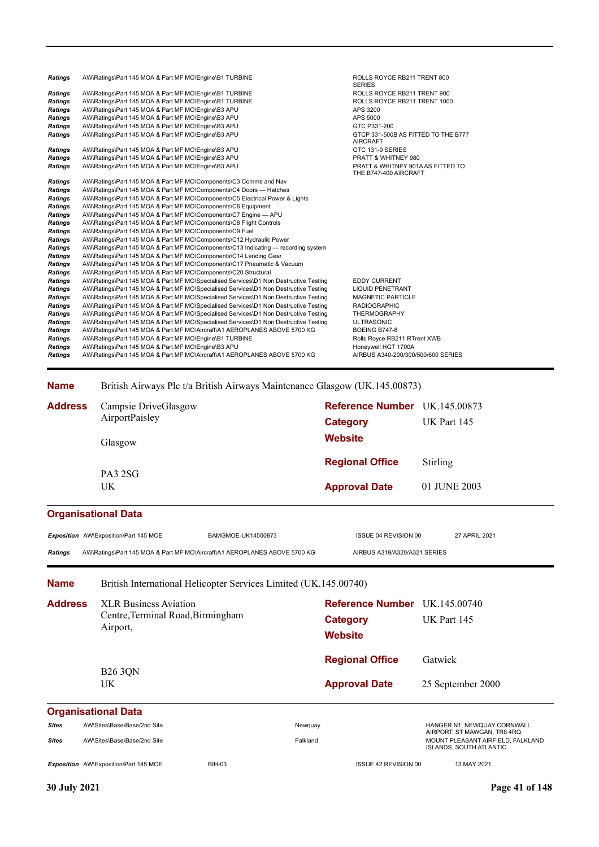| Ratings<br><b>Ratings</b>        | AW\Ratings\Part 145 MOA & Part MF MO\Engine\B1 TURBINE<br>AW\Ratings\Part 145 MOA & Part MF MO\Engine\B1 TURBINE |                                                                                                                                                                              |                                     | ROLLS ROYCE RB211 TRENT 900<br>ROLLS ROYCE RB211 TRENT 1000 |                                    |               |
|----------------------------------|------------------------------------------------------------------------------------------------------------------|------------------------------------------------------------------------------------------------------------------------------------------------------------------------------|-------------------------------------|-------------------------------------------------------------|------------------------------------|---------------|
| <b>Ratings</b>                   | AW\Ratings\Part 145 MOA & Part MF MO\Engine\B3 APU                                                               |                                                                                                                                                                              | APS 3200                            |                                                             |                                    |               |
| <b>Ratings</b>                   | AW\Ratings\Part 145 MOA & Part MF MO\Engine\B3 APU                                                               |                                                                                                                                                                              | APS 5000                            |                                                             |                                    |               |
| <b>Ratings</b>                   | AW\Ratings\Part 145 MOA & Part MF MO\Engine\B3 APU                                                               |                                                                                                                                                                              |                                     | GTC P331-200<br>GTCP 331-500B AS FITTED TO THE B777         |                                    |               |
| <b>Ratings</b><br><b>Ratings</b> | AW\Ratings\Part 145 MOA & Part MF MO\Engine\B3 APU<br>AW\Ratings\Part 145 MOA & Part MF MO\Engine\B3 APU         |                                                                                                                                                                              | <b>AIRCRAFT</b><br>GTC 131-9 SERIES |                                                             |                                    |               |
| Ratings                          | AW\Ratings\Part 145 MOA & Part MF MO\Engine\B3 APU                                                               |                                                                                                                                                                              |                                     | PRATT & WHITNEY 980                                         |                                    |               |
| <b>Ratings</b>                   | AW\Ratings\Part 145 MOA & Part MF MO\Engine\B3 APU                                                               |                                                                                                                                                                              |                                     | THE B747-400 AIRCRAFT                                       | PRATT & WHITNEY 901A AS FITTED TO  |               |
| <b>Ratings</b>                   |                                                                                                                  | AW\Ratings\Part 145 MOA & Part MF MO\Components\C3 Comms and Nav                                                                                                             |                                     |                                                             |                                    |               |
| Ratings<br>Ratings               |                                                                                                                  | AW\Ratings\Part 145 MOA & Part MF MO\Components\C4 Doors - Hatches<br>AW\Ratings\Part 145 MOA & Part MF MO\Components\C5 Electrical Power & Lights                           |                                     |                                                             |                                    |               |
| <b>Ratings</b>                   |                                                                                                                  | AW\Ratings\Part 145 MOA & Part MF MO\Components\C6 Equipment                                                                                                                 |                                     |                                                             |                                    |               |
| Ratings                          |                                                                                                                  | AW\Ratings\Part 145 MOA & Part MF MO\Components\C7 Engine — APU                                                                                                              |                                     |                                                             |                                    |               |
| Ratings                          |                                                                                                                  | AW\Ratings\Part 145 MOA & Part MF MO\Components\C8 Flight Controls                                                                                                           |                                     |                                                             |                                    |               |
| <b>Ratings</b>                   | AW\Ratings\Part 145 MOA & Part MF MO\Components\C9 Fuel                                                          |                                                                                                                                                                              |                                     |                                                             |                                    |               |
| Ratings                          |                                                                                                                  | AW\Ratings\Part 145 MOA & Part MF MO\Components\C12 Hydraulic Power                                                                                                          |                                     |                                                             |                                    |               |
| Ratings<br><b>Ratings</b>        |                                                                                                                  | AW\Ratings\Part 145 MOA & Part MF MO\Components\C13 Indicating — recording system<br>AW\Ratings\Part 145 MOA & Part MF MO\Components\C14 Landing Gear                        |                                     |                                                             |                                    |               |
| <b>Ratings</b>                   |                                                                                                                  | AW\Ratings\Part 145 MOA & Part MF MO\Components\C17 Pneumatic & Vacuum                                                                                                       |                                     |                                                             |                                    |               |
| Ratings                          |                                                                                                                  | AW\Ratings\Part 145 MOA & Part MF MO\Components\C20 Structural                                                                                                               |                                     |                                                             |                                    |               |
| Ratings                          |                                                                                                                  | AW\Ratings\Part 145 MOA & Part MF MO\Specialised Services\D1 Non Destructive Testing                                                                                         | <b>EDDY CURRENT</b>                 |                                                             |                                    |               |
| Ratings<br>Ratings               |                                                                                                                  | AW\Ratings\Part 145 MOA & Part MF MO\Specialised Services\D1 Non Destructive Testing<br>AW\Ratings\Part 145 MOA & Part MF MO\Specialised Services\D1 Non Destructive Testing | <b>LIQUID PENETRANT</b>             | <b>MAGNETIC PARTICLE</b>                                    |                                    |               |
| Ratings                          |                                                                                                                  | AW\Ratings\Part 145 MOA & Part MF MO\Specialised Services\D1 Non Destructive Testing                                                                                         | <b>RADIOGRAPHIC</b>                 |                                                             |                                    |               |
| Ratings                          |                                                                                                                  | AW\Ratings\Part 145 MOA & Part MF MO\Specialised Services\D1 Non Destructive Testing                                                                                         | <b>THERMOGRAPHY</b>                 |                                                             |                                    |               |
| Ratings                          |                                                                                                                  | AW\Ratings\Part 145 MOA & Part MF MO\Specialised Services\D1 Non Destructive Testing                                                                                         | <b>ULTRASONIC</b>                   |                                                             |                                    |               |
| Ratings                          |                                                                                                                  | AW\Ratings\Part 145 MOA & Part MF MO\Aircraft\A1 AEROPLANES ABOVE 5700 KG                                                                                                    | BOEING B747-8                       |                                                             |                                    |               |
| Ratings<br>Ratings               | AW\Ratings\Part 145 MOA & Part MF MO\Engine\B1 TURBINE<br>AW\Ratings\Part 145 MOA & Part MF MO\Engine\B3 APU     |                                                                                                                                                                              |                                     | Rolls Royce RB211 RTrent XWB<br>Honeywell HGT 1700A         |                                    |               |
| <b>Ratings</b>                   |                                                                                                                  | AW\Ratings\Part 145 MOA & Part MF MO\Aircraft\A1 AEROPLANES ABOVE 5700 KG                                                                                                    |                                     |                                                             | AIRBUS A340-200/300/500/600 SERIES |               |
|                                  |                                                                                                                  |                                                                                                                                                                              |                                     |                                                             |                                    |               |
| <b>Name</b>                      |                                                                                                                  | British Airways Plc t/a British Airways Maintenance Glasgow (UK.145.00873)                                                                                                   |                                     |                                                             |                                    |               |
| <b>Address</b>                   | Campsie DriveGlasgow                                                                                             |                                                                                                                                                                              | Reference Number UK.145.00873       |                                                             |                                    |               |
|                                  | AirportPaisley                                                                                                   |                                                                                                                                                                              |                                     |                                                             | UK Part 145                        |               |
|                                  |                                                                                                                  |                                                                                                                                                                              | <b>Category</b>                     |                                                             |                                    |               |
|                                  | Glasgow                                                                                                          |                                                                                                                                                                              | Website                             |                                                             |                                    |               |
|                                  |                                                                                                                  |                                                                                                                                                                              | <b>Regional Office</b>              |                                                             | Stirling                           |               |
|                                  | PA3 2SG                                                                                                          |                                                                                                                                                                              |                                     |                                                             |                                    |               |
|                                  | UK                                                                                                               |                                                                                                                                                                              | <b>Approval Date</b>                |                                                             | 01 JUNE 2003                       |               |
|                                  | <b>Organisational Data</b>                                                                                       |                                                                                                                                                                              |                                     |                                                             |                                    |               |
|                                  |                                                                                                                  | BAMGMOE-UK14500873                                                                                                                                                           |                                     | ISSUE 04 REVISION 00                                        |                                    | 27 APRIL 2021 |
|                                  |                                                                                                                  |                                                                                                                                                                              |                                     |                                                             |                                    |               |
|                                  | Exposition AW\Exposition\Part 145 MOE                                                                            |                                                                                                                                                                              |                                     |                                                             |                                    |               |
| <b>Ratings</b>                   |                                                                                                                  | AW\Ratings\Part 145 MOA & Part MF MO\Aircraft\A1 AEROPLANES ABOVE 5700 KG                                                                                                    |                                     | AIRBUS A319/A320/A321 SERIES                                |                                    |               |
| <b>Name</b>                      |                                                                                                                  | British International Helicopter Services Limited (UK.145.00740)                                                                                                             |                                     |                                                             |                                    |               |
| <b>Address</b>                   | <b>XLR Business Aviation</b>                                                                                     |                                                                                                                                                                              | Reference Number UK.145.00740       |                                                             |                                    |               |

**Approval Date** 25 September 2000 **Organisational Data Website Category** UK Part 145 **Regional Office** Gatwick UK B26 3QN Airport, Sites AW\Sites\Base\Base/2nd Site Newslett Newslett Newslett Newslett Newslett Newslett Newslett Newslett Newsl<br>AIRPORT, ST MAWGAN, TR8 4RQ. *Sites* AW\Sites\Base\Base/2nd Site Falkland MOUNT PLEASANT AIRFIELD, FALKLAND ISLANDS, SOUTH ATLANTIC **Exposition** AW\Exposition\Part 145 MOE BIH-03 BIH-03 ISSUE 42 REVISION 00 13 MAY 2021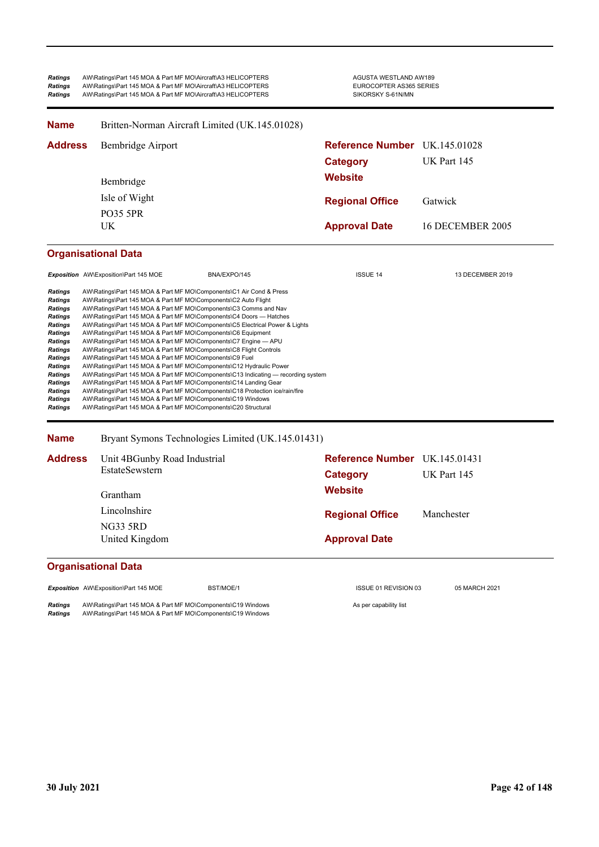| <b>Ratings</b> | AW\Ratings\Part 145 MOA & Part MF MO\Aircraft\A3 HELICOPTERS | AGUSTA WESTLAND AW189   |
|----------------|--------------------------------------------------------------|-------------------------|
| <b>Ratings</b> | AW\Ratings\Part 145 MOA & Part MF MO\Aircraft\A3 HELICOPTERS | EUROCOPTER AS365 SERIES |
| <b>Ratings</b> | AW\Ratings\Part 145 MOA & Part MF MO\Aircraft\A3 HELICOPTERS | SIKORSKY S-61N/MN       |

| <b>Name</b>                                                                                                                                                                                                                                                                | Britten-Norman Aircraft Limited (UK.145.01028)                                                                                                                                                                                                                                                                                                                                                   |                                                                                                                                                                                                                                                                                                                                                                                                                                                                                                                                                                                                                                                                                  |                      |                                      |  |  |
|----------------------------------------------------------------------------------------------------------------------------------------------------------------------------------------------------------------------------------------------------------------------------|--------------------------------------------------------------------------------------------------------------------------------------------------------------------------------------------------------------------------------------------------------------------------------------------------------------------------------------------------------------------------------------------------|----------------------------------------------------------------------------------------------------------------------------------------------------------------------------------------------------------------------------------------------------------------------------------------------------------------------------------------------------------------------------------------------------------------------------------------------------------------------------------------------------------------------------------------------------------------------------------------------------------------------------------------------------------------------------------|----------------------|--------------------------------------|--|--|
| <b>Address</b>                                                                                                                                                                                                                                                             | Bembridge Airport                                                                                                                                                                                                                                                                                                                                                                                |                                                                                                                                                                                                                                                                                                                                                                                                                                                                                                                                                                                                                                                                                  |                      | <b>Reference Number</b> UK.145.01028 |  |  |
|                                                                                                                                                                                                                                                                            |                                                                                                                                                                                                                                                                                                                                                                                                  |                                                                                                                                                                                                                                                                                                                                                                                                                                                                                                                                                                                                                                                                                  | <b>Category</b>      | UK Part 145                          |  |  |
|                                                                                                                                                                                                                                                                            | Bembridge                                                                                                                                                                                                                                                                                                                                                                                        |                                                                                                                                                                                                                                                                                                                                                                                                                                                                                                                                                                                                                                                                                  | <b>Website</b>       |                                      |  |  |
| Isle of Wight<br><b>PO35 5PR</b>                                                                                                                                                                                                                                           |                                                                                                                                                                                                                                                                                                                                                                                                  | <b>Regional Office</b>                                                                                                                                                                                                                                                                                                                                                                                                                                                                                                                                                                                                                                                           | Gatwick              |                                      |  |  |
|                                                                                                                                                                                                                                                                            |                                                                                                                                                                                                                                                                                                                                                                                                  |                                                                                                                                                                                                                                                                                                                                                                                                                                                                                                                                                                                                                                                                                  |                      |                                      |  |  |
|                                                                                                                                                                                                                                                                            | UK                                                                                                                                                                                                                                                                                                                                                                                               |                                                                                                                                                                                                                                                                                                                                                                                                                                                                                                                                                                                                                                                                                  | <b>Approval Date</b> | <b>16 DECEMBER 2005</b>              |  |  |
|                                                                                                                                                                                                                                                                            | <b>Organisational Data</b><br>Exposition AW\Exposition\Part 145 MOE                                                                                                                                                                                                                                                                                                                              | BNA/EXPO/145                                                                                                                                                                                                                                                                                                                                                                                                                                                                                                                                                                                                                                                                     | <b>ISSUE 14</b>      | 13 DECEMBER 2019                     |  |  |
| <b>Ratings</b><br><b>Ratings</b><br><b>Ratings</b><br><b>Ratings</b><br><b>Ratings</b><br><b>Ratings</b><br><b>Ratings</b><br><b>Ratings</b><br><b>Ratings</b><br><b>Ratings</b><br><b>Ratings</b><br><b>Ratings</b><br><b>Ratings</b><br><b>Ratings</b><br><b>Ratings</b> | AW\Ratings\Part 145 MOA & Part MF MO\Components\C2 Auto Flight<br>AW\Ratings\Part 145 MOA & Part MF MO\Components\C6 Equipment<br>AW\Ratings\Part 145 MOA & Part MF MO\Components\C8 Flight Controls<br>AW\Ratings\Part 145 MOA & Part MF MO\Components\C9 Fuel<br>AW\Ratings\Part 145 MOA & Part MF MO\Components\C19 Windows<br>AW\Ratings\Part 145 MOA & Part MF MO\Components\C20 Structural | AW\Ratings\Part 145 MOA & Part MF MO\Components\C1 Air Cond & Press<br>AW\Ratings\Part 145 MOA & Part MF MO\Components\C3 Comms and Nav<br>AW\Ratings\Part 145 MOA & Part MF MO\Components\C4 Doors - Hatches<br>AW\Ratings\Part 145 MOA & Part MF MO\Components\C5 Electrical Power & Lights<br>AW\Ratings\Part 145 MOA & Part MF MO\Components\C7 Engine - APU<br>AW\Ratings\Part 145 MOA & Part MF MO\Components\C12 Hydraulic Power<br>AW\Ratings\Part 145 MOA & Part MF MO\Components\C13 Indicating — recording system<br>AW\Ratings\Part 145 MOA & Part MF MO\Components\C14 Landing Gear<br>AW\Ratings\Part 145 MOA & Part MF MO\Components\C18 Protection ice/rain/fire |                      |                                      |  |  |

**Name** Bryant Symons Technologies Limited (UK.145.01431)

| <b>Address</b> | Unit 4BGunby Road Industrial | Reference Number UK.145.01431 |             |
|----------------|------------------------------|-------------------------------|-------------|
|                | EstateSewstern               | Category                      | UK Part 145 |
|                | Grantham                     | <b>Website</b>                |             |
|                | Lincolnshire                 | <b>Regional Office</b>        | Manchester  |
|                | NG33 5RD<br>United Kingdom   | <b>Approval Date</b>          |             |

# **Organisational Data**

**EXPOSITION AND EXPOSITION AT A REVISION 03** OS MARCH 2021

**Ratings** AW\Ratings\Part 145 MOA & Part MF MO\Components\C19 Windows<br> **Ratings** AW\Ratings\Part 145 MOA & Part MF MO\Components\C19 Windows *Ratings* AW\Ratings\Part 145 MOA & Part MF MO\Components\C19 Windows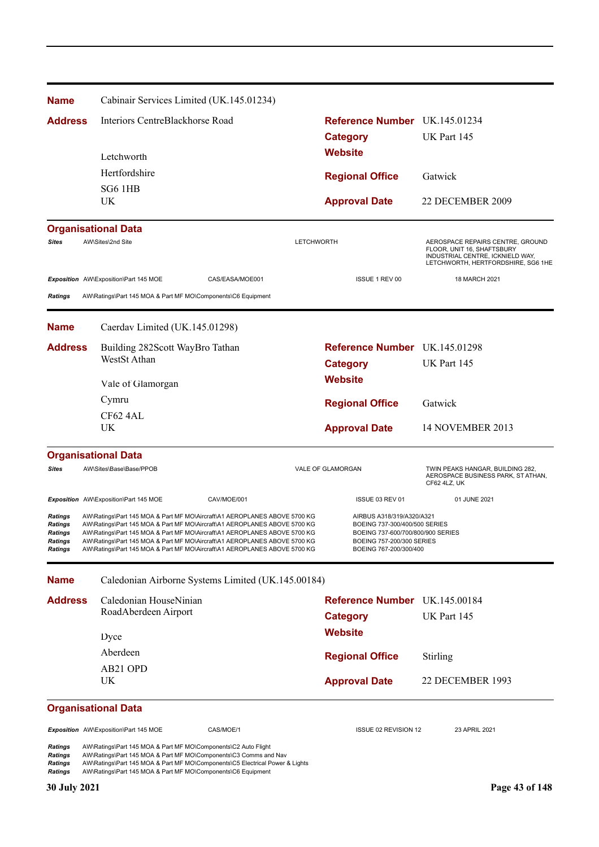| <b>Name</b>                                                                     | Cabinair Services Limited (UK.145.01234)                                                                                                                                                                                                                                                                                                                                                      |                   |                                                                                                                                                        |                                                                                                                                          |
|---------------------------------------------------------------------------------|-----------------------------------------------------------------------------------------------------------------------------------------------------------------------------------------------------------------------------------------------------------------------------------------------------------------------------------------------------------------------------------------------|-------------------|--------------------------------------------------------------------------------------------------------------------------------------------------------|------------------------------------------------------------------------------------------------------------------------------------------|
| <b>Address</b>                                                                  | Interiors CentreBlackhorse Road                                                                                                                                                                                                                                                                                                                                                               |                   | Reference Number UK.145.01234                                                                                                                          |                                                                                                                                          |
|                                                                                 |                                                                                                                                                                                                                                                                                                                                                                                               |                   | <b>Category</b><br><b>Website</b>                                                                                                                      | UK Part 145                                                                                                                              |
|                                                                                 | Letchworth                                                                                                                                                                                                                                                                                                                                                                                    |                   |                                                                                                                                                        |                                                                                                                                          |
|                                                                                 | Hertfordshire                                                                                                                                                                                                                                                                                                                                                                                 |                   | <b>Regional Office</b>                                                                                                                                 | Gatwick                                                                                                                                  |
|                                                                                 | SG6 1HB<br>UK                                                                                                                                                                                                                                                                                                                                                                                 |                   | <b>Approval Date</b>                                                                                                                                   | 22 DECEMBER 2009                                                                                                                         |
|                                                                                 |                                                                                                                                                                                                                                                                                                                                                                                               |                   |                                                                                                                                                        |                                                                                                                                          |
|                                                                                 | <b>Organisational Data</b><br>AW\Sites\2nd Site                                                                                                                                                                                                                                                                                                                                               |                   |                                                                                                                                                        |                                                                                                                                          |
| <b>Sites</b>                                                                    |                                                                                                                                                                                                                                                                                                                                                                                               | <b>LETCHWORTH</b> |                                                                                                                                                        | AEROSPACE REPAIRS CENTRE, GROUND<br>FLOOR, UNIT 16, SHAFTSBURY<br>INDUSTRIAL CENTRE, ICKNIELD WAY,<br>LETCHWORTH, HERTFORDSHIRE, SG6 1HE |
|                                                                                 | Exposition AW\Exposition\Part 145 MOE                                                                                                                                                                                                                                                                                                                                                         | CAS/EASA/MOE001   | ISSUE 1 REV 00                                                                                                                                         | 18 MARCH 2021                                                                                                                            |
| <b>Ratings</b>                                                                  | AW\Ratings\Part 145 MOA & Part MF MO\Components\C6 Equipment                                                                                                                                                                                                                                                                                                                                  |                   |                                                                                                                                                        |                                                                                                                                          |
| <b>Name</b>                                                                     | Caerdav Limited (UK.145.01298)                                                                                                                                                                                                                                                                                                                                                                |                   |                                                                                                                                                        |                                                                                                                                          |
| <b>Address</b>                                                                  | Building 282Scott WayBro Tathan                                                                                                                                                                                                                                                                                                                                                               |                   | Reference Number UK.145.01298                                                                                                                          |                                                                                                                                          |
|                                                                                 | WestSt Athan                                                                                                                                                                                                                                                                                                                                                                                  |                   | <b>Category</b>                                                                                                                                        | UK Part 145                                                                                                                              |
|                                                                                 | Vale of Glamorgan                                                                                                                                                                                                                                                                                                                                                                             |                   | <b>Website</b>                                                                                                                                         |                                                                                                                                          |
|                                                                                 | Cymru                                                                                                                                                                                                                                                                                                                                                                                         |                   | <b>Regional Office</b>                                                                                                                                 | Gatwick                                                                                                                                  |
|                                                                                 | CF62 4AL                                                                                                                                                                                                                                                                                                                                                                                      |                   |                                                                                                                                                        |                                                                                                                                          |
|                                                                                 | <b>UK</b>                                                                                                                                                                                                                                                                                                                                                                                     |                   | <b>Approval Date</b>                                                                                                                                   | 14 NOVEMBER 2013                                                                                                                         |
|                                                                                 | <b>Organisational Data</b>                                                                                                                                                                                                                                                                                                                                                                    |                   |                                                                                                                                                        |                                                                                                                                          |
| <b>Sites</b>                                                                    | AW\Sites\Base\Base/PPOB                                                                                                                                                                                                                                                                                                                                                                       |                   | VALE OF GLAMORGAN                                                                                                                                      | TWIN PEAKS HANGAR, BUILDING 282,<br>AEROSPACE BUSINESS PARK, ST ATHAN,<br>CF62 4LZ, UK                                                   |
|                                                                                 | Exposition AW\Exposition\Part 145 MOE                                                                                                                                                                                                                                                                                                                                                         | CAV/MOE/001       | ISSUE 03 REV 01                                                                                                                                        | 01 JUNE 2021                                                                                                                             |
| <b>Ratings</b><br><b>Ratings</b><br>Ratings<br><b>Ratings</b><br><b>Ratings</b> | AW\Ratings\Part 145 MOA & Part MF MO\Aircraft\A1 AEROPLANES ABOVE 5700 KG<br>AW\Ratings\Part 145 MOA & Part MF MO\Aircraft\A1 AEROPLANES ABOVE 5700 KG<br>AW\Ratings\Part 145 MOA & Part MF MO\Aircraft\A1 AEROPLANES ABOVE 5700 KG<br>AW\Ratings\Part 145 MOA & Part MF MO\Aircraft\A1 AEROPLANES ABOVE 5700 KG<br>AW\Ratings\Part 145 MOA & Part MF MO\Aircraft\A1 AEROPLANES ABOVE 5700 KG |                   | AIRBUS A318/319/A320/A321<br>BOEING 737-300/400/500 SERIES<br>BOEING 737-600/700/800/900 SERIES<br>BOEING 757-200/300 SERIES<br>BOEING 767-200/300/400 |                                                                                                                                          |
| <b>Name</b>                                                                     | Caledonian Airborne Systems Limited (UK.145.00184)                                                                                                                                                                                                                                                                                                                                            |                   |                                                                                                                                                        |                                                                                                                                          |
| <b>Address</b>                                                                  | Caledonian HouseNinian                                                                                                                                                                                                                                                                                                                                                                        |                   | Reference Number UK.145.00184                                                                                                                          |                                                                                                                                          |
|                                                                                 | RoadAberdeen Airport                                                                                                                                                                                                                                                                                                                                                                          |                   | <b>Category</b>                                                                                                                                        | UK Part 145                                                                                                                              |
|                                                                                 | Dyce                                                                                                                                                                                                                                                                                                                                                                                          |                   | <b>Website</b>                                                                                                                                         |                                                                                                                                          |
|                                                                                 | Aberdeen                                                                                                                                                                                                                                                                                                                                                                                      |                   | <b>Regional Office</b>                                                                                                                                 | Stirling                                                                                                                                 |
|                                                                                 | AB21 OPD                                                                                                                                                                                                                                                                                                                                                                                      |                   |                                                                                                                                                        |                                                                                                                                          |
|                                                                                 | UK                                                                                                                                                                                                                                                                                                                                                                                            |                   | <b>Approval Date</b>                                                                                                                                   | 22 DECEMBER 1993                                                                                                                         |
|                                                                                 | <b>Organisational Data</b>                                                                                                                                                                                                                                                                                                                                                                    |                   |                                                                                                                                                        |                                                                                                                                          |
|                                                                                 | Exposition AW\Exposition\Part 145 MOE                                                                                                                                                                                                                                                                                                                                                         | CAS/MOE/1         | ISSUE 02 REVISION 12                                                                                                                                   | 23 APRIL 2021                                                                                                                            |
| Ratings<br><b>Ratings</b><br>Ratings<br><b>Ratings</b>                          | AW\Ratings\Part 145 MOA & Part MF MO\Components\C2 Auto Flight<br>AW\Ratings\Part 145 MOA & Part MF MO\Components\C3 Comms and Nav<br>AW\Ratings\Part 145 MOA & Part MF MO\Components\C5 Electrical Power & Lights<br>AW\Ratings\Part 145 MOA & Part MF MO\Components\C6 Equipment                                                                                                            |                   |                                                                                                                                                        |                                                                                                                                          |
| <b>30 July 2021</b>                                                             |                                                                                                                                                                                                                                                                                                                                                                                               |                   |                                                                                                                                                        | Page 43 of 148                                                                                                                           |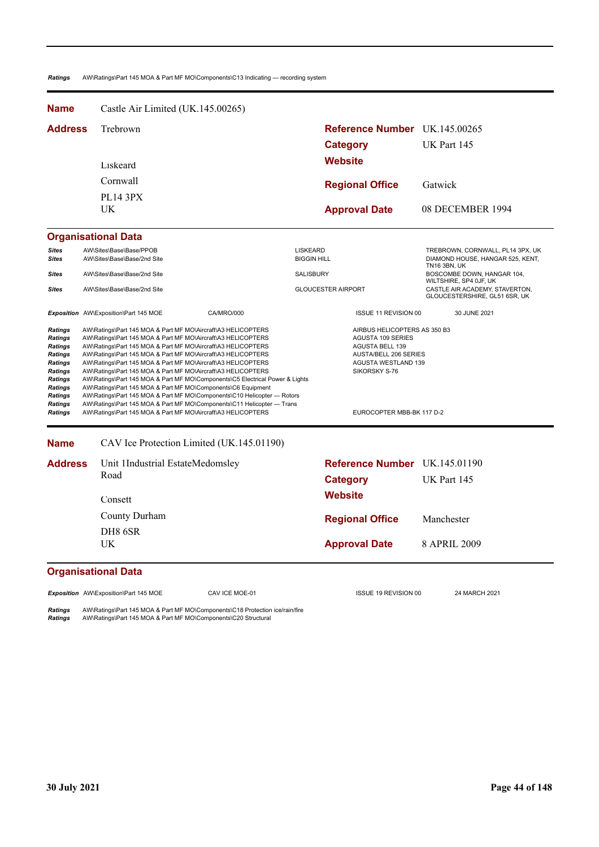*Ratings* AW\Ratings\Part 145 MOA & Part MF MO\Components\C13 Indicating — recording system

| <b>Name</b>                                                                                                                                                                                                                                                                                                                                                                                                                                                                                                                                                                                                                                                                                                                                                                                                                                                                                                                                 | Castle Air Limited (UK.145.00265)                          |                                                                                                                                                                                                |                                                                                             |  |  |  |
|---------------------------------------------------------------------------------------------------------------------------------------------------------------------------------------------------------------------------------------------------------------------------------------------------------------------------------------------------------------------------------------------------------------------------------------------------------------------------------------------------------------------------------------------------------------------------------------------------------------------------------------------------------------------------------------------------------------------------------------------------------------------------------------------------------------------------------------------------------------------------------------------------------------------------------------------|------------------------------------------------------------|------------------------------------------------------------------------------------------------------------------------------------------------------------------------------------------------|---------------------------------------------------------------------------------------------|--|--|--|
| <b>Address</b>                                                                                                                                                                                                                                                                                                                                                                                                                                                                                                                                                                                                                                                                                                                                                                                                                                                                                                                              | Trebrown                                                   | <b>Reference Number</b> UK.145.00265                                                                                                                                                           |                                                                                             |  |  |  |
|                                                                                                                                                                                                                                                                                                                                                                                                                                                                                                                                                                                                                                                                                                                                                                                                                                                                                                                                             |                                                            | <b>Category</b>                                                                                                                                                                                | UK Part 145                                                                                 |  |  |  |
|                                                                                                                                                                                                                                                                                                                                                                                                                                                                                                                                                                                                                                                                                                                                                                                                                                                                                                                                             | Liskeard                                                   | Website                                                                                                                                                                                        |                                                                                             |  |  |  |
|                                                                                                                                                                                                                                                                                                                                                                                                                                                                                                                                                                                                                                                                                                                                                                                                                                                                                                                                             | Cornwall                                                   |                                                                                                                                                                                                |                                                                                             |  |  |  |
|                                                                                                                                                                                                                                                                                                                                                                                                                                                                                                                                                                                                                                                                                                                                                                                                                                                                                                                                             |                                                            | <b>Regional Office</b>                                                                                                                                                                         | Gatwick                                                                                     |  |  |  |
|                                                                                                                                                                                                                                                                                                                                                                                                                                                                                                                                                                                                                                                                                                                                                                                                                                                                                                                                             | <b>PL14 3PX</b><br><b>UK</b>                               | <b>Approval Date</b>                                                                                                                                                                           | 08 DECEMBER 1994                                                                            |  |  |  |
|                                                                                                                                                                                                                                                                                                                                                                                                                                                                                                                                                                                                                                                                                                                                                                                                                                                                                                                                             | <b>Organisational Data</b>                                 |                                                                                                                                                                                                |                                                                                             |  |  |  |
| <b>Sites</b><br><b>Sites</b>                                                                                                                                                                                                                                                                                                                                                                                                                                                                                                                                                                                                                                                                                                                                                                                                                                                                                                                | AW\Sites\Base\Base/PPOB<br>AW\Sites\Base\Base/2nd Site     | <b>LISKEARD</b><br><b>BIGGIN HILL</b>                                                                                                                                                          | TREBROWN, CORNWALL, PL14 3PX, UK<br>DIAMOND HOUSE, HANGAR 525, KENT,<br><b>TN16 3BN, UK</b> |  |  |  |
| <b>Sites</b>                                                                                                                                                                                                                                                                                                                                                                                                                                                                                                                                                                                                                                                                                                                                                                                                                                                                                                                                | AW\Sites\Base\Base/2nd Site                                | SALISBURY                                                                                                                                                                                      | BOSCOMBE DOWN, HANGAR 104,<br>WILTSHIRE, SP4 OJF, UK                                        |  |  |  |
| <b>Sites</b>                                                                                                                                                                                                                                                                                                                                                                                                                                                                                                                                                                                                                                                                                                                                                                                                                                                                                                                                | AW\Sites\Base\Base/2nd Site                                | <b>GLOUCESTER AIRPORT</b>                                                                                                                                                                      | CASTLE AIR ACADEMY, STAVERTON,<br>GLOUCESTERSHIRE, GL51 6SR, UK                             |  |  |  |
|                                                                                                                                                                                                                                                                                                                                                                                                                                                                                                                                                                                                                                                                                                                                                                                                                                                                                                                                             | Exposition AW\Exposition\Part 145 MOE<br><b>CA/MRO/000</b> | ISSUE 11 REVISION 00                                                                                                                                                                           | 30 JUNE 2021                                                                                |  |  |  |
| <b>Ratings</b><br>AW\Ratings\Part 145 MOA & Part MF MO\Aircraft\A3 HELICOPTERS<br>AW\Ratings\Part 145 MOA & Part MF MO\Aircraft\A3 HELICOPTERS<br><b>Ratings</b><br><b>Ratings</b><br>AW\Ratings\Part 145 MOA & Part MF MO\Aircraft\A3 HELICOPTERS<br>AW\Ratings\Part 145 MOA & Part MF MO\Aircraft\A3 HELICOPTERS<br>Ratings<br><b>Ratings</b><br>AW\Ratings\Part 145 MOA & Part MF MO\Aircraft\A3 HELICOPTERS<br>Ratings<br>AW\Ratings\Part 145 MOA & Part MF MO\Aircraft\A3 HELICOPTERS<br>Ratings<br>AW\Ratings\Part 145 MOA & Part MF MO\Components\C5 Electrical Power & Lights<br><b>Ratings</b><br>AW\Ratings\Part 145 MOA & Part MF MO\Components\C6 Equipment<br>AW\Ratings\Part 145 MOA & Part MF MO\Components\C10 Helicopter - Rotors<br>Ratings<br><b>Ratings</b><br>AW\Ratings\Part 145 MOA & Part MF MO\Components\C11 Helicopter - Trans<br>AW\Ratings\Part 145 MOA & Part MF MO\Aircraft\A3 HELICOPTERS<br><b>Ratings</b> |                                                            | AIRBUS HELICOPTERS AS 350 B3<br><b>AGUSTA 109 SERIES</b><br><b>AGUSTA BELL 139</b><br><b>AUSTA/BELL 206 SERIES</b><br><b>AGUSTA WESTLAND 139</b><br>SIKORSKY S-76<br>EUROCOPTER MBB-BK 117 D-2 |                                                                                             |  |  |  |
| <b>Name</b>                                                                                                                                                                                                                                                                                                                                                                                                                                                                                                                                                                                                                                                                                                                                                                                                                                                                                                                                 | CAV Ice Protection Limited (UK.145.01190)                  |                                                                                                                                                                                                |                                                                                             |  |  |  |
| <b>Address</b>                                                                                                                                                                                                                                                                                                                                                                                                                                                                                                                                                                                                                                                                                                                                                                                                                                                                                                                              | Unit 1Industrial EstateMedomsley                           | <b>Reference Number</b> UK.145.01190                                                                                                                                                           |                                                                                             |  |  |  |
|                                                                                                                                                                                                                                                                                                                                                                                                                                                                                                                                                                                                                                                                                                                                                                                                                                                                                                                                             | Road                                                       | <b>Category</b>                                                                                                                                                                                | UK Part 145                                                                                 |  |  |  |
|                                                                                                                                                                                                                                                                                                                                                                                                                                                                                                                                                                                                                                                                                                                                                                                                                                                                                                                                             | Consett                                                    | Website                                                                                                                                                                                        |                                                                                             |  |  |  |
|                                                                                                                                                                                                                                                                                                                                                                                                                                                                                                                                                                                                                                                                                                                                                                                                                                                                                                                                             | County Durham                                              | <b>Regional Office</b>                                                                                                                                                                         | Manchester                                                                                  |  |  |  |
|                                                                                                                                                                                                                                                                                                                                                                                                                                                                                                                                                                                                                                                                                                                                                                                                                                                                                                                                             | DH <sub>8</sub> 6SR<br><b>UK</b>                           | <b>Approval Date</b>                                                                                                                                                                           | 8 APRIL 2009                                                                                |  |  |  |
|                                                                                                                                                                                                                                                                                                                                                                                                                                                                                                                                                                                                                                                                                                                                                                                                                                                                                                                                             | <b>Organisational Data</b>                                 |                                                                                                                                                                                                |                                                                                             |  |  |  |
|                                                                                                                                                                                                                                                                                                                                                                                                                                                                                                                                                                                                                                                                                                                                                                                                                                                                                                                                             | CAV ICE MOE-01<br>Exposition AW\Exposition\Part 145 MOE    | ISSUE 19 REVISION 00                                                                                                                                                                           | 24 MARCH 2021                                                                               |  |  |  |

*Ratings* AW\Ratings\Part 145 MOA & Part MF MO\Components\C18 Protection ice/rain/fire *Ratings* AW\Ratings\Part 145 MOA & Part MF MO\Components\C20 Structural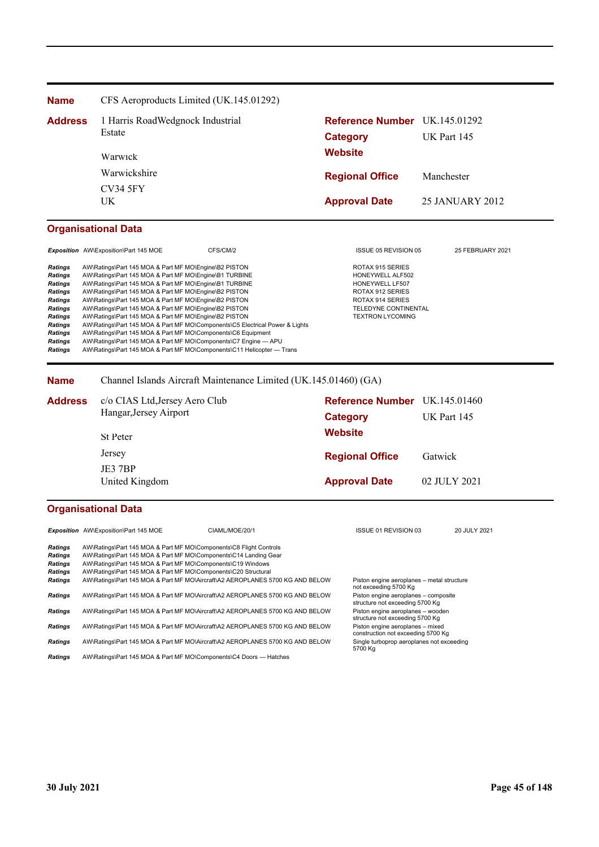| <b>Name</b>    | CFS Aeroproducts Limited (UK.145.01292) |                               |                 |
|----------------|-----------------------------------------|-------------------------------|-----------------|
| <b>Address</b> | 1 Harris RoadWedgnock Industrial        | Reference Number UK.145.01292 |                 |
|                | Estate                                  | <b>Category</b>               | UK Part 145     |
|                | Warwick                                 | <b>Website</b>                |                 |
|                | Warwickshire                            | <b>Regional Office</b>        | Manchester      |
|                | <b>CV34 5FY</b><br>UΚ                   | <b>Approval Date</b>          | 25 JANUARY 2012 |

# **Organisational Data**

*Exposition* AW\Exposition\Part 145 MOE CFS/CM/2 ISSUE 05 REVISION 05 25 FEBRUARY 2021 Ratings AW\Ratings\Part 145 MOA & Part MF MO\Engine\B2 PISTON ROTAX 915 SERIES<br> **Ratings** AW\Ratings\Part 145 MOA & Part MF MO\Engine\B1 TURBINE RESONG RESONG RESONGLALF502 Portings AW\Ratings\Part 145 MOA & Part MF MO\Engine\B1 TURBINE HONEYWELL ALF507<br>Pratings AW\Ratings\Part 145 MOA & Part MF MO\Engine\B1 TURBINE HONEYWELL LF507 **Ratings** AW\Ratings\Part 145 MOA & Part MF MO\Engine\B1 TURBINE HONEYWELL LF507<br> **Ratings** AW\Ratings\Part 145 MOA & Part MF MO\Engine\B2 PISTON **House ROTAX 912 SERIES Ratings AW\Ratings\Part 145 MOA & Part MF MO\Engine\B2 PISTON ROTAX 912 SERIES**<br>
Ratings AW\Ratings\Part 145 MOA & Part MF MO\Engine\B2 PISTON ROTAX 914 SERIES Provided a Multimary Part 145 MOA & Part MF MO\Engine\B2 PISTON ROTAX 914 SERIES RATINGS\UPPERIFING AW\Ratings\Part 145 MOA & Part MF MO\Engine\B2 PISTON **Ratings** AW\Ratings\Part 145 MOA & Part MF MO\Engine\B2 PISTON TELEDYNE CONTINENTAL TELEDYNE CONTINE<br> **Ratings** AW\Ratings\Part 145 MOA & Part MF MO\Engine\B2 PISTON TEXTRON LYCOMING **Ratings AW\Ratings\Part 145 MOA & Part MF MO\Engine\B2 PISTON<br>
Ratings AW\Ratings\Part 145 MOA & Part MF MO\Components\C5 Ele Ratings** AWRatings\Part 145 MOA & Part MF MO\Components\C5 Electrical Power & Lights<br> **Ratings** AW\Ratings\Part 145 MOA & Part MF MO\Components\C6 Equipment **Ratings** AW\Ratings\Part 145 MOA & Part MF MO\Components\C6 Equipment<br>**Ratings** AW\Ratings\Part 145 MOA & Part MF MO\Components\C7 Engine --**Ratings** AW\Ratings\Part 145 MOA & Part MF MO\Components\C7 Engine — APU<br>**Ratings** AW\Ratings\Part 145 MOA & Part MF MO\Components\C11 Helicopter — *Ratings* AW\Ratings\Part 145 MOA & Part MF MO\Components\C11 Helicopter — Trans

**Name** Channel Islands Aircraft Maintenance Limited (UK.145.01460) (GA)

| <b>Address</b> | c/o CIAS Ltd, Jersey Aero Club<br>Hangar, Jersey Airport | <b>Reference Number</b> UK.145.01460 |                    |
|----------------|----------------------------------------------------------|--------------------------------------|--------------------|
|                |                                                          | Category                             | <b>UK Part 145</b> |
|                | <b>St Peter</b>                                          | <b>Website</b>                       |                    |
|                | Jersey                                                   | <b>Regional Office</b>               | Gatwick            |
|                | JE3 7BP<br>United Kingdom                                | <b>Approval Date</b>                 | 02 JULY 2021       |

## **Organisational Data**

|                | <b>Exposition</b> AW\Exposition\Part 145 MOE                       | CIAML/MOE/20/1                                                                | ISSUE 01 REVISION 03                                                    | 20 JULY 2021 |
|----------------|--------------------------------------------------------------------|-------------------------------------------------------------------------------|-------------------------------------------------------------------------|--------------|
| <b>Ratings</b> | AW\Ratings\Part 145 MOA & Part MF MO\Components\C8 Flight Controls |                                                                               |                                                                         |              |
| <b>Ratings</b> | AW\Ratings\Part 145 MOA & Part MF MO\Components\C14 Landing Gear   |                                                                               |                                                                         |              |
| <b>Ratings</b> | AW\Ratings\Part 145 MOA & Part MF MO\Components\C19 Windows        |                                                                               |                                                                         |              |
| <b>Ratings</b> | AW\Ratings\Part 145 MOA & Part MF MO\Components\C20 Structural     |                                                                               |                                                                         |              |
| <b>Ratings</b> |                                                                    | AW\Ratings\Part 145 MOA & Part MF MO\Aircraft\A2 AEROPLANES 5700 KG AND BELOW | Piston engine aeroplanes - metal structure<br>not exceeding 5700 Kg     |              |
| <b>Ratings</b> |                                                                    | AW\Ratings\Part 145 MOA & Part MF MO\Aircraft\A2 AEROPLANES 5700 KG AND BELOW | Piston engine aeroplanes - composite<br>structure not exceeding 5700 Kg |              |
| <b>Ratings</b> |                                                                    | AW\Ratings\Part 145 MOA & Part MF MO\Aircraft\A2 AEROPLANES 5700 KG AND BELOW | Piston engine aeroplanes - wooden<br>structure not exceeding 5700 Kg    |              |
| <b>Ratings</b> |                                                                    | AW\Ratings\Part 145 MOA & Part MF MO\Aircraft\A2 AEROPLANES 5700 KG AND BELOW | Piston engine aeroplanes - mixed<br>construction not exceeding 5700 Kg  |              |
| <b>Ratings</b> |                                                                    | AW\Ratings\Part 145 MOA & Part MF MO\Aircraft\A2 AEROPLANES 5700 KG AND BELOW | Single turboprop aeroplanes not exceeding<br>5700 Kg                    |              |
| <b>Ratings</b> | AW\Ratings\Part 145 MOA & Part MF MO\Components\C4 Doors — Hatches |                                                                               |                                                                         |              |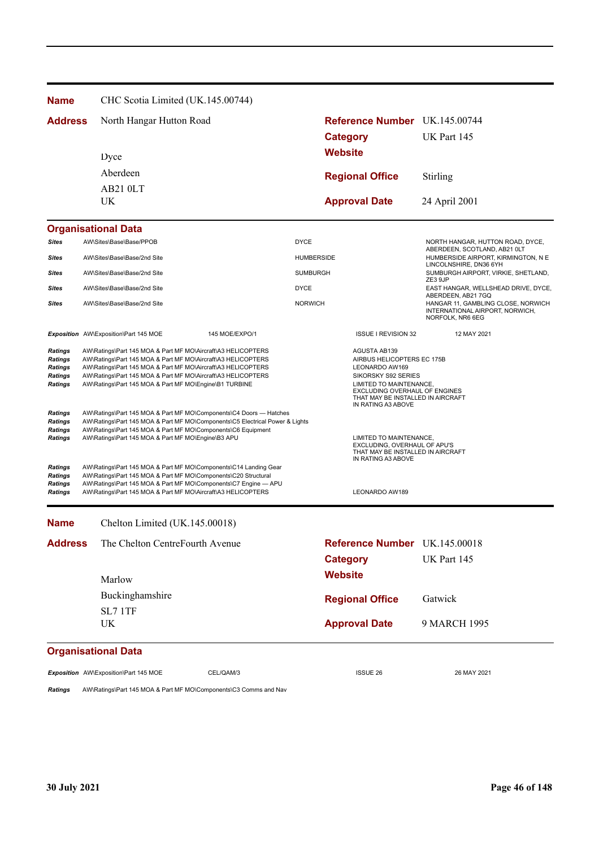**Name** CHC Scotia Limited (UK.145.00744)

| Address | North Hangar Hutton Road | Reference Number UK.145.00744 |               |
|---------|--------------------------|-------------------------------|---------------|
|         |                          | Category                      | UK Part 145   |
|         | Dyce                     | <b>Website</b>                |               |
|         | Aberdeen                 | <b>Regional Office</b>        | Stirling      |
|         | AB21 0LT<br>UK.          | <b>Approval Date</b>          | 24 April 2001 |

#### **Organisational Data** *Sites* AW\Sites\Base\Base/PPOB DYCE NORTH HANGAR, HUTTON ROAD, DYCE, ABERDEEN, SCOTLAND, AB21 0LT **Sites** AW\Sites\Base\Base/2nd Site **AW\Sites\Base\Base\Base**/2nd Site HUMBERSIDE AIRPORT, KIRMINGTON, N E LINCOLNSHIRE, DN36 6YH **Sites** AW\Sites\Base\Base/2nd Site Sumburgh Alternative SUMBURGH AIRPORT, VIRKIE, SHETLAND, ZE3 9JP **Sites** AW\Sites\Base\Base/2nd Site **DYCE** DYCE DYCE EAST HANGAR, WELLSHEAD DRIVE, DYCE, ABERDEEN, AB21 7GQ **Sites** AW\Sites\Base\Base/2nd Site North NORWICH NORWICH NORWICH HANGAR 11, GAMBLING CLOSE, NORWICH INTERNATIONAL AIRPORT, NORWICH, NORFOLK, NR6 6EG **Exposition** AW\Exposition\Part 145 MOE 145 MOE/EXPO/1 15 12 MAY 2021 **Ratings** AW\Ratings\Part 145 MOA & Part MF MO\Aircraft\A3 HELICOPTERS **AGUSTA AB139**<br>Ratings AW\Ratings\Part 145 MOA & Part MF MO\Aircraft\A3 HELICOPTERS **AGUSTA AGUSTA AGUSTA AB139 Ratings** AW\Ratings\Part 145 MOA & Part MF MO\Aircraft\A3 HELICOPTERS AIRBUS HELICOPTE<br> **Ratings** AW\Ratings\Part 145 MOA & Part MF MO\Aircraft\A3 HELICOPTERS LEONARDO AW169 *Ratings* AW\Ratings\Part 145 MOA & Part MF MO\Aircraft\A3 HELICOPTERS LEONARDO AW169 **Ratings** AW\Ratings\Part 145 MOA & Part MF MO\Aircraft\A3 HELICOPTERS **Ratings** AW\Ratings\Part 145 MOA & Part MF MO\Engine\B1 TURBINE EXCLUDING OVERHAUL OF ENGINES<br>EXCLUDING OVERHAUL OF ENGINES THAT MAY BE INSTALLED IN AIRCRAFT IN RATING A3 ABOVE *Ratings* AW\Ratings\Part 145 MOA & Part MF MO\Components\C4 Doors — Hatches *Ratings* AW\Ratings\Part 145 MOA & Part MF MO\Components\C5 Electrical Power & Lights *Ratings* AW\Ratings\Part 145 MOA & Part MF MO\Components\C6 Equipment **Ratings** AW\Ratings\Part 145 MOA & Part MF MO\Engine\B3 APU LIMITED TO MAINTENANCE, EXCLUDING, OVERHAUL OF APU'S THAT MAY BE INSTALLED IN AIRCRAFT IN RATING A3 ABOVE *Ratings* AW\Ratings\Part 145 MOA & Part MF MO\Components\C14 Landing Gear *Ratings* AW\Ratings\Part 145 MOA & Part MF MO\Components\C20 Structural **Ratings** AW\Ratings\Part 145 MOA & Part MF MO\Components\C7 Engine — APU **Ratings AW\Ratings\Part 145 MOA & Part ME MO\Aircraft\A3 HELICOPTERS LEONARDO AW189 LEONARDO AW189 Approval Date** 9 MARCH 1995 **Organisational Data Website Category** UK Part 145 The Chelton CentreFourth Avenue **Reference Number** UK.145.00018 **Regional Office Name Address** Gatwick UK SL7 1TF Buckinghamshire Marlow Chelton Limited (UK.145.00018)

**Exposition** AW\Exposition\Part 145 MOE CEL/QAM/3 CEL/QAM/3 ISSUE 26 26 MAY 2021

*Ratings* AW\Ratings\Part 145 MOA & Part MF MO\Components\C3 Comms and Nav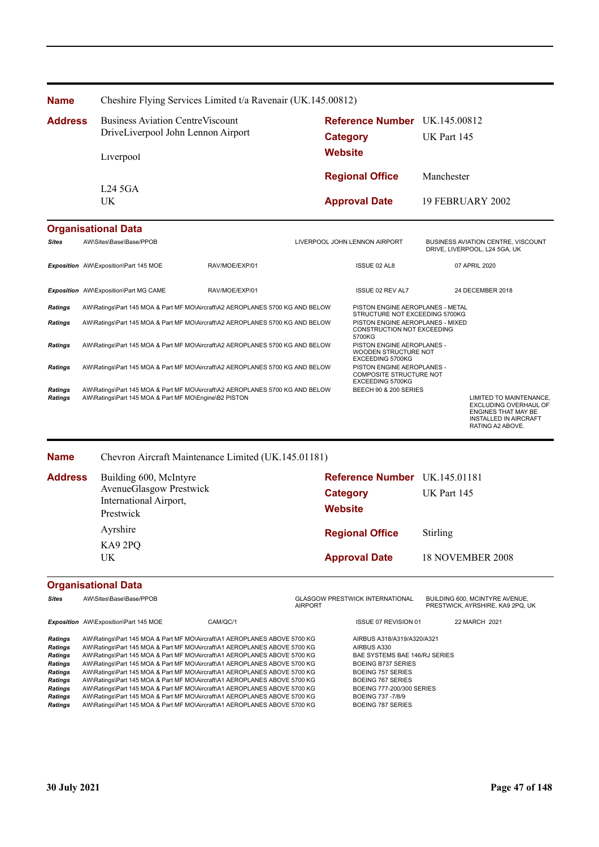| <b>Name</b>    | Cheshire Flying Services Limited t/a Ravenair (UK.145.00812) |                                      |                    |  |  |
|----------------|--------------------------------------------------------------|--------------------------------------|--------------------|--|--|
| <b>Address</b> | <b>Business Aviation Centre Viscount</b>                     | <b>Reference Number</b> UK.145.00812 |                    |  |  |
|                | DriveLiverpool John Lennon Airport                           | Category                             | <b>UK Part 145</b> |  |  |
|                | <b>Website</b><br>Liverpool                                  |                                      |                    |  |  |
|                |                                                              | <b>Regional Office</b>               | Manchester         |  |  |
|                | L245GA<br>UK.                                                | <b>Approval Date</b>                 | 19 FEBRUARY 2002   |  |  |
|                |                                                              |                                      |                    |  |  |

# **Organisational Data**

| <b>Sites</b>                     | AW\Sites\Base\Base/PPOB                                                                                                                |                | LIVERPOOL JOHN LENNON AIRPORT |                                                                                         | <b>BUSINESS AVIATION CENTRE, VISCOUNT</b><br>DRIVE, LIVERPOOL, L24 5GA, UK                                                         |
|----------------------------------|----------------------------------------------------------------------------------------------------------------------------------------|----------------|-------------------------------|-----------------------------------------------------------------------------------------|------------------------------------------------------------------------------------------------------------------------------------|
|                                  | Exposition AW\Exposition\Part 145 MOE                                                                                                  | RAV/MOE/EXP/01 |                               | ISSUE 02 AL8                                                                            | 07 APRIL 2020                                                                                                                      |
|                                  | <b>Exposition</b> AW\Exposition\Part MG CAME                                                                                           | RAV/MOE/EXP/01 |                               | <b>ISSUE 02 REV AL7</b>                                                                 | 24 DECEMBER 2018                                                                                                                   |
| <b>Ratings</b>                   | AW\Ratings\Part 145 MOA & Part MF MO\Aircraft\A2 AEROPLANES 5700 KG AND BELOW                                                          |                |                               | PISTON ENGINE AEROPLANES - METAL<br>STRUCTURE NOT EXCEEDING 5700KG                      |                                                                                                                                    |
| <b>Ratings</b>                   | AW\Ratings\Part 145 MOA & Part MF MO\Aircraft\A2 AEROPLANES 5700 KG AND BELOW                                                          |                |                               | PISTON ENGINE AEROPLANES - MIXED<br><b>CONSTRUCTION NOT EXCEEDING</b><br>5700KG         |                                                                                                                                    |
| <b>Ratings</b>                   | AW\Ratings\Part 145 MOA & Part MF MO\Aircraft\A2 AEROPLANES 5700 KG AND BELOW                                                          |                |                               | PISTON ENGINE AEROPLANES -<br>WOODEN STRUCTURE NOT<br>EXCEEDING 5700KG                  |                                                                                                                                    |
| <b>Ratings</b>                   | AW\Ratings\Part 145 MOA & Part MF MO\Aircraft\A2 AEROPLANES 5700 KG AND BELOW                                                          |                |                               | PISTON ENGINE AEROPLANES -<br><b>COMPOSITE STRUCTURE NOT</b><br><b>EXCEEDING 5700KG</b> |                                                                                                                                    |
| <b>Ratings</b><br><b>Ratings</b> | AW\Ratings\Part 145 MOA & Part MF MO\Aircraft\A2 AEROPLANES 5700 KG AND BELOW<br>AW\Ratings\Part 145 MOA & Part MF MO\Engine\B2 PISTON |                |                               | BEECH 90 & 200 SERIES                                                                   | LIMITED TO MAINTENANCE,<br>EXCLUDING OVERHAUL OF<br><b>ENGINES THAT MAY BE</b><br><b>INSTALLED IN AIRCRAFT</b><br>RATING A2 ABOVE. |

#### **Name** Chevron Aircraft Maintenance Limited (UK.145.01181)

| <b>Address</b> | Building 600, McIntyre<br><b>AvenueGlasgow Prestwick</b><br>International Airport,<br>Prestwick | Reference Number UK.145.01181<br>Category<br><b>Website</b> | <b>UK Part 145</b> |
|----------------|-------------------------------------------------------------------------------------------------|-------------------------------------------------------------|--------------------|
|                | Ayrshire                                                                                        | <b>Regional Office</b>                                      | <b>Stirling</b>    |
|                | KA9 2PQ<br>UK                                                                                   | <b>Approval Date</b>                                        | 18 NOVEMBER 2008   |
|                |                                                                                                 |                                                             |                    |

# **Organisational Data**

| <b>Sites</b>                                                                                                         | AW\Sites\Base\Base/PPOB                                                                                                                                                                                                                                                                                                                                                                                                                                                                                                                                                                                                                                                                                           |          | <b>AIRPORT</b> | <b>GLASGOW PRESTWICK INTERNATIONAL</b>                                                                                                                                                                                         | BUILDING 600, MCINTYRE AVENUE.<br>PRESTWICK, AYRSHIRE, KA9 2PQ, UK |
|----------------------------------------------------------------------------------------------------------------------|-------------------------------------------------------------------------------------------------------------------------------------------------------------------------------------------------------------------------------------------------------------------------------------------------------------------------------------------------------------------------------------------------------------------------------------------------------------------------------------------------------------------------------------------------------------------------------------------------------------------------------------------------------------------------------------------------------------------|----------|----------------|--------------------------------------------------------------------------------------------------------------------------------------------------------------------------------------------------------------------------------|--------------------------------------------------------------------|
|                                                                                                                      | <b>Exposition</b> AW\Exposition\Part 145 MOE                                                                                                                                                                                                                                                                                                                                                                                                                                                                                                                                                                                                                                                                      | CAM/QC/1 |                | <b>ISSUE 07 REVISION 01</b>                                                                                                                                                                                                    | 22 MARCH 2021                                                      |
| <b>Ratings</b><br>Ratings<br>Ratings<br>Ratings<br>Ratings<br>Ratings<br>Ratings<br><b>Ratings</b><br><b>Ratings</b> | AW\Ratings\Part 145 MOA & Part MF MO\Aircraft\A1 AEROPLANES ABOVE 5700 KG<br>AW\Ratings\Part 145 MOA & Part MF MO\Aircraft\A1 AEROPLANES ABOVE 5700 KG<br>AW\Ratings\Part 145 MOA & Part MF MO\Aircraft\A1 AEROPLANES ABOVE 5700 KG<br>AW\Ratings\Part 145 MOA & Part MF MO\Aircraft\A1 AEROPLANES ABOVE 5700 KG<br>AW\Ratings\Part 145 MOA & Part MF MO\Aircraft\A1 AEROPLANES ABOVE 5700 KG<br>AW\Ratings\Part 145 MOA & Part MF MO\Aircraft\A1 AEROPLANES ABOVE 5700 KG<br>AW\Ratings\Part 145 MOA & Part MF MO\Aircraft\A1 AEROPLANES ABOVE 5700 KG<br>AW\Ratings\Part 145 MOA & Part MF MO\Aircraft\A1 AEROPLANES ABOVE 5700 KG<br>AW\Ratings\Part 145 MOA & Part MF MO\Aircraft\A1 AEROPLANES ABOVE 5700 KG |          |                | AIRBUS A318/A319/A320/A321<br>AIRBUS A330<br>BAE SYSTEMS BAE 146/RJ SERIES<br><b>BOEING B737 SERIES</b><br>BOEING 757 SERIES<br>BOEING 767 SERIES<br>BOEING 777-200/300 SERIES<br>BOEING 737-7/8/9<br><b>BOEING 787 SERIES</b> |                                                                    |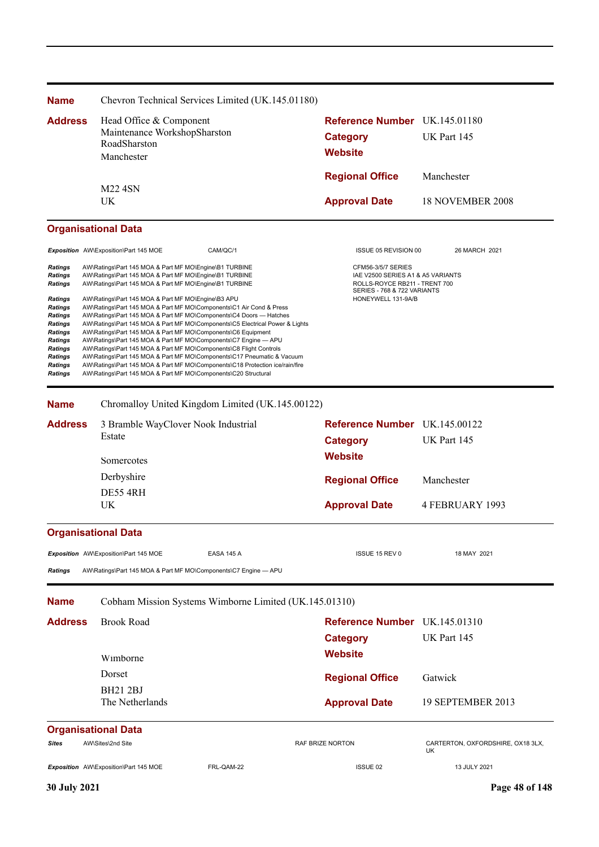| <b>Name</b>                                                                                                                                                                                                               | Chevron Technical Services Limited (UK.145.01180)                                                                                                                                                                                                                                                                                                                                                                                                                                                                                                                                                                                                                                                                    |                                                                                                                         |                                         |  |
|---------------------------------------------------------------------------------------------------------------------------------------------------------------------------------------------------------------------------|----------------------------------------------------------------------------------------------------------------------------------------------------------------------------------------------------------------------------------------------------------------------------------------------------------------------------------------------------------------------------------------------------------------------------------------------------------------------------------------------------------------------------------------------------------------------------------------------------------------------------------------------------------------------------------------------------------------------|-------------------------------------------------------------------------------------------------------------------------|-----------------------------------------|--|
| <b>Address</b>                                                                                                                                                                                                            | Head Office & Component<br>Maintenance WorkshopSharston<br>RoadSharston<br>Manchester                                                                                                                                                                                                                                                                                                                                                                                                                                                                                                                                                                                                                                | Reference Number UK.145.01180<br><b>Category</b><br><b>Website</b>                                                      | UK Part 145                             |  |
|                                                                                                                                                                                                                           |                                                                                                                                                                                                                                                                                                                                                                                                                                                                                                                                                                                                                                                                                                                      | <b>Regional Office</b>                                                                                                  | Manchester                              |  |
|                                                                                                                                                                                                                           | <b>M22 4SN</b><br>UK                                                                                                                                                                                                                                                                                                                                                                                                                                                                                                                                                                                                                                                                                                 | <b>Approval Date</b>                                                                                                    | 18 NOVEMBER 2008                        |  |
|                                                                                                                                                                                                                           | <b>Organisational Data</b>                                                                                                                                                                                                                                                                                                                                                                                                                                                                                                                                                                                                                                                                                           |                                                                                                                         |                                         |  |
|                                                                                                                                                                                                                           | Exposition AW\Exposition\Part 145 MOE<br>CAM/QC/1                                                                                                                                                                                                                                                                                                                                                                                                                                                                                                                                                                                                                                                                    | ISSUE 05 REVISION 00                                                                                                    | 26 MARCH 2021                           |  |
| <b>Ratings</b><br>AW\Ratings\Part 145 MOA & Part MF MO\Engine\B1 TURBINE<br>AW\Ratings\Part 145 MOA & Part MF MO\Engine\B1 TURBINE<br>Ratings<br><b>Ratings</b><br>AW\Ratings\Part 145 MOA & Part MF MO\Engine\B1 TURBINE |                                                                                                                                                                                                                                                                                                                                                                                                                                                                                                                                                                                                                                                                                                                      | CFM56-3/5/7 SERIES<br>IAE V2500 SERIES A1 & A5 VARIANTS<br>ROLLS-ROYCE RB211 - TRENT 700<br>SERIES - 768 & 722 VARIANTS |                                         |  |
| Ratings<br>Ratings<br>Ratings<br>Ratings<br>Ratings<br>Ratings<br><b>Ratings</b><br>Ratings<br><b>Ratings</b><br><b>Ratings</b>                                                                                           | AW\Ratings\Part 145 MOA & Part MF MO\Engine\B3 APU<br>AW\Ratings\Part 145 MOA & Part MF MO\Components\C1 Air Cond & Press<br>AW\Ratings\Part 145 MOA & Part MF MO\Components\C4 Doors - Hatches<br>AW\Ratings\Part 145 MOA & Part MF MO\Components\C5 Electrical Power & Lights<br>AW\Ratings\Part 145 MOA & Part MF MO\Components\C6 Equipment<br>AW\Ratings\Part 145 MOA & Part MF MO\Components\C7 Engine - APU<br>AW\Ratings\Part 145 MOA & Part MF MO\Components\C8 Flight Controls<br>AW\Ratings\Part 145 MOA & Part MF MO\Components\C17 Pneumatic & Vacuum<br>AW\Ratings\Part 145 MOA & Part MF MO\Components\C18 Protection ice/rain/fire<br>AW\Ratings\Part 145 MOA & Part MF MO\Components\C20 Structural | HONEYWELL 131-9A/B                                                                                                      |                                         |  |
| <b>Name</b>                                                                                                                                                                                                               | Chromalloy United Kingdom Limited (UK.145.00122)                                                                                                                                                                                                                                                                                                                                                                                                                                                                                                                                                                                                                                                                     |                                                                                                                         |                                         |  |
| <b>Address</b>                                                                                                                                                                                                            | 3 Bramble WayClover Nook Industrial<br>Estate                                                                                                                                                                                                                                                                                                                                                                                                                                                                                                                                                                                                                                                                        | Reference Number UK.145.00122<br><b>Category</b>                                                                        | UK Part 145                             |  |
|                                                                                                                                                                                                                           | Somercotes                                                                                                                                                                                                                                                                                                                                                                                                                                                                                                                                                                                                                                                                                                           | <b>Website</b>                                                                                                          |                                         |  |
|                                                                                                                                                                                                                           | Derbyshire                                                                                                                                                                                                                                                                                                                                                                                                                                                                                                                                                                                                                                                                                                           | <b>Regional Office</b>                                                                                                  | Manchester                              |  |
|                                                                                                                                                                                                                           | DE55 4RH<br>UK                                                                                                                                                                                                                                                                                                                                                                                                                                                                                                                                                                                                                                                                                                       | <b>Approval Date</b>                                                                                                    | <b>4 FEBRUARY 1993</b>                  |  |
|                                                                                                                                                                                                                           | <b>Organisational Data</b>                                                                                                                                                                                                                                                                                                                                                                                                                                                                                                                                                                                                                                                                                           |                                                                                                                         |                                         |  |
|                                                                                                                                                                                                                           | Exposition AW\Exposition\Part 145 MOE<br><b>EASA 145 A</b>                                                                                                                                                                                                                                                                                                                                                                                                                                                                                                                                                                                                                                                           | ISSUE 15 REV 0                                                                                                          | 18 MAY 2021                             |  |
| Ratings                                                                                                                                                                                                                   | AW\Ratings\Part 145 MOA & Part MF MO\Components\C7 Engine - APU                                                                                                                                                                                                                                                                                                                                                                                                                                                                                                                                                                                                                                                      |                                                                                                                         |                                         |  |
| Name                                                                                                                                                                                                                      | Cobham Mission Systems Wimborne Limited (UK.145.01310)                                                                                                                                                                                                                                                                                                                                                                                                                                                                                                                                                                                                                                                               |                                                                                                                         |                                         |  |
| <b>Address</b>                                                                                                                                                                                                            | <b>Brook Road</b>                                                                                                                                                                                                                                                                                                                                                                                                                                                                                                                                                                                                                                                                                                    | <b>Reference Number</b> UK.145.01310                                                                                    |                                         |  |
|                                                                                                                                                                                                                           |                                                                                                                                                                                                                                                                                                                                                                                                                                                                                                                                                                                                                                                                                                                      | <b>Category</b>                                                                                                         | UK Part 145                             |  |
|                                                                                                                                                                                                                           | Wimborne                                                                                                                                                                                                                                                                                                                                                                                                                                                                                                                                                                                                                                                                                                             | <b>Website</b>                                                                                                          |                                         |  |
|                                                                                                                                                                                                                           | Dorset                                                                                                                                                                                                                                                                                                                                                                                                                                                                                                                                                                                                                                                                                                               | <b>Regional Office</b>                                                                                                  | Gatwick                                 |  |
|                                                                                                                                                                                                                           | <b>BH21 2BJ</b><br>The Netherlands                                                                                                                                                                                                                                                                                                                                                                                                                                                                                                                                                                                                                                                                                   | <b>Approval Date</b>                                                                                                    | 19 SEPTEMBER 2013                       |  |
|                                                                                                                                                                                                                           | <b>Organisational Data</b>                                                                                                                                                                                                                                                                                                                                                                                                                                                                                                                                                                                                                                                                                           |                                                                                                                         |                                         |  |
| Sites                                                                                                                                                                                                                     | AW\Sites\2nd Site                                                                                                                                                                                                                                                                                                                                                                                                                                                                                                                                                                                                                                                                                                    | RAF BRIZE NORTON                                                                                                        | CARTERTON, OXFORDSHIRE, OX18 3LX,<br>UK |  |
|                                                                                                                                                                                                                           | Exposition AW\Exposition\Part 145 MOE<br>FRL-QAM-22                                                                                                                                                                                                                                                                                                                                                                                                                                                                                                                                                                                                                                                                  | ISSUE 02                                                                                                                | 13 JULY 2021                            |  |
| <b>30 July 2021</b>                                                                                                                                                                                                       |                                                                                                                                                                                                                                                                                                                                                                                                                                                                                                                                                                                                                                                                                                                      |                                                                                                                         | Page 48 of 148                          |  |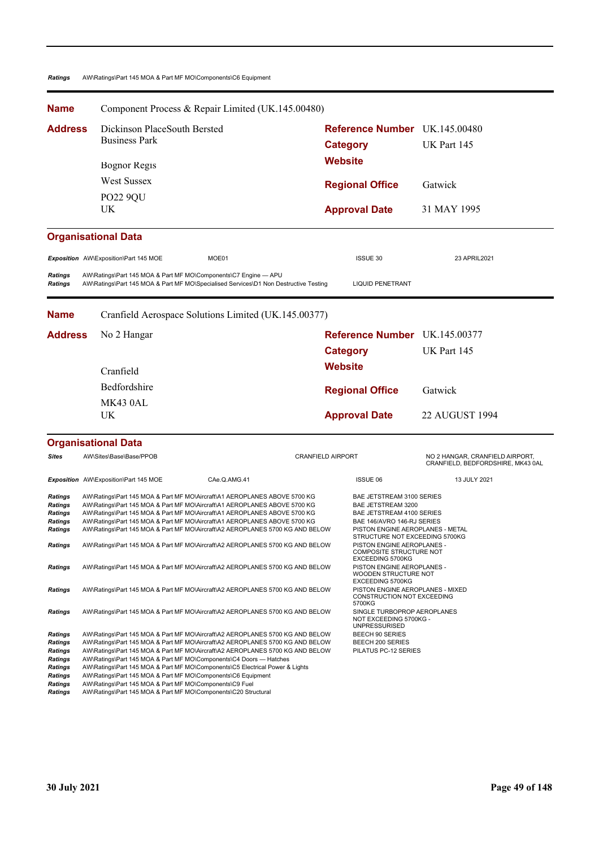### *Ratings* AW\Ratings\Part 145 MOA & Part MF MO\Components\C6 Equipment

| <b>Name</b>                                                                                                   |                                                                                                                                                                                                                                                                                                                                                                                                                                                                                                                                                                                                                                                                                     | Component Process & Repair Limited (UK.145.00480)                                                                                                                                                                                                                                                                                                                                                                                                                                  |                                                         |                                                                                                                                                                                                                                                  |                                                                      |
|---------------------------------------------------------------------------------------------------------------|-------------------------------------------------------------------------------------------------------------------------------------------------------------------------------------------------------------------------------------------------------------------------------------------------------------------------------------------------------------------------------------------------------------------------------------------------------------------------------------------------------------------------------------------------------------------------------------------------------------------------------------------------------------------------------------|------------------------------------------------------------------------------------------------------------------------------------------------------------------------------------------------------------------------------------------------------------------------------------------------------------------------------------------------------------------------------------------------------------------------------------------------------------------------------------|---------------------------------------------------------|--------------------------------------------------------------------------------------------------------------------------------------------------------------------------------------------------------------------------------------------------|----------------------------------------------------------------------|
| <b>Address</b>                                                                                                | Dickinson PlaceSouth Bersted<br><b>Business Park</b>                                                                                                                                                                                                                                                                                                                                                                                                                                                                                                                                                                                                                                |                                                                                                                                                                                                                                                                                                                                                                                                                                                                                    | <b>Reference Number</b> UK.145.00480<br><b>Category</b> |                                                                                                                                                                                                                                                  | UK Part 145                                                          |
|                                                                                                               | <b>Bognor Regis</b>                                                                                                                                                                                                                                                                                                                                                                                                                                                                                                                                                                                                                                                                 |                                                                                                                                                                                                                                                                                                                                                                                                                                                                                    | <b>Website</b>                                          |                                                                                                                                                                                                                                                  |                                                                      |
|                                                                                                               | <b>West Sussex</b>                                                                                                                                                                                                                                                                                                                                                                                                                                                                                                                                                                                                                                                                  |                                                                                                                                                                                                                                                                                                                                                                                                                                                                                    |                                                         | <b>Regional Office</b>                                                                                                                                                                                                                           | Gatwick                                                              |
|                                                                                                               | <b>PO22 9QU</b>                                                                                                                                                                                                                                                                                                                                                                                                                                                                                                                                                                                                                                                                     |                                                                                                                                                                                                                                                                                                                                                                                                                                                                                    |                                                         |                                                                                                                                                                                                                                                  |                                                                      |
|                                                                                                               | UK                                                                                                                                                                                                                                                                                                                                                                                                                                                                                                                                                                                                                                                                                  |                                                                                                                                                                                                                                                                                                                                                                                                                                                                                    |                                                         | <b>Approval Date</b>                                                                                                                                                                                                                             | 31 MAY 1995                                                          |
|                                                                                                               | <b>Organisational Data</b>                                                                                                                                                                                                                                                                                                                                                                                                                                                                                                                                                                                                                                                          |                                                                                                                                                                                                                                                                                                                                                                                                                                                                                    |                                                         |                                                                                                                                                                                                                                                  |                                                                      |
|                                                                                                               | Exposition AW\Exposition\Part 145 MOE                                                                                                                                                                                                                                                                                                                                                                                                                                                                                                                                                                                                                                               | MOE01                                                                                                                                                                                                                                                                                                                                                                                                                                                                              |                                                         | ISSUE 30                                                                                                                                                                                                                                         | 23 APRIL2021                                                         |
| Ratings<br>Ratings                                                                                            | AW\Ratings\Part 145 MOA & Part MF MO\Components\C7 Engine - APU<br>AW\Ratings\Part 145 MOA & Part MF MO\Specialised Services\D1 Non Destructive Testing                                                                                                                                                                                                                                                                                                                                                                                                                                                                                                                             |                                                                                                                                                                                                                                                                                                                                                                                                                                                                                    |                                                         | <b>LIQUID PENETRANT</b>                                                                                                                                                                                                                          |                                                                      |
| <b>Name</b>                                                                                                   |                                                                                                                                                                                                                                                                                                                                                                                                                                                                                                                                                                                                                                                                                     | Cranfield Aerospace Solutions Limited (UK.145.00377)                                                                                                                                                                                                                                                                                                                                                                                                                               |                                                         |                                                                                                                                                                                                                                                  |                                                                      |
| Address                                                                                                       | No 2 Hangar                                                                                                                                                                                                                                                                                                                                                                                                                                                                                                                                                                                                                                                                         |                                                                                                                                                                                                                                                                                                                                                                                                                                                                                    |                                                         | Reference Number UK.145.00377                                                                                                                                                                                                                    |                                                                      |
|                                                                                                               |                                                                                                                                                                                                                                                                                                                                                                                                                                                                                                                                                                                                                                                                                     |                                                                                                                                                                                                                                                                                                                                                                                                                                                                                    | <b>Category</b>                                         |                                                                                                                                                                                                                                                  | UK Part 145                                                          |
|                                                                                                               | Cranfield                                                                                                                                                                                                                                                                                                                                                                                                                                                                                                                                                                                                                                                                           |                                                                                                                                                                                                                                                                                                                                                                                                                                                                                    | <b>Website</b>                                          |                                                                                                                                                                                                                                                  |                                                                      |
|                                                                                                               | Bedfordshire                                                                                                                                                                                                                                                                                                                                                                                                                                                                                                                                                                                                                                                                        |                                                                                                                                                                                                                                                                                                                                                                                                                                                                                    |                                                         | <b>Regional Office</b>                                                                                                                                                                                                                           | Gatwick                                                              |
|                                                                                                               | MK43 0AL                                                                                                                                                                                                                                                                                                                                                                                                                                                                                                                                                                                                                                                                            |                                                                                                                                                                                                                                                                                                                                                                                                                                                                                    |                                                         |                                                                                                                                                                                                                                                  |                                                                      |
|                                                                                                               | UK                                                                                                                                                                                                                                                                                                                                                                                                                                                                                                                                                                                                                                                                                  |                                                                                                                                                                                                                                                                                                                                                                                                                                                                                    |                                                         | <b>Approval Date</b>                                                                                                                                                                                                                             | <b>22 AUGUST 1994</b>                                                |
|                                                                                                               | <b>Organisational Data</b>                                                                                                                                                                                                                                                                                                                                                                                                                                                                                                                                                                                                                                                          |                                                                                                                                                                                                                                                                                                                                                                                                                                                                                    |                                                         |                                                                                                                                                                                                                                                  |                                                                      |
| <b>Sites</b>                                                                                                  | AW\Sites\Base\Base/PPOB                                                                                                                                                                                                                                                                                                                                                                                                                                                                                                                                                                                                                                                             |                                                                                                                                                                                                                                                                                                                                                                                                                                                                                    | <b>CRANFIELD AIRPORT</b>                                |                                                                                                                                                                                                                                                  | NO 2 HANGAR, CRANFIELD AIRPORT,<br>CRANFIELD, BEDFORDSHIRE, MK43 0AL |
|                                                                                                               | Exposition AW\Exposition\Part 145 MOE                                                                                                                                                                                                                                                                                                                                                                                                                                                                                                                                                                                                                                               | CAe.Q.AMG.41                                                                                                                                                                                                                                                                                                                                                                                                                                                                       |                                                         | <b>ISSUE 06</b>                                                                                                                                                                                                                                  | 13 JULY 2021                                                         |
| <b>Ratings</b><br>Ratings<br>Ratings<br>Ratings<br>Ratings<br>Ratings                                         |                                                                                                                                                                                                                                                                                                                                                                                                                                                                                                                                                                                                                                                                                     | AW\Ratings\Part 145 MOA & Part MF MO\Aircraft\A1 AEROPLANES ABOVE 5700 KG<br>AW\Ratings\Part 145 MOA & Part MF MO\Aircraft\A1 AEROPLANES ABOVE 5700 KG<br>AW\Ratings\Part 145 MOA & Part MF MO\Aircraft\A1 AEROPLANES ABOVE 5700 KG<br>AW\Ratings\Part 145 MOA & Part MF MO\Aircraft\A1 AEROPLANES ABOVE 5700 KG<br>AW\Ratings\Part 145 MOA & Part MF MO\Aircraft\A2 AEROPLANES 5700 KG AND BELOW<br>AW\Ratings\Part 145 MOA & Part MF MO\Aircraft\A2 AEROPLANES 5700 KG AND BELOW |                                                         | BAE JETSTREAM 3100 SERIES<br>BAE JETSTREAM 3200<br>BAE JETSTREAM 4100 SERIES<br>BAE 146/AVRO 146-RJ SERIES<br>PISTON ENGINE AEROPLANES - METAL<br>STRUCTURE NOT EXCEEDING 5700KG<br>PISTON ENGINE AEROPLANES -<br><b>COMPOSITE STRUCTURE NOT</b> |                                                                      |
| Ratings                                                                                                       | AW\Ratings\Part 145 MOA & Part MF MO\Aircraft\A2 AEROPLANES 5700 KG AND BELOW                                                                                                                                                                                                                                                                                                                                                                                                                                                                                                                                                                                                       |                                                                                                                                                                                                                                                                                                                                                                                                                                                                                    |                                                         | EXCEEDING 5700KG<br>PISTON ENGINE AEROPLANES -<br>WOODEN STRUCTURE NOT<br>EXCEEDING 5700KG                                                                                                                                                       |                                                                      |
| Ratings                                                                                                       | AW\Ratings\Part 145 MOA & Part MF MO\Aircraft\A2 AEROPLANES 5700 KG AND BELOW                                                                                                                                                                                                                                                                                                                                                                                                                                                                                                                                                                                                       |                                                                                                                                                                                                                                                                                                                                                                                                                                                                                    | 5700KG                                                  |                                                                                                                                                                                                                                                  | PISTON ENGINE AEROPLANES - MIXED<br>CONSTRUCTION NOT EXCEEDING       |
| Ratings<br>Ratings<br>Ratings<br><b>Ratings</b><br>Ratings<br>Ratings<br>Ratings<br>Ratings<br><b>Ratings</b> | AW\Ratings\Part 145 MOA & Part MF MO\Aircraft\A2 AEROPLANES 5700 KG AND BELOW<br>AW\Ratings\Part 145 MOA & Part MF MO\Aircraft\A2 AEROPLANES 5700 KG AND BELOW<br>AW\Ratings\Part 145 MOA & Part MF MO\Aircraft\A2 AEROPLANES 5700 KG AND BELOW<br>AW\Ratings\Part 145 MOA & Part MF MO\Aircraft\A2 AEROPLANES 5700 KG AND BELOW<br>AW\Ratings\Part 145 MOA & Part MF MO\Components\C4 Doors - Hatches<br>AW\Ratings\Part 145 MOA & Part MF MO\Components\C5 Electrical Power & Lights<br>AW\Ratings\Part 145 MOA & Part MF MO\Components\C6 Equipment<br>AW\Ratings\Part 145 MOA & Part MF MO\Components\C9 Fuel<br>AW\Ratings\Part 145 MOA & Part MF MO\Components\C20 Structural |                                                                                                                                                                                                                                                                                                                                                                                                                                                                                    |                                                         | SINGLE TURBOPROP AEROPLANES<br>NOT EXCEEDING 5700KG -<br><b>UNPRESSURISED</b><br>BEECH 90 SERIES<br>BEECH 200 SERIES<br>PILATUS PC-12 SERIES                                                                                                     |                                                                      |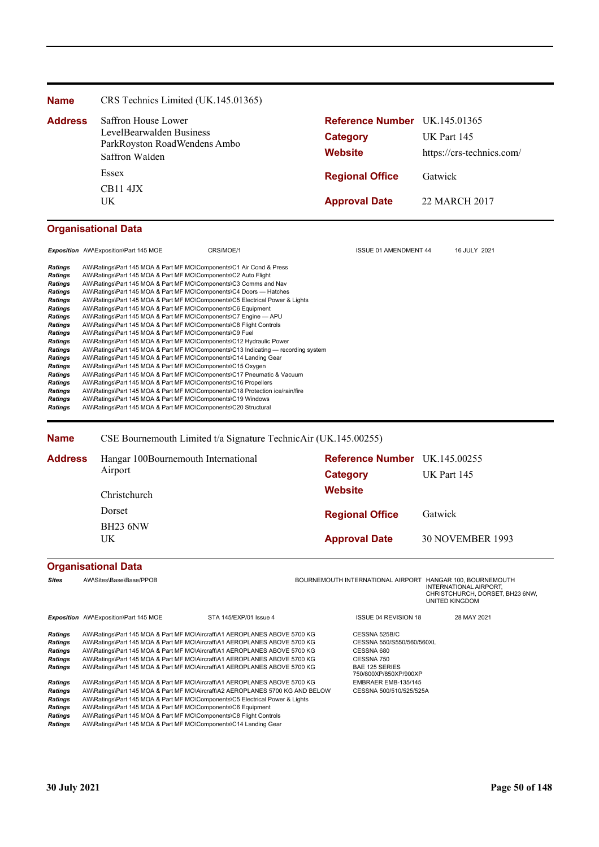| <b>Name</b>    | CRS Technics Limited (UK.145.01365)                      |                               |                           |
|----------------|----------------------------------------------------------|-------------------------------|---------------------------|
| <b>Address</b> | Saffron House Lower                                      | Reference Number UK.145.01365 |                           |
|                | LevelBearwalden Business<br>ParkRoyston RoadWendens Ambo | <b>Category</b>               | UK Part 145               |
|                | Saffron Walden                                           | <b>Website</b>                | https://crs-technics.com/ |
|                | Essex                                                    | <b>Regional Office</b>        | Gatwick                   |
|                | <b>CB11 4JX</b><br>UK.                                   | <b>Approval Date</b>          | 22 MARCH 2017             |

# **Organisational Data**

|                                                                                                                                                              | <b>Exposition</b> AW\Exposition\Part 145 MOE                                                                                                                                                                                                                                                                                                                                                                                                                                                                                                                                                                                                                                                                                                                                   | CRS/MOE/1                                                                         | <b>ISSUE 01 AMENDMENT 44</b> | 16 JULY 2021 |
|--------------------------------------------------------------------------------------------------------------------------------------------------------------|--------------------------------------------------------------------------------------------------------------------------------------------------------------------------------------------------------------------------------------------------------------------------------------------------------------------------------------------------------------------------------------------------------------------------------------------------------------------------------------------------------------------------------------------------------------------------------------------------------------------------------------------------------------------------------------------------------------------------------------------------------------------------------|-----------------------------------------------------------------------------------|------------------------------|--------------|
| Ratings<br>Ratings<br>Ratings<br>Ratings<br><b>Ratings</b><br>Ratings<br><b>Ratings</b><br><b>Ratings</b><br>Ratings<br>Ratings<br>Ratings<br><b>Ratings</b> | AW\Ratings\Part 145 MOA & Part MF MO\Components\C1 Air Cond & Press<br>AW\Ratings\Part 145 MOA & Part MF MO\Components\C2 Auto Flight<br>AW\Ratings\Part 145 MOA & Part MF MO\Components\C3 Comms and Nav<br>AW\Ratings\Part 145 MOA & Part MF MO\Components\C4 Doors — Hatches<br>AW\Ratings\Part 145 MOA & Part MF MO\Components\C5 Electrical Power & Lights<br>AW\Ratings\Part 145 MOA & Part MF MO\Components\C6 Equipment<br>AW\Ratings\Part 145 MOA & Part MF MO\Components\C7 Engine - APU<br>AW\Ratings\Part 145 MOA & Part MF MO\Components\C8 Flight Controls<br>AW\Ratings\Part 145 MOA & Part MF MO\Components\C9 Fuel<br>AW\Ratings\Part 145 MOA & Part MF MO\Components\C12 Hydraulic Power<br>AW\Ratings\Part 145 MOA & Part MF MO\Components\C14 Landing Gear | AW\Ratings\Part 145 MOA & Part MF MO\Components\C13 Indicating — recording system |                              |              |
| <b>Ratings</b><br><b>Ratings</b><br><b>Ratings</b><br>Ratings<br>Ratings<br><b>Ratings</b>                                                                   | AW\Ratings\Part 145 MOA & Part MF MO\Components\C15 Oxygen<br>AW\Ratings\Part 145 MOA & Part MF MO\Components\C17 Pneumatic & Vacuum<br>AW\Ratings\Part 145 MOA & Part MF MO\Components\C16 Propellers<br>AW\Ratings\Part 145 MOA & Part MF MO\Components\C18 Protection ice/rain/fire<br>AW\Ratings\Part 145 MOA & Part MF MO\Components\C19 Windows<br>AW\Ratings\Part 145 MOA & Part MF MO\Components\C20 Structural                                                                                                                                                                                                                                                                                                                                                        |                                                                                   |                              |              |

**Name** CSE Bournemouth Limited t/a Signature TechnicAir (UK.145.00255)

| Address | Hangar 100Bournemouth International | Reference Number UK.145.00255 |                         |  |
|---------|-------------------------------------|-------------------------------|-------------------------|--|
|         | Airport                             | Category                      | UK Part 145             |  |
|         | Christchurch                        | <b>Website</b>                |                         |  |
|         | Dorset                              | <b>Regional Office</b>        | Gatwick                 |  |
|         | <b>BH23 6NW</b><br>UK               | <b>Approval Date</b>          | <b>30 NOVEMBER 1993</b> |  |

# **Organisational Data**

| <b>Sites</b>                                                             | AW\Sites\Base\Base/PPOB                                                                                                                                                                                                                                                                                                                                                                       |                        | BOURNEMOUTH INTERNATIONAL AIRPORT                                                                                        | HANGAR 100, BOURNEMOUTH<br><b>INTERNATIONAL AIRPORT.</b><br>CHRISTCHURCH, DORSET, BH23 6NW,<br>UNITED KINGDOM |
|--------------------------------------------------------------------------|-----------------------------------------------------------------------------------------------------------------------------------------------------------------------------------------------------------------------------------------------------------------------------------------------------------------------------------------------------------------------------------------------|------------------------|--------------------------------------------------------------------------------------------------------------------------|---------------------------------------------------------------------------------------------------------------|
|                                                                          | <b>Exposition</b> AW\Exposition\Part 145 MOE                                                                                                                                                                                                                                                                                                                                                  | STA 145/EXP/01 Issue 4 | <b>ISSUE 04 REVISION 18</b>                                                                                              | 28 MAY 2021                                                                                                   |
| <b>Ratings</b><br><b>Ratings</b><br><b>Ratings</b><br>Ratings<br>Ratings | AW\Ratings\Part 145 MOA & Part MF MO\Aircraft\A1 AEROPLANES ABOVE 5700 KG<br>AW\Ratings\Part 145 MOA & Part MF MO\Aircraft\A1 AEROPLANES ABOVE 5700 KG<br>AW\Ratings\Part 145 MOA & Part MF MO\Aircraft\A1 AEROPLANES ABOVE 5700 KG<br>AW\Ratings\Part 145 MOA & Part MF MO\Aircraft\A1 AEROPLANES ABOVE 5700 KG<br>AW\Ratings\Part 145 MOA & Part MF MO\Aircraft\A1 AEROPLANES ABOVE 5700 KG |                        | CESSNA 525B/C<br>CESSNA 550/S550/560/560XL<br>CESSNA 680<br>CESSNA 750<br><b>BAE 125 SERIES</b><br>750/800XP/850XP/900XP |                                                                                                               |
| <b>Ratings</b>                                                           | AW\Ratings\Part 145 MOA & Part MF MO\Aircraft\A1 AEROPLANES ABOVE 5700 KG                                                                                                                                                                                                                                                                                                                     |                        | EMBRAER EMB-135/145                                                                                                      |                                                                                                               |
| Ratings                                                                  | AW\Ratings\Part 145 MOA & Part MF MO\Aircraft\A2 AEROPLANES 5700 KG AND BELOW                                                                                                                                                                                                                                                                                                                 |                        | CESSNA 500/510/525/525A                                                                                                  |                                                                                                               |
| Ratings                                                                  | AW\Ratings\Part 145 MOA & Part MF MO\Components\C5 Electrical Power & Lights                                                                                                                                                                                                                                                                                                                  |                        |                                                                                                                          |                                                                                                               |
| <b>Ratings</b>                                                           | AW\Ratings\Part 145 MOA & Part MF MO\Components\C6 Equipment                                                                                                                                                                                                                                                                                                                                  |                        |                                                                                                                          |                                                                                                               |
| Ratings                                                                  | AW\Ratings\Part 145 MOA & Part MF MO\Components\C8 Flight Controls<br>AW\Ratings\Part 145 MOA & Part MF MO\Components\C14 Landing Gear                                                                                                                                                                                                                                                        |                        |                                                                                                                          |                                                                                                               |
| Ratings                                                                  |                                                                                                                                                                                                                                                                                                                                                                                               |                        |                                                                                                                          |                                                                                                               |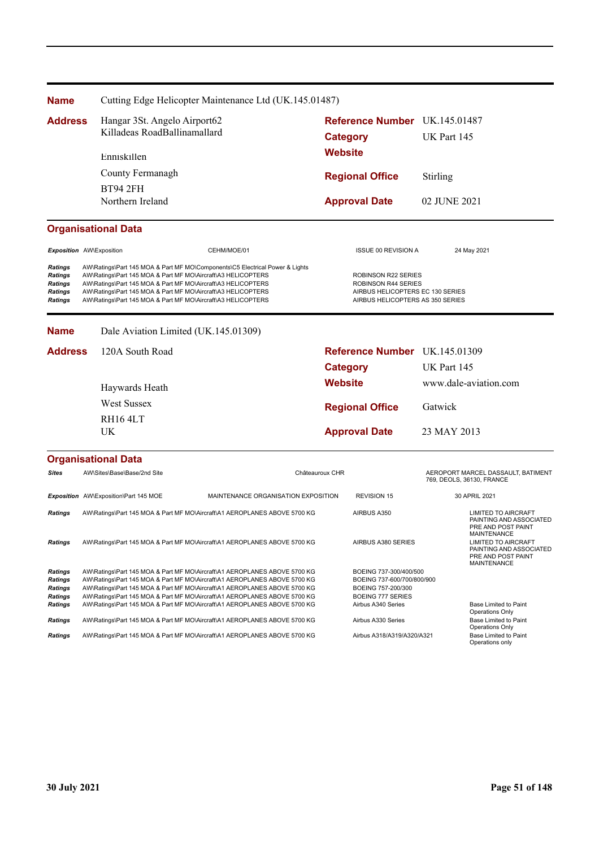| <b>Name</b>                                                                                                                                                                                                                                                                                                                                                                                                |             |                                       | Cutting Edge Helicopter Maintenance Ltd (UK.145.01487)                                                                                                                                                                                                                                                                                                                                        |                                                                                                                           |                                                                                                                              |              |                                                                                            |
|------------------------------------------------------------------------------------------------------------------------------------------------------------------------------------------------------------------------------------------------------------------------------------------------------------------------------------------------------------------------------------------------------------|-------------|---------------------------------------|-----------------------------------------------------------------------------------------------------------------------------------------------------------------------------------------------------------------------------------------------------------------------------------------------------------------------------------------------------------------------------------------------|---------------------------------------------------------------------------------------------------------------------------|------------------------------------------------------------------------------------------------------------------------------|--------------|--------------------------------------------------------------------------------------------|
| <b>Address</b>                                                                                                                                                                                                                                                                                                                                                                                             |             | Hangar 3St. Angelo Airport62          |                                                                                                                                                                                                                                                                                                                                                                                               |                                                                                                                           | Reference Number UK.145.01487                                                                                                |              |                                                                                            |
|                                                                                                                                                                                                                                                                                                                                                                                                            |             | Killadeas RoadBallinamallard          |                                                                                                                                                                                                                                                                                                                                                                                               | <b>Category</b>                                                                                                           |                                                                                                                              | UK Part 145  |                                                                                            |
|                                                                                                                                                                                                                                                                                                                                                                                                            | Enniskillen |                                       |                                                                                                                                                                                                                                                                                                                                                                                               |                                                                                                                           | <b>Website</b>                                                                                                               |              |                                                                                            |
|                                                                                                                                                                                                                                                                                                                                                                                                            |             | County Fermanagh                      |                                                                                                                                                                                                                                                                                                                                                                                               |                                                                                                                           |                                                                                                                              |              |                                                                                            |
|                                                                                                                                                                                                                                                                                                                                                                                                            |             | <b>BT94 2FH</b>                       |                                                                                                                                                                                                                                                                                                                                                                                               |                                                                                                                           | <b>Regional Office</b>                                                                                                       | Stirling     |                                                                                            |
|                                                                                                                                                                                                                                                                                                                                                                                                            |             | Northern Ireland                      |                                                                                                                                                                                                                                                                                                                                                                                               |                                                                                                                           | <b>Approval Date</b>                                                                                                         | 02 JUNE 2021 |                                                                                            |
|                                                                                                                                                                                                                                                                                                                                                                                                            |             | <b>Organisational Data</b>            |                                                                                                                                                                                                                                                                                                                                                                                               |                                                                                                                           |                                                                                                                              |              |                                                                                            |
| Exposition AW\Exposition                                                                                                                                                                                                                                                                                                                                                                                   |             |                                       | CEHM/MOE/01                                                                                                                                                                                                                                                                                                                                                                                   |                                                                                                                           | <b>ISSUE 00 REVISION A</b>                                                                                                   |              | 24 May 2021                                                                                |
| Ratings<br>AW\Ratings\Part 145 MOA & Part MF MO\Components\C5 Electrical Power & Lights<br>Ratings<br>AW\Ratings\Part 145 MOA & Part MF MO\Aircraft\A3 HELICOPTERS<br>Ratings<br>AW\Ratings\Part 145 MOA & Part MF MO\Aircraft\A3 HELICOPTERS<br>Ratings<br>AW\Ratings\Part 145 MOA & Part MF MO\Aircraft\A3 HELICOPTERS<br><b>Ratings</b><br>AW\Ratings\Part 145 MOA & Part MF MO\Aircraft\A3 HELICOPTERS |             |                                       |                                                                                                                                                                                                                                                                                                                                                                                               | ROBINSON R22 SERIES<br><b>ROBINSON R44 SERIES</b><br>AIRBUS HELICOPTERS EC 130 SERIES<br>AIRBUS HELICOPTERS AS 350 SERIES |                                                                                                                              |              |                                                                                            |
| <b>Name</b>                                                                                                                                                                                                                                                                                                                                                                                                |             | Dale Aviation Limited (UK.145.01309)  |                                                                                                                                                                                                                                                                                                                                                                                               |                                                                                                                           |                                                                                                                              |              |                                                                                            |
| <b>Address</b>                                                                                                                                                                                                                                                                                                                                                                                             |             | 120A South Road                       |                                                                                                                                                                                                                                                                                                                                                                                               |                                                                                                                           | Reference Number UK.145.01309                                                                                                |              |                                                                                            |
|                                                                                                                                                                                                                                                                                                                                                                                                            |             |                                       |                                                                                                                                                                                                                                                                                                                                                                                               | <b>Category</b>                                                                                                           |                                                                                                                              | UK Part 145  |                                                                                            |
|                                                                                                                                                                                                                                                                                                                                                                                                            |             | Haywards Heath                        |                                                                                                                                                                                                                                                                                                                                                                                               | <b>Website</b>                                                                                                            |                                                                                                                              |              | www.dale-aviation.com                                                                      |
|                                                                                                                                                                                                                                                                                                                                                                                                            |             | <b>West Sussex</b>                    |                                                                                                                                                                                                                                                                                                                                                                                               |                                                                                                                           | <b>Regional Office</b>                                                                                                       | Gatwick      |                                                                                            |
|                                                                                                                                                                                                                                                                                                                                                                                                            |             | <b>RH164LT</b>                        |                                                                                                                                                                                                                                                                                                                                                                                               |                                                                                                                           |                                                                                                                              |              |                                                                                            |
|                                                                                                                                                                                                                                                                                                                                                                                                            |             | UK                                    |                                                                                                                                                                                                                                                                                                                                                                                               |                                                                                                                           | <b>Approval Date</b><br>23 MAY 2013                                                                                          |              |                                                                                            |
|                                                                                                                                                                                                                                                                                                                                                                                                            |             | <b>Organisational Data</b>            |                                                                                                                                                                                                                                                                                                                                                                                               |                                                                                                                           |                                                                                                                              |              |                                                                                            |
| Sites                                                                                                                                                                                                                                                                                                                                                                                                      |             | AW\Sites\Base\Base/2nd Site           |                                                                                                                                                                                                                                                                                                                                                                                               | Châteauroux CHR                                                                                                           |                                                                                                                              |              | AEROPORT MARCEL DASSAULT, BATIMENT<br>769, DEOLS, 36130, FRANCE                            |
|                                                                                                                                                                                                                                                                                                                                                                                                            |             | Exposition AW\Exposition\Part 145 MOE | MAINTENANCE ORGANISATION EXPOSITION                                                                                                                                                                                                                                                                                                                                                           |                                                                                                                           | <b>REVISION 15</b>                                                                                                           |              | 30 APRIL 2021                                                                              |
| <b>Ratings</b>                                                                                                                                                                                                                                                                                                                                                                                             |             |                                       | AW\Ratings\Part 145 MOA & Part MF MO\Aircraft\A1 AEROPLANES ABOVE 5700 KG                                                                                                                                                                                                                                                                                                                     |                                                                                                                           | AIRBUS A350                                                                                                                  |              | <b>LIMITED TO AIRCRAFT</b><br>PAINTING AND ASSOCIATED<br>PRE AND POST PAINT<br>MAINTENANCE |
| <b>Ratings</b>                                                                                                                                                                                                                                                                                                                                                                                             |             |                                       | AW\Ratings\Part 145 MOA & Part MF MO\Aircraft\A1 AEROPLANES ABOVE 5700 KG                                                                                                                                                                                                                                                                                                                     |                                                                                                                           | AIRBUS A380 SERIES                                                                                                           |              | <b>LIMITED TO AIRCRAFT</b><br>PAINTING AND ASSOCIATED<br>PRE AND POST PAINT<br>MAINTENANCE |
| Ratings<br>Ratings<br>Ratings<br><b>Ratings</b><br><b>Ratings</b>                                                                                                                                                                                                                                                                                                                                          |             |                                       | AW\Ratings\Part 145 MOA & Part MF MO\Aircraft\A1 AEROPLANES ABOVE 5700 KG<br>AW\Ratings\Part 145 MOA & Part MF MO\Aircraft\A1 AEROPLANES ABOVE 5700 KG<br>AW\Ratings\Part 145 MOA & Part MF MO\Aircraft\A1 AEROPLANES ABOVE 5700 KG<br>AW\Ratings\Part 145 MOA & Part MF MO\Aircraft\A1 AEROPLANES ABOVE 5700 KG<br>AW\Ratings\Part 145 MOA & Part MF MO\Aircraft\A1 AEROPLANES ABOVE 5700 KG |                                                                                                                           | BOEING 737-300/400/500<br>BOEING 737-600/700/800/900<br>BOEING 757-200/300<br><b>BOEING 777 SERIES</b><br>Airbus A340 Series |              | Base Limited to Paint                                                                      |
| <b>Ratings</b>                                                                                                                                                                                                                                                                                                                                                                                             |             |                                       | AW\Ratings\Part 145 MOA & Part MF MO\Aircraft\A1 AEROPLANES ABOVE 5700 KG                                                                                                                                                                                                                                                                                                                     |                                                                                                                           | Airbus A330 Series                                                                                                           |              | <b>Operations Only</b><br>Base Limited to Paint                                            |
| <b>Ratings</b>                                                                                                                                                                                                                                                                                                                                                                                             |             |                                       | AW\Ratings\Part 145 MOA & Part MF MO\Aircraft\A1 AEROPLANES ABOVE 5700 KG                                                                                                                                                                                                                                                                                                                     |                                                                                                                           | Airbus A318/A319/A320/A321                                                                                                   |              | <b>Operations Only</b><br>Base Limited to Paint<br>Operations only                         |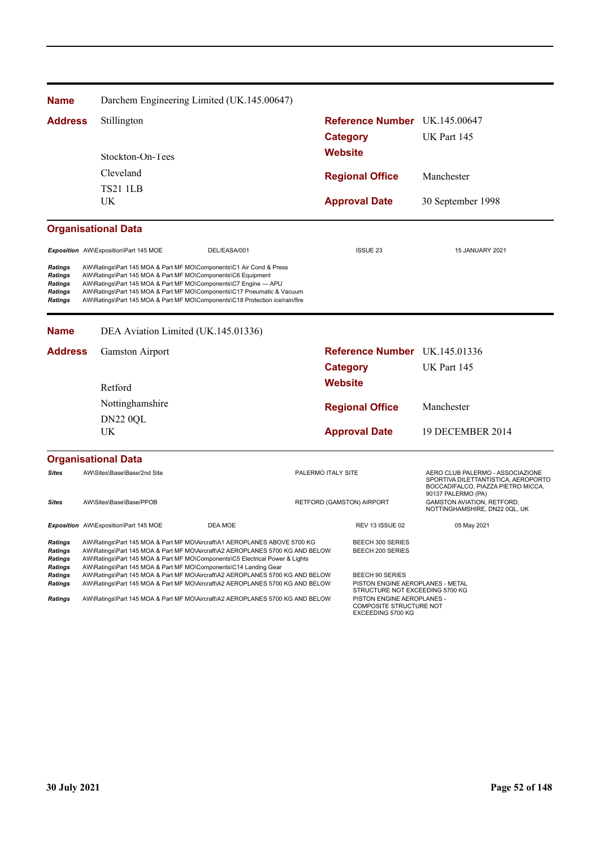| <b>Name</b>                                                              |                                                              | Darchem Engineering Limited (UK.145.00647)                                                                                                                                                                                                                                                                     |                    |                      |                                                                                        |                                                                                                                                     |
|--------------------------------------------------------------------------|--------------------------------------------------------------|----------------------------------------------------------------------------------------------------------------------------------------------------------------------------------------------------------------------------------------------------------------------------------------------------------------|--------------------|----------------------|----------------------------------------------------------------------------------------|-------------------------------------------------------------------------------------------------------------------------------------|
| <b>Address</b>                                                           | Stillington                                                  |                                                                                                                                                                                                                                                                                                                |                    |                      | Reference Number UK.145.00647                                                          |                                                                                                                                     |
|                                                                          |                                                              |                                                                                                                                                                                                                                                                                                                |                    | <b>Category</b>      |                                                                                        | UK Part 145                                                                                                                         |
|                                                                          | Stockton-On-Tees                                             |                                                                                                                                                                                                                                                                                                                |                    | <b>Website</b>       |                                                                                        |                                                                                                                                     |
|                                                                          | Cleveland                                                    |                                                                                                                                                                                                                                                                                                                |                    |                      | <b>Regional Office</b>                                                                 | Manchester                                                                                                                          |
|                                                                          | <b>TS21 1LB</b>                                              |                                                                                                                                                                                                                                                                                                                |                    |                      |                                                                                        |                                                                                                                                     |
|                                                                          | UK.                                                          |                                                                                                                                                                                                                                                                                                                |                    |                      | <b>Approval Date</b>                                                                   | 30 September 1998                                                                                                                   |
|                                                                          | <b>Organisational Data</b>                                   |                                                                                                                                                                                                                                                                                                                |                    |                      |                                                                                        |                                                                                                                                     |
|                                                                          | Exposition AW\Exposition\Part 145 MOE                        | DEL/EASA/001                                                                                                                                                                                                                                                                                                   |                    |                      | <b>ISSUE 23</b>                                                                        | 15 JANUARY 2021                                                                                                                     |
| Ratings<br><b>Ratings</b><br><b>Ratings</b><br>Ratings<br><b>Ratings</b> | AW\Ratings\Part 145 MOA & Part MF MO\Components\C6 Equipment | AW\Ratings\Part 145 MOA & Part MF MO\Components\C1 Air Cond & Press<br>AW\Ratings\Part 145 MOA & Part MF MO\Components\C7 Engine - APU<br>AW\Ratings\Part 145 MOA & Part MF MO\Components\C17 Pneumatic & Vacuum<br>AW\Ratings\Part 145 MOA & Part MF MO\Components\C18 Protection ice/rain/fire               |                    |                      |                                                                                        |                                                                                                                                     |
| <b>Name</b>                                                              |                                                              | DEA Aviation Limited (UK.145.01336)                                                                                                                                                                                                                                                                            |                    |                      |                                                                                        |                                                                                                                                     |
| <b>Address</b>                                                           | <b>Gamston Airport</b>                                       |                                                                                                                                                                                                                                                                                                                |                    |                      | Reference Number UK.145.01336                                                          |                                                                                                                                     |
|                                                                          |                                                              |                                                                                                                                                                                                                                                                                                                |                    | <b>Category</b>      |                                                                                        | UK Part 145                                                                                                                         |
|                                                                          | Retford                                                      |                                                                                                                                                                                                                                                                                                                |                    | <b>Website</b>       |                                                                                        |                                                                                                                                     |
|                                                                          | Nottinghamshire                                              |                                                                                                                                                                                                                                                                                                                |                    |                      | <b>Regional Office</b>                                                                 | Manchester                                                                                                                          |
|                                                                          | <b>DN22 0QL</b>                                              |                                                                                                                                                                                                                                                                                                                |                    |                      |                                                                                        |                                                                                                                                     |
|                                                                          | UK                                                           |                                                                                                                                                                                                                                                                                                                |                    | <b>Approval Date</b> |                                                                                        | 19 DECEMBER 2014                                                                                                                    |
|                                                                          | <b>Organisational Data</b>                                   |                                                                                                                                                                                                                                                                                                                |                    |                      |                                                                                        |                                                                                                                                     |
| <b>Sites</b>                                                             | AW\Sites\Base\Base/2nd Site                                  |                                                                                                                                                                                                                                                                                                                | PALERMO ITALY SITE |                      |                                                                                        | AERO CLUB PALERMO - ASSOCIAZIONE<br>SPORTIVA DILETTANTISTICA, AEROPORTO<br>BOCCADIFALCO, PIAZZA PIETRO MICCA,<br>90137 PALERMO (PA) |
| Sites                                                                    | AW\Sites\Base\Base/PPOB                                      |                                                                                                                                                                                                                                                                                                                |                    |                      | <b>RETFORD (GAMSTON) AIRPORT</b>                                                       | <b>GAMSTON AVIATION, RETFORD,</b><br>NOTTINGHAMSHIRE, DN22 0QL, UK                                                                  |
|                                                                          | Exposition AW\Exposition\Part 145 MOE                        | DEA MOE                                                                                                                                                                                                                                                                                                        |                    |                      | REV 13 ISSUE 02                                                                        | 05 May 2021                                                                                                                         |
| <b>Ratings</b><br><b>Ratings</b><br><b>Ratings</b><br><b>Ratings</b>     |                                                              | AW\Ratings\Part 145 MOA & Part MF MO\Aircraft\A1 AEROPLANES ABOVE 5700 KG<br>AW\Ratings\Part 145 MOA & Part MF MO\Aircraft\A2 AEROPLANES 5700 KG AND BELOW<br>AW\Ratings\Part 145 MOA & Part MF MO\Components\C5 Electrical Power & Lights<br>AW\Ratings\Part 145 MOA & Part MF MO\Components\C14 Landing Gear |                    |                      | BEECH 300 SERIES<br>BEECH 200 SERIES                                                   |                                                                                                                                     |
| Ratings<br><b>Ratings</b>                                                |                                                              | AW\Ratings\Part 145 MOA & Part MF MO\Aircraft\A2 AEROPLANES 5700 KG AND BELOW<br>AW\Ratings\Part 145 MOA & Part MF MO\Aircraft\A2 AEROPLANES 5700 KG AND BELOW                                                                                                                                                 |                    |                      | BEECH 90 SERIES<br>PISTON ENGINE AEROPLANES - METAL<br>STRUCTURE NOT EXCEEDING 5700 KG |                                                                                                                                     |
| <b>Ratings</b>                                                           |                                                              | AW\Ratings\Part 145 MOA & Part MF MO\Aircraft\A2 AEROPLANES 5700 KG AND BELOW                                                                                                                                                                                                                                  |                    |                      | PISTON ENGINE AEROPLANES -<br>COMPOSITE STRUCTURE NOT<br>EXCEEDING 5700 KG             |                                                                                                                                     |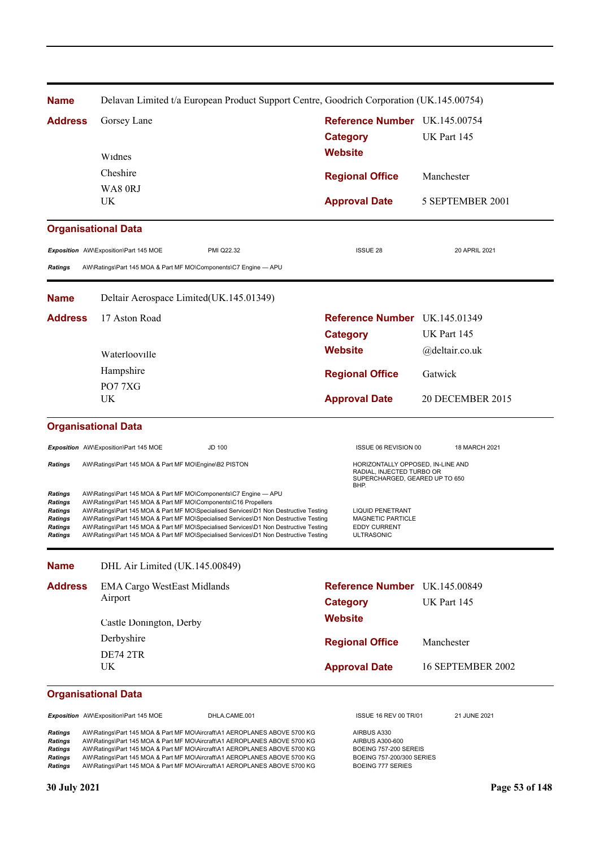| <b>Name</b>                                                                         |                                                                                                                                   | Delavan Limited t/a European Product Support Centre, Goodrich Corporation (UK.145.00754)                                                                                                                                                                                                                                                                                                      |                        |                                                                                                                  |                               |
|-------------------------------------------------------------------------------------|-----------------------------------------------------------------------------------------------------------------------------------|-----------------------------------------------------------------------------------------------------------------------------------------------------------------------------------------------------------------------------------------------------------------------------------------------------------------------------------------------------------------------------------------------|------------------------|------------------------------------------------------------------------------------------------------------------|-------------------------------|
| <b>Address</b>                                                                      | Gorsey Lane                                                                                                                       |                                                                                                                                                                                                                                                                                                                                                                                               |                        | Reference Number UK.145.00754                                                                                    |                               |
|                                                                                     |                                                                                                                                   | <b>Category</b>                                                                                                                                                                                                                                                                                                                                                                               |                        |                                                                                                                  | UK Part 145                   |
|                                                                                     | Widnes                                                                                                                            |                                                                                                                                                                                                                                                                                                                                                                                               | <b>Website</b>         |                                                                                                                  |                               |
|                                                                                     | Cheshire                                                                                                                          |                                                                                                                                                                                                                                                                                                                                                                                               |                        |                                                                                                                  |                               |
|                                                                                     | WA80RJ                                                                                                                            |                                                                                                                                                                                                                                                                                                                                                                                               | <b>Regional Office</b> |                                                                                                                  | Manchester                    |
|                                                                                     | UK                                                                                                                                |                                                                                                                                                                                                                                                                                                                                                                                               | <b>Approval Date</b>   |                                                                                                                  | 5 SEPTEMBER 2001              |
|                                                                                     | <b>Organisational Data</b>                                                                                                        |                                                                                                                                                                                                                                                                                                                                                                                               |                        |                                                                                                                  |                               |
|                                                                                     | Exposition AW\Exposition\Part 145 MOE                                                                                             | PMI Q22.32                                                                                                                                                                                                                                                                                                                                                                                    |                        | <b>ISSUE 28</b>                                                                                                  | 20 APRIL 2021                 |
| <b>Ratings</b>                                                                      | AW\Ratings\Part 145 MOA & Part MF MO\Components\C7 Engine - APU                                                                   |                                                                                                                                                                                                                                                                                                                                                                                               |                        |                                                                                                                  |                               |
| <b>Name</b>                                                                         | Deltair Aerospace Limited(UK.145.01349)                                                                                           |                                                                                                                                                                                                                                                                                                                                                                                               |                        |                                                                                                                  |                               |
| <b>Address</b>                                                                      | 17 Aston Road                                                                                                                     |                                                                                                                                                                                                                                                                                                                                                                                               |                        |                                                                                                                  | Reference Number UK.145.01349 |
|                                                                                     |                                                                                                                                   |                                                                                                                                                                                                                                                                                                                                                                                               | <b>Category</b>        |                                                                                                                  | UK Part 145                   |
|                                                                                     | Waterlooville                                                                                                                     |                                                                                                                                                                                                                                                                                                                                                                                               | <b>Website</b>         |                                                                                                                  | @deltair.co.uk                |
|                                                                                     | Hampshire                                                                                                                         |                                                                                                                                                                                                                                                                                                                                                                                               | <b>Regional Office</b> |                                                                                                                  | Gatwick                       |
|                                                                                     | PO77XG                                                                                                                            |                                                                                                                                                                                                                                                                                                                                                                                               |                        |                                                                                                                  |                               |
|                                                                                     | <b>UK</b>                                                                                                                         |                                                                                                                                                                                                                                                                                                                                                                                               | <b>Approval Date</b>   |                                                                                                                  | <b>20 DECEMBER 2015</b>       |
|                                                                                     | <b>Organisational Data</b>                                                                                                        |                                                                                                                                                                                                                                                                                                                                                                                               |                        |                                                                                                                  |                               |
|                                                                                     | Exposition AW\Exposition\Part 145 MOE                                                                                             | <b>JD 100</b>                                                                                                                                                                                                                                                                                                                                                                                 |                        | ISSUE 06 REVISION 00                                                                                             | 18 MARCH 2021                 |
| <b>Ratings</b>                                                                      | AW\Ratings\Part 145 MOA & Part MF MO\Engine\B2 PISTON                                                                             |                                                                                                                                                                                                                                                                                                                                                                                               | BHP.                   | HORIZONTALLY OPPOSED, IN-LINE AND<br>RADIAL, INJECTED TURBO OR<br>SUPERCHARGED, GEARED UP TO 650                 |                               |
| Ratings<br><b>Ratings</b><br>Ratings<br><b>Ratings</b><br>Ratings<br><b>Ratings</b> | AW\Ratings\Part 145 MOA & Part MF MO\Components\C7 Engine - APU<br>AW\Ratings\Part 145 MOA & Part MF MO\Components\C16 Propellers | AW\Ratings\Part 145 MOA & Part MF MO\Specialised Services\D1 Non Destructive Testing<br>AW\Ratings\Part 145 MOA & Part MF MO\Specialised Services\D1 Non Destructive Testing<br>AW\Ratings\Part 145 MOA & Part MF MO\Specialised Services\D1 Non Destructive Testing<br>AW\Ratings\Part 145 MOA & Part MF MO\Specialised Services\D1 Non Destructive Testing                                  |                        | <b>LIQUID PENETRANT</b><br>MAGNETIC PARTICLE<br>EDDY CURRENT<br>ULTRASONIC                                       |                               |
| <b>Name</b>                                                                         | DHL Air Limited (UK.145.00849)                                                                                                    |                                                                                                                                                                                                                                                                                                                                                                                               |                        |                                                                                                                  |                               |
| <b>Address</b>                                                                      | <b>EMA Cargo WestEast Midlands</b>                                                                                                |                                                                                                                                                                                                                                                                                                                                                                                               |                        |                                                                                                                  | Reference Number UK.145.00849 |
|                                                                                     | Airport                                                                                                                           |                                                                                                                                                                                                                                                                                                                                                                                               | <b>Category</b>        |                                                                                                                  | UK Part 145                   |
|                                                                                     | Castle Donington, Derby                                                                                                           |                                                                                                                                                                                                                                                                                                                                                                                               | <b>Website</b>         |                                                                                                                  |                               |
|                                                                                     | Derbyshire                                                                                                                        |                                                                                                                                                                                                                                                                                                                                                                                               | <b>Regional Office</b> |                                                                                                                  | Manchester                    |
|                                                                                     | <b>DE74 2TR</b>                                                                                                                   |                                                                                                                                                                                                                                                                                                                                                                                               |                        |                                                                                                                  |                               |
|                                                                                     | UK                                                                                                                                |                                                                                                                                                                                                                                                                                                                                                                                               | <b>Approval Date</b>   |                                                                                                                  | 16 SEPTEMBER 2002             |
|                                                                                     | <b>Organisational Data</b>                                                                                                        |                                                                                                                                                                                                                                                                                                                                                                                               |                        |                                                                                                                  |                               |
|                                                                                     | Exposition AW\Exposition\Part 145 MOE                                                                                             | DHLA.CAME.001                                                                                                                                                                                                                                                                                                                                                                                 |                        | ISSUE 16 REV 00 TR/01                                                                                            | 21 JUNE 2021                  |
| Ratings<br>Ratings<br>Ratings<br>Ratings<br><b>Ratings</b>                          |                                                                                                                                   | AW\Ratings\Part 145 MOA & Part MF MO\Aircraft\A1 AEROPLANES ABOVE 5700 KG<br>AW\Ratings\Part 145 MOA & Part MF MO\Aircraft\A1 AEROPLANES ABOVE 5700 KG<br>AW\Ratings\Part 145 MOA & Part MF MO\Aircraft\A1 AEROPLANES ABOVE 5700 KG<br>AW\Ratings\Part 145 MOA & Part MF MO\Aircraft\A1 AEROPLANES ABOVE 5700 KG<br>AW\Ratings\Part 145 MOA & Part MF MO\Aircraft\A1 AEROPLANES ABOVE 5700 KG |                        | AIRBUS A330<br>AIRBUS A300-600<br>BOEING 757-200 SEREIS<br>BOEING 757-200/300 SERIES<br><b>BOEING 777 SERIES</b> |                               |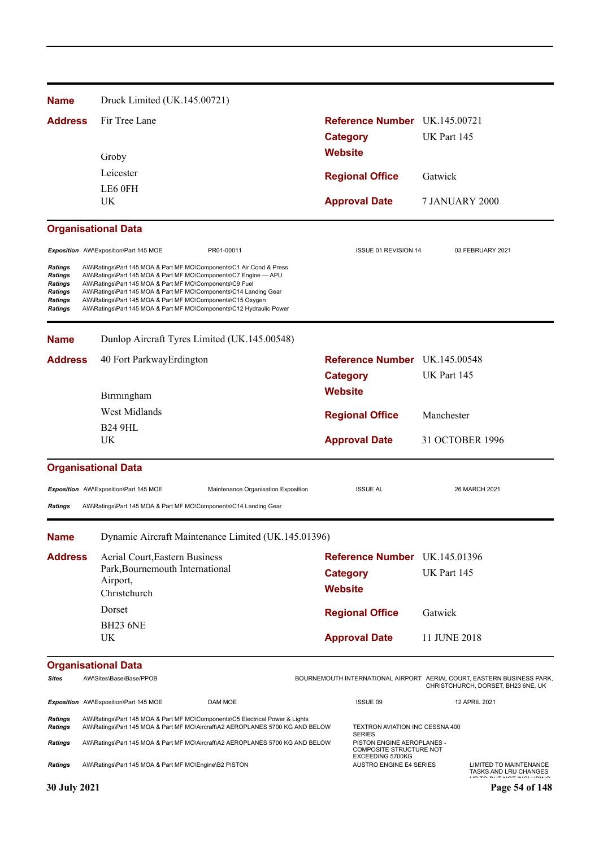| <b>Name</b>                                                    | Druck Limited (UK.145.00721)                                                                                                                                                                                                                                                                                                                                                                               |                                                                           |                                                                                                              |
|----------------------------------------------------------------|------------------------------------------------------------------------------------------------------------------------------------------------------------------------------------------------------------------------------------------------------------------------------------------------------------------------------------------------------------------------------------------------------------|---------------------------------------------------------------------------|--------------------------------------------------------------------------------------------------------------|
| <b>Address</b>                                                 | Fir Tree Lane                                                                                                                                                                                                                                                                                                                                                                                              | Reference Number UK.145.00721                                             |                                                                                                              |
|                                                                |                                                                                                                                                                                                                                                                                                                                                                                                            | <b>Category</b>                                                           | UK Part 145                                                                                                  |
|                                                                | Groby                                                                                                                                                                                                                                                                                                                                                                                                      | <b>Website</b>                                                            |                                                                                                              |
|                                                                | Leicester                                                                                                                                                                                                                                                                                                                                                                                                  | <b>Regional Office</b>                                                    | Gatwick                                                                                                      |
|                                                                | LE6 0FH                                                                                                                                                                                                                                                                                                                                                                                                    |                                                                           |                                                                                                              |
|                                                                | UK.                                                                                                                                                                                                                                                                                                                                                                                                        | <b>Approval Date</b>                                                      | <b>7 JANUARY 2000</b>                                                                                        |
|                                                                | <b>Organisational Data</b>                                                                                                                                                                                                                                                                                                                                                                                 |                                                                           |                                                                                                              |
|                                                                | PR01-00011<br>Exposition AW\Exposition\Part 145 MOE                                                                                                                                                                                                                                                                                                                                                        | ISSUE 01 REVISION 14                                                      | 03 FEBRUARY 2021                                                                                             |
| Ratings<br>Ratings<br>Ratings<br>Ratings<br>Ratings<br>Ratings | AW\Ratings\Part 145 MOA & Part MF MO\Components\C1 Air Cond & Press<br>AW\Ratings\Part 145 MOA & Part MF MO\Components\C7 Engine - APU<br>AW\Ratings\Part 145 MOA & Part MF MO\Components\C9 Fuel<br>AW\Ratings\Part 145 MOA & Part MF MO\Components\C14 Landing Gear<br>AW\Ratings\Part 145 MOA & Part MF MO\Components\C15 Oxygen<br>AW\Ratings\Part 145 MOA & Part MF MO\Components\C12 Hydraulic Power |                                                                           |                                                                                                              |
| <b>Name</b>                                                    | Dunlop Aircraft Tyres Limited (UK.145.00548)                                                                                                                                                                                                                                                                                                                                                               |                                                                           |                                                                                                              |
| <b>Address</b>                                                 | 40 Fort ParkwayErdington                                                                                                                                                                                                                                                                                                                                                                                   | Reference Number UK.145.00548                                             |                                                                                                              |
|                                                                |                                                                                                                                                                                                                                                                                                                                                                                                            | <b>Category</b>                                                           | UK Part 145                                                                                                  |
|                                                                | Birmingham                                                                                                                                                                                                                                                                                                                                                                                                 | <b>Website</b>                                                            |                                                                                                              |
|                                                                | West Midlands                                                                                                                                                                                                                                                                                                                                                                                              | <b>Regional Office</b>                                                    | Manchester                                                                                                   |
|                                                                | <b>B24 9HL</b>                                                                                                                                                                                                                                                                                                                                                                                             |                                                                           |                                                                                                              |
|                                                                | UK.                                                                                                                                                                                                                                                                                                                                                                                                        | <b>Approval Date</b>                                                      | 31 OCTOBER 1996                                                                                              |
|                                                                | <b>Organisational Data</b>                                                                                                                                                                                                                                                                                                                                                                                 |                                                                           |                                                                                                              |
|                                                                | Exposition AW\Exposition\Part 145 MOE<br>Maintenance Organisation Exposition                                                                                                                                                                                                                                                                                                                               | <b>ISSUE AL</b>                                                           | 26 MARCH 2021                                                                                                |
| <b>Ratings</b>                                                 | AW\Ratings\Part 145 MOA & Part MF MO\Components\C14 Landing Gear                                                                                                                                                                                                                                                                                                                                           |                                                                           |                                                                                                              |
| <b>Name</b>                                                    | Dynamic Aircraft Maintenance Limited (UK.145.01396)                                                                                                                                                                                                                                                                                                                                                        |                                                                           |                                                                                                              |
| <b>Address</b>                                                 | Aerial Court, Eastern Business                                                                                                                                                                                                                                                                                                                                                                             | Reference Number UK.145.01396                                             |                                                                                                              |
|                                                                | Park, Bournemouth International                                                                                                                                                                                                                                                                                                                                                                            | <b>Category</b>                                                           | UK Part 145                                                                                                  |
|                                                                | Airport,<br>Christchurch                                                                                                                                                                                                                                                                                                                                                                                   | <b>Website</b>                                                            |                                                                                                              |
|                                                                | Dorset                                                                                                                                                                                                                                                                                                                                                                                                     | <b>Regional Office</b>                                                    | Gatwick                                                                                                      |
|                                                                | <b>BH23 6NE</b>                                                                                                                                                                                                                                                                                                                                                                                            |                                                                           |                                                                                                              |
|                                                                | UK                                                                                                                                                                                                                                                                                                                                                                                                         | <b>Approval Date</b>                                                      | 11 JUNE 2018                                                                                                 |
|                                                                | <b>Organisational Data</b>                                                                                                                                                                                                                                                                                                                                                                                 |                                                                           |                                                                                                              |
| Sites                                                          | AW\Sites\Base\Base/PPOB                                                                                                                                                                                                                                                                                                                                                                                    |                                                                           | BOURNEMOUTH INTERNATIONAL AIRPORT AERIAL COURT, EASTERN BUSINESS PARK,<br>CHRISTCHURCH, DORSET, BH23 6NE, UK |
|                                                                | Exposition AW\Exposition\Part 145 MOE<br>DAM MOE                                                                                                                                                                                                                                                                                                                                                           | ISSUE 09                                                                  | 12 APRIL 2021                                                                                                |
| Ratings<br><b>Ratings</b>                                      | AW\Ratings\Part 145 MOA & Part MF MO\Components\C5 Electrical Power & Lights<br>AW\Ratings\Part 145 MOA & Part MF MO\Aircraft\A2 AEROPLANES 5700 KG AND BELOW                                                                                                                                                                                                                                              | TEXTRON AVIATION INC CESSNA 400<br><b>SERIES</b>                          |                                                                                                              |
| Ratings                                                        | AW\Ratings\Part 145 MOA & Part MF MO\Aircraft\A2 AEROPLANES 5700 KG AND BELOW                                                                                                                                                                                                                                                                                                                              | PISTON ENGINE AEROPLANES -<br>COMPOSITE STRUCTURE NOT<br>EXCEEDING 5700KG |                                                                                                              |
| Ratings                                                        | AW\Ratings\Part 145 MOA & Part MF MO\Engine\B2 PISTON                                                                                                                                                                                                                                                                                                                                                      | <b>AUSTRO ENGINE E4 SERIES</b>                                            | LIMITED TO MAINTENANCE<br>TASKS AND LRU CHANGES                                                              |
| 30 July 2021                                                   |                                                                                                                                                                                                                                                                                                                                                                                                            |                                                                           | Page 54 of 148                                                                                               |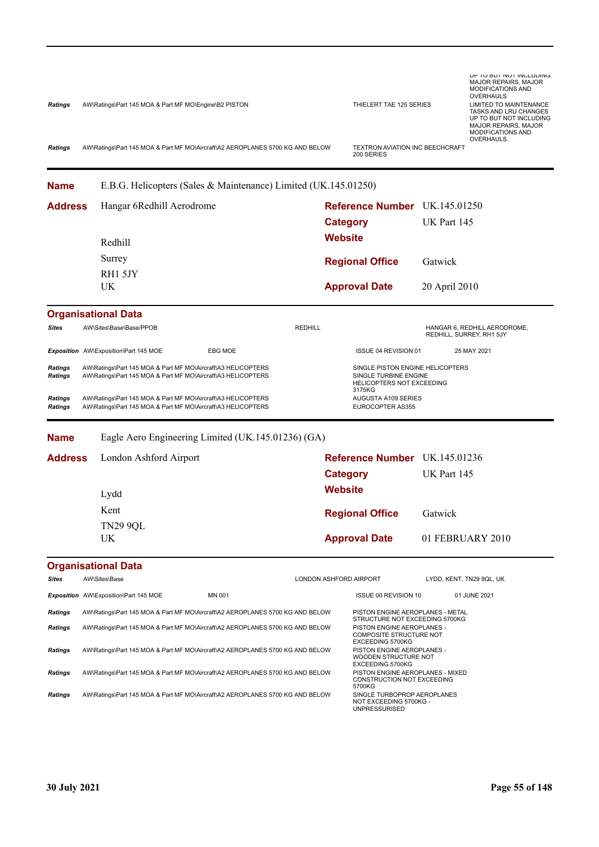| <b>Ratings</b><br><b>Ratings</b> | AW\Ratings\Part 145 MOA & Part MF MO\Engine\B2 PISTON<br>AW\Ratings\Part 145 MOA & Part MF MO\Aircraft\A2 AEROPLANES 5700 KG AND BELOW |                        | THIELERT TAE 125 SERIES<br>TEXTRON AVIATION INC BEECHCRAFT<br>200 SERIES                            |               | UP TO BUT NOT INCLUDING<br><b>MAJOR REPAIRS, MAJOR</b><br><b>MODIFICATIONS AND</b><br>OVERHAULS<br><b>LIMITED TO MAINTENANCE</b><br>TASKS AND LRU CHANGES<br>UP TO BUT NOT INCLUDING<br><b>MAJOR REPAIRS, MAJOR</b><br>MODIFICATIONS AND<br>OVERHAULS. |  |
|----------------------------------|----------------------------------------------------------------------------------------------------------------------------------------|------------------------|-----------------------------------------------------------------------------------------------------|---------------|--------------------------------------------------------------------------------------------------------------------------------------------------------------------------------------------------------------------------------------------------------|--|
|                                  |                                                                                                                                        |                        |                                                                                                     |               |                                                                                                                                                                                                                                                        |  |
| <b>Name</b>                      | E.B.G. Helicopters (Sales & Maintenance) Limited (UK.145.01250)                                                                        |                        |                                                                                                     |               |                                                                                                                                                                                                                                                        |  |
| <b>Address</b>                   | Hangar 6Redhill Aerodrome                                                                                                              |                        | Reference Number UK.145.01250                                                                       |               |                                                                                                                                                                                                                                                        |  |
|                                  |                                                                                                                                        |                        | <b>Category</b>                                                                                     | UK Part 145   |                                                                                                                                                                                                                                                        |  |
|                                  | Redhill                                                                                                                                | <b>Website</b>         |                                                                                                     |               |                                                                                                                                                                                                                                                        |  |
|                                  | Surrey                                                                                                                                 |                        | <b>Regional Office</b>                                                                              | Gatwick       |                                                                                                                                                                                                                                                        |  |
|                                  | RH1 5JY                                                                                                                                |                        |                                                                                                     |               |                                                                                                                                                                                                                                                        |  |
|                                  | UK                                                                                                                                     |                        | <b>Approval Date</b>                                                                                | 20 April 2010 |                                                                                                                                                                                                                                                        |  |
|                                  | <b>Organisational Data</b>                                                                                                             |                        |                                                                                                     |               |                                                                                                                                                                                                                                                        |  |
| <b>Sites</b>                     | AW\Sites\Base\Base/PPOB                                                                                                                | <b>REDHILL</b>         |                                                                                                     |               | HANGAR 6, REDHILL AERODROME,<br>REDHILL, SURREY, RH1 5JY                                                                                                                                                                                               |  |
|                                  | Exposition AW\Exposition\Part 145 MOE<br>EBG MOE                                                                                       |                        | ISSUE 04 REVISION 01                                                                                |               | 25 MAY 2021                                                                                                                                                                                                                                            |  |
| <b>Ratings</b><br><b>Ratings</b> | AW\Ratings\Part 145 MOA & Part MF MO\Aircraft\A3 HELICOPTERS<br>AW\Ratings\Part 145 MOA & Part MF MO\Aircraft\A3 HELICOPTERS           |                        | SINGLE PISTON ENGINE HELICOPTERS<br>SINGLE TURBINE ENGINE<br>HELICOPTERS NOT EXCEEDING<br>3175KG    |               |                                                                                                                                                                                                                                                        |  |
| <b>Ratings</b><br><b>Ratings</b> | AW\Ratings\Part 145 MOA & Part MF MO\Aircraft\A3 HELICOPTERS<br>AW\Ratings\Part 145 MOA & Part MF MO\Aircraft\A3 HELICOPTERS           |                        | AUGUSTA A109 SERIES<br>EUROCOPTER AS355                                                             |               |                                                                                                                                                                                                                                                        |  |
| <b>Name</b>                      | Eagle Aero Engineering Limited (UK.145.01236) (GA)                                                                                     |                        |                                                                                                     |               |                                                                                                                                                                                                                                                        |  |
| <b>Address</b>                   | London Ashford Airport                                                                                                                 |                        | Reference Number UK.145.01236                                                                       |               |                                                                                                                                                                                                                                                        |  |
|                                  |                                                                                                                                        |                        | <b>Category</b>                                                                                     | UK Part 145   |                                                                                                                                                                                                                                                        |  |
|                                  | Lydd                                                                                                                                   | <b>Website</b>         |                                                                                                     |               |                                                                                                                                                                                                                                                        |  |
|                                  | Kent                                                                                                                                   |                        |                                                                                                     |               |                                                                                                                                                                                                                                                        |  |
|                                  | <b>TN29 9QL</b>                                                                                                                        |                        | <b>Regional Office</b>                                                                              | Gatwick       |                                                                                                                                                                                                                                                        |  |
|                                  | UK                                                                                                                                     |                        | <b>Approval Date</b>                                                                                |               | 01 FEBRUARY 2010                                                                                                                                                                                                                                       |  |
|                                  | <b>Organisational Data</b>                                                                                                             |                        |                                                                                                     |               |                                                                                                                                                                                                                                                        |  |
| <b>Sites</b>                     | AW\Sites\Base                                                                                                                          | LONDON ASHFORD AIRPORT |                                                                                                     |               | LYDD, KENT, TN29 9QL, UK                                                                                                                                                                                                                               |  |
|                                  | MN 001<br><b>Exposition</b> AW\Exposition\Part 145 MOE                                                                                 |                        | ISSUE 00 REVISION 10                                                                                |               | 01 JUNE 2021                                                                                                                                                                                                                                           |  |
| <b>Ratings</b>                   | AW\Ratings\Part 145 MOA & Part MF MO\Aircraft\A2 AEROPLANES 5700 KG AND BELOW                                                          |                        | PISTON ENGINE AEROPLANES - METAL<br>STRUCTURE NOT EXCEEDING 5700KG                                  |               |                                                                                                                                                                                                                                                        |  |
| <b>Ratings</b>                   | AW\Ratings\Part 145 MOA & Part MF MO\Aircraft\A2 AEROPLANES 5700 KG AND BELOW                                                          |                        | PISTON ENGINE AEROPLANES -<br>COMPOSITE STRUCTURE NOT<br><b>EXCEEDING 5700KG</b>                    |               |                                                                                                                                                                                                                                                        |  |
| <b>Ratings</b>                   | AW\Ratings\Part 145 MOA & Part MF MO\Aircraft\A2 AEROPLANES 5700 KG AND BELOW                                                          |                        | PISTON ENGINE AEROPLANES -<br>WOODEN STRUCTURE NOT                                                  |               |                                                                                                                                                                                                                                                        |  |
| Ratings                          | AW\Ratings\Part 145 MOA & Part MF MO\Aircraft\A2 AEROPLANES 5700 KG AND BELOW                                                          |                        | <b>EXCEEDING 5700KG</b><br>PISTON ENGINE AEROPLANES - MIXED<br>CONSTRUCTION NOT EXCEEDING<br>5700KG |               |                                                                                                                                                                                                                                                        |  |
| Ratings                          | AW\Ratings\Part 145 MOA & Part MF MO\Aircraft\A2 AEROPLANES 5700 KG AND BELOW                                                          |                        | SINGLE TURBOPROP AEROPLANES<br>NOT EXCEEDING 5700KG -<br><b>UNPRESSURISED</b>                       |               |                                                                                                                                                                                                                                                        |  |
|                                  |                                                                                                                                        |                        |                                                                                                     |               |                                                                                                                                                                                                                                                        |  |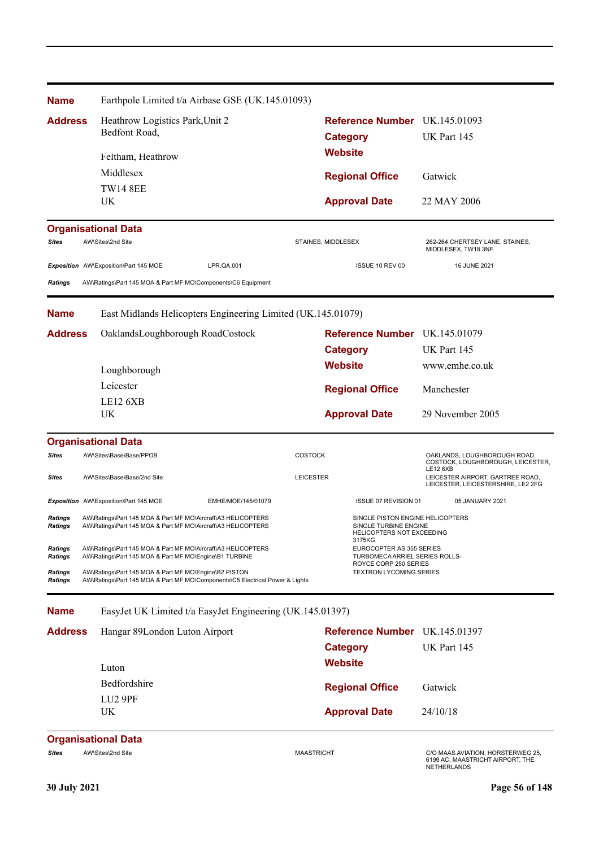| <b>Name</b>                      | Earthpole Limited t/a Airbase GSE (UK.145.01093)                                                                                      |                                 |                   |                                                                                               |                                                                                      |  |
|----------------------------------|---------------------------------------------------------------------------------------------------------------------------------------|---------------------------------|-------------------|-----------------------------------------------------------------------------------------------|--------------------------------------------------------------------------------------|--|
| <b>Address</b>                   |                                                                                                                                       | Heathrow Logistics Park, Unit 2 |                   |                                                                                               | Reference Number UK.145.01093                                                        |  |
|                                  | Bedfont Road,                                                                                                                         |                                 |                   | <b>Category</b>                                                                               | UK Part 145                                                                          |  |
|                                  | Feltham, Heathrow                                                                                                                     |                                 |                   | <b>Website</b>                                                                                |                                                                                      |  |
|                                  | Middlesex                                                                                                                             |                                 |                   | <b>Regional Office</b>                                                                        | Gatwick                                                                              |  |
|                                  | <b>TW14 8EE</b>                                                                                                                       |                                 |                   |                                                                                               |                                                                                      |  |
|                                  | UK                                                                                                                                    |                                 |                   | <b>Approval Date</b>                                                                          | 22 MAY 2006                                                                          |  |
|                                  | <b>Organisational Data</b>                                                                                                            |                                 |                   |                                                                                               |                                                                                      |  |
| <b>Sites</b>                     | AW\Sites\2nd Site                                                                                                                     |                                 |                   | STAINES, MIDDLESEX                                                                            | 262-264 CHERTSEY LANE, STAINES,<br>MIDDLESEX, TW18 3NF.                              |  |
|                                  | Exposition AW\Exposition\Part 145 MOE                                                                                                 | LPR.QA.001                      |                   | ISSUE 10 REV 00                                                                               | 16 JUNE 2021                                                                         |  |
| <b>Ratings</b>                   | AW\Ratings\Part 145 MOA & Part MF MO\Components\C6 Equipment                                                                          |                                 |                   |                                                                                               |                                                                                      |  |
| <b>Name</b>                      | East Midlands Helicopters Engineering Limited (UK.145.01079)                                                                          |                                 |                   |                                                                                               |                                                                                      |  |
| <b>Address</b>                   | OaklandsLoughborough RoadCostock                                                                                                      |                                 |                   | Reference Number UK.145.01079                                                                 |                                                                                      |  |
|                                  |                                                                                                                                       |                                 |                   | <b>Category</b>                                                                               | UK Part 145                                                                          |  |
|                                  | Loughborough                                                                                                                          |                                 |                   | <b>Website</b>                                                                                | www.emhe.co.uk                                                                       |  |
|                                  | Leicester                                                                                                                             |                                 |                   | <b>Regional Office</b>                                                                        | Manchester                                                                           |  |
|                                  | LE12 6XB                                                                                                                              |                                 |                   |                                                                                               |                                                                                      |  |
|                                  | UK                                                                                                                                    |                                 |                   | <b>Approval Date</b>                                                                          | 29 November 2005                                                                     |  |
|                                  | <b>Organisational Data</b>                                                                                                            |                                 |                   |                                                                                               |                                                                                      |  |
| <b>Sites</b>                     | AW\Sites\Base\Base/PPOB                                                                                                               |                                 | <b>COSTOCK</b>    |                                                                                               | OAKLANDS, LOUGHBOROUGH ROAD,<br>COSTOCK, LOUGHBOROUGH, LEICESTER,                    |  |
| <b>Sites</b>                     | AW\Sites\Base\Base/2nd Site                                                                                                           |                                 | <b>LEICESTER</b>  |                                                                                               | LE12 6XB<br>LEICESTER AIRPORT, GARTREE ROAD,<br>LEICESTER, LEICESTERSHIRE, LE2 2FG   |  |
|                                  | Exposition AW\Exposition\Part 145 MOE                                                                                                 | EMHE/MOE/145/01079              |                   | ISSUE 07 REVISION 01                                                                          | 05 JANUARY 2021                                                                      |  |
| Ratings<br>Ratings               | AW\Ratings\Part 145 MOA & Part MF MO\Aircraft\A3 HELICOPTERS<br>AW\Ratings\Part 145 MOA & Part MF MO\Aircraft\A3 HELICOPTERS          |                                 |                   | SINGLE PISTON ENGINE HELICOPTERS<br>SINGLE TURBINE ENGINE<br>HELICOPTERS NOT EXCEEDING        |                                                                                      |  |
| <b>Ratings</b><br><b>Ratings</b> | AW\Ratings\Part 145 MOA & Part MF MO\Aircraft\A3 HELICOPTERS<br>AW\Ratings\Part 145 MOA & Part MF MO\Engine\B1 TURBINE                |                                 |                   | 3175KG<br>EUROCOPTER AS 355 SERIES<br>TURBOMECA ARRIEL SERIES ROLLS-<br>ROYCE CORP 250 SERIES |                                                                                      |  |
| <b>Ratings</b><br>Ratings        | AW\Ratings\Part 145 MOA & Part MF MO\Engine\B2 PISTON<br>AW\Ratings\Part 145 MOA & Part MF MO\Components\C5 Electrical Power & Lights |                                 |                   | <b>TEXTRON LYCOMING SERIES</b>                                                                |                                                                                      |  |
| <b>Name</b>                      | EasyJet UK Limited t/a EasyJet Engineering (UK.145.01397)                                                                             |                                 |                   |                                                                                               |                                                                                      |  |
| <b>Address</b>                   | Hangar 89London Luton Airport                                                                                                         |                                 |                   | Reference Number UK.145.01397                                                                 |                                                                                      |  |
|                                  |                                                                                                                                       |                                 |                   | <b>Category</b>                                                                               | UK Part 145                                                                          |  |
|                                  | Luton                                                                                                                                 |                                 |                   | <b>Website</b>                                                                                |                                                                                      |  |
|                                  | Bedfordshire                                                                                                                          |                                 |                   | <b>Regional Office</b>                                                                        | Gatwick                                                                              |  |
|                                  | LU <sub>2</sub> 9PF                                                                                                                   |                                 |                   |                                                                                               |                                                                                      |  |
|                                  | UK                                                                                                                                    |                                 |                   | <b>Approval Date</b>                                                                          | 24/10/18                                                                             |  |
|                                  | <b>Organisational Data</b>                                                                                                            |                                 |                   |                                                                                               |                                                                                      |  |
| <b>Sites</b>                     | AW\Sites\2nd Site                                                                                                                     |                                 | <b>MAASTRICHT</b> |                                                                                               | C/O MAAS AVIATION, HORSTERWEG 25,<br>6199 AC, MAASTRICHT AIRPORT, THE<br>NETHERLANDS |  |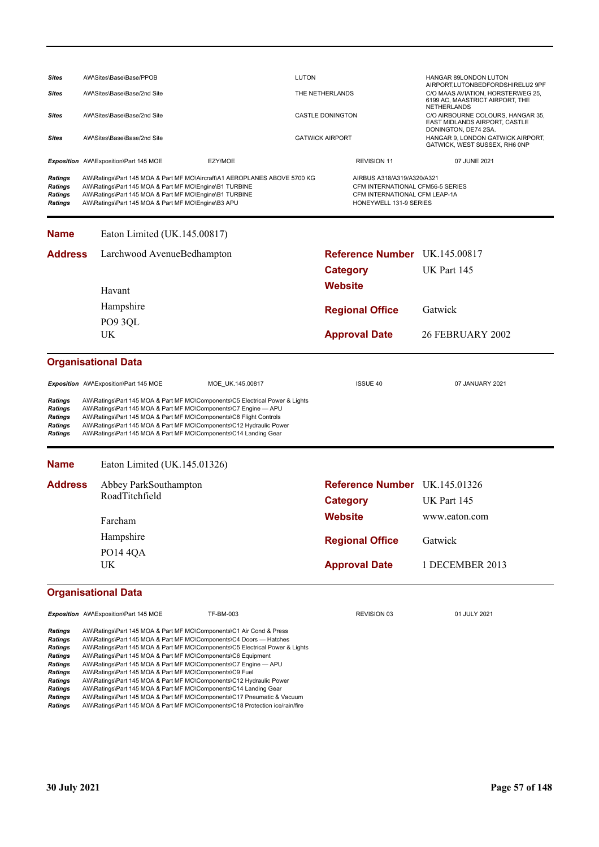| <b>Sites</b>                                                                                                                                  | AW\Sites\Base\Base/PPOB               |                                                                                                                                                                        |                                                                                                                                                                                                                                                                                                                                                                                                                                                                                                                                                                                                                                                                   | <b>LUTON</b>            |                        |                                                                                       | HANGAR 89LONDON LUTON                                                                                     |  |
|-----------------------------------------------------------------------------------------------------------------------------------------------|---------------------------------------|------------------------------------------------------------------------------------------------------------------------------------------------------------------------|-------------------------------------------------------------------------------------------------------------------------------------------------------------------------------------------------------------------------------------------------------------------------------------------------------------------------------------------------------------------------------------------------------------------------------------------------------------------------------------------------------------------------------------------------------------------------------------------------------------------------------------------------------------------|-------------------------|------------------------|---------------------------------------------------------------------------------------|-----------------------------------------------------------------------------------------------------------|--|
| Sites                                                                                                                                         | AW\Sites\Base\Base/2nd Site           |                                                                                                                                                                        |                                                                                                                                                                                                                                                                                                                                                                                                                                                                                                                                                                                                                                                                   | THE NETHERLANDS         |                        |                                                                                       | AIRPORT, LUTONBEDFORDSHIRELU2 9PF<br>C/O MAAS AVIATION, HORSTERWEG 25,<br>6199 AC, MAASTRICT AIRPORT, THE |  |
| <b>Sites</b>                                                                                                                                  | AW\Sites\Base\Base/2nd Site           |                                                                                                                                                                        |                                                                                                                                                                                                                                                                                                                                                                                                                                                                                                                                                                                                                                                                   | <b>CASTLE DONINGTON</b> |                        |                                                                                       | NETHERLANDS<br>C/O AIRBOURNE COLOURS, HANGAR 35,<br>EAST MIDLANDS AIRPORT, CASTLE                         |  |
| <b>Sites</b>                                                                                                                                  | AW\Sites\Base\Base/2nd Site           |                                                                                                                                                                        |                                                                                                                                                                                                                                                                                                                                                                                                                                                                                                                                                                                                                                                                   | <b>GATWICK AIRPORT</b>  |                        |                                                                                       | DONINGTON, DE74 2SA.<br>HANGAR 9, LONDON GATWICK AIRPORT,<br>GATWICK, WEST SUSSEX, RH6 0NP                |  |
|                                                                                                                                               | Exposition AW\Exposition\Part 145 MOE |                                                                                                                                                                        | EZY/MOE                                                                                                                                                                                                                                                                                                                                                                                                                                                                                                                                                                                                                                                           |                         |                        | <b>REVISION 11</b>                                                                    | 07 JUNE 2021                                                                                              |  |
| <b>Ratings</b><br><b>Ratings</b><br>Ratings<br>Ratings                                                                                        |                                       | AW\Ratings\Part 145 MOA & Part MF MO\Engine\B1 TURBINE<br>AW\Ratings\Part 145 MOA & Part MF MO\Engine\B1 TURBINE<br>AW\Ratings\Part 145 MOA & Part MF MO\Engine\B3 APU | AW\Ratings\Part 145 MOA & Part MF MO\Aircraft\A1 AEROPLANES ABOVE 5700 KG                                                                                                                                                                                                                                                                                                                                                                                                                                                                                                                                                                                         |                         |                        | AIRBUS A318/A319/A320/A321<br>CFM INTERNATIONAL CFM LEAP-1A<br>HONEYWELL 131-9 SERIES | CFM INTERNATIONAL CFM56-5 SERIES                                                                          |  |
| <b>Name</b>                                                                                                                                   |                                       | Eaton Limited (UK.145.00817)                                                                                                                                           |                                                                                                                                                                                                                                                                                                                                                                                                                                                                                                                                                                                                                                                                   |                         |                        |                                                                                       |                                                                                                           |  |
| <b>Address</b>                                                                                                                                |                                       | Larchwood AvenueBedhampton                                                                                                                                             |                                                                                                                                                                                                                                                                                                                                                                                                                                                                                                                                                                                                                                                                   |                         |                        |                                                                                       | <b>Reference Number</b> UK.145.00817                                                                      |  |
|                                                                                                                                               |                                       |                                                                                                                                                                        |                                                                                                                                                                                                                                                                                                                                                                                                                                                                                                                                                                                                                                                                   |                         | <b>Category</b>        |                                                                                       | UK Part 145                                                                                               |  |
|                                                                                                                                               | Havant                                |                                                                                                                                                                        |                                                                                                                                                                                                                                                                                                                                                                                                                                                                                                                                                                                                                                                                   |                         | Website                |                                                                                       |                                                                                                           |  |
|                                                                                                                                               | PO9 3QL                               | Hampshire                                                                                                                                                              |                                                                                                                                                                                                                                                                                                                                                                                                                                                                                                                                                                                                                                                                   |                         | <b>Regional Office</b> |                                                                                       | Gatwick                                                                                                   |  |
|                                                                                                                                               | <b>UK</b>                             |                                                                                                                                                                        |                                                                                                                                                                                                                                                                                                                                                                                                                                                                                                                                                                                                                                                                   |                         | <b>Approval Date</b>   |                                                                                       | <b>26 FEBRUARY 2002</b>                                                                                   |  |
|                                                                                                                                               | <b>Organisational Data</b>            |                                                                                                                                                                        |                                                                                                                                                                                                                                                                                                                                                                                                                                                                                                                                                                                                                                                                   |                         |                        |                                                                                       |                                                                                                           |  |
|                                                                                                                                               | Exposition AW\Exposition\Part 145 MOE |                                                                                                                                                                        | MOE_UK.145.00817                                                                                                                                                                                                                                                                                                                                                                                                                                                                                                                                                                                                                                                  |                         | <b>ISSUE 40</b>        |                                                                                       | 07 JANUARY 2021                                                                                           |  |
| Ratings<br><b>Ratings</b><br>Ratings<br><b>Ratings</b><br><b>Ratings</b>                                                                      |                                       |                                                                                                                                                                        | AW\Ratings\Part 145 MOA & Part MF MO\Components\C5 Electrical Power & Lights<br>AW\Ratings\Part 145 MOA & Part MF MO\Components\C7 Engine - APU<br>AW\Ratings\Part 145 MOA & Part MF MO\Components\C8 Flight Controls<br>AW\Ratings\Part 145 MOA & Part MF MO\Components\C12 Hydraulic Power<br>AW\Ratings\Part 145 MOA & Part MF MO\Components\C14 Landing Gear                                                                                                                                                                                                                                                                                                  |                         |                        |                                                                                       |                                                                                                           |  |
| <b>Name</b>                                                                                                                                   |                                       | Eaton Limited (UK.145.01326)                                                                                                                                           |                                                                                                                                                                                                                                                                                                                                                                                                                                                                                                                                                                                                                                                                   |                         |                        |                                                                                       |                                                                                                           |  |
| <b>Address</b>                                                                                                                                |                                       | Abbey ParkSouthampton                                                                                                                                                  |                                                                                                                                                                                                                                                                                                                                                                                                                                                                                                                                                                                                                                                                   |                         |                        |                                                                                       | Reference Number UK.145.01326                                                                             |  |
|                                                                                                                                               | RoadTitchfield                        |                                                                                                                                                                        |                                                                                                                                                                                                                                                                                                                                                                                                                                                                                                                                                                                                                                                                   | <b>Category</b>         |                        |                                                                                       | UK Part 145                                                                                               |  |
|                                                                                                                                               | Fareham                               |                                                                                                                                                                        |                                                                                                                                                                                                                                                                                                                                                                                                                                                                                                                                                                                                                                                                   |                         | <b>Website</b>         |                                                                                       | www.eaton.com                                                                                             |  |
|                                                                                                                                               | Hampshire                             |                                                                                                                                                                        |                                                                                                                                                                                                                                                                                                                                                                                                                                                                                                                                                                                                                                                                   |                         | <b>Regional Office</b> |                                                                                       | Gatwick                                                                                                   |  |
|                                                                                                                                               | <b>PO14 4QA</b>                       |                                                                                                                                                                        |                                                                                                                                                                                                                                                                                                                                                                                                                                                                                                                                                                                                                                                                   |                         |                        |                                                                                       |                                                                                                           |  |
|                                                                                                                                               | UK                                    |                                                                                                                                                                        |                                                                                                                                                                                                                                                                                                                                                                                                                                                                                                                                                                                                                                                                   |                         | <b>Approval Date</b>   |                                                                                       | 1 DECEMBER 2013                                                                                           |  |
|                                                                                                                                               | <b>Organisational Data</b>            |                                                                                                                                                                        |                                                                                                                                                                                                                                                                                                                                                                                                                                                                                                                                                                                                                                                                   |                         |                        |                                                                                       |                                                                                                           |  |
|                                                                                                                                               | Exposition AW\Exposition\Part 145 MOE |                                                                                                                                                                        | TF-BM-003                                                                                                                                                                                                                                                                                                                                                                                                                                                                                                                                                                                                                                                         |                         |                        | REVISION 03                                                                           | 01 JULY 2021                                                                                              |  |
| <b>Ratings</b><br><b>Ratings</b><br>Ratings<br>Ratings<br><b>Ratings</b><br><b>Ratings</b><br><b>Ratings</b><br>Ratings<br>Ratings<br>Ratings |                                       | AW\Ratings\Part 145 MOA & Part MF MO\Components\C9 Fuel                                                                                                                | AW\Ratings\Part 145 MOA & Part MF MO\Components\C1 Air Cond & Press<br>AW\Ratings\Part 145 MOA & Part MF MO\Components\C4 Doors - Hatches<br>AW\Ratings\Part 145 MOA & Part MF MO\Components\C5 Electrical Power & Lights<br>AW\Ratings\Part 145 MOA & Part MF MO\Components\C6 Equipment<br>AW\Ratings\Part 145 MOA & Part MF MO\Components\C7 Engine - APU<br>AW\Ratings\Part 145 MOA & Part MF MO\Components\C12 Hydraulic Power<br>AW\Ratings\Part 145 MOA & Part MF MO\Components\C14 Landing Gear<br>AW\Ratings\Part 145 MOA & Part MF MO\Components\C17 Pneumatic & Vacuum<br>AW\Ratings\Part 145 MOA & Part MF MO\Components\C18 Protection ice/rain/fire |                         |                        |                                                                                       |                                                                                                           |  |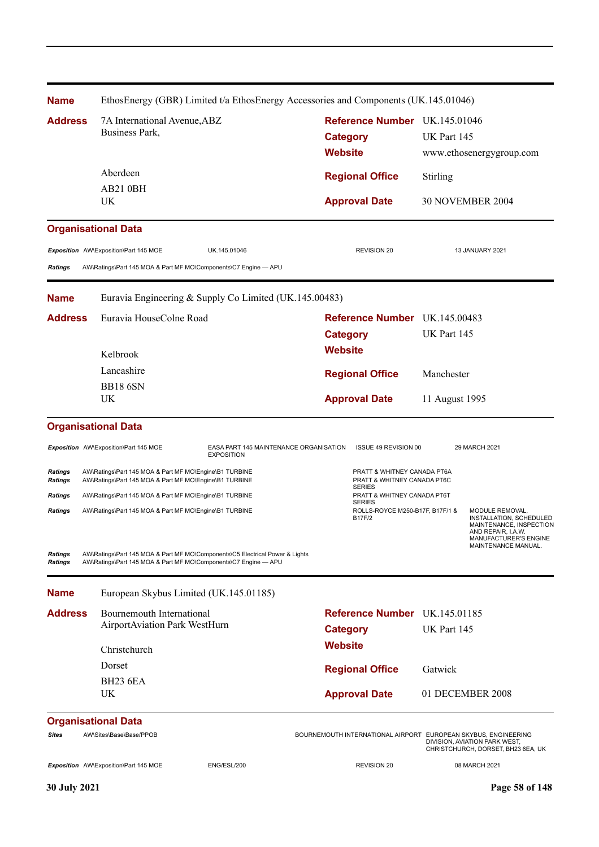| <b>Name</b>                                 | EthosEnergy (GBR) Limited t/a EthosEnergy Accessories and Components (UK.145.01046)                                                                                                                       |                                                                             |                                                                                                                                                    |  |
|---------------------------------------------|-----------------------------------------------------------------------------------------------------------------------------------------------------------------------------------------------------------|-----------------------------------------------------------------------------|----------------------------------------------------------------------------------------------------------------------------------------------------|--|
| <b>Address</b>                              | 7A International Avenue, ABZ<br>Business Park,                                                                                                                                                            | Reference Number UK.145.01046<br><b>Category</b><br><b>Website</b>          | UK Part 145<br>www.ethosenergygroup.com                                                                                                            |  |
|                                             | Aberdeen                                                                                                                                                                                                  | <b>Regional Office</b>                                                      | Stirling                                                                                                                                           |  |
|                                             | AB21 0BH                                                                                                                                                                                                  |                                                                             |                                                                                                                                                    |  |
|                                             | UK                                                                                                                                                                                                        | <b>Approval Date</b>                                                        | <b>30 NOVEMBER 2004</b>                                                                                                                            |  |
|                                             | <b>Organisational Data</b>                                                                                                                                                                                |                                                                             |                                                                                                                                                    |  |
| <b>Ratings</b>                              | Exposition AW\Exposition\Part 145 MOE<br>UK.145.01046<br>AW\Ratings\Part 145 MOA & Part MF MO\Components\C7 Engine - APU                                                                                  | <b>REVISION 20</b>                                                          | 13 JANUARY 2021                                                                                                                                    |  |
| <b>Name</b>                                 | Euravia Engineering & Supply Co Limited (UK.145.00483)                                                                                                                                                    |                                                                             |                                                                                                                                                    |  |
| <b>Address</b>                              | Euravia HouseColne Road<br>Kelbrook                                                                                                                                                                       | Reference Number UK.145.00483<br><b>Category</b><br><b>Website</b>          | UK Part 145                                                                                                                                        |  |
|                                             | Lancashire                                                                                                                                                                                                |                                                                             |                                                                                                                                                    |  |
|                                             | <b>BB18 6SN</b>                                                                                                                                                                                           | <b>Regional Office</b>                                                      | Manchester                                                                                                                                         |  |
|                                             | UK                                                                                                                                                                                                        | <b>Approval Date</b>                                                        | 11 August 1995                                                                                                                                     |  |
|                                             | <b>Organisational Data</b>                                                                                                                                                                                |                                                                             |                                                                                                                                                    |  |
|                                             | Exposition AW\Exposition\Part 145 MOE<br>EASA PART 145 MAINTENANCE ORGANISATION<br><b>EXPOSITION</b>                                                                                                      | ISSUE 49 REVISION 00                                                        | 29 MARCH 2021                                                                                                                                      |  |
| <b>Ratings</b><br>Ratings                   | AW\Ratings\Part 145 MOA & Part MF MO\Engine\B1 TURBINE<br>AW\Ratings\Part 145 MOA & Part MF MO\Engine\B1 TURBINE                                                                                          | PRATT & WHITNEY CANADA PT6A<br>PRATT & WHITNEY CANADA PT6C<br><b>SERIES</b> |                                                                                                                                                    |  |
| Ratings                                     | AW\Ratings\Part 145 MOA & Part MF MO\Engine\B1 TURBINE                                                                                                                                                    | PRATT & WHITNEY CANADA PT6T<br><b>SERIES</b>                                |                                                                                                                                                    |  |
| <b>Ratings</b><br>Ratings<br><b>Ratings</b> | AW\Ratings\Part 145 MOA & Part MF MO\Engine\B1 TURBINE<br>AW\Ratings\Part 145 MOA & Part MF MO\Components\C5 Electrical Power & Lights<br>AW\Ratings\Part 145 MOA & Part MF MO\Components\C7 Engine - APU | ROLLS-ROYCE M250-B17F, B17F/1 &<br><b>B17F/2</b>                            | MODULE REMOVAL.<br>INSTALLATION, SCHEDULED<br>MAINTENANCE, INSPECTION<br>AND REPAIR, I.A.W.<br><b>MANUFACTURER'S ENGINE</b><br>MAINTENANCE MANUAL. |  |
|                                             |                                                                                                                                                                                                           |                                                                             |                                                                                                                                                    |  |
| <b>Name</b>                                 | European Skybus Limited (UK.145.01185)                                                                                                                                                                    |                                                                             |                                                                                                                                                    |  |
| <b>Address</b>                              | Bournemouth International<br>AirportAviation Park WestHurn                                                                                                                                                | <b>Reference Number</b> UK.145.01185                                        | UK Part 145                                                                                                                                        |  |
|                                             |                                                                                                                                                                                                           | <b>Category</b><br><b>Website</b>                                           |                                                                                                                                                    |  |
|                                             | Christchurch                                                                                                                                                                                              |                                                                             |                                                                                                                                                    |  |
|                                             | Dorset                                                                                                                                                                                                    | <b>Regional Office</b>                                                      | Gatwick                                                                                                                                            |  |
|                                             | <b>BH23 6EA</b><br>UK                                                                                                                                                                                     | <b>Approval Date</b>                                                        | 01 DECEMBER 2008                                                                                                                                   |  |
|                                             | <b>Organisational Data</b>                                                                                                                                                                                |                                                                             |                                                                                                                                                    |  |
| <b>Sites</b>                                | AW\Sites\Base\Base/PPOB                                                                                                                                                                                   | BOURNEMOUTH INTERNATIONAL AIRPORT EUROPEAN SKYBUS, ENGINEERING              | DIVISION, AVIATION PARK WEST,<br>CHRISTCHURCH, DORSET, BH23 6EA, UK                                                                                |  |
|                                             | Exposition AW\Exposition\Part 145 MOE<br>ENG/ESL/200                                                                                                                                                      | <b>REVISION 20</b>                                                          | 08 MARCH 2021                                                                                                                                      |  |
| 30 July 2021                                |                                                                                                                                                                                                           |                                                                             | Page 58 of 148                                                                                                                                     |  |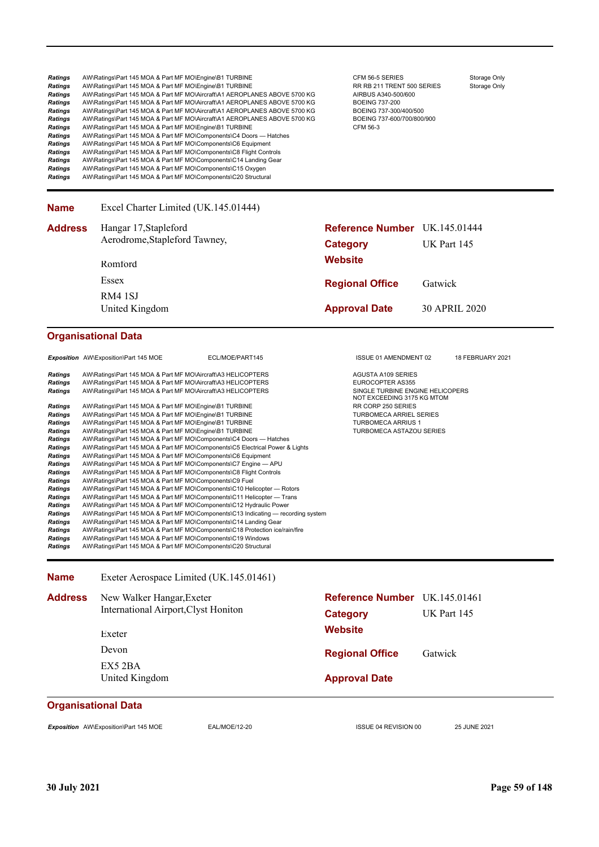| <b>Ratings</b><br><b>Ratings</b><br><b>Ratings</b><br><b>Ratings</b><br><b>Ratings</b><br><b>Ratings</b><br>Ratings<br><b>Ratings</b><br>Ratings<br>Ratings<br>Ratings<br>Ratings<br>Ratings                                                                                                       | AW\Ratings\Part 145 MOA & Part MF MO\Engine\B1 TURBINE<br>AW\Ratings\Part 145 MOA & Part MF MO\Engine\B1 TURBINE<br>AW\Ratings\Part 145 MOA & Part MF MO\Aircraft\A1 AEROPLANES ABOVE 5700 KG<br>AW\Ratings\Part 145 MOA & Part MF MO\Aircraft\A1 AEROPLANES ABOVE 5700 KG<br>AW\Ratings\Part 145 MOA & Part MF MO\Aircraft\A1 AEROPLANES ABOVE 5700 KG<br>AW\Ratings\Part 145 MOA & Part MF MO\Aircraft\A1 AEROPLANES ABOVE 5700 KG<br>AW\Ratings\Part 145 MOA & Part MF MO\Engine\B1 TURBINE<br>AW\Ratings\Part 145 MOA & Part MF MO\Components\C4 Doors — Hatches<br>AW\Ratings\Part 145 MOA & Part MF MO\Components\C6 Equipment<br>AW\Ratings\Part 145 MOA & Part MF MO\Components\C8 Flight Controls<br>AW\Ratings\Part 145 MOA & Part MF MO\Components\C14 Landing Gear<br>AW\Ratings\Part 145 MOA & Part MF MO\Components\C15 Oxygen<br>AW\Ratings\Part 145 MOA & Part MF MO\Components\C20 Structural                                                                                                                                                                                                                                                                                                                                                                                                                                                                                                                                                       | CFM 56-5 SERIES<br>RR RB 211 TRENT 500 SERIES<br>AIRBUS A340-500/600<br><b>BOEING 737-200</b><br>BOEING 737-300/400/500<br>BOEING 737-600/700/800/900<br>CFM 56-3                                                         | Storage Only<br>Storage Only |
|----------------------------------------------------------------------------------------------------------------------------------------------------------------------------------------------------------------------------------------------------------------------------------------------------|----------------------------------------------------------------------------------------------------------------------------------------------------------------------------------------------------------------------------------------------------------------------------------------------------------------------------------------------------------------------------------------------------------------------------------------------------------------------------------------------------------------------------------------------------------------------------------------------------------------------------------------------------------------------------------------------------------------------------------------------------------------------------------------------------------------------------------------------------------------------------------------------------------------------------------------------------------------------------------------------------------------------------------------------------------------------------------------------------------------------------------------------------------------------------------------------------------------------------------------------------------------------------------------------------------------------------------------------------------------------------------------------------------------------------------------------------------------------|---------------------------------------------------------------------------------------------------------------------------------------------------------------------------------------------------------------------------|------------------------------|
| <b>Name</b>                                                                                                                                                                                                                                                                                        | Excel Charter Limited (UK.145.01444)                                                                                                                                                                                                                                                                                                                                                                                                                                                                                                                                                                                                                                                                                                                                                                                                                                                                                                                                                                                                                                                                                                                                                                                                                                                                                                                                                                                                                                 |                                                                                                                                                                                                                           |                              |
| <b>Address</b>                                                                                                                                                                                                                                                                                     | Hangar 17, Stapleford                                                                                                                                                                                                                                                                                                                                                                                                                                                                                                                                                                                                                                                                                                                                                                                                                                                                                                                                                                                                                                                                                                                                                                                                                                                                                                                                                                                                                                                | <b>Reference Number</b> UK.145.01444                                                                                                                                                                                      |                              |
|                                                                                                                                                                                                                                                                                                    | Aerodrome, Stapleford Tawney,                                                                                                                                                                                                                                                                                                                                                                                                                                                                                                                                                                                                                                                                                                                                                                                                                                                                                                                                                                                                                                                                                                                                                                                                                                                                                                                                                                                                                                        | <b>Category</b>                                                                                                                                                                                                           | UK Part 145                  |
|                                                                                                                                                                                                                                                                                                    | Romford                                                                                                                                                                                                                                                                                                                                                                                                                                                                                                                                                                                                                                                                                                                                                                                                                                                                                                                                                                                                                                                                                                                                                                                                                                                                                                                                                                                                                                                              | <b>Website</b>                                                                                                                                                                                                            |                              |
|                                                                                                                                                                                                                                                                                                    | Essex                                                                                                                                                                                                                                                                                                                                                                                                                                                                                                                                                                                                                                                                                                                                                                                                                                                                                                                                                                                                                                                                                                                                                                                                                                                                                                                                                                                                                                                                | <b>Regional Office</b>                                                                                                                                                                                                    | Gatwick                      |
|                                                                                                                                                                                                                                                                                                    | RM4 1SJ                                                                                                                                                                                                                                                                                                                                                                                                                                                                                                                                                                                                                                                                                                                                                                                                                                                                                                                                                                                                                                                                                                                                                                                                                                                                                                                                                                                                                                                              |                                                                                                                                                                                                                           |                              |
|                                                                                                                                                                                                                                                                                                    | United Kingdom                                                                                                                                                                                                                                                                                                                                                                                                                                                                                                                                                                                                                                                                                                                                                                                                                                                                                                                                                                                                                                                                                                                                                                                                                                                                                                                                                                                                                                                       | <b>Approval Date</b>                                                                                                                                                                                                      | 30 APRIL 2020                |
|                                                                                                                                                                                                                                                                                                    | <b>Organisational Data</b>                                                                                                                                                                                                                                                                                                                                                                                                                                                                                                                                                                                                                                                                                                                                                                                                                                                                                                                                                                                                                                                                                                                                                                                                                                                                                                                                                                                                                                           |                                                                                                                                                                                                                           |                              |
|                                                                                                                                                                                                                                                                                                    | Exposition AW\Exposition\Part 145 MOE<br>ECL/MOE/PART145                                                                                                                                                                                                                                                                                                                                                                                                                                                                                                                                                                                                                                                                                                                                                                                                                                                                                                                                                                                                                                                                                                                                                                                                                                                                                                                                                                                                             | ISSUE 01 AMENDMENT 02                                                                                                                                                                                                     | 18 FEBRUARY 2021             |
| <b>Ratings</b><br><b>Ratings</b><br><b>Ratings</b><br>Ratings<br>Ratings<br>Ratings<br>Ratings<br>Ratings<br>Ratings<br>Ratings<br>Ratings<br><b>Ratings</b><br>Ratings<br><b>Ratings</b><br><b>Ratings</b><br><b>Ratings</b><br><b>Ratings</b><br>Ratings<br><b>Ratings</b><br>Ratings<br>Ratings | AW\Ratings\Part 145 MOA & Part MF MO\Aircraft\A3 HELICOPTERS<br>AW\Ratings\Part 145 MOA & Part MF MO\Aircraft\A3 HELICOPTERS<br>AW\Ratings\Part 145 MOA & Part MF MO\Aircraft\A3 HELICOPTERS<br>AW\Ratings\Part 145 MOA & Part MF MO\Engine\B1 TURBINE<br>AW\Ratings\Part 145 MOA & Part MF MO\Engine\B1 TURBINE<br>AW\Ratings\Part 145 MOA & Part MF MO\Engine\B1 TURBINE<br>AW\Ratings\Part 145 MOA & Part MF MO\Engine\B1 TURBINE<br>AW\Ratings\Part 145 MOA & Part MF MO\Components\C4 Doors — Hatches<br>AW\Ratings\Part 145 MOA & Part MF MO\Components\C5 Electrical Power & Lights<br>AW\Ratings\Part 145 MOA & Part MF MO\Components\C6 Equipment<br>AW\Ratings\Part 145 MOA & Part MF MO\Components\C7 Engine - APU<br>AW\Ratings\Part 145 MOA & Part MF MO\Components\C8 Flight Controls<br>AW\Ratings\Part 145 MOA & Part MF MO\Components\C9 Fuel<br>AW\Ratings\Part 145 MOA & Part MF MO\Components\C10 Helicopter - Rotors<br>AW\Ratings\Part 145 MOA & Part MF MO\Components\C11 Helicopter — Trans<br>AW\Ratings\Part 145 MOA & Part MF MO\Components\C12 Hydraulic Power<br>AW\Ratings\Part 145 MOA & Part MF MO\Components\C13 Indicating — recording system<br>AW\Ratings\Part 145 MOA & Part MF MO\Components\C14 Landing Gear<br>AW\Ratings\Part 145 MOA & Part MF MO\Components\C18 Protection ice/rain/fire<br>AW\Ratings\Part 145 MOA & Part MF MO\Components\C19 Windows<br>AW\Ratings\Part 145 MOA & Part MF MO\Components\C20 Structural | AGUSTA A109 SERIES<br>EUROCOPTER AS355<br>SINGLE TURBINE ENGINE HELICOPERS<br>NOT EXCEEDING 3175 KG MTOM<br>RR CORP 250 SERIES<br><b>TURBOMECA ARRIEL SERIES</b><br><b>TURBOMECA ARRIUS 1</b><br>TURBOMECA ASTAZOU SERIES |                              |
| <b>Name</b>                                                                                                                                                                                                                                                                                        | Exeter Aerospace Limited (UK.145.01461)                                                                                                                                                                                                                                                                                                                                                                                                                                                                                                                                                                                                                                                                                                                                                                                                                                                                                                                                                                                                                                                                                                                                                                                                                                                                                                                                                                                                                              |                                                                                                                                                                                                                           |                              |
| <b>Address</b>                                                                                                                                                                                                                                                                                     | New Walker Hangar, Exeter                                                                                                                                                                                                                                                                                                                                                                                                                                                                                                                                                                                                                                                                                                                                                                                                                                                                                                                                                                                                                                                                                                                                                                                                                                                                                                                                                                                                                                            | Reference Number UK.145.01461                                                                                                                                                                                             |                              |
|                                                                                                                                                                                                                                                                                                    | International Airport, Clyst Honiton                                                                                                                                                                                                                                                                                                                                                                                                                                                                                                                                                                                                                                                                                                                                                                                                                                                                                                                                                                                                                                                                                                                                                                                                                                                                                                                                                                                                                                 | <b>Category</b><br><b>Website</b>                                                                                                                                                                                         | UK Part 145                  |
|                                                                                                                                                                                                                                                                                                    | Exeter                                                                                                                                                                                                                                                                                                                                                                                                                                                                                                                                                                                                                                                                                                                                                                                                                                                                                                                                                                                                                                                                                                                                                                                                                                                                                                                                                                                                                                                               |                                                                                                                                                                                                                           |                              |
|                                                                                                                                                                                                                                                                                                    | Devon                                                                                                                                                                                                                                                                                                                                                                                                                                                                                                                                                                                                                                                                                                                                                                                                                                                                                                                                                                                                                                                                                                                                                                                                                                                                                                                                                                                                                                                                | <b>Regional Office</b>                                                                                                                                                                                                    | Gatwick                      |
|                                                                                                                                                                                                                                                                                                    | EX5 2BA<br>United Kingdom                                                                                                                                                                                                                                                                                                                                                                                                                                                                                                                                                                                                                                                                                                                                                                                                                                                                                                                                                                                                                                                                                                                                                                                                                                                                                                                                                                                                                                            | <b>Approval Date</b>                                                                                                                                                                                                      |                              |
|                                                                                                                                                                                                                                                                                                    |                                                                                                                                                                                                                                                                                                                                                                                                                                                                                                                                                                                                                                                                                                                                                                                                                                                                                                                                                                                                                                                                                                                                                                                                                                                                                                                                                                                                                                                                      |                                                                                                                                                                                                                           |                              |

Exposition AW\Exposition\Part 145 MOE **EAL/MOE/12-20** ISSUE 04 REVISION 00 25 JUNE 2021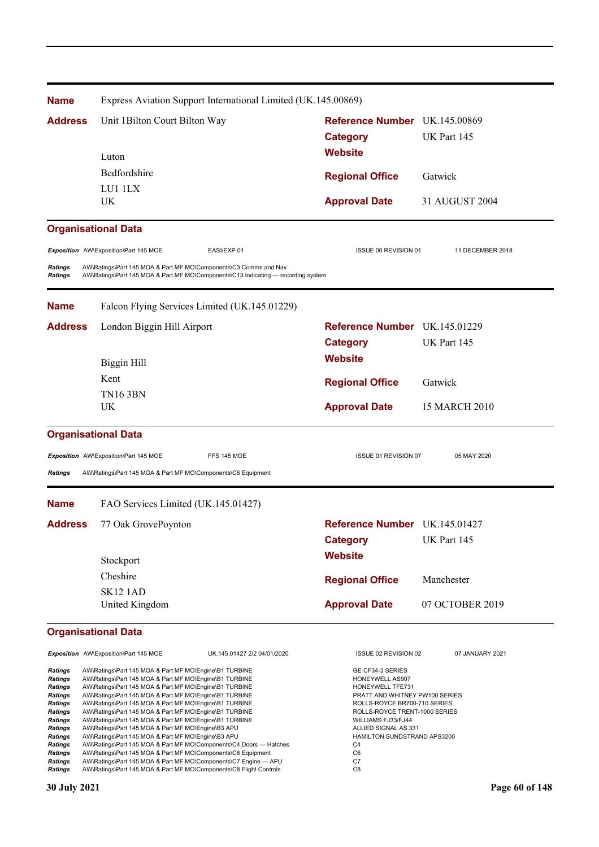| <b>Name</b>               | Express Aviation Support International Limited (UK.145.00869)                                                                                         |                                                               |                  |
|---------------------------|-------------------------------------------------------------------------------------------------------------------------------------------------------|---------------------------------------------------------------|------------------|
| <b>Address</b>            | Unit 1 Bilton Court Bilton Way                                                                                                                        | Reference Number UK.145.00869                                 |                  |
|                           |                                                                                                                                                       | <b>Category</b>                                               | UK Part 145      |
|                           | Luton                                                                                                                                                 | <b>Website</b>                                                |                  |
|                           | Bedfordshire                                                                                                                                          | <b>Regional Office</b>                                        | Gatwick          |
|                           | LU1 1LX                                                                                                                                               |                                                               |                  |
|                           | <b>UK</b>                                                                                                                                             | <b>Approval Date</b>                                          | 31 AUGUST 2004   |
|                           | <b>Organisational Data</b>                                                                                                                            |                                                               |                  |
|                           | Exposition AW\Exposition\Part 145 MOE<br>EASI/EXP 01                                                                                                  | ISSUE 06 REVISION 01                                          | 11 DECEMBER 2018 |
| <b>Ratings</b><br>Ratings | AW\Ratings\Part 145 MOA & Part MF MO\Components\C3 Comms and Nav<br>AW\Ratings\Part 145 MOA & Part MF MO\Components\C13 Indicating — recording system |                                                               |                  |
| <b>Name</b>               | Falcon Flying Services Limited (UK.145.01229)                                                                                                         |                                                               |                  |
| <b>Address</b>            | London Biggin Hill Airport                                                                                                                            | Reference Number UK.145.01229                                 |                  |
|                           |                                                                                                                                                       | <b>Category</b>                                               | UK Part 145      |
|                           | Biggin Hill                                                                                                                                           | <b>Website</b>                                                |                  |
|                           | Kent                                                                                                                                                  | <b>Regional Office</b>                                        | Gatwick          |
|                           | <b>TN16 3BN</b>                                                                                                                                       |                                                               |                  |
|                           | UK                                                                                                                                                    | <b>Approval Date</b>                                          | 15 MARCH 2010    |
|                           | <b>Organisational Data</b>                                                                                                                            |                                                               |                  |
|                           | Exposition AW\Exposition\Part 145 MOE<br>FFS 145 MOE                                                                                                  | ISSUE 01 REVISION 07                                          | 05 MAY 2020      |
| <b>Ratings</b>            | AW\Ratings\Part 145 MOA & Part MF MO\Components\C6 Equipment                                                                                          |                                                               |                  |
| <b>Name</b>               | FAO Services Limited (UK.145.01427)                                                                                                                   |                                                               |                  |
| <b>Address</b>            | 77 Oak GrovePoynton                                                                                                                                   | Reference Number UK.145.01427                                 |                  |
|                           |                                                                                                                                                       | <b>Category</b>                                               | UK Part 145      |
|                           | Stockport                                                                                                                                             | <b>Website</b>                                                |                  |
|                           | Cheshire                                                                                                                                              |                                                               |                  |
|                           | <b>SK12 1AD</b>                                                                                                                                       | <b>Regional Office</b>                                        | Manchester       |
|                           | United Kingdom                                                                                                                                        | <b>Approval Date</b>                                          | 07 OCTOBER 2019  |
|                           | <b>Organisational Data</b>                                                                                                                            |                                                               |                  |
|                           | Exposition AW\Exposition\Part 145 MOE<br>UK.145.01427 2/2 04/01/2020                                                                                  | ISSUE 02 REVISION 02                                          | 07 JANUARY 2021  |
| Ratings                   | AW\Ratings\Part 145 MOA & Part MF MO\Engine\B1 TURBINE                                                                                                | GE CF34-3 SERIES                                              |                  |
| Ratings<br><b>Ratings</b> | AW\Ratings\Part 145 MOA & Part MF MO\Engine\B1 TURBINE<br>AW\Ratings\Part 145 MOA & Part MF MO\Engine\B1 TURBINE                                      | HONEYWELL AS907<br>HONEYWELL TFE731                           |                  |
| <b>Ratings</b>            | AW\Ratings\Part 145 MOA & Part MF MO\Engine\B1 TURBINE                                                                                                | PRATT AND WHITNEY PW100 SERIES                                |                  |
| Ratings<br>Ratings        | AW\Ratings\Part 145 MOA & Part MF MO\Engine\B1 TURBINE<br>AW\Ratings\Part 145 MOA & Part MF MO\Engine\B1 TURBINE                                      | ROLLS-ROYCE BR700-710 SERIES<br>ROLLS-ROYCE TRENT-1000 SERIES |                  |
| <b>Ratings</b><br>Ratings | AW\Ratings\Part 145 MOA & Part MF MO\Engine\B1 TURBINE<br>AW\Ratings\Part 145 MOA & Part MF MO\Engine\B3 APU                                          | WILLIAMS FJ33/FJ44<br>ALLIED SIGNAL AS 331                    |                  |
| <b>Ratings</b>            | AW\Ratings\Part 145 MOA & Part MF MO\Engine\B3 APU                                                                                                    | HAMILTON SUNDSTRAND APS3200                                   |                  |
| Ratings<br><b>Ratings</b> | AW\Ratings\Part 145 MOA & Part MF MO\Components\C4 Doors - Hatches<br>AW\Ratings\Part 145 MOA & Part MF MO\Components\C6 Equipment                    | C <sub>4</sub><br>C <sub>6</sub>                              |                  |
| <b>Ratings</b>            | AW\Ratings\Part 145 MOA & Part MF MO\Components\C7 Engine - APU                                                                                       | C7                                                            |                  |
| <b>Ratings</b>            | AW\Ratings\Part 145 MOA & Part MF MO\Components\C8 Flight Controls                                                                                    | C <sub>8</sub>                                                |                  |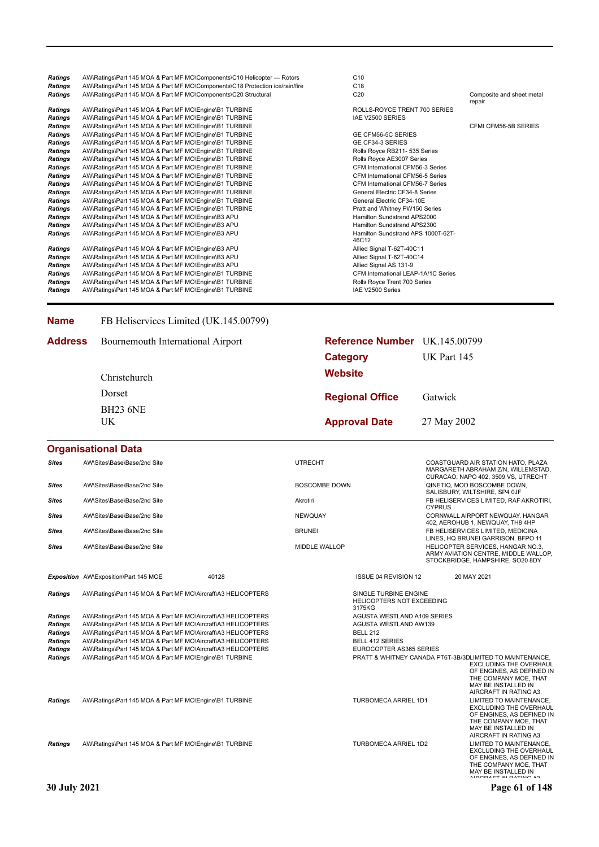| <b>Ratings</b> | AW\Ratings\Part 145 MOA & Part MF MO\Components\C10 Helicopter — Rotors      | C10                                         |                                     |
|----------------|------------------------------------------------------------------------------|---------------------------------------------|-------------------------------------|
| <b>Ratings</b> | AW\Ratings\Part 145 MOA & Part MF MO\Components\C18 Protection ice/rain/fire | C <sub>18</sub>                             |                                     |
| <b>Ratings</b> | AW\Ratings\Part 145 MOA & Part MF MO\Components\C20 Structural               | C <sub>20</sub>                             | Composite and sheet metal<br>repair |
| <b>Ratings</b> | AW\Ratings\Part 145 MOA & Part MF MO\Engine\B1 TURBINE                       | ROLLS-ROYCE TRENT 700 SERIES                |                                     |
| <b>Ratings</b> | AW\Ratings\Part 145 MOA & Part MF MO\Engine\B1 TURBINE                       | IAE V2500 SERIES                            |                                     |
| <b>Ratings</b> | AW\Ratings\Part 145 MOA & Part MF MO\Engine\B1 TURBINE                       |                                             | CFMI CFM56-5B SERIES                |
| <b>Ratings</b> | AW\Ratings\Part 145 MOA & Part MF MO\Engine\B1 TURBINE                       | GE CFM56-5C SERIES                          |                                     |
| <b>Ratings</b> | AW\Ratings\Part 145 MOA & Part MF MO\Engine\B1 TURBINE                       | GE CF34-3 SERIES                            |                                     |
| <b>Ratings</b> | AW\Ratings\Part 145 MOA & Part MF MO\Engine\B1 TURBINE                       | Rolls Royce RB211- 535 Series               |                                     |
| <b>Ratings</b> | AW\Ratings\Part 145 MOA & Part MF MO\Engine\B1 TURBINE                       | Rolls Royce AE3007 Series                   |                                     |
| <b>Ratings</b> | AW\Ratings\Part 145 MOA & Part MF MO\Engine\B1 TURBINE                       | CFM International CFM56-3 Series            |                                     |
| <b>Ratings</b> | AW\Ratings\Part 145 MOA & Part MF MO\Engine\B1 TURBINE                       | CFM International CFM56-5 Series            |                                     |
| <b>Ratings</b> | AW\Ratings\Part 145 MOA & Part MF MO\Engine\B1 TURBINE                       | CFM International CFM56-7 Series            |                                     |
| <b>Ratings</b> | AW\Ratings\Part 145 MOA & Part MF MO\Engine\B1 TURBINE                       | General Electric CF34-8 Series              |                                     |
| <b>Ratings</b> | AW\Ratings\Part 145 MOA & Part MF MO\Engine\B1 TURBINE                       | General Electric CF34-10E                   |                                     |
| <b>Ratings</b> | AW\Ratings\Part 145 MOA & Part MF MO\Engine\B1 TURBINE                       | Pratt and Whitney PW150 Series              |                                     |
| <b>Ratings</b> | AW\Ratings\Part 145 MOA & Part MF MO\Engine\B3 APU                           | Hamilton Sundstrand APS2000                 |                                     |
| <b>Ratings</b> | AW\Ratings\Part 145 MOA & Part MF MO\Engine\B3 APU                           | Hamilton Sundstrand APS2300                 |                                     |
| Ratings        | AW\Ratings\Part 145 MOA & Part MF MO\Engine\B3 APU                           | Hamilton Sundstrand APS 1000T-62T-<br>46C12 |                                     |
| <b>Ratings</b> | AW\Ratings\Part 145 MOA & Part MF MO\Engine\B3 APU                           | Allied Signal T-62T-40C11                   |                                     |
| <b>Ratings</b> | AW\Ratings\Part 145 MOA & Part MF MO\Engine\B3 APU                           | Allied Signal T-62T-40C14                   |                                     |
| <b>Ratings</b> | AW\Ratings\Part 145 MOA & Part MF MO\Engine\B3 APU                           | Allied Signal AS 131-9                      |                                     |
| <b>Ratings</b> | AW\Ratings\Part 145 MOA & Part MF MO\Engine\B1 TURBINE                       | CFM International LEAP-1A/1C Series         |                                     |
| Ratings        | AW\Ratings\Part 145 MOA & Part MF MO\Engine\B1 TURBINE                       | Rolls Royce Trent 700 Series                |                                     |
| <b>Ratings</b> | AW\Ratings\Part 145 MOA & Part MF MO\Engine\B1 TURBINE                       | IAE V2500 Series                            |                                     |

#### **Name** FB Heliservices Limited (UK.145.00799)

| <b>Address</b> Bournemouth International Airport | Reference Number UK.145.00799 |  |
|--------------------------------------------------|-------------------------------|--|
|                                                  |                               |  |

|              | Christchurch                | <b>Category</b><br><b>Website</b> | UK Part 145                                                                                                     |  |
|--------------|-----------------------------|-----------------------------------|-----------------------------------------------------------------------------------------------------------------|--|
|              | Dorset                      | <b>Regional Office</b>            | Gatwick                                                                                                         |  |
|              | <b>BH23 6NE</b><br>UK       | <b>Approval Date</b>              | 27 May 2002                                                                                                     |  |
|              | <b>Organisational Data</b>  |                                   |                                                                                                                 |  |
| <b>Sites</b> | AW\Sites\Base\Base/2nd Site | <b>UTRECHT</b>                    | COASTGUARD AIR STATION HATO, PLAZA<br>MARGARETH ABRAHAM Z/N. WILLEMSTAD.<br>CURACAO, NAPO 402, 3509 VS. UTRECHT |  |

|                |                                                              |       |                      |                                                                     |               | CURACAO, NAPO 402, 3509 VS, UTRECHT                                                                                                                                                              |
|----------------|--------------------------------------------------------------|-------|----------------------|---------------------------------------------------------------------|---------------|--------------------------------------------------------------------------------------------------------------------------------------------------------------------------------------------------|
| <b>Sites</b>   | AW\Sites\Base\Base/2nd Site                                  |       | BOSCOMBE DOWN        |                                                                     |               | QINETIQ, MOD BOSCOMBE DOWN,<br>SALISBURY, WILTSHIRE, SP4 OJF                                                                                                                                     |
| <b>Sites</b>   | AW\Sites\Base\Base/2nd Site                                  |       | Akrotiri             |                                                                     | <b>CYPRUS</b> | FB HELISERVICES LIMITED, RAF AKROTIRI,                                                                                                                                                           |
| <b>Sites</b>   | AW\Sites\Base\Base/2nd Site                                  |       | <b>NEWQUAY</b>       |                                                                     |               | CORNWALL AIRPORT NEWQUAY, HANGAR<br>402, AEROHUB 1, NEWQUAY, TH8 4HP                                                                                                                             |
| <b>Sites</b>   | AW\Sites\Base\Base/2nd Site                                  |       | <b>BRUNEI</b>        |                                                                     |               | FB HELISERVICES LIMITED. MEDICINA<br>LINES, HQ BRUNEI GARRISON, BFPO 11                                                                                                                          |
| <b>Sites</b>   | AW\Sites\Base\Base/2nd Site                                  |       | <b>MIDDLE WALLOP</b> |                                                                     |               | HELICOPTER SERVICES, HANGAR NO.3,<br>ARMY AVIATION CENTRE, MIDDLE WALLOP,<br>STOCKBRIDGE, HAMPSHIRE, SO20 8DY                                                                                    |
|                | Exposition AW\Exposition\Part 145 MOE                        | 40128 |                      | <b>ISSUE 04 REVISION 12</b>                                         |               | 20 MAY 2021                                                                                                                                                                                      |
| <b>Ratings</b> | AW\Ratings\Part 145 MOA & Part MF MO\Aircraft\A3 HELICOPTERS |       |                      | SINGLE TURBINE ENGINE<br><b>HELICOPTERS NOT EXCEEDING</b><br>3175KG |               |                                                                                                                                                                                                  |
| <b>Ratings</b> | AW\Ratings\Part 145 MOA & Part MF MO\Aircraft\A3 HELICOPTERS |       |                      | AGUSTA WESTLAND A109 SERIES                                         |               |                                                                                                                                                                                                  |
| <b>Ratings</b> | AW\Ratings\Part 145 MOA & Part MF MO\Aircraft\A3 HELICOPTERS |       |                      | AGUSTA WESTLAND AW139                                               |               |                                                                                                                                                                                                  |
| <b>Ratings</b> | AW\Ratings\Part 145 MOA & Part MF MO\Aircraft\A3 HELICOPTERS |       |                      | <b>BELL 212</b>                                                     |               |                                                                                                                                                                                                  |
| <b>Ratings</b> | AW\Ratings\Part 145 MOA & Part MF MO\Aircraft\A3 HELICOPTERS |       |                      | <b>BELL 412 SERIES</b>                                              |               |                                                                                                                                                                                                  |
| <b>Ratings</b> | AW\Ratings\Part 145 MOA & Part MF MO\Aircraft\A3 HELICOPTERS |       |                      | <b>EUROCOPTER AS365 SERIES</b>                                      |               |                                                                                                                                                                                                  |
| <b>Ratings</b> | AW\Ratings\Part 145 MOA & Part MF MO\Engine\B1 TURBINE       |       |                      |                                                                     |               | PRATT & WHITNEY CANADA PT6T-3B/3DLIMITED TO MAINTENANCE.<br><b>EXCLUDING THE OVERHAUL</b><br>OF ENGINES, AS DEFINED IN<br>THE COMPANY MOE. THAT<br>MAY BE INSTALLED IN<br>AIRCRAFT IN RATING A3. |
| <b>Ratings</b> | AW\Ratings\Part 145 MOA & Part MF MO\Engine\B1 TURBINE       |       |                      | <b>TURBOMECA ARRIEL 1D1</b>                                         |               | LIMITED TO MAINTENANCE,<br><b>EXCLUDING THE OVERHAUL</b><br>OF ENGINES, AS DEFINED IN<br>THE COMPANY MOE, THAT<br>MAY BE INSTALLED IN<br>AIRCRAFT IN RATING A3.                                  |
| <b>Ratings</b> | AW\Ratings\Part 145 MOA & Part MF MO\Engine\B1 TURBINE       |       |                      | <b>TURBOMECA ARRIEL 1D2</b>                                         |               | LIMITED TO MAINTENANCE.<br><b>EXCLUDING THE OVERHAUL</b><br>OF ENGINES, AS DEFINED IN<br>THE COMPANY MOE. THAT<br>MAY BE INSTALLED IN<br>AIDODAET IN DATING AS                                   |

**30 July 2021 Page 61 of 148**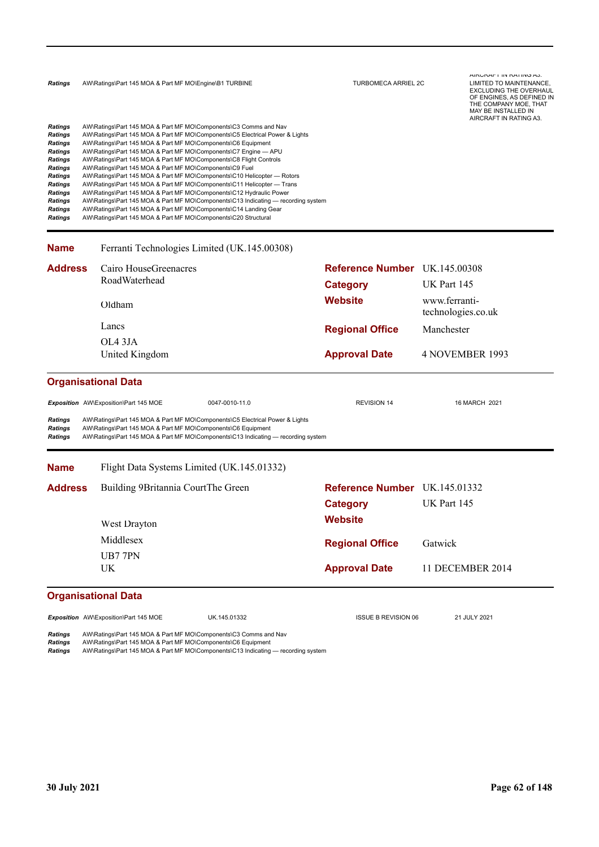| <b>Ratings</b> |  | AW\Ratings\Part 145 MOA & Part MF MO\Engine\B1 TURBINE |  |
|----------------|--|--------------------------------------------------------|--|
|                |  |                                                        |  |

| <b>Ratings</b> | AW\Ratings\Part 145 MOA & Part MF MO\Components\C3 Comms and Nav                  |
|----------------|-----------------------------------------------------------------------------------|
| Ratings        | AW\Ratings\Part 145 MOA & Part MF MO\Components\C5 Electrical Power & Lights      |
| <b>Ratings</b> | AW\Ratings\Part 145 MOA & Part MF MO\Components\C6 Equipment                      |
| <b>Ratings</b> | AW\Ratings\Part 145 MOA & Part MF MO\Components\C7 Engine - APU                   |
| <b>Ratings</b> | AW\Ratings\Part 145 MOA & Part MF MO\Components\C8 Flight Controls                |
| <b>Ratings</b> | AW\Ratings\Part 145 MOA & Part MF MO\Components\C9 Fuel                           |
| <b>Ratings</b> | AW\Ratings\Part 145 MOA & Part MF MO\Components\C10 Helicopter - Rotors           |
| <b>Ratings</b> | AW\Ratings\Part 145 MOA & Part MF MO\Components\C11 Helicopter - Trans            |
| <b>Ratings</b> | AW\Ratings\Part 145 MOA & Part MF MO\Components\C12 Hydraulic Power               |
| <b>Ratings</b> | AW\Ratings\Part 145 MOA & Part MF MO\Components\C13 Indicating — recording system |
| <b>Ratings</b> | AW\Ratings\Part 145 MOA & Part MF MO\Components\C14 Landing Gear                  |
| <b>Ratings</b> | AW\Ratings\Part 145 MOA & Part MF MO\Components\C20 Structural                    |
|                |                                                                                   |

#### **Approval Date** 4 NOVEMBER 1993 **Website** www.ferrantitechnologies.co.uk **Category** UK Part 145 **Reference Number** UK.145.00308 **Regional Office Address** Manchester United Kingdom OL4 3JA Lancs Oldham Cairo HouseGreenacres RoadWaterhead Ferranti Technologies Limited (UK.145.00308)

## **Organisational Data**

**Name**

Exposition AW\Exposition\Part 145 MOE 0047-0010-11.0 REVISION 14 REVISION 14 16 MARCH 2021 *Ratings* AW\Ratings\Part 145 MOA & Part MF MO\Components\C5 Electrical Power & Lights *Ratings* AW\Ratings\Part 145 MOA & Part MF MO\Components\C6 Equipment *Ratings* AW\Ratings\Part 145 MOA & Part MF MO\Components\C13 Indicating — recording system **Approval Date** 11 DECEMBER 2014 **Website Category** UK Part 145 **Reference Number Regional Office Name Address** Gatwick UK UB7 7PN Middlesex West Drayton Building 9Britannia CourtThe Green Flight Data Systems Limited (UK.145.01332)

### **Organisational Data**

**Exposition** AW\Exposition\Part 145 MOE UK.145.01332 UK.145.01332 ISSUE B REVISION 06 21 JULY 2021

*Ratings* AW\Ratings\Part 145 MOA & Part MF MO\Components\C3 Comms and Nav

*Ratings* AW\Ratings\Part 145 MOA & Part MF MO\Components\C6 Equipment

*Ratings* AW\Ratings\Part 145 MOA & Part MF MO\Components\C13 Indicating — recording system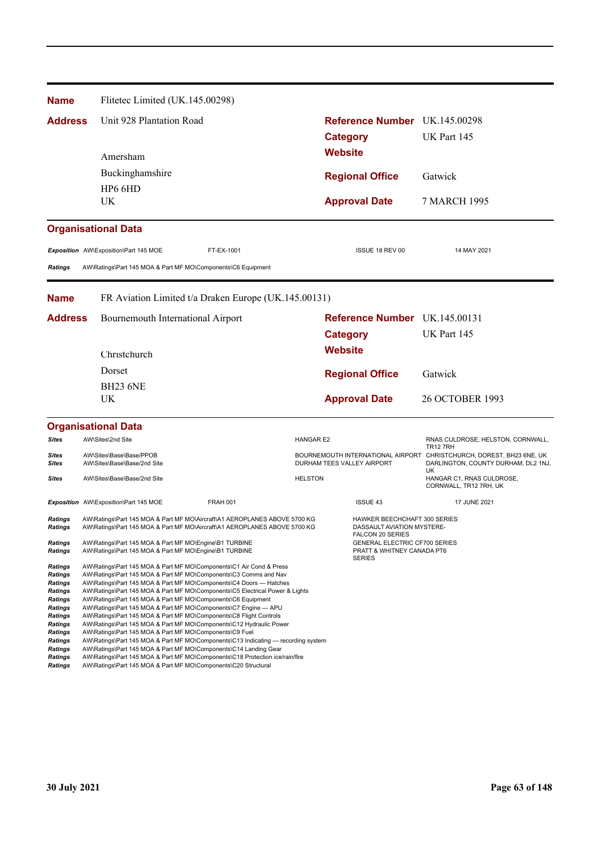| <b>Name</b>                      |                                                        | Flitetec Limited (UK.145.00298)                                                                                                                        |                  |                                                                                       |                                                                                 |
|----------------------------------|--------------------------------------------------------|--------------------------------------------------------------------------------------------------------------------------------------------------------|------------------|---------------------------------------------------------------------------------------|---------------------------------------------------------------------------------|
| <b>Address</b>                   |                                                        | Unit 928 Plantation Road                                                                                                                               |                  | Reference Number UK.145.00298                                                         |                                                                                 |
|                                  |                                                        |                                                                                                                                                        |                  | <b>Category</b>                                                                       | UK Part 145                                                                     |
|                                  | Amersham                                               |                                                                                                                                                        |                  | <b>Website</b>                                                                        |                                                                                 |
|                                  | Buckinghamshire                                        |                                                                                                                                                        |                  | <b>Regional Office</b>                                                                | Gatwick                                                                         |
|                                  | HP6 6HD                                                |                                                                                                                                                        |                  |                                                                                       |                                                                                 |
|                                  | UK                                                     |                                                                                                                                                        |                  | <b>Approval Date</b>                                                                  | 7 MARCH 1995                                                                    |
|                                  | <b>Organisational Data</b>                             |                                                                                                                                                        |                  |                                                                                       |                                                                                 |
|                                  | Exposition AW\Exposition\Part 145 MOE                  | FT-EX-1001                                                                                                                                             |                  | ISSUE 18 REV 00                                                                       | 14 MAY 2021                                                                     |
| Ratings                          |                                                        | AW\Ratings\Part 145 MOA & Part MF MO\Components\C6 Equipment                                                                                           |                  |                                                                                       |                                                                                 |
|                                  |                                                        |                                                                                                                                                        |                  |                                                                                       |                                                                                 |
| <b>Name</b>                      |                                                        | FR Aviation Limited t/a Draken Europe (UK.145.00131)                                                                                                   |                  |                                                                                       |                                                                                 |
| <b>Address</b>                   |                                                        | Bournemouth International Airport                                                                                                                      |                  | Reference Number UK.145.00131                                                         |                                                                                 |
|                                  |                                                        |                                                                                                                                                        |                  | <b>Category</b>                                                                       | UK Part 145                                                                     |
|                                  | Christchurch                                           |                                                                                                                                                        |                  | <b>Website</b>                                                                        |                                                                                 |
|                                  | Dorset                                                 |                                                                                                                                                        |                  | <b>Regional Office</b>                                                                | Gatwick                                                                         |
|                                  | <b>BH23 6NE</b>                                        |                                                                                                                                                        |                  |                                                                                       |                                                                                 |
|                                  | UK                                                     |                                                                                                                                                        |                  | <b>Approval Date</b>                                                                  | <b>26 OCTOBER 1993</b>                                                          |
|                                  | <b>Organisational Data</b>                             |                                                                                                                                                        |                  |                                                                                       |                                                                                 |
| Sites                            | AW\Sites\2nd Site                                      |                                                                                                                                                        | <b>HANGAR E2</b> |                                                                                       | RNAS CULDROSE, HELSTON, CORNWALL,<br><b>TR12 7RH</b>                            |
| Sites<br>Sites                   | AW\Sites\Base\Base/PPOB<br>AW\Sites\Base\Base/2nd Site |                                                                                                                                                        |                  | BOURNEMOUTH INTERNATIONAL AIRPORT<br>DURHAM TEES VALLEY AIRPORT                       | CHRISTCHURCH, DOREST, BH23 6NE, UK<br>DARLINGTON, COUNTY DURHAM, DL2 1NJ,<br>UK |
| <b>Sites</b>                     | AW\Sites\Base\Base/2nd Site                            |                                                                                                                                                        | <b>HELSTON</b>   |                                                                                       | HANGAR C1, RNAS CULDROSE,<br>CORNWALL, TR12 7RH, UK                             |
|                                  | Exposition AW\Exposition\Part 145 MOE                  | <b>FRAH 001</b>                                                                                                                                        |                  | <b>ISSUE 43</b>                                                                       | <b>17 JUNE 2021</b>                                                             |
| Ratings<br>Ratings               |                                                        | AW\Ratings\Part 145 MOA & Part MF MO\Aircraft\A1 AEROPLANES ABOVE 5700 KG<br>AW\Ratings\Part 145 MOA & Part MF MO\Aircraft\A1 AEROPLANES ABOVE 5700 KG |                  | <b>HAWKER BEECHCHAFT 300 SERIES</b><br>DASSAULI AVIATION MYSTERE-<br>FALCON 20 SERIES |                                                                                 |
| <b>Ratings</b><br><b>Ratings</b> |                                                        | AW\Ratings\Part 145 MOA & Part MF MO\Engine\B1 TURBINE<br>AW\Ratings\Part 145 MOA & Part MF MO\Engine\B1 TURBINE                                       |                  | GENERAL ELECTRIC CF700 SERIES<br>PRATT & WHITNEY CANADA PT6<br><b>SERIES</b>          |                                                                                 |
| Ratings<br><b>Ratings</b>        |                                                        | AW\Ratings\Part 145 MOA & Part MF MO\Components\C1 Air Cond & Press<br>AW\Ratings\Part 145 MOA & Part MF MO\Components\C3 Comms and Nav                |                  |                                                                                       |                                                                                 |
| Ratings<br><b>Ratings</b>        |                                                        | AW\Ratings\Part 145 MOA & Part MF MO\Components\C4 Doors - Hatches<br>AW\Ratings\Part 145 MOA & Part MF MO\Components\C5 Electrical Power & Lights     |                  |                                                                                       |                                                                                 |
| Ratings                          |                                                        | AW\Ratings\Part 145 MOA & Part MF MO\Components\C6 Equipment                                                                                           |                  |                                                                                       |                                                                                 |
| Ratings<br>Ratings               |                                                        | AW\Ratings\Part 145 MOA & Part MF MO\Components\C7 Engine - APU<br>AW\Ratings\Part 145 MOA & Part MF MO\Components\C8 Flight Controls                  |                  |                                                                                       |                                                                                 |
| <b>Ratings</b><br>Ratings        |                                                        | AW\Ratings\Part 145 MOA & Part MF MO\Components\C12 Hydraulic Power<br>AW\Ratings\Part 145 MOA & Part MF MO\Components\C9 Fuel                         |                  |                                                                                       |                                                                                 |
| <b>Ratings</b>                   |                                                        | AW\Ratings\Part 145 MOA & Part MF MO\Components\C13 Indicating — recording system                                                                      |                  |                                                                                       |                                                                                 |
| Ratings<br><b>Ratings</b>        |                                                        | AW\Ratings\Part 145 MOA & Part MF MO\Components\C14 Landing Gear<br>AW\Ratings\Part 145 MOA & Part MF MO\Components\C18 Protection ice/rain/fire       |                  |                                                                                       |                                                                                 |

*Ratings* AW\Ratings\Part 145 MOA & Part MF MO\Components\C20 Structural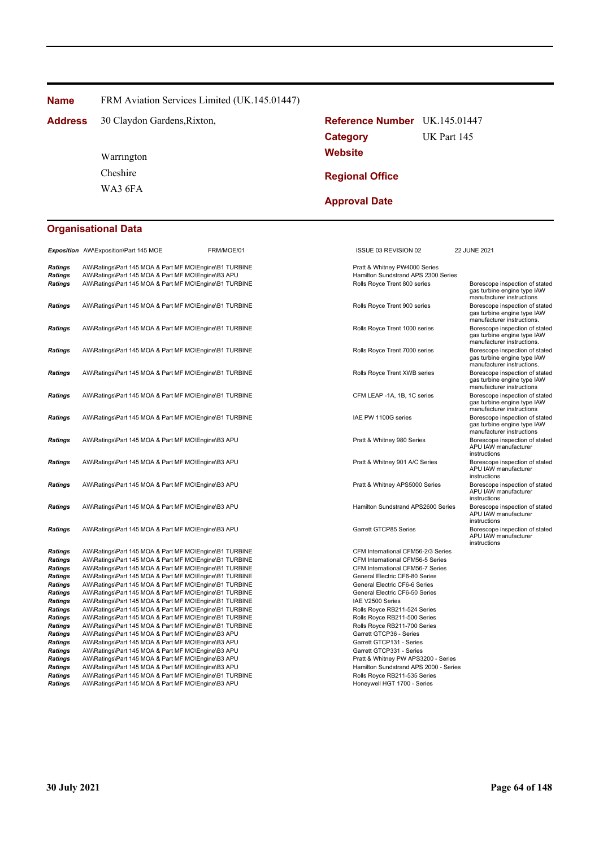**Name** FRM Aviation Services Limited (UK.145.01447)

30 Claydon Gardens, Rixton, **Reference Number** UK.145.01447 **Address**

> WA3 6FA Cheshire Warrington

# **Website Category** UK Part 145 **Regional Office**

**Approval Date**

# **Organisational Data**

|                                  | Exposition AW\Exposition\Part 145 MOE                                                                        | FRM/MOE/01 | ISSUE 03 REVISION 02                                                 | 22 JUNE 2021                                                                                |
|----------------------------------|--------------------------------------------------------------------------------------------------------------|------------|----------------------------------------------------------------------|---------------------------------------------------------------------------------------------|
| <b>Ratings</b><br><b>Ratings</b> | AW\Ratings\Part 145 MOA & Part MF MO\Engine\B1 TURBINE<br>AW\Ratings\Part 145 MOA & Part MF MO\Engine\B3 APU |            | Pratt & Whitney PW4000 Series<br>Hamilton Sundstrand APS 2300 Series |                                                                                             |
| <b>Ratings</b>                   | AW\Ratings\Part 145 MOA & Part MF MO\Engine\B1 TURBINE                                                       |            | Rolls Royce Trent 800 series                                         | Borescope inspection of stated<br>gas turbine engine type IAW<br>manufacturer instructions  |
| <b>Ratings</b>                   | AW\Ratings\Part 145 MOA & Part MF MO\Engine\B1 TURBINE                                                       |            | Rolls Royce Trent 900 series                                         | Borescope inspection of stated<br>gas turbine engine type IAW<br>manufacturer instructions. |
| <b>Ratings</b>                   | AW\Ratings\Part 145 MOA & Part MF MO\Engine\B1 TURBINE                                                       |            | Rolls Royce Trent 1000 series                                        | Borescope inspection of stated<br>gas turbine engine type IAW<br>manufacturer instructions. |
| <b>Ratings</b>                   | AW\Ratings\Part 145 MOA & Part MF MO\Engine\B1 TURBINE                                                       |            | Rolls Royce Trent 7000 series                                        | Borescope inspection of stated<br>gas turbine engine type IAW<br>manufacturer instructions. |
| <b>Ratings</b>                   | AW\Ratings\Part 145 MOA & Part MF MO\Engine\B1 TURBINE                                                       |            | Rolls Royce Trent XWB series                                         | Borescope inspection of stated<br>gas turbine engine type IAW<br>manufacturer instructions  |
| <b>Ratings</b>                   | AW\Ratings\Part 145 MOA & Part MF MO\Engine\B1 TURBINE                                                       |            | CFM LEAP -1A, 1B, 1C series                                          | Borescope inspection of stated<br>gas turbine engine type IAW<br>manufacturer instructions  |
| <b>Ratings</b>                   | AW\Ratings\Part 145 MOA & Part MF MO\Engine\B1 TURBINE                                                       |            | IAE PW 1100G series                                                  | Borescope inspection of stated<br>gas turbine engine type IAW<br>manufacturer instructions  |
| <b>Ratings</b>                   | AW\Ratings\Part 145 MOA & Part MF MO\Engine\B3 APU                                                           |            | Pratt & Whitney 980 Series                                           | Borescope inspection of stated<br>APU IAW manufacturer<br>instructions                      |
| <b>Ratings</b>                   | AW\Ratings\Part 145 MOA & Part MF MO\Engine\B3 APU                                                           |            | Pratt & Whitney 901 A/C Series                                       | Borescope inspection of stated<br>APU IAW manufacturer<br>instructions                      |
| Ratings                          | AW\Ratings\Part 145 MOA & Part MF MO\Engine\B3 APU                                                           |            | Pratt & Whitney APS5000 Series                                       | Borescope inspection of stated<br>APU IAW manufacturer<br>instructions                      |
| <b>Ratings</b>                   | AW\Ratings\Part 145 MOA & Part MF MO\Engine\B3 APU                                                           |            | Hamilton Sundstrand APS2600 Series                                   | Borescope inspection of stated<br>APU IAW manufacturer<br>instructions                      |
| <b>Ratings</b>                   | AW\Ratings\Part 145 MOA & Part MF MO\Engine\B3 APU                                                           |            | Garrett GTCP85 Series                                                | Borescope inspection of stated<br>APU IAW manufacturer<br>instructions                      |
| <b>Ratings</b>                   | AW\Ratings\Part 145 MOA & Part MF MO\Engine\B1 TURBINE                                                       |            | CFM International CFM56-2/3 Series                                   |                                                                                             |
| Ratings                          | AW\Ratings\Part 145 MOA & Part MF MO\Engine\B1 TURBINE                                                       |            | CFM International CFM56-5 Series                                     |                                                                                             |
| <b>Ratings</b>                   | AW\Ratings\Part 145 MOA & Part MF MO\Engine\B1 TURBINE                                                       |            | CFM International CFM56-7 Series                                     |                                                                                             |
| <b>Ratings</b>                   | AW\Ratings\Part 145 MOA & Part MF MO\Engine\B1 TURBINE                                                       |            | General Electric CF6-80 Series                                       |                                                                                             |
| Ratings                          | AW\Ratings\Part 145 MOA & Part MF MO\Engine\B1 TURBINE                                                       |            | General Electric CF6-6 Series                                        |                                                                                             |
| <b>Ratings</b>                   | AW\Ratings\Part 145 MOA & Part MF MO\Engine\B1 TURBINE                                                       |            | General Electric CF6-50 Series                                       |                                                                                             |
| Ratings                          | AW\Ratings\Part 145 MOA & Part MF MO\Engine\B1 TURBINE                                                       |            | IAE V2500 Series                                                     |                                                                                             |
| <b>Ratings</b>                   | AW\Ratings\Part 145 MOA & Part MF MO\Engine\B1 TURBINE                                                       |            | Rolls Royce RB211-524 Series                                         |                                                                                             |
| <b>Ratings</b>                   | AW\Ratings\Part 145 MOA & Part MF MO\Engine\B1 TURBINE                                                       |            | Rolls Royce RB211-500 Series                                         |                                                                                             |
| Ratings                          | AW\Ratings\Part 145 MOA & Part MF MO\Engine\B1 TURBINE                                                       |            | Rolls Royce RB211-700 Series                                         |                                                                                             |
| Ratings                          | AW\Ratings\Part 145 MOA & Part MF MO\Engine\B3 APU                                                           |            | Garrett GTCP36 - Series                                              |                                                                                             |
| Ratings                          | AW\Ratings\Part 145 MOA & Part MF MO\Engine\B3 APU                                                           |            | Garrett GTCP131 - Series                                             |                                                                                             |
| <b>Ratings</b>                   | AW\Ratings\Part 145 MOA & Part MF MO\Engine\B3 APU                                                           |            | Garrett GTCP331 - Series                                             |                                                                                             |
| <b>Ratings</b>                   | AW\Ratings\Part 145 MOA & Part MF MO\Engine\B3 APU                                                           |            | Pratt & Whitney PW APS3200 - Series                                  |                                                                                             |
| Ratings                          | AW\Ratings\Part 145 MOA & Part MF MO\Engine\B3 APU                                                           |            | Hamilton Sundstrand APS 2000 - Series                                |                                                                                             |
| <b>Ratings</b>                   | AW\Ratings\Part 145 MOA & Part MF MO\Engine\B1 TURBINE                                                       |            | Rolls Royce RB211-535 Series                                         |                                                                                             |
| Ratinas                          | AW\Ratings\Part 145 MOA & Part MF MO\Engine\B3 APU                                                           |            | Honeywell HGT 1700 - Series                                          |                                                                                             |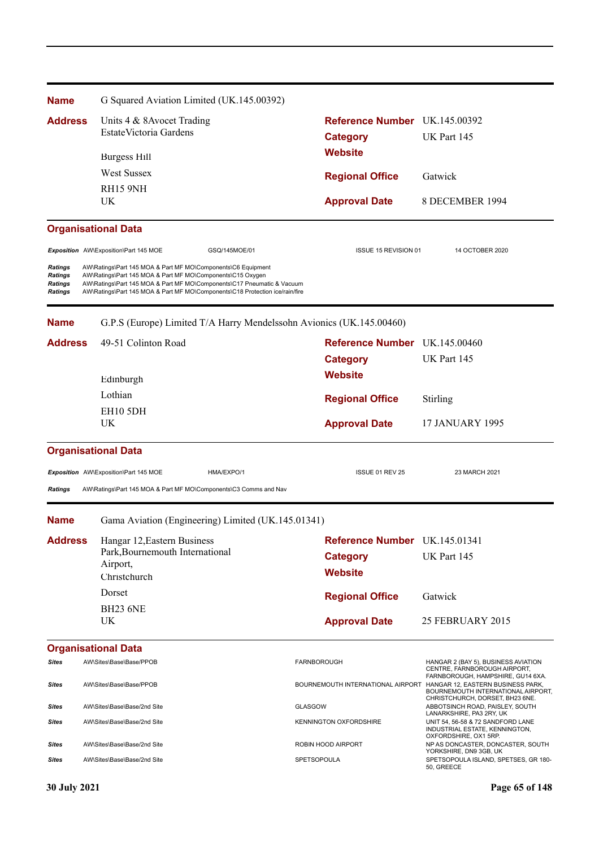| <b>Address</b> | Units 4 & 8 Avocet Trading<br>Estate Victoria Gardens | <b>Reference Number</b> UK.145.00392<br>Category                 | <b>UK Part 145</b>         |
|----------------|-------------------------------------------------------|------------------------------------------------------------------|----------------------------|
| UK.            | Burgess Hill<br><b>West Sussex</b><br><b>RH15 9NH</b> | <b>Website</b><br><b>Regional Office</b><br><b>Approval Date</b> | Gatwick<br>8 DECEMBER 1994 |

**ISSUE 15 REVISION 01** 14 OCTOBER 2020

# **Organisational Data**

|                                                                      | Exposition AW\Exposition\Part 145 MOE                                                                                      | GSQ/145MOE/01                                                                                                                                          |
|----------------------------------------------------------------------|----------------------------------------------------------------------------------------------------------------------------|--------------------------------------------------------------------------------------------------------------------------------------------------------|
| <b>Ratings</b><br><b>Ratings</b><br><b>Ratings</b><br><b>Ratings</b> | AW\Ratings\Part 145 MOA & Part MF MO\Components\C6 Equipment<br>AW\Ratings\Part 145 MOA & Part MF MO\Components\C15 Oxygen | AW\Ratings\Part 145 MOA & Part MF MO\Components\C17 Pneumatic & Vacuum<br>AW\Ratings\Part 145 MOA & Part MF MO\Components\C18 Protection ice/rain/fire |

**Name** G.P.S (Europe) Limited T/A Harry Mendelssohn Avionics (UK.145.00460)

| <b>Address</b> | 49-51 Colinton Road                                                                        | Reference Number UK.145.00460<br><b>Category</b>                          | UK Part 145                                                                                                |
|----------------|--------------------------------------------------------------------------------------------|---------------------------------------------------------------------------|------------------------------------------------------------------------------------------------------------|
|                | Edinburgh<br>Lothian                                                                       | <b>Website</b><br><b>Regional Office</b>                                  | Stirling                                                                                                   |
|                | EH10 5DH<br><b>UK</b>                                                                      | <b>Approval Date</b>                                                      | <b>17 JANUARY 1995</b>                                                                                     |
|                | <b>Organisational Data</b>                                                                 |                                                                           |                                                                                                            |
|                | Exposition AW\Exposition\Part 145 MOE<br>HMA/EXPO/1                                        | ISSUE 01 REV 25                                                           | 23 MARCH 2021                                                                                              |
| <b>Ratings</b> | AW\Ratings\Part 145 MOA & Part MF MO\Components\C3 Comms and Nav                           |                                                                           |                                                                                                            |
| <b>Name</b>    | Gama Aviation (Engineering) Limited (UK.145.01341)                                         |                                                                           |                                                                                                            |
| <b>Address</b> | Hangar 12, Eastern Business<br>Park, Bournemouth International<br>Airport,<br>Christchurch | <b>Reference Number</b> UK.145.01341<br><b>Category</b><br><b>Website</b> | UK Part 145                                                                                                |
|                | Dorset<br><b>BH23 6NE</b>                                                                  | <b>Regional Office</b>                                                    | Gatwick                                                                                                    |
|                | UK                                                                                         | <b>Approval Date</b>                                                      | 25 FEBRUARY 2015                                                                                           |
|                | <b>Organisational Data</b>                                                                 |                                                                           |                                                                                                            |
| Sites          | AW\Sites\Base\Base/PPOB                                                                    | <b>FARNBOROUGH</b>                                                        | HANGAR 2 (BAY 5), BUSINESS AVIATION<br>CENTRE, FARNBOROUGH AIRPORT,<br>FARNBOROUGH, HAMPSHIRE, GU14 6XA.   |
| <b>Sites</b>   | AW\Sites\Base\Base/PPOB                                                                    | BOURNEMOUTH INTERNATIONAL AIRPORT                                         | HANGAR 12, EASTERN BUSINESS PARK,<br>BOURNEMOUTH INTERNATIONAL AIRPORT,<br>CHRISTCHURCH, DORSET, BH23 6NE. |
| <b>Sites</b>   | AW\Sites\Base\Base/2nd Site                                                                | <b>GLASGOW</b>                                                            | ABBOTSINCH ROAD, PAISLEY, SOUTH<br>LANARKSHIRE, PA3 2RY, UK                                                |
| Sites          | AW\Sites\Base\Base/2nd Site                                                                | <b>KENNINGTON OXFORDSHIRE</b>                                             | UNIT 54, 56-58 & 72 SANDFORD LANE<br>INDUSTRIAL ESTATE, KENNINGTON,<br>OXFORDSHIRE, OX1 5RP.               |
| <b>Sites</b>   | AW\Sites\Base\Base/2nd Site                                                                | ROBIN HOOD AIRPORT                                                        | NP AS DONCASTER, DONCASTER, SOUTH<br>YORKSHIRE, DN9 3GB, UK                                                |
| <b>Sites</b>   | AW\Sites\Base\Base/2nd Site                                                                | <b>SPETSOPOULA</b>                                                        | SPETSOPOULA ISLAND, SPETSES, GR 180-<br>50, GREECE                                                         |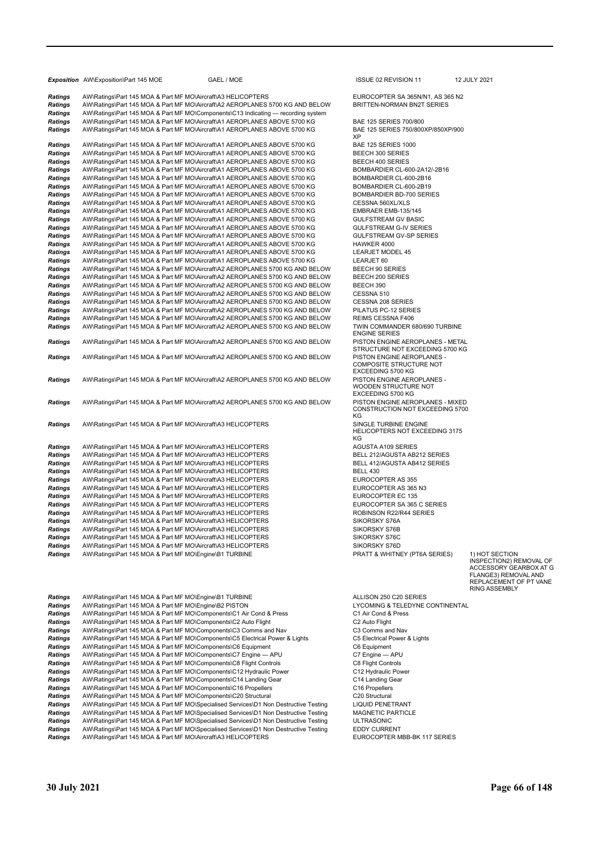|                                  | Exposition AW\Exposition\Part 145 MOE                                                                                                                          | GAEL / MOE | ISSUE 02 REVISION 11                                                         |
|----------------------------------|----------------------------------------------------------------------------------------------------------------------------------------------------------------|------------|------------------------------------------------------------------------------|
| <b>Ratings</b><br><b>Ratings</b> | AW\Ratings\Part 145 MOA & Part MF MO\Aircraft\A3 HELICOPTERS<br>AW\Ratings\Part 145 MOA & Part MF MO\Aircraft\A2 AEROPLANES 5700 KG AND BELOW                  |            | EUROCOPTER SA 365N/N1, AS 3<br>BRITTEN-NORMAN BN2T SERIES                    |
| <b>Ratings</b>                   | AW\Ratings\Part 145 MOA & Part MF MO\Components\C13 Indicating - recording system                                                                              |            |                                                                              |
| Ratings                          | AW\Ratings\Part 145 MOA & Part MF MO\Aircraft\A1 AEROPLANES ABOVE 5700 KG                                                                                      |            | BAE 125 SERIES 700/800                                                       |
| Ratings                          | AW\Ratings\Part 145 MOA & Part MF MO\Aircraft\A1 AEROPLANES ABOVE 5700 KG                                                                                      |            | BAE 125 SERIES 750/800XP/850)<br>ХP                                          |
| <b>Ratings</b>                   | AW\Ratings\Part 145 MOA & Part MF MO\Aircraft\A1 AEROPLANES ABOVE 5700 KG                                                                                      |            | <b>BAE 125 SERIES 1000</b>                                                   |
| <b>Ratings</b>                   | AW\Ratings\Part 145 MOA & Part MF MO\Aircraft\A1 AEROPLANES ABOVE 5700 KG                                                                                      |            | BEECH 300 SERIES                                                             |
| Ratings                          | AW\Ratings\Part 145 MOA & Part MF MO\Aircraft\A1 AEROPLANES ABOVE 5700 KG                                                                                      |            | BEECH 400 SERIES                                                             |
| Ratings                          | AW\Ratings\Part 145 MOA & Part MF MO\Aircraft\A1 AEROPLANES ABOVE 5700 KG                                                                                      |            | BOMBARDIER CL-600-2A12/-2B1                                                  |
| Ratings                          | AW\Ratings\Part 145 MOA & Part MF MO\Aircraft\A1 AEROPLANES ABOVE 5700 KG                                                                                      |            | BOMBARDIER CL-600-2B16                                                       |
| <b>Ratings</b>                   | AW\Ratings\Part 145 MOA & Part MF MO\Aircraft\A1 AEROPLANES ABOVE 5700 KG                                                                                      |            | BOMBARDIER CL-600-2B19                                                       |
| Ratings                          | AW\Ratings\Part 145 MOA & Part MF MO\Aircraft\A1 AEROPLANES ABOVE 5700 KG                                                                                      |            | BOMBARDIER BD-700 SERIES                                                     |
| <b>Ratings</b>                   | AW\Ratings\Part 145 MOA & Part MF MO\Aircraft\A1 AEROPLANES ABOVE 5700 KG                                                                                      |            | CESSNA 560XL/XLS                                                             |
| <b>Ratings</b>                   | AW\Ratings\Part 145 MOA & Part MF MO\Aircraft\A1 AEROPLANES ABOVE 5700 KG                                                                                      |            | EMBRAER EMB-135/145                                                          |
| Ratings                          | AW\Ratings\Part 145 MOA & Part MF MO\Aircraft\A1 AEROPLANES ABOVE 5700 KG                                                                                      |            | <b>GULFSTREAM GV BASIC</b>                                                   |
| <b>Ratings</b>                   | AW\Ratings\Part 145 MOA & Part MF MO\Aircraft\A1 AEROPLANES ABOVE 5700 KG                                                                                      |            | GULFSTREAM G-IV SERIES                                                       |
| Ratings                          | AW\Ratings\Part 145 MOA & Part MF MO\Aircraft\A1 AEROPLANES ABOVE 5700 KG                                                                                      |            | GULFSTREAM GV-SP SERIES                                                      |
| <b>Ratings</b>                   | AW\Ratings\Part 145 MOA & Part MF MO\Aircraft\A1 AEROPLANES ABOVE 5700 KG                                                                                      |            | HAWKER 4000                                                                  |
| Ratings                          | AW\Ratings\Part 145 MOA & Part MF MO\Aircraft\A1 AEROPLANES ABOVE 5700 KG                                                                                      |            | <b>LEARJET MODEL 45</b>                                                      |
| <b>Ratings</b>                   | AW\Ratings\Part 145 MOA & Part MF MO\Aircraft\A1 AEROPLANES ABOVE 5700 KG                                                                                      |            | LEARJET 60                                                                   |
| <b>Ratings</b>                   | AW\Ratings\Part 145 MOA & Part MF MO\Aircraft\A2 AEROPLANES 5700 KG AND BELOW                                                                                  |            | <b>BEECH 90 SERIES</b>                                                       |
| <b>Ratings</b>                   | AW\Ratings\Part 145 MOA & Part MF MO\Aircraft\A2 AEROPLANES 5700 KG AND BELOW                                                                                  |            | BEECH 200 SERIES                                                             |
| <b>Ratings</b>                   | AW\Ratings\Part 145 MOA & Part MF MO\Aircraft\A2 AEROPLANES 5700 KG AND BELOW                                                                                  |            | BEECH 390                                                                    |
| <b>Ratings</b>                   | AW\Ratings\Part 145 MOA & Part MF MO\Aircraft\A2 AEROPLANES 5700 KG AND BELOW                                                                                  |            | CESSNA 510                                                                   |
| <b>Ratings</b>                   | AW\Ratings\Part 145 MOA & Part MF MO\Aircraft\A2 AEROPLANES 5700 KG AND BELOW                                                                                  |            | <b>CESSNA 208 SERIES</b>                                                     |
| <b>Ratings</b>                   | AW\Ratings\Part 145 MOA & Part MF MO\Aircraft\A2 AEROPLANES 5700 KG AND BELOW                                                                                  |            | PILATUS PC-12 SERIES                                                         |
| Ratings<br>Ratings               | AW\Ratings\Part 145 MOA & Part MF MO\Aircraft\A2 AEROPLANES 5700 KG AND BELOW<br>AW\Ratings\Part 145 MOA & Part MF MO\Aircraft\A2 AEROPLANES 5700 KG AND BELOW |            | REIMS CESSNA F406<br>TWIN COMMANDER 680/690 TUF<br><b>ENGINE SERIES</b>      |
| Ratings                          | AW\Ratings\Part 145 MOA & Part MF MO\Aircraft\A2 AEROPLANES 5700 KG AND BELOW                                                                                  |            | PISTON ENGINE AEROPLANES -<br>STRUCTURE NOT EXCEEDING 5                      |
| Ratings                          | AW\Ratings\Part 145 MOA & Part MF MO\Aircraft\A2 AEROPLANES 5700 KG AND BELOW                                                                                  |            | PISTON ENGINE AEROPLANES -<br>COMPOSITE STRUCTURE NOT<br>EXCEEDING 5700 KG   |
| <b>Ratings</b>                   | AW\Ratings\Part 145 MOA & Part MF MO\Aircraft\A2 AEROPLANES 5700 KG AND BELOW                                                                                  |            | PISTON ENGINE AEROPLANES -<br>WOODEN STRUCTURE NOT                           |
| <b>Ratings</b>                   | AW\Ratings\Part 145 MOA & Part MF MO\Aircraft\A2 AEROPLANES 5700 KG AND BELOW                                                                                  |            | EXCEEDING 5700 KG<br>PISTON ENGINE AEROPLANES -<br>CONSTRUCTION NOT EXCEEDIN |
| Ratings                          | AW\Ratings\Part 145 MOA & Part MF MO\Aircraft\A3 HELICOPTERS                                                                                                   |            | ΚG<br>SINGLE TURBINE ENGINE<br>HELICOPTERS NOT EXCEEDING                     |
|                                  |                                                                                                                                                                |            | ΚG                                                                           |
| <b>Ratings</b>                   | AW\Ratings\Part 145 MOA & Part MF MO\Aircraft\A3 HELICOPTERS                                                                                                   |            | <b>AGUSTA A109 SERIES</b>                                                    |
| <b>Ratings</b>                   | AW\Ratings\Part 145 MOA & Part MF MO\Aircraft\A3 HELICOPTERS                                                                                                   |            | BELL 212/AGUSTA AB212 SERIE                                                  |
| <b>Ratings</b><br><b>Ratings</b> | AW\Ratings\Part 145 MOA & Part MF MO\Aircraft\A3 HELICOPTERS<br>AW\Ratings\Part 145 MOA & Part MF MO\Aircraft\A3 HELICOPTERS                                   |            | BELL 412/AGUSTA AB412 SERIE<br><b>BELL 430</b>                               |
| <b>Ratings</b>                   | AW\Ratings\Part 145 MOA & Part MF MO\Aircraft\A3 HELICOPTERS                                                                                                   |            | EUROCOPTER AS 355                                                            |
| <b>Ratings</b>                   | AW\Ratings\Part 145 MOA & Part MF MO\Aircraft\A3 HELICOPTERS                                                                                                   |            | EUROCOPTER AS 365 N3                                                         |
| <b>Ratings</b>                   | AW\Ratings\Part 145 MOA & Part MF MO\Aircraft\A3 HELICOPTERS                                                                                                   |            | EUROCOPTER EC 135                                                            |
| Ratings                          | AW\Ratings\Part 145 MOA & Part MF MO\Aircraft\A3 HELICOPTERS                                                                                                   |            | EUROCOPTER SA 365 C SERIES                                                   |
| Ratings                          | AW\Ratings\Part 145 MOA & Part MF MO\Aircraft\A3 HELICOPTERS                                                                                                   |            | ROBINSON R22/R44 SERIES                                                      |
| <b>Ratings</b>                   | AW\Ratings\Part 145 MOA & Part MF MO\Aircraft\A3 HELICOPTERS                                                                                                   |            | SIKORSKY S76A                                                                |
| Ratings                          | AW\Ratings\Part 145 MOA & Part MF MO\Aircraft\A3 HELICOPTERS                                                                                                   |            | SIKORSKY S76B                                                                |
| <b>Ratings</b>                   | AW\Ratings\Part 145 MOA & Part MF MO\Aircraft\A3 HELICOPTERS                                                                                                   |            | SIKORSKY S76C                                                                |
| Ratings                          | AW\Ratings\Part 145 MOA & Part MF MO\Aircraft\A3 HELICOPTERS                                                                                                   |            | SIKORSKY S76D                                                                |
| Ratings                          | AW\Ratings\Part 145 MOA & Part MF MO\Engine\B1 TURBINE                                                                                                         |            | PRATT & WHITNEY (PT6A SERIE                                                  |
| <b>Ratings</b>                   | AW\Ratings\Part 145 MOA & Part MF MO\Engine\B1 TURBINE                                                                                                         |            | ALLISON 250 C20 SERIES                                                       |
| Ratings                          | AW\Ratings\Part 145 MOA & Part MF MO\Engine\B2 PISTON                                                                                                          |            | LYCOMING & TELEDYNE CONTII                                                   |
| Ratings                          | AW\Ratings\Part 145 MOA & Part MF MO\Components\C1 Air Cond & Press                                                                                            |            | C1 Air Cond & Press                                                          |
| <b>Ratings</b>                   | AW\Ratings\Part 145 MOA & Part MF MO\Components\C2 Auto Flight                                                                                                 |            | C2 Auto Flight                                                               |
| <b>Ratings</b>                   | AW\Ratings\Part 145 MOA & Part MF MO\Components\C3 Comms and Nav                                                                                               |            | C3 Comms and Nav                                                             |
| Ratings                          | AW\Ratings\Part 145 MOA & Part MF MO\Components\C5 Electrical Power & Lights                                                                                   |            | C5 Electrical Power & Lights                                                 |
| Ratings                          | AW\Ratings\Part 145 MOA & Part MF MO\Components\C6 Equipment                                                                                                   |            | C6 Equipment                                                                 |
| <b>Ratings</b>                   | AW\Ratings\Part 145 MOA & Part MF MO\Components\C7 Engine - APU                                                                                                |            | C7 Engine - APU                                                              |
| <b>Ratings</b>                   | AW\Ratings\Part 145 MOA & Part MF MO\Components\C8 Flight Controls                                                                                             |            | C8 Flight Controls                                                           |
| Ratings                          | AW\Ratings\Part 145 MOA & Part MF MO\Components\C12 Hydraulic Power                                                                                            |            | C12 Hydraulic Power                                                          |
| Ratings                          | AW\Ratings\Part 145 MOA & Part MF MO\Components\C14 Landing Gear                                                                                               |            | C14 Landing Gear                                                             |
| Ratings                          | AW\Ratings\Part 145 MOA & Part MF MO\Components\C16 Propellers                                                                                                 |            | C16 Propellers                                                               |
| Ratings                          | AW\Ratings\Part 145 MOA & Part MF MO\Components\C20 Structural                                                                                                 |            | C20 Structural                                                               |
| Ratings                          | AW\Ratings\Part 145 MOA & Part MF MO\Specialised Services\D1 Non Destructive Testing                                                                           |            | <b>LIQUID PENETRANT</b>                                                      |

**ISSUE 02 REVISION 11 12 JULY 2021** 

 $EUROCOPTER SA 365N/N1, AS 365N2$ **BRITTEN-NORMAN BN2T SERIES** 

**BAE 125 SERIES 700/800** *RAE* 125 SERIES 750/800XP/850XP/900 XP

**BAE 125 SERIES 1000** *Ratings* AW\Ratings\Part 145 MOA & Part MF MO\Aircraft\A1 AEROPLANES ABOVE 5700 KG BEECH 300 SERIES **RATIONS SERIES**<br>BEECH 400 SERIES *Ratings* AW\Ratings\Part 145 MOA & Part MF MO\Aircraft\A1 AEROPLANES ABOVE 5700 KG BOMBARDIER CL-600-2A12/-2B16 **BOMBARDIER CL-600-2B16 BOMBARDIER CL-600-2B19 BOMBARDIER BD-700 SERIES** *RESSNA 560XL/XLS* **EMBRAER EMB-135/145** *RULFSTREAM GV BASIC RULFSTREAM G-IV SERIES RATINGSP SERIES RATILES* AND **PART MODEL 45** *RARJET* 60 **BEECH 90 SERIES BEECH 200 SERIES<br>BEECH 390**  $R$ ESSNA 208 SERIES **PILATUS PC-12 SERIES REIMS CESSNA E406 TWIN COMMANDER 680/690 TURBINE** ENGINE SERIES **PISTON ENGINE AEROPLANES - METAL** STRUCTURE NOT EXCEEDING 5700 KG EXCEEDING 5700 KG **RATIONS AND ATTINGS**<br>PISTON ENGINE AEROPLANES -WOODEN STRUCTURE NOT EXCEEDING 5700 KG **RATIONS AND ATTACHTIVES** MIXED PISTON ENGINE AEROPLANES - MIXED CONSTRUCTION NOT EXCEEDING 5700 KG *RATINGLE TURBINE ENGINE* HELICOPTERS NOT EXCEEDING 3175 KG *Ratings* AW\Ratings\Part 145 MOA & Part MF MO\Aircraft\A3 HELICOPTERS AGUSTA A109 SERIES **BELL 212/AGUSTA AB212 SERIES BELL 412/AGUSTA AB412 SERIES<br>BELL 430 EUROCOPTER AS 355** *RUROCOPTER AS 365 N3* **EUROCOPTER EC 135**  $EUROCOPTER SA 365 C SERIES$ **ROBINSON R22/R44 SERIES<br>SIKORSKY S76A** *RIKORSKY S76B RIKORSKY S76C RATINGRSKY S76D* **PRATT & WHITNEY (PT6A SERIES) 1) HOT SECTION** 

INSPECTION2) REMOVAL OF ACCESSORY GEARBOX AT G FLANGE3) REMOVAL AND REPLACEMENT OF PT VANE RING ASSEMBLY

*Ratings* AW\Ratings\Part 145 MOA & Part MF MO\Engine\B1 TURBINE ALLISON 250 C20 SERIES *RATIONS* **RATIONS** *RATELEDYNE CONTINENTAL Ratings* AW\Ratings\Part 145 MOA & Part MF MO\Components\C1 Air Cond & Press C1 Air Cond & Press *Ratings* AW\Ratings\Part 145 MOA & Part MF MO\Components\C2 Auto Flight C2 Auto Flight **C3 Comms and Nav**  $C$ <sub>5</sub> Electrical Power & Lights *Ratings* AW\Ratings\Part 145 MOA & Part MF MO\Components\C6 Equipment C6 Equipment *Ratings* AW\Ratings\Part 145 MOA & Part MF MO\Components\C7 Engine — APU C7 Engine — APU  $R$  Flight Controls **C12 Hydraulic Power C14 Landing Gear**  $C$ 16 Propellers Ratings AW\Ratings\Part 145 MOA & Part MF MO\Specialised Services\D1 Non Destructive Testing MAGNETIC PARTICLE **Ratings** AW\Ratings\Part 145 MOA & Part MF MO\Specialised Services\D1 Non Destructive Testing ULTRASONIC<br>**Ratings** AW\Ratings\Part 145 MOA & Part MF MO\Specialised Services\D1 Non Destructive Testing ULTRASONIC **Ratings** AW\Ratings\Part 145 MOA & Part MF MO\Specialised Services\D1 Non Destructive Testing EDDY CURRENT<br> **Ratings** AW\Ratings\Part 145 MOA & Part MF MO\Aircraft\A3 HELICOPTERS ELIRENT EUROCOPTER MBB-BK 117 SERIES

**Ratings** AW\Ratings\Part 145 MOA & Part MF MO\Aircraft\A3 HELICOPTERS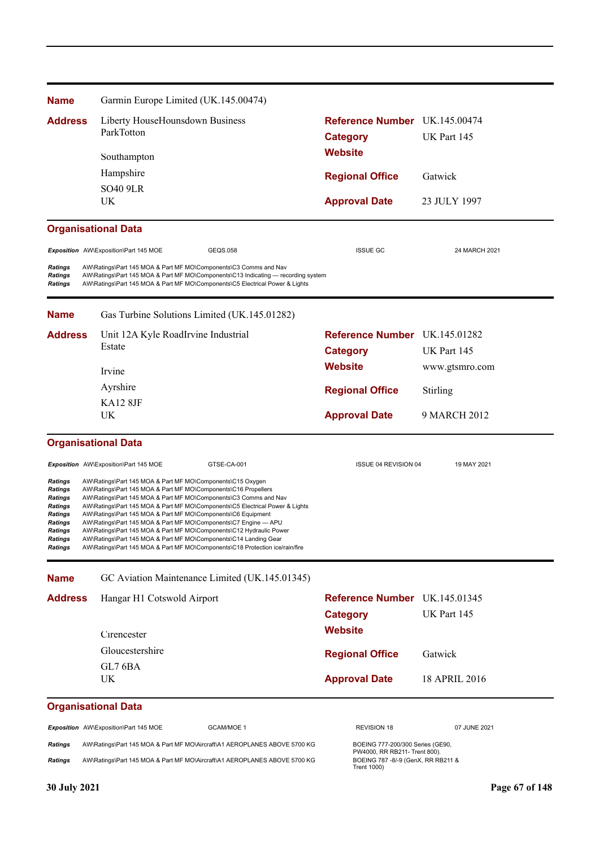| <b>Name</b>                                                                                                          |  | Garmin Europe Limited (UK.145.00474)                                                                                                                                                                                                                                                                                                                                                                                                                                                                                                                                                                                                           |                                                                                            |                |
|----------------------------------------------------------------------------------------------------------------------|--|------------------------------------------------------------------------------------------------------------------------------------------------------------------------------------------------------------------------------------------------------------------------------------------------------------------------------------------------------------------------------------------------------------------------------------------------------------------------------------------------------------------------------------------------------------------------------------------------------------------------------------------------|--------------------------------------------------------------------------------------------|----------------|
| <b>Address</b>                                                                                                       |  | Liberty HouseHounsdown Business<br>ParkTotton                                                                                                                                                                                                                                                                                                                                                                                                                                                                                                                                                                                                  | Reference Number UK.145.00474<br><b>Category</b><br><b>Website</b>                         | UK Part 145    |
|                                                                                                                      |  | Southampton                                                                                                                                                                                                                                                                                                                                                                                                                                                                                                                                                                                                                                    |                                                                                            |                |
|                                                                                                                      |  | Hampshire                                                                                                                                                                                                                                                                                                                                                                                                                                                                                                                                                                                                                                      | <b>Regional Office</b>                                                                     | Gatwick        |
|                                                                                                                      |  | <b>SO40 9LR</b><br>UK                                                                                                                                                                                                                                                                                                                                                                                                                                                                                                                                                                                                                          | <b>Approval Date</b>                                                                       | 23 JULY 1997   |
|                                                                                                                      |  | <b>Organisational Data</b>                                                                                                                                                                                                                                                                                                                                                                                                                                                                                                                                                                                                                     |                                                                                            |                |
|                                                                                                                      |  | Exposition AW\Exposition\Part 145 MOE<br>GEQS.058                                                                                                                                                                                                                                                                                                                                                                                                                                                                                                                                                                                              | <b>ISSUE GC</b>                                                                            | 24 MARCH 2021  |
| Ratings<br>Ratings<br><b>Ratings</b>                                                                                 |  | AW\Ratings\Part 145 MOA & Part MF MO\Components\C3 Comms and Nav<br>AW\Ratings\Part 145 MOA & Part MF MO\Components\C13 Indicating — recording system<br>AW\Ratings\Part 145 MOA & Part MF MO\Components\C5 Electrical Power & Lights                                                                                                                                                                                                                                                                                                                                                                                                          |                                                                                            |                |
| <b>Name</b>                                                                                                          |  | Gas Turbine Solutions Limited (UK.145.01282)                                                                                                                                                                                                                                                                                                                                                                                                                                                                                                                                                                                                   |                                                                                            |                |
| <b>Address</b>                                                                                                       |  | Unit 12A Kyle RoadIrvine Industrial                                                                                                                                                                                                                                                                                                                                                                                                                                                                                                                                                                                                            | Reference Number UK.145.01282                                                              |                |
|                                                                                                                      |  | Estate                                                                                                                                                                                                                                                                                                                                                                                                                                                                                                                                                                                                                                         | <b>Category</b>                                                                            | UK Part 145    |
|                                                                                                                      |  | Irvine                                                                                                                                                                                                                                                                                                                                                                                                                                                                                                                                                                                                                                         | <b>Website</b>                                                                             | www.gtsmro.com |
|                                                                                                                      |  | Ayrshire                                                                                                                                                                                                                                                                                                                                                                                                                                                                                                                                                                                                                                       | <b>Regional Office</b>                                                                     | Stirling       |
|                                                                                                                      |  | KA12 8JF                                                                                                                                                                                                                                                                                                                                                                                                                                                                                                                                                                                                                                       |                                                                                            |                |
|                                                                                                                      |  | UK                                                                                                                                                                                                                                                                                                                                                                                                                                                                                                                                                                                                                                             | <b>Approval Date</b>                                                                       | 9 MARCH 2012   |
|                                                                                                                      |  | <b>Organisational Data</b>                                                                                                                                                                                                                                                                                                                                                                                                                                                                                                                                                                                                                     |                                                                                            |                |
|                                                                                                                      |  | Exposition AW\Exposition\Part 145 MOE<br>GTSE-CA-001                                                                                                                                                                                                                                                                                                                                                                                                                                                                                                                                                                                           | ISSUE 04 REVISION 04                                                                       | 19 MAY 2021    |
| Ratings<br>Ratings<br><b>Ratings</b><br><b>Ratings</b><br>Ratings<br>Ratings<br>Ratings<br>Ratings<br><b>Ratings</b> |  | AW\Ratings\Part 145 MOA & Part MF MO\Components\C15 Oxygen<br>AW\Ratings\Part 145 MOA & Part MF MO\Components\C16 Propellers<br>AW\Ratings\Part 145 MOA & Part MF MO\Components\C3 Comms and Nav<br>AW\Ratings\Part 145 MOA & Part MF MO\Components\C5 Electrical Power & Lights<br>AW\Ratings\Part 145 MOA & Part MF MO\Components\C6 Equipment<br>AW\Ratings\Part 145 MOA & Part MF MO\Components\C7 Engine - APU<br>AW\Ratings\Part 145 MOA & Part MF MO\Components\C12 Hydraulic Power<br>AW\Ratings\Part 145 MOA & Part MF MO\Components\C14 Landing Gear<br>AW\Ratings\Part 145 MOA & Part MF MO\Components\C18 Protection ice/rain/fire |                                                                                            |                |
| <b>Name</b>                                                                                                          |  | GC Aviation Maintenance Limited (UK.145.01345)                                                                                                                                                                                                                                                                                                                                                                                                                                                                                                                                                                                                 |                                                                                            |                |
| <b>Address</b>                                                                                                       |  | Hangar H1 Cotswold Airport                                                                                                                                                                                                                                                                                                                                                                                                                                                                                                                                                                                                                     | Reference Number UK.145.01345                                                              |                |
|                                                                                                                      |  |                                                                                                                                                                                                                                                                                                                                                                                                                                                                                                                                                                                                                                                | <b>Category</b>                                                                            | UK Part 145    |
|                                                                                                                      |  | Cirencester                                                                                                                                                                                                                                                                                                                                                                                                                                                                                                                                                                                                                                    | <b>Website</b>                                                                             |                |
|                                                                                                                      |  | Gloucestershire                                                                                                                                                                                                                                                                                                                                                                                                                                                                                                                                                                                                                                |                                                                                            |                |
|                                                                                                                      |  | GL7 6BA                                                                                                                                                                                                                                                                                                                                                                                                                                                                                                                                                                                                                                        | <b>Regional Office</b>                                                                     | Gatwick        |
|                                                                                                                      |  | <b>UK</b>                                                                                                                                                                                                                                                                                                                                                                                                                                                                                                                                                                                                                                      | <b>Approval Date</b>                                                                       | 18 APRIL 2016  |
|                                                                                                                      |  | <b>Organisational Data</b>                                                                                                                                                                                                                                                                                                                                                                                                                                                                                                                                                                                                                     |                                                                                            |                |
|                                                                                                                      |  | Exposition AW\Exposition\Part 145 MOE<br>GCAM/MOE 1                                                                                                                                                                                                                                                                                                                                                                                                                                                                                                                                                                                            | REVISION 18                                                                                | 07 JUNE 2021   |
| Ratings                                                                                                              |  | AW\Ratings\Part 145 MOA & Part MF MO\Aircraft\A1 AEROPLANES ABOVE 5700 KG                                                                                                                                                                                                                                                                                                                                                                                                                                                                                                                                                                      | BOEING 777-200/300 Series (GE90,                                                           |                |
| Ratings                                                                                                              |  | AW\Ratings\Part 145 MOA & Part MF MO\Aircraft\A1 AEROPLANES ABOVE 5700 KG                                                                                                                                                                                                                                                                                                                                                                                                                                                                                                                                                                      | PW4000, RR RB211- Trent 800).<br>BOEING 787 - 8/-9 (GenX, RR RB211 &<br><b>Trent 1000)</b> |                |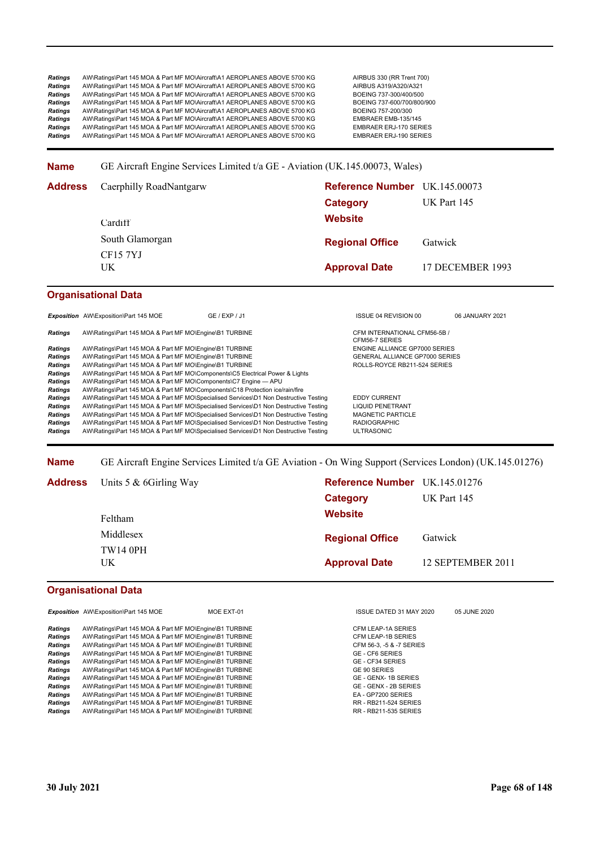Ratings AW\Ratings\Part 145 MOA & Part MF MO\Aircraft\A1 AEROPLANES ABOVE 5700 KG AIRBUS 330 (RR Trent 700)<br>19 Ratings AW\Ratings\Part 145 MOA & Part MF MO\Aircraft\A1 AEROPLANES ABOVE 5700 KG AIRBUS A319/A320/A321 Proved at the Statings\Part 145 MOA & Part MF MO\Aircraft\A1 AEROPLANES ABOVE 5700 KG AIRBUS A319/A320/A321<br>Proved at AW\Ratings\Part 145 MOA & Part MF MO\Aircraft\A1 AEROPLANES ABOVE 5700 KG BOEING 737-300/400/500 Proved at the Satings\Part 145 MOA & Part MF MO\Aircraft\A1 AEROPLANES ABOVE 5700 KG BOEING 737-300/400/500<br>Proved at AM\Ratings\Part 145 MOA & Part MF MO\Aircraft\A1 AEROPLANES ABOVE 5700 KG BOEING 737-600/700/800/900 AW\Ratings\Part 145 MOA & Part MF MO\Aircraft\A1 AEROPLANES ABOVE 5700 KG BOEING 737-600/700/<br>AW\Ratings\Part 145 MOA & Part MF MO\Aircraft\A1 AEROPLANES ABOVE 5700 KG BOEING 757-200/300 Ratings AW\Ratings\Part 145 MOA & Part MF MO\Aircraft\A1 AEROPLANES ABOVE 5700 KG BOEING 757-200/300<br>Ratings AW\Ratings\Part 145 MOA & Part MF MO\Aircraft\A1 AEROPLANES ABOVE 5700 KG EMBRAER EMB-135/145 **Ratings** AW\Ratings\Part 145 MOA & Part MF MO\Aircraft\A1 AEROPLANES ABOVE 5700 KG EMBRAER EMB-135/145<br> **Ratings** AW\Ratings\Part 145 MOA & Part MF MO\Aircraft\A1 AEROPLANES ABOVE 5700 KG EMBRAER EMB-135/145 AW\Ratings\Part 145 MOA & Part MF MO\Aircraft\A1 AEROPLANES ABOVE 5700 KG FRIER ERJ-170 SERIES<br>AW\Ratings\Part 145 MOA & Part MF MO\Aircraft\A1 AEROPLANES ABOVE 5700 KG FRIER ERJ-190 SERIES Ratings AW\Ratings\Part 145 MOA & Part MF MO\Aircraft\A1 AEROPLANES ABOVE 5700 KG

**Name** GE Aircraft Engine Services Limited t/a GE - Aviation (UK.145.00073, Wales)

| <b>Address</b> | Caerphilly RoadNantgarw    | Reference Number UK.145.00073 |                  |
|----------------|----------------------------|-------------------------------|------------------|
|                |                            | Category                      | UK Part 145      |
|                | Cardiff                    | <b>Website</b>                |                  |
|                | South Glamorgan            | <b>Regional Office</b>        | Gatwick          |
|                | CF <sub>15</sub> 7YJ<br>UK | <b>Approval Date</b>          | 17 DECEMBER 1993 |

## **Organisational Data**

|                | <b>Exposition</b> AW\Exposition\Part 145 MOE                                 | GE / EXP / J1                                                                        | ISSUE 04 REVISION 00                           | 06 JANUARY 2021 |
|----------------|------------------------------------------------------------------------------|--------------------------------------------------------------------------------------|------------------------------------------------|-----------------|
| Ratings        | AW\Ratings\Part 145 MOA & Part MF MO\Engine\B1 TURBINE                       |                                                                                      | CFM INTERNATIONAL CFM56-5B /<br>CFM56-7 SERIES |                 |
| <b>Ratings</b> | AW\Ratings\Part 145 MOA & Part MF MO\Engine\B1 TURBINE                       |                                                                                      | <b>ENGINE ALLIANCE GP7000 SERIES</b>           |                 |
| Ratings        | AW\Ratings\Part 145 MOA & Part MF MO\Engine\B1 TURBINE                       |                                                                                      | <b>GENERAL ALLIANCE GP7000 SERIES</b>          |                 |
| Ratings        | AW\Ratings\Part 145 MOA & Part MF MO\Engine\B1 TURBINE                       |                                                                                      | ROLLS-ROYCE RB211-524 SERIES                   |                 |
| Ratings        | AW\Ratings\Part 145 MOA & Part MF MO\Components\C5 Electrical Power & Lights |                                                                                      |                                                |                 |
| Ratings        | AW\Ratings\Part 145 MOA & Part MF MO\Components\C7 Engine - APU              |                                                                                      |                                                |                 |
| Ratings        | AW\Ratings\Part 145 MOA & Part MF MO\Components\C18 Protection ice/rain/fire |                                                                                      |                                                |                 |
| Ratings        |                                                                              | AW\Ratings\Part 145 MOA & Part MF MO\Specialised Services\D1 Non Destructive Testing | <b>EDDY CURRENT</b>                            |                 |
| Ratings        |                                                                              | AW\Ratings\Part 145 MOA & Part MF MO\Specialised Services\D1 Non Destructive Testing | <b>LIQUID PENETRANT</b>                        |                 |
| Ratings        |                                                                              | AW\Ratings\Part 145 MOA & Part MF MO\Specialised Services\D1 Non Destructive Testing | <b>MAGNETIC PARTICLE</b>                       |                 |
| Ratings        |                                                                              | AW\Ratings\Part 145 MOA & Part MF MO\Specialised Services\D1 Non Destructive Testing | <b>RADIOGRAPHIC</b>                            |                 |
| Ratings        |                                                                              | AW\Ratings\Part 145 MOA & Part MF MO\Specialised Services\D1 Non Destructive Testing | <b>ULTRASONIC</b>                              |                 |
|                |                                                                              |                                                                                      |                                                |                 |

**Name** GE Aircraft Engine Services Limited t/a GE Aviation - On Wing Support (Services London) (UK.145.01276)

| <b>Address</b> | Units 5 & 6Girling Way | Reference Number UK.145.01276 |                   |
|----------------|------------------------|-------------------------------|-------------------|
|                |                        | Category                      | UK Part 145       |
|                | Feltham                | <b>Website</b>                |                   |
|                | Middlesex              | <b>Regional Office</b>        | Gatwick           |
|                | <b>TW14 0PH</b>        |                               |                   |
|                | UK                     | <b>Approval Date</b>          | 12 SEPTEMBER 2011 |

## **Organisational Data**

|                                                        | MOE EXT-01                                                                                             |
|--------------------------------------------------------|--------------------------------------------------------------------------------------------------------|
|                                                        |                                                                                                        |
|                                                        |                                                                                                        |
| AW\Ratings\Part 145 MOA & Part MF MO\Engine\B1 TURBINE |                                                                                                        |
| AW\Ratings\Part 145 MOA & Part MF MO\Engine\B1 TURBINE |                                                                                                        |
| AW\Ratings\Part 145 MOA & Part MF MO\Engine\B1 TURBINE |                                                                                                        |
| AW\Ratings\Part 145 MOA & Part MF MO\Engine\B1 TURBINE |                                                                                                        |
| AW\Ratings\Part 145 MOA & Part MF MO\Engine\B1 TURBINE |                                                                                                        |
| AW\Ratings\Part 145 MOA & Part MF MO\Engine\B1 TURBINE |                                                                                                        |
| AW\Ratings\Part 145 MOA & Part MF MO\Engine\B1 TURBINE |                                                                                                        |
| AW\Ratings\Part 145 MOA & Part MF MO\Engine\B1 TURBINE |                                                                                                        |
| AW\Ratings\Part 145 MOA & Part MF MO\Engine\B1 TURBINE |                                                                                                        |
| AW\Ratings\Part 145 MOA & Part MF MO\Engine\B1 TURBINE |                                                                                                        |
|                                                        | <b>Exposition</b> AW\Exposition\Part 145 MOE<br>AW\Ratings\Part 145 MOA & Part MF MO\Engine\B1 TURBINE |

**ISSUE DATED 31 MAY 2020 05 JUNE 2020** 

*Ratings* AW\Ratings\Part 145 MOA & Part MF MO\Engine\B1 TURBINE CFM LEAP-1A SERIES *Ratings* AW\Ratings\Part 145 MOA & Part MF MO\Engine\B1 TURBINE CFM LEAP-1B SERIES *Ratings* AW\Ratings\Part 145 MOA & Part MF MO\Engine\B1 TURBINE CFM 56-3, -5 & -7 SERIES *Ratings* AW\Ratings\Part 145 MOA & Part MF MO\Engine\B1 TURBINE GE - CF6 SERIES  $GE$  - CF34 SERIES *GE 90 SERIES*  $GE$  - GENX- 1B SERIES  $GE$  - GENX - 2B SERIES  $FA$  - GP7200 SERIES *RR* - RB211-524 SERIES **RR - RB211-535 SERIES**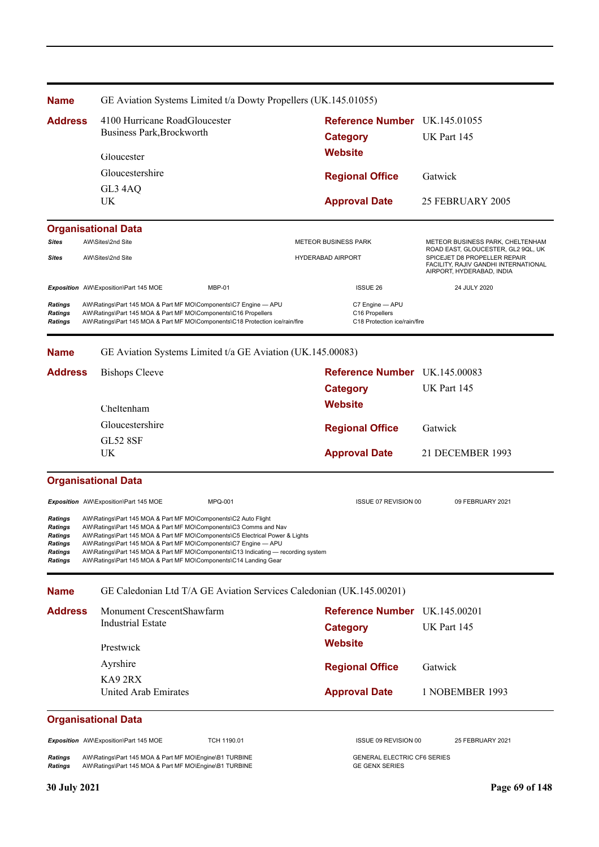| <b>Name</b>                                                                  | GE Aviation Systems Limited t/a Dowty Propellers (UK.145.01055)                                                                                                                                                                                                                                                                                                                                                                                |                                                                   |                                                                                                   |
|------------------------------------------------------------------------------|------------------------------------------------------------------------------------------------------------------------------------------------------------------------------------------------------------------------------------------------------------------------------------------------------------------------------------------------------------------------------------------------------------------------------------------------|-------------------------------------------------------------------|---------------------------------------------------------------------------------------------------|
| <b>Address</b>                                                               | 4100 Hurricane RoadGloucester<br>Business Park, Brockworth                                                                                                                                                                                                                                                                                                                                                                                     | Reference Number UK.145.01055<br><b>Category</b>                  | UK Part 145                                                                                       |
|                                                                              | Gloucester                                                                                                                                                                                                                                                                                                                                                                                                                                     | <b>Website</b>                                                    |                                                                                                   |
|                                                                              | Gloucestershire                                                                                                                                                                                                                                                                                                                                                                                                                                | <b>Regional Office</b>                                            | Gatwick                                                                                           |
|                                                                              | GL3 4AQ                                                                                                                                                                                                                                                                                                                                                                                                                                        |                                                                   |                                                                                                   |
|                                                                              | UK                                                                                                                                                                                                                                                                                                                                                                                                                                             | <b>Approval Date</b>                                              | 25 FEBRUARY 2005                                                                                  |
|                                                                              | <b>Organisational Data</b>                                                                                                                                                                                                                                                                                                                                                                                                                     |                                                                   |                                                                                                   |
| Sites                                                                        | AW\Sites\2nd Site                                                                                                                                                                                                                                                                                                                                                                                                                              | <b>METEOR BUSINESS PARK</b>                                       | METEOR BUSINESS PARK, CHELTENHAM<br>ROAD EAST, GLOUCESTER, GL2 9QL, UK                            |
| <b>Sites</b>                                                                 | AW\Sites\2nd Site                                                                                                                                                                                                                                                                                                                                                                                                                              | <b>HYDERABAD AIRPORT</b>                                          | SPICEJET D8 PROPELLER REPAIR<br>FACILITY, RAJIV GANDHI INTERNATIONAL<br>AIRPORT, HYDERABAD, INDIA |
|                                                                              | Exposition AW\Exposition\Part 145 MOE<br>MBP-01                                                                                                                                                                                                                                                                                                                                                                                                | <b>ISSUE 26</b>                                                   | 24 JULY 2020                                                                                      |
| Ratings<br>Ratings<br><b>Ratings</b>                                         | AW\Ratings\Part 145 MOA & Part MF MO\Components\C7 Engine - APU<br>AW\Ratings\Part 145 MOA & Part MF MO\Components\C16 Propellers<br>AW\Ratings\Part 145 MOA & Part MF MO\Components\C18 Protection ice/rain/fire                                                                                                                                                                                                                              | C7 Engine - APU<br>C16 Propellers<br>C18 Protection ice/rain/fire |                                                                                                   |
| <b>Name</b>                                                                  | GE Aviation Systems Limited t/a GE Aviation (UK.145.00083)                                                                                                                                                                                                                                                                                                                                                                                     |                                                                   |                                                                                                   |
| <b>Address</b>                                                               | <b>Bishops Cleeve</b>                                                                                                                                                                                                                                                                                                                                                                                                                          | Reference Number UK.145.00083                                     |                                                                                                   |
|                                                                              |                                                                                                                                                                                                                                                                                                                                                                                                                                                | <b>Category</b>                                                   | UK Part 145                                                                                       |
|                                                                              | Cheltenham                                                                                                                                                                                                                                                                                                                                                                                                                                     | <b>Website</b>                                                    |                                                                                                   |
|                                                                              | Gloucestershire                                                                                                                                                                                                                                                                                                                                                                                                                                |                                                                   |                                                                                                   |
|                                                                              | <b>GL52 8SF</b>                                                                                                                                                                                                                                                                                                                                                                                                                                | <b>Regional Office</b>                                            | Gatwick                                                                                           |
|                                                                              | UK                                                                                                                                                                                                                                                                                                                                                                                                                                             | <b>Approval Date</b>                                              | 21 DECEMBER 1993                                                                                  |
|                                                                              | <b>Organisational Data</b>                                                                                                                                                                                                                                                                                                                                                                                                                     |                                                                   |                                                                                                   |
|                                                                              | Exposition AW\Exposition\Part 145 MOE<br><b>MPQ-001</b>                                                                                                                                                                                                                                                                                                                                                                                        | ISSUE 07 REVISION 00                                              | 09 FEBRUARY 2021                                                                                  |
| Ratings<br>Ratings<br>Ratings<br><b>Ratings</b><br><b>Ratings</b><br>Ratings | AW\Ratings\Part 145 MOA & Part MF MO\Components\C2 Auto Flight<br>AW\Ratings\Part 145 MOA & Part MF MO\Components\C3 Comms and Nav<br>AW\Ratings\Part 145 MOA & Part MF MO\Components\C5 Electrical Power & Lights<br>AW\Ratings\Part 145 MOA & Part MF MO\Components\C7 Engine - APU<br>AW\Ratings\Part 145 MOA & Part MF MO\Components\C13 Indicating — recording system<br>AW\Ratings\Part 145 MOA & Part MF MO\Components\C14 Landing Gear |                                                                   |                                                                                                   |
| <b>Name</b>                                                                  | GE Caledonian Ltd T/A GE Aviation Services Caledonian (UK.145.00201)                                                                                                                                                                                                                                                                                                                                                                           |                                                                   |                                                                                                   |
| <b>Address</b>                                                               | Monument CrescentShawfarm                                                                                                                                                                                                                                                                                                                                                                                                                      | Reference Number UK.145.00201                                     |                                                                                                   |
|                                                                              | <b>Industrial Estate</b>                                                                                                                                                                                                                                                                                                                                                                                                                       | <b>Category</b>                                                   | UK Part 145                                                                                       |
|                                                                              | Prestwick                                                                                                                                                                                                                                                                                                                                                                                                                                      | <b>Website</b>                                                    |                                                                                                   |
|                                                                              | Ayrshire                                                                                                                                                                                                                                                                                                                                                                                                                                       |                                                                   |                                                                                                   |
|                                                                              | KA92RX                                                                                                                                                                                                                                                                                                                                                                                                                                         | <b>Regional Office</b>                                            | Gatwick                                                                                           |
|                                                                              | United Arab Emirates                                                                                                                                                                                                                                                                                                                                                                                                                           | <b>Approval Date</b>                                              | 1 NOBEMBER 1993                                                                                   |
|                                                                              | <b>Organisational Data</b>                                                                                                                                                                                                                                                                                                                                                                                                                     |                                                                   |                                                                                                   |
|                                                                              | Exposition AW\Exposition\Part 145 MOE<br>TCH 1190.01                                                                                                                                                                                                                                                                                                                                                                                           | ISSUE 09 REVISION 00                                              | 25 FEBRUARY 2021                                                                                  |
| <b>Ratings</b><br><b>Ratings</b>                                             | AW\Ratings\Part 145 MOA & Part MF MO\Engine\B1 TURBINE<br>AW\Ratings\Part 145 MOA & Part MF MO\Engine\B1 TURBINE                                                                                                                                                                                                                                                                                                                               | <b>GENERAL ELECTRIC CF6 SERIES</b><br><b>GE GENX SERIES</b>       |                                                                                                   |
| 30 July 2021                                                                 |                                                                                                                                                                                                                                                                                                                                                                                                                                                |                                                                   | Page 69 of 148                                                                                    |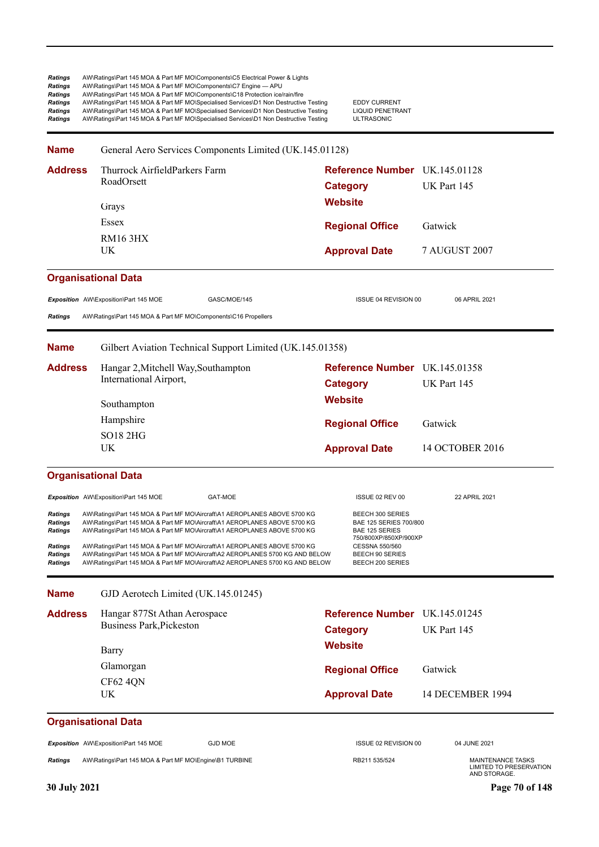| Ratings<br>Ratings<br><b>Ratings</b><br><b>Ratings</b><br>Ratings<br>Ratings | AW\Ratings\Part 145 MOA & Part MF MO\Components\C5 Electrical Power & Lights<br>AW\Ratings\Part 145 MOA & Part MF MO\Components\C7 Engine - APU<br>AW\Ratings\Part 145 MOA & Part MF MO\Components\C18 Protection ice/rain/fire<br>AW\Ratings\Part 145 MOA & Part MF MO\Specialised Services\D1 Non Destructive Testing<br>AW\Ratings\Part 145 MOA & Part MF MO\Specialised Services\D1 Non Destructive Testing<br>AW\Ratings\Part 145 MOA & Part MF MO\Specialised Services\D1 Non Destructive Testing | <b>EDDY CURRENT</b><br><b>LIQUID PENETRANT</b><br><b>ULTRASONIC</b>            |                                                                            |
|------------------------------------------------------------------------------|---------------------------------------------------------------------------------------------------------------------------------------------------------------------------------------------------------------------------------------------------------------------------------------------------------------------------------------------------------------------------------------------------------------------------------------------------------------------------------------------------------|--------------------------------------------------------------------------------|----------------------------------------------------------------------------|
| <b>Name</b>                                                                  | General Aero Services Components Limited (UK.145.01128)                                                                                                                                                                                                                                                                                                                                                                                                                                                 |                                                                                |                                                                            |
| <b>Address</b>                                                               | Thurrock AirfieldParkers Farm<br>RoadOrsett                                                                                                                                                                                                                                                                                                                                                                                                                                                             | Reference Number UK.145.01128<br><b>Category</b>                               | UK Part 145                                                                |
|                                                                              | Grays                                                                                                                                                                                                                                                                                                                                                                                                                                                                                                   | <b>Website</b>                                                                 |                                                                            |
|                                                                              | Essex                                                                                                                                                                                                                                                                                                                                                                                                                                                                                                   | <b>Regional Office</b>                                                         | Gatwick                                                                    |
|                                                                              | <b>RM16 3HX</b><br><b>UK</b>                                                                                                                                                                                                                                                                                                                                                                                                                                                                            | <b>Approval Date</b>                                                           | <b>7 AUGUST 2007</b>                                                       |
|                                                                              | <b>Organisational Data</b>                                                                                                                                                                                                                                                                                                                                                                                                                                                                              |                                                                                |                                                                            |
|                                                                              | Exposition AW\Exposition\Part 145 MOE<br>GASC/MOE/145                                                                                                                                                                                                                                                                                                                                                                                                                                                   | <b>ISSUE 04 REVISION 00</b>                                                    | 06 APRIL 2021                                                              |
| <b>Ratings</b>                                                               | AW\Ratings\Part 145 MOA & Part MF MO\Components\C16 Propellers                                                                                                                                                                                                                                                                                                                                                                                                                                          |                                                                                |                                                                            |
| <b>Name</b>                                                                  | Gilbert Aviation Technical Support Limited (UK.145.01358)                                                                                                                                                                                                                                                                                                                                                                                                                                               |                                                                                |                                                                            |
| <b>Address</b>                                                               | Hangar 2, Mitchell Way, Southampton                                                                                                                                                                                                                                                                                                                                                                                                                                                                     | Reference Number UK.145.01358                                                  |                                                                            |
|                                                                              | International Airport,                                                                                                                                                                                                                                                                                                                                                                                                                                                                                  | <b>Category</b>                                                                | UK Part 145                                                                |
|                                                                              | Southampton                                                                                                                                                                                                                                                                                                                                                                                                                                                                                             | <b>Website</b>                                                                 |                                                                            |
|                                                                              | Hampshire                                                                                                                                                                                                                                                                                                                                                                                                                                                                                               | <b>Regional Office</b>                                                         | Gatwick                                                                    |
|                                                                              | <b>SO18 2HG</b>                                                                                                                                                                                                                                                                                                                                                                                                                                                                                         |                                                                                |                                                                            |
|                                                                              | UK                                                                                                                                                                                                                                                                                                                                                                                                                                                                                                      | <b>Approval Date</b>                                                           | 14 OCTOBER 2016                                                            |
|                                                                              | <b>Organisational Data</b>                                                                                                                                                                                                                                                                                                                                                                                                                                                                              |                                                                                |                                                                            |
|                                                                              | Exposition AW\Exposition\Part 145 MOE<br>GAT-MOE                                                                                                                                                                                                                                                                                                                                                                                                                                                        | ISSUE 02 REV 00                                                                | 22 APRIL 2021                                                              |
| Ratings<br>Ratings<br><b>Ratings</b>                                         | AW\Ratings\Part 145 MOA & Part MF MO\Aircraft\A1 AEROPLANES ABOVE 5700 KG<br>AW\Ratings\Part 145 MOA & Part MF MO\Aircraft\A1 AEROPLANES ABOVE 5700 KG<br>AW\Ratings\Part 145 MOA & Part MF MO\Aircraft\A1 AEROPLANES ABOVE 5700 KG                                                                                                                                                                                                                                                                     | BEECH 300 SERIES<br>BAE 125 SERIES 700/800<br><b>BAE 125 SERIES</b>            |                                                                            |
| Ratings<br>Ratings<br>Ratings                                                | AW\Ratings\Part 145 MOA & Part MF MO\Aircraft\A1 AEROPLANES ABOVE 5700 KG<br>AW\Ratings\Part 145 MOA & Part MF MO\Aircraft\A2 AEROPLANES 5700 KG AND BELOW<br>AW\Ratings\Part 145 MOA & Part MF MO\Aircraft\A2 AEROPLANES 5700 KG AND BELOW                                                                                                                                                                                                                                                             | 750/800XP/850XP/900XP<br>CESSNA 550/560<br>BEECH 90 SERIES<br>BEECH 200 SERIES |                                                                            |
| <b>Name</b>                                                                  | GJD Aerotech Limited (UK.145.01245)                                                                                                                                                                                                                                                                                                                                                                                                                                                                     |                                                                                |                                                                            |
| <b>Address</b>                                                               | Hangar 877St Athan Aerospace                                                                                                                                                                                                                                                                                                                                                                                                                                                                            | <b>Reference Number</b> UK.145.01245                                           |                                                                            |
|                                                                              | <b>Business Park, Pickeston</b>                                                                                                                                                                                                                                                                                                                                                                                                                                                                         | <b>Category</b>                                                                | UK Part 145                                                                |
|                                                                              | Barry                                                                                                                                                                                                                                                                                                                                                                                                                                                                                                   | <b>Website</b>                                                                 |                                                                            |
|                                                                              | Glamorgan                                                                                                                                                                                                                                                                                                                                                                                                                                                                                               |                                                                                | Gatwick                                                                    |
|                                                                              | CF62 4QN                                                                                                                                                                                                                                                                                                                                                                                                                                                                                                | <b>Regional Office</b>                                                         |                                                                            |
|                                                                              | UK.                                                                                                                                                                                                                                                                                                                                                                                                                                                                                                     | <b>Approval Date</b>                                                           | 14 DECEMBER 1994                                                           |
|                                                                              | <b>Organisational Data</b>                                                                                                                                                                                                                                                                                                                                                                                                                                                                              |                                                                                |                                                                            |
|                                                                              | Exposition AW\Exposition\Part 145 MOE<br><b>GJD MOE</b>                                                                                                                                                                                                                                                                                                                                                                                                                                                 | ISSUE 02 REVISION 00                                                           | 04 JUNE 2021                                                               |
| <b>Ratings</b>                                                               | AW\Ratings\Part 145 MOA & Part MF MO\Engine\B1 TURBINE                                                                                                                                                                                                                                                                                                                                                                                                                                                  | RB211 535/524                                                                  | <b>MAINTENANCE TASKS</b><br><b>LIMITED TO PRESERVATION</b><br>AND STORAGE. |
| 30 July 2021                                                                 |                                                                                                                                                                                                                                                                                                                                                                                                                                                                                                         |                                                                                | Page 70 of 148                                                             |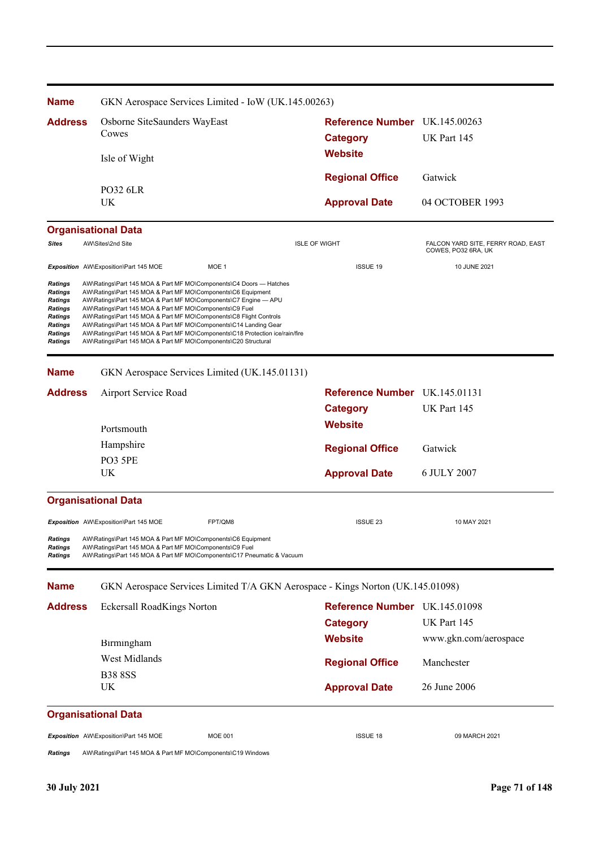| <b>Name</b>                                                                                 | GKN Aerospace Services Limited - IoW (UK.145.00263)                                                                                                                                                                                                                                                                                                                                                                                                                                                                                                          |                               |                                                           |
|---------------------------------------------------------------------------------------------|--------------------------------------------------------------------------------------------------------------------------------------------------------------------------------------------------------------------------------------------------------------------------------------------------------------------------------------------------------------------------------------------------------------------------------------------------------------------------------------------------------------------------------------------------------------|-------------------------------|-----------------------------------------------------------|
| <b>Address</b>                                                                              | Osborne SiteSaunders WayEast                                                                                                                                                                                                                                                                                                                                                                                                                                                                                                                                 | Reference Number UK.145.00263 |                                                           |
|                                                                                             | Cowes                                                                                                                                                                                                                                                                                                                                                                                                                                                                                                                                                        | <b>Category</b>               | UK Part 145                                               |
|                                                                                             | Isle of Wight                                                                                                                                                                                                                                                                                                                                                                                                                                                                                                                                                | <b>Website</b>                |                                                           |
|                                                                                             |                                                                                                                                                                                                                                                                                                                                                                                                                                                                                                                                                              | <b>Regional Office</b>        | Gatwick                                                   |
|                                                                                             | <b>PO32 6LR</b><br>UK                                                                                                                                                                                                                                                                                                                                                                                                                                                                                                                                        | <b>Approval Date</b>          | 04 OCTOBER 1993                                           |
|                                                                                             | <b>Organisational Data</b>                                                                                                                                                                                                                                                                                                                                                                                                                                                                                                                                   |                               |                                                           |
| <b>Sites</b>                                                                                | AW\Sites\2nd Site                                                                                                                                                                                                                                                                                                                                                                                                                                                                                                                                            | <b>ISLE OF WIGHT</b>          | FALCON YARD SITE, FERRY ROAD, EAST<br>COWES, PO32 6RA, UK |
|                                                                                             | Exposition AW\Exposition\Part 145 MOE<br>MOE 1                                                                                                                                                                                                                                                                                                                                                                                                                                                                                                               | <b>ISSUE 19</b>               | 10 JUNE 2021                                              |
| Ratings<br>Ratings<br>Ratings<br>Ratings<br>Ratings<br><b>Ratings</b><br>Ratings<br>Ratings | AW\Ratings\Part 145 MOA & Part MF MO\Components\C4 Doors - Hatches<br>AW\Ratings\Part 145 MOA & Part MF MO\Components\C6 Equipment<br>AW\Ratings\Part 145 MOA & Part MF MO\Components\C7 Engine - APU<br>AW\Ratings\Part 145 MOA & Part MF MO\Components\C9 Fuel<br>AW\Ratings\Part 145 MOA & Part MF MO\Components\C8 Flight Controls<br>AW\Ratings\Part 145 MOA & Part MF MO\Components\C14 Landing Gear<br>AW\Ratings\Part 145 MOA & Part MF MO\Components\C18 Protection ice/rain/fire<br>AW\Ratings\Part 145 MOA & Part MF MO\Components\C20 Structural |                               |                                                           |
| <b>Name</b>                                                                                 | GKN Aerospace Services Limited (UK.145.01131)                                                                                                                                                                                                                                                                                                                                                                                                                                                                                                                |                               |                                                           |
| <b>Address</b>                                                                              | Airport Service Road                                                                                                                                                                                                                                                                                                                                                                                                                                                                                                                                         | Reference Number UK.145.01131 |                                                           |
|                                                                                             |                                                                                                                                                                                                                                                                                                                                                                                                                                                                                                                                                              | <b>Category</b>               | UK Part 145                                               |
|                                                                                             | Portsmouth                                                                                                                                                                                                                                                                                                                                                                                                                                                                                                                                                   | <b>Website</b>                |                                                           |
|                                                                                             | Hampshire                                                                                                                                                                                                                                                                                                                                                                                                                                                                                                                                                    | <b>Regional Office</b>        | Gatwick                                                   |
|                                                                                             | PO3 5PE<br>UK                                                                                                                                                                                                                                                                                                                                                                                                                                                                                                                                                | <b>Approval Date</b>          | 6 JULY 2007                                               |
|                                                                                             | <b>Organisational Data</b>                                                                                                                                                                                                                                                                                                                                                                                                                                                                                                                                   |                               |                                                           |
|                                                                                             | FPT/QM8<br>Exposition AW\Exposition\Part 145 MOE                                                                                                                                                                                                                                                                                                                                                                                                                                                                                                             | <b>ISSUE 23</b>               | 10 MAY 2021                                               |
| <b>Ratings</b><br>Ratings<br>Ratings                                                        | AW\Ratings\Part 145 MOA & Part MF MO\Components\C6 Equipment<br>AW\Ratings\Part 145 MOA & Part MF MO\Components\C9 Fuel<br>AW\Ratings\Part 145 MOA & Part MF MO\Components\C17 Pneumatic & Vacuum                                                                                                                                                                                                                                                                                                                                                            |                               |                                                           |
| <b>Name</b>                                                                                 | GKN Aerospace Services Limited T/A GKN Aerospace - Kings Norton (UK.145.01098)                                                                                                                                                                                                                                                                                                                                                                                                                                                                               |                               |                                                           |
| <b>Address</b>                                                                              | Eckersall RoadKings Norton                                                                                                                                                                                                                                                                                                                                                                                                                                                                                                                                   | Reference Number UK.145.01098 |                                                           |
|                                                                                             |                                                                                                                                                                                                                                                                                                                                                                                                                                                                                                                                                              | <b>Category</b>               | UK Part 145                                               |
|                                                                                             | Birmingham                                                                                                                                                                                                                                                                                                                                                                                                                                                                                                                                                   | <b>Website</b>                | www.gkn.com/aerospace                                     |
|                                                                                             | West Midlands                                                                                                                                                                                                                                                                                                                                                                                                                                                                                                                                                | <b>Regional Office</b>        | Manchester                                                |
|                                                                                             | <b>B38 8SS</b>                                                                                                                                                                                                                                                                                                                                                                                                                                                                                                                                               |                               |                                                           |
|                                                                                             | UK                                                                                                                                                                                                                                                                                                                                                                                                                                                                                                                                                           | <b>Approval Date</b>          | 26 June 2006                                              |
|                                                                                             | <b>Organisational Data</b>                                                                                                                                                                                                                                                                                                                                                                                                                                                                                                                                   |                               |                                                           |
|                                                                                             |                                                                                                                                                                                                                                                                                                                                                                                                                                                                                                                                                              |                               |                                                           |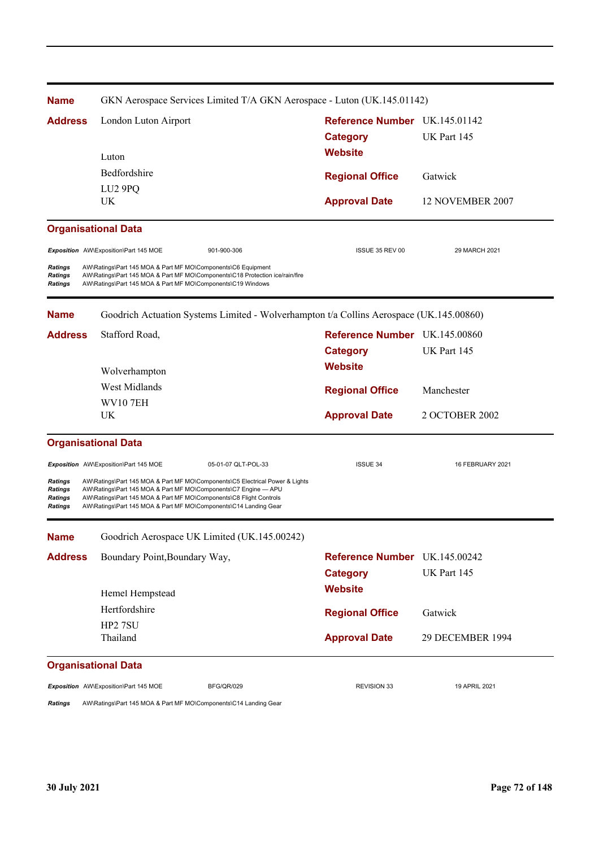| <b>Name</b>                                                          | GKN Aerospace Services Limited T/A GKN Aerospace - Luton (UK.145.01142)                                                                                                                                                                                                                   |                               |                  |
|----------------------------------------------------------------------|-------------------------------------------------------------------------------------------------------------------------------------------------------------------------------------------------------------------------------------------------------------------------------------------|-------------------------------|------------------|
| <b>Address</b>                                                       | London Luton Airport                                                                                                                                                                                                                                                                      | Reference Number UK.145.01142 |                  |
|                                                                      |                                                                                                                                                                                                                                                                                           | <b>Category</b>               | UK Part 145      |
|                                                                      | Luton                                                                                                                                                                                                                                                                                     | <b>Website</b>                |                  |
|                                                                      | Bedfordshire                                                                                                                                                                                                                                                                              | <b>Regional Office</b>        | Gatwick          |
|                                                                      | LU <sub>2</sub> 9PQ                                                                                                                                                                                                                                                                       |                               |                  |
|                                                                      | UK                                                                                                                                                                                                                                                                                        | <b>Approval Date</b>          | 12 NOVEMBER 2007 |
|                                                                      | <b>Organisational Data</b>                                                                                                                                                                                                                                                                |                               |                  |
|                                                                      | Exposition AW\Exposition\Part 145 MOE<br>901-900-306                                                                                                                                                                                                                                      | ISSUE 35 REV 00               | 29 MARCH 2021    |
| <b>Ratings</b><br><b>Ratings</b><br><b>Ratings</b>                   | AW\Ratings\Part 145 MOA & Part MF MO\Components\C6 Equipment<br>AW\Ratings\Part 145 MOA & Part MF MO\Components\C18 Protection ice/rain/fire<br>AW\Ratings\Part 145 MOA & Part MF MO\Components\C19 Windows                                                                               |                               |                  |
| <b>Name</b>                                                          | Goodrich Actuation Systems Limited - Wolverhampton t/a Collins Aerospace (UK.145.00860)                                                                                                                                                                                                   |                               |                  |
| <b>Address</b>                                                       | Stafford Road,                                                                                                                                                                                                                                                                            | Reference Number UK.145.00860 |                  |
|                                                                      |                                                                                                                                                                                                                                                                                           | <b>Category</b>               | UK Part 145      |
|                                                                      | Wolverhampton                                                                                                                                                                                                                                                                             | <b>Website</b>                |                  |
|                                                                      | West Midlands                                                                                                                                                                                                                                                                             | <b>Regional Office</b>        | Manchester       |
|                                                                      | <b>WV107EH</b>                                                                                                                                                                                                                                                                            |                               |                  |
|                                                                      | UK                                                                                                                                                                                                                                                                                        | <b>Approval Date</b>          | 2 OCTOBER 2002   |
|                                                                      | <b>Organisational Data</b>                                                                                                                                                                                                                                                                |                               |                  |
|                                                                      | 05-01-07 QLT-POL-33<br>Exposition AW\Exposition\Part 145 MOE                                                                                                                                                                                                                              | <b>ISSUE 34</b>               | 16 FEBRUARY 2021 |
| <b>Ratings</b><br><b>Ratings</b><br><b>Ratings</b><br><b>Ratings</b> | AW\Ratings\Part 145 MOA & Part MF MO\Components\C5 Electrical Power & Lights<br>AW\Ratings\Part 145 MOA & Part MF MO\Components\C7 Engine - APU<br>AW\Ratings\Part 145 MOA & Part MF MO\Components\C8 Flight Controls<br>AW\Ratings\Part 145 MOA & Part MF MO\Components\C14 Landing Gear |                               |                  |
| <b>Name</b>                                                          | Goodrich Aerospace UK Limited (UK.145.00242)                                                                                                                                                                                                                                              |                               |                  |
| <b>Address</b>                                                       | Boundary Point, Boundary Way,                                                                                                                                                                                                                                                             | Reference Number UK.145.00242 |                  |
|                                                                      |                                                                                                                                                                                                                                                                                           | <b>Category</b>               | UK Part 145      |
|                                                                      | Hemel Hempstead                                                                                                                                                                                                                                                                           | <b>Website</b>                |                  |
|                                                                      | Hertfordshire                                                                                                                                                                                                                                                                             | <b>Regional Office</b>        | Gatwick          |
|                                                                      | HP2 7SU                                                                                                                                                                                                                                                                                   |                               |                  |
|                                                                      | Thailand                                                                                                                                                                                                                                                                                  | <b>Approval Date</b>          | 29 DECEMBER 1994 |
|                                                                      | <b>Organisational Data</b>                                                                                                                                                                                                                                                                |                               |                  |
|                                                                      | Exposition AW\Exposition\Part 145 MOE<br><b>BFG/QR/029</b>                                                                                                                                                                                                                                | <b>REVISION 33</b>            | 19 APRIL 2021    |
|                                                                      |                                                                                                                                                                                                                                                                                           |                               |                  |

*Ratings* AW\Ratings\Part 145 MOA & Part MF MO\Components\C14 Landing Gear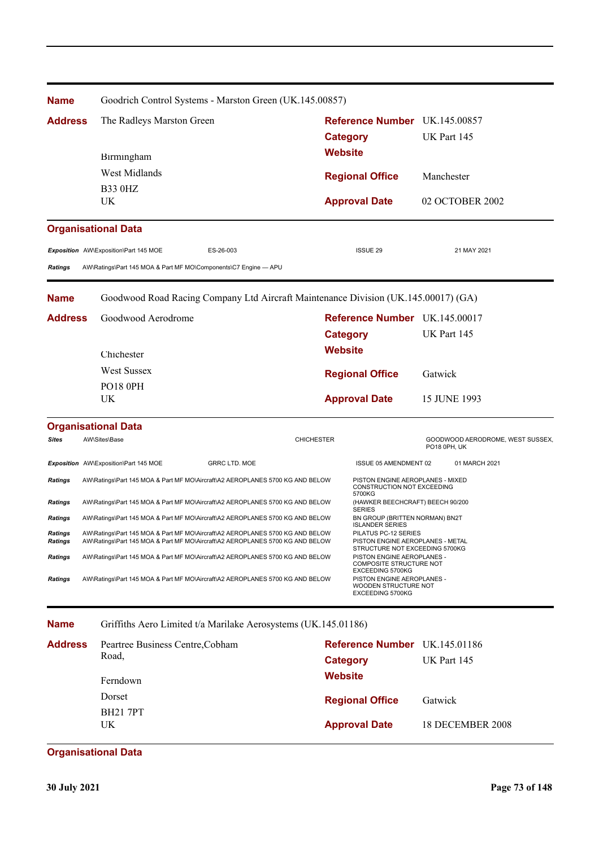| <b>Name</b>               |                                                                               | Goodrich Control Systems - Marston Green (UK.145.00857)                                                                                                        |                   |                                                                                                   |              |                                                  |  |
|---------------------------|-------------------------------------------------------------------------------|----------------------------------------------------------------------------------------------------------------------------------------------------------------|-------------------|---------------------------------------------------------------------------------------------------|--------------|--------------------------------------------------|--|
| <b>Address</b>            |                                                                               | The Radleys Marston Green                                                                                                                                      |                   | Reference Number UK.145.00857                                                                     |              |                                                  |  |
|                           |                                                                               |                                                                                                                                                                |                   | <b>Category</b>                                                                                   |              | UK Part 145                                      |  |
|                           | Birmingham                                                                    |                                                                                                                                                                | <b>Website</b>    |                                                                                                   |              |                                                  |  |
|                           | West Midlands                                                                 |                                                                                                                                                                |                   | <b>Regional Office</b>                                                                            |              | Manchester                                       |  |
|                           | <b>B33 0HZ</b>                                                                |                                                                                                                                                                |                   |                                                                                                   |              |                                                  |  |
|                           | UK                                                                            |                                                                                                                                                                |                   | <b>Approval Date</b>                                                                              |              | 02 OCTOBER 2002                                  |  |
|                           | <b>Organisational Data</b>                                                    |                                                                                                                                                                |                   |                                                                                                   |              |                                                  |  |
|                           | Exposition AW\Exposition\Part 145 MOE                                         | ES-26-003                                                                                                                                                      |                   | <b>ISSUE 29</b>                                                                                   |              | 21 MAY 2021                                      |  |
| <b>Ratings</b>            | AW\Ratings\Part 145 MOA & Part MF MO\Components\C7 Engine - APU               |                                                                                                                                                                |                   |                                                                                                   |              |                                                  |  |
| <b>Name</b>               |                                                                               | Goodwood Road Racing Company Ltd Aircraft Maintenance Division (UK.145.00017) (GA)                                                                             |                   |                                                                                                   |              |                                                  |  |
| <b>Address</b>            |                                                                               | Goodwood Aerodrome                                                                                                                                             |                   | Reference Number UK.145.00017<br><b>Category</b>                                                  |              | UK Part 145                                      |  |
|                           |                                                                               |                                                                                                                                                                |                   |                                                                                                   |              |                                                  |  |
|                           | Chichester                                                                    |                                                                                                                                                                | <b>Website</b>    |                                                                                                   |              |                                                  |  |
|                           | <b>West Sussex</b>                                                            |                                                                                                                                                                |                   | <b>Regional Office</b>                                                                            | Gatwick      |                                                  |  |
|                           | PO18 0PH                                                                      |                                                                                                                                                                |                   |                                                                                                   |              |                                                  |  |
|                           | UK                                                                            |                                                                                                                                                                |                   | <b>Approval Date</b>                                                                              | 15 JUNE 1993 |                                                  |  |
|                           | <b>Organisational Data</b>                                                    |                                                                                                                                                                |                   |                                                                                                   |              |                                                  |  |
| <b>Sites</b>              | AW\Sites\Base                                                                 |                                                                                                                                                                | <b>CHICHESTER</b> |                                                                                                   |              | GOODWOOD AERODROME, WEST SUSSEX,<br>PO18 0PH, UK |  |
|                           | Exposition AW\Exposition\Part 145 MOE                                         | <b>GRRC LTD. MOE</b>                                                                                                                                           |                   | ISSUE 05 AMENDMENT 02                                                                             |              | 01 MARCH 2021                                    |  |
| <b>Ratings</b>            |                                                                               | AW\Ratings\Part 145 MOA & Part MF MO\Aircraft\A2 AEROPLANES 5700 KG AND BELOW                                                                                  |                   | PISTON ENGINE AEROPLANES - MIXED<br>CONSTRUCTION NOT EXCEEDING                                    |              |                                                  |  |
| <b>Ratings</b>            |                                                                               | AW\Ratings\Part 145 MOA & Part MF MO\Aircraft\A2 AEROPLANES 5700 KG AND BELOW                                                                                  |                   | 5700KG<br>(HAWKER BEECHCRAFT) BEECH 90/200<br><b>SERIES</b>                                       |              |                                                  |  |
| <b>Ratings</b>            |                                                                               | AW\Ratings\Part 145 MOA & Part MF MO\Aircraft\A2 AEROPLANES 5700 KG AND BELOW                                                                                  |                   | BN GROUP (BRITTEN NORMAN) BN2T<br>ISLANDER SERIES                                                 |              |                                                  |  |
| Ratings<br><b>Ratings</b> |                                                                               | AW\Ratings\Part 145 MOA & Part MF MO\Aircraft\A2 AEROPLANES 5700 KG AND BELOW<br>AW\Ratings\Part 145 MOA & Part MF MO\Aircraft\A2 AEROPLANES 5700 KG AND BELOW |                   | PILATUS PC-12 SERIES<br>PISTON ENGINE AEROPLANES - METAL<br>STRUCTURE NOT EXCEEDING 5700KG        |              |                                                  |  |
| <b>Ratings</b>            |                                                                               | AW\Ratings\Part 145 MOA & Part MF MO\Aircraft\A2 AEROPLANES 5700 KG AND BELOW                                                                                  |                   | PISTON ENGINE AEROPLANES -<br>COMPOSITE STRUCTURE NOT                                             |              |                                                  |  |
| <b>Ratings</b>            | AW\Ratings\Part 145 MOA & Part MF MO\Aircraft\A2 AEROPLANES 5700 KG AND BELOW |                                                                                                                                                                |                   | <b>EXCEEDING 5700KG</b><br>PISTON ENGINE AEROPLANES -<br>WOODEN STRUCTURE NOT<br>EXCEEDING 5700KG |              |                                                  |  |
| <b>Name</b>               |                                                                               | Griffiths Aero Limited t/a Marilake Aerosystems (UK.145.01186)                                                                                                 |                   |                                                                                                   |              |                                                  |  |
| <b>Address</b>            | Peartree Business Centre, Cobham                                              |                                                                                                                                                                |                   | Reference Number UK.145.01186                                                                     |              |                                                  |  |
|                           | Road,                                                                         |                                                                                                                                                                |                   | <b>Category</b>                                                                                   |              | UK Part 145                                      |  |

| www.com | Teartree Dustriess Centre, Coomani | <b>INVIVIVIVY INGHIBY CIN.</b> 179.01100 |                  |
|---------|------------------------------------|------------------------------------------|------------------|
|         | Road,                              | Category                                 | UK Part 145      |
|         | Ferndown                           | <b>Website</b>                           |                  |
|         | Dorset                             | <b>Regional Office</b>                   | Gatwick          |
|         | <b>BH21 7PT</b><br>UK              | <b>Approval Date</b>                     | 18 DECEMBER 2008 |
|         |                                    |                                          |                  |

# **Organisational Data**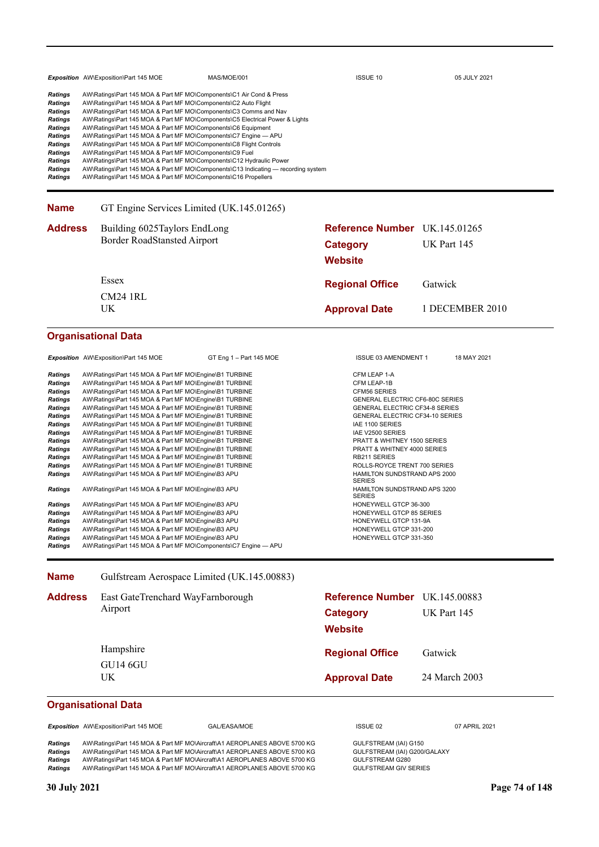|                                                                                                                                                                                                                                                                                                                                                                                                                                                                                                                                                                                                                                                                                                                                                                                                                                                                                                                                                                                                                                                                                                                                                                                                                                                                                                                                                                                                                                                                                                         |  | <b>Exposition</b> AW\Exposition\Part 145 MOE                       | MAS/MOE/001                                                                                                                                                                                                                                                                                                                                                                                                                                                                                                                                                                                                                                                                                                                      | <b>ISSUE 10</b>                   |                                                                                       | 05 JULY 2021                                        |  |
|---------------------------------------------------------------------------------------------------------------------------------------------------------------------------------------------------------------------------------------------------------------------------------------------------------------------------------------------------------------------------------------------------------------------------------------------------------------------------------------------------------------------------------------------------------------------------------------------------------------------------------------------------------------------------------------------------------------------------------------------------------------------------------------------------------------------------------------------------------------------------------------------------------------------------------------------------------------------------------------------------------------------------------------------------------------------------------------------------------------------------------------------------------------------------------------------------------------------------------------------------------------------------------------------------------------------------------------------------------------------------------------------------------------------------------------------------------------------------------------------------------|--|--------------------------------------------------------------------|----------------------------------------------------------------------------------------------------------------------------------------------------------------------------------------------------------------------------------------------------------------------------------------------------------------------------------------------------------------------------------------------------------------------------------------------------------------------------------------------------------------------------------------------------------------------------------------------------------------------------------------------------------------------------------------------------------------------------------|-----------------------------------|---------------------------------------------------------------------------------------|-----------------------------------------------------|--|
| <b>Ratings</b><br><b>Ratings</b><br><b>Ratings</b><br>Ratings<br>Ratings<br>Ratings<br>Ratings<br>Ratings<br>Ratings<br><b>Ratings</b><br><b>Ratings</b>                                                                                                                                                                                                                                                                                                                                                                                                                                                                                                                                                                                                                                                                                                                                                                                                                                                                                                                                                                                                                                                                                                                                                                                                                                                                                                                                                |  | AW\Ratings\Part 145 MOA & Part MF MO\Components\C9 Fuel            | AW\Ratings\Part 145 MOA & Part MF MO\Components\C1 Air Cond & Press<br>AW\Ratings\Part 145 MOA & Part MF MO\Components\C2 Auto Flight<br>AW\Ratings\Part 145 MOA & Part MF MO\Components\C3 Comms and Nav<br>AW\Ratings\Part 145 MOA & Part MF MO\Components\C5 Electrical Power & Lights<br>AW\Ratings\Part 145 MOA & Part MF MO\Components\C6 Equipment<br>AW\Ratings\Part 145 MOA & Part MF MO\Components\C7 Engine - APU<br>AW\Ratings\Part 145 MOA & Part MF MO\Components\C8 Flight Controls<br>AW\Ratings\Part 145 MOA & Part MF MO\Components\C12 Hydraulic Power<br>AW\Ratings\Part 145 MOA & Part MF MO\Components\C13 Indicating — recording system<br>AW\Ratings\Part 145 MOA & Part MF MO\Components\C16 Propellers |                                   |                                                                                       |                                                     |  |
| <b>Name</b>                                                                                                                                                                                                                                                                                                                                                                                                                                                                                                                                                                                                                                                                                                                                                                                                                                                                                                                                                                                                                                                                                                                                                                                                                                                                                                                                                                                                                                                                                             |  |                                                                    | GT Engine Services Limited (UK.145.01265)                                                                                                                                                                                                                                                                                                                                                                                                                                                                                                                                                                                                                                                                                        |                                   |                                                                                       |                                                     |  |
| <b>Address</b>                                                                                                                                                                                                                                                                                                                                                                                                                                                                                                                                                                                                                                                                                                                                                                                                                                                                                                                                                                                                                                                                                                                                                                                                                                                                                                                                                                                                                                                                                          |  | Building 6025Taylors EndLong<br><b>Border RoadStansted Airport</b> |                                                                                                                                                                                                                                                                                                                                                                                                                                                                                                                                                                                                                                                                                                                                  | <b>Category</b><br><b>Website</b> |                                                                                       | <b>Reference Number</b> UK.145.01265<br>UK Part 145 |  |
|                                                                                                                                                                                                                                                                                                                                                                                                                                                                                                                                                                                                                                                                                                                                                                                                                                                                                                                                                                                                                                                                                                                                                                                                                                                                                                                                                                                                                                                                                                         |  | Essex                                                              |                                                                                                                                                                                                                                                                                                                                                                                                                                                                                                                                                                                                                                                                                                                                  | <b>Regional Office</b>            |                                                                                       | Gatwick                                             |  |
|                                                                                                                                                                                                                                                                                                                                                                                                                                                                                                                                                                                                                                                                                                                                                                                                                                                                                                                                                                                                                                                                                                                                                                                                                                                                                                                                                                                                                                                                                                         |  | <b>CM24 1RL</b>                                                    |                                                                                                                                                                                                                                                                                                                                                                                                                                                                                                                                                                                                                                                                                                                                  |                                   |                                                                                       |                                                     |  |
|                                                                                                                                                                                                                                                                                                                                                                                                                                                                                                                                                                                                                                                                                                                                                                                                                                                                                                                                                                                                                                                                                                                                                                                                                                                                                                                                                                                                                                                                                                         |  | UK                                                                 |                                                                                                                                                                                                                                                                                                                                                                                                                                                                                                                                                                                                                                                                                                                                  | <b>Approval Date</b>              |                                                                                       | 1 DECEMBER 2010                                     |  |
|                                                                                                                                                                                                                                                                                                                                                                                                                                                                                                                                                                                                                                                                                                                                                                                                                                                                                                                                                                                                                                                                                                                                                                                                                                                                                                                                                                                                                                                                                                         |  | <b>Organisational Data</b>                                         |                                                                                                                                                                                                                                                                                                                                                                                                                                                                                                                                                                                                                                                                                                                                  |                                   |                                                                                       |                                                     |  |
|                                                                                                                                                                                                                                                                                                                                                                                                                                                                                                                                                                                                                                                                                                                                                                                                                                                                                                                                                                                                                                                                                                                                                                                                                                                                                                                                                                                                                                                                                                         |  |                                                                    | GT Eng 1 - Part 145 MOE                                                                                                                                                                                                                                                                                                                                                                                                                                                                                                                                                                                                                                                                                                          |                                   | ISSUE 03 AMENDMENT 1                                                                  | 18 MAY 2021                                         |  |
| Exposition AW\Exposition\Part 145 MOE<br><b>Ratings</b><br>AW\Ratings\Part 145 MOA & Part MF MO\Engine\B1 TURBINE<br><b>Ratings</b><br>AW\Ratings\Part 145 MOA & Part MF MO\Engine\B1 TURBINE<br><b>Ratings</b><br>AW\Ratings\Part 145 MOA & Part MF MO\Engine\B1 TURBINE<br>AW\Ratings\Part 145 MOA & Part MF MO\Engine\B1 TURBINE<br>Ratings<br>Ratings<br>AW\Ratings\Part 145 MOA & Part MF MO\Engine\B1 TURBINE<br>Ratings<br>AW\Ratings\Part 145 MOA & Part MF MO\Engine\B1 TURBINE<br>AW\Ratings\Part 145 MOA & Part MF MO\Engine\B1 TURBINE<br>Ratings<br>Ratings<br>AW\Ratings\Part 145 MOA & Part MF MO\Engine\B1 TURBINE<br>AW\Ratings\Part 145 MOA & Part MF MO\Engine\B1 TURBINE<br>Ratings<br>Ratings<br>AW\Ratings\Part 145 MOA & Part MF MO\Engine\B1 TURBINE<br>AW\Ratings\Part 145 MOA & Part MF MO\Engine\B1 TURBINE<br>Ratings<br>AW\Ratings\Part 145 MOA & Part MF MO\Engine\B1 TURBINE<br>Ratings<br>Ratings<br>AW\Ratings\Part 145 MOA & Part MF MO\Engine\B3 APU<br>AW\Ratings\Part 145 MOA & Part MF MO\Engine\B3 APU<br>Ratings<br>Ratings<br>AW\Ratings\Part 145 MOA & Part MF MO\Engine\B3 APU<br><b>Ratings</b><br>AW\Ratings\Part 145 MOA & Part MF MO\Engine\B3 APU<br><b>Ratings</b><br>AW\Ratings\Part 145 MOA & Part MF MO\Engine\B3 APU<br>Ratings<br>AW\Ratings\Part 145 MOA & Part MF MO\Engine\B3 APU<br><b>Ratings</b><br>AW\Ratings\Part 145 MOA & Part MF MO\Engine\B3 APU<br><b>Ratings</b><br>AW\Ratings\Part 145 MOA & Part MF MO\Components\C7 Engine - APU |  | <b>SERIES</b><br><b>SERIES</b>                                     | CFM LEAP 1-A<br>CFM LEAP-1B<br><b>CFM56 SERIES</b><br>GENERAL ELECTRIC CF6-80C SERIES<br><b>GENERAL ELECTRIC CF34-8 SERIES</b><br><b>GENERAL ELECTRIC CF34-10 SERIES</b><br>IAE 1100 SERIES<br>IAE V2500 SERIES<br>PRATT & WHITNEY 1500 SERIES<br>PRATT & WHITNEY 4000 SERIES<br>RB211 SERIES<br>ROLLS-ROYCE TRENT 700 SERIES<br>HAMILTON SUNDSTRAND APS 2000<br>HAMILTON SUNDSTRAND APS 3200<br>HONEYWELL GTCP 36-300<br>HONEYWELL GTCP 85 SERIES<br>HONEYWELL GTCP 131-9A<br>HONEYWELL GTCP 331-200<br>HONEYWELL GTCP 331-350                                                                                                                                                                                                  |                                   |                                                                                       |                                                     |  |
| <b>Name</b>                                                                                                                                                                                                                                                                                                                                                                                                                                                                                                                                                                                                                                                                                                                                                                                                                                                                                                                                                                                                                                                                                                                                                                                                                                                                                                                                                                                                                                                                                             |  |                                                                    | Gulfstream Aerospace Limited (UK.145.00883)                                                                                                                                                                                                                                                                                                                                                                                                                                                                                                                                                                                                                                                                                      |                                   |                                                                                       |                                                     |  |
| <b>Address</b>                                                                                                                                                                                                                                                                                                                                                                                                                                                                                                                                                                                                                                                                                                                                                                                                                                                                                                                                                                                                                                                                                                                                                                                                                                                                                                                                                                                                                                                                                          |  | East GateTrenchard WayFarnborough<br>Airport                       |                                                                                                                                                                                                                                                                                                                                                                                                                                                                                                                                                                                                                                                                                                                                  | <b>Category</b><br><b>Website</b> |                                                                                       | Reference Number UK.145.00883<br>UK Part 145        |  |
|                                                                                                                                                                                                                                                                                                                                                                                                                                                                                                                                                                                                                                                                                                                                                                                                                                                                                                                                                                                                                                                                                                                                                                                                                                                                                                                                                                                                                                                                                                         |  | Hampshire                                                          |                                                                                                                                                                                                                                                                                                                                                                                                                                                                                                                                                                                                                                                                                                                                  | <b>Regional Office</b>            |                                                                                       | Gatwick                                             |  |
|                                                                                                                                                                                                                                                                                                                                                                                                                                                                                                                                                                                                                                                                                                                                                                                                                                                                                                                                                                                                                                                                                                                                                                                                                                                                                                                                                                                                                                                                                                         |  | <b>GU14 6GU</b>                                                    |                                                                                                                                                                                                                                                                                                                                                                                                                                                                                                                                                                                                                                                                                                                                  |                                   |                                                                                       |                                                     |  |
|                                                                                                                                                                                                                                                                                                                                                                                                                                                                                                                                                                                                                                                                                                                                                                                                                                                                                                                                                                                                                                                                                                                                                                                                                                                                                                                                                                                                                                                                                                         |  | UK                                                                 |                                                                                                                                                                                                                                                                                                                                                                                                                                                                                                                                                                                                                                                                                                                                  | <b>Approval Date</b>              |                                                                                       | 24 March 2003                                       |  |
|                                                                                                                                                                                                                                                                                                                                                                                                                                                                                                                                                                                                                                                                                                                                                                                                                                                                                                                                                                                                                                                                                                                                                                                                                                                                                                                                                                                                                                                                                                         |  | <b>Organisational Data</b>                                         |                                                                                                                                                                                                                                                                                                                                                                                                                                                                                                                                                                                                                                                                                                                                  |                                   |                                                                                       |                                                     |  |
|                                                                                                                                                                                                                                                                                                                                                                                                                                                                                                                                                                                                                                                                                                                                                                                                                                                                                                                                                                                                                                                                                                                                                                                                                                                                                                                                                                                                                                                                                                         |  | Exposition AW\Exposition\Part 145 MOE                              | GAL/EASA/MOE                                                                                                                                                                                                                                                                                                                                                                                                                                                                                                                                                                                                                                                                                                                     | ISSUE 02                          |                                                                                       | 07 APRIL 2021                                       |  |
| Ratings<br>Ratings<br>Ratings<br>Ratings                                                                                                                                                                                                                                                                                                                                                                                                                                                                                                                                                                                                                                                                                                                                                                                                                                                                                                                                                                                                                                                                                                                                                                                                                                                                                                                                                                                                                                                                |  |                                                                    | AW\Ratings\Part 145 MOA & Part MF MO\Aircraft\A1 AEROPLANES ABOVE 5700 KG<br>AW\Ratings\Part 145 MOA & Part MF MO\Aircraft\A1 AEROPLANES ABOVE 5700 KG<br>AW\Ratings\Part 145 MOA & Part MF MO\Aircraft\A1 AEROPLANES ABOVE 5700 KG<br>AW\Ratings\Part 145 MOA & Part MF MO\Aircraft\A1 AEROPLANES ABOVE 5700 KG                                                                                                                                                                                                                                                                                                                                                                                                                 | GULFSTREAM G280                   | GULFSTREAM (IAI) G150<br>GULFSTREAM (IAI) G200/GALAXY<br><b>GULFSTREAM GIV SERIES</b> |                                                     |  |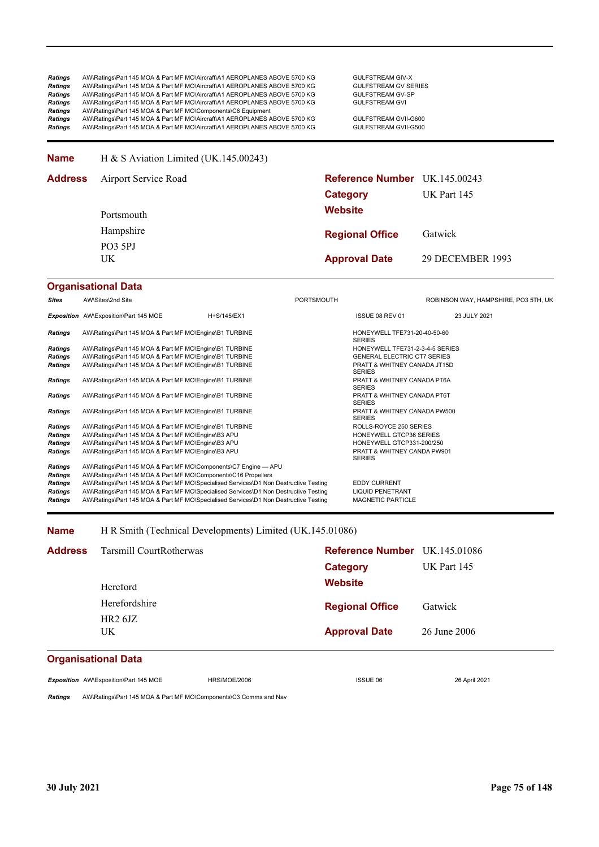### **Name** H & S Aviation Limited (UK.145.00243)

| Airport Service Road |                      |                                                         |  |
|----------------------|----------------------|---------------------------------------------------------|--|
|                      | Category             | UK Part 145                                             |  |
| Portsmouth           | <b>Website</b>       |                                                         |  |
| Hampshire            |                      | Gatwick                                                 |  |
| PO3 5PJ<br>UK        | <b>Approval Date</b> | 29 DECEMBER 1993                                        |  |
|                      |                      | Reference Number UK.145.00243<br><b>Regional Office</b> |  |

### **Organisational Data**

| Sites          | AW\Sites\2nd Site                                                                    |             | <b>PORTSMOUTH</b> |                                               | ROBINSON WAY, HAMPSHIRE, PO3 5TH, UK |
|----------------|--------------------------------------------------------------------------------------|-------------|-------------------|-----------------------------------------------|--------------------------------------|
|                | <b>Exposition</b> AW\Exposition\Part 145 MOE                                         | H+S/145/EX1 |                   | ISSUE 08 REV 01                               | 23 JULY 2021                         |
| <b>Ratings</b> | AW\Ratings\Part 145 MOA & Part MF MO\Engine\B1 TURBINE                               |             |                   | HONEYWELL TFE731-20-40-50-60<br><b>SERIES</b> |                                      |
| <b>Ratings</b> | AW\Ratings\Part 145 MOA & Part MF MO\Engine\B1 TURBINE                               |             |                   | HONEYWELL TFE731-2-3-4-5 SERIES               |                                      |
| <b>Ratings</b> | AW\Ratings\Part 145 MOA & Part MF MO\Engine\B1 TURBINE                               |             |                   | <b>GENERAL ELECTRIC CT7 SERIES</b>            |                                      |
| <b>Ratings</b> | AW\Ratings\Part 145 MOA & Part MF MO\Engine\B1 TURBINE                               |             |                   | PRATT & WHITNEY CANADA JT15D<br><b>SERIES</b> |                                      |
| <b>Ratings</b> | AW\Ratings\Part 145 MOA & Part MF MO\Engine\B1 TURBINE                               |             |                   | PRATT & WHITNEY CANADA PT6A<br><b>SERIES</b>  |                                      |
| <b>Ratings</b> | AW\Ratings\Part 145 MOA & Part MF MO\Engine\B1 TURBINE                               |             |                   | PRATT & WHITNEY CANADA PT6T<br><b>SERIES</b>  |                                      |
| <b>Ratings</b> | AW\Ratings\Part 145 MOA & Part MF MO\Engine\B1 TURBINE                               |             |                   | PRATT & WHITNEY CANADA PW500<br><b>SERIES</b> |                                      |
| <b>Ratings</b> | AW\Ratings\Part 145 MOA & Part MF MO\Engine\B1 TURBINE                               |             |                   | ROLLS-ROYCE 250 SERIES                        |                                      |
| <b>Ratings</b> | AW\Ratings\Part 145 MOA & Part MF MO\Engine\B3 APU                                   |             |                   | HONEYWELL GTCP36 SERIES                       |                                      |
| Ratings        | AW\Ratings\Part 145 MOA & Part MF MO\Engine\B3 APU                                   |             |                   | HONEYWELL GTCP331-200/250                     |                                      |
| <b>Ratings</b> | AW\Ratings\Part 145 MOA & Part MF MO\Engine\B3 APU                                   |             |                   | PRATT & WHITNEY CANDA PW901<br><b>SERIES</b>  |                                      |
| <b>Ratings</b> | AW\Ratings\Part 145 MOA & Part MF MO\Components\C7 Engine - APU                      |             |                   |                                               |                                      |
| <b>Ratings</b> | AW\Ratings\Part 145 MOA & Part MF MO\Components\C16 Propellers                       |             |                   |                                               |                                      |
| <b>Ratings</b> | AW\Ratings\Part 145 MOA & Part MF MO\Specialised Services\D1 Non Destructive Testing |             |                   | <b>EDDY CURRENT</b>                           |                                      |
| <b>Ratings</b> | AW\Ratings\Part 145 MOA & Part MF MO\Specialised Services\D1 Non Destructive Testing |             |                   | <b>LIQUID PENETRANT</b>                       |                                      |
| <b>Ratings</b> | AW\Ratings\Part 145 MOA & Part MF MO\Specialised Services\D1 Non Destructive Testing |             |                   | <b>MAGNETIC PARTICLE</b>                      |                                      |

#### **Name** H R Smith (Technical Developments) Limited (UK.145.01086)

| <b>Address</b>             | Tarsmill CourtRotherwas<br>Hereford | Reference Number UK.145.01086<br><b>Category</b><br><b>Website</b> | UK Part 145  |
|----------------------------|-------------------------------------|--------------------------------------------------------------------|--------------|
|                            | Herefordshire                       | <b>Regional Office</b>                                             | Gatwick      |
|                            | HR26JZ<br>UK.                       | <b>Approval Date</b>                                               | 26 June 2006 |
| <b>Organisational Data</b> |                                     |                                                                    |              |

### **Organisational Data**

*Exposition* AW\Exposition\Part 145 MOE HRS/MOE/2006 ISSUE 06 26 April 2021

*Ratings* AW\Ratings\Part 145 MOA & Part MF MO\Components\C3 Comms and Nav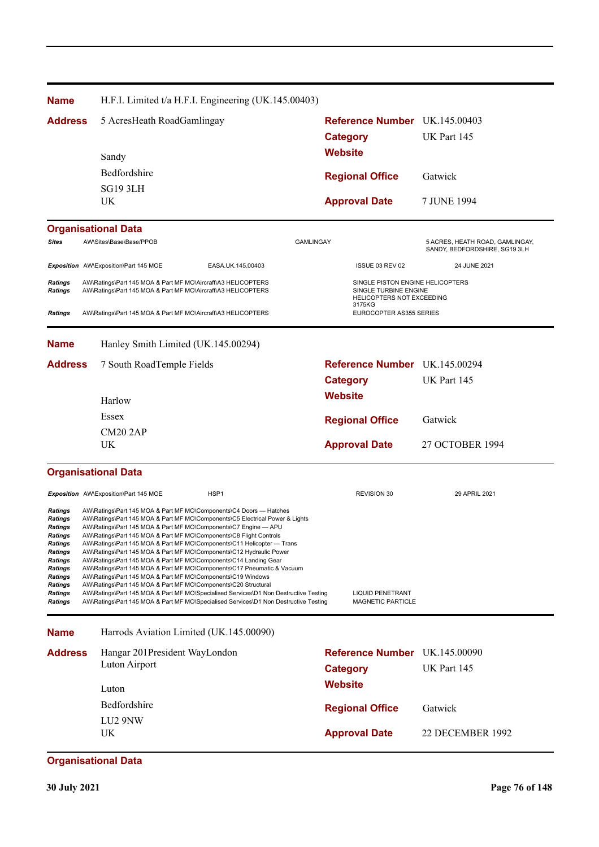**Approval Date** 7 JUNE 1994 **Organisational Data Website Category** UK Part 145 5 AcresHeath RoadGamlingay **Reference Number** UK.145.00403 **Regional Office Name Address** Gatwick UK SG19 3LH Bedfordshire Sandy H.F.I. Limited t/a H.F.I. Engineering (UK.145.00403) Si**tes** AW\Sites\Base\Base/PPOB AND SANDY GAMLINGAY GAMLINGAY SANDY, BEDFORDSHIRE, SG19 3LH<br>SANDY, BEDFORDSHIRE, SG19 3LH *Exposition* AW\Exposition\Part 145 MOE EASA.UK.145.00403 ISSUE 03 REV 02 24 JUNE 2021 **Ratings** AW\Ratings\Part 145 MOA & Part MF MO\Aircraft\A3 HELICOPTERS STATES STATES SINGLE PISTON ENGINE HELICOPTERS Ratings AW\Ratings\Part 145 MOA & Part MF MO\Aircraft\A3 HELICOPTERS SINGLE TURBINE ENGINE HELICO<br>HELICOPTERS NOT EXCEEDING 3175KG<br>EUROCOPTER AS355 SERIES **Ratings** AW\Ratings\Part 145 MOA & Part MF MO\Aircraft\A3 HELICOPTERS **Approval Date** 27 OCTOBER 1994 **Organisational Data Website Category** UK Part 145 7 South RoadTemple Fields **Reference Number** UK.145.00294 **Regional Office Name Address** Gatwick UK CM20 2AP Essex Harlow Hanley Smith Limited (UK.145.00294) **Exposition** AW\Exposition\Part 145 MOE HSP1 HSP1 REVISION 30 REVISION 30 29 APRIL 2021 *Ratings* AW\Ratings\Part 145 MOA & Part MF MO\Components\C4 Doors — Hatches *Ratings* AW\Ratings\Part 145 MOA & Part MF MO\Components\C5 Electrical Power & Lights *Ratings* AW\Ratings\Part 145 MOA & Part MF MO\Components\C7 Engine — APU *Ratings* AW\Ratings\Part 145 MOA & Part MF MO\Components\C8 Flight Controls *Ratings* AW\Ratings\Part 145 MOA & Part MF MO\Components\C11 Helicopter — Trans *Ratings* AW\Ratings\Part 145 MOA & Part MF MO\Components\C12 Hydraulic Power *Ratings* AW\Ratings\Part 145 MOA & Part MF MO\Components\C14 Landing Gear *Ratings* AW\Ratings\Part 145 MOA & Part MF MO\Components\C17 Pneumatic & Vacuum *Ratings* AW\Ratings\Part 145 MOA & Part MF MO\Components\C19 Windows **Ratings** AW\Ratings\Part 145 MOA & Part MF MO\Components\C20 Structural<br> **Ratings** AW\Ratings\Part 145 MOA & Part MF MO\Specialised Services\D1 No Ratings AW\Ratings\Part 145 MOA & Part MF MO\Specialised Services\D1 Non Destructive Testing LIQUID PENETRANT<br>
Ratings AW\Ratings\Part 145 MOA & Part MF MO\Specialised Services\D1 Non Destructive Testing MAGNETIC PARTICLE AW\Ratings\Part 145 MOA & Part MF MO\Specialised Services\D1 Non Destructive Testing **Approval Date** 22 DECEMBER 1992 **Organisational Data Website Category** UK Part 145 **Reference Number** UK.145.00090 **Regional Office Name Address** Gatwick UK LU2 9NW Bedfordshire Luton Hangar 201President WayLondon Luton Airport Harrods Aviation Limited (UK.145.00090)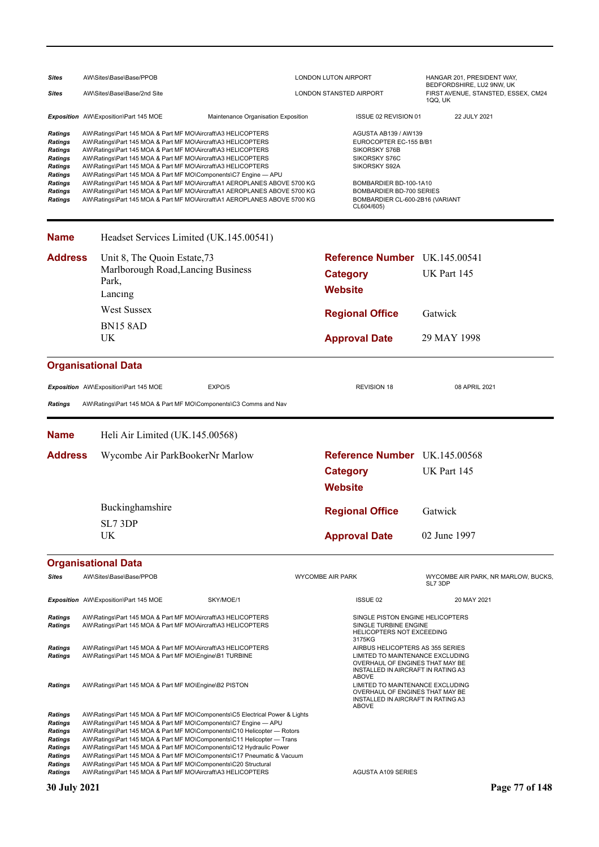| <b>Sites</b>                                                                                                                                                   | AW\Sites\Base\Base/PPOB<br>LONDON LUTON AIRPORT                                                                                                                                                                                                                                                                                                                                                                                                                                                                                                                                                                                        |                                                                                                                                                                                                                                                                                                                                                                                                                                                                                                                                                                                         |                                | HANGAR 201, PRESIDENT WAY,                                                                                                                                                                                      |                                                                             |  |
|----------------------------------------------------------------------------------------------------------------------------------------------------------------|----------------------------------------------------------------------------------------------------------------------------------------------------------------------------------------------------------------------------------------------------------------------------------------------------------------------------------------------------------------------------------------------------------------------------------------------------------------------------------------------------------------------------------------------------------------------------------------------------------------------------------------|-----------------------------------------------------------------------------------------------------------------------------------------------------------------------------------------------------------------------------------------------------------------------------------------------------------------------------------------------------------------------------------------------------------------------------------------------------------------------------------------------------------------------------------------------------------------------------------------|--------------------------------|-----------------------------------------------------------------------------------------------------------------------------------------------------------------------------------------------------------------|-----------------------------------------------------------------------------|--|
| <b>Sites</b>                                                                                                                                                   | AW\Sites\Base\Base/2nd Site                                                                                                                                                                                                                                                                                                                                                                                                                                                                                                                                                                                                            |                                                                                                                                                                                                                                                                                                                                                                                                                                                                                                                                                                                         | <b>LONDON STANSTED AIRPORT</b> |                                                                                                                                                                                                                 | BEDFORDSHIRE, LU2 9NW, UK<br>FIRST AVENUE, STANSTED, ESSEX, CM24<br>1QQ, UK |  |
|                                                                                                                                                                | Exposition AW\Exposition\Part 145 MOE                                                                                                                                                                                                                                                                                                                                                                                                                                                                                                                                                                                                  | Maintenance Organisation Exposition                                                                                                                                                                                                                                                                                                                                                                                                                                                                                                                                                     |                                | ISSUE 02 REVISION 01                                                                                                                                                                                            | 22 JULY 2021                                                                |  |
| <b>Ratings</b><br><b>Ratings</b><br><b>Ratings</b><br><b>Ratings</b><br><b>Ratings</b><br>Ratings<br><b>Ratings</b><br>Ratings<br><b>Ratings</b>               | AW\Ratings\Part 145 MOA & Part MF MO\Aircraft\A3 HELICOPTERS<br>AW\Ratings\Part 145 MOA & Part MF MO\Aircraft\A3 HELICOPTERS<br>AW\Ratings\Part 145 MOA & Part MF MO\Aircraft\A3 HELICOPTERS<br>AW\Ratings\Part 145 MOA & Part MF MO\Aircraft\A3 HELICOPTERS<br>AW\Ratings\Part 145 MOA & Part MF MO\Aircraft\A3 HELICOPTERS<br>AW\Ratings\Part 145 MOA & Part MF MO\Components\C7 Engine - APU<br>AW\Ratings\Part 145 MOA & Part MF MO\Aircraft\A1 AEROPLANES ABOVE 5700 KG<br>AW\Ratings\Part 145 MOA & Part MF MO\Aircraft\A1 AEROPLANES ABOVE 5700 KG<br>AW\Ratings\Part 145 MOA & Part MF MO\Aircraft\A1 AEROPLANES ABOVE 5700 KG |                                                                                                                                                                                                                                                                                                                                                                                                                                                                                                                                                                                         |                                | <b>AGUSTA AB139 / AW139</b><br>EUROCOPTER EC-155 B/B1<br>SIKORSKY S76B<br>SIKORSKY S76C<br>SIKORSKY S92A<br>BOMBARDIER BD-100-1A10<br>BOMBARDIER BD-700 SERIES<br>BOMBARDIER CL-600-2B16 (VARIANT<br>CL604/605) |                                                                             |  |
| <b>Name</b>                                                                                                                                                    |                                                                                                                                                                                                                                                                                                                                                                                                                                                                                                                                                                                                                                        | Headset Services Limited (UK.145.00541)                                                                                                                                                                                                                                                                                                                                                                                                                                                                                                                                                 |                                |                                                                                                                                                                                                                 |                                                                             |  |
| <b>Address</b>                                                                                                                                                 | Unit 8, The Quoin Estate, 73<br>Park,<br>Lancing<br><b>West Sussex</b><br><b>BN15 8AD</b><br>UK                                                                                                                                                                                                                                                                                                                                                                                                                                                                                                                                        | Marlborough Road, Lancing Business                                                                                                                                                                                                                                                                                                                                                                                                                                                                                                                                                      | <b>Website</b>                 | <b>Reference Number</b> UK.145.00541<br><b>Category</b><br><b>Regional Office</b><br><b>Approval Date</b>                                                                                                       | UK Part 145<br>Gatwick<br>29 MAY 1998                                       |  |
|                                                                                                                                                                | <b>Organisational Data</b>                                                                                                                                                                                                                                                                                                                                                                                                                                                                                                                                                                                                             |                                                                                                                                                                                                                                                                                                                                                                                                                                                                                                                                                                                         |                                |                                                                                                                                                                                                                 |                                                                             |  |
| <b>Ratings</b>                                                                                                                                                 | Exposition AW\Exposition\Part 145 MOE                                                                                                                                                                                                                                                                                                                                                                                                                                                                                                                                                                                                  | EXPO/5<br>AW\Ratings\Part 145 MOA & Part MF MO\Components\C3 Comms and Nav                                                                                                                                                                                                                                                                                                                                                                                                                                                                                                              |                                | <b>REVISION 18</b>                                                                                                                                                                                              | 08 APRIL 2021                                                               |  |
| <b>Name</b>                                                                                                                                                    | Heli Air Limited (UK.145.00568)                                                                                                                                                                                                                                                                                                                                                                                                                                                                                                                                                                                                        |                                                                                                                                                                                                                                                                                                                                                                                                                                                                                                                                                                                         |                                |                                                                                                                                                                                                                 |                                                                             |  |
| <b>Address</b>                                                                                                                                                 | Wycombe Air ParkBookerNr Marlow                                                                                                                                                                                                                                                                                                                                                                                                                                                                                                                                                                                                        |                                                                                                                                                                                                                                                                                                                                                                                                                                                                                                                                                                                         | <b>Website</b>                 | Reference Number UK.145.00568<br><b>Category</b>                                                                                                                                                                | UK Part 145                                                                 |  |
|                                                                                                                                                                | Buckinghamshire<br>SL7 3DP<br>UK                                                                                                                                                                                                                                                                                                                                                                                                                                                                                                                                                                                                       |                                                                                                                                                                                                                                                                                                                                                                                                                                                                                                                                                                                         |                                | <b>Regional Office</b><br><b>Approval Date</b>                                                                                                                                                                  | Gatwick<br>02 June 1997                                                     |  |
|                                                                                                                                                                | <b>Organisational Data</b>                                                                                                                                                                                                                                                                                                                                                                                                                                                                                                                                                                                                             |                                                                                                                                                                                                                                                                                                                                                                                                                                                                                                                                                                                         |                                |                                                                                                                                                                                                                 |                                                                             |  |
| <b>Sites</b>                                                                                                                                                   | AW\Sites\Base\Base/PPOB                                                                                                                                                                                                                                                                                                                                                                                                                                                                                                                                                                                                                |                                                                                                                                                                                                                                                                                                                                                                                                                                                                                                                                                                                         | <b>WYCOMBE AIR PARK</b>        |                                                                                                                                                                                                                 | WYCOMBE AIR PARK, NR MARLOW, BUCKS,<br>SL7 3DP                              |  |
| <b>Ratings</b><br><b>Ratings</b>                                                                                                                               | Exposition AW\Exposition\Part 145 MOE                                                                                                                                                                                                                                                                                                                                                                                                                                                                                                                                                                                                  | SKY/MOE/1<br>AW\Ratings\Part 145 MOA & Part MF MO\Aircraft\A3 HELICOPTERS<br>AW\Ratings\Part 145 MOA & Part MF MO\Aircraft\A3 HELICOPTERS                                                                                                                                                                                                                                                                                                                                                                                                                                               |                                | ISSUE 02<br>SINGLE PISTON ENGINE HELICOPTERS<br>SINGLE TURBINE ENGINE                                                                                                                                           | 20 MAY 2021                                                                 |  |
| Ratings<br>Ratings                                                                                                                                             | AW\Ratings\Part 145 MOA & Part MF MO\Engine\B1 TURBINE                                                                                                                                                                                                                                                                                                                                                                                                                                                                                                                                                                                 | AW\Ratings\Part 145 MOA & Part MF MO\Aircraft\A3 HELICOPTERS                                                                                                                                                                                                                                                                                                                                                                                                                                                                                                                            |                                | <b>HELICOPTERS NOT EXCEEDING</b><br>3175KG<br>AIRBUS HELICOPTERS AS 355 SERIES<br>LIMITED TO MAINTENANCE EXCLUDING<br>OVERHAUL OF ENGINES THAT MAY BE<br>INSTALLED IN AIRCRAFT IN RATING A3<br><b>ABOVE</b>     |                                                                             |  |
| <b>Ratings</b><br><b>Ratings</b><br><b>Ratings</b><br><b>Ratings</b><br><b>Ratings</b><br><b>Ratings</b><br><b>Ratings</b><br><b>Ratings</b><br><b>Ratings</b> | AW\Ratings\Part 145 MOA & Part MF MO\Engine\B2 PISTON                                                                                                                                                                                                                                                                                                                                                                                                                                                                                                                                                                                  | AW\Ratings\Part 145 MOA & Part MF MO\Components\C5 Electrical Power & Lights<br>AW\Ratings\Part 145 MOA & Part MF MO\Components\C7 Engine - APU<br>AW\Ratings\Part 145 MOA & Part MF MO\Components\C10 Helicopter - Rotors<br>AW\Ratings\Part 145 MOA & Part MF MO\Components\C11 Helicopter - Trans<br>AW\Ratings\Part 145 MOA & Part MF MO\Components\C12 Hydraulic Power<br>AW\Ratings\Part 145 MOA & Part MF MO\Components\C17 Pneumatic & Vacuum<br>AW\Ratings\Part 145 MOA & Part MF MO\Components\C20 Structural<br>AW\Ratings\Part 145 MOA & Part MF MO\Aircraft\A3 HELICOPTERS |                                | LIMITED TO MAINTENANCE EXCLUDING<br>OVERHAUL OF ENGINES THAT MAY BE<br>INSTALLED IN AIRCRAFT IN RATING A3<br><b>ABOVE</b><br><b>AGUSTA A109 SERIES</b>                                                          |                                                                             |  |
| <b>30 July 2021</b>                                                                                                                                            |                                                                                                                                                                                                                                                                                                                                                                                                                                                                                                                                                                                                                                        |                                                                                                                                                                                                                                                                                                                                                                                                                                                                                                                                                                                         |                                |                                                                                                                                                                                                                 | Page 77 of 148                                                              |  |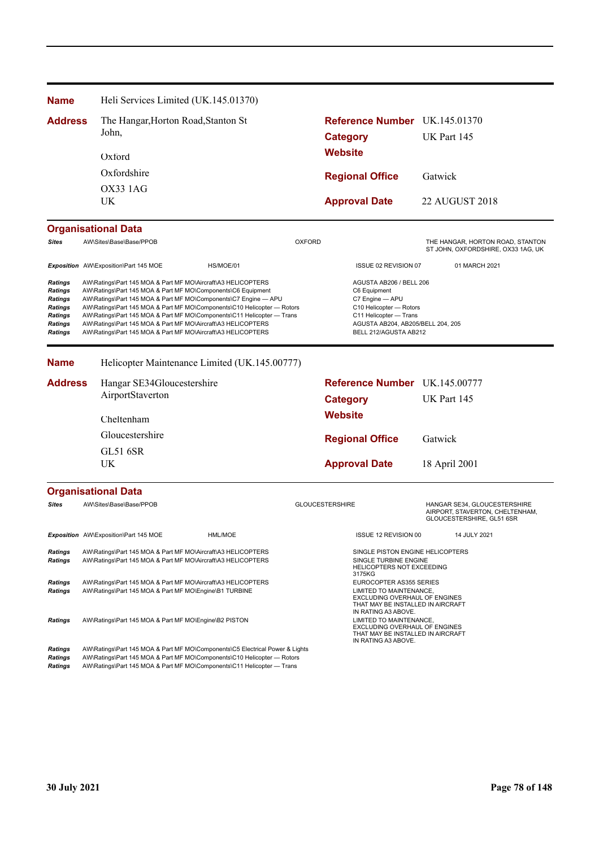| <b>Name</b>                                                                                                         |                                                                                                                                                                                                                                                                                                                                                                                                                                                                                      | Heli Services Limited (UK.145.01370)                                                                                         |                                                                                                                                                                                                                                   |                                                                                                                                                                               |                                                                                                                                             |                                                                                                                                 |             |                                                                                              |
|---------------------------------------------------------------------------------------------------------------------|--------------------------------------------------------------------------------------------------------------------------------------------------------------------------------------------------------------------------------------------------------------------------------------------------------------------------------------------------------------------------------------------------------------------------------------------------------------------------------------|------------------------------------------------------------------------------------------------------------------------------|-----------------------------------------------------------------------------------------------------------------------------------------------------------------------------------------------------------------------------------|-------------------------------------------------------------------------------------------------------------------------------------------------------------------------------|---------------------------------------------------------------------------------------------------------------------------------------------|---------------------------------------------------------------------------------------------------------------------------------|-------------|----------------------------------------------------------------------------------------------|
| <b>Address</b>                                                                                                      |                                                                                                                                                                                                                                                                                                                                                                                                                                                                                      | The Hangar, Horton Road, Stanton St                                                                                          |                                                                                                                                                                                                                                   |                                                                                                                                                                               |                                                                                                                                             | Reference Number UK.145.01370                                                                                                   |             |                                                                                              |
|                                                                                                                     |                                                                                                                                                                                                                                                                                                                                                                                                                                                                                      | John,                                                                                                                        |                                                                                                                                                                                                                                   |                                                                                                                                                                               | <b>Category</b>                                                                                                                             |                                                                                                                                 |             | UK Part 145                                                                                  |
|                                                                                                                     |                                                                                                                                                                                                                                                                                                                                                                                                                                                                                      | Oxford                                                                                                                       |                                                                                                                                                                                                                                   |                                                                                                                                                                               | <b>Website</b>                                                                                                                              |                                                                                                                                 |             |                                                                                              |
|                                                                                                                     |                                                                                                                                                                                                                                                                                                                                                                                                                                                                                      | Oxfordshire                                                                                                                  |                                                                                                                                                                                                                                   |                                                                                                                                                                               |                                                                                                                                             | <b>Regional Office</b>                                                                                                          | Gatwick     |                                                                                              |
|                                                                                                                     |                                                                                                                                                                                                                                                                                                                                                                                                                                                                                      | OX33 1AG                                                                                                                     |                                                                                                                                                                                                                                   |                                                                                                                                                                               |                                                                                                                                             |                                                                                                                                 |             |                                                                                              |
|                                                                                                                     |                                                                                                                                                                                                                                                                                                                                                                                                                                                                                      | UK                                                                                                                           |                                                                                                                                                                                                                                   |                                                                                                                                                                               |                                                                                                                                             | <b>Approval Date</b>                                                                                                            |             | <b>22 AUGUST 2018</b>                                                                        |
|                                                                                                                     |                                                                                                                                                                                                                                                                                                                                                                                                                                                                                      | <b>Organisational Data</b>                                                                                                   |                                                                                                                                                                                                                                   |                                                                                                                                                                               |                                                                                                                                             |                                                                                                                                 |             |                                                                                              |
| <b>Sites</b>                                                                                                        |                                                                                                                                                                                                                                                                                                                                                                                                                                                                                      | AW\Sites\Base\Base/PPOB                                                                                                      |                                                                                                                                                                                                                                   | <b>OXFORD</b>                                                                                                                                                                 |                                                                                                                                             |                                                                                                                                 |             | THE HANGAR, HORTON ROAD, STANTON<br>ST JOHN, OXFORDSHIRE, OX33 1AG, UK                       |
|                                                                                                                     |                                                                                                                                                                                                                                                                                                                                                                                                                                                                                      | Exposition AW\Exposition\Part 145 MOE                                                                                        | HS/MOE/01                                                                                                                                                                                                                         |                                                                                                                                                                               |                                                                                                                                             | ISSUE 02 REVISION 07                                                                                                            |             | 01 MARCH 2021                                                                                |
| <b>Ratings</b><br><b>Ratings</b><br><b>Ratings</b><br><b>Ratings</b><br><b>Ratings</b><br><b>Ratings</b><br>Ratings | AW\Ratings\Part 145 MOA & Part MF MO\Aircraft\A3 HELICOPTERS<br>AW\Ratings\Part 145 MOA & Part MF MO\Components\C6 Equipment<br>AW\Ratings\Part 145 MOA & Part MF MO\Components\C7 Engine - APU<br>AW\Ratings\Part 145 MOA & Part MF MO\Components\C10 Helicopter - Rotors<br>AW\Ratings\Part 145 MOA & Part MF MO\Components\C11 Helicopter - Trans<br>AW\Ratings\Part 145 MOA & Part MF MO\Aircraft\A3 HELICOPTERS<br>AW\Ratings\Part 145 MOA & Part MF MO\Aircraft\A3 HELICOPTERS |                                                                                                                              |                                                                                                                                                                                                                                   | AGUSTA AB206 / BELL 206<br>C6 Equipment<br>C7 Engine - APU<br>C10 Helicopter - Rotors<br>C11 Helicopter - Trans<br>AGUSTA AB204, AB205/BELL 204, 205<br>BELL 212/AGUSTA AB212 |                                                                                                                                             |                                                                                                                                 |             |                                                                                              |
| <b>Name</b>                                                                                                         |                                                                                                                                                                                                                                                                                                                                                                                                                                                                                      |                                                                                                                              | Helicopter Maintenance Limited (UK.145.00777)                                                                                                                                                                                     |                                                                                                                                                                               |                                                                                                                                             |                                                                                                                                 |             |                                                                                              |
| <b>Address</b>                                                                                                      |                                                                                                                                                                                                                                                                                                                                                                                                                                                                                      | Hangar SE34Gloucestershire                                                                                                   |                                                                                                                                                                                                                                   |                                                                                                                                                                               |                                                                                                                                             | Reference Number UK.145.00777                                                                                                   |             |                                                                                              |
|                                                                                                                     |                                                                                                                                                                                                                                                                                                                                                                                                                                                                                      | AirportStaverton                                                                                                             |                                                                                                                                                                                                                                   |                                                                                                                                                                               | <b>Category</b>                                                                                                                             |                                                                                                                                 | UK Part 145 |                                                                                              |
|                                                                                                                     |                                                                                                                                                                                                                                                                                                                                                                                                                                                                                      | Cheltenham                                                                                                                   |                                                                                                                                                                                                                                   |                                                                                                                                                                               | <b>Website</b>                                                                                                                              |                                                                                                                                 |             |                                                                                              |
|                                                                                                                     |                                                                                                                                                                                                                                                                                                                                                                                                                                                                                      |                                                                                                                              |                                                                                                                                                                                                                                   |                                                                                                                                                                               |                                                                                                                                             |                                                                                                                                 |             |                                                                                              |
|                                                                                                                     |                                                                                                                                                                                                                                                                                                                                                                                                                                                                                      | Gloucestershire                                                                                                              |                                                                                                                                                                                                                                   | <b>Regional Office</b>                                                                                                                                                        |                                                                                                                                             |                                                                                                                                 | Gatwick     |                                                                                              |
|                                                                                                                     |                                                                                                                                                                                                                                                                                                                                                                                                                                                                                      | <b>GL51 6SR</b><br>UK                                                                                                        |                                                                                                                                                                                                                                   | <b>Approval Date</b>                                                                                                                                                          |                                                                                                                                             | 18 April 2001                                                                                                                   |             |                                                                                              |
|                                                                                                                     |                                                                                                                                                                                                                                                                                                                                                                                                                                                                                      | <b>Organisational Data</b>                                                                                                   |                                                                                                                                                                                                                                   |                                                                                                                                                                               |                                                                                                                                             |                                                                                                                                 |             |                                                                                              |
| <b>Sites</b>                                                                                                        |                                                                                                                                                                                                                                                                                                                                                                                                                                                                                      | AW\Sites\Base\Base/PPOB                                                                                                      |                                                                                                                                                                                                                                   | <b>GLOUCESTERSHIRE</b>                                                                                                                                                        |                                                                                                                                             |                                                                                                                                 |             | HANGAR SE34, GLOUCESTERSHIRE<br>AIRPORT, STAVERTON, CHELTENHAM,<br>GLOUCESTERSHIRE, GL51 6SR |
|                                                                                                                     |                                                                                                                                                                                                                                                                                                                                                                                                                                                                                      | Exposition AW\Exposition\Part 145 MOE                                                                                        | HML/MOE                                                                                                                                                                                                                           |                                                                                                                                                                               |                                                                                                                                             | ISSUE 12 REVISION 00                                                                                                            |             | 14 JULY 2021                                                                                 |
| <b>Ratings</b><br><b>Ratings</b>                                                                                    |                                                                                                                                                                                                                                                                                                                                                                                                                                                                                      | AW\Ratings\Part 145 MOA & Part MF MO\Aircraft\A3 HELICOPTERS<br>AW\Ratings\Part 145 MOA & Part MF MO\Aircraft\A3 HELICOPTERS |                                                                                                                                                                                                                                   |                                                                                                                                                                               |                                                                                                                                             | SINGLE PISTON ENGINE HELICOPTERS<br>SINGLE TURBINE ENGINE<br>HELICOPTERS NOT EXCEEDING<br>3175KG                                |             |                                                                                              |
| <b>Ratings</b><br>Ratings                                                                                           |                                                                                                                                                                                                                                                                                                                                                                                                                                                                                      | AW\Ratings\Part 145 MOA & Part MF MO\Aircraft\A3 HELICOPTERS<br>AW\Ratings\Part 145 MOA & Part MF MO\Engine\B1 TURBINE       |                                                                                                                                                                                                                                   |                                                                                                                                                                               |                                                                                                                                             | EUROCOPTER AS355 SERIES<br>LIMITED TO MAINTENANCE,<br><b>EXCLUDING OVERHAUL OF ENGINES</b><br>THAT MAY BE INSTALLED IN AIRCRAFT |             |                                                                                              |
| <b>Ratings</b>                                                                                                      |                                                                                                                                                                                                                                                                                                                                                                                                                                                                                      | AW\Ratings\Part 145 MOA & Part MF MO\Engine\B2 PISTON                                                                        |                                                                                                                                                                                                                                   |                                                                                                                                                                               | IN RATING A3 ABOVE.<br>LIMITED TO MAINTENANCE,<br>EXCLUDING OVERHAUL OF ENGINES<br>THAT MAY BE INSTALLED IN AIRCRAFT<br>IN RATING A3 ABOVE. |                                                                                                                                 |             |                                                                                              |
| <b>Ratings</b><br>Ratings<br><b>Ratings</b>                                                                         |                                                                                                                                                                                                                                                                                                                                                                                                                                                                                      |                                                                                                                              | AW\Ratings\Part 145 MOA & Part MF MO\Components\C5 Electrical Power & Lights<br>AW\Ratings\Part 145 MOA & Part MF MO\Components\C10 Helicopter - Rotors<br>AW\Ratings\Part 145 MOA & Part MF MO\Components\C11 Helicopter - Trans |                                                                                                                                                                               |                                                                                                                                             |                                                                                                                                 |             |                                                                                              |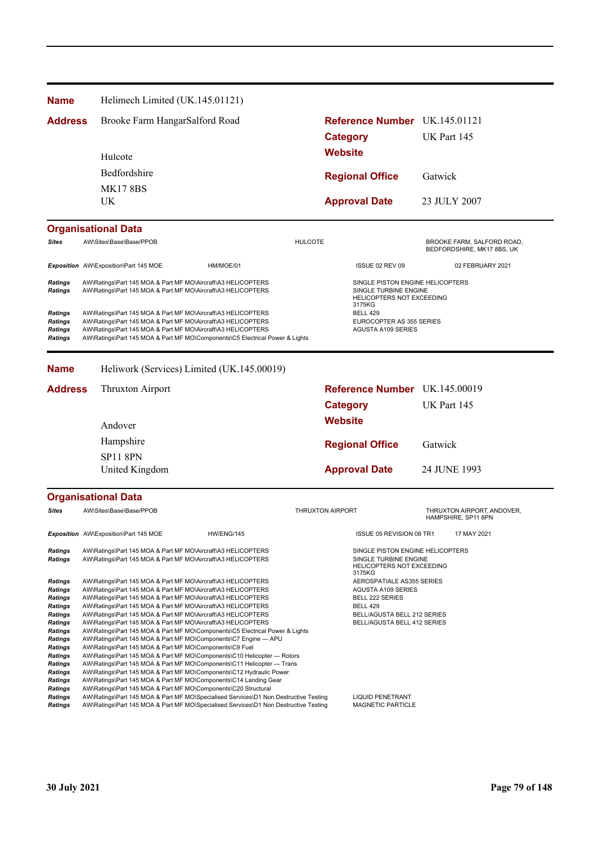| Name                                                   | Helimech Limited (UK.145.01121)                                                                                                                                                                                                                                              |                                                                          |                                                          |
|--------------------------------------------------------|------------------------------------------------------------------------------------------------------------------------------------------------------------------------------------------------------------------------------------------------------------------------------|--------------------------------------------------------------------------|----------------------------------------------------------|
| <b>Address</b>                                         | Brooke Farm HangarSalford Road                                                                                                                                                                                                                                               | <b>Category</b>                                                          | Reference Number UK.145.01121<br>UK Part 145             |
|                                                        | Hulcote                                                                                                                                                                                                                                                                      | <b>Website</b>                                                           |                                                          |
|                                                        | Bedfordshire                                                                                                                                                                                                                                                                 | <b>Regional Office</b>                                                   | Gatwick                                                  |
|                                                        | <b>MK17 8BS</b>                                                                                                                                                                                                                                                              |                                                                          |                                                          |
|                                                        | UK.                                                                                                                                                                                                                                                                          | <b>Approval Date</b>                                                     | 23 JULY 2007                                             |
|                                                        | <b>Organisational Data</b>                                                                                                                                                                                                                                                   |                                                                          |                                                          |
| <b>Sites</b>                                           | AW\Sites\Base\Base/PPOB                                                                                                                                                                                                                                                      | <b>HULCOTE</b>                                                           | BROOKE FARM, SALFORD ROAD,<br>BEDFORDSHIRE, MK17 8BS, UK |
|                                                        | Exposition AW\Exposition\Part 145 MOE<br>HM/MOE/01                                                                                                                                                                                                                           | ISSUE 02 REV 09                                                          | 02 FEBRUARY 2021                                         |
| Ratings<br>Ratings                                     | AW\Ratings\Part 145 MOA & Part MF MO\Aircraft\A3 HELICOPTERS<br>AW\Ratings\Part 145 MOA & Part MF MO\Aircraft\A3 HELICOPTERS                                                                                                                                                 | SINGLE TURBINE ENGINE<br>HELICOPTERS NOT EXCEEDING<br>3175KG             | SINGLE PISTON ENGINE HELICOPTERS                         |
| Ratings<br><b>Ratings</b><br><b>Ratings</b><br>Ratings | AW\Ratings\Part 145 MOA & Part MF MO\Aircraft\A3 HELICOPTERS<br>AW\Ratings\Part 145 MOA & Part MF MO\Aircraft\A3 HELICOPTERS<br>AW\Ratings\Part 145 MOA & Part MF MO\Aircraft\A3 HELICOPTERS<br>AW\Ratings\Part 145 MOA & Part MF MO\Components\C5 Electrical Power & Lights | <b>BELL 429</b><br>EUROCOPTER AS 355 SERIES<br><b>AGUSTA A109 SERIES</b> |                                                          |
| Name                                                   | Heliwork (Services) Limited (UK.145.00019)                                                                                                                                                                                                                                   |                                                                          |                                                          |
| <b>Address</b>                                         | Thruxton Airport                                                                                                                                                                                                                                                             |                                                                          | Reference Number UK.145.00019                            |
|                                                        |                                                                                                                                                                                                                                                                              | <b>Category</b>                                                          | UK Part 145                                              |
|                                                        | Andover                                                                                                                                                                                                                                                                      | <b>Website</b>                                                           |                                                          |
|                                                        | Hampshire                                                                                                                                                                                                                                                                    | <b>Regional Office</b>                                                   | Gatwick                                                  |
|                                                        | <b>SP11 8PN</b>                                                                                                                                                                                                                                                              |                                                                          |                                                          |
|                                                        | United Kingdom                                                                                                                                                                                                                                                               | <b>Approval Date</b>                                                     | 24 JUNE 1993                                             |
|                                                        | <b>Organisational Data</b>                                                                                                                                                                                                                                                   |                                                                          |                                                          |
| <b>Sites</b>                                           | AW\Sites\Base\Base/PPOB                                                                                                                                                                                                                                                      | <b>THRUXTON AIRPORT</b>                                                  | THRUXTON AIRPORT, ANDOVER,<br>HAMPSHIRE, SP11 8PN        |
|                                                        | Exposition AW\Exposition\Part 145 MOE<br>HW/ENG/145                                                                                                                                                                                                                          | ISSUE 05 REVISION 08 TR1                                                 | 17 MAY 2021                                              |
| Ratings<br><b>Ratings</b>                              | AW\Ratings\Part 145 MOA & Part MF MO\Aircraft\A3 HELICOPTERS<br>AW\Ratings\Part 145 MOA & Part MF MO\Aircraft\A3 HELICOPTERS                                                                                                                                                 | SINGLE TURBINE ENGINE<br><b>HELICOPTERS NOT EXCEEDING</b><br>3175KG      | SINGLE PISTON ENGINE HELICOPTERS                         |
| Ratings                                                | AW\Ratings\Part 145 MOA & Part MF MO\Aircraft\A3 HELICOPTERS<br>AW\Ratings\Part 145 MOA & Part MF MO\Aircraft\A3 HELICOPTERS                                                                                                                                                 | AEROSPATIALE AS355 SERIES                                                |                                                          |
| Ratings<br>Ratings                                     | AW\Ratings\Part 145 MOA & Part MF MO\Aircraft\A3 HELICOPTERS                                                                                                                                                                                                                 | <b>AGUSTA A109 SERIES</b><br><b>BELL 222 SERIES</b>                      |                                                          |
| Ratings<br><b>Ratings</b>                              | AW\Ratings\Part 145 MOA & Part MF MO\Aircraft\A3 HELICOPTERS<br>AW\Ratings\Part 145 MOA & Part MF MO\Aircraft\A3 HELICOPTERS                                                                                                                                                 | <b>BELL 429</b><br>BELL/AGUSTA BELL 212 SERIES                           |                                                          |
| Ratings                                                | AW\Ratings\Part 145 MOA & Part MF MO\Aircraft\A3 HELICOPTERS                                                                                                                                                                                                                 | BELL/AGUSTA BELL 412 SERIES                                              |                                                          |
| <b>Ratings</b><br>Ratings                              | AW\Ratings\Part 145 MOA & Part MF MO\Components\C5 Electrical Power & Lights<br>AW\Ratings\Part 145 MOA & Part MF MO\Components\C7 Engine - APU                                                                                                                              |                                                                          |                                                          |
| Ratings                                                | AW\Ratings\Part 145 MOA & Part MF MO\Components\C9 Fuel                                                                                                                                                                                                                      |                                                                          |                                                          |
| Ratings<br>Ratings                                     | AW\Ratings\Part 145 MOA & Part MF MO\Components\C10 Helicopter - Rotors<br>AW\Ratings\Part 145 MOA & Part MF MO\Components\C11 Helicopter — Trans                                                                                                                            |                                                                          |                                                          |
| Ratings                                                | AW\Ratings\Part 145 MOA & Part MF MO\Components\C12 Hydraulic Power                                                                                                                                                                                                          |                                                                          |                                                          |
| Ratings<br>Ratings                                     | AW\Ratings\Part 145 MOA & Part MF MO\Components\C14 Landing Gear<br>AW\Ratings\Part 145 MOA & Part MF MO\Components\C20 Structural                                                                                                                                           |                                                                          |                                                          |
| Ratings                                                | AW\Ratings\Part 145 MOA & Part MF MO\Specialised Services\D1 Non Destructive Testing                                                                                                                                                                                         | <b>LIQUID PENETRANT</b>                                                  |                                                          |
| <b>Ratings</b>                                         | AW\Ratings\Part 145 MOA & Part MF MO\Specialised Services\D1 Non Destructive Testing                                                                                                                                                                                         | MAGNETIC PARTICLE                                                        |                                                          |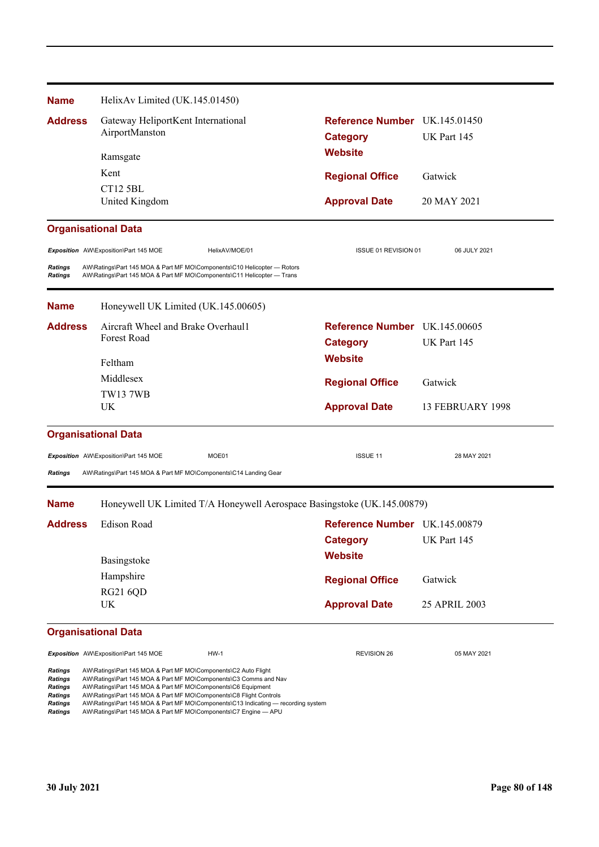| <b>Name</b>                      | HelixAv Limited (UK.145.01450)                                                                                                                    |                               |                  |  |
|----------------------------------|---------------------------------------------------------------------------------------------------------------------------------------------------|-------------------------------|------------------|--|
| <b>Address</b>                   | Gateway HeliportKent International                                                                                                                | Reference Number UK.145.01450 |                  |  |
|                                  | AirportManston                                                                                                                                    | <b>Category</b>               | UK Part 145      |  |
|                                  | Ramsgate                                                                                                                                          | <b>Website</b>                |                  |  |
|                                  | Kent                                                                                                                                              | <b>Regional Office</b>        | Gatwick          |  |
|                                  | <b>CT12 5BL</b>                                                                                                                                   |                               |                  |  |
|                                  | United Kingdom                                                                                                                                    | <b>Approval Date</b>          | 20 MAY 2021      |  |
|                                  | <b>Organisational Data</b>                                                                                                                        |                               |                  |  |
|                                  | Exposition AW\Exposition\Part 145 MOE<br>HelixAV/MOE/01                                                                                           | ISSUE 01 REVISION 01          | 06 JULY 2021     |  |
| <b>Ratings</b><br><b>Ratings</b> | AW\Ratings\Part 145 MOA & Part MF MO\Components\C10 Helicopter - Rotors<br>AW\Ratings\Part 145 MOA & Part MF MO\Components\C11 Helicopter - Trans |                               |                  |  |
| <b>Name</b>                      | Honeywell UK Limited (UK.145.00605)                                                                                                               |                               |                  |  |
| <b>Address</b>                   | Aircraft Wheel and Brake Overhaul1                                                                                                                | Reference Number UK.145.00605 |                  |  |
|                                  | Forest Road                                                                                                                                       | <b>Category</b>               | UK Part 145      |  |
|                                  | Feltham                                                                                                                                           | <b>Website</b>                |                  |  |
|                                  | Middlesex                                                                                                                                         | <b>Regional Office</b>        | Gatwick          |  |
|                                  | <b>TW137WB</b>                                                                                                                                    |                               |                  |  |
|                                  | UK                                                                                                                                                | <b>Approval Date</b>          | 13 FEBRUARY 1998 |  |
|                                  | <b>Organisational Data</b>                                                                                                                        |                               |                  |  |
|                                  | Exposition AW\Exposition\Part 145 MOE<br>MOE01                                                                                                    | ISSUE 11                      | 28 MAY 2021      |  |
| <b>Ratings</b>                   | AW\Ratings\Part 145 MOA & Part MF MO\Components\C14 Landing Gear                                                                                  |                               |                  |  |
| <b>Name</b>                      | Honeywell UK Limited T/A Honeywell Aerospace Basingstoke (UK.145.00879)                                                                           |                               |                  |  |
| <b>Address</b>                   | <b>Edison Road</b>                                                                                                                                | Reference Number UK.145.00879 |                  |  |
|                                  |                                                                                                                                                   | <b>Category</b>               | UK Part 145      |  |
|                                  | Basingstoke                                                                                                                                       | <b>Website</b>                |                  |  |
|                                  | Hampshire                                                                                                                                         | <b>Regional Office</b>        | Gatwick          |  |
|                                  | <b>RG21 6QD</b>                                                                                                                                   |                               |                  |  |
|                                  | UK                                                                                                                                                | <b>Approval Date</b>          | 25 APRIL 2003    |  |
|                                  | <b>Organisational Data</b>                                                                                                                        |                               |                  |  |
|                                  | Exposition AW\Exposition\Part 145 MOE<br><b>HW-1</b>                                                                                              | <b>REVISION 26</b>            | 05 MAY 2021      |  |
| <b>Ratings</b><br>Ratings        | AW\Ratings\Part 145 MOA & Part MF MO\Components\C2 Auto Flight<br>AW\Ratings\Part 145 MOA & Part MF MO\Components\C3 Comms and Nav                |                               |                  |  |

*Ratings* AW\Ratings\Part 145 MOA & Part MF MO\Components\C6 Equipment *Ratings* AW\Ratings\Part 145 MOA & Part MF MO\Components\C8 Flight Controls

*Ratings* AW\Ratings\Part 145 MOA & Part MF MO\Components\C13 Indicating — recording system

*Ratings* AW\Ratings\Part 145 MOA & Part MF MO\Components\C7 Engine — APU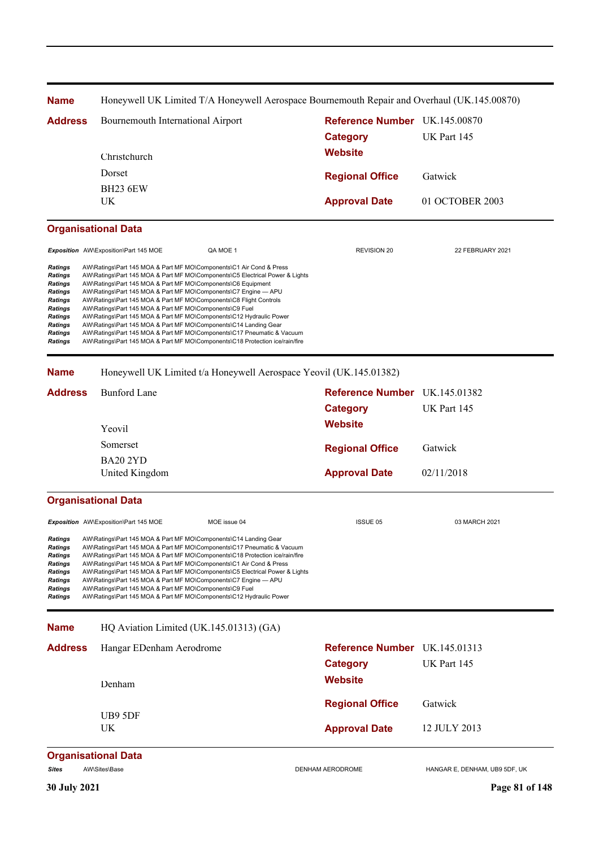| <b>Name</b>                                                                                                                                                 |                                                                                                                                                                                                                                                                                                                                                                                                                                                                                                                                                                                                                                                                                                                              | Honeywell UK Limited T/A Honeywell Aerospace Bournemouth Repair and Overhaul (UK.145.00870) |                               |  |  |  |
|-------------------------------------------------------------------------------------------------------------------------------------------------------------|------------------------------------------------------------------------------------------------------------------------------------------------------------------------------------------------------------------------------------------------------------------------------------------------------------------------------------------------------------------------------------------------------------------------------------------------------------------------------------------------------------------------------------------------------------------------------------------------------------------------------------------------------------------------------------------------------------------------------|---------------------------------------------------------------------------------------------|-------------------------------|--|--|--|
| <b>Address</b>                                                                                                                                              | Bournemouth International Airport                                                                                                                                                                                                                                                                                                                                                                                                                                                                                                                                                                                                                                                                                            | Reference Number UK.145.00870<br><b>Category</b>                                            | UK Part 145                   |  |  |  |
|                                                                                                                                                             | Christchurch                                                                                                                                                                                                                                                                                                                                                                                                                                                                                                                                                                                                                                                                                                                 | <b>Website</b>                                                                              |                               |  |  |  |
|                                                                                                                                                             | Dorset                                                                                                                                                                                                                                                                                                                                                                                                                                                                                                                                                                                                                                                                                                                       | <b>Regional Office</b>                                                                      | Gatwick                       |  |  |  |
|                                                                                                                                                             | <b>BH23 6EW</b>                                                                                                                                                                                                                                                                                                                                                                                                                                                                                                                                                                                                                                                                                                              |                                                                                             |                               |  |  |  |
|                                                                                                                                                             | UK                                                                                                                                                                                                                                                                                                                                                                                                                                                                                                                                                                                                                                                                                                                           | <b>Approval Date</b>                                                                        | 01 OCTOBER 2003               |  |  |  |
|                                                                                                                                                             | <b>Organisational Data</b>                                                                                                                                                                                                                                                                                                                                                                                                                                                                                                                                                                                                                                                                                                   |                                                                                             |                               |  |  |  |
|                                                                                                                                                             | <b>Exposition</b> AW\Exposition\Part 145 MOE<br>QA MOE 1                                                                                                                                                                                                                                                                                                                                                                                                                                                                                                                                                                                                                                                                     | <b>REVISION 20</b>                                                                          | 22 FEBRUARY 2021              |  |  |  |
| <b>Ratings</b><br><b>Ratings</b><br><b>Ratings</b><br>Ratings<br><b>Ratings</b><br>Ratings<br><b>Ratings</b><br><b>Ratings</b><br>Ratings<br><b>Ratings</b> | AW\Ratings\Part 145 MOA & Part MF MO\Components\C1 Air Cond & Press<br>AW\Ratings\Part 145 MOA & Part MF MO\Components\C5 Electrical Power & Lights<br>AW\Ratings\Part 145 MOA & Part MF MO\Components\C6 Equipment<br>AW\Ratings\Part 145 MOA & Part MF MO\Components\C7 Engine - APU<br>AW\Ratings\Part 145 MOA & Part MF MO\Components\C8 Flight Controls<br>AW\Ratings\Part 145 MOA & Part MF MO\Components\C9 Fuel<br>AW\Ratings\Part 145 MOA & Part MF MO\Components\C12 Hydraulic Power<br>AW\Ratings\Part 145 MOA & Part MF MO\Components\C14 Landing Gear<br>AW\Ratings\Part 145 MOA & Part MF MO\Components\C17 Pneumatic & Vacuum<br>AW\Ratings\Part 145 MOA & Part MF MO\Components\C18 Protection ice/rain/fire |                                                                                             |                               |  |  |  |
| <b>Name</b>                                                                                                                                                 | Honeywell UK Limited t/a Honeywell Aerospace Yeovil (UK.145.01382)                                                                                                                                                                                                                                                                                                                                                                                                                                                                                                                                                                                                                                                           |                                                                                             |                               |  |  |  |
| <b>Address</b>                                                                                                                                              | <b>Bunford Lane</b>                                                                                                                                                                                                                                                                                                                                                                                                                                                                                                                                                                                                                                                                                                          | Reference Number UK.145.01382                                                               |                               |  |  |  |
|                                                                                                                                                             |                                                                                                                                                                                                                                                                                                                                                                                                                                                                                                                                                                                                                                                                                                                              | <b>Category</b>                                                                             | UK Part 145                   |  |  |  |
|                                                                                                                                                             | Yeovil                                                                                                                                                                                                                                                                                                                                                                                                                                                                                                                                                                                                                                                                                                                       | <b>Website</b>                                                                              |                               |  |  |  |
|                                                                                                                                                             | Somerset                                                                                                                                                                                                                                                                                                                                                                                                                                                                                                                                                                                                                                                                                                                     | <b>Regional Office</b>                                                                      | Gatwick                       |  |  |  |
|                                                                                                                                                             | <b>BA20 2YD</b>                                                                                                                                                                                                                                                                                                                                                                                                                                                                                                                                                                                                                                                                                                              |                                                                                             |                               |  |  |  |
|                                                                                                                                                             | United Kingdom                                                                                                                                                                                                                                                                                                                                                                                                                                                                                                                                                                                                                                                                                                               | <b>Approval Date</b>                                                                        | 02/11/2018                    |  |  |  |
|                                                                                                                                                             | <b>Organisational Data</b>                                                                                                                                                                                                                                                                                                                                                                                                                                                                                                                                                                                                                                                                                                   |                                                                                             |                               |  |  |  |
|                                                                                                                                                             | Exposition AW\Exposition\Part 145 MOE<br>MOE issue 04                                                                                                                                                                                                                                                                                                                                                                                                                                                                                                                                                                                                                                                                        | <b>ISSUE 05</b>                                                                             | 03 MARCH 2021                 |  |  |  |
| <b>Ratings</b><br><b>Ratings</b><br>Ratings<br><b>Ratings</b><br><b>Ratings</b><br>Ratings<br>Ratings<br><b>Ratings</b>                                     | AW\Ratings\Part 145 MOA & Part MF MO\Components\C14 Landing Gear<br>AW\Ratings\Part 145 MOA & Part MF MO\Components\C17 Pneumatic & Vacuum<br>AW\Ratings\Part 145 MOA & Part MF MO\Components\C18 Protection ice/rain/fire<br>AW\Ratings\Part 145 MOA & Part MF MO\Components\C1 Air Cond & Press<br>AW\Ratings\Part 145 MOA & Part MF MO\Components\C5 Electrical Power & Lights<br>AW\Ratings\Part 145 MOA & Part MF MO\Components\C7 Engine - APU<br>AW\Ratings\Part 145 MOA & Part MF MO\Components\C9 Fuel<br>AW\Ratings\Part 145 MOA & Part MF MO\Components\C12 Hydraulic Power                                                                                                                                       |                                                                                             |                               |  |  |  |
| <b>Name</b>                                                                                                                                                 | HQ Aviation Limited (UK.145.01313) (GA)                                                                                                                                                                                                                                                                                                                                                                                                                                                                                                                                                                                                                                                                                      |                                                                                             |                               |  |  |  |
| <b>Address</b>                                                                                                                                              | Hangar EDenham Aerodrome                                                                                                                                                                                                                                                                                                                                                                                                                                                                                                                                                                                                                                                                                                     | Reference Number UK.145.01313                                                               |                               |  |  |  |
|                                                                                                                                                             |                                                                                                                                                                                                                                                                                                                                                                                                                                                                                                                                                                                                                                                                                                                              | <b>Category</b>                                                                             | UK Part 145                   |  |  |  |
|                                                                                                                                                             | Denham                                                                                                                                                                                                                                                                                                                                                                                                                                                                                                                                                                                                                                                                                                                       | <b>Website</b>                                                                              |                               |  |  |  |
|                                                                                                                                                             |                                                                                                                                                                                                                                                                                                                                                                                                                                                                                                                                                                                                                                                                                                                              | <b>Regional Office</b>                                                                      | Gatwick                       |  |  |  |
|                                                                                                                                                             | UB9 5DF<br><b>UK</b>                                                                                                                                                                                                                                                                                                                                                                                                                                                                                                                                                                                                                                                                                                         | <b>Approval Date</b>                                                                        | 12 JULY 2013                  |  |  |  |
|                                                                                                                                                             | <b>Organisational Data</b>                                                                                                                                                                                                                                                                                                                                                                                                                                                                                                                                                                                                                                                                                                   |                                                                                             |                               |  |  |  |
| <b>Sites</b>                                                                                                                                                | AW\Sites\Base                                                                                                                                                                                                                                                                                                                                                                                                                                                                                                                                                                                                                                                                                                                | DENHAM AERODROME                                                                            | HANGAR E, DENHAM, UB9 5DF, UK |  |  |  |
| 30 July 2021                                                                                                                                                |                                                                                                                                                                                                                                                                                                                                                                                                                                                                                                                                                                                                                                                                                                                              |                                                                                             | Page 81 of 148                |  |  |  |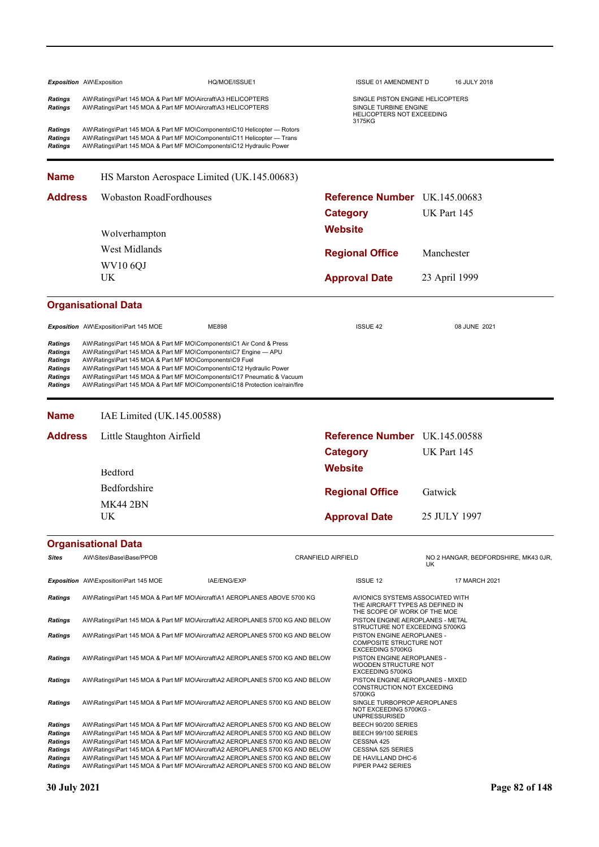|                                                                                            | <b>Exposition</b> AW\Exposition                                               | HQ/MOE/ISSUE1                                                                                                                                                                                                                                                                                                                                                                                                                      |                           |                                                                                        | <b>ISSUE 01 AMENDMENT D</b>                                                                                |               | 16 JULY 2018                         |
|--------------------------------------------------------------------------------------------|-------------------------------------------------------------------------------|------------------------------------------------------------------------------------------------------------------------------------------------------------------------------------------------------------------------------------------------------------------------------------------------------------------------------------------------------------------------------------------------------------------------------------|---------------------------|----------------------------------------------------------------------------------------|------------------------------------------------------------------------------------------------------------|---------------|--------------------------------------|
| <b>Ratings</b><br><b>Ratings</b>                                                           |                                                                               | AW\Ratings\Part 145 MOA & Part MF MO\Aircraft\A3 HELICOPTERS<br>AW\Ratings\Part 145 MOA & Part MF MO\Aircraft\A3 HELICOPTERS                                                                                                                                                                                                                                                                                                       |                           | SINGLE PISTON ENGINE HELICOPTERS<br>SINGLE TURBINE ENGINE<br>HELICOPTERS NOT EXCEEDING |                                                                                                            |               |                                      |
| Ratings<br>Ratings<br>Ratings                                                              |                                                                               | AW\Ratings\Part 145 MOA & Part MF MO\Components\C10 Helicopter — Rotors<br>AW\Ratings\Part 145 MOA & Part MF MO\Components\C11 Helicopter - Trans<br>AW\Ratings\Part 145 MOA & Part MF MO\Components\C12 Hydraulic Power                                                                                                                                                                                                           |                           |                                                                                        | 3175KG                                                                                                     |               |                                      |
| <b>Name</b>                                                                                |                                                                               | HS Marston Aerospace Limited (UK.145.00683)                                                                                                                                                                                                                                                                                                                                                                                        |                           |                                                                                        |                                                                                                            |               |                                      |
| <b>Address</b>                                                                             |                                                                               | <b>Wobaston RoadFordhouses</b>                                                                                                                                                                                                                                                                                                                                                                                                     |                           |                                                                                        | Reference Number UK.145.00683                                                                              |               |                                      |
|                                                                                            |                                                                               |                                                                                                                                                                                                                                                                                                                                                                                                                                    |                           | <b>Category</b>                                                                        |                                                                                                            | UK Part 145   |                                      |
|                                                                                            | Wolverhampton                                                                 |                                                                                                                                                                                                                                                                                                                                                                                                                                    |                           | <b>Website</b>                                                                         |                                                                                                            |               |                                      |
|                                                                                            | West Midlands                                                                 |                                                                                                                                                                                                                                                                                                                                                                                                                                    |                           |                                                                                        | <b>Regional Office</b>                                                                                     | Manchester    |                                      |
|                                                                                            | <b>WV10 6QJ</b>                                                               |                                                                                                                                                                                                                                                                                                                                                                                                                                    |                           |                                                                                        |                                                                                                            |               |                                      |
|                                                                                            | UK                                                                            |                                                                                                                                                                                                                                                                                                                                                                                                                                    |                           |                                                                                        | <b>Approval Date</b>                                                                                       | 23 April 1999 |                                      |
|                                                                                            | <b>Organisational Data</b>                                                    |                                                                                                                                                                                                                                                                                                                                                                                                                                    |                           |                                                                                        |                                                                                                            |               |                                      |
|                                                                                            | <b>Exposition</b> AW\Exposition\Part 145 MOE                                  | ME898                                                                                                                                                                                                                                                                                                                                                                                                                              |                           |                                                                                        | <b>ISSUE 42</b>                                                                                            |               | 08 JUNE 2021                         |
| <b>Ratings</b><br><b>Ratings</b><br>Ratings<br><b>Ratings</b><br><b>Ratings</b><br>Ratings |                                                                               | AW\Ratings\Part 145 MOA & Part MF MO\Components\C1 Air Cond & Press<br>AW\Ratings\Part 145 MOA & Part MF MO\Components\C7 Engine - APU<br>AW\Ratings\Part 145 MOA & Part MF MO\Components\C9 Fuel<br>AW\Ratings\Part 145 MOA & Part MF MO\Components\C12 Hydraulic Power<br>AW\Ratings\Part 145 MOA & Part MF MO\Components\C17 Pneumatic & Vacuum<br>AW\Ratings\Part 145 MOA & Part MF MO\Components\C18 Protection ice/rain/fire |                           |                                                                                        |                                                                                                            |               |                                      |
| <b>Name</b>                                                                                |                                                                               | IAE Limited (UK.145.00588)                                                                                                                                                                                                                                                                                                                                                                                                         |                           |                                                                                        |                                                                                                            |               |                                      |
| <b>Address</b>                                                                             |                                                                               | Little Staughton Airfield                                                                                                                                                                                                                                                                                                                                                                                                          |                           |                                                                                        | Reference Number UK.145.00588                                                                              |               |                                      |
|                                                                                            |                                                                               |                                                                                                                                                                                                                                                                                                                                                                                                                                    | <b>Category</b>           |                                                                                        | UK Part 145                                                                                                |               |                                      |
|                                                                                            | Bedford                                                                       |                                                                                                                                                                                                                                                                                                                                                                                                                                    |                           | <b>Website</b>                                                                         |                                                                                                            |               |                                      |
|                                                                                            | Bedfordshire                                                                  |                                                                                                                                                                                                                                                                                                                                                                                                                                    |                           |                                                                                        |                                                                                                            | Gatwick       |                                      |
|                                                                                            | <b>MK44 2BN</b>                                                               |                                                                                                                                                                                                                                                                                                                                                                                                                                    |                           | <b>Regional Office</b>                                                                 |                                                                                                            |               |                                      |
|                                                                                            | UK                                                                            |                                                                                                                                                                                                                                                                                                                                                                                                                                    |                           | <b>Approval Date</b>                                                                   |                                                                                                            | 25 JULY 1997  |                                      |
|                                                                                            | <b>Organisational Data</b>                                                    |                                                                                                                                                                                                                                                                                                                                                                                                                                    |                           |                                                                                        |                                                                                                            |               |                                      |
| Sites                                                                                      | AW\Sites\Base\Base/PPOB                                                       |                                                                                                                                                                                                                                                                                                                                                                                                                                    | <b>CRANFIELD AIRFIELD</b> |                                                                                        |                                                                                                            | UK            | NO 2 HANGAR, BEDFORDSHIRE, MK43 0JR, |
|                                                                                            | Exposition AW\Exposition\Part 145 MOE                                         | IAE/ENG/EXP                                                                                                                                                                                                                                                                                                                                                                                                                        |                           |                                                                                        | <b>ISSUE 12</b>                                                                                            |               | 17 MARCH 2021                        |
| Ratings                                                                                    |                                                                               | AW\Ratings\Part 145 MOA & Part MF MO\Aircraft\A1 AEROPLANES ABOVE 5700 KG                                                                                                                                                                                                                                                                                                                                                          |                           |                                                                                        | AVIONICS SYSTEMS ASSOCIATED WITH<br>THE AIRCRAFT TYPES AS DEFINED IN                                       |               |                                      |
| <b>Ratings</b>                                                                             |                                                                               | AW\Ratings\Part 145 MOA & Part MF MO\Aircraft\A2 AEROPLANES 5700 KG AND BELOW                                                                                                                                                                                                                                                                                                                                                      |                           |                                                                                        | THE SCOPE OF WORK OF THE MOE<br>PISTON ENGINE AEROPLANES - METAL<br>STRUCTURE NOT EXCEEDING 5700KG         |               |                                      |
| <b>Ratings</b>                                                                             |                                                                               | AW\Ratings\Part 145 MOA & Part MF MO\Aircraft\A2 AEROPLANES 5700 KG AND BELOW                                                                                                                                                                                                                                                                                                                                                      |                           |                                                                                        | PISTON ENGINE AEROPLANES -<br><b>COMPOSITE STRUCTURE NOT</b><br>EXCEEDING 5700KG                           |               |                                      |
| <b>Ratings</b>                                                                             |                                                                               | AW\Ratings\Part 145 MOA & Part MF MO\Aircraft\A2 AEROPLANES 5700 KG AND BELOW                                                                                                                                                                                                                                                                                                                                                      |                           |                                                                                        | PISTON ENGINE AEROPLANES -<br>WOODEN STRUCTURE NOT                                                         |               |                                      |
| Ratings                                                                                    | AW\Ratings\Part 145 MOA & Part MF MO\Aircraft\A2 AEROPLANES 5700 KG AND BELOW |                                                                                                                                                                                                                                                                                                                                                                                                                                    |                           | EXCEEDING 5700KG<br>PISTON ENGINE AEROPLANES - MIXED<br>CONSTRUCTION NOT EXCEEDING     |                                                                                                            |               |                                      |
| Ratings                                                                                    |                                                                               | AW\Ratings\Part 145 MOA & Part MF MO\Aircraft\A2 AEROPLANES 5700 KG AND BELOW                                                                                                                                                                                                                                                                                                                                                      |                           |                                                                                        | 5700KG<br>SINGLE TURBOPROP AEROPLANES<br>NOT EXCEEDING 5700KG -<br><b>UNPRESSURISED</b>                    |               |                                      |
| Ratings<br>Ratings<br>Ratings<br>Ratings<br>Ratings                                        |                                                                               | AW\Ratings\Part 145 MOA & Part MF MO\Aircraft\A2 AEROPLANES 5700 KG AND BELOW<br>AW\Ratings\Part 145 MOA & Part MF MO\Aircraft\A2 AEROPLANES 5700 KG AND BELOW<br>AW\Ratings\Part 145 MOA & Part MF MO\Aircraft\A2 AEROPLANES 5700 KG AND BELOW<br>AW\Ratings\Part 145 MOA & Part MF MO\Aircraft\A2 AEROPLANES 5700 KG AND BELOW<br>AW\Ratings\Part 145 MOA & Part MF MO\Aircraft\A2 AEROPLANES 5700 KG AND BELOW                  |                           |                                                                                        | BEECH 90/200 SERIES<br>BEECH 99/100 SERIES<br>CESSNA 425<br><b>CESSNA 525 SERIES</b><br>DE HAVILLAND DHC-6 |               |                                      |
| <b>Ratings</b>                                                                             |                                                                               | AW\Ratings\Part 145 MOA & Part MF MO\Aircraft\A2 AEROPLANES 5700 KG AND BELOW                                                                                                                                                                                                                                                                                                                                                      |                           |                                                                                        | PIPER PA42 SERIES                                                                                          |               |                                      |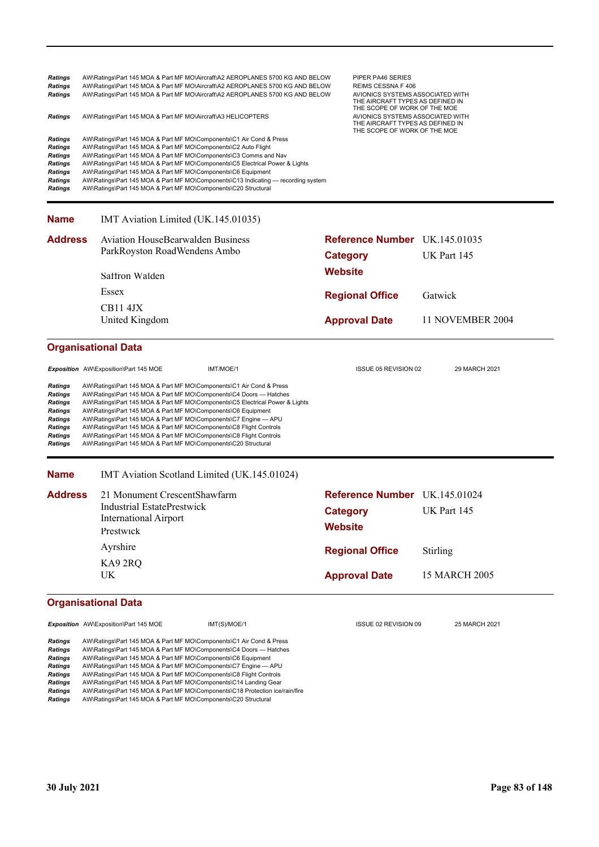| <b>Ratings</b><br><b>Ratings</b><br><b>Ratings</b><br><b>Ratings</b><br><b>Ratings</b><br><b>Ratings</b><br><b>Ratings</b><br><b>Ratings</b><br><b>Ratings</b><br><b>Ratings</b><br><b>Ratings</b> | AW\Ratings\Part 145 MOA & Part MF MO\Aircraft\A3 HELICOPTERS<br>AW\Ratings\Part 145 MOA & Part MF MO\Components\C1 Air Cond & Press<br>AW\Ratings\Part 145 MOA & Part MF MO\Components\C2 Auto Flight<br>AW\Ratings\Part 145 MOA & Part MF MO\Components\C3 Comms and Nav<br>AW\Ratings\Part 145 MOA & Part MF MO\Components\C6 Equipment<br>AW\Ratings\Part 145 MOA & Part MF MO\Components\C20 Structural                                                                                            | AW\Ratings\Part 145 MOA & Part MF MO\Aircraft\A2 AEROPLANES 5700 KG AND BELOW<br>AW\Ratings\Part 145 MOA & Part MF MO\Aircraft\A2 AEROPLANES 5700 KG AND BELOW<br>AW\Ratings\Part 145 MOA & Part MF MO\Aircraft\A2 AEROPLANES 5700 KG AND BELOW<br>AW\Ratings\Part 145 MOA & Part MF MO\Components\C5 Electrical Power & Lights<br>AW\Ratings\Part 145 MOA & Part MF MO\Components\C13 Indicating — recording system |                                   | PIPER PA46 SERIES<br>REIMS CESSNA F 406<br>AVIONICS SYSTEMS ASSOCIATED WITH<br>THE AIRCRAFT TYPES AS DEFINED IN<br>THE SCOPE OF WORK OF THE MOE<br>AVIONICS SYSTEMS ASSOCIATED WITH<br>THE AIRCRAFT TYPES AS DEFINED IN<br>THE SCOPE OF WORK OF THE MOE |          |                      |
|----------------------------------------------------------------------------------------------------------------------------------------------------------------------------------------------------|--------------------------------------------------------------------------------------------------------------------------------------------------------------------------------------------------------------------------------------------------------------------------------------------------------------------------------------------------------------------------------------------------------------------------------------------------------------------------------------------------------|----------------------------------------------------------------------------------------------------------------------------------------------------------------------------------------------------------------------------------------------------------------------------------------------------------------------------------------------------------------------------------------------------------------------|-----------------------------------|---------------------------------------------------------------------------------------------------------------------------------------------------------------------------------------------------------------------------------------------------------|----------|----------------------|
| <b>Name</b>                                                                                                                                                                                        | IMT Aviation Limited (UK.145.01035)                                                                                                                                                                                                                                                                                                                                                                                                                                                                    |                                                                                                                                                                                                                                                                                                                                                                                                                      |                                   |                                                                                                                                                                                                                                                         |          |                      |
| <b>Address</b>                                                                                                                                                                                     | <b>Aviation HouseBearwalden Business</b><br>ParkRoyston RoadWendens Ambo                                                                                                                                                                                                                                                                                                                                                                                                                               |                                                                                                                                                                                                                                                                                                                                                                                                                      | <b>Category</b>                   | Reference Number UK.145.01035                                                                                                                                                                                                                           |          | UK Part 145          |
|                                                                                                                                                                                                    | Saffron Walden                                                                                                                                                                                                                                                                                                                                                                                                                                                                                         |                                                                                                                                                                                                                                                                                                                                                                                                                      | <b>Website</b>                    |                                                                                                                                                                                                                                                         |          |                      |
|                                                                                                                                                                                                    | Essex                                                                                                                                                                                                                                                                                                                                                                                                                                                                                                  |                                                                                                                                                                                                                                                                                                                                                                                                                      |                                   | <b>Regional Office</b>                                                                                                                                                                                                                                  | Gatwick  |                      |
|                                                                                                                                                                                                    | CB114JX                                                                                                                                                                                                                                                                                                                                                                                                                                                                                                |                                                                                                                                                                                                                                                                                                                                                                                                                      |                                   |                                                                                                                                                                                                                                                         |          |                      |
|                                                                                                                                                                                                    | United Kingdom                                                                                                                                                                                                                                                                                                                                                                                                                                                                                         |                                                                                                                                                                                                                                                                                                                                                                                                                      |                                   | <b>Approval Date</b>                                                                                                                                                                                                                                    |          | 11 NOVEMBER 2004     |
|                                                                                                                                                                                                    | <b>Organisational Data</b>                                                                                                                                                                                                                                                                                                                                                                                                                                                                             |                                                                                                                                                                                                                                                                                                                                                                                                                      |                                   |                                                                                                                                                                                                                                                         |          |                      |
|                                                                                                                                                                                                    | Exposition AW\Exposition\Part 145 MOE                                                                                                                                                                                                                                                                                                                                                                                                                                                                  | IMT/MOE/1                                                                                                                                                                                                                                                                                                                                                                                                            |                                   | ISSUE 05 REVISION 02                                                                                                                                                                                                                                    |          | 29 MARCH 2021        |
| <b>Ratings</b><br><b>Ratings</b><br><b>Ratings</b><br><b>Ratings</b><br><b>Ratings</b><br><b>Ratings</b><br>Ratings<br><b>Ratings</b>                                                              | AW\Ratings\Part 145 MOA & Part MF MO\Components\C1 Air Cond & Press<br>AW\Ratings\Part 145 MOA & Part MF MO\Components\C4 Doors - Hatches<br>AW\Ratings\Part 145 MOA & Part MF MO\Components\C6 Equipment<br>AW\Ratings\Part 145 MOA & Part MF MO\Components\C7 Engine - APU<br>AW\Ratings\Part 145 MOA & Part MF MO\Components\C8 Flight Controls<br>AW\Ratings\Part 145 MOA & Part MF MO\Components\C8 Flight Controls<br>AW\Ratings\Part 145 MOA & Part MF MO\Components\C20 Structural             | AW\Ratings\Part 145 MOA & Part MF MO\Components\C5 Electrical Power & Lights                                                                                                                                                                                                                                                                                                                                         |                                   |                                                                                                                                                                                                                                                         |          |                      |
| <b>Name</b>                                                                                                                                                                                        | IMT Aviation Scotland Limited (UK.145.01024)                                                                                                                                                                                                                                                                                                                                                                                                                                                           |                                                                                                                                                                                                                                                                                                                                                                                                                      |                                   |                                                                                                                                                                                                                                                         |          |                      |
| <b>Address</b>                                                                                                                                                                                     | 21 Monument CrescentShawfarm<br>Industrial EstatePrestwick<br><b>International Airport</b><br>Prestwick                                                                                                                                                                                                                                                                                                                                                                                                |                                                                                                                                                                                                                                                                                                                                                                                                                      | <b>Category</b><br><b>Website</b> | Reference Number UK.145.01024                                                                                                                                                                                                                           |          | UK Part 145          |
|                                                                                                                                                                                                    | Ayrshire                                                                                                                                                                                                                                                                                                                                                                                                                                                                                               |                                                                                                                                                                                                                                                                                                                                                                                                                      |                                   | <b>Regional Office</b>                                                                                                                                                                                                                                  | Stirling |                      |
|                                                                                                                                                                                                    | KA92RQ                                                                                                                                                                                                                                                                                                                                                                                                                                                                                                 |                                                                                                                                                                                                                                                                                                                                                                                                                      |                                   |                                                                                                                                                                                                                                                         |          |                      |
|                                                                                                                                                                                                    | UK                                                                                                                                                                                                                                                                                                                                                                                                                                                                                                     |                                                                                                                                                                                                                                                                                                                                                                                                                      |                                   | <b>Approval Date</b>                                                                                                                                                                                                                                    |          | <b>15 MARCH 2005</b> |
|                                                                                                                                                                                                    | <b>Organisational Data</b>                                                                                                                                                                                                                                                                                                                                                                                                                                                                             |                                                                                                                                                                                                                                                                                                                                                                                                                      |                                   |                                                                                                                                                                                                                                                         |          |                      |
|                                                                                                                                                                                                    | Exposition AW\Exposition\Part 145 MOE                                                                                                                                                                                                                                                                                                                                                                                                                                                                  | IMT(S)/MOE/1                                                                                                                                                                                                                                                                                                                                                                                                         |                                   | ISSUE 02 REVISION 09                                                                                                                                                                                                                                    |          | 25 MARCH 2021        |
| <b>Ratings</b><br><b>Ratings</b><br><b>Ratings</b><br><b>Ratings</b><br>Ratings<br><b>Ratings</b><br>Ratings                                                                                       | AW\Ratings\Part 145 MOA & Part MF MO\Components\C1 Air Cond & Press<br>AW\Ratings\Part 145 MOA & Part MF MO\Components\C4 Doors - Hatches<br>AW\Ratings\Part 145 MOA & Part MF MO\Components\C6 Equipment<br>AW\Ratings\Part 145 MOA & Part MF MO\Components\C7 Engine - APU<br>AW\Ratings\Part 145 MOA & Part MF MO\Components\C8 Flight Controls<br>AW\Ratings\Part 145 MOA & Part MF MO\Components\C14 Landing Gear<br>AW\Ratings\Part 145 MOA & Part MF MO\Components\C18 Protection ice/rain/fire |                                                                                                                                                                                                                                                                                                                                                                                                                      |                                   |                                                                                                                                                                                                                                                         |          |                      |

*Ratings* AW\Ratings\Part 145 MOA & Part MF MO\Components\C20 Structural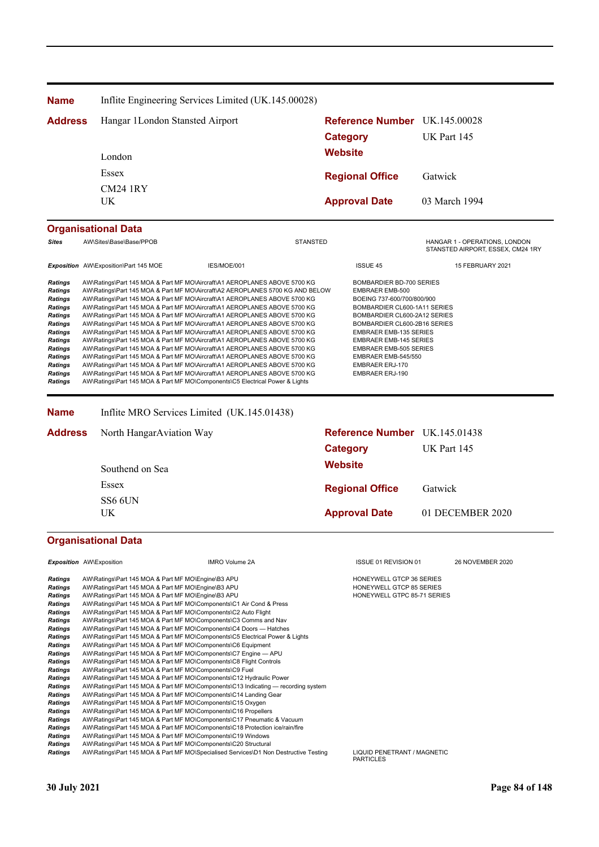| Hangar 1London Stansted Airport<br><b>Address</b><br>London<br>Essex<br><b>CM24 1RY</b><br><b>UK</b> | Inflite Engineering Services Limited (UK.145.00028) | <b>Category</b><br><b>Website</b>                                                                                                                                                                                                                                                                                                                                                                                                                                                                                                                                                                                                                                                                                                                                                                                                                                                                                                                                                                                                                                                                                                                                                                                                                                                                                                                                                                                                                                                                                                                                                                                                                                                                                                                                                                                                                                                                                                                                                                                                                                                                                                                                                                                                                                                                                                                                                                                     | Reference Number UK.145.00028                                                                                                                                                                                                                                                                                                      | UK Part 145                                                                                                                                                                                         |
|------------------------------------------------------------------------------------------------------|-----------------------------------------------------|-----------------------------------------------------------------------------------------------------------------------------------------------------------------------------------------------------------------------------------------------------------------------------------------------------------------------------------------------------------------------------------------------------------------------------------------------------------------------------------------------------------------------------------------------------------------------------------------------------------------------------------------------------------------------------------------------------------------------------------------------------------------------------------------------------------------------------------------------------------------------------------------------------------------------------------------------------------------------------------------------------------------------------------------------------------------------------------------------------------------------------------------------------------------------------------------------------------------------------------------------------------------------------------------------------------------------------------------------------------------------------------------------------------------------------------------------------------------------------------------------------------------------------------------------------------------------------------------------------------------------------------------------------------------------------------------------------------------------------------------------------------------------------------------------------------------------------------------------------------------------------------------------------------------------------------------------------------------------------------------------------------------------------------------------------------------------------------------------------------------------------------------------------------------------------------------------------------------------------------------------------------------------------------------------------------------------------------------------------------------------------------------------------------------------|------------------------------------------------------------------------------------------------------------------------------------------------------------------------------------------------------------------------------------------------------------------------------------------------------------------------------------|-----------------------------------------------------------------------------------------------------------------------------------------------------------------------------------------------------|
|                                                                                                      |                                                     |                                                                                                                                                                                                                                                                                                                                                                                                                                                                                                                                                                                                                                                                                                                                                                                                                                                                                                                                                                                                                                                                                                                                                                                                                                                                                                                                                                                                                                                                                                                                                                                                                                                                                                                                                                                                                                                                                                                                                                                                                                                                                                                                                                                                                                                                                                                                                                                                                       |                                                                                                                                                                                                                                                                                                                                    |                                                                                                                                                                                                     |
|                                                                                                      |                                                     |                                                                                                                                                                                                                                                                                                                                                                                                                                                                                                                                                                                                                                                                                                                                                                                                                                                                                                                                                                                                                                                                                                                                                                                                                                                                                                                                                                                                                                                                                                                                                                                                                                                                                                                                                                                                                                                                                                                                                                                                                                                                                                                                                                                                                                                                                                                                                                                                                       |                                                                                                                                                                                                                                                                                                                                    |                                                                                                                                                                                                     |
|                                                                                                      |                                                     |                                                                                                                                                                                                                                                                                                                                                                                                                                                                                                                                                                                                                                                                                                                                                                                                                                                                                                                                                                                                                                                                                                                                                                                                                                                                                                                                                                                                                                                                                                                                                                                                                                                                                                                                                                                                                                                                                                                                                                                                                                                                                                                                                                                                                                                                                                                                                                                                                       |                                                                                                                                                                                                                                                                                                                                    |                                                                                                                                                                                                     |
|                                                                                                      |                                                     |                                                                                                                                                                                                                                                                                                                                                                                                                                                                                                                                                                                                                                                                                                                                                                                                                                                                                                                                                                                                                                                                                                                                                                                                                                                                                                                                                                                                                                                                                                                                                                                                                                                                                                                                                                                                                                                                                                                                                                                                                                                                                                                                                                                                                                                                                                                                                                                                                       |                                                                                                                                                                                                                                                                                                                                    |                                                                                                                                                                                                     |
|                                                                                                      |                                                     |                                                                                                                                                                                                                                                                                                                                                                                                                                                                                                                                                                                                                                                                                                                                                                                                                                                                                                                                                                                                                                                                                                                                                                                                                                                                                                                                                                                                                                                                                                                                                                                                                                                                                                                                                                                                                                                                                                                                                                                                                                                                                                                                                                                                                                                                                                                                                                                                                       |                                                                                                                                                                                                                                                                                                                                    |                                                                                                                                                                                                     |
|                                                                                                      |                                                     |                                                                                                                                                                                                                                                                                                                                                                                                                                                                                                                                                                                                                                                                                                                                                                                                                                                                                                                                                                                                                                                                                                                                                                                                                                                                                                                                                                                                                                                                                                                                                                                                                                                                                                                                                                                                                                                                                                                                                                                                                                                                                                                                                                                                                                                                                                                                                                                                                       | <b>Regional Office</b>                                                                                                                                                                                                                                                                                                             | Gatwick                                                                                                                                                                                             |
|                                                                                                      |                                                     |                                                                                                                                                                                                                                                                                                                                                                                                                                                                                                                                                                                                                                                                                                                                                                                                                                                                                                                                                                                                                                                                                                                                                                                                                                                                                                                                                                                                                                                                                                                                                                                                                                                                                                                                                                                                                                                                                                                                                                                                                                                                                                                                                                                                                                                                                                                                                                                                                       | <b>Approval Date</b>                                                                                                                                                                                                                                                                                                               | 03 March 1994                                                                                                                                                                                       |
|                                                                                                      |                                                     |                                                                                                                                                                                                                                                                                                                                                                                                                                                                                                                                                                                                                                                                                                                                                                                                                                                                                                                                                                                                                                                                                                                                                                                                                                                                                                                                                                                                                                                                                                                                                                                                                                                                                                                                                                                                                                                                                                                                                                                                                                                                                                                                                                                                                                                                                                                                                                                                                       |                                                                                                                                                                                                                                                                                                                                    |                                                                                                                                                                                                     |
| AW\Sites\Base\Base/PPOB                                                                              |                                                     |                                                                                                                                                                                                                                                                                                                                                                                                                                                                                                                                                                                                                                                                                                                                                                                                                                                                                                                                                                                                                                                                                                                                                                                                                                                                                                                                                                                                                                                                                                                                                                                                                                                                                                                                                                                                                                                                                                                                                                                                                                                                                                                                                                                                                                                                                                                                                                                                                       |                                                                                                                                                                                                                                                                                                                                    | HANGAR 1 - OPERATIONS, LONDON<br>STANSTED AIRPORT, ESSEX, CM24 1RY                                                                                                                                  |
| Exposition AW\Exposition\Part 145 MOE                                                                | IES/MOE/001                                         |                                                                                                                                                                                                                                                                                                                                                                                                                                                                                                                                                                                                                                                                                                                                                                                                                                                                                                                                                                                                                                                                                                                                                                                                                                                                                                                                                                                                                                                                                                                                                                                                                                                                                                                                                                                                                                                                                                                                                                                                                                                                                                                                                                                                                                                                                                                                                                                                                       | <b>ISSUE 45</b>                                                                                                                                                                                                                                                                                                                    | 15 FEBRUARY 2021                                                                                                                                                                                    |
|                                                                                                      |                                                     |                                                                                                                                                                                                                                                                                                                                                                                                                                                                                                                                                                                                                                                                                                                                                                                                                                                                                                                                                                                                                                                                                                                                                                                                                                                                                                                                                                                                                                                                                                                                                                                                                                                                                                                                                                                                                                                                                                                                                                                                                                                                                                                                                                                                                                                                                                                                                                                                                       | <b>EMBRAER EMB-500</b><br>BOEING 737-600/700/800/900<br>BOMBARDIER CL600-1A11 SERIES<br>BOMBARDIER CL600-2A12 SERIES<br>BOMBARDIER CL600-2B16 SERIES<br><b>EMBRAER EMB-135 SERIES</b><br><b>EMBRAER EMB-145 SERIES</b><br><b>EMBRAER EMB-505 SERIES</b><br>EMBRAER EMB-545/550<br><b>EMBRAER ERJ-170</b><br><b>EMBRAER ERJ-190</b> |                                                                                                                                                                                                     |
|                                                                                                      |                                                     |                                                                                                                                                                                                                                                                                                                                                                                                                                                                                                                                                                                                                                                                                                                                                                                                                                                                                                                                                                                                                                                                                                                                                                                                                                                                                                                                                                                                                                                                                                                                                                                                                                                                                                                                                                                                                                                                                                                                                                                                                                                                                                                                                                                                                                                                                                                                                                                                                       |                                                                                                                                                                                                                                                                                                                                    |                                                                                                                                                                                                     |
| Address                                                                                              |                                                     |                                                                                                                                                                                                                                                                                                                                                                                                                                                                                                                                                                                                                                                                                                                                                                                                                                                                                                                                                                                                                                                                                                                                                                                                                                                                                                                                                                                                                                                                                                                                                                                                                                                                                                                                                                                                                                                                                                                                                                                                                                                                                                                                                                                                                                                                                                                                                                                                                       |                                                                                                                                                                                                                                                                                                                                    |                                                                                                                                                                                                     |
|                                                                                                      |                                                     |                                                                                                                                                                                                                                                                                                                                                                                                                                                                                                                                                                                                                                                                                                                                                                                                                                                                                                                                                                                                                                                                                                                                                                                                                                                                                                                                                                                                                                                                                                                                                                                                                                                                                                                                                                                                                                                                                                                                                                                                                                                                                                                                                                                                                                                                                                                                                                                                                       |                                                                                                                                                                                                                                                                                                                                    | UK Part 145                                                                                                                                                                                         |
| Southend on Sea                                                                                      |                                                     |                                                                                                                                                                                                                                                                                                                                                                                                                                                                                                                                                                                                                                                                                                                                                                                                                                                                                                                                                                                                                                                                                                                                                                                                                                                                                                                                                                                                                                                                                                                                                                                                                                                                                                                                                                                                                                                                                                                                                                                                                                                                                                                                                                                                                                                                                                                                                                                                                       |                                                                                                                                                                                                                                                                                                                                    |                                                                                                                                                                                                     |
| Essex                                                                                                |                                                     |                                                                                                                                                                                                                                                                                                                                                                                                                                                                                                                                                                                                                                                                                                                                                                                                                                                                                                                                                                                                                                                                                                                                                                                                                                                                                                                                                                                                                                                                                                                                                                                                                                                                                                                                                                                                                                                                                                                                                                                                                                                                                                                                                                                                                                                                                                                                                                                                                       |                                                                                                                                                                                                                                                                                                                                    | Gatwick                                                                                                                                                                                             |
|                                                                                                      |                                                     |                                                                                                                                                                                                                                                                                                                                                                                                                                                                                                                                                                                                                                                                                                                                                                                                                                                                                                                                                                                                                                                                                                                                                                                                                                                                                                                                                                                                                                                                                                                                                                                                                                                                                                                                                                                                                                                                                                                                                                                                                                                                                                                                                                                                                                                                                                                                                                                                                       |                                                                                                                                                                                                                                                                                                                                    |                                                                                                                                                                                                     |
| UK                                                                                                   |                                                     |                                                                                                                                                                                                                                                                                                                                                                                                                                                                                                                                                                                                                                                                                                                                                                                                                                                                                                                                                                                                                                                                                                                                                                                                                                                                                                                                                                                                                                                                                                                                                                                                                                                                                                                                                                                                                                                                                                                                                                                                                                                                                                                                                                                                                                                                                                                                                                                                                       |                                                                                                                                                                                                                                                                                                                                    | 01 DECEMBER 2020                                                                                                                                                                                    |
| <b>Organisational Data</b>                                                                           |                                                     |                                                                                                                                                                                                                                                                                                                                                                                                                                                                                                                                                                                                                                                                                                                                                                                                                                                                                                                                                                                                                                                                                                                                                                                                                                                                                                                                                                                                                                                                                                                                                                                                                                                                                                                                                                                                                                                                                                                                                                                                                                                                                                                                                                                                                                                                                                                                                                                                                       |                                                                                                                                                                                                                                                                                                                                    |                                                                                                                                                                                                     |
| <b>Exposition</b> AW\Exposition                                                                      | <b>IMRO Volume 2A</b>                               |                                                                                                                                                                                                                                                                                                                                                                                                                                                                                                                                                                                                                                                                                                                                                                                                                                                                                                                                                                                                                                                                                                                                                                                                                                                                                                                                                                                                                                                                                                                                                                                                                                                                                                                                                                                                                                                                                                                                                                                                                                                                                                                                                                                                                                                                                                                                                                                                                       | ISSUE 01 REVISION 01                                                                                                                                                                                                                                                                                                               | 26 NOVEMBER 2020                                                                                                                                                                                    |
|                                                                                                      |                                                     |                                                                                                                                                                                                                                                                                                                                                                                                                                                                                                                                                                                                                                                                                                                                                                                                                                                                                                                                                                                                                                                                                                                                                                                                                                                                                                                                                                                                                                                                                                                                                                                                                                                                                                                                                                                                                                                                                                                                                                                                                                                                                                                                                                                                                                                                                                                                                                                                                       | HONEYWELL GTCP 36 SERIES<br>HONEYWELL GTCP 85 SERIES<br>HONEYWELL GTPC 85-71 SERIES                                                                                                                                                                                                                                                |                                                                                                                                                                                                     |
|                                                                                                      | <b>Organisational Data</b><br>SS6 6UN               | AW\Ratings\Part 145 MOA & Part MF MO\Aircraft\A1 AEROPLANES ABOVE 5700 KG<br>AW\Ratings\Part 145 MOA & Part MF MO\Aircraft\A1 AEROPLANES ABOVE 5700 KG<br>AW\Ratings\Part 145 MOA & Part MF MO\Aircraft\A1 AEROPLANES ABOVE 5700 KG<br>AW\Ratings\Part 145 MOA & Part MF MO\Aircraft\A1 AEROPLANES ABOVE 5700 KG<br>AW\Ratings\Part 145 MOA & Part MF MO\Aircraft\A1 AEROPLANES ABOVE 5700 KG<br>AW\Ratings\Part 145 MOA & Part MF MO\Aircraft\A1 AEROPLANES ABOVE 5700 KG<br>AW\Ratings\Part 145 MOA & Part MF MO\Aircraft\A1 AEROPLANES ABOVE 5700 KG<br>AW\Ratings\Part 145 MOA & Part MF MO\Aircraft\A1 AEROPLANES ABOVE 5700 KG<br>AW\Ratings\Part 145 MOA & Part MF MO\Aircraft\A1 AEROPLANES ABOVE 5700 KG<br>AW\Ratings\Part 145 MOA & Part MF MO\Aircraft\A1 AEROPLANES ABOVE 5700 KG<br>AW\Ratings\Part 145 MOA & Part MF MO\Aircraft\A1 AEROPLANES ABOVE 5700 KG<br>AW\Ratings\Part 145 MOA & Part MF MO\Components\C5 Electrical Power & Lights<br>Inflite MRO Services Limited (UK.145.01438)<br>North HangarAviation Way<br>AW\Ratings\Part 145 MOA & Part MF MO\Engine\B3 APU<br>AW\Ratings\Part 145 MOA & Part MF MO\Engine\B3 APU<br>AW\Ratings\Part 145 MOA & Part MF MO\Engine\B3 APU<br>AW\Ratings\Part 145 MOA & Part MF MO\Components\C1 Air Cond & Press<br>AW\Ratings\Part 145 MOA & Part MF MO\Components\C2 Auto Flight<br>AW\Ratings\Part 145 MOA & Part MF MO\Components\C3 Comms and Nav<br>AW\Ratings\Part 145 MOA & Part MF MO\Components\C4 Doors - Hatches<br>AW\Ratings\Part 145 MOA & Part MF MO\Components\C5 Electrical Power & Lights<br>AW\Ratings\Part 145 MOA & Part MF MO\Components\C6 Equipment<br>AW\Ratings\Part 145 MOA & Part MF MO\Components\C7 Engine - APU<br>AW\Ratings\Part 145 MOA & Part MF MO\Components\C8 Flight Controls<br>AW\Ratings\Part 145 MOA & Part MF MO\Components\C9 Fuel<br>AW\Ratings\Part 145 MOA & Part MF MO\Components\C12 Hydraulic Power<br>AW\Ratings\Part 145 MOA & Part MF MO\Components\C14 Landing Gear<br>AW\Ratings\Part 145 MOA & Part MF MO\Components\C15 Oxygen<br>AW\Ratings\Part 145 MOA & Part MF MO\Components\C16 Propellers<br>AW\Ratings\Part 145 MOA & Part MF MO\Components\C17 Pneumatic & Vacuum<br>AW\Ratings\Part 145 MOA & Part MF MO\Components\C18 Protection ice/rain/fire<br>AW\Ratings\Part 145 MOA & Part MF MO\Components\C19 Windows<br>AW\Ratings\Part 145 MOA & Part MF MO\Components\C20 Structural | <b>STANSTED</b><br>AW\Ratings\Part 145 MOA & Part MF MO\Aircraft\A2 AEROPLANES 5700 KG AND BELOW<br>AW\Ratings\Part 145 MOA & Part MF MO\Components\C13 Indicating — recording system<br>AW\Ratings\Part 145 MOA & Part MF MO\Specialised Services\D1 Non Destructive Testing                                                      | BOMBARDIER BD-700 SERIES<br>Reference Number UK.145.01438<br><b>Category</b><br><b>Website</b><br><b>Regional Office</b><br><b>Approval Date</b><br>LIQUID PENETRANT / MAGNETIC<br><b>PARTICLES</b> |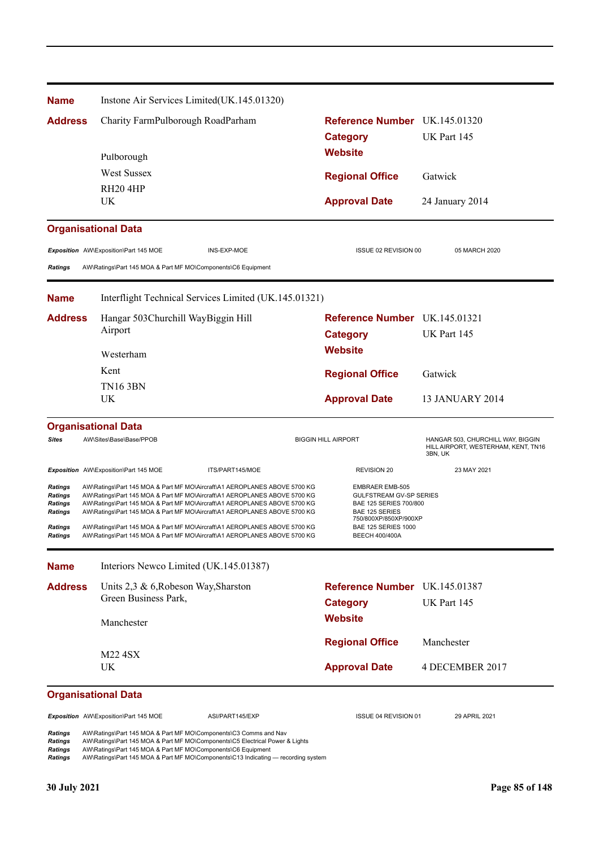| <b>Name</b>                                                                  |                                                              | Instone Air Services Limited(UK.145.01320)                                                                                                                                                                                                                                                                                                                                                                                                                                 |                                                |                                                                                                                                           |                                                                                     |
|------------------------------------------------------------------------------|--------------------------------------------------------------|----------------------------------------------------------------------------------------------------------------------------------------------------------------------------------------------------------------------------------------------------------------------------------------------------------------------------------------------------------------------------------------------------------------------------------------------------------------------------|------------------------------------------------|-------------------------------------------------------------------------------------------------------------------------------------------|-------------------------------------------------------------------------------------|
| <b>Address</b>                                                               | Charity FarmPulborough RoadParham                            |                                                                                                                                                                                                                                                                                                                                                                                                                                                                            |                                                |                                                                                                                                           | Reference Number UK.145.01320                                                       |
|                                                                              | Pulborough                                                   |                                                                                                                                                                                                                                                                                                                                                                                                                                                                            | <b>Category</b>                                |                                                                                                                                           | UK Part 145                                                                         |
|                                                                              |                                                              |                                                                                                                                                                                                                                                                                                                                                                                                                                                                            | <b>Website</b>                                 |                                                                                                                                           |                                                                                     |
|                                                                              | <b>West Sussex</b>                                           |                                                                                                                                                                                                                                                                                                                                                                                                                                                                            | <b>Regional Office</b>                         |                                                                                                                                           | Gatwick                                                                             |
|                                                                              | RH <sub>20</sub> 4HP                                         |                                                                                                                                                                                                                                                                                                                                                                                                                                                                            |                                                |                                                                                                                                           |                                                                                     |
|                                                                              | UK.                                                          |                                                                                                                                                                                                                                                                                                                                                                                                                                                                            | <b>Approval Date</b>                           |                                                                                                                                           | 24 January 2014                                                                     |
|                                                                              | <b>Organisational Data</b>                                   |                                                                                                                                                                                                                                                                                                                                                                                                                                                                            |                                                |                                                                                                                                           |                                                                                     |
|                                                                              | Exposition AW\Exposition\Part 145 MOE                        | INS-EXP-MOE                                                                                                                                                                                                                                                                                                                                                                                                                                                                |                                                | ISSUE 02 REVISION 00                                                                                                                      | 05 MARCH 2020                                                                       |
| <b>Ratings</b>                                                               | AW\Ratings\Part 145 MOA & Part MF MO\Components\C6 Equipment |                                                                                                                                                                                                                                                                                                                                                                                                                                                                            |                                                |                                                                                                                                           |                                                                                     |
| <b>Name</b>                                                                  |                                                              | Interflight Technical Services Limited (UK.145.01321)                                                                                                                                                                                                                                                                                                                                                                                                                      |                                                |                                                                                                                                           |                                                                                     |
| <b>Address</b>                                                               | Hangar 503Churchill WayBiggin Hill                           |                                                                                                                                                                                                                                                                                                                                                                                                                                                                            |                                                |                                                                                                                                           | Reference Number UK.145.01321                                                       |
|                                                                              | Airport                                                      |                                                                                                                                                                                                                                                                                                                                                                                                                                                                            | <b>Category</b>                                |                                                                                                                                           | UK Part 145                                                                         |
|                                                                              | Westerham                                                    |                                                                                                                                                                                                                                                                                                                                                                                                                                                                            | <b>Website</b>                                 |                                                                                                                                           |                                                                                     |
|                                                                              | Kent                                                         |                                                                                                                                                                                                                                                                                                                                                                                                                                                                            | <b>Regional Office</b>                         |                                                                                                                                           | Gatwick                                                                             |
|                                                                              | <b>TN16 3BN</b>                                              |                                                                                                                                                                                                                                                                                                                                                                                                                                                                            |                                                |                                                                                                                                           |                                                                                     |
|                                                                              | UK                                                           |                                                                                                                                                                                                                                                                                                                                                                                                                                                                            | <b>Approval Date</b>                           |                                                                                                                                           | <b>13 JANUARY 2014</b>                                                              |
|                                                                              | <b>Organisational Data</b>                                   |                                                                                                                                                                                                                                                                                                                                                                                                                                                                            |                                                |                                                                                                                                           |                                                                                     |
| <b>Sites</b>                                                                 | AW\Sites\Base\Base/PPOB                                      |                                                                                                                                                                                                                                                                                                                                                                                                                                                                            | <b>BIGGIN HILL AIRPORT</b>                     |                                                                                                                                           | HANGAR 503, CHURCHILL WAY, BIGGIN<br>HILL AIRPORT, WESTERHAM, KENT, TN16<br>3BN, UK |
|                                                                              | Exposition AW\Exposition\Part 145 MOE                        | ITS/PART145/MOE                                                                                                                                                                                                                                                                                                                                                                                                                                                            | <b>REVISION 20</b>                             |                                                                                                                                           | 23 MAY 2021                                                                         |
| Ratings<br>Ratings<br>Ratings<br><b>Ratings</b><br><b>Ratings</b><br>Ratings |                                                              | AW\Ratings\Part 145 MOA & Part MF MO\Aircraft\A1 AEROPLANES ABOVE 5700 KG<br>AW\Ratings\Part 145 MOA & Part MF MO\Aircraft\A1 AEROPLANES ABOVE 5700 KG<br>AW\Ratings\Part 145 MOA & Part MF MO\Aircraft\A1 AEROPLANES ABOVE 5700 KG<br>AW\Ratings\Part 145 MOA & Part MF MO\Aircraft\A1 AEROPLANES ABOVE 5700 KG<br>AW\Ratings\Part 145 MOA & Part MF MO\Aircraft\A1 AEROPLANES ABOVE 5700 KG<br>AW\Ratings\Part 145 MOA & Part MF MO\Aircraft\A1 AEROPLANES ABOVE 5700 KG | <b>BAE 125 SERIES</b><br><b>BEECH 400/400A</b> | <b>EMBRAER EMB-505</b><br><b>GULFSTREAM GV-SP SERIES</b><br>BAE 125 SERIES 700/800<br>750/800XP/850XP/900XP<br><b>BAE 125 SERIES 1000</b> |                                                                                     |
| <b>Name</b>                                                                  |                                                              | Interiors Newco Limited (UK.145.01387)                                                                                                                                                                                                                                                                                                                                                                                                                                     |                                                |                                                                                                                                           |                                                                                     |
| <b>Address</b>                                                               | Units 2,3 & 6, Robeson Way, Sharston                         |                                                                                                                                                                                                                                                                                                                                                                                                                                                                            |                                                |                                                                                                                                           | Reference Number UK.145.01387                                                       |
|                                                                              | Green Business Park,                                         |                                                                                                                                                                                                                                                                                                                                                                                                                                                                            | <b>Category</b>                                |                                                                                                                                           | UK Part 145                                                                         |
|                                                                              | Manchester                                                   |                                                                                                                                                                                                                                                                                                                                                                                                                                                                            | <b>Website</b>                                 |                                                                                                                                           |                                                                                     |
|                                                                              |                                                              |                                                                                                                                                                                                                                                                                                                                                                                                                                                                            | <b>Regional Office</b>                         |                                                                                                                                           | Manchester                                                                          |
|                                                                              | M22 4SX                                                      |                                                                                                                                                                                                                                                                                                                                                                                                                                                                            |                                                |                                                                                                                                           |                                                                                     |
|                                                                              | UK                                                           |                                                                                                                                                                                                                                                                                                                                                                                                                                                                            | <b>Approval Date</b>                           |                                                                                                                                           | 4 DECEMBER 2017                                                                     |
|                                                                              | <b>Organisational Data</b>                                   |                                                                                                                                                                                                                                                                                                                                                                                                                                                                            |                                                |                                                                                                                                           |                                                                                     |
|                                                                              | Exposition AW\Exposition\Part 145 MOE                        | ASI/PART145/EXP                                                                                                                                                                                                                                                                                                                                                                                                                                                            |                                                | ISSUE 04 REVISION 01                                                                                                                      | 29 APRIL 2021                                                                       |
| Ratings<br><b>Ratings</b><br><b>Ratings</b><br><b>Ratings</b>                | AW\Ratings\Part 145 MOA & Part MF MO\Components\C6 Equipment | AW\Ratings\Part 145 MOA & Part MF MO\Components\C3 Comms and Nav<br>AW\Ratings\Part 145 MOA & Part MF MO\Components\C5 Electrical Power & Lights<br>AW\Ratings\Part 145 MOA & Part MF MO\Components\C13 Indicating — recording system                                                                                                                                                                                                                                      |                                                |                                                                                                                                           |                                                                                     |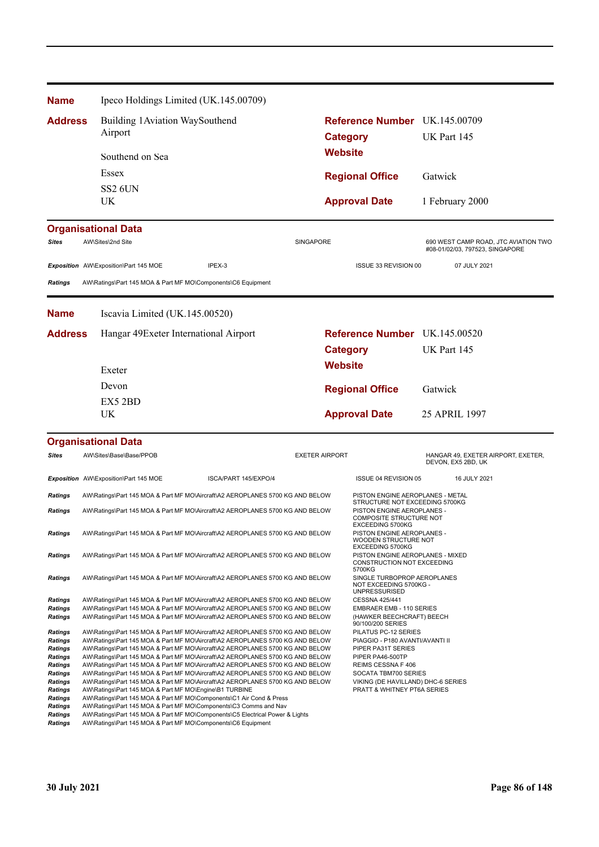| <b>Name</b>                      | Ipeco Holdings Limited (UK.145.00709)                                                                                                                          |                      |                       |                                                                                  |                                                                         |  |
|----------------------------------|----------------------------------------------------------------------------------------------------------------------------------------------------------------|----------------------|-----------------------|----------------------------------------------------------------------------------|-------------------------------------------------------------------------|--|
| <b>Address</b>                   | Building 1 Aviation WaySouthend                                                                                                                                |                      |                       | Reference Number UK.145.00709                                                    |                                                                         |  |
|                                  | Airport                                                                                                                                                        |                      |                       | <b>Category</b>                                                                  | UK Part 145                                                             |  |
|                                  | Southend on Sea                                                                                                                                                |                      | <b>Website</b>        |                                                                                  |                                                                         |  |
|                                  | Essex                                                                                                                                                          |                      |                       | <b>Regional Office</b>                                                           | Gatwick                                                                 |  |
|                                  | <b>SS2 6UN</b>                                                                                                                                                 |                      |                       |                                                                                  |                                                                         |  |
|                                  | UK                                                                                                                                                             |                      |                       | <b>Approval Date</b>                                                             | 1 February 2000                                                         |  |
|                                  | <b>Organisational Data</b>                                                                                                                                     |                      |                       |                                                                                  |                                                                         |  |
| <b>Sites</b>                     | AW\Sites\2nd Site                                                                                                                                              |                      | <b>SINGAPORE</b>      |                                                                                  | 690 WEST CAMP ROAD, JTC AVIATION TWO<br>#08-01/02/03, 797523, SINGAPORE |  |
|                                  | Exposition AW\Exposition\Part 145 MOE                                                                                                                          | IPEX-3               |                       | ISSUE 33 REVISION 00                                                             | 07 JULY 2021                                                            |  |
| <b>Ratings</b>                   | AW\Ratings\Part 145 MOA & Part MF MO\Components\C6 Equipment                                                                                                   |                      |                       |                                                                                  |                                                                         |  |
| <b>Name</b>                      | Iscavia Limited (UK.145.00520)                                                                                                                                 |                      |                       |                                                                                  |                                                                         |  |
| <b>Address</b>                   | Hangar 49Exeter International Airport                                                                                                                          |                      |                       | Reference Number UK.145.00520                                                    |                                                                         |  |
|                                  |                                                                                                                                                                |                      |                       | <b>Category</b>                                                                  | UK Part 145                                                             |  |
|                                  | Exeter                                                                                                                                                         |                      | <b>Website</b>        |                                                                                  |                                                                         |  |
|                                  | Devon                                                                                                                                                          |                      |                       |                                                                                  |                                                                         |  |
|                                  | EX5 2BD                                                                                                                                                        |                      |                       | <b>Regional Office</b>                                                           | Gatwick                                                                 |  |
|                                  | UK                                                                                                                                                             |                      |                       | <b>Approval Date</b>                                                             | 25 APRIL 1997                                                           |  |
|                                  | <b>Organisational Data</b>                                                                                                                                     |                      |                       |                                                                                  |                                                                         |  |
| <b>Sites</b>                     | AW\Sites\Base\Base/PPOB                                                                                                                                        |                      | <b>EXETER AIRPORT</b> |                                                                                  | HANGAR 49, EXETER AIRPORT, EXETER,<br>DEVON, EX5 2BD, UK                |  |
|                                  | Exposition AW\Exposition\Part 145 MOE                                                                                                                          | ISCA/PART 145/EXPO/4 |                       | ISSUE 04 REVISION 05                                                             | 16 JULY 2021                                                            |  |
| Ratings                          | AW\Ratings\Part 145 MOA & Part MF MO\Aircraft\A2 AEROPLANES 5700 KG AND BELOW                                                                                  |                      |                       | PISTON ENGINE AEROPLANES - METAL<br>STRUCTURE NOT EXCEEDING 5700KG               |                                                                         |  |
| <b>Ratings</b>                   | AW\Ratings\Part 145 MOA & Part MF MO\Aircraft\A2 AEROPLANES 5700 KG AND BELOW                                                                                  |                      |                       | PISTON ENGINE AEROPLANES -<br><b>COMPOSITE STRUCTURE NOT</b><br>EXCEEDING 5700KG |                                                                         |  |
| <b>Ratings</b>                   | AW\Ratings\Part 145 MOA & Part MF MO\Aircraft\A2 AEROPLANES 5700 KG AND BELOW                                                                                  |                      |                       | PISTON ENGINE AEROPLANES -<br>WOODEN STRUCTURE NOT<br>EXCEEDING 5700KG           |                                                                         |  |
| <b>Ratings</b>                   | AW\Ratings\Part 145 MOA & Part MF MO\Aircraft\A2 AEROPLANES 5700 KG AND BELOW                                                                                  |                      |                       | PISTON ENGINE AEROPLANES - MIXED<br>CONSTRUCTION NOT EXCEEDING<br>5700KG         |                                                                         |  |
| <b>Ratings</b>                   | AW\Ratings\Part 145 MOA & Part MF MO\Aircraft\A2 AEROPLANES 5700 KG AND BELOW                                                                                  |                      |                       | SINGLE TURBOPROP AEROPLANES<br>NOT EXCEEDING 5700KG -<br><b>UNPRESSURISED</b>    |                                                                         |  |
| <b>Ratings</b><br>Ratings        | AW\Ratings\Part 145 MOA & Part MF MO\Aircraft\A2 AEROPLANES 5700 KG AND BELOW<br>AW\Ratings\Part 145 MOA & Part MF MO\Aircraft\A2 AEROPLANES 5700 KG AND BELOW |                      |                       | CESSNA 425/441<br><b>EMBRAER EMB - 110 SERIES</b>                                |                                                                         |  |
| <b>Ratings</b>                   | AW\Ratings\Part 145 MOA & Part MF MO\Aircraft\A2 AEROPLANES 5700 KG AND BELOW                                                                                  |                      |                       | (HAWKER BEECHCRAFT) BEECH<br>90/100/200 SERIES                                   |                                                                         |  |
| Ratings                          | AW\Ratings\Part 145 MOA & Part MF MO\Aircraft\A2 AEROPLANES 5700 KG AND BELOW                                                                                  |                      |                       | PILATUS PC-12 SERIES                                                             |                                                                         |  |
| Ratings<br>Ratings               | AW\Ratings\Part 145 MOA & Part MF MO\Aircraft\A2 AEROPLANES 5700 KG AND BELOW<br>AW\Ratings\Part 145 MOA & Part MF MO\Aircraft\A2 AEROPLANES 5700 KG AND BELOW |                      |                       | PIAGGIO - P180 AVANTI/AVANTI II<br>PIPER PA31T SERIES                            |                                                                         |  |
| Ratings                          | AW\Ratings\Part 145 MOA & Part MF MO\Aircraft\A2 AEROPLANES 5700 KG AND BELOW                                                                                  |                      |                       | PIPER PA46-500TP                                                                 |                                                                         |  |
| <b>Ratings</b><br>Ratings        | AW\Ratings\Part 145 MOA & Part MF MO\Aircraft\A2 AEROPLANES 5700 KG AND BELOW<br>AW\Ratings\Part 145 MOA & Part MF MO\Aircraft\A2 AEROPLANES 5700 KG AND BELOW |                      |                       | REIMS CESSNA F 406<br>SOCATA TBM700 SERIES                                       |                                                                         |  |
| Ratings                          | AW\Ratings\Part 145 MOA & Part MF MO\Aircraft\A2 AEROPLANES 5700 KG AND BELOW                                                                                  |                      |                       | VIKING (DE HAVILLAND) DHC-6 SERIES                                               |                                                                         |  |
| <b>Ratings</b><br><b>Ratings</b> | AW\Ratings\Part 145 MOA & Part MF MO\Engine\B1 TURBINE<br>AW\Ratings\Part 145 MOA & Part MF MO\Components\C1 Air Cond & Press                                  |                      |                       | PRATT & WHITNEY PT6A SERIES                                                      |                                                                         |  |
| <b>Ratings</b>                   | AW\Ratings\Part 145 MOA & Part MF MO\Components\C3 Comms and Nav                                                                                               |                      |                       |                                                                                  |                                                                         |  |
| <b>Ratings</b><br><b>Ratings</b> | AW\Ratings\Part 145 MOA & Part MF MO\Components\C5 Electrical Power & Lights<br>AW\Ratings\Part 145 MOA & Part MF MO\Components\C6 Equipment                   |                      |                       |                                                                                  |                                                                         |  |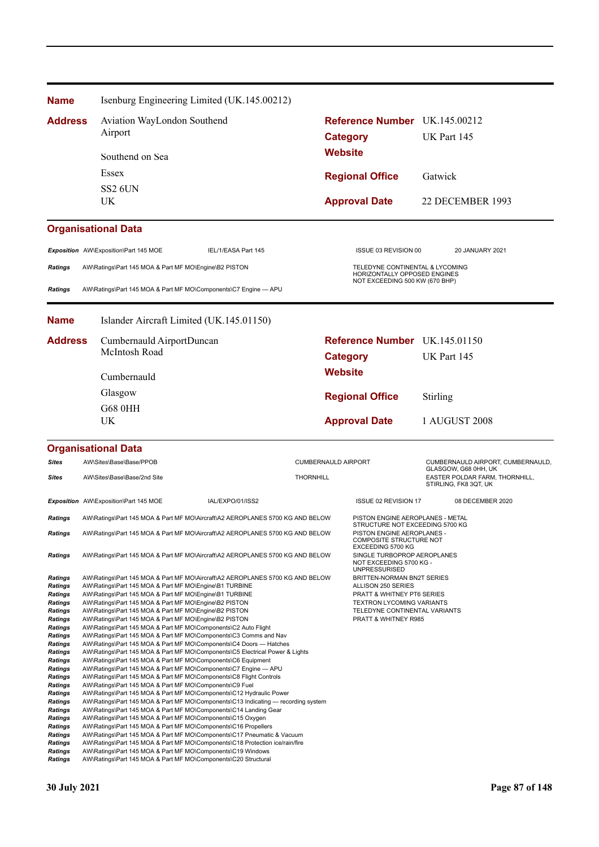| <b>Name</b>                      |                                                                                                                                       | Isenburg Engineering Limited (UK.145.00212)                                                                                                            |                            |                 |                                                                             |                       |                                                           |
|----------------------------------|---------------------------------------------------------------------------------------------------------------------------------------|--------------------------------------------------------------------------------------------------------------------------------------------------------|----------------------------|-----------------|-----------------------------------------------------------------------------|-----------------------|-----------------------------------------------------------|
| <b>Address</b>                   | Aviation WayLondon Southend                                                                                                           |                                                                                                                                                        |                            |                 | Reference Number UK.145.00212                                               |                       |                                                           |
|                                  | Airport                                                                                                                               |                                                                                                                                                        |                            | <b>Category</b> |                                                                             | UK Part 145           |                                                           |
|                                  | Southend on Sea                                                                                                                       |                                                                                                                                                        |                            | <b>Website</b>  |                                                                             |                       |                                                           |
|                                  |                                                                                                                                       |                                                                                                                                                        |                            |                 |                                                                             |                       |                                                           |
|                                  | Essex                                                                                                                                 |                                                                                                                                                        |                            |                 | <b>Regional Office</b>                                                      | Gatwick               |                                                           |
|                                  | <b>SS2 6UN</b><br>UK                                                                                                                  |                                                                                                                                                        |                            |                 | <b>Approval Date</b>                                                        |                       | 22 DECEMBER 1993                                          |
|                                  |                                                                                                                                       |                                                                                                                                                        |                            |                 |                                                                             |                       |                                                           |
|                                  | <b>Organisational Data</b>                                                                                                            |                                                                                                                                                        |                            |                 |                                                                             |                       |                                                           |
|                                  | Exposition AW\Exposition\Part 145 MOE                                                                                                 | IEL/1/EASA Part 145                                                                                                                                    |                            |                 | ISSUE 03 REVISION 00                                                        |                       | 20 JANUARY 2021                                           |
| <b>Ratings</b>                   | AW\Ratings\Part 145 MOA & Part MF MO\Engine\B2 PISTON                                                                                 |                                                                                                                                                        |                            |                 | TELEDYNE CONTINENTAL & LYCOMING<br>HORIZONTALLY OPPOSED ENGINES             |                       |                                                           |
|                                  |                                                                                                                                       |                                                                                                                                                        |                            |                 | NOT EXCEEDING 500 KW (670 BHP)                                              |                       |                                                           |
| <b>Ratings</b>                   | AW\Ratings\Part 145 MOA & Part MF MO\Components\C7 Engine - APU                                                                       |                                                                                                                                                        |                            |                 |                                                                             |                       |                                                           |
| <b>Name</b>                      |                                                                                                                                       | Islander Aircraft Limited (UK.145.01150)                                                                                                               |                            |                 |                                                                             |                       |                                                           |
| <b>Address</b>                   | Cumbernauld AirportDuncan                                                                                                             |                                                                                                                                                        |                            |                 | Reference Number UK.145.01150                                               |                       |                                                           |
|                                  | McIntosh Road                                                                                                                         |                                                                                                                                                        |                            | <b>Category</b> |                                                                             | UK Part 145           |                                                           |
|                                  | Cumbernauld                                                                                                                           |                                                                                                                                                        |                            | <b>Website</b>  |                                                                             |                       |                                                           |
|                                  | Glasgow                                                                                                                               |                                                                                                                                                        |                            |                 | <b>Regional Office</b>                                                      | Stirling              |                                                           |
|                                  | <b>G68 0HH</b>                                                                                                                        |                                                                                                                                                        |                            |                 |                                                                             |                       |                                                           |
|                                  | UK                                                                                                                                    |                                                                                                                                                        |                            |                 | <b>Approval Date</b>                                                        | 1 AUGUST 2008         |                                                           |
|                                  |                                                                                                                                       |                                                                                                                                                        |                            |                 |                                                                             |                       |                                                           |
|                                  | <b>Organisational Data</b>                                                                                                            |                                                                                                                                                        |                            |                 |                                                                             |                       |                                                           |
| <b>Sites</b>                     | AW\Sites\Base\Base/PPOB                                                                                                               |                                                                                                                                                        | <b>CUMBERNAULD AIRPORT</b> |                 |                                                                             |                       | CUMBERNAULD AIRPORT, CUMBERNAULD,<br>GLASGOW, G68 0HH, UK |
| <b>Sites</b>                     | AW\Sites\Base\Base/2nd Site                                                                                                           |                                                                                                                                                        | <b>THORNHILL</b>           |                 |                                                                             | STIRLING, FK8 3QT, UK | EASTER POLDAR FARM, THORNHILL,                            |
|                                  | Exposition AW\Exposition\Part 145 MOE                                                                                                 | IAL/EXPO/01/ISS2                                                                                                                                       |                            |                 | ISSUE 02 REVISION 17                                                        |                       | 08 DECEMBER 2020                                          |
| <b>Ratings</b>                   |                                                                                                                                       | AW\Ratings\Part 145 MOA & Part MF MO\Aircraft\A2 AEROPLANES 5700 KG AND BELOW                                                                          |                            |                 | PISTON ENGINE AEROPLANES - METAL<br>STRUCTURE NOT EXCEEDING 5700 KG         |                       |                                                           |
| <b>Ratings</b>                   |                                                                                                                                       | AW\Ratings\Part 145 MOA & Part MF MO\Aircraft\A2 AEROPLANES 5700 KG AND BELOW                                                                          |                            |                 | PISTON ENGINE AEROPLANES -<br><b>COMPOSITE STRUCTURE NOT</b>                |                       |                                                           |
| <b>Ratings</b>                   |                                                                                                                                       | AW\Ratings\Part 145 MOA & Part MF MO\Aircraft\A2 AEROPLANES 5700 KG AND BELOW                                                                          |                            |                 | EXCEEDING 5700 KG<br>SINGLE TURBOPROP AEROPLANES<br>NOT EXCEEDING 5700 KG - |                       |                                                           |
| <b>Ratings</b>                   |                                                                                                                                       | AW\Ratings\Part 145 MOA & Part MF MO\Aircraft\A2 AEROPLANES 5700 KG AND BELOW                                                                          |                            |                 | <b>UNPRESSURISED</b><br>BRITTEN-NORMAN BN2T SERIES                          |                       |                                                           |
| Ratings                          | AW\Ratings\Part 145 MOA & Part MF MO\Engine\B1 TURBINE                                                                                |                                                                                                                                                        |                            |                 | ALLISON 250 SERIES                                                          |                       |                                                           |
| Ratings<br>Ratings               | AW\Ratings\Part 145 MOA & Part MF MO\Engine\B1 TURBINE<br>AW\Ratings\Part 145 MOA & Part MF MO\Engine\B2 PISTON                       |                                                                                                                                                        |                            |                 | <b>PRATT &amp; WHITNEY PT6 SERIES</b><br><b>TEXTRON LYCOMING VARIANTS</b>   |                       |                                                           |
| Ratings                          | AW\Ratings\Part 145 MOA & Part MF MO\Engine\B2 PISTON                                                                                 |                                                                                                                                                        |                            |                 | TELEDYNE CONTINENTAL VARIANTS                                               |                       |                                                           |
| <b>Ratings</b><br>Ratings        | AW\Ratings\Part 145 MOA & Part MF MO\Engine\B2 PISTON<br>AW\Ratings\Part 145 MOA & Part MF MO\Components\C2 Auto Flight               |                                                                                                                                                        |                            |                 | PRATT & WHITNEY R985                                                        |                       |                                                           |
| Ratings                          | AW\Ratings\Part 145 MOA & Part MF MO\Components\C3 Comms and Nav                                                                      |                                                                                                                                                        |                            |                 |                                                                             |                       |                                                           |
| Ratings<br><b>Ratings</b>        |                                                                                                                                       | AW\Ratings\Part 145 MOA & Part MF MO\Components\C4 Doors — Hatches<br>AW\Ratings\Part 145 MOA & Part MF MO\Components\C5 Electrical Power & Lights     |                            |                 |                                                                             |                       |                                                           |
| <b>Ratings</b>                   | AW\Ratings\Part 145 MOA & Part MF MO\Components\C6 Equipment                                                                          |                                                                                                                                                        |                            |                 |                                                                             |                       |                                                           |
| <b>Ratings</b><br><b>Ratings</b> | AW\Ratings\Part 145 MOA & Part MF MO\Components\C7 Engine - APU<br>AW\Ratings\Part 145 MOA & Part MF MO\Components\C8 Flight Controls |                                                                                                                                                        |                            |                 |                                                                             |                       |                                                           |
| <b>Ratings</b>                   | AW\Ratings\Part 145 MOA & Part MF MO\Components\C9 Fuel                                                                               |                                                                                                                                                        |                            |                 |                                                                             |                       |                                                           |
| <b>Ratings</b>                   |                                                                                                                                       | AW\Ratings\Part 145 MOA & Part MF MO\Components\C12 Hydraulic Power                                                                                    |                            |                 |                                                                             |                       |                                                           |
| <b>Ratings</b><br>Ratings        | AW\Ratings\Part 145 MOA & Part MF MO\Components\C14 Landing Gear                                                                      | AW\Ratings\Part 145 MOA & Part MF MO\Components\C13 Indicating — recording system                                                                      |                            |                 |                                                                             |                       |                                                           |
| Ratings                          | AW\Ratings\Part 145 MOA & Part MF MO\Components\C15 Oxygen                                                                            |                                                                                                                                                        |                            |                 |                                                                             |                       |                                                           |
| Ratings                          | AW\Ratings\Part 145 MOA & Part MF MO\Components\C16 Propellers                                                                        |                                                                                                                                                        |                            |                 |                                                                             |                       |                                                           |
| Ratings<br>Ratings               |                                                                                                                                       | AW\Ratings\Part 145 MOA & Part MF MO\Components\C17 Pneumatic & Vacuum<br>AW\Ratings\Part 145 MOA & Part MF MO\Components\C18 Protection ice/rain/fire |                            |                 |                                                                             |                       |                                                           |
| Ratings                          | AW\Ratings\Part 145 MOA & Part MF MO\Components\C19 Windows                                                                           |                                                                                                                                                        |                            |                 |                                                                             |                       |                                                           |
| <b>Ratings</b>                   | AW\Ratings\Part 145 MOA & Part MF MO\Components\C20 Structural                                                                        |                                                                                                                                                        |                            |                 |                                                                             |                       |                                                           |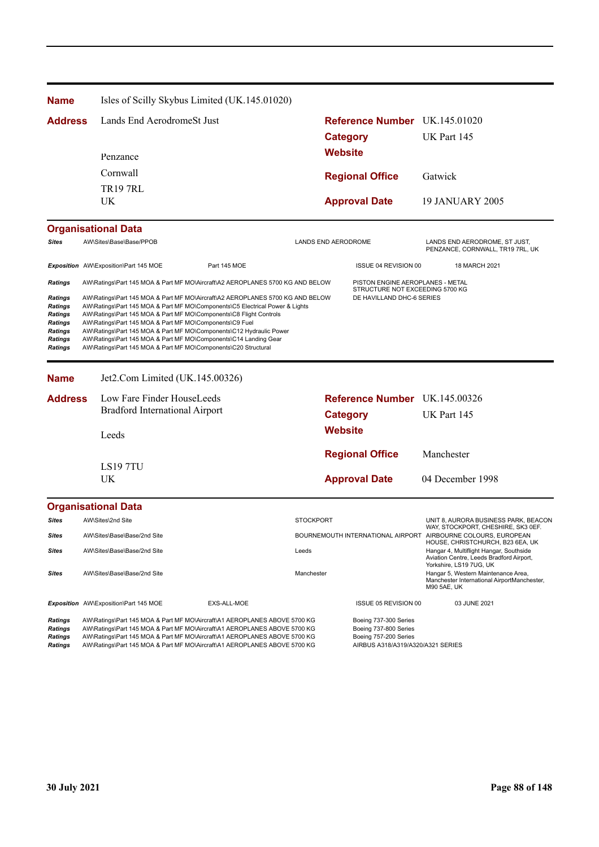| <b>Name</b>                                                                                              |                                                                                                                                                                                                                                                                     | Isles of Scilly Skybus Limited (UK.145.01020)                                                                                                                                                                                                                                                                    |                            |                                                                                                              |                                                                                                                                                    |
|----------------------------------------------------------------------------------------------------------|---------------------------------------------------------------------------------------------------------------------------------------------------------------------------------------------------------------------------------------------------------------------|------------------------------------------------------------------------------------------------------------------------------------------------------------------------------------------------------------------------------------------------------------------------------------------------------------------|----------------------------|--------------------------------------------------------------------------------------------------------------|----------------------------------------------------------------------------------------------------------------------------------------------------|
| <b>Address</b>                                                                                           | Lands End AerodromeSt Just                                                                                                                                                                                                                                          |                                                                                                                                                                                                                                                                                                                  |                            | Reference Number UK.145.01020                                                                                |                                                                                                                                                    |
|                                                                                                          |                                                                                                                                                                                                                                                                     |                                                                                                                                                                                                                                                                                                                  |                            | <b>Category</b>                                                                                              | UK Part 145                                                                                                                                        |
|                                                                                                          | Penzance                                                                                                                                                                                                                                                            |                                                                                                                                                                                                                                                                                                                  | Website                    |                                                                                                              |                                                                                                                                                    |
|                                                                                                          | Cornwall                                                                                                                                                                                                                                                            |                                                                                                                                                                                                                                                                                                                  |                            |                                                                                                              | Gatwick                                                                                                                                            |
|                                                                                                          | <b>TR197RL</b>                                                                                                                                                                                                                                                      |                                                                                                                                                                                                                                                                                                                  |                            | <b>Regional Office</b>                                                                                       |                                                                                                                                                    |
|                                                                                                          | UK.                                                                                                                                                                                                                                                                 |                                                                                                                                                                                                                                                                                                                  |                            | <b>Approval Date</b>                                                                                         | <b>19 JANUARY 2005</b>                                                                                                                             |
|                                                                                                          | <b>Organisational Data</b>                                                                                                                                                                                                                                          |                                                                                                                                                                                                                                                                                                                  |                            |                                                                                                              |                                                                                                                                                    |
| <b>Sites</b>                                                                                             | AW\Sites\Base\Base/PPOB                                                                                                                                                                                                                                             |                                                                                                                                                                                                                                                                                                                  | <b>LANDS END AERODROME</b> |                                                                                                              | LANDS END AERODROME, ST JUST,<br>PENZANCE, CORNWALL, TR19 7RL, UK                                                                                  |
|                                                                                                          | Exposition AW\Exposition\Part 145 MOE                                                                                                                                                                                                                               | Part 145 MOE                                                                                                                                                                                                                                                                                                     |                            | ISSUE 04 REVISION 00                                                                                         | 18 MARCH 2021                                                                                                                                      |
| <b>Ratings</b>                                                                                           |                                                                                                                                                                                                                                                                     | AW\Ratings\Part 145 MOA & Part MF MO\Aircraft\A2 AEROPLANES 5700 KG AND BELOW                                                                                                                                                                                                                                    |                            | PISTON ENGINE AEROPLANES - METAL<br>STRUCTURE NOT EXCEEDING 5700 KG                                          |                                                                                                                                                    |
| <b>Ratings</b><br><b>Ratings</b><br><b>Ratings</b><br><b>Ratings</b><br><b>Ratings</b><br><b>Ratings</b> | AW\Ratings\Part 145 MOA & Part MF MO\Components\C8 Flight Controls<br>AW\Ratings\Part 145 MOA & Part MF MO\Components\C9 Fuel<br>AW\Ratings\Part 145 MOA & Part MF MO\Components\C14 Landing Gear<br>AW\Ratings\Part 145 MOA & Part MF MO\Components\C20 Structural | AW\Ratings\Part 145 MOA & Part MF MO\Components\C5 Electrical Power & Lights<br>AW\Ratings\Part 145 MOA & Part MF MO\Components\C12 Hydraulic Power                                                                                                                                                              |                            |                                                                                                              |                                                                                                                                                    |
| <b>Name</b>                                                                                              | Jet2.Com Limited (UK.145.00326)                                                                                                                                                                                                                                     |                                                                                                                                                                                                                                                                                                                  |                            |                                                                                                              |                                                                                                                                                    |
| <b>Address</b>                                                                                           | Low Fare Finder HouseLeeds                                                                                                                                                                                                                                          |                                                                                                                                                                                                                                                                                                                  |                            | Reference Number UK.145.00326                                                                                |                                                                                                                                                    |
|                                                                                                          | <b>Bradford International Airport</b>                                                                                                                                                                                                                               |                                                                                                                                                                                                                                                                                                                  |                            | <b>Category</b>                                                                                              | UK Part 145                                                                                                                                        |
|                                                                                                          | Leeds                                                                                                                                                                                                                                                               |                                                                                                                                                                                                                                                                                                                  | <b>Website</b>             |                                                                                                              |                                                                                                                                                    |
|                                                                                                          |                                                                                                                                                                                                                                                                     |                                                                                                                                                                                                                                                                                                                  |                            | <b>Regional Office</b>                                                                                       | Manchester                                                                                                                                         |
|                                                                                                          | LS197TU<br>UK                                                                                                                                                                                                                                                       |                                                                                                                                                                                                                                                                                                                  |                            | <b>Approval Date</b>                                                                                         | 04 December 1998                                                                                                                                   |
|                                                                                                          | <b>Organisational Data</b>                                                                                                                                                                                                                                          |                                                                                                                                                                                                                                                                                                                  |                            |                                                                                                              |                                                                                                                                                    |
| <b>Sites</b>                                                                                             | AW\Sites\2nd Site                                                                                                                                                                                                                                                   |                                                                                                                                                                                                                                                                                                                  | <b>STOCKPORT</b>           |                                                                                                              | UNIT 8, AURORA BUSINESS PARK, BEACON                                                                                                               |
| <b>Sites</b>                                                                                             | AW\Sites\Base\Base/2nd Site                                                                                                                                                                                                                                         |                                                                                                                                                                                                                                                                                                                  |                            |                                                                                                              | WAY, STOCKPORT, CHESHIRE, SK3 0EF.<br>BOURNEMOUTH INTERNATIONAL AIRPORT AIRBOURNE COLOURS, EUROPEAN                                                |
| Sites                                                                                                    | AW\Sites\Base\Base/2nd Site                                                                                                                                                                                                                                         |                                                                                                                                                                                                                                                                                                                  | Leeds                      |                                                                                                              | HOUSE, CHRISTCHURCH, B23 6EA, UK<br>Hangar 4, Multiflight Hangar, Southside<br>Aviation Centre, Leeds Bradford Airport,<br>Yorkshire, LS19 7UG, UK |
| <b>Sites</b>                                                                                             | AW\Sites\Base\Base/2nd Site                                                                                                                                                                                                                                         |                                                                                                                                                                                                                                                                                                                  | Manchester                 |                                                                                                              | Hangar 5, Western Maintenance Area,<br>Manchester International AirportManchester,<br><b>M90 5AE, UK</b>                                           |
|                                                                                                          | Exposition AW\Exposition\Part 145 MOE                                                                                                                                                                                                                               | EXS-ALL-MOE                                                                                                                                                                                                                                                                                                      |                            | ISSUE 05 REVISION 00                                                                                         | 03 JUNE 2021                                                                                                                                       |
| <b>Ratings</b><br>Ratings<br><b>Ratings</b><br>Ratings                                                   |                                                                                                                                                                                                                                                                     | AW\Ratings\Part 145 MOA & Part MF MO\Aircraft\A1 AEROPLANES ABOVE 5700 KG<br>AW\Ratings\Part 145 MOA & Part MF MO\Aircraft\A1 AEROPLANES ABOVE 5700 KG<br>AW\Ratings\Part 145 MOA & Part MF MO\Aircraft\A1 AEROPLANES ABOVE 5700 KG<br>AW\Ratings\Part 145 MOA & Part MF MO\Aircraft\A1 AEROPLANES ABOVE 5700 KG |                            | Boeing 737-300 Series<br>Boeing 737-800 Series<br>Boeing 757-200 Series<br>AIRBUS A318/A319/A320/A321 SERIES |                                                                                                                                                    |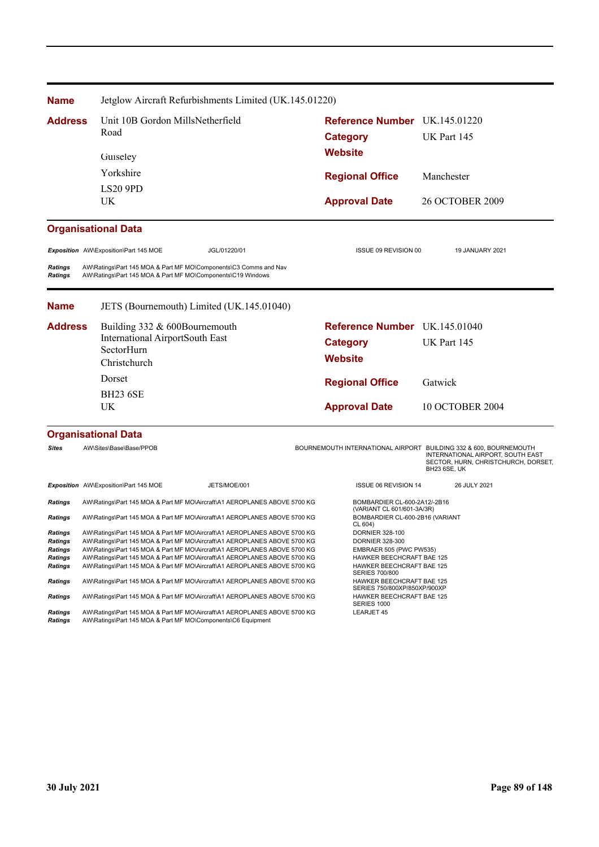| <b>Name</b>                                                       | Jetglow Aircraft Refurbishments Limited (UK.145.01220)                                                                                                                                                                                                                                                                                                                                        |                                                                                                                                                                |                      |                                                                                                                                                                      |
|-------------------------------------------------------------------|-----------------------------------------------------------------------------------------------------------------------------------------------------------------------------------------------------------------------------------------------------------------------------------------------------------------------------------------------------------------------------------------------|----------------------------------------------------------------------------------------------------------------------------------------------------------------|----------------------|----------------------------------------------------------------------------------------------------------------------------------------------------------------------|
| <b>Address</b>                                                    | Unit 10B Gordon MillsNetherfield<br>Road<br>Guiseley                                                                                                                                                                                                                                                                                                                                          | Reference Number UK.145.01220<br><b>Category</b><br><b>Website</b>                                                                                             |                      | UK Part 145                                                                                                                                                          |
|                                                                   | Yorkshire                                                                                                                                                                                                                                                                                                                                                                                     | <b>Regional Office</b>                                                                                                                                         |                      | Manchester                                                                                                                                                           |
|                                                                   | <b>LS20 9PD</b><br>UK                                                                                                                                                                                                                                                                                                                                                                         | <b>Approval Date</b>                                                                                                                                           |                      | <b>26 OCTOBER 2009</b>                                                                                                                                               |
|                                                                   | <b>Organisational Data</b>                                                                                                                                                                                                                                                                                                                                                                    |                                                                                                                                                                |                      |                                                                                                                                                                      |
|                                                                   | Exposition AW\Exposition\Part 145 MOE<br>JGL/01220/01                                                                                                                                                                                                                                                                                                                                         |                                                                                                                                                                | ISSUE 09 REVISION 00 | 19 JANUARY 2021                                                                                                                                                      |
| <b>Ratings</b><br><b>Ratings</b>                                  | AW\Ratings\Part 145 MOA & Part MF MO\Components\C3 Comms and Nav<br>AW\Ratings\Part 145 MOA & Part MF MO\Components\C19 Windows                                                                                                                                                                                                                                                               |                                                                                                                                                                |                      |                                                                                                                                                                      |
| <b>Name</b>                                                       | JETS (Bournemouth) Limited (UK.145.01040)                                                                                                                                                                                                                                                                                                                                                     |                                                                                                                                                                |                      |                                                                                                                                                                      |
| <b>Address</b>                                                    | Building 332 & 600Bournemouth<br><b>International AirportSouth East</b><br>SectorHurn<br>Christchurch                                                                                                                                                                                                                                                                                         | Reference Number UK.145.01040<br><b>Category</b><br><b>Website</b>                                                                                             |                      | UK Part 145                                                                                                                                                          |
|                                                                   | Dorset<br><b>BH23 6SE</b>                                                                                                                                                                                                                                                                                                                                                                     | <b>Regional Office</b>                                                                                                                                         |                      | Gatwick                                                                                                                                                              |
|                                                                   | UK                                                                                                                                                                                                                                                                                                                                                                                            | <b>Approval Date</b>                                                                                                                                           |                      | <b>10 OCTOBER 2004</b>                                                                                                                                               |
|                                                                   | <b>Organisational Data</b>                                                                                                                                                                                                                                                                                                                                                                    |                                                                                                                                                                |                      |                                                                                                                                                                      |
| <b>Sites</b>                                                      | AW\Sites\Base\Base/PPOB                                                                                                                                                                                                                                                                                                                                                                       |                                                                                                                                                                |                      | BOURNEMOUTH INTERNATIONAL AIRPORT BUILDING 332 & 600, BOURNEMOUTH<br>INTERNATIONAL AIRPORT, SOUTH EAST<br>SECTOR, HURN, CHRISTCHURCH, DORSET,<br><b>BH23 6SE, UK</b> |
|                                                                   | Exposition AW\Exposition\Part 145 MOE<br>JETS/MOE/001                                                                                                                                                                                                                                                                                                                                         | ISSUE 06 REVISION 14                                                                                                                                           |                      | 26 JULY 2021                                                                                                                                                         |
| Ratings                                                           | AW\Ratings\Part 145 MOA & Part MF MO\Aircraft\A1 AEROPLANES ABOVE 5700 KG                                                                                                                                                                                                                                                                                                                     | BOMBARDIER CL-600-2A12/-2B16<br>(VARIANT CL 601/601-3A/3R)                                                                                                     |                      |                                                                                                                                                                      |
| <b>Ratings</b>                                                    | AW\Ratings\Part 145 MOA & Part MF MO\Aircraft\A1 AEROPLANES ABOVE 5700 KG                                                                                                                                                                                                                                                                                                                     | CL 604)                                                                                                                                                        |                      | BOMBARDIER CL-600-2B16 (VARIANT                                                                                                                                      |
| Ratings<br>Ratings<br><b>Ratings</b><br><b>Ratings</b><br>Ratings | AW\Ratings\Part 145 MOA & Part MF MO\Aircraft\A1 AEROPLANES ABOVE 5700 KG<br>AW\Ratings\Part 145 MOA & Part MF MO\Aircraft\A1 AEROPLANES ABOVE 5700 KG<br>AW\Ratings\Part 145 MOA & Part MF MO\Aircraft\A1 AEROPLANES ABOVE 5700 KG<br>AW\Ratings\Part 145 MOA & Part MF MO\Aircraft\A1 AEROPLANES ABOVE 5700 KG<br>AW\Ratings\Part 145 MOA & Part MF MO\Aircraft\A1 AEROPLANES ABOVE 5700 KG | DORNIER 328-100<br><b>DORNIER 328-300</b><br>EMBRAER 505 (PWC PW535)<br>HAWKER BEECHCRAFT BAE 125<br><b>HAWKER BEECHCRAFT BAE 125</b><br><b>SERIES 700/800</b> |                      |                                                                                                                                                                      |
| <b>Ratings</b>                                                    | AW\Ratings\Part 145 MOA & Part MF MO\Aircraft\A1 AEROPLANES ABOVE 5700 KG                                                                                                                                                                                                                                                                                                                     | HAWKER BEECHCRAFT BAE 125<br>SERIES 750/800XP/850XP/900XP                                                                                                      |                      |                                                                                                                                                                      |
| <b>Ratings</b>                                                    | AW\Ratings\Part 145 MOA & Part MF MO\Aircraft\A1 AEROPLANES ABOVE 5700 KG                                                                                                                                                                                                                                                                                                                     | <b>HAWKER BEECHCRAFT BAE 125</b><br>SERIES 1000                                                                                                                |                      |                                                                                                                                                                      |
| Ratings<br><b>Ratings</b>                                         | AW\Ratings\Part 145 MOA & Part MF MO\Aircraft\A1 AEROPLANES ABOVE 5700 KG<br>AW\Ratings\Part 145 MOA & Part MF MO\Components\C6 Equipment                                                                                                                                                                                                                                                     | LEARJET 45                                                                                                                                                     |                      |                                                                                                                                                                      |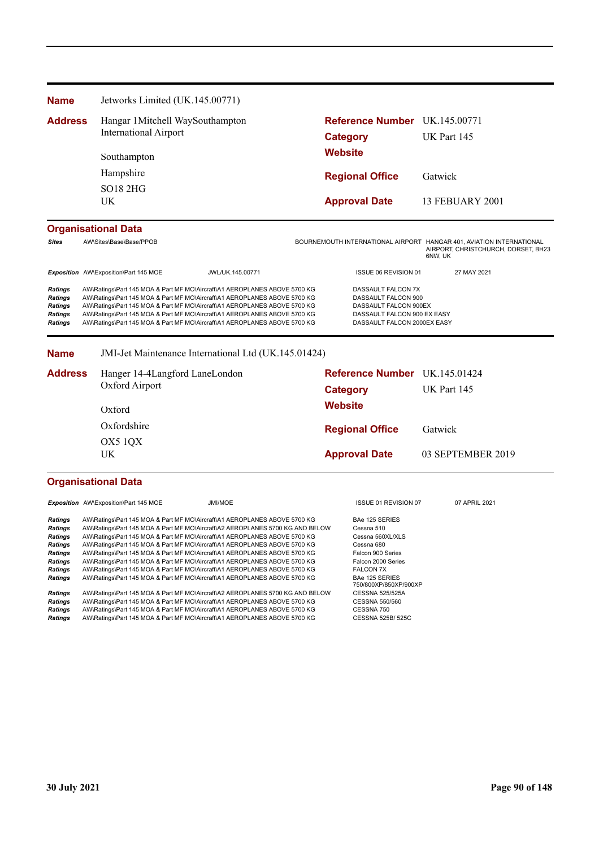| <b>Name</b>                                                                            | Jetworks Limited (UK.145.00771)                                  |                                                                                                                                                                                                                                                                                                                                                                                               |                                                                                                                                  |                                                |
|----------------------------------------------------------------------------------------|------------------------------------------------------------------|-----------------------------------------------------------------------------------------------------------------------------------------------------------------------------------------------------------------------------------------------------------------------------------------------------------------------------------------------------------------------------------------------|----------------------------------------------------------------------------------------------------------------------------------|------------------------------------------------|
| <b>Address</b>                                                                         | Hangar 1 Mitchell WaySouthampton<br><b>International Airport</b> |                                                                                                                                                                                                                                                                                                                                                                                               | Reference Number UK.145.00771<br>Category                                                                                        | UK Part 145                                    |
|                                                                                        | Southampton                                                      |                                                                                                                                                                                                                                                                                                                                                                                               | Website                                                                                                                          |                                                |
|                                                                                        | Hampshire                                                        |                                                                                                                                                                                                                                                                                                                                                                                               | <b>Regional Office</b>                                                                                                           | Gatwick                                        |
|                                                                                        | <b>SO18 2HG</b><br>UK                                            |                                                                                                                                                                                                                                                                                                                                                                                               | <b>Approval Date</b>                                                                                                             | 13 FEBUARY 2001                                |
|                                                                                        | <b>Organisational Data</b>                                       |                                                                                                                                                                                                                                                                                                                                                                                               |                                                                                                                                  |                                                |
| <b>Sites</b>                                                                           | AW\Sites\Base\Base/PPOB                                          |                                                                                                                                                                                                                                                                                                                                                                                               | BOURNEMOUTH INTERNATIONAL AIRPORT HANGAR 401, AVIATION INTERNATIONAL                                                             | AIRPORT, CHRISTCHURCH, DORSET, BH23<br>6NW, UK |
|                                                                                        | Exposition AW\Exposition\Part 145 MOE                            | JWL/UK.145.00771                                                                                                                                                                                                                                                                                                                                                                              | ISSUE 06 REVISION 01                                                                                                             | 27 MAY 2021                                    |
| <b>Ratings</b><br><b>Ratings</b><br><b>Ratings</b><br><b>Ratings</b><br><b>Ratings</b> |                                                                  | AW\Ratings\Part 145 MOA & Part MF MO\Aircraft\A1 AEROPLANES ABOVE 5700 KG<br>AW\Ratings\Part 145 MOA & Part MF MO\Aircraft\A1 AEROPLANES ABOVE 5700 KG<br>AW\Ratings\Part 145 MOA & Part MF MO\Aircraft\A1 AEROPLANES ABOVE 5700 KG<br>AW\Ratings\Part 145 MOA & Part MF MO\Aircraft\A1 AEROPLANES ABOVE 5700 KG<br>AW\Ratings\Part 145 MOA & Part MF MO\Aircraft\A1 AEROPLANES ABOVE 5700 KG | DASSAULT FALCON 7X<br>DASSAULT FALCON 900<br>DASSAULT FALCON 900EX<br>DASSAULT FALCON 900 EX EASY<br>DASSAULT FALCON 2000EX EASY |                                                |

**Name** JMI-Jet Maintenance International Ltd (UK.145.01424)

| <b>Address</b> | Hanger 14-4Langford LaneLondon | <b>Reference Number</b> UK.145.01424 |                   |
|----------------|--------------------------------|--------------------------------------|-------------------|
|                | Oxford Airport                 | Category                             | UK Part 145       |
|                | Oxford                         | <b>Website</b>                       |                   |
|                | Oxfordshire                    | <b>Regional Office</b>               | Gatwick           |
|                | OX5 10X<br>UK                  | <b>Approval Date</b>                 | 03 SEPTEMBER 2019 |

### **Organisational Data**

**Exposition** AW\Exposition\Part 145 MOE JMI/MOE JMI/MOE JUNE 15SUE 01 REVISION 07 07 APRIL 2021 **Ratings** AW\Ratings\Part 145 MOA & Part MF MO\Aircraft\A1 AEROPLANES ABOVE 5700 KG BAe 125 SERIES<br> **Ratings** AW\Ratings\Part 145 MOA & Part MF MO\Aircraft\A2 AEROPLANES 5700 KG AND BELOW Cessna 510 **Ratings** AW\Ratings\Part 145 MOA & Part MF MO\Aircraft\A2 AEROPLANES 5700 KG AND BELOW Cessna 510<br> **Ratings** AW\Ratings\Part 145 MOA & Part MF MO\Aircraft\A1 AEROPLANES ABOVE 5700 KG Cessna 560XL/XLS Ratings AW\Ratings\Part 145 MOA & Part MF MO\Aircraft\A1 AEROPLANES ABOVE 5700 KG Cessna 560.<br> **Ratings** AW\Ratings\Part 145 MOA & Part MF MO\Aircraft\A1 AEROPLANES ABOVE 5700 KG Cessna 680 AW\Ratings\Part 145 MOA & Part MF MO\Aircraft\A1 AEROPLANES ABOVE 5700 KG Ratings AW\Ratings\Part 145 MOA & Part MF MO\Aircraft\A1 AEROPLANES ABOVE 5700 KG Falcon 900 Series Ratings AW\Ratings\Part 145 MOA & Part MF MO\Aircraft\A1 AEROPLANES ABOVE 5700 KG Falcon 2000 Series Ratings AW\Ratings\Part 145 MOA & Part MF MO\Aircraft\A1 AEROPLANES ABOVE 5700 KG FALCON 7X Ratings AW\Ratings\Part 145 MOA & Part MF MO\Aircraft\A1 AEROPLANES ABOVE 5700 KG BAe 125 SERIES<br>750/800XP/850XP/900XP<br>CESSNA 525/525A **Ratings** AW\Ratings\Part 145 MOA & Part MF MO\Aircraft\A2 AEROPLANES 5700 KG AND BELOW CESSNA 525/525/<br> **Ratings** AW\Ratings\Part 145 MOA & Part MF MO\Aircraft\A1 AEROPLANES ABOVE 5700 KG CESSNA 550/560 **Ratings** AW\Ratings\Part 145 MOA & Part MF MO\Aircraft\A1 AEROPLANES ABOVE 5700 KG CESSNA 550/<br> **Ratings** AW\Ratings\Part 145 MOA & Part MF MO\Aircraft\A1 AEROPLANES ABOVE 5700 KG CESSNA 750 AW\Ratings\Part 145 MOA & Part MF MO\Aircraft\A1 AEROPLANES ABOVE 5700 KG Ratings AW\Ratings\Part 145 MOA & Part MF MO\Aircraft\A1 AEROPLANES ABOVE 5700 KG CESSNA 525B/ 525C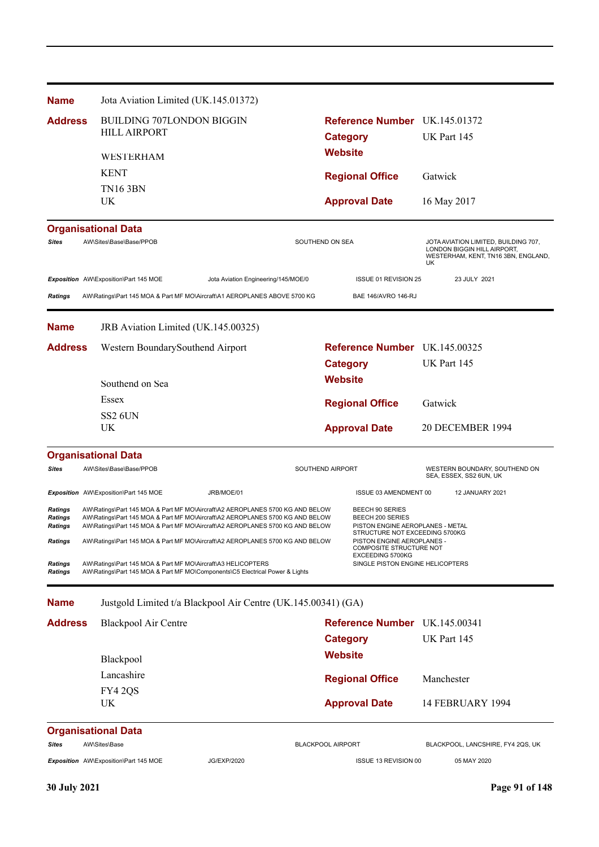| <b>Name</b>                                        | Jota Aviation Limited (UK.145.01372)                                                                                                                                                                                                            |                                     |                                                                                                                    |                                                                                                                  |
|----------------------------------------------------|-------------------------------------------------------------------------------------------------------------------------------------------------------------------------------------------------------------------------------------------------|-------------------------------------|--------------------------------------------------------------------------------------------------------------------|------------------------------------------------------------------------------------------------------------------|
| <b>Address</b>                                     | <b>BUILDING 707LONDON BIGGIN</b><br><b>HILL AIRPORT</b>                                                                                                                                                                                         |                                     | Reference Number UK.145.01372                                                                                      |                                                                                                                  |
|                                                    |                                                                                                                                                                                                                                                 |                                     | <b>Category</b>                                                                                                    | UK Part 145                                                                                                      |
|                                                    | WESTERHAM                                                                                                                                                                                                                                       |                                     | <b>Website</b>                                                                                                     |                                                                                                                  |
|                                                    | <b>KENT</b>                                                                                                                                                                                                                                     |                                     | <b>Regional Office</b>                                                                                             | Gatwick                                                                                                          |
|                                                    | <b>TN16 3BN</b>                                                                                                                                                                                                                                 |                                     |                                                                                                                    |                                                                                                                  |
|                                                    | UK                                                                                                                                                                                                                                              |                                     | <b>Approval Date</b>                                                                                               | 16 May 2017                                                                                                      |
|                                                    | <b>Organisational Data</b>                                                                                                                                                                                                                      |                                     |                                                                                                                    |                                                                                                                  |
| <b>Sites</b>                                       | AW\Sites\Base\Base/PPOB                                                                                                                                                                                                                         | SOUTHEND ON SEA                     |                                                                                                                    | JOTA AVIATION LIMITED, BUILDING 707,<br>LONDON BIGGIN HILL AIRPORT,<br>WESTERHAM, KENT, TN16 3BN, ENGLAND,<br>UK |
|                                                    | Exposition AW\Exposition\Part 145 MOE                                                                                                                                                                                                           | Jota Aviation Engineering/145/MOE/0 | ISSUE 01 REVISION 25                                                                                               | 23 JULY 2021                                                                                                     |
| <b>Ratings</b>                                     | AW\Ratings\Part 145 MOA & Part MF MO\Aircraft\A1 AEROPLANES ABOVE 5700 KG                                                                                                                                                                       |                                     | BAE 146/AVRO 146-RJ                                                                                                |                                                                                                                  |
| <b>Name</b>                                        | JRB Aviation Limited (UK.145.00325)                                                                                                                                                                                                             |                                     |                                                                                                                    |                                                                                                                  |
| <b>Address</b>                                     | Western BoundarySouthend Airport                                                                                                                                                                                                                |                                     | Reference Number UK.145.00325                                                                                      |                                                                                                                  |
|                                                    |                                                                                                                                                                                                                                                 |                                     | <b>Category</b>                                                                                                    | UK Part 145                                                                                                      |
|                                                    | Southend on Sea                                                                                                                                                                                                                                 |                                     | <b>Website</b>                                                                                                     |                                                                                                                  |
|                                                    | Essex                                                                                                                                                                                                                                           |                                     | <b>Regional Office</b>                                                                                             | Gatwick                                                                                                          |
|                                                    | <b>SS2 6UN</b>                                                                                                                                                                                                                                  |                                     |                                                                                                                    |                                                                                                                  |
|                                                    | UK                                                                                                                                                                                                                                              |                                     | <b>Approval Date</b>                                                                                               | 20 DECEMBER 1994                                                                                                 |
|                                                    | <b>Organisational Data</b>                                                                                                                                                                                                                      |                                     |                                                                                                                    |                                                                                                                  |
| <b>Sites</b>                                       | AW\Sites\Base\Base/PPOB                                                                                                                                                                                                                         | SOUTHEND AIRPORT                    |                                                                                                                    | WESTERN BOUNDARY, SOUTHEND ON<br>SEA, ESSEX, SS2 6UN, UK                                                         |
|                                                    | Exposition AW\Exposition\Part 145 MOE<br>JRB/MOE/01                                                                                                                                                                                             |                                     | ISSUE 03 AMENDMENT 00                                                                                              | 12 JANUARY 2021                                                                                                  |
| <b>Ratings</b><br><b>Ratings</b><br><b>Ratings</b> | AW\Ratings\Part 145 MOA & Part MF MO\Aircraft\A2 AEROPLANES 5700 KG AND BELOW<br>AW\Ratings\Part 145 MOA & Part MF MO\Aircraft\A2 AEROPLANES 5700 KG AND BELOW<br>AW\Ratings\Part 145 MOA & Part MF MO\Aircraft\A2 AEROPLANES 5700 KG AND BELOW |                                     | BEECH 90 SERIES<br>BEECH 200 SERIES<br>PISTON ENGINE AEROPLANES - METAL                                            |                                                                                                                  |
| <b>Ratings</b>                                     | AW\Ratings\Part 145 MOA & Part MF MO\Aircraft\A2 AEROPLANES 5700 KG AND BELOW                                                                                                                                                                   |                                     | STRUCTURE NOT EXCEEDING 5700KG<br>PISTON ENGINE AEROPLANES -<br><b>COMPOSITE STRUCTURE NOT</b><br>EXCEEDING 5700KG |                                                                                                                  |
| <b>Ratings</b><br><b>Ratings</b>                   | AW\Ratings\Part 145 MOA & Part MF MO\Aircraft\A3 HELICOPTERS<br>AW\Ratings\Part 145 MOA & Part MF MO\Components\C5 Electrical Power & Lights                                                                                                    |                                     | SINGLE PISTON ENGINE HELICOPTERS                                                                                   |                                                                                                                  |
| <b>Name</b>                                        | Justgold Limited t/a Blackpool Air Centre (UK.145.00341) (GA)                                                                                                                                                                                   |                                     |                                                                                                                    |                                                                                                                  |
| <b>Address</b>                                     | Blackpool Air Centre                                                                                                                                                                                                                            |                                     | Reference Number UK.145.00341                                                                                      |                                                                                                                  |
|                                                    |                                                                                                                                                                                                                                                 |                                     | <b>Category</b>                                                                                                    | UK Part 145                                                                                                      |
|                                                    | Blackpool                                                                                                                                                                                                                                       |                                     | <b>Website</b>                                                                                                     |                                                                                                                  |
|                                                    | Lancashire                                                                                                                                                                                                                                      |                                     | <b>Regional Office</b>                                                                                             | Manchester                                                                                                       |
|                                                    | FY42QS                                                                                                                                                                                                                                          |                                     |                                                                                                                    |                                                                                                                  |
|                                                    | UK                                                                                                                                                                                                                                              |                                     | <b>Approval Date</b>                                                                                               | <b>14 FEBRUARY 1994</b>                                                                                          |
|                                                    | <b>Organisational Data</b>                                                                                                                                                                                                                      |                                     |                                                                                                                    |                                                                                                                  |
| <b>Sites</b>                                       | AW\Sites\Base                                                                                                                                                                                                                                   | <b>BLACKPOOL AIRPORT</b>            |                                                                                                                    | BLACKPOOL, LANCSHIRE, FY4 2QS, UK                                                                                |
|                                                    | Exposition AW\Exposition\Part 145 MOE<br><b>JG/EXP/2020</b>                                                                                                                                                                                     |                                     | ISSUE 13 REVISION 00                                                                                               | 05 MAY 2020                                                                                                      |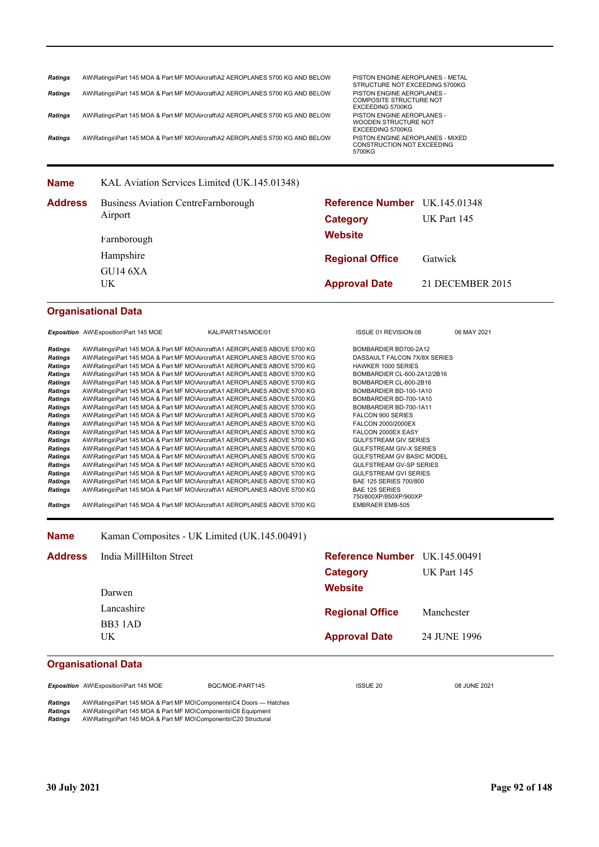| STRUCTURE NOT EXCEEDING 5700KG<br>AW\Ratings\Part 145 MOA & Part MF MO\Aircraft\A2 AEROPLANES 5700 KG AND BELOW<br>PISTON ENGINE AEROPLANES -<br><b>COMPOSITE STRUCTURE NOT</b><br>EXCEEDING 5700KG<br>AW\Ratings\Part 145 MOA & Part MF MO\Aircraft\A2 AEROPLANES 5700 KG AND BELOW<br>PISTON ENGINE AEROPLANES -<br>WOODEN STRUCTURE NOT<br>EXCEEDING 5700KG<br>AW\Ratings\Part 145 MOA & Part MF MO\Aircraft\A2 AEROPLANES 5700 KG AND BELOW<br>PISTON ENGINE AEROPLANES - MIXED<br>CONSTRUCTION NOT EXCEEDING<br>5700KG<br>Reference Number UK.145.01348<br><b>Category</b><br><b>Website</b><br><b>Regional Office</b><br><b>Approval Date</b> | UK Part 145<br>Gatwick |
|-----------------------------------------------------------------------------------------------------------------------------------------------------------------------------------------------------------------------------------------------------------------------------------------------------------------------------------------------------------------------------------------------------------------------------------------------------------------------------------------------------------------------------------------------------------------------------------------------------------------------------------------------------|------------------------|
|                                                                                                                                                                                                                                                                                                                                                                                                                                                                                                                                                                                                                                                     |                        |
|                                                                                                                                                                                                                                                                                                                                                                                                                                                                                                                                                                                                                                                     |                        |
|                                                                                                                                                                                                                                                                                                                                                                                                                                                                                                                                                                                                                                                     |                        |
|                                                                                                                                                                                                                                                                                                                                                                                                                                                                                                                                                                                                                                                     |                        |
|                                                                                                                                                                                                                                                                                                                                                                                                                                                                                                                                                                                                                                                     |                        |
|                                                                                                                                                                                                                                                                                                                                                                                                                                                                                                                                                                                                                                                     |                        |
|                                                                                                                                                                                                                                                                                                                                                                                                                                                                                                                                                                                                                                                     |                        |
|                                                                                                                                                                                                                                                                                                                                                                                                                                                                                                                                                                                                                                                     |                        |
|                                                                                                                                                                                                                                                                                                                                                                                                                                                                                                                                                                                                                                                     |                        |
|                                                                                                                                                                                                                                                                                                                                                                                                                                                                                                                                                                                                                                                     | 21 DECEMBER 2015       |
|                                                                                                                                                                                                                                                                                                                                                                                                                                                                                                                                                                                                                                                     |                        |
| ISSUE 01 REVISION 08                                                                                                                                                                                                                                                                                                                                                                                                                                                                                                                                                                                                                                | 06 MAY 2021            |
| BOMBARDIER BD700-2A12<br>DASSAULT FALCON 7X/8X SERIES<br><b>HAWKER 1000 SERIES</b><br>BOMBARDIER CL-600-2A12/2B16<br>BOMBARDIER CL-600-2B16<br>BOMBARDIER BD-100-1A10<br>BOMBARDIER BD-700-1A10<br>BOMBARDIER BD-700-1A11<br>FALCON 900 SERIES<br>FALCON 2000/2000EX<br>FALCON 2000EX EASY<br><b>GULFSTREAM GIV SERIES</b><br>GULFSTREAM GIV-X SERIES<br>GULFSTREAM GV BASIC MODEL<br>GULFSTREAM GV-SP SERIES<br><b>GULFSTREAM GVI SERIES</b><br>BAE 125 SERIES 700/800<br><b>BAE 125 SERIES</b><br>750/800XP/850XP/900XP<br><b>EMBRAER EMB-505</b>                                                                                                 |                        |
|                                                                                                                                                                                                                                                                                                                                                                                                                                                                                                                                                                                                                                                     |                        |
| Reference Number UK.145.00491                                                                                                                                                                                                                                                                                                                                                                                                                                                                                                                                                                                                                       |                        |
| <b>Category</b>                                                                                                                                                                                                                                                                                                                                                                                                                                                                                                                                                                                                                                     | UK Part 145            |
| <b>Website</b>                                                                                                                                                                                                                                                                                                                                                                                                                                                                                                                                                                                                                                      |                        |
|                                                                                                                                                                                                                                                                                                                                                                                                                                                                                                                                                                                                                                                     | Manchester             |
|                                                                                                                                                                                                                                                                                                                                                                                                                                                                                                                                                                                                                                                     |                        |
| <b>Regional Office</b>                                                                                                                                                                                                                                                                                                                                                                                                                                                                                                                                                                                                                              | 24 JUNE 1996           |
|                                                                                                                                                                                                                                                                                                                                                                                                                                                                                                                                                                                                                                                     | <b>Approval Date</b>   |

**Exposition** AW\Exposition\Part 145 MOE BQC/MOE-PART145 ISSUE 20 08 JUNE 2021

*Ratings* AW\Ratings\Part 145 MOA & Part MF MO\Components\C4 Doors — Hatches *Ratings* AW\Ratings\Part 145 MOA & Part MF MO\Components\C6 Equipment *Ratings* AW\Ratings\Part 145 MOA & Part MF MO\Components\C20 Structural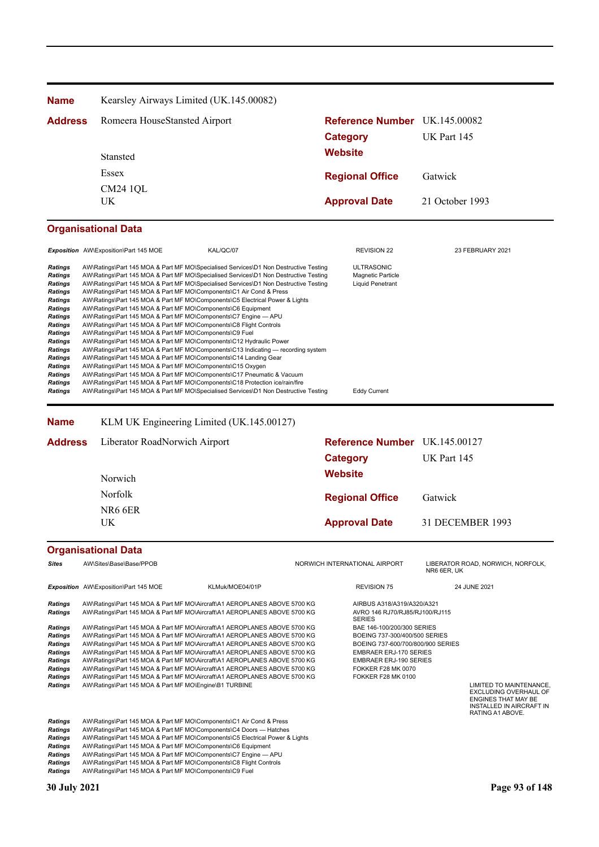| <b>Name</b>                      | Kearsley Airways Limited (UK.145.00082)                             |                                                                                      |                               |                  |  |
|----------------------------------|---------------------------------------------------------------------|--------------------------------------------------------------------------------------|-------------------------------|------------------|--|
| <b>Address</b>                   | Romeera HouseStansted Airport                                       |                                                                                      | Reference Number UK.145.00082 |                  |  |
|                                  |                                                                     |                                                                                      | <b>Category</b>               | UK Part 145      |  |
|                                  |                                                                     |                                                                                      | <b>Website</b>                |                  |  |
|                                  |                                                                     | <b>Stansted</b>                                                                      |                               |                  |  |
|                                  | Essex<br><b>CM24 1QL</b><br>UK.                                     |                                                                                      | <b>Regional Office</b>        | Gatwick          |  |
|                                  |                                                                     |                                                                                      |                               | 21 October 1993  |  |
|                                  |                                                                     |                                                                                      | <b>Approval Date</b>          |                  |  |
|                                  |                                                                     |                                                                                      |                               |                  |  |
|                                  | <b>Organisational Data</b>                                          |                                                                                      |                               |                  |  |
|                                  | Exposition AW\Exposition\Part 145 MOE                               | KAL/QC/07                                                                            | <b>REVISION 22</b>            | 23 FEBRUARY 2021 |  |
| <b>Ratings</b>                   |                                                                     | AW\Ratings\Part 145 MOA & Part MF MO\Specialised Services\D1 Non Destructive Testing | <b>ULTRASONIC</b>             |                  |  |
| <b>Ratings</b>                   |                                                                     | AW\Ratings\Part 145 MOA & Part MF MO\Specialised Services\D1 Non Destructive Testing | Magnetic Particle             |                  |  |
| <b>Ratings</b><br><b>Ratings</b> | AW\Ratings\Part 145 MOA & Part MF MO\Components\C1 Air Cond & Press | AW\Ratings\Part 145 MOA & Part MF MO\Specialised Services\D1 Non Destructive Testing | <b>Liquid Penetrant</b>       |                  |  |
| <b>Ratings</b>                   |                                                                     | AW\Ratings\Part 145 MOA & Part MF MO\Components\C5 Electrical Power & Lights         |                               |                  |  |
| <b>Ratings</b>                   | AW\Ratings\Part 145 MOA & Part MF MO\Components\C6 Equipment        |                                                                                      |                               |                  |  |
| <b>Ratings</b>                   | AW\Ratings\Part 145 MOA & Part MF MO\Components\C7 Engine - APU     |                                                                                      |                               |                  |  |
| <b>Ratings</b>                   | AW\Ratings\Part 145 MOA & Part MF MO\Components\C8 Flight Controls  |                                                                                      |                               |                  |  |
| <b>Ratings</b>                   | AW\Ratings\Part 145 MOA & Part MF MO\Components\C9 Fuel             |                                                                                      |                               |                  |  |
| <b>Ratings</b>                   | AW\Ratings\Part 145 MOA & Part MF MO\Components\C12 Hydraulic Power |                                                                                      |                               |                  |  |
| <b>Ratings</b>                   |                                                                     | AW\Ratings\Part 145 MOA & Part MF MO\Components\C13 Indicating — recording system    |                               |                  |  |
| <b>Ratings</b>                   | AW\Ratings\Part 145 MOA & Part MF MO\Components\C14 Landing Gear    |                                                                                      |                               |                  |  |
| <b>Ratings</b>                   | AW\Ratings\Part 145 MOA & Part MF MO\Components\C15 Oxygen          |                                                                                      |                               |                  |  |
| <b>Ratings</b>                   |                                                                     | AW\Ratings\Part 145 MOA & Part MF MO\Components\C17 Pneumatic & Vacuum               |                               |                  |  |
| <b>Ratings</b>                   |                                                                     | AW\Ratings\Part 145 MOA & Part MF MO\Components\C18 Protection ice/rain/fire         |                               |                  |  |
| <b>Ratings</b>                   |                                                                     | AW\Ratings\Part 145 MOA & Part MF MO\Specialised Services\D1 Non Destructive Testing | <b>Eddy Current</b>           |                  |  |

#### **Name** KLM UK Engineering Limited (UK.145.00127)

| <b>Address</b> | Liberator RoadNorwich Airport     | Reference Number UK.145.00127 |                  |
|----------------|-----------------------------------|-------------------------------|------------------|
|                |                                   | Category                      | UK Part 145      |
|                | <b>Norwich</b>                    | <b>Website</b>                |                  |
|                | Norfolk<br><b>Regional Office</b> | Gatwick                       |                  |
|                | NR6 6ER<br>UK.                    | <b>Approval Date</b>          | 31 DECEMBER 1993 |

# **Organisational Data**

| <b>Sites</b>                                                                                                                                                                     | AW\Sites\Base\Base/PPOB                                                                                                                                                                                                                                                                                                                                                                                                                                                                                                                                                                                                                                                                                                                                                     |                 | NORWICH INTERNATIONAL AIRPORT |                                                                                                                                                                                                                                                                                                               | NR6 6ER. UK | LIBERATOR ROAD, NORWICH, NORFOLK,                                          |
|----------------------------------------------------------------------------------------------------------------------------------------------------------------------------------|-----------------------------------------------------------------------------------------------------------------------------------------------------------------------------------------------------------------------------------------------------------------------------------------------------------------------------------------------------------------------------------------------------------------------------------------------------------------------------------------------------------------------------------------------------------------------------------------------------------------------------------------------------------------------------------------------------------------------------------------------------------------------------|-----------------|-------------------------------|---------------------------------------------------------------------------------------------------------------------------------------------------------------------------------------------------------------------------------------------------------------------------------------------------------------|-------------|----------------------------------------------------------------------------|
|                                                                                                                                                                                  | <b>Exposition</b> AW\Exposition\Part 145 MOE                                                                                                                                                                                                                                                                                                                                                                                                                                                                                                                                                                                                                                                                                                                                | KLMuk/MOE04/01P |                               | <b>REVISION 75</b>                                                                                                                                                                                                                                                                                            |             | 24 JUNE 2021                                                               |
| <b>Ratings</b><br><b>Ratings</b><br><b>Ratings</b><br><b>Ratings</b><br><b>Ratings</b><br><b>Ratings</b><br><b>Ratings</b><br><b>Ratings</b><br><b>Ratings</b><br><b>Ratings</b> | AW\Ratings\Part 145 MOA & Part MF MO\Aircraft\A1 AEROPLANES ABOVE 5700 KG<br>AW\Ratings\Part 145 MOA & Part MF MO\Aircraft\A1 AEROPLANES ABOVE 5700 KG<br>AW\Ratings\Part 145 MOA & Part MF MO\Aircraft\A1 AEROPLANES ABOVE 5700 KG<br>AW\Ratings\Part 145 MOA & Part MF MO\Aircraft\A1 AEROPLANES ABOVE 5700 KG<br>AW\Ratings\Part 145 MOA & Part MF MO\Aircraft\A1 AEROPLANES ABOVE 5700 KG<br>AW\Ratings\Part 145 MOA & Part MF MO\Aircraft\A1 AEROPLANES ABOVE 5700 KG<br>AW\Ratings\Part 145 MOA & Part MF MO\Aircraft\A1 AEROPLANES ABOVE 5700 KG<br>AW\Ratings\Part 145 MOA & Part MF MO\Aircraft\A1 AEROPLANES ABOVE 5700 KG<br>AW\Ratings\Part 145 MOA & Part MF MO\Aircraft\A1 AEROPLANES ABOVE 5700 KG<br>AW\Ratings\Part 145 MOA & Part MF MO\Engine\B1 TURBINE |                 |                               | AIRBUS A318/A319/A320/A321<br>AVRO 146 RJ70/RJ85/RJ100/RJ115<br><b>SERIES</b><br>BAE 146-100/200/300 SERIES<br>BOEING 737-300/400/500 SERIES<br>BOEING 737-600/700/800/900 SERIES<br><b>EMBRAER ERJ-170 SERIES</b><br><b>EMBRAER ERJ-190 SERIES</b><br><b>FOKKER F28 MK 0070</b><br><b>FOKKER F28 MK 0100</b> |             | LIMITED TO MAINTENANCE,<br><b>EXCLUDING OVERHAUL OF</b>                    |
| <b>Ratings</b><br>Ratings<br><b>Ratings</b>                                                                                                                                      | AW\Ratings\Part 145 MOA & Part MF MO\Components\C1 Air Cond & Press<br>AW\Ratings\Part 145 MOA & Part MF MO\Components\C4 Doors — Hatches<br>AW\Ratings\Part 145 MOA & Part MF MO\Components\C5 Electrical Power & Lights                                                                                                                                                                                                                                                                                                                                                                                                                                                                                                                                                   |                 |                               |                                                                                                                                                                                                                                                                                                               |             | <b>ENGINES THAT MAY BE</b><br>INSTALLED IN AIRCRAFT IN<br>RATING A1 ABOVE. |

- **Ratings** AW\Ratings\Part 145 MOA & Part MF MO\Components\C6 Equipment<br>**Ratings** AW\Ratings\Part 145 MOA & Part MF MO\Components\C7 Engine --
- **Ratings AW\Ratings\Part 145 MOA & Part MF MO\Components\C7 Engine APU<br>Ratings AW\Ratings\Part 145 MOA & Part MF MO\Components\C7 Engine APU<br>Ratings AW\Ratings\Part 145 MOA & Part MF MO\Components\C8 Flight Controls**
- **Ratings** AW\Ratings\Part 145 MOA & Part MF MO\Components\C8 Flight Controls<br>**Ratings** AW\Ratings\Part 145 MOA & Part MF MO\Components\C9 Fuel *Ratings* AW\Ratings\Part 145 MOA & Part MF MO\Components\C9 Fuel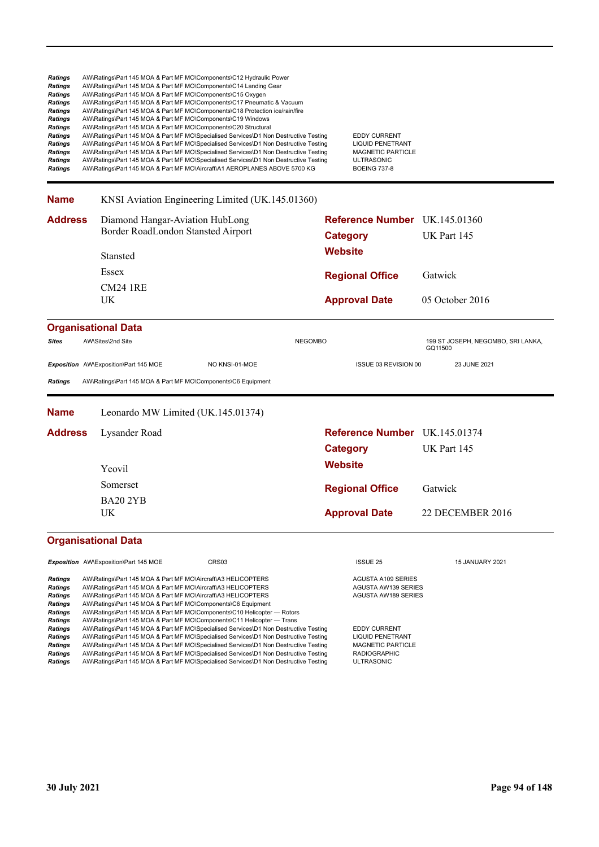| Ratings<br>Ratings<br>Ratings<br>Ratings<br>Ratings<br>Ratings<br>Ratings<br>Ratings<br>Ratings<br>Ratings<br>Ratings<br>Ratings | AW\Ratings\Part 145 MOA & Part MF MO\Components\C12 Hydraulic Power<br>AW\Ratings\Part 145 MOA & Part MF MO\Components\C14 Landing Gear<br>AW\Ratings\Part 145 MOA & Part MF MO\Components\C15 Oxygen<br>AW\Ratings\Part 145 MOA & Part MF MO\Components\C19 Windows<br>AW\Ratings\Part 145 MOA & Part MF MO\Components\C20 Structural | AW\Ratings\Part 145 MOA & Part MF MO\Components\C17 Pneumatic & Vacuum<br>AW\Ratings\Part 145 MOA & Part MF MO\Components\C18 Protection ice/rain/fire<br>AW\Ratings\Part 145 MOA & Part MF MO\Specialised Services\D1 Non Destructive Testing<br>AW\Ratings\Part 145 MOA & Part MF MO\Specialised Services\D1 Non Destructive Testing<br>AW\Ratings\Part 145 MOA & Part MF MO\Specialised Services\D1 Non Destructive Testing<br>AW\Ratings\Part 145 MOA & Part MF MO\Specialised Services\D1 Non Destructive Testing<br>AW\Ratings\Part 145 MOA & Part MF MO\Aircraft\A1 AEROPLANES ABOVE 5700 KG |                 | <b>EDDY CURRENT</b><br><b>LIQUID PENETRANT</b><br><b>MAGNETIC PARTICLE</b><br><b>ULTRASONIC</b><br><b>BOEING 737-8</b>    |                                               |  |
|----------------------------------------------------------------------------------------------------------------------------------|----------------------------------------------------------------------------------------------------------------------------------------------------------------------------------------------------------------------------------------------------------------------------------------------------------------------------------------|-----------------------------------------------------------------------------------------------------------------------------------------------------------------------------------------------------------------------------------------------------------------------------------------------------------------------------------------------------------------------------------------------------------------------------------------------------------------------------------------------------------------------------------------------------------------------------------------------------|-----------------|---------------------------------------------------------------------------------------------------------------------------|-----------------------------------------------|--|
| <b>Name</b>                                                                                                                      |                                                                                                                                                                                                                                                                                                                                        | KNSI Aviation Engineering Limited (UK.145.01360)                                                                                                                                                                                                                                                                                                                                                                                                                                                                                                                                                    |                 |                                                                                                                           |                                               |  |
| Address                                                                                                                          | Diamond Hangar-Aviation HubLong<br>Border RoadLondon Stansted Airport                                                                                                                                                                                                                                                                  |                                                                                                                                                                                                                                                                                                                                                                                                                                                                                                                                                                                                     | <b>Category</b> | <b>Reference Number</b> UK.145.01360                                                                                      | UK Part 145                                   |  |
|                                                                                                                                  | Stansted                                                                                                                                                                                                                                                                                                                               |                                                                                                                                                                                                                                                                                                                                                                                                                                                                                                                                                                                                     | <b>Website</b>  |                                                                                                                           |                                               |  |
|                                                                                                                                  | Essex                                                                                                                                                                                                                                                                                                                                  |                                                                                                                                                                                                                                                                                                                                                                                                                                                                                                                                                                                                     |                 | <b>Regional Office</b>                                                                                                    | Gatwick                                       |  |
|                                                                                                                                  | <b>CM24 1RE</b><br>UK                                                                                                                                                                                                                                                                                                                  |                                                                                                                                                                                                                                                                                                                                                                                                                                                                                                                                                                                                     |                 | <b>Approval Date</b>                                                                                                      | 05 October 2016                               |  |
| Sites                                                                                                                            | <b>Organisational Data</b><br>AW\Sites\2nd Site                                                                                                                                                                                                                                                                                        | <b>NEGOMBO</b>                                                                                                                                                                                                                                                                                                                                                                                                                                                                                                                                                                                      |                 |                                                                                                                           | 199 ST JOSEPH, NEGOMBO, SRI LANKA,<br>GQ11500 |  |
| Ratings                                                                                                                          | Exposition AW\Exposition\Part 145 MOE<br>AW\Ratings\Part 145 MOA & Part MF MO\Components\C6 Equipment                                                                                                                                                                                                                                  | NO KNSI-01-MOE                                                                                                                                                                                                                                                                                                                                                                                                                                                                                                                                                                                      |                 | ISSUE 03 REVISION 00                                                                                                      | 23 JUNE 2021                                  |  |
| <b>Name</b>                                                                                                                      | Leonardo MW Limited (UK.145.01374)                                                                                                                                                                                                                                                                                                     |                                                                                                                                                                                                                                                                                                                                                                                                                                                                                                                                                                                                     |                 |                                                                                                                           |                                               |  |
| <b>Address</b>                                                                                                                   | Lysander Road                                                                                                                                                                                                                                                                                                                          |                                                                                                                                                                                                                                                                                                                                                                                                                                                                                                                                                                                                     |                 | Reference Number UK.145.01374                                                                                             |                                               |  |
|                                                                                                                                  |                                                                                                                                                                                                                                                                                                                                        |                                                                                                                                                                                                                                                                                                                                                                                                                                                                                                                                                                                                     | <b>Category</b> |                                                                                                                           | UK Part 145                                   |  |
|                                                                                                                                  | Yeovil                                                                                                                                                                                                                                                                                                                                 |                                                                                                                                                                                                                                                                                                                                                                                                                                                                                                                                                                                                     | <b>Website</b>  |                                                                                                                           |                                               |  |
|                                                                                                                                  | Somerset                                                                                                                                                                                                                                                                                                                               |                                                                                                                                                                                                                                                                                                                                                                                                                                                                                                                                                                                                     |                 | <b>Regional Office</b>                                                                                                    | Gatwick                                       |  |
|                                                                                                                                  | <b>BA20 2YB</b><br>UK.                                                                                                                                                                                                                                                                                                                 |                                                                                                                                                                                                                                                                                                                                                                                                                                                                                                                                                                                                     |                 | <b>Approval Date</b>                                                                                                      | 22 DECEMBER 2016                              |  |
|                                                                                                                                  | <b>Organisational Data</b>                                                                                                                                                                                                                                                                                                             |                                                                                                                                                                                                                                                                                                                                                                                                                                                                                                                                                                                                     |                 |                                                                                                                           |                                               |  |
|                                                                                                                                  | Exposition AW\Exposition\Part 145 MOE                                                                                                                                                                                                                                                                                                  | CRS03                                                                                                                                                                                                                                                                                                                                                                                                                                                                                                                                                                                               |                 | <b>ISSUE 25</b>                                                                                                           | <b>15 JANUARY 2021</b>                        |  |
| Ratings<br>Ratings<br>Ratings<br>Ratings<br>Ratings<br>Ratings<br>Ratings<br>Ratings                                             | AW\Ratings\Part 145 MOA & Part MF MO\Aircraft\A3 HELICOPTERS<br>AW\Ratings\Part 145 MOA & Part MF MO\Aircraft\A3 HELICOPTERS<br>AW\Ratings\Part 145 MOA & Part MF MO\Aircraft\A3 HELICOPTERS<br>AW\Ratings\Part 145 MOA & Part MF MO\Components\C6 Equipment                                                                           | AW\Ratings\Part 145 MOA & Part MF MO\Components\C10 Helicopter — Rotors<br>AW\Ratings\Part 145 MOA & Part MF MO\Components\C11 Helicopter - Trans<br>AW\Ratings\Part 145 MOA & Part MF MO\Specialised Services\D1 Non Destructive Testing<br>AW\Ratings\Part 145 MOA & Part MF MO\Specialised Services\D1 Non Destructive Testing                                                                                                                                                                                                                                                                   |                 | <b>AGUSTA A109 SERIES</b><br>AGUSTA AW139 SERIES<br>AGUSTA AW189 SERIES<br><b>EDDY CURRENT</b><br><b>LIQUID PENETRANT</b> |                                               |  |
| Ratings<br>Ratings<br>Ratings                                                                                                    |                                                                                                                                                                                                                                                                                                                                        | AW\Ratings\Part 145 MOA & Part MF MO\Specialised Services\D1 Non Destructive Testing<br>AW\Ratings\Part 145 MOA & Part MF MO\Specialised Services\D1 Non Destructive Testing<br>AW\Ratings\Part 145 MOA & Part MF MO\Specialised Services\D1 Non Destructive Testing                                                                                                                                                                                                                                                                                                                                |                 | MAGNETIC PARTICLE<br><b>RADIOGRAPHIC</b><br><b>ULTRASONIC</b>                                                             |                                               |  |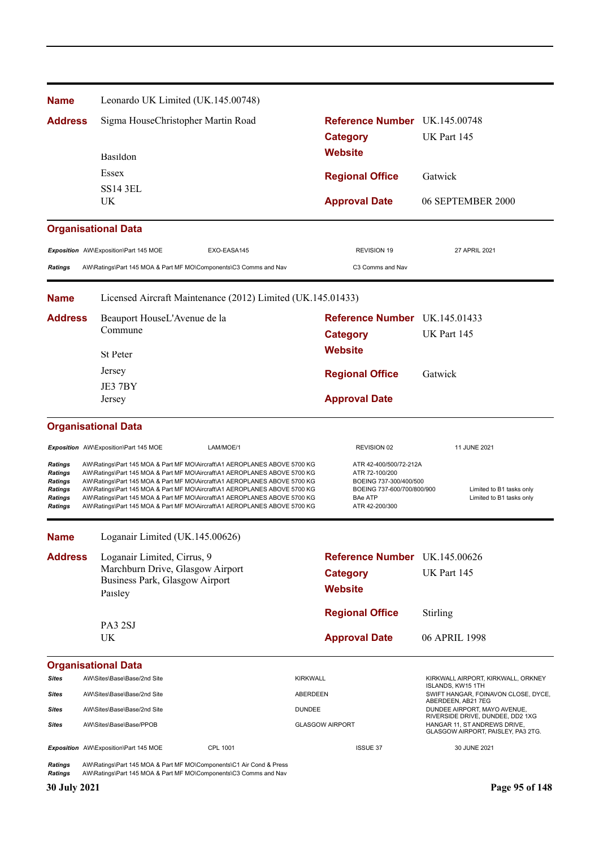| <b>Name</b>                                                                  | Leonardo UK Limited (UK.145.00748)                                                                                                                                                                                                                                                                                                                                                                                                                                         |                 |                                                                                                                                      |                                                                    |  |  |
|------------------------------------------------------------------------------|----------------------------------------------------------------------------------------------------------------------------------------------------------------------------------------------------------------------------------------------------------------------------------------------------------------------------------------------------------------------------------------------------------------------------------------------------------------------------|-----------------|--------------------------------------------------------------------------------------------------------------------------------------|--------------------------------------------------------------------|--|--|
| <b>Address</b>                                                               | Sigma HouseChristopher Martin Road                                                                                                                                                                                                                                                                                                                                                                                                                                         |                 | Reference Number UK.145.00748                                                                                                        |                                                                    |  |  |
|                                                                              |                                                                                                                                                                                                                                                                                                                                                                                                                                                                            |                 | <b>Category</b>                                                                                                                      | UK Part 145                                                        |  |  |
|                                                                              | Basildon                                                                                                                                                                                                                                                                                                                                                                                                                                                                   |                 | <b>Website</b>                                                                                                                       |                                                                    |  |  |
|                                                                              | Essex                                                                                                                                                                                                                                                                                                                                                                                                                                                                      |                 | <b>Regional Office</b>                                                                                                               | Gatwick                                                            |  |  |
|                                                                              | <b>SS14 3EL</b>                                                                                                                                                                                                                                                                                                                                                                                                                                                            |                 |                                                                                                                                      |                                                                    |  |  |
|                                                                              | UK                                                                                                                                                                                                                                                                                                                                                                                                                                                                         |                 | <b>Approval Date</b>                                                                                                                 | 06 SEPTEMBER 2000                                                  |  |  |
|                                                                              | <b>Organisational Data</b>                                                                                                                                                                                                                                                                                                                                                                                                                                                 |                 |                                                                                                                                      |                                                                    |  |  |
|                                                                              | Exposition AW\Exposition\Part 145 MOE<br>EXO-EASA145                                                                                                                                                                                                                                                                                                                                                                                                                       |                 | <b>REVISION 19</b>                                                                                                                   | 27 APRIL 2021                                                      |  |  |
| <b>Ratings</b>                                                               | AW\Ratings\Part 145 MOA & Part MF MO\Components\C3 Comms and Nav                                                                                                                                                                                                                                                                                                                                                                                                           |                 | C3 Comms and Nav                                                                                                                     |                                                                    |  |  |
| <b>Name</b>                                                                  | Licensed Aircraft Maintenance (2012) Limited (UK.145.01433)                                                                                                                                                                                                                                                                                                                                                                                                                |                 |                                                                                                                                      |                                                                    |  |  |
| <b>Address</b>                                                               | Beauport HouseL'Avenue de la                                                                                                                                                                                                                                                                                                                                                                                                                                               |                 | Reference Number UK.145.01433                                                                                                        |                                                                    |  |  |
|                                                                              | Commune                                                                                                                                                                                                                                                                                                                                                                                                                                                                    |                 | <b>Category</b>                                                                                                                      | UK Part 145                                                        |  |  |
|                                                                              | <b>St Peter</b>                                                                                                                                                                                                                                                                                                                                                                                                                                                            |                 | <b>Website</b>                                                                                                                       |                                                                    |  |  |
|                                                                              | Jersey<br>JE3 7BY                                                                                                                                                                                                                                                                                                                                                                                                                                                          |                 | <b>Regional Office</b>                                                                                                               | Gatwick                                                            |  |  |
|                                                                              |                                                                                                                                                                                                                                                                                                                                                                                                                                                                            |                 |                                                                                                                                      |                                                                    |  |  |
| Jersey                                                                       |                                                                                                                                                                                                                                                                                                                                                                                                                                                                            |                 | <b>Approval Date</b>                                                                                                                 |                                                                    |  |  |
|                                                                              | <b>Organisational Data</b>                                                                                                                                                                                                                                                                                                                                                                                                                                                 |                 |                                                                                                                                      |                                                                    |  |  |
|                                                                              | LAM/MOE/1<br>Exposition AW\Exposition\Part 145 MOE                                                                                                                                                                                                                                                                                                                                                                                                                         |                 | REVISION 02                                                                                                                          | 11 JUNE 2021                                                       |  |  |
| Ratings<br>Ratings<br><b>Ratings</b><br>Ratings<br>Ratings<br><b>Ratings</b> | AW\Ratings\Part 145 MOA & Part MF MO\Aircraft\A1 AEROPLANES ABOVE 5700 KG<br>AW\Ratings\Part 145 MOA & Part MF MO\Aircraft\A1 AEROPLANES ABOVE 5700 KG<br>AW\Ratings\Part 145 MOA & Part MF MO\Aircraft\A1 AEROPLANES ABOVE 5700 KG<br>AW\Ratings\Part 145 MOA & Part MF MO\Aircraft\A1 AEROPLANES ABOVE 5700 KG<br>AW\Ratings\Part 145 MOA & Part MF MO\Aircraft\A1 AEROPLANES ABOVE 5700 KG<br>AW\Ratings\Part 145 MOA & Part MF MO\Aircraft\A1 AEROPLANES ABOVE 5700 KG |                 | ATR 42-400/500/72-212A<br>ATR 72-100/200<br>BOEING 737-300/400/500<br>BOEING 737-600/700/800/900<br><b>BAe ATP</b><br>ATR 42-200/300 | Limited to B1 tasks only<br>Limited to B1 tasks only               |  |  |
| <b>Name</b>                                                                  | Loganair Limited (UK.145.00626)                                                                                                                                                                                                                                                                                                                                                                                                                                            |                 |                                                                                                                                      |                                                                    |  |  |
| <b>Address</b>                                                               | Loganair Limited, Cirrus, 9                                                                                                                                                                                                                                                                                                                                                                                                                                                |                 | Reference Number UK.145.00626                                                                                                        |                                                                    |  |  |
|                                                                              | Marchburn Drive, Glasgow Airport                                                                                                                                                                                                                                                                                                                                                                                                                                           |                 | <b>Category</b>                                                                                                                      | UK Part 145                                                        |  |  |
|                                                                              | Business Park, Glasgow Airport<br>Paisley                                                                                                                                                                                                                                                                                                                                                                                                                                  |                 | <b>Website</b>                                                                                                                       |                                                                    |  |  |
|                                                                              |                                                                                                                                                                                                                                                                                                                                                                                                                                                                            |                 | <b>Regional Office</b>                                                                                                               | Stirling                                                           |  |  |
|                                                                              | PA3 2SJ                                                                                                                                                                                                                                                                                                                                                                                                                                                                    |                 |                                                                                                                                      |                                                                    |  |  |
|                                                                              | UK                                                                                                                                                                                                                                                                                                                                                                                                                                                                         |                 | <b>Approval Date</b>                                                                                                                 | 06 APRIL 1998                                                      |  |  |
|                                                                              | <b>Organisational Data</b>                                                                                                                                                                                                                                                                                                                                                                                                                                                 |                 |                                                                                                                                      |                                                                    |  |  |
| Sites                                                                        | AW\Sites\Base\Base/2nd Site                                                                                                                                                                                                                                                                                                                                                                                                                                                | <b>KIRKWALL</b> |                                                                                                                                      | KIRKWALL AIRPORT, KIRKWALL, ORKNEY<br>ISLANDS, KW15 1TH            |  |  |
| Sites                                                                        | AW\Sites\Base\Base/2nd Site                                                                                                                                                                                                                                                                                                                                                                                                                                                | ABERDEEN        |                                                                                                                                      | SWIFT HANGAR, FOINAVON CLOSE, DYCE,<br>ABERDEEN, AB21 7EG          |  |  |
| Sites                                                                        | AW\Sites\Base\Base/2nd Site                                                                                                                                                                                                                                                                                                                                                                                                                                                | <b>DUNDEE</b>   |                                                                                                                                      | DUNDEE AIRPORT, MAYO AVENUE,<br>RIVERSIDE DRIVE, DUNDEE, DD2 1XG   |  |  |
| Sites                                                                        | AW\Sites\Base\Base/PPOB                                                                                                                                                                                                                                                                                                                                                                                                                                                    |                 | <b>GLASGOW AIRPORT</b>                                                                                                               | HANGAR 11, ST ANDREWS DRIVE,<br>GLASGOW AIRPORT, PAISLEY, PA3 2TG. |  |  |
|                                                                              | Exposition AW\Exposition\Part 145 MOE<br>CPL 1001                                                                                                                                                                                                                                                                                                                                                                                                                          |                 | <b>ISSUE 37</b>                                                                                                                      | 30 JUNE 2021                                                       |  |  |
| <b>Ratings</b><br><b>Ratings</b>                                             | AW\Ratings\Part 145 MOA & Part MF MO\Components\C1 Air Cond & Press<br>AW\Ratings\Part 145 MOA & Part MF MO\Components\C3 Comms and Nav                                                                                                                                                                                                                                                                                                                                    |                 |                                                                                                                                      |                                                                    |  |  |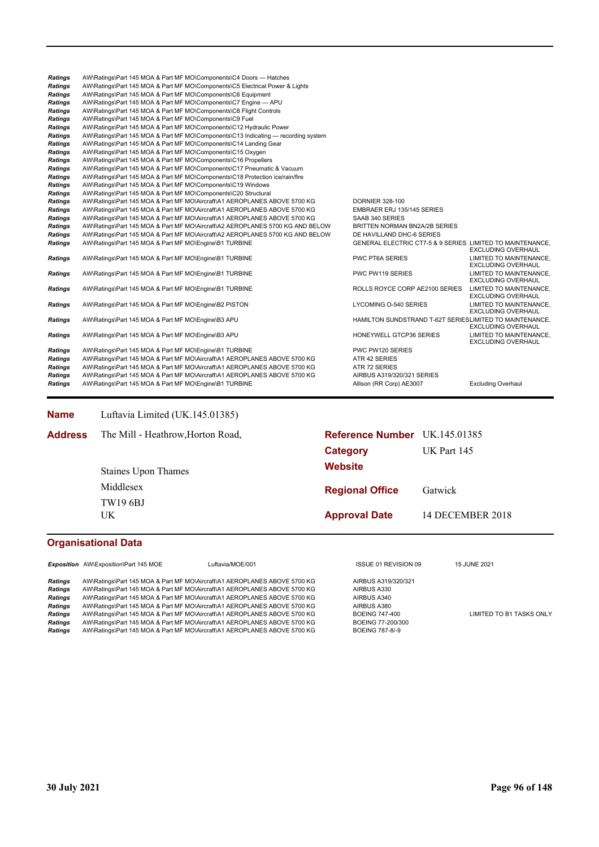| <b>Ratings</b> | AW\Ratings\Part 145 MOA & Part MF MO\Components\C4 Doors - Hatches                |                                                           |                                                      |
|----------------|-----------------------------------------------------------------------------------|-----------------------------------------------------------|------------------------------------------------------|
| <b>Ratings</b> | AW\Ratings\Part 145 MOA & Part MF MO\Components\C5 Electrical Power & Lights      |                                                           |                                                      |
| <b>Ratings</b> | AW\Ratings\Part 145 MOA & Part MF MO\Components\C6 Equipment                      |                                                           |                                                      |
| <b>Ratings</b> | AW\Ratings\Part 145 MOA & Part MF MO\Components\C7 Engine - APU                   |                                                           |                                                      |
| <b>Ratings</b> | AW\Ratings\Part 145 MOA & Part MF MO\Components\C8 Flight Controls                |                                                           |                                                      |
| <b>Ratings</b> | AW\Ratings\Part 145 MOA & Part MF MO\Components\C9 Fuel                           |                                                           |                                                      |
| <b>Ratings</b> | AW\Ratings\Part 145 MOA & Part MF MO\Components\C12 Hydraulic Power               |                                                           |                                                      |
| <b>Ratings</b> | AW\Ratings\Part 145 MOA & Part MF MO\Components\C13 Indicating — recording system |                                                           |                                                      |
| <b>Ratings</b> | AW\Ratings\Part 145 MOA & Part MF MO\Components\C14 Landing Gear                  |                                                           |                                                      |
| <b>Ratings</b> | AW\Ratings\Part 145 MOA & Part MF MO\Components\C15 Oxygen                        |                                                           |                                                      |
| <b>Ratings</b> | AW\Ratings\Part 145 MOA & Part MF MO\Components\C16 Propellers                    |                                                           |                                                      |
| <b>Ratings</b> | AW\Ratings\Part 145 MOA & Part MF MO\Components\C17 Pneumatic & Vacuum            |                                                           |                                                      |
| <b>Ratings</b> | AW\Ratings\Part 145 MOA & Part MF MO\Components\C18 Protection ice/rain/fire      |                                                           |                                                      |
| <b>Ratings</b> | AW\Ratings\Part 145 MOA & Part MF MO\Components\C19 Windows                       |                                                           |                                                      |
| <b>Ratings</b> | AW\Ratings\Part 145 MOA & Part MF MO\Components\C20 Structural                    |                                                           |                                                      |
| <b>Ratings</b> | AW\Ratings\Part 145 MOA & Part MF MO\Aircraft\A1 AEROPLANES ABOVE 5700 KG         | <b>DORNIER 328-100</b>                                    |                                                      |
| <b>Ratings</b> | AW\Ratings\Part 145 MOA & Part MF MO\Aircraft\A1 AEROPLANES ABOVE 5700 KG         | EMBRAER ERJ 135/145 SERIES                                |                                                      |
| <b>Ratings</b> | AW\Ratings\Part 145 MOA & Part MF MO\Aircraft\A1 AEROPLANES ABOVE 5700 KG         | SAAB 340 SERIES                                           |                                                      |
| <b>Ratings</b> | AW\Ratings\Part 145 MOA & Part MF MO\Aircraft\A2 AEROPLANES 5700 KG AND BELOW     | <b>BRITTEN NORMAN BN2A/2B SERIES</b>                      |                                                      |
| <b>Ratings</b> | AW\Ratings\Part 145 MOA & Part MF MO\Aircraft\A2 AEROPLANES 5700 KG AND BELOW     | DE HAVILLAND DHC-6 SERIES                                 |                                                      |
| <b>Ratings</b> | AW\Ratings\Part 145 MOA & Part MF MO\Engine\B1 TURBINE                            | GENERAL ELECTRIC CT7-5 & 9 SERIES LIMITED TO MAINTENANCE. | <b>EXCLUDING OVERHAUL</b>                            |
| <b>Ratings</b> | AW\Ratings\Part 145 MOA & Part MF MO\Engine\B1 TURBINE                            | <b>PWC PT6A SERIES</b>                                    | LIMITED TO MAINTENANCE.<br><b>EXCLUDING OVERHAUL</b> |
| <b>Ratings</b> | AW\Ratings\Part 145 MOA & Part MF MO\Engine\B1 TURBINE                            | PWC PW119 SERIES                                          | LIMITED TO MAINTENANCE.<br><b>EXCLUDING OVERHAUL</b> |
| <b>Ratings</b> | AW\Ratings\Part 145 MOA & Part MF MO\Engine\B1 TURBINE                            | ROLLS ROYCE CORP AE2100 SERIES                            | LIMITED TO MAINTENANCE,<br><b>EXCLUDING OVERHAUL</b> |
| <b>Ratings</b> | AW\Ratings\Part 145 MOA & Part MF MO\Engine\B2 PISTON                             | LYCOMING O-540 SERIES                                     | LIMITED TO MAINTENANCE.<br><b>EXCLUDING OVERHAUL</b> |
| <b>Ratings</b> | AW\Ratings\Part 145 MOA & Part MF MO\Engine\B3 APU                                | HAMILTON SUNDSTRAND T-62T SERIESLIMITED TO MAINTENANCE.   | <b>EXCLUDING OVERHAUL</b>                            |
| <b>Ratings</b> | AW\Ratings\Part 145 MOA & Part MF MO\Engine\B3 APU                                | HONEYWELL GTCP36 SERIES                                   | LIMITED TO MAINTENANCE.<br><b>EXCLUDING OVERHAUL</b> |
| <b>Ratings</b> | AW\Ratings\Part 145 MOA & Part MF MO\Engine\B1 TURBINE                            | PWC PW120 SERIES                                          |                                                      |
| <b>Ratings</b> | AW\Ratings\Part 145 MOA & Part MF MO\Aircraft\A1 AEROPLANES ABOVE 5700 KG         | ATR 42 SERIES                                             |                                                      |
| <b>Ratings</b> | AW\Ratings\Part 145 MOA & Part MF MO\Aircraft\A1 AEROPLANES ABOVE 5700 KG         | ATR 72 SERIES                                             |                                                      |
| <b>Ratings</b> | AW\Ratings\Part 145 MOA & Part MF MO\Aircraft\A1 AEROPLANES ABOVE 5700 KG         | AIRBUS A319/320/321 SERIES                                |                                                      |
| Ratings        | AW\Ratings\Part 145 MOA & Part MF MO\Engine\B1 TURBINE                            | Allison (RR Corp) AE3007                                  | <b>Excluding Overhaul</b>                            |

**Name** Luftavia Limited (UK.145.01385)

| <b>Address</b> | The Mill - Heathrow, Horton Road, | Reference Number UK.145.01385 |                  |
|----------------|-----------------------------------|-------------------------------|------------------|
|                |                                   | Category                      | UK Part 145      |
|                | <b>Staines Upon Thames</b>        | <b>Website</b>                |                  |
|                | Middlesex                         | <b>Regional Office</b>        | Gatwick          |
|                | <b>TW19 6BJ</b>                   |                               |                  |
|                | UK                                | <b>Approval Date</b>          | 14 DECEMBER 2018 |
|                |                                   |                               |                  |

### **Organisational Data**

Exposition AW\Exposition\Part 145 MOE Luftavia/MOE/001 **ISSUE 01 REVISION 09** 15 JUNE 2021

**Ratings** AW\Ratings\Part 145 MOA & Part MF MO\Aircraft\A1 AEROPLANES ABOVE 5700 KG AIRBUS A319/320/321<br>Ratings AW\Ratings\Part 145 MOA & Part MF MO\Aircraft\A1 AEROPLANES ABOVE 5700 KG AIRBUS A330 **Ratings** AW\Ratings\Part 145 MOA & Part MF MO\Aircraft\A1 AEROPLANES ABOVE 5700 KG <br>**Ratings** AW\Ratings\Part 145 MOA & Part MF MO\Aircraft\A1 AEROPLANES ABOVE 5700 KG Ratings AW\Ratings\Part 145 MOA & Part MF MO\Aircraft\A1 AEROPLANES ABOVE 5700 KG AIRBUS A340 Ratings AW\Ratings\Part 145 MOA & Part MF MO\Aircraft\A1 AEROPLANES ABOVE 5700 KG AIRBUS A380 Ratings AW\Ratings\Part 145 MOA & Part MF MO\Aircraft\A1 AEROPLANES ABOVE 5700 KG BOEING 747-400 LIMITED TO B1 TASKS ONLY Ratings AW\Ratings\Part 145 MOA & Part MF MO\Aircraft\A1 AEROPLANES ABOVE 5700 KG BOEING 747-400<br> **Ratings** AW\Ratings\Part 145 MOA & Part MF MO\Aircraft\A1 AEROPLANES ABOVE 5700 KG BOEING 77-200/300<br> **Ratings** AW\Ratings\ AW\Ratings\Part 145 MOA & Part MF MO\Aircraft\A1 AEROPLANES ABOVE 5700 KG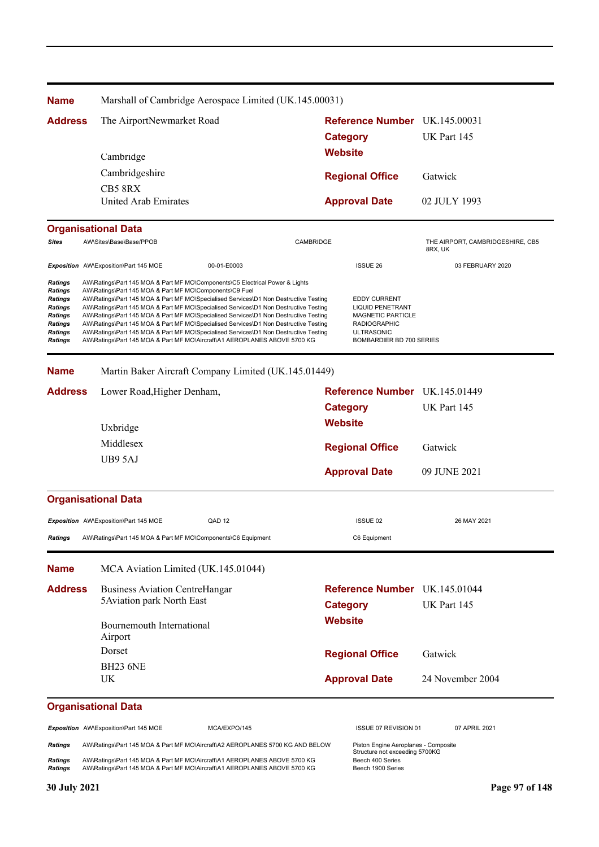| <b>Name</b>                                                                          | Marshall of Cambridge Aerospace Limited (UK.145.00031)                                                                                                                                                                                                                                                                                                                                                                                                                                                                                                                                                                                                                       |           |                                                                                                                                                    |                                             |
|--------------------------------------------------------------------------------------|------------------------------------------------------------------------------------------------------------------------------------------------------------------------------------------------------------------------------------------------------------------------------------------------------------------------------------------------------------------------------------------------------------------------------------------------------------------------------------------------------------------------------------------------------------------------------------------------------------------------------------------------------------------------------|-----------|----------------------------------------------------------------------------------------------------------------------------------------------------|---------------------------------------------|
| <b>Address</b>                                                                       | The AirportNewmarket Road                                                                                                                                                                                                                                                                                                                                                                                                                                                                                                                                                                                                                                                    |           | Reference Number UK.145.00031                                                                                                                      |                                             |
|                                                                                      |                                                                                                                                                                                                                                                                                                                                                                                                                                                                                                                                                                                                                                                                              |           | <b>Category</b>                                                                                                                                    | UK Part 145                                 |
|                                                                                      | Cambridge                                                                                                                                                                                                                                                                                                                                                                                                                                                                                                                                                                                                                                                                    |           | <b>Website</b>                                                                                                                                     |                                             |
|                                                                                      | Cambridgeshire                                                                                                                                                                                                                                                                                                                                                                                                                                                                                                                                                                                                                                                               |           | <b>Regional Office</b>                                                                                                                             | Gatwick                                     |
|                                                                                      | CB5 8RX                                                                                                                                                                                                                                                                                                                                                                                                                                                                                                                                                                                                                                                                      |           |                                                                                                                                                    |                                             |
|                                                                                      | United Arab Emirates                                                                                                                                                                                                                                                                                                                                                                                                                                                                                                                                                                                                                                                         |           | <b>Approval Date</b>                                                                                                                               | 02 JULY 1993                                |
|                                                                                      | <b>Organisational Data</b>                                                                                                                                                                                                                                                                                                                                                                                                                                                                                                                                                                                                                                                   |           |                                                                                                                                                    |                                             |
| Sites                                                                                | AW\Sites\Base\Base/PPOB                                                                                                                                                                                                                                                                                                                                                                                                                                                                                                                                                                                                                                                      | CAMBRIDGE |                                                                                                                                                    | THE AIRPORT, CAMBRIDGESHIRE, CB5<br>8RX, UK |
|                                                                                      | Exposition AW\Exposition\Part 145 MOE<br>00-01-E0003                                                                                                                                                                                                                                                                                                                                                                                                                                                                                                                                                                                                                         |           | <b>ISSUE 26</b>                                                                                                                                    | 03 FEBRUARY 2020                            |
| Ratings<br>Ratings<br>Ratings<br>Ratings<br>Ratings<br>Ratings<br>Ratings<br>Ratings | AW\Ratings\Part 145 MOA & Part MF MO\Components\C5 Electrical Power & Lights<br>AW\Ratings\Part 145 MOA & Part MF MO\Components\C9 Fuel<br>AW\Ratings\Part 145 MOA & Part MF MO\Specialised Services\D1 Non Destructive Testing<br>AW\Ratings\Part 145 MOA & Part MF MO\Specialised Services\D1 Non Destructive Testing<br>AW\Ratings\Part 145 MOA & Part MF MO\Specialised Services\D1 Non Destructive Testing<br>AW\Ratings\Part 145 MOA & Part MF MO\Specialised Services\D1 Non Destructive Testing<br>AW\Ratings\Part 145 MOA & Part MF MO\Specialised Services\D1 Non Destructive Testing<br>AW\Ratings\Part 145 MOA & Part MF MO\Aircraft\A1 AEROPLANES ABOVE 5700 KG |           | <b>EDDY CURRENT</b><br><b>LIQUID PENETRANT</b><br><b>MAGNETIC PARTICLE</b><br><b>RADIOGRAPHIC</b><br><b>ULTRASONIC</b><br>BOMBARDIER BD 700 SERIES |                                             |
| <b>Name</b>                                                                          | Martin Baker Aircraft Company Limited (UK.145.01449)                                                                                                                                                                                                                                                                                                                                                                                                                                                                                                                                                                                                                         |           |                                                                                                                                                    |                                             |
| <b>Address</b>                                                                       | Lower Road, Higher Denham,                                                                                                                                                                                                                                                                                                                                                                                                                                                                                                                                                                                                                                                   |           | Reference Number UK.145.01449                                                                                                                      |                                             |
|                                                                                      |                                                                                                                                                                                                                                                                                                                                                                                                                                                                                                                                                                                                                                                                              |           | <b>Category</b>                                                                                                                                    | UK Part 145                                 |
|                                                                                      | Uxbridge                                                                                                                                                                                                                                                                                                                                                                                                                                                                                                                                                                                                                                                                     |           | <b>Website</b>                                                                                                                                     |                                             |
|                                                                                      | Middlesex                                                                                                                                                                                                                                                                                                                                                                                                                                                                                                                                                                                                                                                                    |           | <b>Regional Office</b>                                                                                                                             | Gatwick                                     |
|                                                                                      | UB9 5AJ                                                                                                                                                                                                                                                                                                                                                                                                                                                                                                                                                                                                                                                                      |           |                                                                                                                                                    |                                             |
|                                                                                      |                                                                                                                                                                                                                                                                                                                                                                                                                                                                                                                                                                                                                                                                              |           | <b>Approval Date</b>                                                                                                                               | 09 JUNE 2021                                |
|                                                                                      | <b>Organisational Data</b>                                                                                                                                                                                                                                                                                                                                                                                                                                                                                                                                                                                                                                                   |           |                                                                                                                                                    |                                             |
|                                                                                      | Exposition AW\Exposition\Part 145 MOE<br>QAD <sub>12</sub>                                                                                                                                                                                                                                                                                                                                                                                                                                                                                                                                                                                                                   |           | ISSUE 02                                                                                                                                           | 26 MAY 2021                                 |
| Ratings                                                                              | AW\Ratings\Part 145 MOA & Part MF MO\Components\C6 Equipment                                                                                                                                                                                                                                                                                                                                                                                                                                                                                                                                                                                                                 |           | C6 Equipment                                                                                                                                       |                                             |
| Name                                                                                 | MCA Aviation Limited (UK.145.01044)                                                                                                                                                                                                                                                                                                                                                                                                                                                                                                                                                                                                                                          |           |                                                                                                                                                    |                                             |
| <b>Address</b>                                                                       | <b>Business Aviation CentreHangar</b>                                                                                                                                                                                                                                                                                                                                                                                                                                                                                                                                                                                                                                        |           | <b>Reference Number</b> UK.145.01044                                                                                                               |                                             |
|                                                                                      | 5 Aviation park North East                                                                                                                                                                                                                                                                                                                                                                                                                                                                                                                                                                                                                                                   |           | <b>Category</b>                                                                                                                                    | UK Part 145                                 |
|                                                                                      |                                                                                                                                                                                                                                                                                                                                                                                                                                                                                                                                                                                                                                                                              |           | <b>Website</b>                                                                                                                                     |                                             |
|                                                                                      | Bournemouth International<br>Airport                                                                                                                                                                                                                                                                                                                                                                                                                                                                                                                                                                                                                                         |           |                                                                                                                                                    |                                             |
|                                                                                      | Dorset                                                                                                                                                                                                                                                                                                                                                                                                                                                                                                                                                                                                                                                                       |           |                                                                                                                                                    |                                             |
|                                                                                      | <b>BH23 6NE</b>                                                                                                                                                                                                                                                                                                                                                                                                                                                                                                                                                                                                                                                              |           | <b>Regional Office</b>                                                                                                                             | Gatwick                                     |
|                                                                                      | <b>UK</b>                                                                                                                                                                                                                                                                                                                                                                                                                                                                                                                                                                                                                                                                    |           | <b>Approval Date</b>                                                                                                                               | 24 November 2004                            |
|                                                                                      | <b>Organisational Data</b>                                                                                                                                                                                                                                                                                                                                                                                                                                                                                                                                                                                                                                                   |           |                                                                                                                                                    |                                             |
|                                                                                      | Exposition AW\Exposition\Part 145 MOE<br>MCA/EXPO/145                                                                                                                                                                                                                                                                                                                                                                                                                                                                                                                                                                                                                        |           | ISSUE 07 REVISION 01                                                                                                                               | 07 APRIL 2021                               |
| Ratings                                                                              | AW\Ratings\Part 145 MOA & Part MF MO\Aircraft\A2 AEROPLANES 5700 KG AND BELOW                                                                                                                                                                                                                                                                                                                                                                                                                                                                                                                                                                                                |           | Piston Engine Aeroplanes - Composite                                                                                                               |                                             |
| Ratings<br>Ratings                                                                   | AW\Ratings\Part 145 MOA & Part MF MO\Aircraft\A1 AEROPLANES ABOVE 5700 KG<br>AW\Ratings\Part 145 MOA & Part MF MO\Aircraft\A1 AEROPLANES ABOVE 5700 KG                                                                                                                                                                                                                                                                                                                                                                                                                                                                                                                       |           | Structure not exceeding 5700KG<br>Beech 400 Series<br>Beech 1900 Series                                                                            |                                             |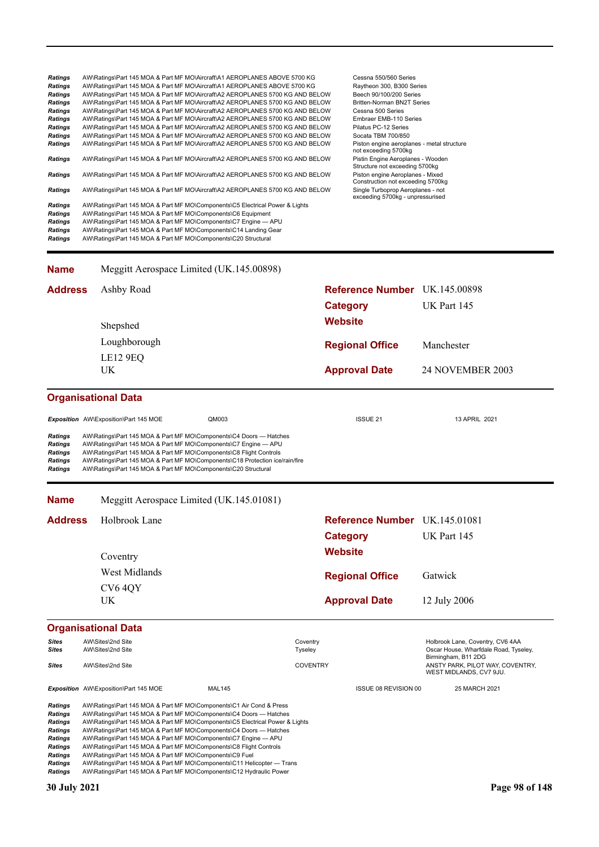Ratings AW\Ratings\Part 145 MOA & Part MF MO\Aircraft\A1 AEROPLANES ABOVE 5700 KG Cessna 550/560 Series<br>
Ratings AW\Ratings\Part 145 MOA & Part MF MO\Aircraft\A1 AEROPLANES ABOVE 5700 KG Raytheon 300, B300 Series Ratings AW\Ratings\Part 145 MOA & Part MF MO\Aircraft\A1 AEROPLANES ABOVE 5700 KG Raytheon 300, B300 Series<br>Ratings AW\Ratings\Part 145 MOA & Part MF MO\Aircraft\A2 AEROPLANES 5700 KG AND BELOW Beech 90/100/200 Series *Ratings* AW\Ratings\Part 145 MOA & Part MF MO\Aircraft\A2 AEROPLANES 5700 KG AND BELOW Beech 90/100/200 Series *Ratings* AW\Ratings\Part 145 MOA & Part MF MO\Aircraft\A2 AEROPLANES 5700 KG AND BELOW Britten-Norman BN2T Series **Ratings** AW\Ratings\Part 145 MOA & Part MF MO\Aircraft\A2 AEROPLANES 5700 KG AND BELOW Cessna 500 Series<br>**Ratings** AW\Ratings\Part 145 MOA & Part MF MO\Aircraft\A2 AEROPLANES 5700 KG AND BELOW Embraer EMB-110 Series **Ratings** AW\Ratings\Part 145 MOA & Part MF MO\Aircraft\A2 AEROPLANES 5700 KG AND BELOW Embraer EMB-110 Stries<br> **Ratings** AW\Ratings\Part 145 MOA & Part MF MO\Aircraft\A2 AEROPLANES 5700 KG AND BELOW Pilatus PC-12 Series *Ratings* AW\Ratings\Part 145 MOA & Part MF MO\Aircraft\A2 AEROPLANES 5700 KG AND BELOW Pilatus PC-12 Series Ratings AW\Ratings\Part 145 MOA & Part MF MO\Aircraft\A2 AEROPLANES 5700 KG AND BELOW Ratings AW\Ratings\Part 145 MOA & Part MF MO\Aircraft\A2 AEROPLANES 5700 KG AND BELOW Piston engine aeroplanes - metal structure not exceeding 5700kg<br>Pistin Engine Aeroplanes - Wooden **Ratings** AW\Ratings\Part 145 MOA & Part MF MO\Aircraft\A2 AEROPLANES 5700 KG AND BELOW Structure not exceeding 5700kg **Ratings** AW\Ratings\Part 145 MOA & Part MF MO\Aircraft\A2 AEROPLANES 5700 KG AND BELOW Piston engine Aeroplanes - Mixed Construction not exceeding 5700kg **Ratings** AW\Ratings\Part 145 MOA & Part MF MO\Aircraft\A2 AEROPLANES 5700 KG AND BELOW exceeding 5700kg - unpressurised *Ratings* AW\Ratings\Part 145 MOA & Part MF MO\Components\C5 Electrical Power & Lights *Ratings* AW\Ratings\Part 145 MOA & Part MF MO\Components\C6 Equipment *Ratings* AW\Ratings\Part 145 MOA & Part MF MO\Components\C7 Engine — APU Ratings AW\Ratings\Part 145 MOA & Part MF MO\Components\C14 Landing Gear<br>**Ratings** AW\Ratings\Part 145 MOA & Part MF MO\Components\C20 Structural *Ratings* AW\Ratings\Part 145 MOA & Part MF MO\Components\C20 Structural

| <b>Name</b>                | Meggitt Aerospace Limited (UK.145.00898) |                               |                         |
|----------------------------|------------------------------------------|-------------------------------|-------------------------|
| <b>Address</b>             | Ashby Road                               | Reference Number UK.145.00898 |                         |
|                            |                                          | <b>Category</b>               | UK Part 145             |
|                            | Shepshed                                 | <b>Website</b>                |                         |
|                            | Loughborough                             | <b>Regional Office</b>        | Manchester              |
|                            | LE12 9EQ                                 |                               |                         |
|                            | UK.                                      | <b>Approval Date</b>          | <b>24 NOVEMBER 2003</b> |
| <b>Organisational Data</b> |                                          |                               |                         |

### **Exposition** AW\Exposition\Part 145 MOE QM003 QM003 **ISSUE 21** 13 APRIL 2021 *Ratings* AW\Ratings\Part 145 MOA & Part MF MO\Components\C4 Doors — Hatches *Ratings* AW\Ratings\Part 145 MOA & Part MF MO\Components\C7 Engine — APU *Ratings* AW\Ratings\Part 145 MOA & Part MF MO\Components\C8 Flight Controls **Ratings** AW\Ratings\Part 145 MOA & Part MF MO\Components\C18 Protection ice/rain/fire<br>**Ratings** AW\Ratings\Part 145 MOA & Part MF MO\Components\C20 Structural *Ratings* AW\Ratings\Part 145 MOA & Part MF MO\Components\C20 Structural

#### **Name** Meggitt Aerospace Limited (UK.145.01081)

| <b>Address</b> | Holbrook Lane<br>Coventry | Reference Number UK.145.01081<br>Category<br><b>Website</b> | UK Part 145  |
|----------------|---------------------------|-------------------------------------------------------------|--------------|
|                | West Midlands             | <b>Regional Office</b>                                      | Gatwick      |
|                | CV <sub>6</sub> 4QY<br>UK | <b>Approval Date</b>                                        | 12 July 2006 |
|                |                           |                                                             |              |

### **Organisational Data**

| <b>Sites</b><br>Sites | AW\Sites\2nd Site<br>AW\Sites\2nd Site                                       |        | Coventry<br>Tyseley |                             | Holbrook Lane, Coventry, CV6 4AA<br>Oscar House, Wharfdale Road, Tyseley,<br>Birmingham, B11 2DG |
|-----------------------|------------------------------------------------------------------------------|--------|---------------------|-----------------------------|--------------------------------------------------------------------------------------------------|
| <b>Sites</b>          | AW\Sites\2nd Site                                                            |        | <b>COVENTRY</b>     |                             | ANSTY PARK, PILOT WAY, COVENTRY,<br>WEST MIDLANDS, CV7 9JU.                                      |
|                       | <b>Exposition</b> AW\Exposition\Part 145 MOE                                 | MAL145 |                     | <b>ISSUE 08 REVISION 00</b> | 25 MARCH 2021                                                                                    |
| <b>Ratings</b>        | AW\Ratings\Part 145 MOA & Part MF MO\Components\C1 Air Cond & Press          |        |                     |                             |                                                                                                  |
| <b>Ratings</b>        | AW\Ratings\Part 145 MOA & Part MF MO\Components\C4 Doors — Hatches           |        |                     |                             |                                                                                                  |
| Ratings               | AW\Ratings\Part 145 MOA & Part MF MO\Components\C5 Electrical Power & Lights |        |                     |                             |                                                                                                  |
| <b>Ratings</b>        | AW\Ratings\Part 145 MOA & Part MF MO\Components\C4 Doors - Hatches           |        |                     |                             |                                                                                                  |
| <b>Ratings</b>        | AW\Ratings\Part 145 MOA & Part MF MO\Components\C7 Engine - APU              |        |                     |                             |                                                                                                  |
| <b>Ratings</b>        | AW\Ratings\Part 145 MOA & Part MF MO\Components\C8 Flight Controls           |        |                     |                             |                                                                                                  |
| Ratings               | AW\Ratings\Part 145 MOA & Part MF MO\Components\C9 Fuel                      |        |                     |                             |                                                                                                  |
| Ratings               | AW\Ratings\Part 145 MOA & Part MF MO\Components\C11 Helicopter — Trans       |        |                     |                             |                                                                                                  |
| <b>Ratings</b>        | AW\Ratings\Part 145 MOA & Part MF MO\Components\C12 Hydraulic Power          |        |                     |                             |                                                                                                  |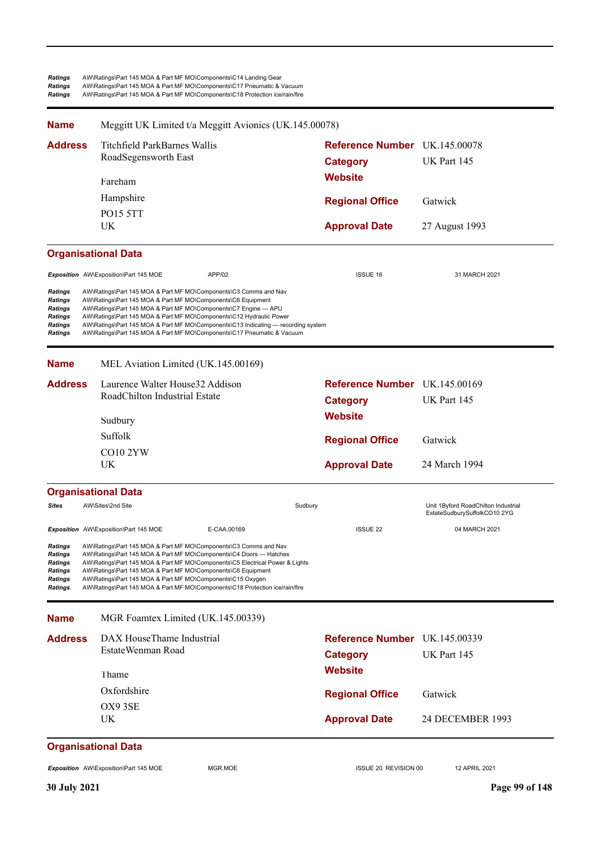| <b>Ratings</b> | AW\Ratings\Part 145 MOA & Part MF MO\Components\C14 Landing Gear             |
|----------------|------------------------------------------------------------------------------|
| <b>Ratings</b> | AW\Ratings\Part 145 MOA & Part MF MO\Components\C17 Pneumatic & Vacuum       |
| <b>Ratings</b> | AW\Ratings\Part 145 MOA & Part MF MO\Components\C18 Protection ice/rain/fire |
| <b>Name</b>    | Meggitt UK Limited t/a Meggitt Avionics (UK.145.00078)                       |

| <b>Address</b>                                                        | Titchfield ParkBarnes Wallis<br>RoadSegensworth East<br>Fareham                                                                                                                                                                                                                                                                                                                                                                           | Reference Number UK.145.00078<br><b>Category</b><br><b>Website</b> | UK Part 145                                                         |
|-----------------------------------------------------------------------|-------------------------------------------------------------------------------------------------------------------------------------------------------------------------------------------------------------------------------------------------------------------------------------------------------------------------------------------------------------------------------------------------------------------------------------------|--------------------------------------------------------------------|---------------------------------------------------------------------|
|                                                                       | Hampshire                                                                                                                                                                                                                                                                                                                                                                                                                                 | <b>Regional Office</b>                                             | Gatwick                                                             |
|                                                                       | PO15 5TT<br>UK                                                                                                                                                                                                                                                                                                                                                                                                                            | <b>Approval Date</b>                                               | 27 August 1993                                                      |
|                                                                       | <b>Organisational Data</b>                                                                                                                                                                                                                                                                                                                                                                                                                |                                                                    |                                                                     |
|                                                                       | APP/02<br>Exposition AW\Exposition\Part 145 MOE                                                                                                                                                                                                                                                                                                                                                                                           | <b>ISSUE 16</b>                                                    | 31 MARCH 2021                                                       |
| Ratings<br>Ratings<br>Ratings<br>Ratings<br><b>Ratings</b><br>Ratings | AW\Ratings\Part 145 MOA & Part MF MO\Components\C3 Comms and Nav<br>AW\Ratings\Part 145 MOA & Part MF MO\Components\C6 Equipment<br>AW\Ratings\Part 145 MOA & Part MF MO\Components\C7 Engine - APU<br>AW\Ratings\Part 145 MOA & Part MF MO\Components\C12 Hydraulic Power<br>AW\Ratings\Part 145 MOA & Part MF MO\Components\C13 Indicating — recording system<br>AW\Ratings\Part 145 MOA & Part MF MO\Components\C17 Pneumatic & Vacuum |                                                                    |                                                                     |
| <b>Name</b>                                                           | MEL Aviation Limited (UK.145.00169)                                                                                                                                                                                                                                                                                                                                                                                                       |                                                                    |                                                                     |
| <b>Address</b>                                                        | Laurence Walter House32 Addison                                                                                                                                                                                                                                                                                                                                                                                                           | Reference Number UK.145.00169                                      |                                                                     |
|                                                                       | RoadChilton Industrial Estate                                                                                                                                                                                                                                                                                                                                                                                                             | <b>Category</b>                                                    | UK Part 145                                                         |
|                                                                       | Sudbury                                                                                                                                                                                                                                                                                                                                                                                                                                   | <b>Website</b>                                                     |                                                                     |
|                                                                       | Suffolk                                                                                                                                                                                                                                                                                                                                                                                                                                   | <b>Regional Office</b>                                             | Gatwick                                                             |
|                                                                       | CO10 2YW<br>UK                                                                                                                                                                                                                                                                                                                                                                                                                            | <b>Approval Date</b>                                               | 24 March 1994                                                       |
|                                                                       | <b>Organisational Data</b>                                                                                                                                                                                                                                                                                                                                                                                                                |                                                                    |                                                                     |
| <b>Sites</b>                                                          | AW\Sites\2nd Site                                                                                                                                                                                                                                                                                                                                                                                                                         | Sudbury                                                            | Unit 1Byford RoadChilton Industrial<br>EstateSudburySuffolkCO10 2YG |
|                                                                       | Exposition AW\Exposition\Part 145 MOE<br>E-CAA.00169                                                                                                                                                                                                                                                                                                                                                                                      | <b>ISSUE 22</b>                                                    | 04 MARCH 2021                                                       |
| Ratings<br><b>Ratings</b><br>Ratings<br>Ratings<br>Ratings<br>Ratings | AW\Ratings\Part 145 MOA & Part MF MO\Components\C3 Comms and Nav<br>AW\Ratings\Part 145 MOA & Part MF MO\Components\C4 Doors - Hatches<br>AW\Ratings\Part 145 MOA & Part MF MO\Components\C5 Electrical Power & Lights<br>AW\Ratings\Part 145 MOA & Part MF MO\Components\C6 Equipment<br>AW\Ratings\Part 145 MOA & Part MF MO\Components\C15 Oxygen<br>AW\Ratings\Part 145 MOA & Part MF MO\Components\C18 Protection ice/rain/fire      |                                                                    |                                                                     |
| <b>Name</b>                                                           | MGR Foamtex Limited (UK.145.00339)                                                                                                                                                                                                                                                                                                                                                                                                        |                                                                    |                                                                     |
| <b>Address</b>                                                        | DAX HouseThame Industrial<br>EstateWenman Road                                                                                                                                                                                                                                                                                                                                                                                            | Reference Number UK.145.00339<br><b>Category</b>                   | UK Part 145                                                         |
|                                                                       | Thame                                                                                                                                                                                                                                                                                                                                                                                                                                     | <b>Website</b>                                                     |                                                                     |
|                                                                       | Oxfordshire                                                                                                                                                                                                                                                                                                                                                                                                                               | <b>Regional Office</b>                                             | Gatwick                                                             |
|                                                                       | OX9 3SE                                                                                                                                                                                                                                                                                                                                                                                                                                   |                                                                    |                                                                     |
|                                                                       | UK                                                                                                                                                                                                                                                                                                                                                                                                                                        | <b>Approval Date</b>                                               | 24 DECEMBER 1993                                                    |

# **Organisational Data**

**Exposition** AW\Exposition\Part 145 MOE MGR.MOE MGR.MOE ISSUE 20 REVISION 00 12 APRIL 2021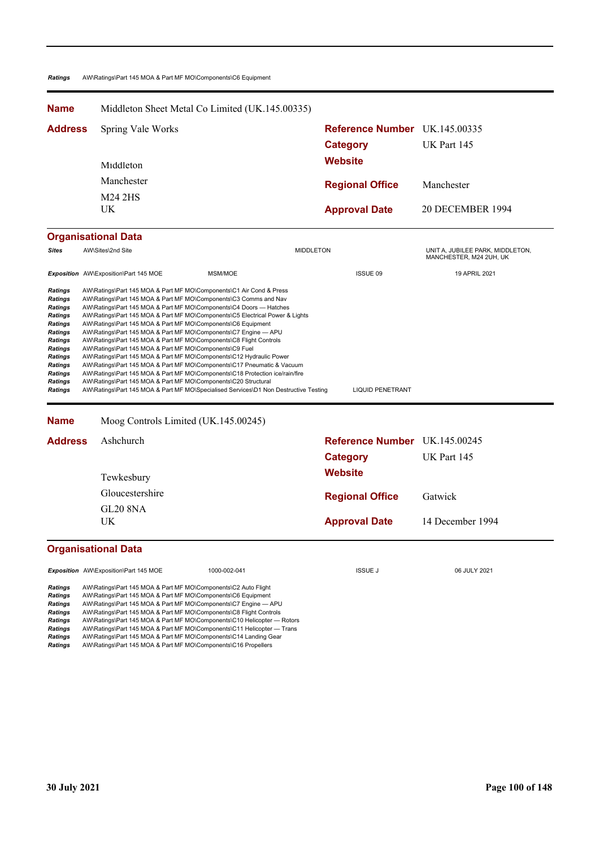### *Ratings* AW\Ratings\Part 145 MOA & Part MF MO\Components\C6 Equipment

| <b>Name</b>                                                                                                                                                                              |                                                                                                                                                                                                                                                                                                                                                                                                                                                                                                                                                                                                                                                                                                                                                                                                                                                                                                                                                                                                           | Middleton Sheet Metal Co Limited (UK.145.00335)                                                                                                   |                               |                                                             |  |
|------------------------------------------------------------------------------------------------------------------------------------------------------------------------------------------|-----------------------------------------------------------------------------------------------------------------------------------------------------------------------------------------------------------------------------------------------------------------------------------------------------------------------------------------------------------------------------------------------------------------------------------------------------------------------------------------------------------------------------------------------------------------------------------------------------------------------------------------------------------------------------------------------------------------------------------------------------------------------------------------------------------------------------------------------------------------------------------------------------------------------------------------------------------------------------------------------------------|---------------------------------------------------------------------------------------------------------------------------------------------------|-------------------------------|-------------------------------------------------------------|--|
| <b>Address</b>                                                                                                                                                                           | Spring Vale Works                                                                                                                                                                                                                                                                                                                                                                                                                                                                                                                                                                                                                                                                                                                                                                                                                                                                                                                                                                                         |                                                                                                                                                   |                               | <b>Reference Number</b> UK.145.00335                        |  |
|                                                                                                                                                                                          |                                                                                                                                                                                                                                                                                                                                                                                                                                                                                                                                                                                                                                                                                                                                                                                                                                                                                                                                                                                                           |                                                                                                                                                   | <b>Category</b>               | UK Part 145                                                 |  |
|                                                                                                                                                                                          | Middleton                                                                                                                                                                                                                                                                                                                                                                                                                                                                                                                                                                                                                                                                                                                                                                                                                                                                                                                                                                                                 |                                                                                                                                                   | <b>Website</b>                |                                                             |  |
|                                                                                                                                                                                          | Manchester                                                                                                                                                                                                                                                                                                                                                                                                                                                                                                                                                                                                                                                                                                                                                                                                                                                                                                                                                                                                |                                                                                                                                                   | <b>Regional Office</b>        | Manchester                                                  |  |
|                                                                                                                                                                                          | M24 2HS                                                                                                                                                                                                                                                                                                                                                                                                                                                                                                                                                                                                                                                                                                                                                                                                                                                                                                                                                                                                   |                                                                                                                                                   |                               |                                                             |  |
|                                                                                                                                                                                          | UK                                                                                                                                                                                                                                                                                                                                                                                                                                                                                                                                                                                                                                                                                                                                                                                                                                                                                                                                                                                                        |                                                                                                                                                   | <b>Approval Date</b>          | 20 DECEMBER 1994                                            |  |
|                                                                                                                                                                                          | <b>Organisational Data</b>                                                                                                                                                                                                                                                                                                                                                                                                                                                                                                                                                                                                                                                                                                                                                                                                                                                                                                                                                                                |                                                                                                                                                   |                               |                                                             |  |
| <b>Sites</b>                                                                                                                                                                             | AW\Sites\2nd Site                                                                                                                                                                                                                                                                                                                                                                                                                                                                                                                                                                                                                                                                                                                                                                                                                                                                                                                                                                                         |                                                                                                                                                   | <b>MIDDLETON</b>              | UNIT A, JUBILEE PARK, MIDDLETON,<br>MANCHESTER, M24 2UH, UK |  |
|                                                                                                                                                                                          | Exposition AW\Exposition\Part 145 MOE                                                                                                                                                                                                                                                                                                                                                                                                                                                                                                                                                                                                                                                                                                                                                                                                                                                                                                                                                                     | MSM/MOE                                                                                                                                           | ISSUE 09                      | 19 APRIL 2021                                               |  |
| <b>Ratings</b><br><b>Ratings</b><br>Ratings<br>Ratings<br><b>Ratings</b><br><b>Ratings</b><br>Ratings<br><b>Ratings</b><br><b>Ratings</b><br><b>Ratings</b><br><b>Ratings</b><br>Ratings | AW\Ratings\Part 145 MOA & Part MF MO\Components\C1 Air Cond & Press<br><b>Ratings</b><br>AW\Ratings\Part 145 MOA & Part MF MO\Components\C3 Comms and Nav<br>AW\Ratings\Part 145 MOA & Part MF MO\Components\C4 Doors - Hatches<br>AW\Ratings\Part 145 MOA & Part MF MO\Components\C5 Electrical Power & Lights<br>AW\Ratings\Part 145 MOA & Part MF MO\Components\C6 Equipment<br>AW\Ratings\Part 145 MOA & Part MF MO\Components\C7 Engine - APU<br>AW\Ratings\Part 145 MOA & Part MF MO\Components\C8 Flight Controls<br>AW\Ratings\Part 145 MOA & Part MF MO\Components\C9 Fuel<br>AW\Ratings\Part 145 MOA & Part MF MO\Components\C12 Hydraulic Power<br>AW\Ratings\Part 145 MOA & Part MF MO\Components\C17 Pneumatic & Vacuum<br>AW\Ratings\Part 145 MOA & Part MF MO\Components\C18 Protection ice/rain/fire<br>AW\Ratings\Part 145 MOA & Part MF MO\Components\C20 Structural<br>AW\Ratings\Part 145 MOA & Part MF MO\Specialised Services\D1 Non Destructive Testing<br><b>LIQUID PENETRANT</b> |                                                                                                                                                   |                               |                                                             |  |
| <b>Name</b>                                                                                                                                                                              | Moog Controls Limited (UK.145.00245)                                                                                                                                                                                                                                                                                                                                                                                                                                                                                                                                                                                                                                                                                                                                                                                                                                                                                                                                                                      |                                                                                                                                                   |                               |                                                             |  |
| <b>Address</b>                                                                                                                                                                           | Ashchurch                                                                                                                                                                                                                                                                                                                                                                                                                                                                                                                                                                                                                                                                                                                                                                                                                                                                                                                                                                                                 |                                                                                                                                                   | Reference Number UK.145.00245 |                                                             |  |
|                                                                                                                                                                                          |                                                                                                                                                                                                                                                                                                                                                                                                                                                                                                                                                                                                                                                                                                                                                                                                                                                                                                                                                                                                           |                                                                                                                                                   | <b>Category</b>               | UK Part 145                                                 |  |
|                                                                                                                                                                                          | Tewkesbury                                                                                                                                                                                                                                                                                                                                                                                                                                                                                                                                                                                                                                                                                                                                                                                                                                                                                                                                                                                                |                                                                                                                                                   | <b>Website</b>                |                                                             |  |
|                                                                                                                                                                                          | Gloucestershire                                                                                                                                                                                                                                                                                                                                                                                                                                                                                                                                                                                                                                                                                                                                                                                                                                                                                                                                                                                           |                                                                                                                                                   | <b>Regional Office</b>        | Gatwick                                                     |  |
|                                                                                                                                                                                          | <b>GL20 8NA</b>                                                                                                                                                                                                                                                                                                                                                                                                                                                                                                                                                                                                                                                                                                                                                                                                                                                                                                                                                                                           |                                                                                                                                                   |                               |                                                             |  |
|                                                                                                                                                                                          | <b>UK</b>                                                                                                                                                                                                                                                                                                                                                                                                                                                                                                                                                                                                                                                                                                                                                                                                                                                                                                                                                                                                 |                                                                                                                                                   | <b>Approval Date</b>          | 14 December 1994                                            |  |
|                                                                                                                                                                                          | Organisational Data                                                                                                                                                                                                                                                                                                                                                                                                                                                                                                                                                                                                                                                                                                                                                                                                                                                                                                                                                                                       |                                                                                                                                                   |                               |                                                             |  |
|                                                                                                                                                                                          | Exposition AW\Exposition\Part 145 MOE                                                                                                                                                                                                                                                                                                                                                                                                                                                                                                                                                                                                                                                                                                                                                                                                                                                                                                                                                                     | 1000-002-041                                                                                                                                      | <b>ISSUE J</b>                | 06 JULY 2021                                                |  |
| <b>Ratings</b><br><b>Ratings</b><br>Ratings<br>Ratings<br>Ratings<br><b>Ratings</b><br>Ratings<br>Ratings                                                                                | AW\Ratings\Part 145 MOA & Part MF MO\Components\C2 Auto Flight<br>AW\Ratings\Part 145 MOA & Part MF MO\Components\C6 Equipment<br>AW\Ratings\Part 145 MOA & Part MF MO\Components\C7 Engine - APU<br>AW\Ratings\Part 145 MOA & Part MF MO\Components\C8 Flight Controls<br>AW\Ratings\Part 145 MOA & Part MF MO\Components\C14 Landing Gear<br>AW\Ratings\Part 145 MOA & Part MF MO\Components\C16 Propellers                                                                                                                                                                                                                                                                                                                                                                                                                                                                                                                                                                                             | AW\Ratings\Part 145 MOA & Part MF MO\Components\C10 Helicopter - Rotors<br>AW\Ratings\Part 145 MOA & Part MF MO\Components\C11 Helicopter — Trans |                               |                                                             |  |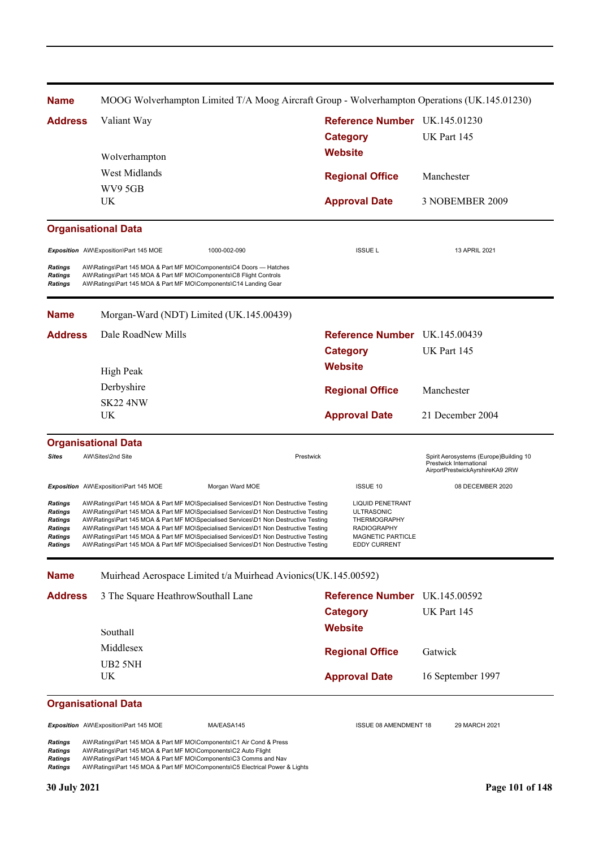| <b>Name</b>                                                                  |                                                                                                                                                                                                              | MOOG Wolverhampton Limited T/A Moog Aircraft Group - Wolverhampton Operations (UK.145.01230)                                                                                                                                                                                                                                                                                                                                                                                                                                                 |                                                  |                                                                                                                                |                                                                                                      |
|------------------------------------------------------------------------------|--------------------------------------------------------------------------------------------------------------------------------------------------------------------------------------------------------------|----------------------------------------------------------------------------------------------------------------------------------------------------------------------------------------------------------------------------------------------------------------------------------------------------------------------------------------------------------------------------------------------------------------------------------------------------------------------------------------------------------------------------------------------|--------------------------------------------------|--------------------------------------------------------------------------------------------------------------------------------|------------------------------------------------------------------------------------------------------|
| <b>Address</b>                                                               | Valiant Way                                                                                                                                                                                                  |                                                                                                                                                                                                                                                                                                                                                                                                                                                                                                                                              | Reference Number UK.145.01230<br><b>Category</b> |                                                                                                                                | UK Part 145                                                                                          |
|                                                                              | Wolverhampton                                                                                                                                                                                                |                                                                                                                                                                                                                                                                                                                                                                                                                                                                                                                                              | <b>Website</b>                                   |                                                                                                                                |                                                                                                      |
|                                                                              | West Midlands                                                                                                                                                                                                |                                                                                                                                                                                                                                                                                                                                                                                                                                                                                                                                              |                                                  | <b>Regional Office</b>                                                                                                         | Manchester                                                                                           |
|                                                                              | WV9 5GB<br>UK                                                                                                                                                                                                |                                                                                                                                                                                                                                                                                                                                                                                                                                                                                                                                              |                                                  | <b>Approval Date</b>                                                                                                           | 3 NOBEMBER 2009                                                                                      |
|                                                                              | <b>Organisational Data</b>                                                                                                                                                                                   |                                                                                                                                                                                                                                                                                                                                                                                                                                                                                                                                              |                                                  |                                                                                                                                |                                                                                                      |
|                                                                              | Exposition AW\Exposition\Part 145 MOE                                                                                                                                                                        | 1000-002-090                                                                                                                                                                                                                                                                                                                                                                                                                                                                                                                                 |                                                  | <b>ISSUE L</b>                                                                                                                 | 13 APRIL 2021                                                                                        |
| <b>Ratings</b><br><b>Ratings</b><br><b>Ratings</b>                           | AW\Ratings\Part 145 MOA & Part MF MO\Components\C4 Doors - Hatches<br>AW\Ratings\Part 145 MOA & Part MF MO\Components\C8 Flight Controls<br>AW\Ratings\Part 145 MOA & Part MF MO\Components\C14 Landing Gear |                                                                                                                                                                                                                                                                                                                                                                                                                                                                                                                                              |                                                  |                                                                                                                                |                                                                                                      |
| <b>Name</b>                                                                  |                                                                                                                                                                                                              | Morgan-Ward (NDT) Limited (UK.145.00439)                                                                                                                                                                                                                                                                                                                                                                                                                                                                                                     |                                                  |                                                                                                                                |                                                                                                      |
| <b>Address</b>                                                               | Dale RoadNew Mills                                                                                                                                                                                           |                                                                                                                                                                                                                                                                                                                                                                                                                                                                                                                                              |                                                  | Reference Number UK.145.00439                                                                                                  |                                                                                                      |
|                                                                              |                                                                                                                                                                                                              |                                                                                                                                                                                                                                                                                                                                                                                                                                                                                                                                              | <b>Category</b>                                  |                                                                                                                                | UK Part 145                                                                                          |
|                                                                              | High Peak                                                                                                                                                                                                    |                                                                                                                                                                                                                                                                                                                                                                                                                                                                                                                                              | <b>Website</b>                                   |                                                                                                                                |                                                                                                      |
|                                                                              | Derbyshire                                                                                                                                                                                                   |                                                                                                                                                                                                                                                                                                                                                                                                                                                                                                                                              |                                                  |                                                                                                                                |                                                                                                      |
|                                                                              | <b>SK22 4NW</b>                                                                                                                                                                                              |                                                                                                                                                                                                                                                                                                                                                                                                                                                                                                                                              |                                                  | <b>Regional Office</b>                                                                                                         | Manchester                                                                                           |
|                                                                              | UK                                                                                                                                                                                                           |                                                                                                                                                                                                                                                                                                                                                                                                                                                                                                                                              |                                                  | <b>Approval Date</b>                                                                                                           | 21 December 2004                                                                                     |
|                                                                              | <b>Organisational Data</b>                                                                                                                                                                                   |                                                                                                                                                                                                                                                                                                                                                                                                                                                                                                                                              |                                                  |                                                                                                                                |                                                                                                      |
| <b>Sites</b>                                                                 | AW\Sites\2nd Site                                                                                                                                                                                            | Prestwick                                                                                                                                                                                                                                                                                                                                                                                                                                                                                                                                    |                                                  |                                                                                                                                | Spirit Aerosystems (Europe)Building 10<br>Prestwick International<br>AirportPrestwickAyrshireKA9 2RW |
|                                                                              | Exposition AW\Exposition\Part 145 MOE                                                                                                                                                                        | Morgan Ward MOE                                                                                                                                                                                                                                                                                                                                                                                                                                                                                                                              |                                                  | <b>ISSUE 10</b>                                                                                                                | 08 DECEMBER 2020                                                                                     |
| Ratings<br>Ratings<br>Ratings<br><b>Ratings</b><br>Ratings<br><b>Ratings</b> |                                                                                                                                                                                                              | AW\Ratings\Part 145 MOA & Part MF MO\Specialised Services\D1 Non Destructive Testing<br>AW\Ratings\Part 145 MOA & Part MF MO\Specialised Services\D1 Non Destructive Testing<br>AW\Ratings\Part 145 MOA & Part MF MO\Specialised Services\D1 Non Destructive Testing<br>AW\Ratings\Part 145 MOA & Part MF MO\Specialised Services\D1 Non Destructive Testing<br>AW\Ratings\Part 145 MOA & Part MF MO\Specialised Services\D1 Non Destructive Testing<br>AW\Ratings\Part 145 MOA & Part MF MO\Specialised Services\D1 Non Destructive Testing |                                                  | <b>LIQUID PENETRANT</b><br>ULTRASONIC<br>THERMOGRAPHY<br><b>RADIOGRAPHY</b><br><b>MAGNETIC PARTICLE</b><br><b>EDDY CURRENT</b> |                                                                                                      |
| <b>Name</b>                                                                  |                                                                                                                                                                                                              | Muirhead Aerospace Limited t/a Muirhead Avionics(UK.145.00592)                                                                                                                                                                                                                                                                                                                                                                                                                                                                               |                                                  |                                                                                                                                |                                                                                                      |
| <b>Address</b>                                                               | 3 The Square HeathrowSouthall Lane                                                                                                                                                                           |                                                                                                                                                                                                                                                                                                                                                                                                                                                                                                                                              |                                                  | Reference Number UK.145.00592                                                                                                  |                                                                                                      |
|                                                                              |                                                                                                                                                                                                              |                                                                                                                                                                                                                                                                                                                                                                                                                                                                                                                                              | <b>Category</b>                                  |                                                                                                                                | UK Part 145                                                                                          |
|                                                                              | Southall                                                                                                                                                                                                     |                                                                                                                                                                                                                                                                                                                                                                                                                                                                                                                                              | <b>Website</b>                                   |                                                                                                                                |                                                                                                      |
|                                                                              | Middlesex                                                                                                                                                                                                    |                                                                                                                                                                                                                                                                                                                                                                                                                                                                                                                                              |                                                  |                                                                                                                                |                                                                                                      |
|                                                                              | UB2 5NH<br>UK                                                                                                                                                                                                |                                                                                                                                                                                                                                                                                                                                                                                                                                                                                                                                              |                                                  | <b>Regional Office</b><br><b>Approval Date</b>                                                                                 | Gatwick<br>16 September 1997                                                                         |
|                                                                              | <b>Organisational Data</b>                                                                                                                                                                                   |                                                                                                                                                                                                                                                                                                                                                                                                                                                                                                                                              |                                                  |                                                                                                                                |                                                                                                      |
|                                                                              | Exposition AW\Exposition\Part 145 MOE                                                                                                                                                                        | MA/EASA145                                                                                                                                                                                                                                                                                                                                                                                                                                                                                                                                   |                                                  | <b>ISSUE 08 AMENDMENT 18</b>                                                                                                   | 29 MARCH 2021                                                                                        |
| Ratings<br><b>Ratings</b><br><b>Ratings</b>                                  | AW\Ratings\Part 145 MOA & Part MF MO\Components\C1 Air Cond & Press<br>AW\Ratings\Part 145 MOA & Part MF MO\Components\C2 Auto Flight<br>AW\Ratings\Part 145 MOA & Part MF MO\Components\C3 Comms and Nav    |                                                                                                                                                                                                                                                                                                                                                                                                                                                                                                                                              |                                                  |                                                                                                                                |                                                                                                      |

*Ratings* AW\Ratings\Part 145 MOA & Part MF MO\Components\C5 Electrical Power & Lights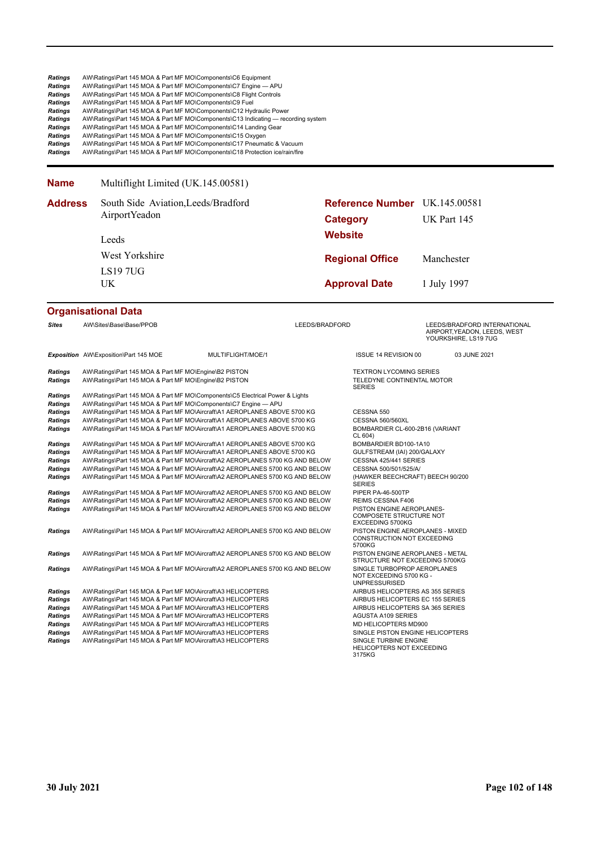| <b>Ratings</b><br><b>Ratings</b><br><b>Ratings</b><br><b>Ratings</b><br>Ratings<br>Ratings<br><b>Ratings</b><br>Ratings<br>Ratings<br><b>Ratings</b> | AW\Ratings\Part 145 MOA & Part MF MO\Components\C6 Equipment<br>AW\Ratings\Part 145 MOA & Part MF MO\Components\C7 Engine - APU<br>AW\Ratings\Part 145 MOA & Part MF MO\Components\C8 Flight Controls<br>AW\Ratings\Part 145 MOA & Part MF MO\Components\C9 Fuel<br>AW\Ratings\Part 145 MOA & Part MF MO\Components\C12 Hydraulic Power<br>AW\Ratings\Part 145 MOA & Part MF MO\Components\C14 Landing Gear<br>AW\Ratings\Part 145 MOA & Part MF MO\Components\C15 Oxygen | AW\Ratings\Part 145 MOA & Part MF MO\Components\C13 Indicating — recording system<br>AW\Ratings\Part 145 MOA & Part MF MO\Components\C17 Pneumatic & Vacuum<br>AW\Ratings\Part 145 MOA & Part MF MO\Components\C18 Protection ice/rain/fire                                                                         |                 |                                                                                                                                  |                                                                                      |
|------------------------------------------------------------------------------------------------------------------------------------------------------|---------------------------------------------------------------------------------------------------------------------------------------------------------------------------------------------------------------------------------------------------------------------------------------------------------------------------------------------------------------------------------------------------------------------------------------------------------------------------|---------------------------------------------------------------------------------------------------------------------------------------------------------------------------------------------------------------------------------------------------------------------------------------------------------------------|-----------------|----------------------------------------------------------------------------------------------------------------------------------|--------------------------------------------------------------------------------------|
| <b>Name</b>                                                                                                                                          | Multiflight Limited (UK.145.00581)                                                                                                                                                                                                                                                                                                                                                                                                                                        |                                                                                                                                                                                                                                                                                                                     |                 |                                                                                                                                  |                                                                                      |
| <b>Address</b>                                                                                                                                       | South Side Aviation, Leeds/Bradford<br>AirportYeadon                                                                                                                                                                                                                                                                                                                                                                                                                      |                                                                                                                                                                                                                                                                                                                     | <b>Category</b> | Reference Number UK.145.00581                                                                                                    | UK Part 145                                                                          |
|                                                                                                                                                      | Leeds                                                                                                                                                                                                                                                                                                                                                                                                                                                                     |                                                                                                                                                                                                                                                                                                                     | <b>Website</b>  |                                                                                                                                  |                                                                                      |
|                                                                                                                                                      | West Yorkshire                                                                                                                                                                                                                                                                                                                                                                                                                                                            |                                                                                                                                                                                                                                                                                                                     |                 | <b>Regional Office</b>                                                                                                           | Manchester                                                                           |
|                                                                                                                                                      | <b>LS197UG</b>                                                                                                                                                                                                                                                                                                                                                                                                                                                            |                                                                                                                                                                                                                                                                                                                     |                 |                                                                                                                                  |                                                                                      |
|                                                                                                                                                      | UK                                                                                                                                                                                                                                                                                                                                                                                                                                                                        |                                                                                                                                                                                                                                                                                                                     |                 | <b>Approval Date</b>                                                                                                             | 1 July 1997                                                                          |
|                                                                                                                                                      | <b>Organisational Data</b>                                                                                                                                                                                                                                                                                                                                                                                                                                                |                                                                                                                                                                                                                                                                                                                     |                 |                                                                                                                                  |                                                                                      |
| <b>Sites</b>                                                                                                                                         | AW\Sites\Base\Base/PPOB                                                                                                                                                                                                                                                                                                                                                                                                                                                   |                                                                                                                                                                                                                                                                                                                     | LEEDS/BRADFORD  |                                                                                                                                  | LEEDS/BRADFORD INTERNATIONAL<br>AIRPORT, YEADON, LEEDS, WEST<br>YOURKSHIRE, LS19 7UG |
|                                                                                                                                                      | Exposition AW\Exposition\Part 145 MOE                                                                                                                                                                                                                                                                                                                                                                                                                                     | MULTIFLIGHT/MOE/1                                                                                                                                                                                                                                                                                                   |                 | ISSUE 14 REVISION 00                                                                                                             | 03 JUNE 2021                                                                         |
| <b>Ratings</b><br><b>Ratings</b>                                                                                                                     | AW\Ratings\Part 145 MOA & Part MF MO\Engine\B2 PISTON<br>AW\Ratings\Part 145 MOA & Part MF MO\Engine\B2 PISTON                                                                                                                                                                                                                                                                                                                                                            |                                                                                                                                                                                                                                                                                                                     |                 | <b>TEXTRON LYCOMING SERIES</b><br>TELEDYNE CONTINENTAL MOTOR<br><b>SERIES</b>                                                    |                                                                                      |
| <b>Ratings</b><br>Ratings<br>Ratings<br><b>Ratings</b><br><b>Ratings</b>                                                                             | AW\Ratings\Part 145 MOA & Part MF MO\Components\C7 Engine - APU                                                                                                                                                                                                                                                                                                                                                                                                           | AW\Ratings\Part 145 MOA & Part MF MO\Components\C5 Electrical Power & Lights<br>AW\Ratings\Part 145 MOA & Part MF MO\Aircraft\A1 AEROPLANES ABOVE 5700 KG<br>AW\Ratings\Part 145 MOA & Part MF MO\Aircraft\A1 AEROPLANES ABOVE 5700 KG<br>AW\Ratings\Part 145 MOA & Part MF MO\Aircraft\A1 AEROPLANES ABOVE 5700 KG |                 | CESSNA 550<br><b>CESSNA 560/560XL</b><br>BOMBARDIER CL-600-2B16 (VARIANT<br>CL 604)                                              |                                                                                      |
| Ratings<br>Ratings<br>Ratings                                                                                                                        |                                                                                                                                                                                                                                                                                                                                                                                                                                                                           | AW\Ratings\Part 145 MOA & Part MF MO\Aircraft\A1 AEROPLANES ABOVE 5700 KG<br>AW\Ratings\Part 145 MOA & Part MF MO\Aircraft\A1 AEROPLANES ABOVE 5700 KG<br>AW\Ratings\Part 145 MOA & Part MF MO\Aircraft\A2 AEROPLANES 5700 KG AND BELOW                                                                             |                 | BOMBARDIER BD100-1A10<br>GULFSTREAM (IAI) 200/GALAXY<br>CESSNA 425/441 SERIES                                                    |                                                                                      |
| <b>Ratings</b><br><b>Ratings</b>                                                                                                                     |                                                                                                                                                                                                                                                                                                                                                                                                                                                                           | AW\Ratings\Part 145 MOA & Part MF MO\Aircraft\A2 AEROPLANES 5700 KG AND BELOW<br>AW\Ratings\Part 145 MOA & Part MF MO\Aircraft\A2 AEROPLANES 5700 KG AND BELOW                                                                                                                                                      |                 | CESSNA 500/501/525/A/<br>(HAWKER BEECHCRAFT) BEECH 90/200<br><b>SERIES</b>                                                       |                                                                                      |
| <b>Ratings</b><br>Ratings<br>Ratings                                                                                                                 |                                                                                                                                                                                                                                                                                                                                                                                                                                                                           | AW\Ratings\Part 145 MOA & Part MF MO\Aircraft\A2 AEROPLANES 5700 KG AND BELOW<br>AW\Ratings\Part 145 MOA & Part MF MO\Aircraft\A2 AEROPLANES 5700 KG AND BELOW<br>AW\Ratings\Part 145 MOA & Part MF MO\Aircraft\A2 AEROPLANES 5700 KG AND BELOW                                                                     |                 | PIPER PA-46-500TP<br><b>REIMS CESSNA F406</b><br>PISTON ENGINE AEROPLANES-<br><b>COMPOSETE STRUCTURE NOT</b><br>EXCEEDING 5700KG |                                                                                      |
| Ratings                                                                                                                                              |                                                                                                                                                                                                                                                                                                                                                                                                                                                                           | AW\Ratings\Part 145 MOA & Part MF MO\Aircraft\A2 AEROPLANES 5700 KG AND BELOW                                                                                                                                                                                                                                       |                 | PISTON ENGINE AEROPLANES - MIXED<br>CONSTRUCTION NOT EXCEEDING<br>5700KG                                                         |                                                                                      |
| <b>Ratings</b>                                                                                                                                       |                                                                                                                                                                                                                                                                                                                                                                                                                                                                           | AW\Ratings\Part 145 MOA & Part MF MO\Aircraft\A2 AEROPLANES 5700 KG AND BELOW                                                                                                                                                                                                                                       |                 | PISTON ENGINE AEROPLANES - METAL<br>STRUCTURE NOT EXCEEDING 5700KG                                                               |                                                                                      |
| Ratings                                                                                                                                              |                                                                                                                                                                                                                                                                                                                                                                                                                                                                           | AW\Ratings\Part 145 MOA & Part MF MO\Aircraft\A2 AEROPLANES 5700 KG AND BELOW                                                                                                                                                                                                                                       |                 | SINGLE TURBOPROP AEROPLANES<br>NOT EXCEEDING 5700 KG -<br><b>UNPRESSURISED</b>                                                   |                                                                                      |
| <b>Ratings</b>                                                                                                                                       | AW\Ratings\Part 145 MOA & Part MF MO\Aircraft\A3 HELICOPTERS                                                                                                                                                                                                                                                                                                                                                                                                              |                                                                                                                                                                                                                                                                                                                     |                 | AIRBUS HELICOPTERS AS 355 SERIES                                                                                                 |                                                                                      |
| <b>Ratings</b>                                                                                                                                       | AW\Ratings\Part 145 MOA & Part MF MO\Aircraft\A3 HELICOPTERS                                                                                                                                                                                                                                                                                                                                                                                                              |                                                                                                                                                                                                                                                                                                                     |                 | AIRBUS HELICOPTERS EC 155 SERIES                                                                                                 |                                                                                      |
| <b>Ratings</b>                                                                                                                                       | AW\Ratings\Part 145 MOA & Part MF MO\Aircraft\A3 HELICOPTERS                                                                                                                                                                                                                                                                                                                                                                                                              |                                                                                                                                                                                                                                                                                                                     |                 | AIRBUS HELICOPTERS SA 365 SERIES                                                                                                 |                                                                                      |
| <b>Ratings</b><br>Ratings                                                                                                                            | AW\Ratings\Part 145 MOA & Part MF MO\Aircraft\A3 HELICOPTERS<br>AW\Ratings\Part 145 MOA & Part MF MO\Aircraft\A3 HELICOPTERS                                                                                                                                                                                                                                                                                                                                              |                                                                                                                                                                                                                                                                                                                     |                 | <b>AGUSTA A109 SERIES</b><br>MD HELICOPTERS MD900                                                                                |                                                                                      |
| Ratings                                                                                                                                              | AW\Ratings\Part 145 MOA & Part MF MO\Aircraft\A3 HELICOPTERS                                                                                                                                                                                                                                                                                                                                                                                                              |                                                                                                                                                                                                                                                                                                                     |                 | SINGLE PISTON ENGINE HELICOPTERS                                                                                                 |                                                                                      |
| <b>Ratings</b>                                                                                                                                       | AW\Ratings\Part 145 MOA & Part MF MO\Aircraft\A3 HELICOPTERS                                                                                                                                                                                                                                                                                                                                                                                                              |                                                                                                                                                                                                                                                                                                                     |                 | SINGLE TURBINE ENGINE<br>HELICOPTERS NOT EXCEEDING<br>3175KG                                                                     |                                                                                      |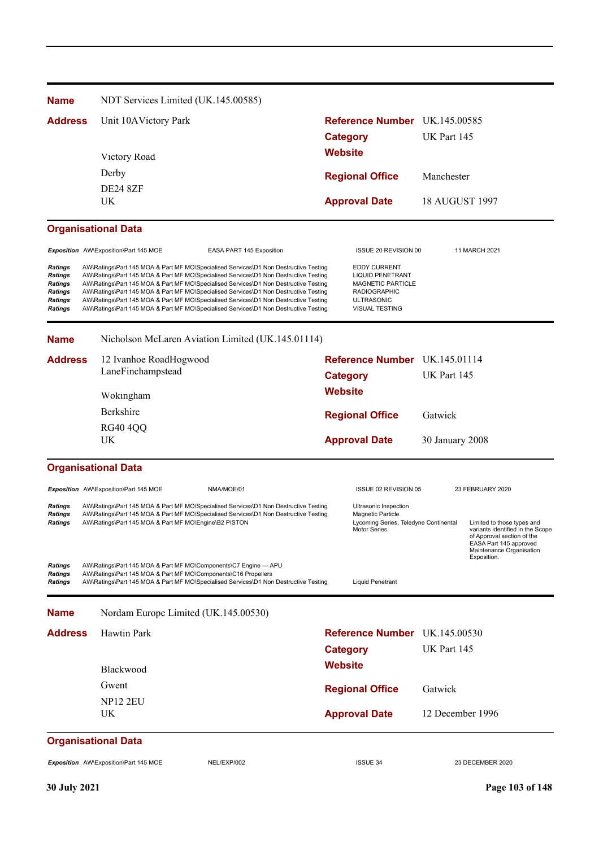| <b>Name</b>                                                                                              | NDT Services Limited (UK.145.00585)                                                                                               |                                                                                                                                                                                                                                                                                                                                                                                                                                                                                                                                              |                 |                                                                                                                                                 |                       |                                                                                                                                                                   |
|----------------------------------------------------------------------------------------------------------|-----------------------------------------------------------------------------------------------------------------------------------|----------------------------------------------------------------------------------------------------------------------------------------------------------------------------------------------------------------------------------------------------------------------------------------------------------------------------------------------------------------------------------------------------------------------------------------------------------------------------------------------------------------------------------------------|-----------------|-------------------------------------------------------------------------------------------------------------------------------------------------|-----------------------|-------------------------------------------------------------------------------------------------------------------------------------------------------------------|
| <b>Address</b>                                                                                           | Unit 10AVictory Park                                                                                                              |                                                                                                                                                                                                                                                                                                                                                                                                                                                                                                                                              |                 | Reference Number UK.145.00585                                                                                                                   |                       |                                                                                                                                                                   |
|                                                                                                          |                                                                                                                                   |                                                                                                                                                                                                                                                                                                                                                                                                                                                                                                                                              | <b>Category</b> |                                                                                                                                                 | UK Part 145           |                                                                                                                                                                   |
|                                                                                                          | Victory Road                                                                                                                      |                                                                                                                                                                                                                                                                                                                                                                                                                                                                                                                                              | <b>Website</b>  |                                                                                                                                                 |                       |                                                                                                                                                                   |
|                                                                                                          | Derby                                                                                                                             |                                                                                                                                                                                                                                                                                                                                                                                                                                                                                                                                              |                 |                                                                                                                                                 |                       |                                                                                                                                                                   |
|                                                                                                          | <b>DE24 8ZF</b>                                                                                                                   |                                                                                                                                                                                                                                                                                                                                                                                                                                                                                                                                              |                 | <b>Regional Office</b>                                                                                                                          | Manchester            |                                                                                                                                                                   |
|                                                                                                          | <b>UK</b>                                                                                                                         |                                                                                                                                                                                                                                                                                                                                                                                                                                                                                                                                              |                 | <b>Approval Date</b>                                                                                                                            | <b>18 AUGUST 1997</b> |                                                                                                                                                                   |
|                                                                                                          | <b>Organisational Data</b>                                                                                                        |                                                                                                                                                                                                                                                                                                                                                                                                                                                                                                                                              |                 |                                                                                                                                                 |                       |                                                                                                                                                                   |
|                                                                                                          | Exposition AW\Exposition\Part 145 MOE                                                                                             | <b>EASA PART 145 Exposition</b>                                                                                                                                                                                                                                                                                                                                                                                                                                                                                                              |                 | ISSUE 20 REVISION 00                                                                                                                            |                       | 11 MARCH 2021                                                                                                                                                     |
| <b>Ratings</b><br><b>Ratings</b><br><b>Ratings</b><br><b>Ratings</b><br><b>Ratings</b><br><b>Ratings</b> |                                                                                                                                   | AW\Ratings\Part 145 MOA & Part MF MO\Specialised Services\D1 Non Destructive Testing<br>AW\Ratings\Part 145 MOA & Part MF MO\Specialised Services\D1 Non Destructive Testing<br>AW\Ratings\Part 145 MOA & Part MF MO\Specialised Services\D1 Non Destructive Testing<br>AW\Ratings\Part 145 MOA & Part MF MO\Specialised Services\D1 Non Destructive Testing<br>AW\Ratings\Part 145 MOA & Part MF MO\Specialised Services\D1 Non Destructive Testing<br>AW\Ratings\Part 145 MOA & Part MF MO\Specialised Services\D1 Non Destructive Testing |                 | <b>EDDY CURRENT</b><br><b>LIQUID PENETRANT</b><br><b>MAGNETIC PARTICLE</b><br><b>RADIOGRAPHIC</b><br><b>ULTRASONIC</b><br><b>VISUAL TESTING</b> |                       |                                                                                                                                                                   |
| <b>Name</b>                                                                                              |                                                                                                                                   | Nicholson McLaren Aviation Limited (UK.145.01114)                                                                                                                                                                                                                                                                                                                                                                                                                                                                                            |                 |                                                                                                                                                 |                       |                                                                                                                                                                   |
| <b>Address</b>                                                                                           | 12 Ivanhoe RoadHogwood                                                                                                            |                                                                                                                                                                                                                                                                                                                                                                                                                                                                                                                                              |                 | Reference Number UK.145.01114                                                                                                                   |                       |                                                                                                                                                                   |
|                                                                                                          | LaneFinchampstead                                                                                                                 |                                                                                                                                                                                                                                                                                                                                                                                                                                                                                                                                              | <b>Category</b> |                                                                                                                                                 | UK Part 145           |                                                                                                                                                                   |
|                                                                                                          | Wokingham                                                                                                                         |                                                                                                                                                                                                                                                                                                                                                                                                                                                                                                                                              | <b>Website</b>  |                                                                                                                                                 |                       |                                                                                                                                                                   |
|                                                                                                          | Berkshire                                                                                                                         |                                                                                                                                                                                                                                                                                                                                                                                                                                                                                                                                              |                 | <b>Regional Office</b>                                                                                                                          | Gatwick               |                                                                                                                                                                   |
|                                                                                                          | <b>RG40 4QQ</b>                                                                                                                   |                                                                                                                                                                                                                                                                                                                                                                                                                                                                                                                                              |                 |                                                                                                                                                 |                       |                                                                                                                                                                   |
|                                                                                                          | <b>UK</b>                                                                                                                         |                                                                                                                                                                                                                                                                                                                                                                                                                                                                                                                                              |                 | <b>Approval Date</b>                                                                                                                            | 30 January 2008       |                                                                                                                                                                   |
|                                                                                                          | <b>Organisational Data</b>                                                                                                        |                                                                                                                                                                                                                                                                                                                                                                                                                                                                                                                                              |                 |                                                                                                                                                 |                       |                                                                                                                                                                   |
|                                                                                                          | Exposition AW\Exposition\Part 145 MOE                                                                                             | NMA/MOE/01                                                                                                                                                                                                                                                                                                                                                                                                                                                                                                                                   |                 | ISSUE 02 REVISION 05                                                                                                                            |                       | 23 FEBRUARY 2020                                                                                                                                                  |
| Ratings<br><b>Ratings</b><br><b>Ratings</b>                                                              | AW\Ratings\Part 145 MOA & Part MF MO\Engine\B2 PISTON                                                                             | AW\Ratings\Part 145 MOA & Part MF MO\Specialised Services\D1 Non Destructive Testing<br>AW\Ratings\Part 145 MOA & Part MF MO\Specialised Services\D1 Non Destructive Testing                                                                                                                                                                                                                                                                                                                                                                 |                 | Ultrasonic Inspection<br><b>Magnetic Particle</b><br>Lycoming Series, Teledyne Continental<br><b>Motor Series</b>                               |                       | Limited to those types and<br>variants identified in the Scope<br>of Approval section of the<br>EASA Part 145 approved<br>Maintenance Organisation<br>Exposition. |
| Ratings<br><b>Ratings</b><br><b>Ratings</b>                                                              | AW\Ratings\Part 145 MOA & Part MF MO\Components\C7 Engine - APU<br>AW\Ratings\Part 145 MOA & Part MF MO\Components\C16 Propellers | AW\Ratings\Part 145 MOA & Part MF MO\Specialised Services\D1 Non Destructive Testing                                                                                                                                                                                                                                                                                                                                                                                                                                                         |                 | <b>Liquid Penetrant</b>                                                                                                                         |                       |                                                                                                                                                                   |
| <b>Name</b>                                                                                              | Nordam Europe Limited (UK.145.00530)                                                                                              |                                                                                                                                                                                                                                                                                                                                                                                                                                                                                                                                              |                 |                                                                                                                                                 |                       |                                                                                                                                                                   |
| <b>Address</b>                                                                                           | <b>Hawtin Park</b>                                                                                                                |                                                                                                                                                                                                                                                                                                                                                                                                                                                                                                                                              |                 | Reference Number UK.145.00530                                                                                                                   |                       |                                                                                                                                                                   |
|                                                                                                          |                                                                                                                                   |                                                                                                                                                                                                                                                                                                                                                                                                                                                                                                                                              | <b>Category</b> |                                                                                                                                                 | UK Part 145           |                                                                                                                                                                   |
|                                                                                                          | Blackwood                                                                                                                         |                                                                                                                                                                                                                                                                                                                                                                                                                                                                                                                                              | <b>Website</b>  |                                                                                                                                                 |                       |                                                                                                                                                                   |
|                                                                                                          | Gwent                                                                                                                             |                                                                                                                                                                                                                                                                                                                                                                                                                                                                                                                                              |                 |                                                                                                                                                 | Gatwick               |                                                                                                                                                                   |
|                                                                                                          | <b>NP12 2EU</b>                                                                                                                   |                                                                                                                                                                                                                                                                                                                                                                                                                                                                                                                                              |                 | <b>Regional Office</b>                                                                                                                          |                       |                                                                                                                                                                   |
|                                                                                                          | UK                                                                                                                                |                                                                                                                                                                                                                                                                                                                                                                                                                                                                                                                                              |                 | <b>Approval Date</b>                                                                                                                            | 12 December 1996      |                                                                                                                                                                   |
|                                                                                                          | <b>Organisational Data</b>                                                                                                        |                                                                                                                                                                                                                                                                                                                                                                                                                                                                                                                                              |                 |                                                                                                                                                 |                       |                                                                                                                                                                   |
|                                                                                                          | Exposition AW\Exposition\Part 145 MOE                                                                                             | NEL/EXP/002                                                                                                                                                                                                                                                                                                                                                                                                                                                                                                                                  |                 | <b>ISSUE 34</b>                                                                                                                                 |                       | 23 DECEMBER 2020                                                                                                                                                  |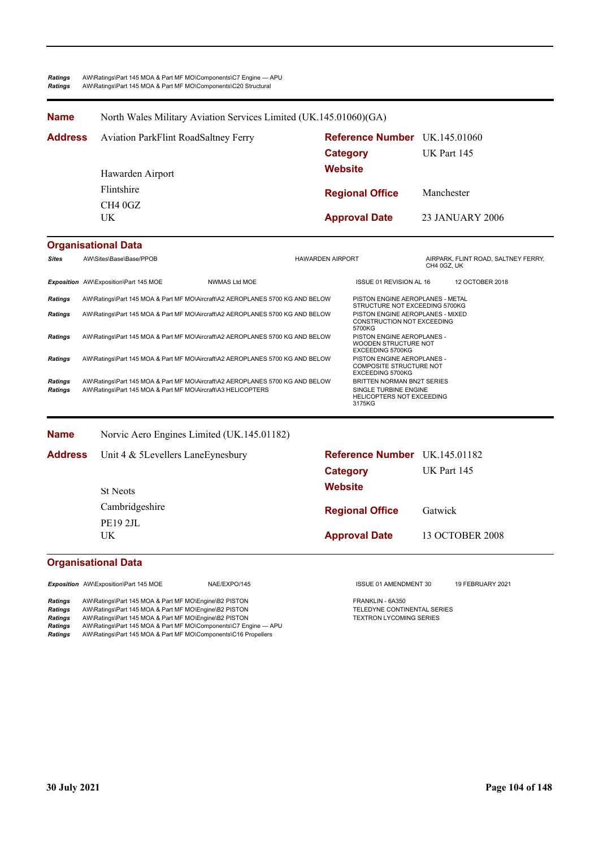#### **Name** North Wales Military Aviation Services Limited (UK.145.01060)(GA)

| <b>Address</b> | <b>Aviation ParkFlint RoadSaltney Ferry</b><br>Hawarden Airport | <b>Reference Number</b> UK.145.01060<br>Category<br><b>Website</b> | <b>UK Part 145</b> |
|----------------|-----------------------------------------------------------------|--------------------------------------------------------------------|--------------------|
|                | Flintshire                                                      | <b>Regional Office</b>                                             | Manchester         |
|                | CH4 0GZ<br>UK.                                                  | <b>Approval Date</b>                                               | 23 JANUARY 2006    |

### **Organisational Data**

| <b>Sites</b>       | AW\Sites\Base\Base/PPOB                                                                                                                       |                      | <b>HAWARDEN AIRPORT</b> |                                                                                                   | CH4 0GZ, UK | AIRPARK, FLINT ROAD, SALTNEY FERRY, |
|--------------------|-----------------------------------------------------------------------------------------------------------------------------------------------|----------------------|-------------------------|---------------------------------------------------------------------------------------------------|-------------|-------------------------------------|
|                    | Exposition AW\Exposition\Part 145 MOE                                                                                                         | <b>NWMAS Ltd MOE</b> |                         | ISSUE 01 REVISION AL 16                                                                           |             | 12 OCTOBER 2018                     |
| Ratings            | AW\Ratings\Part 145 MOA & Part MF MO\Aircraft\A2 AEROPLANES 5700 KG AND BELOW                                                                 |                      |                         | PISTON ENGINE AEROPLANES - METAL<br>STRUCTURE NOT EXCEEDING 5700KG                                |             |                                     |
| Ratings            | AW\Ratings\Part 145 MOA & Part MF MO\Aircraft\A2 AEROPLANES 5700 KG AND BELOW                                                                 |                      |                         | PISTON ENGINE AEROPLANES - MIXED<br><b>CONSTRUCTION NOT EXCEEDING</b><br>5700KG                   |             |                                     |
| <b>Ratings</b>     | AW\Ratings\Part 145 MOA & Part MF MO\Aircraft\A2 AEROPLANES 5700 KG AND BELOW                                                                 |                      |                         | PISTON ENGINE AEROPLANES -<br>WOODEN STRUCTURE NOT<br><b>EXCEEDING 5700KG</b>                     |             |                                     |
| Ratings            | AW\Ratings\Part 145 MOA & Part MF MO\Aircraft\A2 AEROPLANES 5700 KG AND BELOW                                                                 |                      |                         | PISTON ENGINE AEROPLANES -<br><b>COMPOSITE STRUCTURE NOT</b><br>EXCEEDING 5700KG                  |             |                                     |
| Ratings<br>Ratings | AW\Ratings\Part 145 MOA & Part MF MO\Aircraft\A2 AEROPLANES 5700 KG AND BELOW<br>AW\Ratings\Part 145 MOA & Part MF MO\Aircraft\A3 HELICOPTERS |                      |                         | BRITTEN NORMAN BN2T SERIES<br>SINGLE TURBINE ENGINE<br><b>HELICOPTERS NOT EXCEEDING</b><br>3175KG |             |                                     |

| <b>Name</b>    | Norvic Aero Engines Limited (UK.145.01182) |                               |                    |
|----------------|--------------------------------------------|-------------------------------|--------------------|
| <b>Address</b> | Unit 4 & 5Levellers LaneEynesbury          | Reference Number UK.145.01182 |                    |
|                |                                            | <b>Category</b>               | <b>UK Part 145</b> |
|                | <b>St Neots</b>                            | <b>Website</b>                |                    |
|                | Cambridgeshire                             | <b>Regional Office</b>        | Gatwick            |
|                | <b>PE19 2JL</b><br>UK.                     | <b>Approval Date</b>          | 13 OCTOBER 2008    |

### **Organisational Data**

*Exposition* AW\Exposition\Part 145 MOE NAE/EXPO/145 ISSUE 01 AMENDMENT 30 19 FEBRUARY 2021

Ratings AW\Ratings\Part 145 MOA & Part MF MO\Engine\B2 PISTON<br>
Ratings AW\Ratings\Part 145 MOA & Part MF MO\Engine\B2 PISTON FRANKLIN FRANKLIN - 6A350 AW\Ratings\Part 145 MOA & Part MF MO\Engine\B2 PISTON **Ratings** AW\Ratings\Part 145 MOA & Part MF MO\Engine\B2 PISTON TEXTRON TEXTRON LYCOMING SERIES *Ratings* AW\Ratings\Part 145 MOA & Part MF MO\Components\C7 Engine — APU *Ratings* AW\Ratings\Part 145 MOA & Part MF MO\Components\C16 Propellers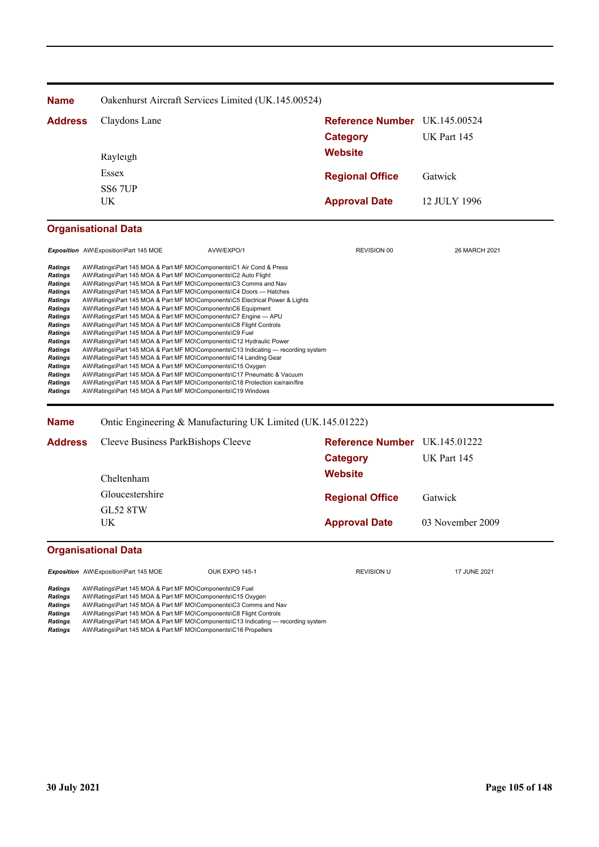| <b>Name</b>                | Oakenhurst Aircraft Services Limited (UK.145.00524) |                               |              |  |  |
|----------------------------|-----------------------------------------------------|-------------------------------|--------------|--|--|
| <b>Address</b>             | Claydons Lane                                       | Reference Number UK.145.00524 |              |  |  |
|                            | Rayleigh                                            | Category<br><b>Website</b>    | UK Part 145  |  |  |
|                            | Essex<br>SS <sub>6</sub> 7UP                        | <b>Regional Office</b>        | Gatwick      |  |  |
|                            | UK.                                                 | <b>Approval Date</b>          | 12 JULY 1996 |  |  |
| <b>Organisational Data</b> |                                                     |                               |              |  |  |

|                | <b>Exposition</b> AW\Exposition\Part 145 MOE                        | AVW/EXPO/1                                                                        | <b>REVISION 00</b> | 26 MARCH 2021 |
|----------------|---------------------------------------------------------------------|-----------------------------------------------------------------------------------|--------------------|---------------|
|                |                                                                     |                                                                                   |                    |               |
| Ratings        | AW\Ratings\Part 145 MOA & Part MF MO\Components\C1 Air Cond & Press |                                                                                   |                    |               |
| Ratings        | AW\Ratings\Part 145 MOA & Part MF MO\Components\C2 Auto Flight      |                                                                                   |                    |               |
| Ratings        | AW\Ratings\Part 145 MOA & Part MF MO\Components\C3 Comms and Nav    |                                                                                   |                    |               |
| Ratings        | AW\Ratings\Part 145 MOA & Part MF MO\Components\C4 Doors — Hatches  |                                                                                   |                    |               |
| <b>Ratings</b> |                                                                     | AW\Ratings\Part 145 MOA & Part MF MO\Components\C5 Electrical Power & Lights      |                    |               |
| Ratings        | AW\Ratings\Part 145 MOA & Part MF MO\Components\C6 Equipment        |                                                                                   |                    |               |
| <b>Ratings</b> | AW\Ratings\Part 145 MOA & Part MF MO\Components\C7 Engine - APU     |                                                                                   |                    |               |
| <b>Ratings</b> | AW\Ratings\Part 145 MOA & Part MF MO\Components\C8 Flight Controls  |                                                                                   |                    |               |
| Ratings        | AW\Ratings\Part 145 MOA & Part MF MO\Components\C9 Fuel             |                                                                                   |                    |               |
| Ratings        | AW\Ratings\Part 145 MOA & Part MF MO\Components\C12 Hydraulic Power |                                                                                   |                    |               |
| Ratings        |                                                                     | AW\Ratings\Part 145 MOA & Part MF MO\Components\C13 Indicating — recording system |                    |               |
| Ratings        | AW\Ratings\Part 145 MOA & Part MF MO\Components\C14 Landing Gear    |                                                                                   |                    |               |
| <b>Ratings</b> | AW\Ratings\Part 145 MOA & Part MF MO\Components\C15 Oxygen          |                                                                                   |                    |               |
| <b>Ratings</b> |                                                                     | AW\Ratings\Part 145 MOA & Part MF MO\Components\C17 Pneumatic & Vacuum            |                    |               |
| Ratings        |                                                                     | AW\Ratings\Part 145 MOA & Part MF MO\Components\C18 Protection ice/rain/fire      |                    |               |
| Ratings        | AW\Ratings\Part 145 MOA & Part MF MO\Components\C19 Windows         |                                                                                   |                    |               |

**Name** Ontic Engineering & Manufacturing UK Limited (UK.145.01222)

| <b>Address</b> | Cleeve Business ParkBishops Cleeve | <b>Reference Number</b> UK.145.01222 |                  |
|----------------|------------------------------------|--------------------------------------|------------------|
|                |                                    | Category                             | UK Part 145      |
|                | Cheltenham                         | <b>Website</b>                       |                  |
|                | Gloucestershire                    | <b>Regional Office</b>               | Gatwick          |
|                | <b>GL52 8TW</b><br>UK              | <b>Approval Date</b>                 | 03 November 2009 |

## **Organisational Data**

**Exposition** AW\Exposition\Part 145 MOE OUK EXPO 145-1 **REVISION** REVISION U 17 JUNE 2021 *Ratings* AW\Ratings\Part 145 MOA & Part MF MO\Components\C9 Fuel **Ratings** AWRatings\Part 145 MOA & Part MF MO\Components\C15 Oxygen<br>**Ratings** AW\Ratings\Part 145 MOA & Part MF MO\Components\C15 Oxygen

**Ratings** AW\Ratings\Part 145 MOA & Part MF MO\Components\C3 Comms and Nav<br> **Ratings** AW\Ratings\Part 145 MOA & Part MF MO\Components\C3 Comms and Nav

**Ratings** AW\Ratings\Part 145 MOA & Part MF MO\Components\C8 Flight Controls<br>**Ratings** AW\Ratings\Part 145 MOA & Part MF MO\Components\C13 Indicating — r

**Ratings** AW\Ratings\Part 145 MOA & Part MF MO\Components\C13 Indicating — recording system<br> **Ratings** AW\Ratings\Part 145 MOA & Part MF MO\Components\C16 Propellers

*Ratings* AW\Ratings\Part 145 MOA & Part MF MO\Components\C16 Propellers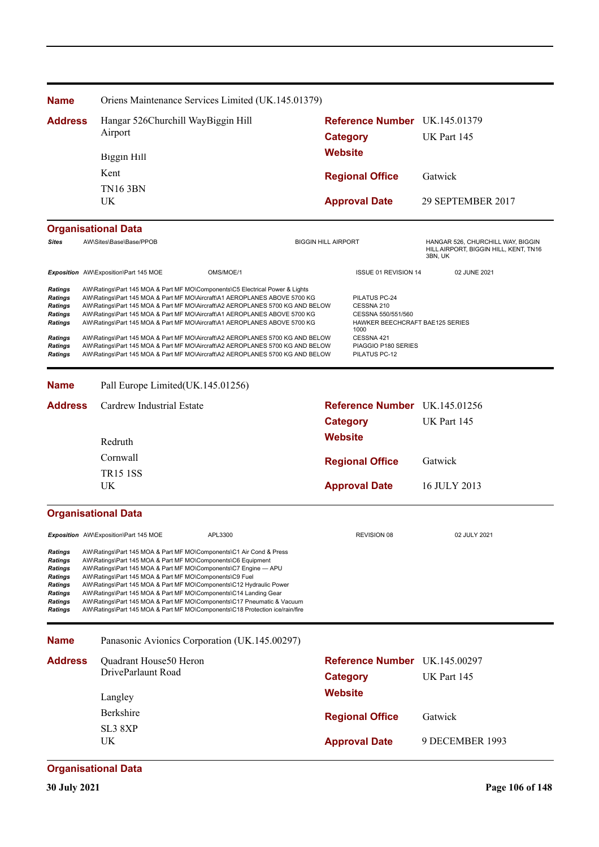| <b>Name</b>                                                                                                                    |  |                                                                                                                                                                                                                                                                                                                                       | Oriens Maintenance Services Limited (UK.145.01379)                                                                                                                                                                                                                                                                                                                                                                                                                                                                                                                     |                            |                                                                                                                                   |                                                                                       |
|--------------------------------------------------------------------------------------------------------------------------------|--|---------------------------------------------------------------------------------------------------------------------------------------------------------------------------------------------------------------------------------------------------------------------------------------------------------------------------------------|------------------------------------------------------------------------------------------------------------------------------------------------------------------------------------------------------------------------------------------------------------------------------------------------------------------------------------------------------------------------------------------------------------------------------------------------------------------------------------------------------------------------------------------------------------------------|----------------------------|-----------------------------------------------------------------------------------------------------------------------------------|---------------------------------------------------------------------------------------|
| <b>Address</b>                                                                                                                 |  | Hangar 526Churchill WayBiggin Hill                                                                                                                                                                                                                                                                                                    |                                                                                                                                                                                                                                                                                                                                                                                                                                                                                                                                                                        |                            | Reference Number UK.145.01379                                                                                                     |                                                                                       |
|                                                                                                                                |  | Airport                                                                                                                                                                                                                                                                                                                               |                                                                                                                                                                                                                                                                                                                                                                                                                                                                                                                                                                        |                            | <b>Category</b>                                                                                                                   | UK Part 145                                                                           |
|                                                                                                                                |  | <b>Biggin Hill</b>                                                                                                                                                                                                                                                                                                                    |                                                                                                                                                                                                                                                                                                                                                                                                                                                                                                                                                                        |                            | <b>Website</b>                                                                                                                    |                                                                                       |
|                                                                                                                                |  | Kent                                                                                                                                                                                                                                                                                                                                  |                                                                                                                                                                                                                                                                                                                                                                                                                                                                                                                                                                        |                            | <b>Regional Office</b>                                                                                                            | Gatwick                                                                               |
|                                                                                                                                |  | <b>TN16 3BN</b>                                                                                                                                                                                                                                                                                                                       |                                                                                                                                                                                                                                                                                                                                                                                                                                                                                                                                                                        |                            |                                                                                                                                   |                                                                                       |
|                                                                                                                                |  | UK                                                                                                                                                                                                                                                                                                                                    |                                                                                                                                                                                                                                                                                                                                                                                                                                                                                                                                                                        |                            | <b>Approval Date</b>                                                                                                              | 29 SEPTEMBER 2017                                                                     |
|                                                                                                                                |  | <b>Organisational Data</b>                                                                                                                                                                                                                                                                                                            |                                                                                                                                                                                                                                                                                                                                                                                                                                                                                                                                                                        |                            |                                                                                                                                   |                                                                                       |
| <b>Sites</b>                                                                                                                   |  | AW\Sites\Base\Base/PPOB                                                                                                                                                                                                                                                                                                               |                                                                                                                                                                                                                                                                                                                                                                                                                                                                                                                                                                        | <b>BIGGIN HILL AIRPORT</b> |                                                                                                                                   | HANGAR 526, CHURCHILL WAY, BIGGIN<br>HILL AIRPORT, BIGGIN HILL, KENT, TN16<br>3BN, UK |
|                                                                                                                                |  | Exposition AW\Exposition\Part 145 MOE                                                                                                                                                                                                                                                                                                 | OMS/MOE/1                                                                                                                                                                                                                                                                                                                                                                                                                                                                                                                                                              |                            | ISSUE 01 REVISION 14                                                                                                              | 02 JUNE 2021                                                                          |
| <b>Ratings</b><br><b>Ratings</b><br><b>Ratings</b><br><b>Ratings</b><br><b>Ratings</b><br><b>Ratings</b><br>Ratings            |  |                                                                                                                                                                                                                                                                                                                                       | AW\Ratings\Part 145 MOA & Part MF MO\Components\C5 Electrical Power & Lights<br>AW\Ratings\Part 145 MOA & Part MF MO\Aircraft\A1 AEROPLANES ABOVE 5700 KG<br>AW\Ratings\Part 145 MOA & Part MF MO\Aircraft\A2 AEROPLANES 5700 KG AND BELOW<br>AW\Ratings\Part 145 MOA & Part MF MO\Aircraft\A1 AEROPLANES ABOVE 5700 KG<br>AW\Ratings\Part 145 MOA & Part MF MO\Aircraft\A1 AEROPLANES ABOVE 5700 KG<br>AW\Ratings\Part 145 MOA & Part MF MO\Aircraft\A2 AEROPLANES 5700 KG AND BELOW<br>AW\Ratings\Part 145 MOA & Part MF MO\Aircraft\A2 AEROPLANES 5700 KG AND BELOW |                            | PILATUS PC-24<br>CESSNA 210<br>CESSNA 550/551/560<br>HAWKER BEECHCRAFT BAE125 SERIES<br>1000<br>CESSNA 421<br>PIAGGIO P180 SERIES |                                                                                       |
| <b>Ratings</b>                                                                                                                 |  |                                                                                                                                                                                                                                                                                                                                       | AW\Ratings\Part 145 MOA & Part MF MO\Aircraft\A2 AEROPLANES 5700 KG AND BELOW                                                                                                                                                                                                                                                                                                                                                                                                                                                                                          |                            | PILATUS PC-12                                                                                                                     |                                                                                       |
| <b>Name</b>                                                                                                                    |  | Pall Europe Limited(UK.145.01256)                                                                                                                                                                                                                                                                                                     |                                                                                                                                                                                                                                                                                                                                                                                                                                                                                                                                                                        |                            |                                                                                                                                   |                                                                                       |
| <b>Address</b>                                                                                                                 |  | Cardrew Industrial Estate                                                                                                                                                                                                                                                                                                             |                                                                                                                                                                                                                                                                                                                                                                                                                                                                                                                                                                        |                            | Reference Number UK.145.01256                                                                                                     |                                                                                       |
|                                                                                                                                |  |                                                                                                                                                                                                                                                                                                                                       |                                                                                                                                                                                                                                                                                                                                                                                                                                                                                                                                                                        |                            | <b>Category</b>                                                                                                                   | UK Part 145                                                                           |
|                                                                                                                                |  |                                                                                                                                                                                                                                                                                                                                       |                                                                                                                                                                                                                                                                                                                                                                                                                                                                                                                                                                        |                            | <b>Website</b>                                                                                                                    |                                                                                       |
|                                                                                                                                |  | Redruth<br>Cornwall                                                                                                                                                                                                                                                                                                                   |                                                                                                                                                                                                                                                                                                                                                                                                                                                                                                                                                                        |                            |                                                                                                                                   |                                                                                       |
|                                                                                                                                |  | <b>TR15 1SS</b>                                                                                                                                                                                                                                                                                                                       |                                                                                                                                                                                                                                                                                                                                                                                                                                                                                                                                                                        |                            | <b>Regional Office</b>                                                                                                            | Gatwick                                                                               |
|                                                                                                                                |  | UK                                                                                                                                                                                                                                                                                                                                    |                                                                                                                                                                                                                                                                                                                                                                                                                                                                                                                                                                        |                            | <b>Approval Date</b>                                                                                                              | 16 JULY 2013                                                                          |
|                                                                                                                                |  | <b>Organisational Data</b>                                                                                                                                                                                                                                                                                                            |                                                                                                                                                                                                                                                                                                                                                                                                                                                                                                                                                                        |                            |                                                                                                                                   |                                                                                       |
|                                                                                                                                |  | Exposition AW\Exposition\Part 145 MOE                                                                                                                                                                                                                                                                                                 | APL3300                                                                                                                                                                                                                                                                                                                                                                                                                                                                                                                                                                |                            | <b>REVISION 08</b>                                                                                                                | 02 JULY 2021                                                                          |
| <b>Ratings</b><br>Ratings<br><b>Ratings</b><br><b>Ratings</b><br><b>Ratings</b><br>Ratings<br><b>Ratings</b><br><b>Ratings</b> |  | AW\Ratings\Part 145 MOA & Part MF MO\Components\C1 Air Cond & Press<br>AW\Ratings\Part 145 MOA & Part MF MO\Components\C6 Equipment<br>AW\Ratings\Part 145 MOA & Part MF MO\Components\C7 Engine - APU<br>AW\Ratings\Part 145 MOA & Part MF MO\Components\C9 Fuel<br>AW\Ratings\Part 145 MOA & Part MF MO\Components\C14 Landing Gear | AW\Ratings\Part 145 MOA & Part MF MO\Components\C12 Hydraulic Power<br>AW\Ratings\Part 145 MOA & Part MF MO\Components\C17 Pneumatic & Vacuum<br>AW\Ratings\Part 145 MOA & Part MF MO\Components\C18 Protection ice/rain/fire                                                                                                                                                                                                                                                                                                                                          |                            |                                                                                                                                   |                                                                                       |
| <b>Name</b>                                                                                                                    |  |                                                                                                                                                                                                                                                                                                                                       | Panasonic Avionics Corporation (UK.145.00297)                                                                                                                                                                                                                                                                                                                                                                                                                                                                                                                          |                            |                                                                                                                                   |                                                                                       |
| <b>Address</b>                                                                                                                 |  | Quadrant House50 Heron                                                                                                                                                                                                                                                                                                                |                                                                                                                                                                                                                                                                                                                                                                                                                                                                                                                                                                        |                            | Reference Number UK.145.00297                                                                                                     |                                                                                       |
|                                                                                                                                |  | DriveParlaunt Road                                                                                                                                                                                                                                                                                                                    |                                                                                                                                                                                                                                                                                                                                                                                                                                                                                                                                                                        |                            | <b>Category</b>                                                                                                                   | UK Part 145                                                                           |
|                                                                                                                                |  | Langley                                                                                                                                                                                                                                                                                                                               |                                                                                                                                                                                                                                                                                                                                                                                                                                                                                                                                                                        |                            | <b>Website</b>                                                                                                                    |                                                                                       |
|                                                                                                                                |  | Berkshire                                                                                                                                                                                                                                                                                                                             |                                                                                                                                                                                                                                                                                                                                                                                                                                                                                                                                                                        |                            | <b>Regional Office</b>                                                                                                            | Gatwick                                                                               |
|                                                                                                                                |  | SL <sub>3</sub> 8XP                                                                                                                                                                                                                                                                                                                   |                                                                                                                                                                                                                                                                                                                                                                                                                                                                                                                                                                        |                            |                                                                                                                                   |                                                                                       |
|                                                                                                                                |  | UK                                                                                                                                                                                                                                                                                                                                    |                                                                                                                                                                                                                                                                                                                                                                                                                                                                                                                                                                        |                            | <b>Approval Date</b>                                                                                                              | 9 DECEMBER 1993                                                                       |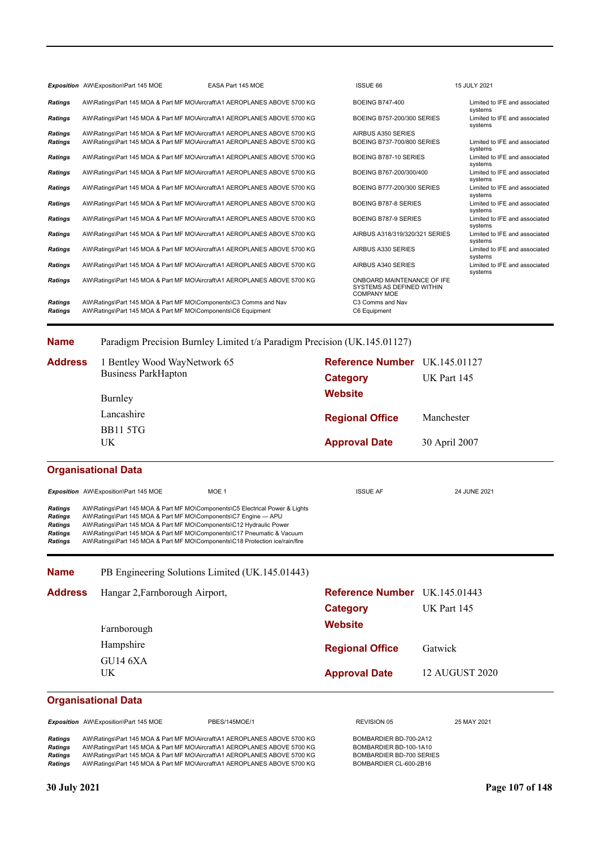|                | Exposition AW\Exposition\Part 145 MOE                                     | EASA Part 145 MOE                                                        | <b>ISSUE 66</b>                                                               | 15 JULY 2021                             |
|----------------|---------------------------------------------------------------------------|--------------------------------------------------------------------------|-------------------------------------------------------------------------------|------------------------------------------|
| <b>Ratings</b> | AW\Ratings\Part 145 MOA & Part MF MO\Aircraft\A1 AEROPLANES ABOVE 5700 KG |                                                                          | <b>BOEING B747-400</b>                                                        | Limited to IFE and associated<br>systems |
| <b>Ratings</b> | AW\Ratings\Part 145 MOA & Part MF MO\Aircraft\A1 AEROPLANES ABOVE 5700 KG |                                                                          | BOEING B757-200/300 SERIES                                                    | Limited to IFE and associated<br>systems |
| <b>Ratings</b> | AW\Ratings\Part 145 MOA & Part MF MO\Aircraft\A1 AEROPLANES ABOVE 5700 KG |                                                                          | AIRBUS A350 SERIES                                                            |                                          |
| <b>Ratings</b> | AW\Ratings\Part 145 MOA & Part MF MO\Aircraft\A1 AEROPLANES ABOVE 5700 KG |                                                                          | BOEING B737-700/800 SERIES                                                    | Limited to IFE and associated<br>systems |
| <b>Ratings</b> | AW\Ratings\Part 145 MOA & Part MF MO\Aircraft\A1 AEROPLANES ABOVE 5700 KG |                                                                          | BOEING B787-10 SERIES                                                         | Limited to IFE and associated<br>systems |
| <b>Ratings</b> | AW\Ratings\Part 145 MOA & Part MF MO\Aircraft\A1 AEROPLANES ABOVE 5700 KG |                                                                          | BOEING B767-200/300/400                                                       | Limited to IFE and associated<br>systems |
| <b>Ratings</b> | AW\Ratings\Part 145 MOA & Part MF MO\Aircraft\A1 AEROPLANES ABOVE 5700 KG |                                                                          | BOEING B777-200/300 SERIES                                                    | Limited to IFE and associated<br>systems |
| <b>Ratings</b> | AW\Ratings\Part 145 MOA & Part MF MO\Aircraft\A1 AEROPLANES ABOVE 5700 KG |                                                                          | BOEING B787-8 SERIES                                                          | Limited to IFE and associated<br>systems |
| <b>Ratings</b> | AW\Ratings\Part 145 MOA & Part MF MO\Aircraft\A1 AEROPLANES ABOVE 5700 KG |                                                                          | BOEING B787-9 SERIES                                                          | Limited to IFE and associated<br>systems |
| <b>Ratings</b> | AW\Ratings\Part 145 MOA & Part MF MO\Aircraft\A1 AEROPLANES ABOVE 5700 KG |                                                                          | AIRBUS A318/319/320/321 SERIES                                                | Limited to IFE and associated<br>systems |
| <b>Ratings</b> | AW\Ratings\Part 145 MOA & Part MF MO\Aircraft\A1 AEROPLANES ABOVE 5700 KG |                                                                          | AIRBUS A330 SERIES                                                            | Limited to IFE and associated<br>systems |
| <b>Ratings</b> | AW\Ratings\Part 145 MOA & Part MF MO\Aircraft\A1 AEROPLANES ABOVE 5700 KG |                                                                          | AIRBUS A340 SERIES                                                            | Limited to IFE and associated<br>systems |
| <b>Ratings</b> | AW\Ratings\Part 145 MOA & Part MF MO\Aircraft\A1 AEROPLANES ABOVE 5700 KG |                                                                          | ONBOARD MAINTENANCE OF IFE<br>SYSTEMS AS DEFINED WITHIN<br><b>COMPANY MOE</b> |                                          |
| <b>Ratings</b> | AW\Ratings\Part 145 MOA & Part MF MO\Components\C3 Comms and Nav          |                                                                          | C3 Comms and Nav                                                              |                                          |
| <b>Ratings</b> | AW\Ratings\Part 145 MOA & Part MF MO\Components\C6 Equipment              |                                                                          | C6 Equipment                                                                  |                                          |
|                |                                                                           |                                                                          |                                                                               |                                          |
| <b>Name</b>    |                                                                           | Paradigm Precision Burnley Limited t/a Paradigm Precision (UK.145.01127) |                                                                               |                                          |
| <b>Address</b> | Bentley Wood WayNetwork 65                                                |                                                                          | <b>Reference Number</b> IIK 145 01127                                         |                                          |

**Approval Date** 30 April 2007 **Website Category** UK Part 145 **Reference Number Regional Office Address** Manchester UK BB11 5TG Lancashire Burnley 1 Bentley Wood WayNetwork 65 Business ParkHapton UK.145.01127

### **Organisational Data**

**Name**

|                                                                                        | <b>Exposition</b> AW\Exposition\Part 145 MOE                                                                                                                                                                                                                                                                                                                                     | MOE 1 | <b>ISSUE AF</b> | 24 JUNE 2021 |
|----------------------------------------------------------------------------------------|----------------------------------------------------------------------------------------------------------------------------------------------------------------------------------------------------------------------------------------------------------------------------------------------------------------------------------------------------------------------------------|-------|-----------------|--------------|
| <b>Ratings</b><br><b>Ratings</b><br><b>Ratings</b><br><b>Ratings</b><br><b>Ratings</b> | AW\Ratings\Part 145 MOA & Part MF MO\Components\C5 Electrical Power & Lights<br>AW\Ratings\Part 145 MOA & Part MF MO\Components\C7 Engine - APU<br>AW\Ratings\Part 145 MOA & Part MF MO\Components\C12 Hydraulic Power<br>AW\Ratings\Part 145 MOA & Part MF MO\Components\C17 Pneumatic & Vacuum<br>AW\Ratings\Part 145 MOA & Part MF MO\Components\C18 Protection ice/rain/fire |       |                 |              |

| Address | Hangar 2, Farnborough Airport, | Reference Number UK.145.01443 |                |
|---------|--------------------------------|-------------------------------|----------------|
|         |                                | Category                      | UK Part 145    |
|         | Farnborough                    | <b>Website</b>                |                |
|         | Hampshire                      | <b>Regional Office</b>        | Gatwick        |
|         | <b>GU14 6XA</b><br>UK.         | <b>Approval Date</b>          | 12 AUGUST 2020 |

### **Organisational Data**

**Exposition** AW\Exposition\Part 145 MOE PBES/145MOE/1 PREVISION 05 REVISION 05 25 MAY 2021

Ratings AW\Ratings\Part 145 MOA & Part MF MO\Aircraft\A1 AEROPLANES ABOVE 5700 KG BOMBARDIER BD-700-2A12 Ratings AW\Ratings\Part 145 MOA & Part MF MO\Aircraft\A1 AEROPLANES ABOVE 5700 KG BOMBARDIER BD-100-1A10<br>Ratings AW\Ratings\Part 145 MOA & Part MF MO\Aircraft\A1 AEROPLANES ABOVE 5700 KG BOMBARDIER BD-700 SERIES Ratings AW\Ratings\Part 145 MOA & Part MF MO\Aircraft\A1 AEROPLANES ABOVE 5700 KG BOMBARDIER BD-700 SERI<br>Ratings AW\Ratings\Part 145 MOA & Part MF MO\Aircraft\A1 AEROPLANES ABOVE 5700 KG BOMBARDIER CL-600-2B16 AW\Ratings\Part 145 MOA & Part MF MO\Aircraft\A1 AEROPLANES ABOVE 5700 KG

PB Engineering Solutions Limited (UK.145.01443)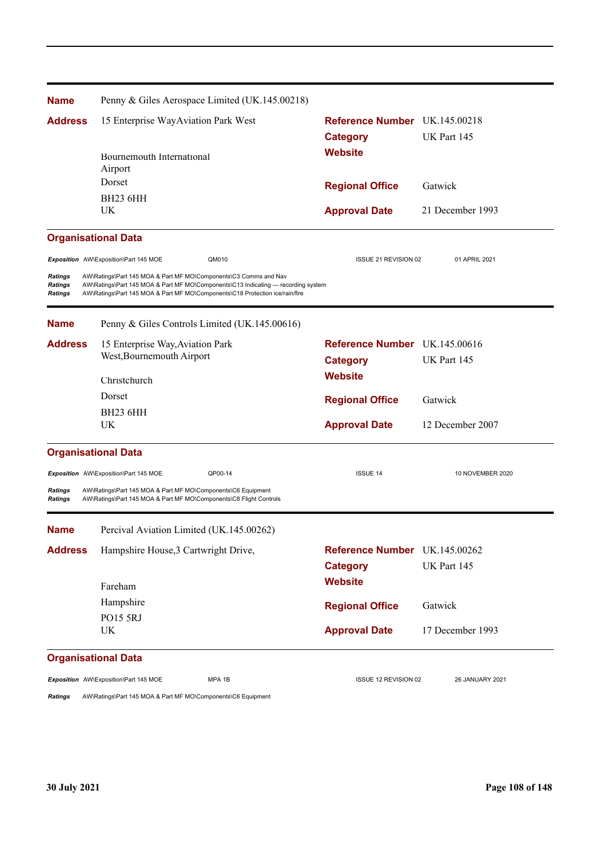| <b>Name</b>                                 | Penny & Giles Aerospace Limited (UK.145.00218)                                                                                                                                                                                        |                               |                  |
|---------------------------------------------|---------------------------------------------------------------------------------------------------------------------------------------------------------------------------------------------------------------------------------------|-------------------------------|------------------|
| <b>Address</b>                              | 15 Enterprise WayAviation Park West                                                                                                                                                                                                   | Reference Number UK.145.00218 |                  |
|                                             |                                                                                                                                                                                                                                       | <b>Category</b>               | UK Part 145      |
|                                             | Bournemouth International                                                                                                                                                                                                             | <b>Website</b>                |                  |
|                                             | Airport                                                                                                                                                                                                                               |                               |                  |
|                                             | Dorset                                                                                                                                                                                                                                | <b>Regional Office</b>        | Gatwick          |
|                                             | <b>BH23 6HH</b>                                                                                                                                                                                                                       |                               |                  |
|                                             | UK                                                                                                                                                                                                                                    | <b>Approval Date</b>          | 21 December 1993 |
|                                             | <b>Organisational Data</b>                                                                                                                                                                                                            |                               |                  |
|                                             | Exposition AW\Exposition\Part 145 MOE<br>QM010                                                                                                                                                                                        | ISSUE 21 REVISION 02          | 01 APRIL 2021    |
| <b>Ratings</b><br>Ratings<br><b>Ratings</b> | AW\Ratings\Part 145 MOA & Part MF MO\Components\C3 Comms and Nav<br>AW\Ratings\Part 145 MOA & Part MF MO\Components\C13 Indicating — recording system<br>AW\Ratings\Part 145 MOA & Part MF MO\Components\C18 Protection ice/rain/fire |                               |                  |
| <b>Name</b>                                 | Penny & Giles Controls Limited (UK.145.00616)                                                                                                                                                                                         |                               |                  |
| <b>Address</b>                              | 15 Enterprise Way, Aviation Park                                                                                                                                                                                                      | Reference Number UK.145.00616 |                  |
|                                             | West, Bournemouth Airport                                                                                                                                                                                                             | <b>Category</b>               | UK Part 145      |
|                                             | Christchurch                                                                                                                                                                                                                          | <b>Website</b>                |                  |
|                                             | Dorset                                                                                                                                                                                                                                | <b>Regional Office</b>        | Gatwick          |
|                                             | <b>BH23 6HH</b>                                                                                                                                                                                                                       |                               |                  |
|                                             | UK                                                                                                                                                                                                                                    | <b>Approval Date</b>          | 12 December 2007 |
|                                             | <b>Organisational Data</b>                                                                                                                                                                                                            |                               |                  |
|                                             | Exposition AW\Exposition\Part 145 MOE<br>QP00-14                                                                                                                                                                                      | <b>ISSUE 14</b>               | 10 NOVEMBER 2020 |
| Ratings<br><b>Ratings</b>                   | AW\Ratings\Part 145 MOA & Part MF MO\Components\C6 Equipment<br>AW\Ratings\Part 145 MOA & Part MF MO\Components\C8 Flight Controls                                                                                                    |                               |                  |
| <b>Name</b>                                 | Percival Aviation Limited (UK.145.00262)                                                                                                                                                                                              |                               |                  |
| <b>Address</b>                              | Hampshire House, 3 Cartwright Drive,                                                                                                                                                                                                  | Reference Number UK.145.00262 |                  |
|                                             |                                                                                                                                                                                                                                       | <b>Category</b>               | UK Part 145      |
|                                             |                                                                                                                                                                                                                                       | <b>Website</b>                |                  |
|                                             | Fareham                                                                                                                                                                                                                               |                               |                  |
|                                             | Hampshire                                                                                                                                                                                                                             | <b>Regional Office</b>        | Gatwick          |
|                                             | PO15 5RJ<br>UK                                                                                                                                                                                                                        | <b>Approval Date</b>          | 17 December 1993 |
|                                             | <b>Organisational Data</b>                                                                                                                                                                                                            |                               |                  |
|                                             | Exposition AW\Exposition\Part 145 MOE<br>MPA 1B                                                                                                                                                                                       | ISSUE 12 REVISION 02          | 26 JANUARY 2021  |

*Ratings* AW\Ratings\Part 145 MOA & Part MF MO\Components\C6 Equipment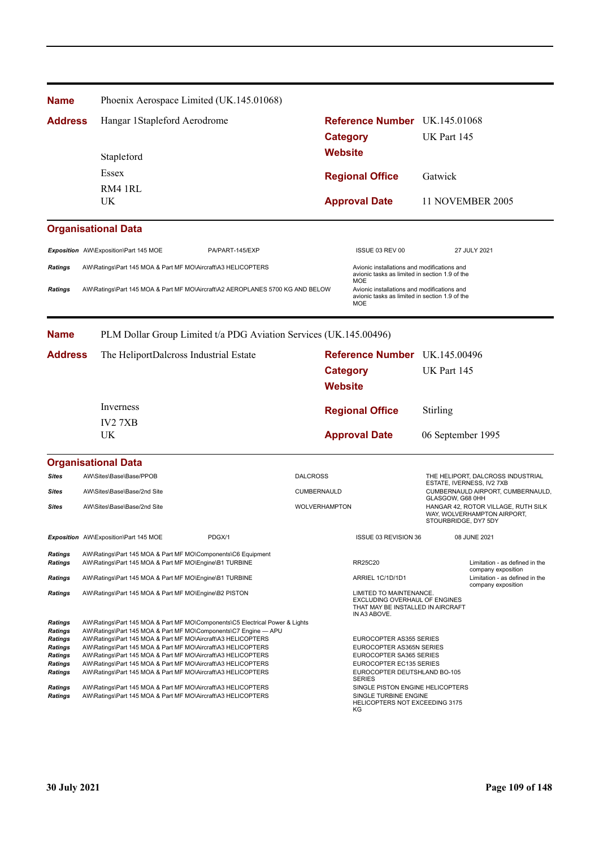| <b>Name</b>                                                                                                  |                                                                                                                                                                                                                                                                                                                                                                                                                                                                                 | Phoenix Aerospace Limited (UK.145.01068)                          |                      |                                                                                                                                                            |                           |                                                                    |
|--------------------------------------------------------------------------------------------------------------|---------------------------------------------------------------------------------------------------------------------------------------------------------------------------------------------------------------------------------------------------------------------------------------------------------------------------------------------------------------------------------------------------------------------------------------------------------------------------------|-------------------------------------------------------------------|----------------------|------------------------------------------------------------------------------------------------------------------------------------------------------------|---------------------------|--------------------------------------------------------------------|
| <b>Address</b>                                                                                               | Hangar 1Stapleford Aerodrome                                                                                                                                                                                                                                                                                                                                                                                                                                                    |                                                                   |                      | Reference Number UK.145.01068                                                                                                                              |                           |                                                                    |
|                                                                                                              |                                                                                                                                                                                                                                                                                                                                                                                                                                                                                 |                                                                   |                      | <b>Category</b>                                                                                                                                            | UK Part 145               |                                                                    |
|                                                                                                              | Stapleford                                                                                                                                                                                                                                                                                                                                                                                                                                                                      |                                                                   |                      | <b>Website</b>                                                                                                                                             |                           |                                                                    |
|                                                                                                              | Essex                                                                                                                                                                                                                                                                                                                                                                                                                                                                           |                                                                   |                      |                                                                                                                                                            |                           |                                                                    |
|                                                                                                              | RM4 1RL                                                                                                                                                                                                                                                                                                                                                                                                                                                                         |                                                                   |                      | <b>Regional Office</b>                                                                                                                                     | Gatwick                   |                                                                    |
|                                                                                                              | UK.                                                                                                                                                                                                                                                                                                                                                                                                                                                                             |                                                                   |                      | <b>Approval Date</b>                                                                                                                                       |                           | 11 NOVEMBER 2005                                                   |
|                                                                                                              |                                                                                                                                                                                                                                                                                                                                                                                                                                                                                 |                                                                   |                      |                                                                                                                                                            |                           |                                                                    |
|                                                                                                              | <b>Organisational Data</b>                                                                                                                                                                                                                                                                                                                                                                                                                                                      |                                                                   |                      |                                                                                                                                                            |                           |                                                                    |
|                                                                                                              | Exposition AW\Exposition\Part 145 MOE                                                                                                                                                                                                                                                                                                                                                                                                                                           | PA/PART-145/EXP                                                   |                      | ISSUE 03 REV 00                                                                                                                                            |                           | 27 JULY 2021                                                       |
| <b>Ratings</b>                                                                                               | AW\Ratings\Part 145 MOA & Part MF MO\Aircraft\A3 HELICOPTERS                                                                                                                                                                                                                                                                                                                                                                                                                    |                                                                   |                      | Avionic installations and modifications and<br>avionic tasks as limited in section 1.9 of the                                                              |                           |                                                                    |
| <b>Ratings</b>                                                                                               | AW\Ratings\Part 145 MOA & Part MF MO\Aircraft\A2 AEROPLANES 5700 KG AND BELOW                                                                                                                                                                                                                                                                                                                                                                                                   |                                                                   |                      | MOE<br>Avionic installations and modifications and<br>avionic tasks as limited in section 1.9 of the<br>MOE                                                |                           |                                                                    |
| <b>Name</b>                                                                                                  |                                                                                                                                                                                                                                                                                                                                                                                                                                                                                 | PLM Dollar Group Limited t/a PDG Aviation Services (UK.145.00496) |                      |                                                                                                                                                            |                           |                                                                    |
| <b>Address</b>                                                                                               | The HeliportDalcross Industrial Estate                                                                                                                                                                                                                                                                                                                                                                                                                                          |                                                                   |                      | Reference Number UK.145.00496                                                                                                                              |                           |                                                                    |
|                                                                                                              |                                                                                                                                                                                                                                                                                                                                                                                                                                                                                 |                                                                   |                      | Category                                                                                                                                                   | UK Part 145               |                                                                    |
|                                                                                                              |                                                                                                                                                                                                                                                                                                                                                                                                                                                                                 |                                                                   |                      | <b>Website</b>                                                                                                                                             |                           |                                                                    |
|                                                                                                              | Inverness                                                                                                                                                                                                                                                                                                                                                                                                                                                                       |                                                                   |                      | <b>Regional Office</b>                                                                                                                                     | Stirling                  |                                                                    |
|                                                                                                              | <b>IV27XB</b>                                                                                                                                                                                                                                                                                                                                                                                                                                                                   |                                                                   |                      |                                                                                                                                                            |                           |                                                                    |
|                                                                                                              | UK                                                                                                                                                                                                                                                                                                                                                                                                                                                                              |                                                                   |                      | <b>Approval Date</b>                                                                                                                                       | 06 September 1995         |                                                                    |
|                                                                                                              | <b>Organisational Data</b>                                                                                                                                                                                                                                                                                                                                                                                                                                                      |                                                                   |                      |                                                                                                                                                            |                           |                                                                    |
| <b>Sites</b>                                                                                                 | AW\Sites\Base\Base/PPOB                                                                                                                                                                                                                                                                                                                                                                                                                                                         |                                                                   | <b>DALCROSS</b>      |                                                                                                                                                            | ESTATE, IVERNESS, IV2 7XB | THE HELIPORT, DALCROSS INDUSTRIAL                                  |
| Sites                                                                                                        | AW\Sites\Base\Base/2nd Site                                                                                                                                                                                                                                                                                                                                                                                                                                                     |                                                                   | CUMBERNAULD          |                                                                                                                                                            | GLASGOW, G68 0HH          | CUMBERNAULD AIRPORT, CUMBERNAULD,                                  |
| <b>Sites</b>                                                                                                 | AW\Sites\Base\Base/2nd Site                                                                                                                                                                                                                                                                                                                                                                                                                                                     |                                                                   | <b>WOLVERHAMPTON</b> |                                                                                                                                                            | STOURBRIDGE, DY7 5DY      | HANGAR 42, ROTOR VILLAGE, RUTH SILK<br>WAY, WOLVERHAMPTON AIRPORT, |
|                                                                                                              | Exposition AW\Exposition\Part 145 MOE                                                                                                                                                                                                                                                                                                                                                                                                                                           | PDGX/1                                                            |                      | ISSUE 03 REVISION 36                                                                                                                                       |                           | 08 JUNE 2021                                                       |
| <b>Ratings</b><br><b>Ratings</b>                                                                             | AW\Ratings\Part 145 MOA & Part MF MO\Components\C6 Equipment<br>AW\Ratings\Part 145 MOA & Part MF MO\Engine\B1 TURBINE                                                                                                                                                                                                                                                                                                                                                          |                                                                   |                      | <b>RR25C20</b>                                                                                                                                             |                           | Limitation - as defined in the<br>company exposition               |
| <b>Ratings</b>                                                                                               | AW\Ratings\Part 145 MOA & Part MF MO\Engine\B1 TURBINE                                                                                                                                                                                                                                                                                                                                                                                                                          |                                                                   |                      | ARRIEL 1C/1D/1D1                                                                                                                                           |                           | Limitation - as defined in the<br>company exposition               |
| <b>Ratings</b>                                                                                               | AW\Ratings\Part 145 MOA & Part MF MO\Engine\B2 PISTON                                                                                                                                                                                                                                                                                                                                                                                                                           |                                                                   |                      | LIMITED TO MAINTENANCE.<br><b>EXCLUDING OVERHAUL OF ENGINES</b><br>THAT MAY BE INSTALLED IN AIRCRAFT<br>IN A3 ABOVE.                                       |                           |                                                                    |
| Ratings<br><b>Ratings</b><br>Ratings<br><b>Ratings</b><br><b>Ratings</b><br><b>Ratings</b><br><b>Ratings</b> | AW\Ratings\Part 145 MOA & Part MF MO\Components\C5 Electrical Power & Lights<br>AW\Ratings\Part 145 MOA & Part MF MO\Components\C7 Engine - APU<br>AW\Ratings\Part 145 MOA & Part MF MO\Aircraft\A3 HELICOPTERS<br>AW\Ratings\Part 145 MOA & Part MF MO\Aircraft\A3 HELICOPTERS<br>AW\Ratings\Part 145 MOA & Part MF MO\Aircraft\A3 HELICOPTERS<br>AW\Ratings\Part 145 MOA & Part MF MO\Aircraft\A3 HELICOPTERS<br>AW\Ratings\Part 145 MOA & Part MF MO\Aircraft\A3 HELICOPTERS |                                                                   |                      | EUROCOPTER AS355 SERIES<br>EUROCOPTER AS365N SERIES<br>EUROCOPTER SA365 SERIES<br>EUROCOPTER EC135 SERIES<br>EUROCOPTER DEUTSHLAND BO-105<br><b>SERIES</b> |                           |                                                                    |
| <b>Ratings</b><br><b>Ratings</b>                                                                             | AW\Ratings\Part 145 MOA & Part MF MO\Aircraft\A3 HELICOPTERS<br>AW\Ratings\Part 145 MOA & Part MF MO\Aircraft\A3 HELICOPTERS                                                                                                                                                                                                                                                                                                                                                    |                                                                   |                      | SINGLE PISTON ENGINE HELICOPTERS<br>SINGLE TURBINE ENGINE<br>HELICOPTERS NOT EXCEEDING 3175<br>КG                                                          |                           |                                                                    |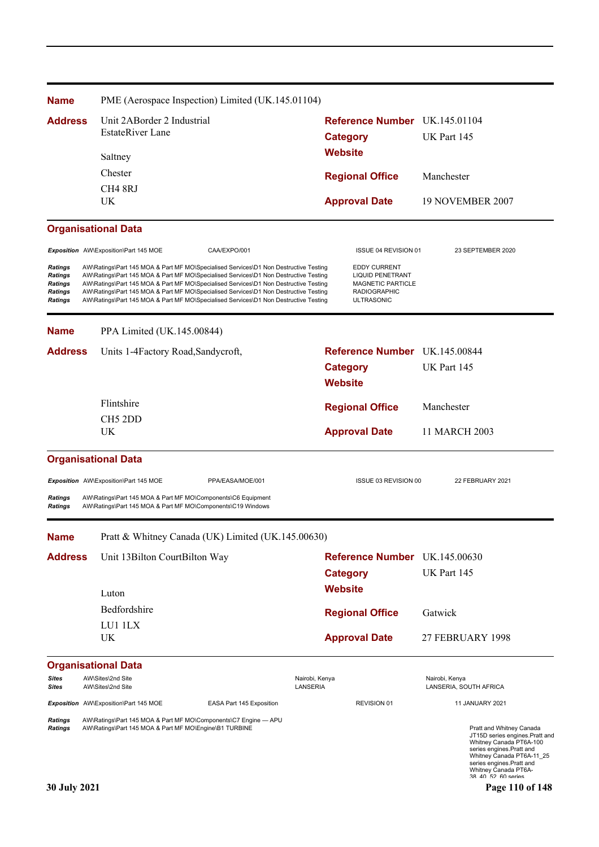| <b>Name</b>                                                              | PME (Aerospace Inspection) Limited (UK.145.01104)                                                                                                                                                                                                                                                                                                                                                                                                    |                                                                                                                 |                                                                                                                                                                                                                                                |  |
|--------------------------------------------------------------------------|------------------------------------------------------------------------------------------------------------------------------------------------------------------------------------------------------------------------------------------------------------------------------------------------------------------------------------------------------------------------------------------------------------------------------------------------------|-----------------------------------------------------------------------------------------------------------------|------------------------------------------------------------------------------------------------------------------------------------------------------------------------------------------------------------------------------------------------|--|
| <b>Address</b>                                                           | Unit 2ABorder 2 Industrial                                                                                                                                                                                                                                                                                                                                                                                                                           | Reference Number UK.145.01104                                                                                   |                                                                                                                                                                                                                                                |  |
|                                                                          | <b>EstateRiver Lane</b>                                                                                                                                                                                                                                                                                                                                                                                                                              | <b>Category</b>                                                                                                 | UK Part 145                                                                                                                                                                                                                                    |  |
|                                                                          | Saltney                                                                                                                                                                                                                                                                                                                                                                                                                                              | <b>Website</b>                                                                                                  |                                                                                                                                                                                                                                                |  |
|                                                                          | Chester                                                                                                                                                                                                                                                                                                                                                                                                                                              |                                                                                                                 |                                                                                                                                                                                                                                                |  |
|                                                                          | CH <sub>4</sub> 8RJ                                                                                                                                                                                                                                                                                                                                                                                                                                  | <b>Regional Office</b>                                                                                          | Manchester                                                                                                                                                                                                                                     |  |
|                                                                          | UK                                                                                                                                                                                                                                                                                                                                                                                                                                                   | <b>Approval Date</b>                                                                                            | 19 NOVEMBER 2007                                                                                                                                                                                                                               |  |
|                                                                          | <b>Organisational Data</b>                                                                                                                                                                                                                                                                                                                                                                                                                           |                                                                                                                 |                                                                                                                                                                                                                                                |  |
|                                                                          | Exposition AW\Exposition\Part 145 MOE<br>CAA/EXPO/001                                                                                                                                                                                                                                                                                                                                                                                                | ISSUE 04 REVISION 01                                                                                            | 23 SEPTEMBER 2020                                                                                                                                                                                                                              |  |
| <b>Ratings</b><br><b>Ratings</b><br>Ratings<br>Ratings<br><b>Ratings</b> | AW\Ratings\Part 145 MOA & Part MF MO\Specialised Services\D1 Non Destructive Testing<br>AW\Ratings\Part 145 MOA & Part MF MO\Specialised Services\D1 Non Destructive Testing<br>AW\Ratings\Part 145 MOA & Part MF MO\Specialised Services\D1 Non Destructive Testing<br>AW\Ratings\Part 145 MOA & Part MF MO\Specialised Services\D1 Non Destructive Testing<br>AW\Ratings\Part 145 MOA & Part MF MO\Specialised Services\D1 Non Destructive Testing | <b>EDDY CURRENT</b><br><b>LIQUID PENETRANT</b><br>MAGNETIC PARTICLE<br><b>RADIOGRAPHIC</b><br><b>ULTRASONIC</b> |                                                                                                                                                                                                                                                |  |
| <b>Name</b>                                                              | PPA Limited (UK.145.00844)                                                                                                                                                                                                                                                                                                                                                                                                                           |                                                                                                                 |                                                                                                                                                                                                                                                |  |
| <b>Address</b>                                                           | Units 1-4Factory Road, Sandycroft,                                                                                                                                                                                                                                                                                                                                                                                                                   | Reference Number UK.145.00844                                                                                   |                                                                                                                                                                                                                                                |  |
|                                                                          |                                                                                                                                                                                                                                                                                                                                                                                                                                                      | <b>Category</b>                                                                                                 | UK Part 145                                                                                                                                                                                                                                    |  |
|                                                                          |                                                                                                                                                                                                                                                                                                                                                                                                                                                      | <b>Website</b>                                                                                                  |                                                                                                                                                                                                                                                |  |
|                                                                          | Flintshire                                                                                                                                                                                                                                                                                                                                                                                                                                           | <b>Regional Office</b>                                                                                          | Manchester                                                                                                                                                                                                                                     |  |
|                                                                          | CH <sub>5</sub> 2DD<br>UK                                                                                                                                                                                                                                                                                                                                                                                                                            | <b>Approval Date</b>                                                                                            | 11 MARCH 2003                                                                                                                                                                                                                                  |  |
|                                                                          | <b>Organisational Data</b>                                                                                                                                                                                                                                                                                                                                                                                                                           |                                                                                                                 |                                                                                                                                                                                                                                                |  |
|                                                                          | Exposition AW\Exposition\Part 145 MOE<br>PPA/EASA/MOE/001                                                                                                                                                                                                                                                                                                                                                                                            | ISSUE 03 REVISION 00                                                                                            | 22 FEBRUARY 2021                                                                                                                                                                                                                               |  |
| <b>Ratings</b><br><b>Ratings</b>                                         | AW\Ratings\Part 145 MOA & Part MF MO\Components\C6 Equipment<br>AW\Ratings\Part 145 MOA & Part MF MO\Components\C19 Windows                                                                                                                                                                                                                                                                                                                          |                                                                                                                 |                                                                                                                                                                                                                                                |  |
| <b>Name</b>                                                              | Pratt & Whitney Canada (UK) Limited (UK.145.00630)                                                                                                                                                                                                                                                                                                                                                                                                   |                                                                                                                 |                                                                                                                                                                                                                                                |  |
| <b>Address</b>                                                           | Unit 13Bilton CourtBilton Way                                                                                                                                                                                                                                                                                                                                                                                                                        | Reference Number UK.145.00630                                                                                   |                                                                                                                                                                                                                                                |  |
|                                                                          |                                                                                                                                                                                                                                                                                                                                                                                                                                                      | <b>Category</b>                                                                                                 | UK Part 145                                                                                                                                                                                                                                    |  |
|                                                                          | Luton                                                                                                                                                                                                                                                                                                                                                                                                                                                | <b>Website</b>                                                                                                  |                                                                                                                                                                                                                                                |  |
|                                                                          | Bedfordshire                                                                                                                                                                                                                                                                                                                                                                                                                                         | <b>Regional Office</b>                                                                                          | Gatwick                                                                                                                                                                                                                                        |  |
|                                                                          | LU1 1LX                                                                                                                                                                                                                                                                                                                                                                                                                                              |                                                                                                                 |                                                                                                                                                                                                                                                |  |
|                                                                          | UK.                                                                                                                                                                                                                                                                                                                                                                                                                                                  | <b>Approval Date</b>                                                                                            | 27 FEBRUARY 1998                                                                                                                                                                                                                               |  |
|                                                                          | <b>Organisational Data</b>                                                                                                                                                                                                                                                                                                                                                                                                                           |                                                                                                                 |                                                                                                                                                                                                                                                |  |
| Sites<br>Sites                                                           | AW\Sites\2nd Site<br>AW\Sites\2nd Site                                                                                                                                                                                                                                                                                                                                                                                                               | Nairobi, Kenya<br>LANSERIA                                                                                      | Nairobi, Kenya<br>LANSERIA, SOUTH AFRICA                                                                                                                                                                                                       |  |
|                                                                          | Exposition AW\Exposition\Part 145 MOE<br>EASA Part 145 Exposition                                                                                                                                                                                                                                                                                                                                                                                    | REVISION 01                                                                                                     | <b>11 JANUARY 2021</b>                                                                                                                                                                                                                         |  |
| Ratings<br>Ratings<br>30 July 2021                                       | AW\Ratings\Part 145 MOA & Part MF MO\Components\C7 Engine - APU<br>AW\Ratings\Part 145 MOA & Part MF MO\Engine\B1 TURBINE                                                                                                                                                                                                                                                                                                                            |                                                                                                                 | Pratt and Whitney Canada<br>JT15D series engines. Pratt and<br>Whitney Canada PT6A-100<br>series engines. Pratt and<br>Whitney Canada PT6A-11_25<br>series engines. Pratt and<br>Whitney Canada PT6A-<br>38 40 52 60 series<br>Page 110 of 148 |  |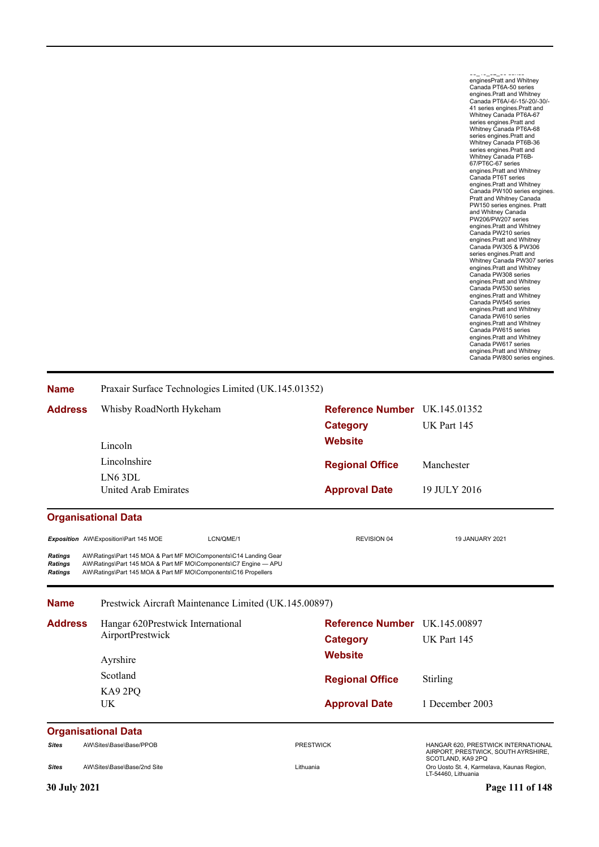س\_–ب\_سد\_ن میں<br>enginesPratt and Whitney Canada PT6A-50 series engines.Pratt and Whitney Canada PT6A/-6/-15/-20/-30/- 41 series engines.Pratt and Whitney Canada PT6A-67<br>series engines.Pratt and<br>whitney Canada PT6A-68<br>whitney Canada PT6A-68<br>whitney Canada PT6B-36<br>series engines.Pratt and<br>series engines.Pratt and<br>Whitney Canada PT6B-<br>engines.Pratt and Whitney<br>Canada P engines.Pratt and Whitney Canada PW210 series engines.Pratt and Whitney Canada PW305 & PW306 series engines.Pratt and<br>Whithey Canada PW307 series<br>engines.Pratt and Whitney<br>canada PW308 series<br>Canada PW308 series<br>Canada PW530 series<br>engines.Pratt and Whitney<br>Canada PW545 series<br>Canada PW610 series engines.Pratt and Whitney Canada PW615 series engines.Pratt and Whitney Canada PW617 series engines.Pratt and Whitney Canada PW800 series engines.

| <b>Name</b>                                 | Praxair Surface Technologies Limited (UK.145.01352)                                                                                                                                                   |                               |                                                                                                 |  |  |  |
|---------------------------------------------|-------------------------------------------------------------------------------------------------------------------------------------------------------------------------------------------------------|-------------------------------|-------------------------------------------------------------------------------------------------|--|--|--|
| <b>Address</b>                              | Whisby RoadNorth Hykeham                                                                                                                                                                              | Reference Number UK.145.01352 |                                                                                                 |  |  |  |
|                                             |                                                                                                                                                                                                       | <b>Category</b>               | UK Part 145                                                                                     |  |  |  |
|                                             | Lincoln                                                                                                                                                                                               | <b>Website</b>                |                                                                                                 |  |  |  |
|                                             | Lincolnshire                                                                                                                                                                                          | <b>Regional Office</b>        | Manchester                                                                                      |  |  |  |
|                                             | LN6 3DL                                                                                                                                                                                               |                               |                                                                                                 |  |  |  |
|                                             | United Arab Emirates                                                                                                                                                                                  | <b>Approval Date</b>          | 19 JULY 2016                                                                                    |  |  |  |
|                                             | <b>Organisational Data</b>                                                                                                                                                                            |                               |                                                                                                 |  |  |  |
|                                             | Exposition AW\Exposition\Part 145 MOE<br>LCN/QME/1                                                                                                                                                    | <b>REVISION 04</b>            | <b>19 JANUARY 2021</b>                                                                          |  |  |  |
| <b>Ratings</b><br><b>Ratings</b><br>Ratings | AW\Ratings\Part 145 MOA & Part MF MO\Components\C14 Landing Gear<br>AW\Ratings\Part 145 MOA & Part MF MO\Components\C7 Engine - APU<br>AW\Ratings\Part 145 MOA & Part MF MO\Components\C16 Propellers |                               |                                                                                                 |  |  |  |
| <b>Name</b>                                 | Prestwick Aircraft Maintenance Limited (UK.145.00897)                                                                                                                                                 |                               |                                                                                                 |  |  |  |
| <b>Address</b>                              | Hangar 620Prestwick International                                                                                                                                                                     | <b>Reference Number</b>       | UK.145.00897                                                                                    |  |  |  |
|                                             | AirportPrestwick                                                                                                                                                                                      | <b>Category</b>               | UK Part 145<br>Stirling                                                                         |  |  |  |
|                                             | Ayrshire                                                                                                                                                                                              | <b>Website</b>                |                                                                                                 |  |  |  |
|                                             | Scotland                                                                                                                                                                                              | <b>Regional Office</b>        |                                                                                                 |  |  |  |
|                                             | KA92PQ                                                                                                                                                                                                |                               |                                                                                                 |  |  |  |
|                                             | <b>UK</b>                                                                                                                                                                                             | <b>Approval Date</b>          | 1 December 2003                                                                                 |  |  |  |
|                                             | <b>Organisational Data</b>                                                                                                                                                                            |                               |                                                                                                 |  |  |  |
| <b>Sites</b>                                | AW\Sites\Base\Base/PPOB                                                                                                                                                                               | <b>PRESTWICK</b>              | HANGAR 620, PRESTWICK INTERNATIONAL<br>AIRPORT, PRESTWICK, SOUTH AYRSHIRE,<br>SCOTLAND, KA9 2PQ |  |  |  |
| <b>Sites</b>                                | AW\Sites\Base\Base/2nd Site                                                                                                                                                                           | Lithuania                     | Oro Uosto St. 4, Karmelava, Kaunas Region,<br>LT-54460, Lithuania                               |  |  |  |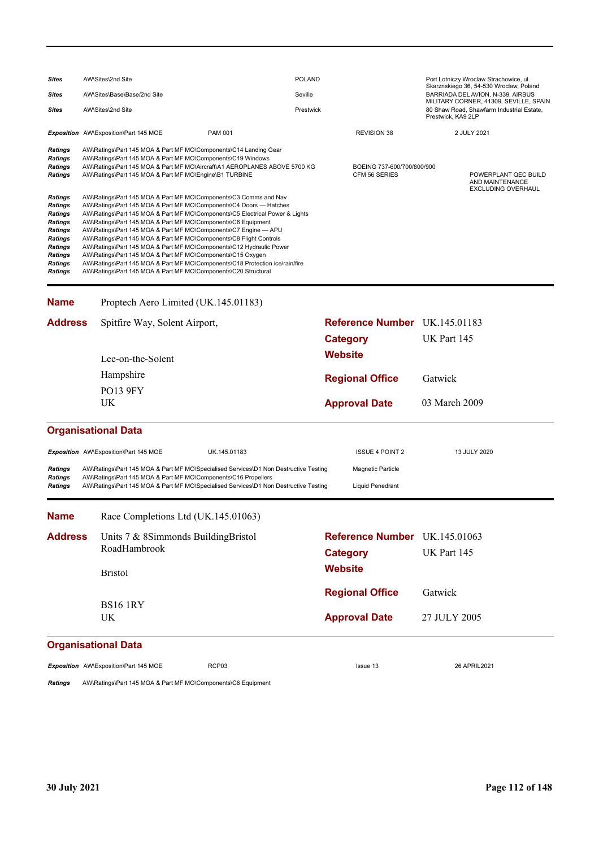| Sites                                                                                                                                                                | AW\Sites\2nd Site                                                                                                                                                                                                                                                                                                                                                                                                                                                                                                                                                                                                                                                                                                                                                                                                                                                                                                                                                                                |                | <b>POLAND</b> |                                       |                            | Port Lotniczy Wroclaw Strachowice, ul.<br>Skarznskiego 36, 54-530 Wroclaw, Poland |                                                                      |
|----------------------------------------------------------------------------------------------------------------------------------------------------------------------|--------------------------------------------------------------------------------------------------------------------------------------------------------------------------------------------------------------------------------------------------------------------------------------------------------------------------------------------------------------------------------------------------------------------------------------------------------------------------------------------------------------------------------------------------------------------------------------------------------------------------------------------------------------------------------------------------------------------------------------------------------------------------------------------------------------------------------------------------------------------------------------------------------------------------------------------------------------------------------------------------|----------------|---------------|---------------------------------------|----------------------------|-----------------------------------------------------------------------------------|----------------------------------------------------------------------|
| Sites                                                                                                                                                                | AW\Sites\Base\Base/2nd Site                                                                                                                                                                                                                                                                                                                                                                                                                                                                                                                                                                                                                                                                                                                                                                                                                                                                                                                                                                      |                | Seville       |                                       |                            | BARRIADA DEL AVION, N-339, AIRBUS<br>MILITARY CORNER, 41309, SEVILLE, SPAIN.      |                                                                      |
| Sites                                                                                                                                                                | AW\Sites\2nd Site                                                                                                                                                                                                                                                                                                                                                                                                                                                                                                                                                                                                                                                                                                                                                                                                                                                                                                                                                                                |                | Prestwick     |                                       |                            | Prestwick, KA9 2LP                                                                | 80 Shaw Road, Shawfarm Industrial Estate,                            |
|                                                                                                                                                                      | Exposition AW\Exposition\Part 145 MOE                                                                                                                                                                                                                                                                                                                                                                                                                                                                                                                                                                                                                                                                                                                                                                                                                                                                                                                                                            | <b>PAM 001</b> |               | <b>REVISION 38</b>                    |                            |                                                                                   | 2 JULY 2021                                                          |
| Ratings<br>Ratings<br>Ratings<br>Ratings<br><b>Ratings</b><br>Ratings<br>Ratings<br>Ratings<br>Ratings<br>Ratings<br>Ratings<br>Ratings<br>Ratings<br><b>Ratings</b> | AW\Ratings\Part 145 MOA & Part MF MO\Components\C14 Landing Gear<br>AW\Ratings\Part 145 MOA & Part MF MO\Components\C19 Windows<br>AW\Ratings\Part 145 MOA & Part MF MO\Aircraft\A1 AEROPLANES ABOVE 5700 KG<br>AW\Ratings\Part 145 MOA & Part MF MO\Engine\B1 TURBINE<br>AW\Ratings\Part 145 MOA & Part MF MO\Components\C3 Comms and Nav<br>AW\Ratings\Part 145 MOA & Part MF MO\Components\C4 Doors - Hatches<br>AW\Ratings\Part 145 MOA & Part MF MO\Components\C5 Electrical Power & Lights<br>AW\Ratings\Part 145 MOA & Part MF MO\Components\C6 Equipment<br>AW\Ratings\Part 145 MOA & Part MF MO\Components\C7 Engine - APU<br>AW\Ratings\Part 145 MOA & Part MF MO\Components\C8 Flight Controls<br>AW\Ratings\Part 145 MOA & Part MF MO\Components\C12 Hydraulic Power<br>AW\Ratings\Part 145 MOA & Part MF MO\Components\C15 Oxygen<br>AW\Ratings\Part 145 MOA & Part MF MO\Components\C18 Protection ice/rain/fire<br>AW\Ratings\Part 145 MOA & Part MF MO\Components\C20 Structural |                |               | CFM 56 SERIES                         | BOEING 737-600/700/800/900 |                                                                                   | POWERPLANT QEC BUILD<br>AND MAINTENANCE<br><b>EXCLUDING OVERHAUL</b> |
| <b>Name</b>                                                                                                                                                          | Proptech Aero Limited (UK.145.01183)                                                                                                                                                                                                                                                                                                                                                                                                                                                                                                                                                                                                                                                                                                                                                                                                                                                                                                                                                             |                |               |                                       |                            |                                                                                   |                                                                      |
| <b>Address</b>                                                                                                                                                       | Spitfire Way, Solent Airport,                                                                                                                                                                                                                                                                                                                                                                                                                                                                                                                                                                                                                                                                                                                                                                                                                                                                                                                                                                    |                |               | <b>Reference Number</b> UK.145.01183  |                            |                                                                                   |                                                                      |
|                                                                                                                                                                      |                                                                                                                                                                                                                                                                                                                                                                                                                                                                                                                                                                                                                                                                                                                                                                                                                                                                                                                                                                                                  |                |               | <b>Category</b>                       |                            | UK Part 145                                                                       |                                                                      |
|                                                                                                                                                                      | Lee-on-the-Solent                                                                                                                                                                                                                                                                                                                                                                                                                                                                                                                                                                                                                                                                                                                                                                                                                                                                                                                                                                                |                |               | <b>Website</b>                        |                            |                                                                                   |                                                                      |
|                                                                                                                                                                      | Hampshire                                                                                                                                                                                                                                                                                                                                                                                                                                                                                                                                                                                                                                                                                                                                                                                                                                                                                                                                                                                        |                |               |                                       |                            |                                                                                   |                                                                      |
|                                                                                                                                                                      | <b>PO13 9FY</b>                                                                                                                                                                                                                                                                                                                                                                                                                                                                                                                                                                                                                                                                                                                                                                                                                                                                                                                                                                                  |                |               | <b>Regional Office</b>                |                            | Gatwick                                                                           |                                                                      |
|                                                                                                                                                                      | UK                                                                                                                                                                                                                                                                                                                                                                                                                                                                                                                                                                                                                                                                                                                                                                                                                                                                                                                                                                                               |                |               | <b>Approval Date</b>                  |                            | 03 March 2009                                                                     |                                                                      |
|                                                                                                                                                                      | <b>Organisational Data</b>                                                                                                                                                                                                                                                                                                                                                                                                                                                                                                                                                                                                                                                                                                                                                                                                                                                                                                                                                                       |                |               |                                       |                            |                                                                                   |                                                                      |
|                                                                                                                                                                      | Exposition AW\Exposition\Part 145 MOE                                                                                                                                                                                                                                                                                                                                                                                                                                                                                                                                                                                                                                                                                                                                                                                                                                                                                                                                                            | UK.145.01183   |               |                                       | <b>ISSUE 4 POINT 2</b>     |                                                                                   | 13 JULY 2020                                                         |
| Ratings<br>Ratings<br><b>Ratings</b>                                                                                                                                 | AW\Ratings\Part 145 MOA & Part MF MO\Specialised Services\D1 Non Destructive Testing<br>AW\Ratings\Part 145 MOA & Part MF MO\Components\C16 Propellers<br>AW\Ratings\Part 145 MOA & Part MF MO\Specialised Services\D1 Non Destructive Testing                                                                                                                                                                                                                                                                                                                                                                                                                                                                                                                                                                                                                                                                                                                                                   |                |               | Magnetic Particle<br>Liquid Penedrant |                            |                                                                                   |                                                                      |
| Name                                                                                                                                                                 | Race Completions Ltd (UK.145.01063)                                                                                                                                                                                                                                                                                                                                                                                                                                                                                                                                                                                                                                                                                                                                                                                                                                                                                                                                                              |                |               |                                       |                            |                                                                                   |                                                                      |
| <b>Address</b>                                                                                                                                                       | Units 7 & 8Simmonds BuildingBristol                                                                                                                                                                                                                                                                                                                                                                                                                                                                                                                                                                                                                                                                                                                                                                                                                                                                                                                                                              |                |               | Reference Number UK.145.01063         |                            |                                                                                   |                                                                      |
|                                                                                                                                                                      | RoadHambrook                                                                                                                                                                                                                                                                                                                                                                                                                                                                                                                                                                                                                                                                                                                                                                                                                                                                                                                                                                                     |                |               | <b>Category</b>                       |                            | UK Part 145                                                                       |                                                                      |
|                                                                                                                                                                      | <b>Bristol</b>                                                                                                                                                                                                                                                                                                                                                                                                                                                                                                                                                                                                                                                                                                                                                                                                                                                                                                                                                                                   |                |               | <b>Website</b>                        |                            |                                                                                   |                                                                      |
|                                                                                                                                                                      | <b>BS16 1RY</b>                                                                                                                                                                                                                                                                                                                                                                                                                                                                                                                                                                                                                                                                                                                                                                                                                                                                                                                                                                                  |                |               | <b>Regional Office</b>                |                            | Gatwick                                                                           |                                                                      |
|                                                                                                                                                                      | UK                                                                                                                                                                                                                                                                                                                                                                                                                                                                                                                                                                                                                                                                                                                                                                                                                                                                                                                                                                                               |                |               | <b>Approval Date</b>                  |                            | 27 JULY 2005                                                                      |                                                                      |
|                                                                                                                                                                      | <b>Organisational Data</b>                                                                                                                                                                                                                                                                                                                                                                                                                                                                                                                                                                                                                                                                                                                                                                                                                                                                                                                                                                       |                |               |                                       |                            |                                                                                   |                                                                      |
|                                                                                                                                                                      | Exposition AW\Exposition\Part 145 MOE                                                                                                                                                                                                                                                                                                                                                                                                                                                                                                                                                                                                                                                                                                                                                                                                                                                                                                                                                            | RCP03          |               | Issue 13                              |                            |                                                                                   | 26 APRIL 2021                                                        |

*Ratings* AW\Ratings\Part 145 MOA & Part MF MO\Components\C6 Equipment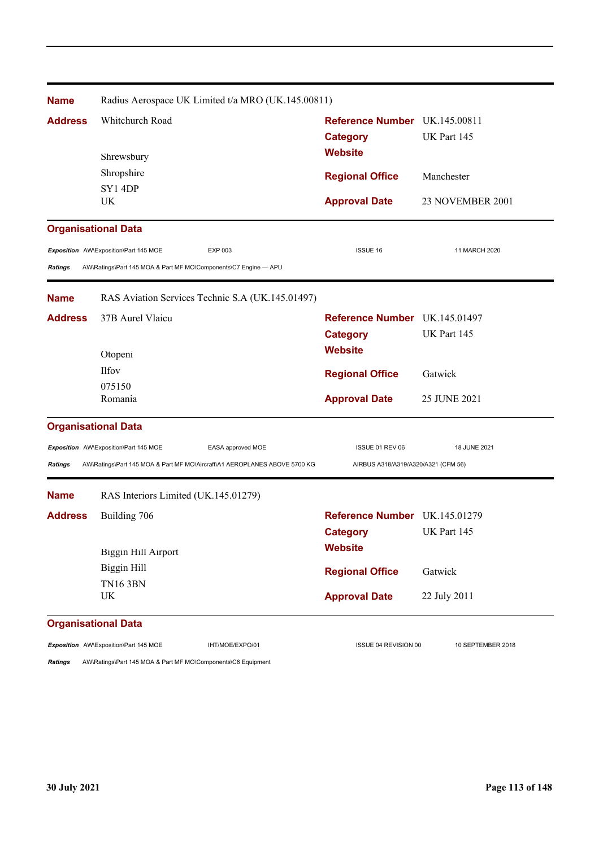| <b>Name</b>    | Radius Aerospace UK Limited t/a MRO (UK.145.00811)                        |                                     |                   |
|----------------|---------------------------------------------------------------------------|-------------------------------------|-------------------|
| <b>Address</b> | Whitchurch Road                                                           | Reference Number UK.145.00811       |                   |
|                |                                                                           | <b>Category</b>                     | UK Part 145       |
|                | Shrewsbury                                                                | <b>Website</b>                      |                   |
|                | Shropshire                                                                | <b>Regional Office</b>              | Manchester        |
|                | <b>SY1 4DP</b>                                                            |                                     |                   |
|                | UK                                                                        | <b>Approval Date</b>                | 23 NOVEMBER 2001  |
|                | <b>Organisational Data</b>                                                |                                     |                   |
|                | <b>EXP 003</b><br>Exposition AW\Exposition\Part 145 MOE                   | <b>ISSUE 16</b>                     | 11 MARCH 2020     |
| <b>Ratings</b> | AW\Ratings\Part 145 MOA & Part MF MO\Components\C7 Engine - APU           |                                     |                   |
| <b>Name</b>    | RAS Aviation Services Technic S.A (UK.145.01497)                          |                                     |                   |
| <b>Address</b> | 37B Aurel Vlaicu                                                          | Reference Number UK.145.01497       |                   |
|                |                                                                           | <b>Category</b>                     | UK Part 145       |
|                | Otopeni                                                                   | <b>Website</b>                      |                   |
|                | <b>Ilfov</b>                                                              | <b>Regional Office</b>              | Gatwick           |
|                | 075150                                                                    |                                     |                   |
|                | Romania                                                                   | <b>Approval Date</b>                | 25 JUNE 2021      |
|                | <b>Organisational Data</b>                                                |                                     |                   |
|                | Exposition AW\Exposition\Part 145 MOE<br>EASA approved MOE                | ISSUE 01 REV 06                     | 18 JUNE 2021      |
| <b>Ratings</b> | AW\Ratings\Part 145 MOA & Part MF MO\Aircraft\A1 AEROPLANES ABOVE 5700 KG | AIRBUS A318/A319/A320/A321 (CFM 56) |                   |
| <b>Name</b>    | RAS Interiors Limited (UK.145.01279)                                      |                                     |                   |
| <b>Address</b> | Building 706                                                              | Reference Number UK.145.01279       |                   |
|                |                                                                           | <b>Category</b>                     | UK Part 145       |
|                | <b>Biggin Hill Airport</b>                                                | <b>Website</b>                      |                   |
|                | <b>Biggin Hill</b>                                                        | <b>Regional Office</b>              | Gatwick           |
|                | <b>TN16 3BN</b>                                                           |                                     |                   |
|                | <b>UK</b>                                                                 | <b>Approval Date</b>                | 22 July 2011      |
|                | <b>Organisational Data</b>                                                |                                     |                   |
|                | Exposition AW\Exposition\Part 145 MOE<br>IHT/MOE/EXPO/01                  | ISSUE 04 REVISION 00                | 10 SEPTEMBER 2018 |

*Ratings* AW\Ratings\Part 145 MOA & Part MF MO\Components\C6 Equipment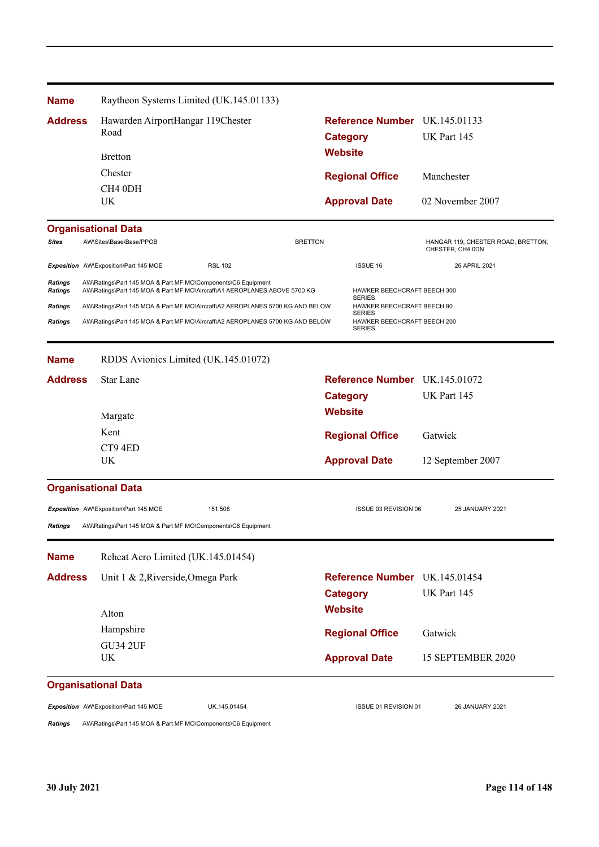| Reference Number UK.145.01133<br><b>Address</b><br>Hawarden AirportHangar 119Chester<br>Road<br>UK Part 145<br><b>Category</b><br><b>Website</b><br><b>Bretton</b><br>Chester<br><b>Regional Office</b><br>Manchester<br>CH <sub>4</sub> 0DH<br>UK<br>02 November 2007<br><b>Approval Date</b><br><b>Organisational Data</b><br>AW\Sites\Base\Base/PPOB<br><b>BRETTON</b><br>Sites<br>CHESTER, CH4 0DN<br><b>ISSUE 16</b><br>Exposition AW\Exposition\Part 145 MOE<br><b>RSL 102</b><br>26 APRIL 2021<br><b>Ratings</b><br>AW\Ratings\Part 145 MOA & Part MF MO\Components\C6 Equipment<br>AW\Ratings\Part 145 MOA & Part MF MO\Aircraft\A1 AEROPLANES ABOVE 5700 KG<br>HAWKER BEECHCRAFT BEECH 300<br><b>Ratings</b><br><b>SERIES</b><br>AW\Ratings\Part 145 MOA & Part MF MO\Aircraft\A2 AEROPLANES 5700 KG AND BELOW<br>HAWKER BEECHCRAFT BEECH 90<br>Ratings<br><b>SERIES</b><br><b>Ratings</b><br>AW\Ratings\Part 145 MOA & Part MF MO\Aircraft\A2 AEROPLANES 5700 KG AND BELOW<br>HAWKER BEECHCRAFT BEECH 200<br><b>SERIES</b><br>RDDS Avionics Limited (UK.145.01072)<br><b>Name</b><br><b>Address</b><br>Star Lane<br>Reference Number UK.145.01072<br>UK Part 145<br><b>Category</b><br><b>Website</b><br>Margate<br>Kent<br>Gatwick<br><b>Regional Office</b><br>CT94ED<br>UK<br><b>Approval Date</b><br>12 September 2007<br><b>Organisational Data</b><br>151.508<br>ISSUE 03 REVISION 06<br>Exposition AW\Exposition\Part 145 MOE<br>25 JANUARY 2021<br><b>Ratings</b><br>AW\Ratings\Part 145 MOA & Part MF MO\Components\C6 Equipment<br>Reheat Aero Limited (UK.145.01454)<br><b>Name</b><br>Unit 1 & 2, Riverside, Omega Park<br><b>Address</b><br>Reference Number UK.145.01454<br>UK Part 145<br><b>Category</b><br><b>Website</b><br>Alton<br>Hampshire<br><b>Regional Office</b><br>Gatwick<br><b>GU34 2UF</b><br>15 SEPTEMBER 2020<br>UK<br><b>Approval Date</b><br><b>Organisational Data</b><br>Exposition AW\Exposition\Part 145 MOE<br>UK.145.01454<br>ISSUE 01 REVISION 01<br>26 JANUARY 2021<br>AW\Ratings\Part 145 MOA & Part MF MO\Components\C6 Equipment | <b>Name</b> |  | Raytheon Systems Limited (UK.145.01133) |  |                                    |
|-----------------------------------------------------------------------------------------------------------------------------------------------------------------------------------------------------------------------------------------------------------------------------------------------------------------------------------------------------------------------------------------------------------------------------------------------------------------------------------------------------------------------------------------------------------------------------------------------------------------------------------------------------------------------------------------------------------------------------------------------------------------------------------------------------------------------------------------------------------------------------------------------------------------------------------------------------------------------------------------------------------------------------------------------------------------------------------------------------------------------------------------------------------------------------------------------------------------------------------------------------------------------------------------------------------------------------------------------------------------------------------------------------------------------------------------------------------------------------------------------------------------------------------------------------------------------------------------------------------------------------------------------------------------------------------------------------------------------------------------------------------------------------------------------------------------------------------------------------------------------------------------------------------------------------------------------------------------------------------------------------------------------------------------------------------------------------------------|-------------|--|-----------------------------------------|--|------------------------------------|
|                                                                                                                                                                                                                                                                                                                                                                                                                                                                                                                                                                                                                                                                                                                                                                                                                                                                                                                                                                                                                                                                                                                                                                                                                                                                                                                                                                                                                                                                                                                                                                                                                                                                                                                                                                                                                                                                                                                                                                                                                                                                                         |             |  |                                         |  |                                    |
|                                                                                                                                                                                                                                                                                                                                                                                                                                                                                                                                                                                                                                                                                                                                                                                                                                                                                                                                                                                                                                                                                                                                                                                                                                                                                                                                                                                                                                                                                                                                                                                                                                                                                                                                                                                                                                                                                                                                                                                                                                                                                         |             |  |                                         |  |                                    |
|                                                                                                                                                                                                                                                                                                                                                                                                                                                                                                                                                                                                                                                                                                                                                                                                                                                                                                                                                                                                                                                                                                                                                                                                                                                                                                                                                                                                                                                                                                                                                                                                                                                                                                                                                                                                                                                                                                                                                                                                                                                                                         |             |  |                                         |  |                                    |
|                                                                                                                                                                                                                                                                                                                                                                                                                                                                                                                                                                                                                                                                                                                                                                                                                                                                                                                                                                                                                                                                                                                                                                                                                                                                                                                                                                                                                                                                                                                                                                                                                                                                                                                                                                                                                                                                                                                                                                                                                                                                                         |             |  |                                         |  |                                    |
|                                                                                                                                                                                                                                                                                                                                                                                                                                                                                                                                                                                                                                                                                                                                                                                                                                                                                                                                                                                                                                                                                                                                                                                                                                                                                                                                                                                                                                                                                                                                                                                                                                                                                                                                                                                                                                                                                                                                                                                                                                                                                         |             |  |                                         |  |                                    |
|                                                                                                                                                                                                                                                                                                                                                                                                                                                                                                                                                                                                                                                                                                                                                                                                                                                                                                                                                                                                                                                                                                                                                                                                                                                                                                                                                                                                                                                                                                                                                                                                                                                                                                                                                                                                                                                                                                                                                                                                                                                                                         |             |  |                                         |  |                                    |
|                                                                                                                                                                                                                                                                                                                                                                                                                                                                                                                                                                                                                                                                                                                                                                                                                                                                                                                                                                                                                                                                                                                                                                                                                                                                                                                                                                                                                                                                                                                                                                                                                                                                                                                                                                                                                                                                                                                                                                                                                                                                                         |             |  |                                         |  | HANGAR 119, CHESTER ROAD, BRETTON, |
|                                                                                                                                                                                                                                                                                                                                                                                                                                                                                                                                                                                                                                                                                                                                                                                                                                                                                                                                                                                                                                                                                                                                                                                                                                                                                                                                                                                                                                                                                                                                                                                                                                                                                                                                                                                                                                                                                                                                                                                                                                                                                         |             |  |                                         |  |                                    |
|                                                                                                                                                                                                                                                                                                                                                                                                                                                                                                                                                                                                                                                                                                                                                                                                                                                                                                                                                                                                                                                                                                                                                                                                                                                                                                                                                                                                                                                                                                                                                                                                                                                                                                                                                                                                                                                                                                                                                                                                                                                                                         |             |  |                                         |  |                                    |
|                                                                                                                                                                                                                                                                                                                                                                                                                                                                                                                                                                                                                                                                                                                                                                                                                                                                                                                                                                                                                                                                                                                                                                                                                                                                                                                                                                                                                                                                                                                                                                                                                                                                                                                                                                                                                                                                                                                                                                                                                                                                                         |             |  |                                         |  |                                    |
|                                                                                                                                                                                                                                                                                                                                                                                                                                                                                                                                                                                                                                                                                                                                                                                                                                                                                                                                                                                                                                                                                                                                                                                                                                                                                                                                                                                                                                                                                                                                                                                                                                                                                                                                                                                                                                                                                                                                                                                                                                                                                         |             |  |                                         |  |                                    |
|                                                                                                                                                                                                                                                                                                                                                                                                                                                                                                                                                                                                                                                                                                                                                                                                                                                                                                                                                                                                                                                                                                                                                                                                                                                                                                                                                                                                                                                                                                                                                                                                                                                                                                                                                                                                                                                                                                                                                                                                                                                                                         |             |  |                                         |  |                                    |
|                                                                                                                                                                                                                                                                                                                                                                                                                                                                                                                                                                                                                                                                                                                                                                                                                                                                                                                                                                                                                                                                                                                                                                                                                                                                                                                                                                                                                                                                                                                                                                                                                                                                                                                                                                                                                                                                                                                                                                                                                                                                                         |             |  |                                         |  |                                    |
|                                                                                                                                                                                                                                                                                                                                                                                                                                                                                                                                                                                                                                                                                                                                                                                                                                                                                                                                                                                                                                                                                                                                                                                                                                                                                                                                                                                                                                                                                                                                                                                                                                                                                                                                                                                                                                                                                                                                                                                                                                                                                         |             |  |                                         |  |                                    |
|                                                                                                                                                                                                                                                                                                                                                                                                                                                                                                                                                                                                                                                                                                                                                                                                                                                                                                                                                                                                                                                                                                                                                                                                                                                                                                                                                                                                                                                                                                                                                                                                                                                                                                                                                                                                                                                                                                                                                                                                                                                                                         |             |  |                                         |  |                                    |
|                                                                                                                                                                                                                                                                                                                                                                                                                                                                                                                                                                                                                                                                                                                                                                                                                                                                                                                                                                                                                                                                                                                                                                                                                                                                                                                                                                                                                                                                                                                                                                                                                                                                                                                                                                                                                                                                                                                                                                                                                                                                                         |             |  |                                         |  |                                    |
|                                                                                                                                                                                                                                                                                                                                                                                                                                                                                                                                                                                                                                                                                                                                                                                                                                                                                                                                                                                                                                                                                                                                                                                                                                                                                                                                                                                                                                                                                                                                                                                                                                                                                                                                                                                                                                                                                                                                                                                                                                                                                         |             |  |                                         |  |                                    |
|                                                                                                                                                                                                                                                                                                                                                                                                                                                                                                                                                                                                                                                                                                                                                                                                                                                                                                                                                                                                                                                                                                                                                                                                                                                                                                                                                                                                                                                                                                                                                                                                                                                                                                                                                                                                                                                                                                                                                                                                                                                                                         |             |  |                                         |  |                                    |
|                                                                                                                                                                                                                                                                                                                                                                                                                                                                                                                                                                                                                                                                                                                                                                                                                                                                                                                                                                                                                                                                                                                                                                                                                                                                                                                                                                                                                                                                                                                                                                                                                                                                                                                                                                                                                                                                                                                                                                                                                                                                                         |             |  |                                         |  |                                    |
|                                                                                                                                                                                                                                                                                                                                                                                                                                                                                                                                                                                                                                                                                                                                                                                                                                                                                                                                                                                                                                                                                                                                                                                                                                                                                                                                                                                                                                                                                                                                                                                                                                                                                                                                                                                                                                                                                                                                                                                                                                                                                         |             |  |                                         |  |                                    |
|                                                                                                                                                                                                                                                                                                                                                                                                                                                                                                                                                                                                                                                                                                                                                                                                                                                                                                                                                                                                                                                                                                                                                                                                                                                                                                                                                                                                                                                                                                                                                                                                                                                                                                                                                                                                                                                                                                                                                                                                                                                                                         |             |  |                                         |  |                                    |
|                                                                                                                                                                                                                                                                                                                                                                                                                                                                                                                                                                                                                                                                                                                                                                                                                                                                                                                                                                                                                                                                                                                                                                                                                                                                                                                                                                                                                                                                                                                                                                                                                                                                                                                                                                                                                                                                                                                                                                                                                                                                                         |             |  |                                         |  |                                    |
|                                                                                                                                                                                                                                                                                                                                                                                                                                                                                                                                                                                                                                                                                                                                                                                                                                                                                                                                                                                                                                                                                                                                                                                                                                                                                                                                                                                                                                                                                                                                                                                                                                                                                                                                                                                                                                                                                                                                                                                                                                                                                         |             |  |                                         |  |                                    |
|                                                                                                                                                                                                                                                                                                                                                                                                                                                                                                                                                                                                                                                                                                                                                                                                                                                                                                                                                                                                                                                                                                                                                                                                                                                                                                                                                                                                                                                                                                                                                                                                                                                                                                                                                                                                                                                                                                                                                                                                                                                                                         |             |  |                                         |  |                                    |
|                                                                                                                                                                                                                                                                                                                                                                                                                                                                                                                                                                                                                                                                                                                                                                                                                                                                                                                                                                                                                                                                                                                                                                                                                                                                                                                                                                                                                                                                                                                                                                                                                                                                                                                                                                                                                                                                                                                                                                                                                                                                                         |             |  |                                         |  |                                    |
|                                                                                                                                                                                                                                                                                                                                                                                                                                                                                                                                                                                                                                                                                                                                                                                                                                                                                                                                                                                                                                                                                                                                                                                                                                                                                                                                                                                                                                                                                                                                                                                                                                                                                                                                                                                                                                                                                                                                                                                                                                                                                         |             |  |                                         |  |                                    |
|                                                                                                                                                                                                                                                                                                                                                                                                                                                                                                                                                                                                                                                                                                                                                                                                                                                                                                                                                                                                                                                                                                                                                                                                                                                                                                                                                                                                                                                                                                                                                                                                                                                                                                                                                                                                                                                                                                                                                                                                                                                                                         |             |  |                                         |  |                                    |
|                                                                                                                                                                                                                                                                                                                                                                                                                                                                                                                                                                                                                                                                                                                                                                                                                                                                                                                                                                                                                                                                                                                                                                                                                                                                                                                                                                                                                                                                                                                                                                                                                                                                                                                                                                                                                                                                                                                                                                                                                                                                                         |             |  |                                         |  |                                    |
|                                                                                                                                                                                                                                                                                                                                                                                                                                                                                                                                                                                                                                                                                                                                                                                                                                                                                                                                                                                                                                                                                                                                                                                                                                                                                                                                                                                                                                                                                                                                                                                                                                                                                                                                                                                                                                                                                                                                                                                                                                                                                         |             |  |                                         |  |                                    |
|                                                                                                                                                                                                                                                                                                                                                                                                                                                                                                                                                                                                                                                                                                                                                                                                                                                                                                                                                                                                                                                                                                                                                                                                                                                                                                                                                                                                                                                                                                                                                                                                                                                                                                                                                                                                                                                                                                                                                                                                                                                                                         |             |  |                                         |  |                                    |
|                                                                                                                                                                                                                                                                                                                                                                                                                                                                                                                                                                                                                                                                                                                                                                                                                                                                                                                                                                                                                                                                                                                                                                                                                                                                                                                                                                                                                                                                                                                                                                                                                                                                                                                                                                                                                                                                                                                                                                                                                                                                                         |             |  |                                         |  |                                    |
|                                                                                                                                                                                                                                                                                                                                                                                                                                                                                                                                                                                                                                                                                                                                                                                                                                                                                                                                                                                                                                                                                                                                                                                                                                                                                                                                                                                                                                                                                                                                                                                                                                                                                                                                                                                                                                                                                                                                                                                                                                                                                         | Ratings     |  |                                         |  |                                    |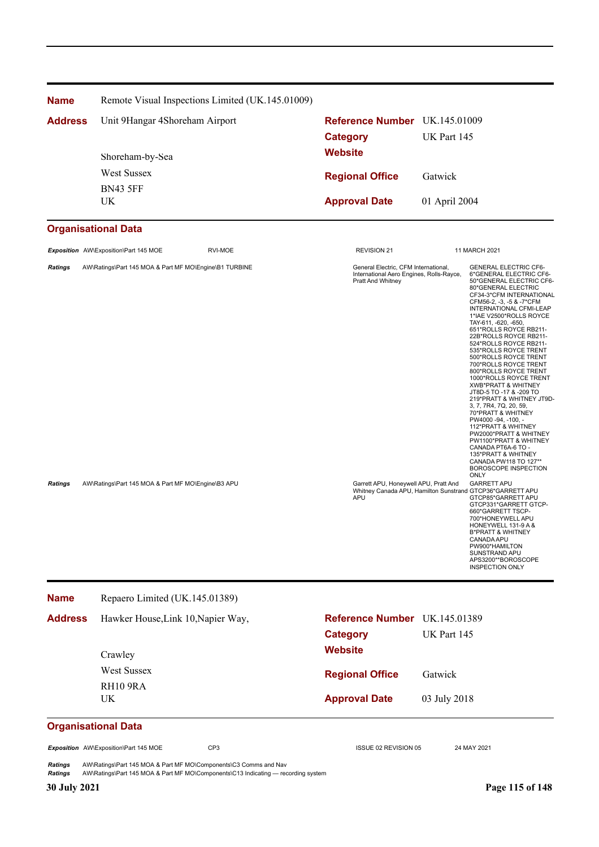| <b>Name</b>    | Remote Visual Inspections Limited (UK.145.01009)       |                                                                                                       |                                                                                                                                                                                                                                                                                                                                                                                                                                                                                                                                                                                                                                                                                                                                                                                                                      |  |
|----------------|--------------------------------------------------------|-------------------------------------------------------------------------------------------------------|----------------------------------------------------------------------------------------------------------------------------------------------------------------------------------------------------------------------------------------------------------------------------------------------------------------------------------------------------------------------------------------------------------------------------------------------------------------------------------------------------------------------------------------------------------------------------------------------------------------------------------------------------------------------------------------------------------------------------------------------------------------------------------------------------------------------|--|
| <b>Address</b> | Unit 9Hangar 4Shoreham Airport<br>Shoreham-by-Sea      | Reference Number UK.145.01009<br><b>Category</b><br><b>Website</b>                                    | UK Part 145                                                                                                                                                                                                                                                                                                                                                                                                                                                                                                                                                                                                                                                                                                                                                                                                          |  |
|                | West Sussex                                            | <b>Regional Office</b>                                                                                | Gatwick                                                                                                                                                                                                                                                                                                                                                                                                                                                                                                                                                                                                                                                                                                                                                                                                              |  |
|                | <b>BN43 5FF</b><br>UK                                  | <b>Approval Date</b>                                                                                  | 01 April 2004                                                                                                                                                                                                                                                                                                                                                                                                                                                                                                                                                                                                                                                                                                                                                                                                        |  |
|                | <b>Organisational Data</b>                             |                                                                                                       |                                                                                                                                                                                                                                                                                                                                                                                                                                                                                                                                                                                                                                                                                                                                                                                                                      |  |
|                | Exposition AW\Exposition\Part 145 MOE<br>RVI-MOE       | <b>REVISION 21</b>                                                                                    | 11 MARCH 2021                                                                                                                                                                                                                                                                                                                                                                                                                                                                                                                                                                                                                                                                                                                                                                                                        |  |
| <b>Ratings</b> | AW\Ratings\Part 145 MOA & Part MF MO\Engine\B1 TURBINE | General Electric, CFM International,<br>International Aero Engines, Rolls-Rayce,<br>Pratt And Whitney | <b>GENERAL ELECTRIC CF6-</b><br>6*GENERAL ELECTRIC CF6-<br>50*GENERAL ELECTRIC CF6-<br>80*GENERAL ELECTRIC<br>CF34-3*CFM INTERNATIONAL<br>CFM56-2, -3, -5 & -7*CFM<br>INTERNATIONAL CFMI-LEAP<br>1*IAE V2500*ROLLS ROYCE<br>TAY-611, -620, -650,<br>651*ROLLS ROYCE RB211-<br>22B*ROLLS ROYCE RB211-<br>524*ROLLS ROYCE RB211-<br>535*ROLLS ROYCE TRENT<br>500*ROLLS ROYCE TRENT<br>700*ROLLS ROYCE TRENT<br>800*ROLLS ROYCE TRENT<br>1000*ROLLS ROYCE TRENT<br><b>XWB*PRATT &amp; WHITNEY</b><br>JT8D-5 TO -17 & -209 TO<br>219*PRATT & WHITNEY JT9D-<br>3, 7, 7R4, 7Q, 20, 59,<br>70*PRATT & WHITNEY<br>PW4000-94, -100, -<br>112*PRATT & WHITNEY<br>PW2000*PRATT & WHITNEY<br>PW1100*PRATT & WHITNEY<br>CANADA PT6A-6 TO -<br>135*PRATT & WHITNEY<br>CANADA PW118 TO 127**<br>BOROSCOPE INSPECTION<br><b>ONLY</b> |  |
| <b>Ratings</b> | AW\Ratings\Part 145 MOA & Part MF MO\Engine\B3 APU     | Garrett APU, Honeywell APU, Pratt And<br>APU                                                          | <b>GARRETT APU</b><br>Whitney Canada APU, Hamilton Sunstrand GTCP36*GARRETT APU<br>GTCP85*GARRETT APU<br>GTCP331*GARRETT GTCP-<br>660*GARRETT TSCP-<br>700*HONEYWELL APU<br>HONEYWELL 131-9 A &<br><b>B*PRATT &amp; WHITNEY</b><br>CANADA APU<br>PW900*HAMILTON<br>SUNSTRAND APU<br>APS3200**BOROSCOPE<br><b>INSPECTION ONLY</b>                                                                                                                                                                                                                                                                                                                                                                                                                                                                                     |  |
| <b>Name</b>    | Repaero Limited (UK.145.01389)                         |                                                                                                       |                                                                                                                                                                                                                                                                                                                                                                                                                                                                                                                                                                                                                                                                                                                                                                                                                      |  |
| <b>Address</b> | Hawker House, Link 10, Napier Way,                     | Reference Number UK.145.01389                                                                         |                                                                                                                                                                                                                                                                                                                                                                                                                                                                                                                                                                                                                                                                                                                                                                                                                      |  |
|                | Crawley                                                | <b>Category</b><br><b>Website</b>                                                                     | UK Part 145                                                                                                                                                                                                                                                                                                                                                                                                                                                                                                                                                                                                                                                                                                                                                                                                          |  |
|                | <b>West Sussex</b><br>RH10 9RA                         | <b>Regional Office</b>                                                                                | Gatwick                                                                                                                                                                                                                                                                                                                                                                                                                                                                                                                                                                                                                                                                                                                                                                                                              |  |
|                | UK                                                     | <b>Approval Date</b>                                                                                  | 03 July 2018                                                                                                                                                                                                                                                                                                                                                                                                                                                                                                                                                                                                                                                                                                                                                                                                         |  |

# **Organisational Data**

*Exposition* AW\Exposition\Part 145 MOE CP3 ISSUE 02 REVISION 05 24 MAY 2021

*Ratings* AW\Ratings\Part 145 MOA & Part MF MO\Components\C3 Comms and Nav *Ratings* AW\Ratings\Part 145 MOA & Part MF MO\Components\C13 Indicating — recording system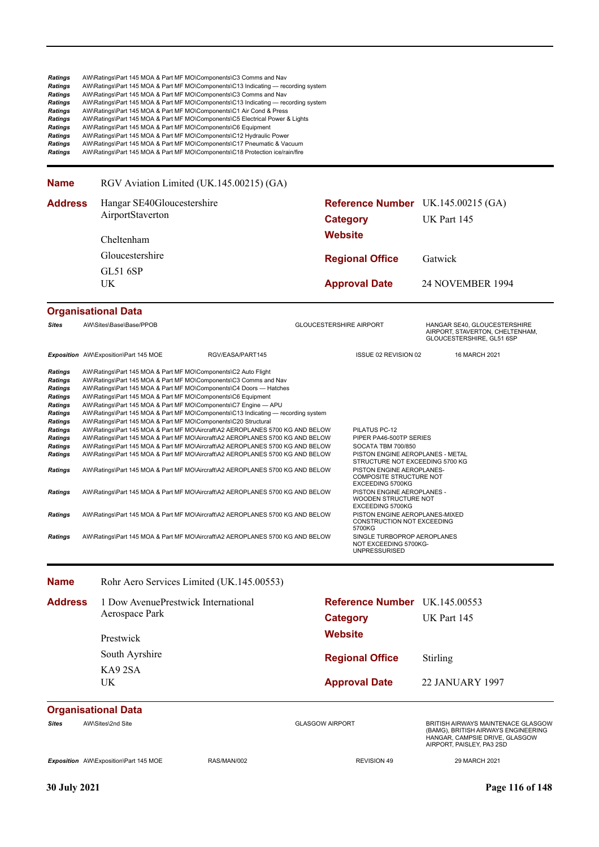| <b>Ratings</b><br><b>Ratings</b><br>Ratings<br><b>Ratings</b><br>Ratings<br>Ratings<br>Ratings<br><b>Ratings</b><br>Ratings<br>Ratings                                                                      |                                                        | AW\Ratings\Part 145 MOA & Part MF MO\Components\C3 Comms and Nav<br>AW\Ratings\Part 145 MOA & Part MF MO\Components\C13 Indicating — recording system<br>AW\Ratings\Part 145 MOA & Part MF MO\Components\C3 Comms and Nav<br>AW\Ratings\Part 145 MOA & Part MF MO\Components\C13 Indicating — recording system<br>AW\Ratings\Part 145 MOA & Part MF MO\Components\C1 Air Cond & Press<br>AW\Ratings\Part 145 MOA & Part MF MO\Components\C5 Electrical Power & Lights<br>AW\Ratings\Part 145 MOA & Part MF MO\Components\C6 Equipment<br>AW\Ratings\Part 145 MOA & Part MF MO\Components\C12 Hydraulic Power<br>AW\Ratings\Part 145 MOA & Part MF MO\Components\C17 Pneumatic & Vacuum<br>AW\Ratings\Part 145 MOA & Part MF MO\Components\C18 Protection ice/rain/fire                                                                                                                                                                                                                                                                                                                                                                                                     |                                |                                                                                                                                                                                                                                                                                                                                                                                                                                                              |                                                                                                                                          |
|-------------------------------------------------------------------------------------------------------------------------------------------------------------------------------------------------------------|--------------------------------------------------------|----------------------------------------------------------------------------------------------------------------------------------------------------------------------------------------------------------------------------------------------------------------------------------------------------------------------------------------------------------------------------------------------------------------------------------------------------------------------------------------------------------------------------------------------------------------------------------------------------------------------------------------------------------------------------------------------------------------------------------------------------------------------------------------------------------------------------------------------------------------------------------------------------------------------------------------------------------------------------------------------------------------------------------------------------------------------------------------------------------------------------------------------------------------------------|--------------------------------|--------------------------------------------------------------------------------------------------------------------------------------------------------------------------------------------------------------------------------------------------------------------------------------------------------------------------------------------------------------------------------------------------------------------------------------------------------------|------------------------------------------------------------------------------------------------------------------------------------------|
| <b>Name</b>                                                                                                                                                                                                 |                                                        | RGV Aviation Limited (UK.145.00215) (GA)                                                                                                                                                                                                                                                                                                                                                                                                                                                                                                                                                                                                                                                                                                                                                                                                                                                                                                                                                                                                                                                                                                                                   |                                |                                                                                                                                                                                                                                                                                                                                                                                                                                                              |                                                                                                                                          |
| <b>Address</b>                                                                                                                                                                                              | Hangar SE40Gloucestershire<br>AirportStaverton         |                                                                                                                                                                                                                                                                                                                                                                                                                                                                                                                                                                                                                                                                                                                                                                                                                                                                                                                                                                                                                                                                                                                                                                            |                                | <b>Category</b>                                                                                                                                                                                                                                                                                                                                                                                                                                              | Reference Number UK.145.00215 (GA)<br>UK Part 145                                                                                        |
|                                                                                                                                                                                                             | Cheltenham<br>Gloucestershire<br><b>GL51 6SP</b><br>UK |                                                                                                                                                                                                                                                                                                                                                                                                                                                                                                                                                                                                                                                                                                                                                                                                                                                                                                                                                                                                                                                                                                                                                                            | <b>Website</b>                 |                                                                                                                                                                                                                                                                                                                                                                                                                                                              |                                                                                                                                          |
|                                                                                                                                                                                                             |                                                        |                                                                                                                                                                                                                                                                                                                                                                                                                                                                                                                                                                                                                                                                                                                                                                                                                                                                                                                                                                                                                                                                                                                                                                            |                                | <b>Regional Office</b>                                                                                                                                                                                                                                                                                                                                                                                                                                       | Gatwick                                                                                                                                  |
|                                                                                                                                                                                                             |                                                        |                                                                                                                                                                                                                                                                                                                                                                                                                                                                                                                                                                                                                                                                                                                                                                                                                                                                                                                                                                                                                                                                                                                                                                            |                                |                                                                                                                                                                                                                                                                                                                                                                                                                                                              |                                                                                                                                          |
|                                                                                                                                                                                                             |                                                        |                                                                                                                                                                                                                                                                                                                                                                                                                                                                                                                                                                                                                                                                                                                                                                                                                                                                                                                                                                                                                                                                                                                                                                            |                                | <b>Approval Date</b>                                                                                                                                                                                                                                                                                                                                                                                                                                         | 24 NOVEMBER 1994                                                                                                                         |
|                                                                                                                                                                                                             | <b>Organisational Data</b>                             |                                                                                                                                                                                                                                                                                                                                                                                                                                                                                                                                                                                                                                                                                                                                                                                                                                                                                                                                                                                                                                                                                                                                                                            |                                |                                                                                                                                                                                                                                                                                                                                                                                                                                                              |                                                                                                                                          |
| <b>Sites</b>                                                                                                                                                                                                | AW\Sites\Base\Base/PPOB                                |                                                                                                                                                                                                                                                                                                                                                                                                                                                                                                                                                                                                                                                                                                                                                                                                                                                                                                                                                                                                                                                                                                                                                                            | <b>GLOUCESTERSHIRE AIRPORT</b> |                                                                                                                                                                                                                                                                                                                                                                                                                                                              | HANGAR SE40, GLOUCESTERSHIRE<br>AIRPORT, STAVERTON, CHELTENHAM,<br>GLOUCESTERSHIRE, GL51 6SP                                             |
|                                                                                                                                                                                                             | Exposition AW\Exposition\Part 145 MOE                  | RGV/EASA/PART145                                                                                                                                                                                                                                                                                                                                                                                                                                                                                                                                                                                                                                                                                                                                                                                                                                                                                                                                                                                                                                                                                                                                                           |                                | ISSUE 02 REVISION 02                                                                                                                                                                                                                                                                                                                                                                                                                                         | 16 MARCH 2021                                                                                                                            |
| <b>Ratings</b><br><b>Ratings</b><br><b>Ratings</b><br>Ratings<br>Ratings<br><b>Ratings</b><br>Ratings<br>Ratings<br>Ratings<br>Ratings<br>Ratings<br>Ratings<br><b>Ratings</b><br>Ratings<br><b>Ratings</b> |                                                        | AW\Ratings\Part 145 MOA & Part MF MO\Components\C2 Auto Flight<br>AW\Ratings\Part 145 MOA & Part MF MO\Components\C3 Comms and Nav<br>AW\Ratings\Part 145 MOA & Part MF MO\Components\C4 Doors — Hatches<br>AW\Ratings\Part 145 MOA & Part MF MO\Components\C6 Equipment<br>AW\Ratings\Part 145 MOA & Part MF MO\Components\C7 Engine - APU<br>AW\Ratings\Part 145 MOA & Part MF MO\Components\C13 Indicating — recording system<br>AW\Ratings\Part 145 MOA & Part MF MO\Components\C20 Structural<br>AW\Ratings\Part 145 MOA & Part MF MO\Aircraft\A2 AEROPLANES 5700 KG AND BELOW<br>AW\Ratings\Part 145 MOA & Part MF MO\Aircraft\A2 AEROPLANES 5700 KG AND BELOW<br>AW\Ratings\Part 145 MOA & Part MF MO\Aircraft\A2 AEROPLANES 5700 KG AND BELOW<br>AW\Ratings\Part 145 MOA & Part MF MO\Aircraft\A2 AEROPLANES 5700 KG AND BELOW<br>AW\Ratings\Part 145 MOA & Part MF MO\Aircraft\A2 AEROPLANES 5700 KG AND BELOW<br>AW\Ratings\Part 145 MOA & Part MF MO\Aircraft\A2 AEROPLANES 5700 KG AND BELOW<br>AW\Ratings\Part 145 MOA & Part MF MO\Aircraft\A2 AEROPLANES 5700 KG AND BELOW<br>AW\Ratings\Part 145 MOA & Part MF MO\Aircraft\A2 AEROPLANES 5700 KG AND BELOW |                                | PILATUS PC-12<br>PIPER PA46-500TP SERIES<br>SOCATA TBM 700/850<br>PISTON ENGINE AEROPLANES - METAL<br>STRUCTURE NOT EXCEEDING 5700 KG<br>PISTON ENGINE AEROPLANES-<br><b>COMPOSITE STRUCTURE NOT</b><br>EXCEEDING 5700KG<br>PISTON ENGINE AEROPLANES -<br>WOODEN STRUCTURE NOT<br>EXCEEDING 5700KG<br>PISTON ENGINE AEROPLANES-MIXED<br>CONSTRUCTION NOT EXCEEDING<br>5700KG<br>SINGLE TURBOPROP AEROPLANES<br>NOT EXCEEDING 5700KG-<br><b>UNPRESSURISED</b> |                                                                                                                                          |
| <b>Name</b>                                                                                                                                                                                                 |                                                        | Rohr Aero Services Limited (UK.145.00553)                                                                                                                                                                                                                                                                                                                                                                                                                                                                                                                                                                                                                                                                                                                                                                                                                                                                                                                                                                                                                                                                                                                                  |                                |                                                                                                                                                                                                                                                                                                                                                                                                                                                              |                                                                                                                                          |
| <b>Address</b>                                                                                                                                                                                              |                                                        | 1 Dow AvenuePrestwick International                                                                                                                                                                                                                                                                                                                                                                                                                                                                                                                                                                                                                                                                                                                                                                                                                                                                                                                                                                                                                                                                                                                                        |                                | Reference Number UK.145.00553                                                                                                                                                                                                                                                                                                                                                                                                                                |                                                                                                                                          |
|                                                                                                                                                                                                             | Aerospace Park                                         |                                                                                                                                                                                                                                                                                                                                                                                                                                                                                                                                                                                                                                                                                                                                                                                                                                                                                                                                                                                                                                                                                                                                                                            |                                | <b>Category</b>                                                                                                                                                                                                                                                                                                                                                                                                                                              | UK Part 145                                                                                                                              |
|                                                                                                                                                                                                             | Prestwick                                              |                                                                                                                                                                                                                                                                                                                                                                                                                                                                                                                                                                                                                                                                                                                                                                                                                                                                                                                                                                                                                                                                                                                                                                            | <b>Website</b>                 |                                                                                                                                                                                                                                                                                                                                                                                                                                                              |                                                                                                                                          |
|                                                                                                                                                                                                             | South Ayrshire                                         |                                                                                                                                                                                                                                                                                                                                                                                                                                                                                                                                                                                                                                                                                                                                                                                                                                                                                                                                                                                                                                                                                                                                                                            |                                | <b>Regional Office</b>                                                                                                                                                                                                                                                                                                                                                                                                                                       | Stirling                                                                                                                                 |
|                                                                                                                                                                                                             | KA92SA                                                 |                                                                                                                                                                                                                                                                                                                                                                                                                                                                                                                                                                                                                                                                                                                                                                                                                                                                                                                                                                                                                                                                                                                                                                            |                                |                                                                                                                                                                                                                                                                                                                                                                                                                                                              |                                                                                                                                          |
|                                                                                                                                                                                                             | UK                                                     |                                                                                                                                                                                                                                                                                                                                                                                                                                                                                                                                                                                                                                                                                                                                                                                                                                                                                                                                                                                                                                                                                                                                                                            |                                | <b>Approval Date</b>                                                                                                                                                                                                                                                                                                                                                                                                                                         | <b>22 JANUARY 1997</b>                                                                                                                   |
|                                                                                                                                                                                                             | <b>Organisational Data</b>                             |                                                                                                                                                                                                                                                                                                                                                                                                                                                                                                                                                                                                                                                                                                                                                                                                                                                                                                                                                                                                                                                                                                                                                                            |                                |                                                                                                                                                                                                                                                                                                                                                                                                                                                              |                                                                                                                                          |
| Sites                                                                                                                                                                                                       | AW\Sites\2nd Site                                      |                                                                                                                                                                                                                                                                                                                                                                                                                                                                                                                                                                                                                                                                                                                                                                                                                                                                                                                                                                                                                                                                                                                                                                            | <b>GLASGOW AIRPORT</b>         |                                                                                                                                                                                                                                                                                                                                                                                                                                                              | BRITISH AIRWAYS MAINTENACE GLASGOW<br>(BAMG), BRITISH AIRWAYS ENGINEERING<br>HANGAR, CAMPSIE DRIVE, GLASGOW<br>AIRPORT, PAISLEY, PA3 2SD |
|                                                                                                                                                                                                             | Exposition AW\Exposition\Part 145 MOE                  | RAS/MAN/002                                                                                                                                                                                                                                                                                                                                                                                                                                                                                                                                                                                                                                                                                                                                                                                                                                                                                                                                                                                                                                                                                                                                                                |                                | <b>REVISION 49</b>                                                                                                                                                                                                                                                                                                                                                                                                                                           | 29 MARCH 2021                                                                                                                            |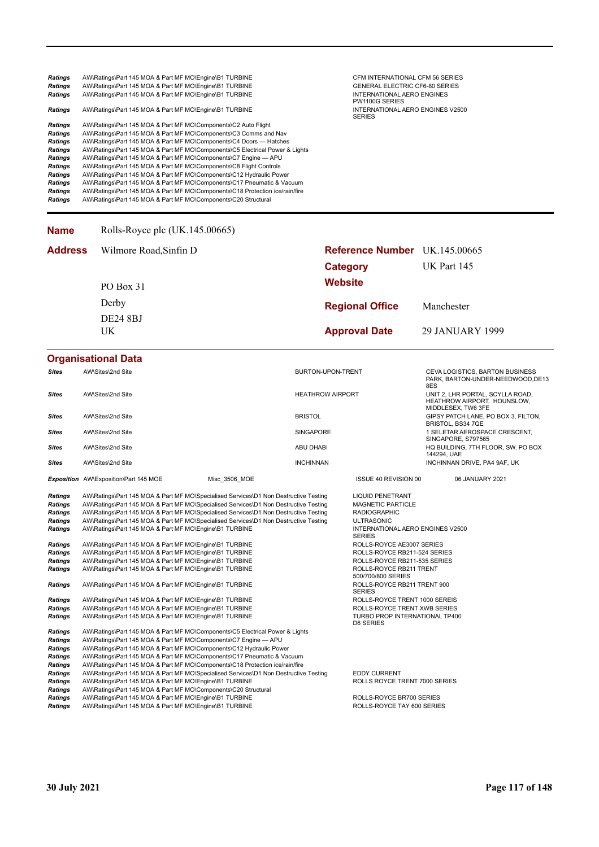| <b>Ratings</b> | AW\Ratings\Part 145 MOA & Part MF MO\Engine\B1 TURBINE                       | CFM INTERNATIONAL CFM 56 SERIES                   |
|----------------|------------------------------------------------------------------------------|---------------------------------------------------|
| <b>Ratings</b> | AW\Ratings\Part 145 MOA & Part MF MO\Engine\B1 TURBINE                       | <b>GENERAL ELECTRIC CF6-80 SERIES</b>             |
| <b>Ratings</b> | AW\Ratings\Part 145 MOA & Part MF MO\Engine\B1 TURBINE                       | INTERNATIONAL AERO ENGINES<br>PW1100G SERIES      |
| <b>Ratings</b> | AW\Ratings\Part 145 MOA & Part MF MO\Engine\B1 TURBINE                       | INTERNATIONAL AERO ENGINES V2500<br><b>SERIES</b> |
| <b>Ratings</b> | AW\Ratings\Part 145 MOA & Part MF MO\Components\C2 Auto Flight               |                                                   |
| <b>Ratings</b> | AW\Ratings\Part 145 MOA & Part MF MO\Components\C3 Comms and Nav             |                                                   |
| <b>Ratings</b> | AW\Ratings\Part 145 MOA & Part MF MO\Components\C4 Doors — Hatches           |                                                   |
| <b>Ratings</b> | AW\Ratings\Part 145 MOA & Part MF MO\Components\C5 Electrical Power & Lights |                                                   |
| Ratings        | AW\Ratings\Part 145 MOA & Part MF MO\Components\C7 Engine - APU              |                                                   |
| <b>Ratings</b> | AW\Ratings\Part 145 MOA & Part MF MO\Components\C8 Flight Controls           |                                                   |
| <b>Ratings</b> | AW\Ratings\Part 145 MOA & Part MF MO\Components\C12 Hydraulic Power          |                                                   |
| <b>Ratings</b> | AW\Ratings\Part 145 MOA & Part MF MO\Components\C17 Pneumatic & Vacuum       |                                                   |
| <b>Ratings</b> | AW\Ratings\Part 145 MOA & Part MF MO\Components\C18 Protection ice/rain/fire |                                                   |
| <b>Ratings</b> | AW\Ratings\Part 145 MOA & Part MF MO\Components\C20 Structural               |                                                   |

#### **Name** Rolls-Royce plc (UK.145.00665)

| <b>Address</b> | Wilmore Road, Sinfin D | <b>Reference Number</b> UK.145.00665 |                 |
|----------------|------------------------|--------------------------------------|-----------------|
|                |                        | Category                             | UK Part 145     |
|                | PO Box 31              | <b>Website</b>                       |                 |
|                | Derby                  | <b>Regional Office</b>               | Manchester      |
|                | DE24 8BJ               |                                      |                 |
|                | UK                     | <b>Approval Date</b>                 | 29 JANUARY 1999 |

#### **Organisational Data**

| <b>Sites</b>                                                                                                                                                                                            | AW\Sites\2nd Site                                                                                                                                                                                                                                                                                                                                                                                                                                                                                                                                                                                                                                                                                                                                                                                                                                                                                                                                                                      |               | BURTON-UPON-TRENT       |                                                                                                                                                                                                                                                                                                                                                                                                                                                                    | <b>CEVA LOGISTICS, BARTON BUSINESS</b><br>PARK, BARTON-UNDER-NEEDWOOD, DE13<br>8ES    |
|---------------------------------------------------------------------------------------------------------------------------------------------------------------------------------------------------------|----------------------------------------------------------------------------------------------------------------------------------------------------------------------------------------------------------------------------------------------------------------------------------------------------------------------------------------------------------------------------------------------------------------------------------------------------------------------------------------------------------------------------------------------------------------------------------------------------------------------------------------------------------------------------------------------------------------------------------------------------------------------------------------------------------------------------------------------------------------------------------------------------------------------------------------------------------------------------------------|---------------|-------------------------|--------------------------------------------------------------------------------------------------------------------------------------------------------------------------------------------------------------------------------------------------------------------------------------------------------------------------------------------------------------------------------------------------------------------------------------------------------------------|---------------------------------------------------------------------------------------|
| Sites                                                                                                                                                                                                   | AW\Sites\2nd Site                                                                                                                                                                                                                                                                                                                                                                                                                                                                                                                                                                                                                                                                                                                                                                                                                                                                                                                                                                      |               | <b>HEATHROW AIRPORT</b> |                                                                                                                                                                                                                                                                                                                                                                                                                                                                    | UNIT 2, LHR PORTAL, SCYLLA ROAD,<br>HEATHROW AIRPORT, HOUNSLOW,<br>MIDDLESEX, TW6 3FE |
| <b>Sites</b>                                                                                                                                                                                            | AW\Sites\2nd Site                                                                                                                                                                                                                                                                                                                                                                                                                                                                                                                                                                                                                                                                                                                                                                                                                                                                                                                                                                      |               | <b>BRISTOL</b>          |                                                                                                                                                                                                                                                                                                                                                                                                                                                                    | GIPSY PATCH LANE, PO BOX 3, FILTON,<br>BRISTOL, BS34 7QE                              |
| <b>Sites</b>                                                                                                                                                                                            | AW\Sites\2nd Site                                                                                                                                                                                                                                                                                                                                                                                                                                                                                                                                                                                                                                                                                                                                                                                                                                                                                                                                                                      |               | <b>SINGAPORE</b>        |                                                                                                                                                                                                                                                                                                                                                                                                                                                                    | 1 SELETAR AEROSPACE CRESCENT,<br>SINGAPORE, S797565                                   |
| Sites                                                                                                                                                                                                   | AW\Sites\2nd Site                                                                                                                                                                                                                                                                                                                                                                                                                                                                                                                                                                                                                                                                                                                                                                                                                                                                                                                                                                      |               | <b>ABU DHABI</b>        |                                                                                                                                                                                                                                                                                                                                                                                                                                                                    | HQ BUILDING, 7TH FLOOR, SW. PO BOX<br>144294, UAE                                     |
| <b>Sites</b>                                                                                                                                                                                            | AW\Sites\2nd Site                                                                                                                                                                                                                                                                                                                                                                                                                                                                                                                                                                                                                                                                                                                                                                                                                                                                                                                                                                      |               | <b>INCHINNAN</b>        |                                                                                                                                                                                                                                                                                                                                                                                                                                                                    | INCHINNAN DRIVE, PA4 9AF, UK                                                          |
|                                                                                                                                                                                                         | Exposition AW\Exposition\Part 145 MOE                                                                                                                                                                                                                                                                                                                                                                                                                                                                                                                                                                                                                                                                                                                                                                                                                                                                                                                                                  | Misc 3506 MOE |                         | <b>ISSUE 40 REVISION 00</b>                                                                                                                                                                                                                                                                                                                                                                                                                                        | 06 JANUARY 2021                                                                       |
| <b>Ratings</b><br><b>Ratings</b><br><b>Ratings</b><br>Ratings<br>Ratings<br>Ratings<br>Ratings<br><b>Ratings</b><br><b>Ratings</b><br>Ratings<br>Ratings<br>Ratings<br><b>Ratings</b><br><b>Ratings</b> | AW\Ratings\Part 145 MOA & Part MF MO\Specialised Services\D1 Non Destructive Testing<br>AW\Ratings\Part 145 MOA & Part MF MO\Specialised Services\D1 Non Destructive Testing<br>AW\Ratings\Part 145 MOA & Part MF MO\Specialised Services\D1 Non Destructive Testing<br>AW\Ratings\Part 145 MOA & Part MF MO\Specialised Services\D1 Non Destructive Testing<br>AW\Ratings\Part 145 MOA & Part MF MO\Engine\B1 TURBINE<br>AW\Ratings\Part 145 MOA & Part MF MO\Engine\B1 TURBINE<br>AW\Ratings\Part 145 MOA & Part MF MO\Engine\B1 TURBINE<br>AW\Ratings\Part 145 MOA & Part MF MO\Engine\B1 TURBINE<br>AW\Ratings\Part 145 MOA & Part MF MO\Engine\B1 TURBINE<br>AW\Ratings\Part 145 MOA & Part MF MO\Engine\B1 TURBINE<br>AW\Ratings\Part 145 MOA & Part MF MO\Engine\B1 TURBINE<br>AW\Ratings\Part 145 MOA & Part MF MO\Engine\B1 TURBINE<br>AW\Ratings\Part 145 MOA & Part MF MO\Engine\B1 TURBINE<br>AW\Ratings\Part 145 MOA & Part MF MO\Components\C5 Electrical Power & Lights |               |                         | <b>LIQUID PENETRANT</b><br><b>MAGNETIC PARTICLE</b><br><b>RADIOGRAPHIC</b><br><b>ULTRASONIC</b><br>INTERNATIONAL AERO ENGINES V2500<br><b>SERIES</b><br>ROLLS-ROYCE AE3007 SERIES<br>ROLLS-ROYCE RB211-524 SERIES<br>ROLLS-ROYCE RB211-535 SERIES<br>ROLLS-ROYCE RB211 TRENT<br>500/700/800 SERIES<br>ROLLS-ROYCE RB211 TRENT 900<br><b>SERIES</b><br>ROLLS-ROYCE TRENT 1000 SEREIS<br>ROLLS-ROYCE TRENT XWB SERIES<br>TURBO PROP INTERNATIONAL TP400<br>D6 SERIES |                                                                                       |
| <b>Ratings</b><br>Ratings<br>Ratings<br><b>Ratings</b><br>Ratings<br>Ratings<br>Ratings<br>Ratings<br><b>Ratings</b>                                                                                    | AW\Ratings\Part 145 MOA & Part MF MO\Components\C7 Engine - APU<br>AW\Ratings\Part 145 MOA & Part MF MO\Components\C12 Hydraulic Power<br>AW\Ratings\Part 145 MOA & Part MF MO\Components\C17 Pneumatic & Vacuum<br>AW\Ratings\Part 145 MOA & Part MF MO\Components\C18 Protection ice/rain/fire<br>AW\Ratings\Part 145 MOA & Part MF MO\Specialised Services\D1 Non Destructive Testing<br>AW\Ratings\Part 145 MOA & Part MF MO\Engine\B1 TURBINE<br>AW\Ratings\Part 145 MOA & Part MF MO\Components\C20 Structural<br>AW\Ratings\Part 145 MOA & Part MF MO\Engine\B1 TURBINE<br>AW\Ratings\Part 145 MOA & Part MF MO\Engine\B1 TURBINE                                                                                                                                                                                                                                                                                                                                               |               |                         | <b>EDDY CURRENT</b><br>ROLLS ROYCE TRENT 7000 SERIES<br>ROLLS-ROYCE BR700 SERIES<br>ROLLS-ROYCE TAY 600 SERIES                                                                                                                                                                                                                                                                                                                                                     |                                                                                       |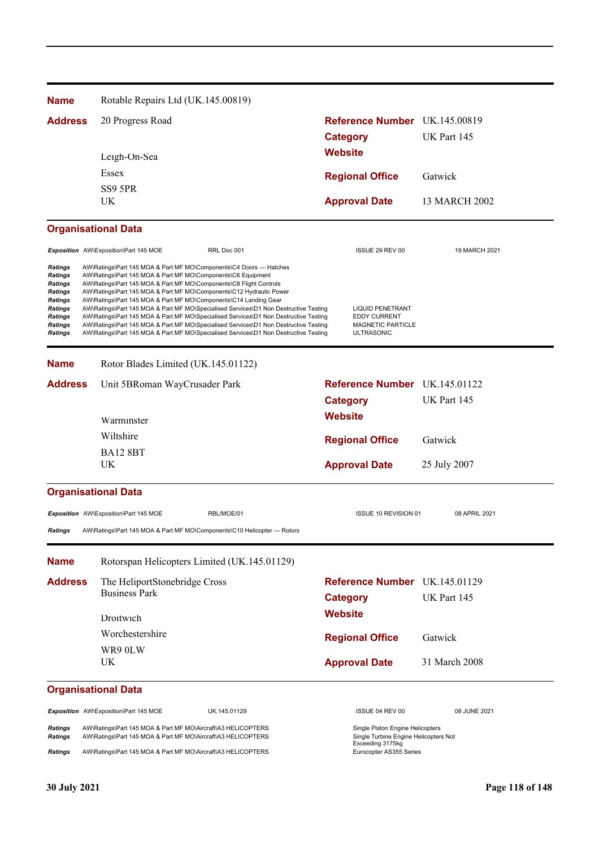| <b>Name</b>                                                                                                                 | Rotable Repairs Ltd (UK.145.00819)                                                                                                                                                                                                                                                                                                                  |                                                                                                                                                                                                                                                                                                                                                              |                                                                                          |               |  |
|-----------------------------------------------------------------------------------------------------------------------------|-----------------------------------------------------------------------------------------------------------------------------------------------------------------------------------------------------------------------------------------------------------------------------------------------------------------------------------------------------|--------------------------------------------------------------------------------------------------------------------------------------------------------------------------------------------------------------------------------------------------------------------------------------------------------------------------------------------------------------|------------------------------------------------------------------------------------------|---------------|--|
| <b>Address</b>                                                                                                              | 20 Progress Road                                                                                                                                                                                                                                                                                                                                    |                                                                                                                                                                                                                                                                                                                                                              | Reference Number UK.145.00819<br><b>Category</b>                                         |               |  |
|                                                                                                                             |                                                                                                                                                                                                                                                                                                                                                     | Leigh-On-Sea                                                                                                                                                                                                                                                                                                                                                 |                                                                                          | UK Part 145   |  |
|                                                                                                                             |                                                                                                                                                                                                                                                                                                                                                     |                                                                                                                                                                                                                                                                                                                                                              |                                                                                          |               |  |
|                                                                                                                             | Essex                                                                                                                                                                                                                                                                                                                                               |                                                                                                                                                                                                                                                                                                                                                              | <b>Regional Office</b>                                                                   | Gatwick       |  |
|                                                                                                                             | SS9 5PR                                                                                                                                                                                                                                                                                                                                             |                                                                                                                                                                                                                                                                                                                                                              |                                                                                          |               |  |
|                                                                                                                             | UK                                                                                                                                                                                                                                                                                                                                                  |                                                                                                                                                                                                                                                                                                                                                              | <b>Approval Date</b>                                                                     | 13 MARCH 2002 |  |
|                                                                                                                             | <b>Organisational Data</b>                                                                                                                                                                                                                                                                                                                          |                                                                                                                                                                                                                                                                                                                                                              |                                                                                          |               |  |
|                                                                                                                             | Exposition AW\Exposition\Part 145 MOE                                                                                                                                                                                                                                                                                                               | RRL Doc 001                                                                                                                                                                                                                                                                                                                                                  | ISSUE 29 REV 00                                                                          | 19 MARCH 2021 |  |
| Ratings<br><b>Ratings</b><br>Ratings<br><b>Ratings</b><br>Ratings<br>Ratings<br>Ratings<br><b>Ratings</b><br><b>Ratings</b> | AW\Ratings\Part 145 MOA & Part MF MO\Components\C4 Doors - Hatches<br>AW\Ratings\Part 145 MOA & Part MF MO\Components\C6 Equipment<br>AW\Ratings\Part 145 MOA & Part MF MO\Components\C8 Flight Controls<br>AW\Ratings\Part 145 MOA & Part MF MO\Components\C12 Hydraulic Power<br>AW\Ratings\Part 145 MOA & Part MF MO\Components\C14 Landing Gear | AW\Ratings\Part 145 MOA & Part MF MO\Specialised Services\D1 Non Destructive Testing<br>AW\Ratings\Part 145 MOA & Part MF MO\Specialised Services\D1 Non Destructive Testing<br>AW\Ratings\Part 145 MOA & Part MF MO\Specialised Services\D1 Non Destructive Testing<br>AW\Ratings\Part 145 MOA & Part MF MO\Specialised Services\D1 Non Destructive Testing | <b>LIQUID PENETRANT</b><br><b>EDDY CURRENT</b><br>MAGNETIC PARTICLE<br><b>ULTRASONIC</b> |               |  |
| <b>Name</b>                                                                                                                 | Rotor Blades Limited (UK.145.01122)                                                                                                                                                                                                                                                                                                                 |                                                                                                                                                                                                                                                                                                                                                              |                                                                                          |               |  |
| <b>Address</b>                                                                                                              | Unit 5BRoman WayCrusader Park                                                                                                                                                                                                                                                                                                                       |                                                                                                                                                                                                                                                                                                                                                              | Reference Number UK.145.01122                                                            |               |  |
|                                                                                                                             |                                                                                                                                                                                                                                                                                                                                                     |                                                                                                                                                                                                                                                                                                                                                              | <b>Category</b>                                                                          | UK Part 145   |  |
|                                                                                                                             | Warminster                                                                                                                                                                                                                                                                                                                                          |                                                                                                                                                                                                                                                                                                                                                              | <b>Website</b>                                                                           |               |  |
|                                                                                                                             | Wiltshire                                                                                                                                                                                                                                                                                                                                           |                                                                                                                                                                                                                                                                                                                                                              | <b>Regional Office</b>                                                                   | Gatwick       |  |
|                                                                                                                             | <b>BA12 8BT</b>                                                                                                                                                                                                                                                                                                                                     |                                                                                                                                                                                                                                                                                                                                                              |                                                                                          |               |  |
|                                                                                                                             | UK                                                                                                                                                                                                                                                                                                                                                  |                                                                                                                                                                                                                                                                                                                                                              | <b>Approval Date</b>                                                                     | 25 July 2007  |  |
|                                                                                                                             | <b>Organisational Data</b>                                                                                                                                                                                                                                                                                                                          |                                                                                                                                                                                                                                                                                                                                                              |                                                                                          |               |  |
|                                                                                                                             | Exposition AW\Exposition\Part 145 MOE                                                                                                                                                                                                                                                                                                               | RBL/MOE/01                                                                                                                                                                                                                                                                                                                                                   | ISSUE 10 REVISION 01                                                                     | 08 APRIL 2021 |  |
| Ratings                                                                                                                     |                                                                                                                                                                                                                                                                                                                                                     | AW\Ratings\Part 145 MOA & Part MF MO\Components\C10 Helicopter - Rotors                                                                                                                                                                                                                                                                                      |                                                                                          |               |  |
| <b>Name</b>                                                                                                                 |                                                                                                                                                                                                                                                                                                                                                     | Rotorspan Helicopters Limited (UK.145.01129)                                                                                                                                                                                                                                                                                                                 |                                                                                          |               |  |
| <b>Address</b>                                                                                                              | The HeliportStonebridge Cross                                                                                                                                                                                                                                                                                                                       |                                                                                                                                                                                                                                                                                                                                                              | <b>Reference Number</b> UK.145.01129                                                     |               |  |
|                                                                                                                             | <b>Business Park</b>                                                                                                                                                                                                                                                                                                                                |                                                                                                                                                                                                                                                                                                                                                              | <b>Category</b>                                                                          | UK Part 145   |  |
|                                                                                                                             | Droitwich                                                                                                                                                                                                                                                                                                                                           |                                                                                                                                                                                                                                                                                                                                                              | Website                                                                                  |               |  |
|                                                                                                                             | Worchestershire                                                                                                                                                                                                                                                                                                                                     |                                                                                                                                                                                                                                                                                                                                                              |                                                                                          |               |  |
|                                                                                                                             | WR9 0LW                                                                                                                                                                                                                                                                                                                                             |                                                                                                                                                                                                                                                                                                                                                              | <b>Regional Office</b>                                                                   | Gatwick       |  |
|                                                                                                                             | UK.                                                                                                                                                                                                                                                                                                                                                 |                                                                                                                                                                                                                                                                                                                                                              | <b>Approval Date</b>                                                                     | 31 March 2008 |  |
|                                                                                                                             | <b>Organisational Data</b>                                                                                                                                                                                                                                                                                                                          |                                                                                                                                                                                                                                                                                                                                                              |                                                                                          |               |  |
|                                                                                                                             | Exposition AW\Exposition\Part 145 MOE                                                                                                                                                                                                                                                                                                               | UK.145.01129                                                                                                                                                                                                                                                                                                                                                 | ISSUE 04 REV 00                                                                          | 08 JUNE 2021  |  |
| Ratings<br>Ratings                                                                                                          | AW\Ratings\Part 145 MOA & Part MF MO\Aircraft\A3 HELICOPTERS<br>AW\Ratings\Part 145 MOA & Part MF MO\Aircraft\A3 HELICOPTERS                                                                                                                                                                                                                        |                                                                                                                                                                                                                                                                                                                                                              | Single Piston Engine Helicopters<br>Single Turbine Engine Helicopters Not                |               |  |
| <b>Ratings</b>                                                                                                              | AW\Ratings\Part 145 MOA & Part MF MO\Aircraft\A3 HELICOPTERS                                                                                                                                                                                                                                                                                        |                                                                                                                                                                                                                                                                                                                                                              | Exceeding 3175kg<br>Eurocopter AS355 Series                                              |               |  |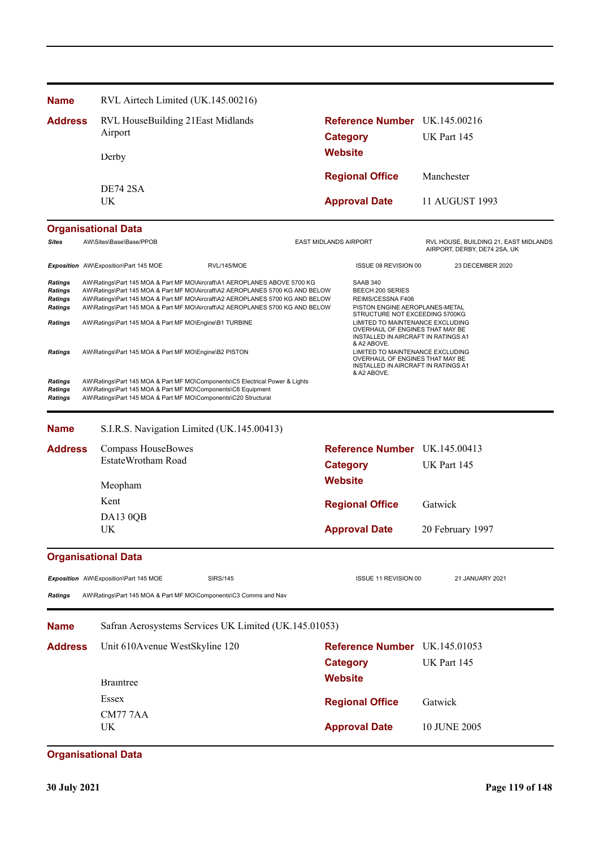| <b>Name</b>                                                                     | RVL Airtech Limited (UK.145.00216)                                                                                                                                                                                                                                                                                                                                                     |                              |                                                                                                                                                                  |                                                                       |  |
|---------------------------------------------------------------------------------|----------------------------------------------------------------------------------------------------------------------------------------------------------------------------------------------------------------------------------------------------------------------------------------------------------------------------------------------------------------------------------------|------------------------------|------------------------------------------------------------------------------------------------------------------------------------------------------------------|-----------------------------------------------------------------------|--|
| <b>Address</b>                                                                  | RVL HouseBuilding 21East Midlands<br>Airport                                                                                                                                                                                                                                                                                                                                           |                              | Reference Number UK.145.00216<br><b>Category</b><br><b>Website</b>                                                                                               | UK Part 145                                                           |  |
|                                                                                 | Derby                                                                                                                                                                                                                                                                                                                                                                                  |                              |                                                                                                                                                                  |                                                                       |  |
|                                                                                 | <b>DE74 2SA</b>                                                                                                                                                                                                                                                                                                                                                                        |                              | <b>Regional Office</b>                                                                                                                                           | Manchester                                                            |  |
|                                                                                 | UK                                                                                                                                                                                                                                                                                                                                                                                     |                              | <b>Approval Date</b>                                                                                                                                             | 11 AUGUST 1993                                                        |  |
|                                                                                 | <b>Organisational Data</b>                                                                                                                                                                                                                                                                                                                                                             |                              |                                                                                                                                                                  |                                                                       |  |
| <b>Sites</b>                                                                    | AW\Sites\Base\Base/PPOB                                                                                                                                                                                                                                                                                                                                                                | <b>EAST MIDLANDS AIRPORT</b> |                                                                                                                                                                  | RVL HOUSE, BUILDING 21, EAST MIDLANDS<br>AIRPORT, DERBY, DE74 2SA, UK |  |
|                                                                                 | Exposition AW\Exposition\Part 145 MOE<br>RVL/145/MOE                                                                                                                                                                                                                                                                                                                                   |                              | ISSUE 08 REVISION 00                                                                                                                                             | 23 DECEMBER 2020                                                      |  |
| Ratings<br><b>Ratings</b><br><b>Ratings</b><br><b>Ratings</b><br><b>Ratings</b> | AW\Ratings\Part 145 MOA & Part MF MO\Aircraft\A1 AEROPLANES ABOVE 5700 KG<br>AW\Ratings\Part 145 MOA & Part MF MO\Aircraft\A2 AEROPLANES 5700 KG AND BELOW<br>AW\Ratings\Part 145 MOA & Part MF MO\Aircraft\A2 AEROPLANES 5700 KG AND BELOW<br>AW\Ratings\Part 145 MOA & Part MF MO\Aircraft\A2 AEROPLANES 5700 KG AND BELOW<br>AW\Ratings\Part 145 MOA & Part MF MO\Engine\B1 TURBINE |                              | <b>SAAB 340</b><br>BEECH 200 SERIES<br>REIMS/CESSNA F406<br>PISTON ENGINE AEROPLANES-METAL<br>STRUCTURE NOT EXCEEDING 5700KG<br>LIMITED TO MAINTENANCE EXCLUDING |                                                                       |  |
| Ratings                                                                         | AW\Ratings\Part 145 MOA & Part MF MO\Engine\B2 PISTON                                                                                                                                                                                                                                                                                                                                  |                              | INSTALLED IN AIRCRAFT IN RATINGS A1<br>& A2 ABOVE.<br>LIMITED TO MAINTENANCE EXCLUDING<br>OVERHAUL OF ENGINES THAT MAY BE<br>INSTALLED IN AIRCRAFT IN RATINGS A1 | OVERHAUL OF ENGINES THAT MAY BE                                       |  |
| Ratings<br><b>Ratings</b><br>Ratings                                            | AW\Ratings\Part 145 MOA & Part MF MO\Components\C5 Electrical Power & Lights<br>AW\Ratings\Part 145 MOA & Part MF MO\Components\C6 Equipment<br>AW\Ratings\Part 145 MOA & Part MF MO\Components\C20 Structural                                                                                                                                                                         |                              | & A2 ABOVE.                                                                                                                                                      |                                                                       |  |
| <b>Name</b>                                                                     | S.I.R.S. Navigation Limited (UK.145.00413)                                                                                                                                                                                                                                                                                                                                             |                              |                                                                                                                                                                  |                                                                       |  |
| <b>Address</b>                                                                  | Compass HouseBowes                                                                                                                                                                                                                                                                                                                                                                     |                              | Reference Number UK.145.00413                                                                                                                                    |                                                                       |  |
|                                                                                 | EstateWrotham Road                                                                                                                                                                                                                                                                                                                                                                     | <b>Category</b>              |                                                                                                                                                                  | UK Part 145                                                           |  |
|                                                                                 | Meopham                                                                                                                                                                                                                                                                                                                                                                                | <b>Website</b>               |                                                                                                                                                                  |                                                                       |  |
|                                                                                 | Kent                                                                                                                                                                                                                                                                                                                                                                                   |                              | <b>Regional Office</b>                                                                                                                                           | Gatwick                                                               |  |
|                                                                                 | DA13 0QB<br>UK                                                                                                                                                                                                                                                                                                                                                                         |                              | <b>Approval Date</b>                                                                                                                                             | 20 February 1997                                                      |  |
|                                                                                 | <b>Organisational Data</b>                                                                                                                                                                                                                                                                                                                                                             |                              |                                                                                                                                                                  |                                                                       |  |
|                                                                                 | Exposition AW\Exposition\Part 145 MOE<br><b>SIRS/145</b>                                                                                                                                                                                                                                                                                                                               |                              | ISSUE 11 REVISION 00                                                                                                                                             | 21 JANUARY 2021                                                       |  |
| <b>Ratings</b>                                                                  | AW\Ratings\Part 145 MOA & Part MF MO\Components\C3 Comms and Nav                                                                                                                                                                                                                                                                                                                       |                              |                                                                                                                                                                  |                                                                       |  |
| <b>Name</b>                                                                     | Safran Aerosystems Services UK Limited (UK.145.01053)                                                                                                                                                                                                                                                                                                                                  |                              |                                                                                                                                                                  |                                                                       |  |
| <b>Address</b>                                                                  | Unit 610Avenue WestSkyline 120                                                                                                                                                                                                                                                                                                                                                         | <b>Category</b>              | Reference Number UK.145.01053                                                                                                                                    | UK Part 145                                                           |  |
|                                                                                 | <b>Braintree</b>                                                                                                                                                                                                                                                                                                                                                                       | <b>Website</b>               |                                                                                                                                                                  |                                                                       |  |
|                                                                                 | Essex                                                                                                                                                                                                                                                                                                                                                                                  |                              | <b>Regional Office</b>                                                                                                                                           | Gatwick                                                               |  |
|                                                                                 | <b>CM777AA</b><br>UK.                                                                                                                                                                                                                                                                                                                                                                  |                              | <b>Approval Date</b>                                                                                                                                             | 10 JUNE 2005                                                          |  |
|                                                                                 | <b>Organisational Data</b>                                                                                                                                                                                                                                                                                                                                                             |                              |                                                                                                                                                                  |                                                                       |  |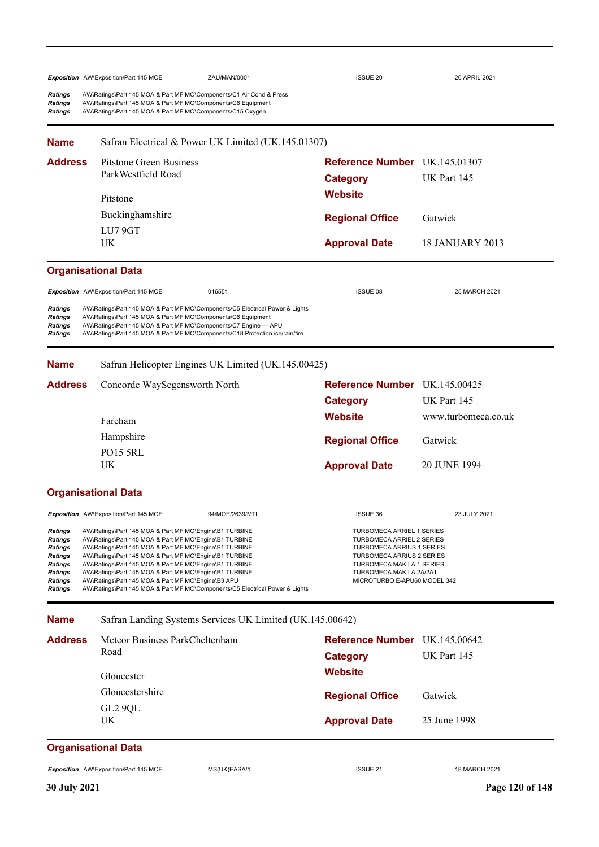|                                                                                      | Exposition AW\Exposition\Part 145 MOE                                                                                                                                                                                                                                                                                                                                                                                                                                                          | ZAU/MAN/0001                                              | <b>ISSUE 20</b>                                                                                                                                                                                                                             | 26 APRIL 2021          |
|--------------------------------------------------------------------------------------|------------------------------------------------------------------------------------------------------------------------------------------------------------------------------------------------------------------------------------------------------------------------------------------------------------------------------------------------------------------------------------------------------------------------------------------------------------------------------------------------|-----------------------------------------------------------|---------------------------------------------------------------------------------------------------------------------------------------------------------------------------------------------------------------------------------------------|------------------------|
| Ratings<br>Ratings<br>Ratings                                                        | AW\Ratings\Part 145 MOA & Part MF MO\Components\C1 Air Cond & Press<br>AW\Ratings\Part 145 MOA & Part MF MO\Components\C6 Equipment<br>AW\Ratings\Part 145 MOA & Part MF MO\Components\C15 Oxygen                                                                                                                                                                                                                                                                                              |                                                           |                                                                                                                                                                                                                                             |                        |
| <b>Name</b>                                                                          |                                                                                                                                                                                                                                                                                                                                                                                                                                                                                                | Safran Electrical & Power UK Limited (UK.145.01307)       |                                                                                                                                                                                                                                             |                        |
| <b>Address</b>                                                                       | Pitstone Green Business<br>ParkWestfield Road                                                                                                                                                                                                                                                                                                                                                                                                                                                  |                                                           | Reference Number UK.145.01307                                                                                                                                                                                                               |                        |
|                                                                                      | Pitstone                                                                                                                                                                                                                                                                                                                                                                                                                                                                                       |                                                           | <b>Category</b><br><b>Website</b>                                                                                                                                                                                                           | UK Part 145            |
|                                                                                      | Buckinghamshire                                                                                                                                                                                                                                                                                                                                                                                                                                                                                |                                                           |                                                                                                                                                                                                                                             |                        |
|                                                                                      | LU7 9GT                                                                                                                                                                                                                                                                                                                                                                                                                                                                                        |                                                           | <b>Regional Office</b>                                                                                                                                                                                                                      | Gatwick                |
|                                                                                      | UK                                                                                                                                                                                                                                                                                                                                                                                                                                                                                             |                                                           | <b>Approval Date</b>                                                                                                                                                                                                                        | <b>18 JANUARY 2013</b> |
|                                                                                      | <b>Organisational Data</b>                                                                                                                                                                                                                                                                                                                                                                                                                                                                     |                                                           |                                                                                                                                                                                                                                             |                        |
|                                                                                      | Exposition AW\Exposition\Part 145 MOE                                                                                                                                                                                                                                                                                                                                                                                                                                                          | 016551                                                    | <b>ISSUE 08</b>                                                                                                                                                                                                                             | 25 MARCH 2021          |
| Ratings<br>Ratings<br>Ratings<br>Ratings                                             | AW\Ratings\Part 145 MOA & Part MF MO\Components\C5 Electrical Power & Lights<br>AW\Ratings\Part 145 MOA & Part MF MO\Components\C6 Equipment<br>AW\Ratings\Part 145 MOA & Part MF MO\Components\C7 Engine - APU<br>AW\Ratings\Part 145 MOA & Part MF MO\Components\C18 Protection ice/rain/fire                                                                                                                                                                                                |                                                           |                                                                                                                                                                                                                                             |                        |
| <b>Name</b>                                                                          |                                                                                                                                                                                                                                                                                                                                                                                                                                                                                                | Safran Helicopter Engines UK Limited (UK.145.00425)       |                                                                                                                                                                                                                                             |                        |
| <b>Address</b>                                                                       | Concorde WaySegensworth North                                                                                                                                                                                                                                                                                                                                                                                                                                                                  |                                                           | Reference Number UK.145.00425                                                                                                                                                                                                               |                        |
|                                                                                      |                                                                                                                                                                                                                                                                                                                                                                                                                                                                                                |                                                           | <b>Category</b>                                                                                                                                                                                                                             | UK Part 145            |
|                                                                                      | Fareham                                                                                                                                                                                                                                                                                                                                                                                                                                                                                        |                                                           | <b>Website</b>                                                                                                                                                                                                                              | www.turbomeca.co.uk    |
|                                                                                      | Hampshire                                                                                                                                                                                                                                                                                                                                                                                                                                                                                      |                                                           | <b>Regional Office</b>                                                                                                                                                                                                                      | Gatwick                |
|                                                                                      | <b>PO15 5RL</b><br>UK                                                                                                                                                                                                                                                                                                                                                                                                                                                                          |                                                           | <b>Approval Date</b>                                                                                                                                                                                                                        | 20 JUNE 1994           |
|                                                                                      |                                                                                                                                                                                                                                                                                                                                                                                                                                                                                                |                                                           |                                                                                                                                                                                                                                             |                        |
|                                                                                      | <b>Organisational Data</b>                                                                                                                                                                                                                                                                                                                                                                                                                                                                     |                                                           |                                                                                                                                                                                                                                             |                        |
|                                                                                      | Exposition AW\Exposition\Part 145 MOE                                                                                                                                                                                                                                                                                                                                                                                                                                                          | 94/MOE/2639/MTL                                           | ISSUE 36                                                                                                                                                                                                                                    | 23 JULY 2021           |
| Ratings<br>Ratings<br>Ratings<br>Ratings<br>Ratings<br>Ratings<br>Ratings<br>Ratings | AW\Ratings\Part 145 MOA & Part MF MO\Engine\B1 TURBINE<br>AW\Ratings\Part 145 MOA & Part MF MO\Engine\B1 TURBINE<br>AW\Ratings\Part 145 MOA & Part MF MO\Engine\B1 TURBINE<br>AW\Ratings\Part 145 MOA & Part MF MO\Engine\B1 TURBINE<br>AW\Ratings\Part 145 MOA & Part MF MO\Engine\B1 TURBINE<br>AW\Ratings\Part 145 MOA & Part MF MO\Engine\B1 TURBINE<br>AW\Ratings\Part 145 MOA & Part MF MO\Engine\B3 APU<br>AW\Ratings\Part 145 MOA & Part MF MO\Components\C5 Electrical Power & Lights |                                                           | <b>TURBOMECA ARRIEL 1 SERIES</b><br><b>TURBOMECA ARRIEL 2 SERIES</b><br><b>TURBOMECA ARRIUS 1 SERIES</b><br><b>TURBOMECA ARRIUS 2 SERIES</b><br><b>TURBOMECA MAKILA 1 SERIES</b><br>TURBOMECA MAKILA 2A/2A1<br>MICROTURBO E-APU60 MODEL 342 |                        |
| <b>Name</b>                                                                          |                                                                                                                                                                                                                                                                                                                                                                                                                                                                                                | Safran Landing Systems Services UK Limited (UK.145.00642) |                                                                                                                                                                                                                                             |                        |
| <b>Address</b>                                                                       | Meteor Business ParkCheltenham                                                                                                                                                                                                                                                                                                                                                                                                                                                                 |                                                           | Reference Number UK.145.00642                                                                                                                                                                                                               |                        |
|                                                                                      | Road                                                                                                                                                                                                                                                                                                                                                                                                                                                                                           |                                                           | <b>Category</b>                                                                                                                                                                                                                             | UK Part 145            |
|                                                                                      | Gloucester                                                                                                                                                                                                                                                                                                                                                                                                                                                                                     |                                                           | <b>Website</b>                                                                                                                                                                                                                              |                        |
|                                                                                      | Gloucestershire                                                                                                                                                                                                                                                                                                                                                                                                                                                                                |                                                           | <b>Regional Office</b>                                                                                                                                                                                                                      | Gatwick                |
|                                                                                      | GL2 9QL<br>UK                                                                                                                                                                                                                                                                                                                                                                                                                                                                                  |                                                           | <b>Approval Date</b>                                                                                                                                                                                                                        | 25 June 1998           |

# **Organisational Data**

Exposition AW\Exposition\Part 145 MOE MS(UK)EASA/1 1 18 MARCH 2021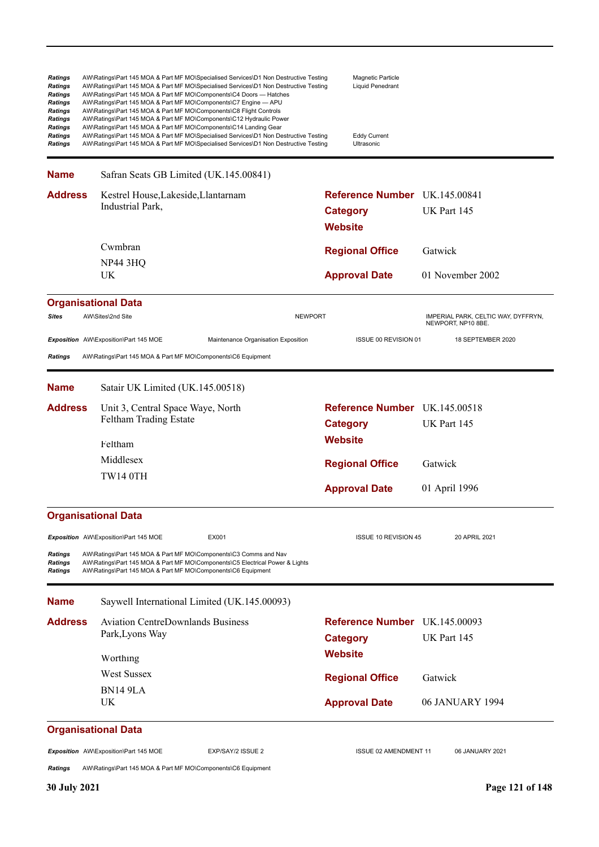| <b>Ratings</b><br><b>Ratings</b><br>Ratings<br><b>Ratings</b><br><b>Ratings</b><br>Ratings<br><b>Ratings</b><br>Ratings<br>Ratings | AW\Ratings\Part 145 MOA & Part MF MO\Specialised Services\D1 Non Destructive Testing<br>AW\Ratings\Part 145 MOA & Part MF MO\Specialised Services\D1 Non Destructive Testing<br>AW\Ratings\Part 145 MOA & Part MF MO\Components\C4 Doors - Hatches<br>AW\Ratings\Part 145 MOA & Part MF MO\Components\C7 Engine - APU<br>AW\Ratings\Part 145 MOA & Part MF MO\Components\C8 Flight Controls<br>AW\Ratings\Part 145 MOA & Part MF MO\Components\C12 Hydraulic Power<br>AW\Ratings\Part 145 MOA & Part MF MO\Components\C14 Landing Gear<br>AW\Ratings\Part 145 MOA & Part MF MO\Specialised Services\D1 Non Destructive Testing<br>AW\Ratings\Part 145 MOA & Part MF MO\Specialised Services\D1 Non Destructive Testing |                | Magnetic Particle<br>Liquid Penedrant<br><b>Eddy Current</b><br>Ultrasonic |                                                           |
|------------------------------------------------------------------------------------------------------------------------------------|------------------------------------------------------------------------------------------------------------------------------------------------------------------------------------------------------------------------------------------------------------------------------------------------------------------------------------------------------------------------------------------------------------------------------------------------------------------------------------------------------------------------------------------------------------------------------------------------------------------------------------------------------------------------------------------------------------------------|----------------|----------------------------------------------------------------------------|-----------------------------------------------------------|
| <b>Name</b>                                                                                                                        | Safran Seats GB Limited (UK.145.00841)                                                                                                                                                                                                                                                                                                                                                                                                                                                                                                                                                                                                                                                                                 |                |                                                                            |                                                           |
| <b>Address</b>                                                                                                                     | Kestrel House, Lakeside, Llantarnam<br>Industrial Park,                                                                                                                                                                                                                                                                                                                                                                                                                                                                                                                                                                                                                                                                |                | <b>Reference Number</b> UK.145.00841<br><b>Category</b><br><b>Website</b>  | UK Part 145                                               |
|                                                                                                                                    | Cwmbran<br><b>NP44 3HQ</b><br>UK                                                                                                                                                                                                                                                                                                                                                                                                                                                                                                                                                                                                                                                                                       |                | <b>Regional Office</b><br><b>Approval Date</b>                             | Gatwick<br>01 November 2002                               |
|                                                                                                                                    | <b>Organisational Data</b>                                                                                                                                                                                                                                                                                                                                                                                                                                                                                                                                                                                                                                                                                             |                |                                                                            |                                                           |
| <b>Sites</b>                                                                                                                       | AW\Sites\2nd Site                                                                                                                                                                                                                                                                                                                                                                                                                                                                                                                                                                                                                                                                                                      | <b>NEWPORT</b> |                                                                            | IMPERIAL PARK, CELTIC WAY, DYFFRYN,<br>NEWPORT, NP10 8BE. |
| <b>Ratings</b>                                                                                                                     | Exposition AW\Exposition\Part 145 MOE<br>Maintenance Organisation Exposition<br>AW\Ratings\Part 145 MOA & Part MF MO\Components\C6 Equipment                                                                                                                                                                                                                                                                                                                                                                                                                                                                                                                                                                           |                | ISSUE 00 REVISION 01                                                       | 18 SEPTEMBER 2020                                         |
| <b>Name</b>                                                                                                                        | Satair UK Limited (UK.145.00518)                                                                                                                                                                                                                                                                                                                                                                                                                                                                                                                                                                                                                                                                                       |                |                                                                            |                                                           |
| <b>Address</b>                                                                                                                     | Unit 3, Central Space Waye, North<br>Feltham Trading Estate<br>Feltham                                                                                                                                                                                                                                                                                                                                                                                                                                                                                                                                                                                                                                                 |                | Reference Number UK.145.00518<br><b>Category</b><br>Website                | UK Part 145                                               |
|                                                                                                                                    | Middlesex<br><b>TW14 0TH</b>                                                                                                                                                                                                                                                                                                                                                                                                                                                                                                                                                                                                                                                                                           |                | <b>Regional Office</b><br><b>Approval Date</b>                             | Gatwick<br>01 April 1996                                  |
|                                                                                                                                    | <b>Organisational Data</b>                                                                                                                                                                                                                                                                                                                                                                                                                                                                                                                                                                                                                                                                                             |                |                                                                            |                                                           |
| <b>Ratings</b><br><b>Ratings</b><br><b>Ratings</b>                                                                                 | Exposition AW\Exposition\Part 145 MOE<br>EX001<br>AW\Ratings\Part 145 MOA & Part MF MO\Components\C3 Comms and Nav<br>AW\Ratings\Part 145 MOA & Part MF MO\Components\C5 Electrical Power & Lights<br>AW\Ratings\Part 145 MOA & Part MF MO\Components\C6 Equipment                                                                                                                                                                                                                                                                                                                                                                                                                                                     |                | ISSUE 10 REVISION 45                                                       | 20 APRIL 2021                                             |
| <b>Name</b>                                                                                                                        | Saywell International Limited (UK.145.00093)                                                                                                                                                                                                                                                                                                                                                                                                                                                                                                                                                                                                                                                                           |                |                                                                            |                                                           |
| <b>Address</b>                                                                                                                     | <b>Aviation CentreDownlands Business</b><br>Park, Lyons Way                                                                                                                                                                                                                                                                                                                                                                                                                                                                                                                                                                                                                                                            |                | Reference Number UK.145.00093<br><b>Category</b>                           | UK Part 145                                               |
|                                                                                                                                    | Worthing                                                                                                                                                                                                                                                                                                                                                                                                                                                                                                                                                                                                                                                                                                               |                | <b>Website</b>                                                             |                                                           |
|                                                                                                                                    | <b>West Sussex</b>                                                                                                                                                                                                                                                                                                                                                                                                                                                                                                                                                                                                                                                                                                     |                | <b>Regional Office</b>                                                     | Gatwick                                                   |
|                                                                                                                                    | <b>BN14 9LA</b><br>UK                                                                                                                                                                                                                                                                                                                                                                                                                                                                                                                                                                                                                                                                                                  |                | <b>Approval Date</b>                                                       | 06 JANUARY 1994                                           |
|                                                                                                                                    | <b>Organisational Data</b>                                                                                                                                                                                                                                                                                                                                                                                                                                                                                                                                                                                                                                                                                             |                |                                                                            |                                                           |
| <b>Ratings</b>                                                                                                                     | Exposition AW\Exposition\Part 145 MOE<br>EXP/SAY/2 ISSUE 2<br>AW\Ratings\Part 145 MOA & Part MF MO\Components\C6 Equipment                                                                                                                                                                                                                                                                                                                                                                                                                                                                                                                                                                                             |                | <b>ISSUE 02 AMENDMENT 11</b>                                               | 06 JANUARY 2021                                           |
| <b>30 July 2021</b>                                                                                                                |                                                                                                                                                                                                                                                                                                                                                                                                                                                                                                                                                                                                                                                                                                                        |                |                                                                            | Page 121 of 148                                           |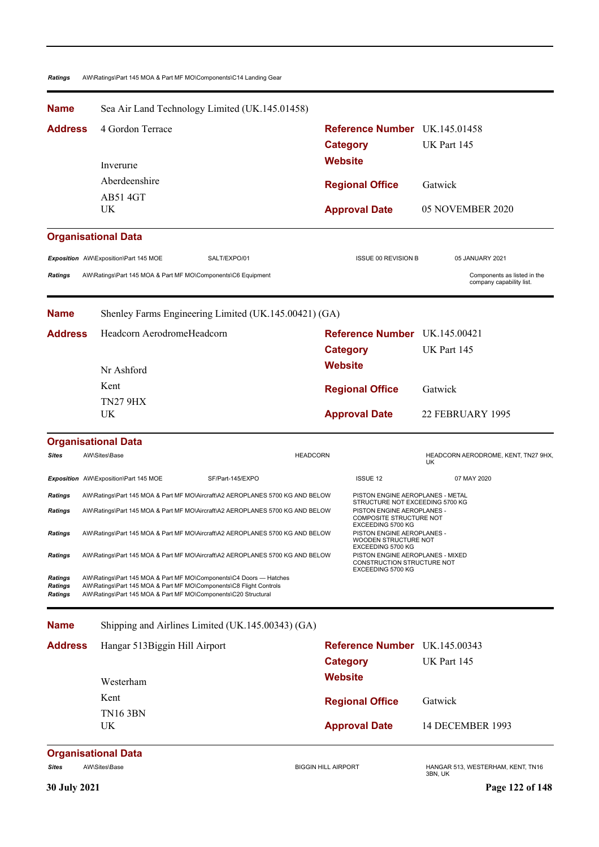#### *Ratings* AW\Ratings\Part 145 MOA & Part MF MO\Components\C14 Landing Gear

| <b>Name</b>                   |                                                                                                                                                                                                            | Sea Air Land Technology Limited (UK.145.01458)                                |                                                                                                                 |                                                         |  |
|-------------------------------|------------------------------------------------------------------------------------------------------------------------------------------------------------------------------------------------------------|-------------------------------------------------------------------------------|-----------------------------------------------------------------------------------------------------------------|---------------------------------------------------------|--|
| Address                       | 4 Gordon Terrace                                                                                                                                                                                           |                                                                               | Reference Number UK.145.01458                                                                                   |                                                         |  |
|                               |                                                                                                                                                                                                            |                                                                               | <b>Category</b>                                                                                                 | UK Part 145                                             |  |
|                               | Inverurie                                                                                                                                                                                                  |                                                                               | Website                                                                                                         |                                                         |  |
|                               | Aberdeenshire                                                                                                                                                                                              |                                                                               | <b>Regional Office</b>                                                                                          | Gatwick                                                 |  |
|                               | <b>AB514GT</b>                                                                                                                                                                                             |                                                                               |                                                                                                                 |                                                         |  |
|                               | UK                                                                                                                                                                                                         |                                                                               | <b>Approval Date</b>                                                                                            | 05 NOVEMBER 2020                                        |  |
|                               | <b>Organisational Data</b>                                                                                                                                                                                 |                                                                               |                                                                                                                 |                                                         |  |
|                               | Exposition AW\Exposition\Part 145 MOE                                                                                                                                                                      | SALT/EXPO/01                                                                  | <b>ISSUE 00 REVISION B</b>                                                                                      | 05 JANUARY 2021                                         |  |
| Ratings                       | AW\Ratings\Part 145 MOA & Part MF MO\Components\C6 Equipment                                                                                                                                               |                                                                               |                                                                                                                 | Components as listed in the<br>company capability list. |  |
| <b>Name</b>                   |                                                                                                                                                                                                            | Shenley Farms Engineering Limited (UK.145.00421) (GA)                         |                                                                                                                 |                                                         |  |
| Address                       | Headcorn AerodromeHeadcorn                                                                                                                                                                                 |                                                                               | Reference Number UK.145.00421                                                                                   |                                                         |  |
|                               |                                                                                                                                                                                                            |                                                                               | <b>Category</b>                                                                                                 | UK Part 145                                             |  |
|                               | Nr Ashford                                                                                                                                                                                                 |                                                                               | <b>Website</b>                                                                                                  |                                                         |  |
|                               | Kent                                                                                                                                                                                                       |                                                                               | <b>Regional Office</b>                                                                                          | Gatwick                                                 |  |
|                               | <b>TN27 9HX</b>                                                                                                                                                                                            |                                                                               |                                                                                                                 |                                                         |  |
|                               | UK                                                                                                                                                                                                         |                                                                               | <b>Approval Date</b>                                                                                            | 22 FEBRUARY 1995                                        |  |
|                               | <b>Organisational Data</b>                                                                                                                                                                                 |                                                                               |                                                                                                                 |                                                         |  |
| Sites                         | AW\Sites\Base                                                                                                                                                                                              | <b>HEADCORN</b>                                                               |                                                                                                                 | HEADCORN AERODROME, KENT, TN27 9HX,<br>UK               |  |
|                               | Exposition AW\Exposition\Part 145 MOE                                                                                                                                                                      | SF/Part-145/EXPO                                                              | <b>ISSUE 12</b>                                                                                                 | 07 MAY 2020                                             |  |
| Ratings                       |                                                                                                                                                                                                            | AW\Ratings\Part 145 MOA & Part MF MO\Aircraft\A2 AEROPLANES 5700 KG AND BELOW | PISTON ENGINE AEROPLANES - METAL<br>STRUCTURE NOT EXCEEDING 5700 KG                                             |                                                         |  |
| Ratings                       |                                                                                                                                                                                                            | AW\Ratings\Part 145 MOA & Part MF MO\Aircraft\A2 AEROPLANES 5700 KG AND BELOW | PISTON ENGINE AEROPLANES -<br>COMPOSITE STRUCTURE NOT                                                           |                                                         |  |
| Ratings                       |                                                                                                                                                                                                            | AW\Ratings\Part 145 MOA & Part MF MO\Aircraft\A2 AEROPLANES 5700 KG AND BELOW | EXCEEDING 5700 KG<br>PISTON ENGINE AEROPLANES -<br>WOODEN STRUCTURE NOT                                         |                                                         |  |
| Ratings                       |                                                                                                                                                                                                            | AW\Ratings\Part 145 MOA & Part MF MO\Aircraft\A2 AEROPLANES 5700 KG AND BELOW | EXCEEDING 5700 KG<br>PISTON ENGINE AEROPLANES - MIXED<br><b>CONSTRUCTION STRUCTURE NOT</b><br>EXCEEDING 5700 KG |                                                         |  |
| Ratings<br>Ratings<br>Ratings | AW\Ratings\Part 145 MOA & Part MF MO\Components\C4 Doors - Hatches<br>AW\Ratings\Part 145 MOA & Part MF MO\Components\C8 Flight Controls<br>AW\Ratings\Part 145 MOA & Part MF MO\Components\C20 Structural |                                                                               |                                                                                                                 |                                                         |  |
| <b>Name</b>                   |                                                                                                                                                                                                            | Shipping and Airlines Limited (UK.145.00343) (GA)                             |                                                                                                                 |                                                         |  |
| <b>Address</b>                | Hangar 513Biggin Hill Airport                                                                                                                                                                              |                                                                               | Reference Number UK.145.00343                                                                                   |                                                         |  |
|                               |                                                                                                                                                                                                            |                                                                               | <b>Category</b>                                                                                                 | UK Part 145                                             |  |
|                               | Westerham                                                                                                                                                                                                  |                                                                               | <b>Website</b>                                                                                                  |                                                         |  |
|                               | Kent                                                                                                                                                                                                       |                                                                               | <b>Regional Office</b>                                                                                          | Gatwick                                                 |  |
|                               | <b>TN16 3BN</b>                                                                                                                                                                                            |                                                                               |                                                                                                                 |                                                         |  |
|                               | UK                                                                                                                                                                                                         |                                                                               | <b>Approval Date</b>                                                                                            | 14 DECEMBER 1993                                        |  |
|                               | <b>Organisational Data</b>                                                                                                                                                                                 |                                                                               |                                                                                                                 |                                                         |  |
| Sites                         | AW\Sites\Base                                                                                                                                                                                              |                                                                               | <b>BIGGIN HILL AIRPORT</b>                                                                                      | HANGAR 513, WESTERHAM, KENT, TN16<br>3BN, UK            |  |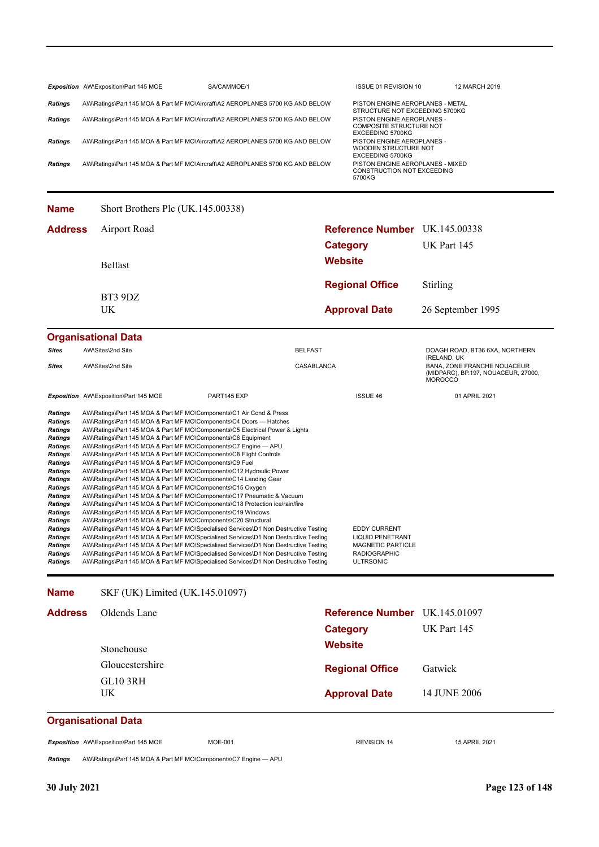|                | Exposition AW\Exposition\Part 145 MOE                                         | SA/CAMMOE/1 | ISSUE 01 REVISION 10                                                                    | 12 MARCH 2019 |
|----------------|-------------------------------------------------------------------------------|-------------|-----------------------------------------------------------------------------------------|---------------|
| <b>Ratings</b> | AW\Ratings\Part 145 MOA & Part MF MO\Aircraft\A2 AEROPLANES 5700 KG AND BELOW |             | PISTON ENGINE AEROPLANES - METAL<br>STRUCTURE NOT EXCEEDING 5700KG                      |               |
| <b>Ratings</b> | AW\Ratings\Part 145 MOA & Part MF MO\Aircraft\A2 AEROPLANES 5700 KG AND BELOW |             | PISTON ENGINE AEROPLANES -<br><b>COMPOSITE STRUCTURE NOT</b><br><b>EXCEEDING 5700KG</b> |               |
| <b>Ratings</b> | AW\Ratings\Part 145 MOA & Part MF MO\Aircraft\A2 AEROPLANES 5700 KG AND BELOW |             | PISTON ENGINE AEROPLANES -<br>WOODEN STRUCTURE NOT<br><b>EXCEEDING 5700KG</b>           |               |
| <b>Ratings</b> | AW\Ratings\Part 145 MOA & Part MF MO\Aircraft\A2 AEROPLANES 5700 KG AND BELOW |             | PISTON ENGINE AEROPLANES - MIXED<br>CONSTRUCTION NOT EXCEEDING<br>5700KG                |               |
| <b>Name</b>    | Short Brothers Plc (UK.145.00338)                                             |             |                                                                                         |               |
| <b>Address</b> | Airport Road                                                                  |             | Reference Number UK.145.00338                                                           |               |
|                |                                                                               |             | Category                                                                                | UK Part 145   |
|                | <b>Belfast</b>                                                                |             | Website                                                                                 |               |
|                |                                                                               |             | <b>Regional Office</b>                                                                  | Stirling      |

UK BT3 9DZ

#### **Organisational Data**

|                | organisanonai Bata                                                                   |             |                   |                          |                                                                                             |
|----------------|--------------------------------------------------------------------------------------|-------------|-------------------|--------------------------|---------------------------------------------------------------------------------------------|
| Sites          | AW\Sites\2nd Site                                                                    |             | <b>BELFAST</b>    |                          | DOAGH ROAD, BT36 6XA, NORTHERN<br><b>IRELAND, UK</b>                                        |
| Sites          | AW\Sites\2nd Site                                                                    |             | <b>CASABLANCA</b> |                          | <b>BANA, ZONE FRANCHE NOUACEUR</b><br>(MIDPARC), BP.197, NOUACEUR, 27000,<br><b>MOROCCO</b> |
|                | <b>Exposition</b> AW\Exposition\Part 145 MOE                                         | PART145 EXP |                   | <b>ISSUE 46</b>          | 01 APRIL 2021                                                                               |
| Ratings        | AW\Ratings\Part 145 MOA & Part MF MO\Components\C1 Air Cond & Press                  |             |                   |                          |                                                                                             |
| <b>Ratings</b> | AW\Ratings\Part 145 MOA & Part MF MO\Components\C4 Doors - Hatches                   |             |                   |                          |                                                                                             |
| <b>Ratings</b> | AW\Ratings\Part 145 MOA & Part MF MO\Components\C5 Electrical Power & Lights         |             |                   |                          |                                                                                             |
| <b>Ratings</b> | AW\Ratings\Part 145 MOA & Part MF MO\Components\C6 Equipment                         |             |                   |                          |                                                                                             |
| <b>Ratings</b> | AW\Ratings\Part 145 MOA & Part MF MO\Components\C7 Engine - APU                      |             |                   |                          |                                                                                             |
| <b>Ratings</b> | AW\Ratings\Part 145 MOA & Part MF MO\Components\C8 Flight Controls                   |             |                   |                          |                                                                                             |
| <b>Ratings</b> | AW\Ratings\Part 145 MOA & Part MF MO\Components\C9 Fuel                              |             |                   |                          |                                                                                             |
| <b>Ratings</b> | AW\Ratings\Part 145 MOA & Part MF MO\Components\C12 Hydraulic Power                  |             |                   |                          |                                                                                             |
| <b>Ratings</b> | AW\Ratings\Part 145 MOA & Part MF MO\Components\C14 Landing Gear                     |             |                   |                          |                                                                                             |
| <b>Ratings</b> | AW\Ratings\Part 145 MOA & Part MF MO\Components\C15 Oxygen                           |             |                   |                          |                                                                                             |
| <b>Ratings</b> | AW\Ratings\Part 145 MOA & Part MF MO\Components\C17 Pneumatic & Vacuum               |             |                   |                          |                                                                                             |
| <b>Ratings</b> | AW\Ratings\Part 145 MOA & Part MF MO\Components\C18 Protection ice/rain/fire         |             |                   |                          |                                                                                             |
| <b>Ratings</b> | AW\Ratings\Part 145 MOA & Part MF MO\Components\C19 Windows                          |             |                   |                          |                                                                                             |
| <b>Ratings</b> | AW\Ratings\Part 145 MOA & Part MF MO\Components\C20 Structural                       |             |                   |                          |                                                                                             |
| <b>Ratings</b> | AW\Ratings\Part 145 MOA & Part MF MO\Specialised Services\D1 Non Destructive Testing |             |                   | <b>EDDY CURRENT</b>      |                                                                                             |
| <b>Ratings</b> | AW\Ratings\Part 145 MOA & Part MF MO\Specialised Services\D1 Non Destructive Testing |             |                   | <b>LIQUID PENETRANT</b>  |                                                                                             |
| <b>Ratings</b> | AW\Ratings\Part 145 MOA & Part MF MO\Specialised Services\D1 Non Destructive Testing |             |                   | <b>MAGNETIC PARTICLE</b> |                                                                                             |
| <b>Ratings</b> | AW\Ratings\Part 145 MOA & Part MF MO\Specialised Services\D1 Non Destructive Testing |             |                   | <b>RADIOGRAPHIC</b>      |                                                                                             |
| <b>Ratings</b> | AW\Ratings\Part 145 MOA & Part MF MO\Specialised Services\D1 Non Destructive Testing |             |                   | <b>ULTRSONIC</b>         |                                                                                             |

#### **Name** SKF (UK) Limited (UK.145.01097)

| <b>Address</b> | Oldends Lane    | Reference Number UK.145.01097 |              |
|----------------|-----------------|-------------------------------|--------------|
|                |                 | <b>Category</b>               | UK Part 145  |
|                | Stonehouse      | <b>Website</b>                |              |
|                | Gloucestershire | <b>Regional Office</b>        | Gatwick      |
|                | GL10 3RH<br>UK. | <b>Approval Date</b>          | 14 JUNE 2006 |
|                |                 |                               |              |

## **Organisational Data**

**Exposition** AW\Exposition\Part 145 MOE MOE-001 MOE-001 REVISION 14 15 APRIL 2021

**Approval Date** 26 September 1995

*Ratings* AW\Ratings\Part 145 MOA & Part MF MO\Components\C7 Engine — APU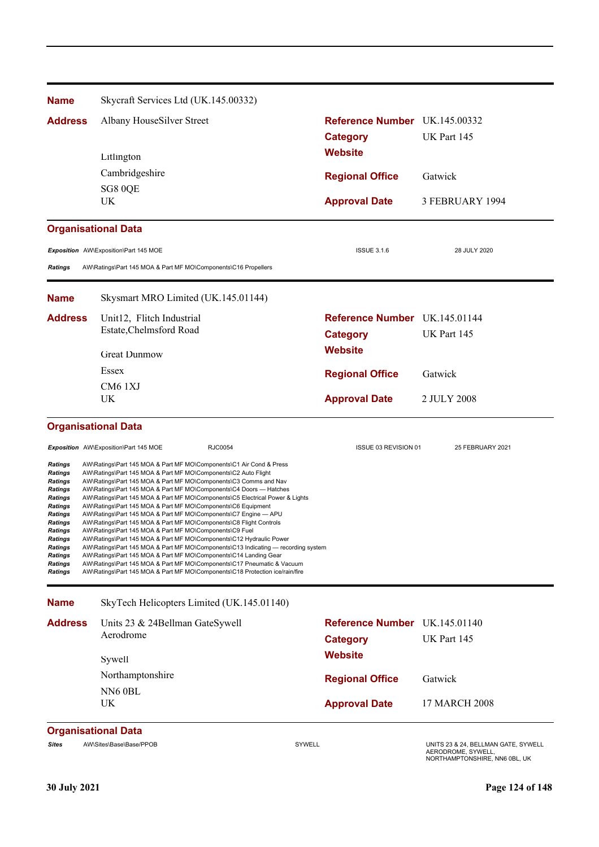| <b>Name</b>                                                                                                                                                                                                                  | Skycraft Services Ltd (UK.145.00332)                                                                                                                                                                                                                                                                                                                                                                                                                                                                                                                                                                                                                                                                                                                                                                                                                                                                                                                                                                                          |                               |                                                                                            |
|------------------------------------------------------------------------------------------------------------------------------------------------------------------------------------------------------------------------------|-------------------------------------------------------------------------------------------------------------------------------------------------------------------------------------------------------------------------------------------------------------------------------------------------------------------------------------------------------------------------------------------------------------------------------------------------------------------------------------------------------------------------------------------------------------------------------------------------------------------------------------------------------------------------------------------------------------------------------------------------------------------------------------------------------------------------------------------------------------------------------------------------------------------------------------------------------------------------------------------------------------------------------|-------------------------------|--------------------------------------------------------------------------------------------|
| <b>Address</b>                                                                                                                                                                                                               | Albany HouseSilver Street                                                                                                                                                                                                                                                                                                                                                                                                                                                                                                                                                                                                                                                                                                                                                                                                                                                                                                                                                                                                     | Reference Number UK.145.00332 |                                                                                            |
|                                                                                                                                                                                                                              |                                                                                                                                                                                                                                                                                                                                                                                                                                                                                                                                                                                                                                                                                                                                                                                                                                                                                                                                                                                                                               | <b>Category</b>               | UK Part 145                                                                                |
|                                                                                                                                                                                                                              | Litlington                                                                                                                                                                                                                                                                                                                                                                                                                                                                                                                                                                                                                                                                                                                                                                                                                                                                                                                                                                                                                    | <b>Website</b>                |                                                                                            |
|                                                                                                                                                                                                                              | Cambridgeshire                                                                                                                                                                                                                                                                                                                                                                                                                                                                                                                                                                                                                                                                                                                                                                                                                                                                                                                                                                                                                | <b>Regional Office</b>        | Gatwick                                                                                    |
|                                                                                                                                                                                                                              | SG8 0QE<br>UK                                                                                                                                                                                                                                                                                                                                                                                                                                                                                                                                                                                                                                                                                                                                                                                                                                                                                                                                                                                                                 |                               | 3 FEBRUARY 1994                                                                            |
|                                                                                                                                                                                                                              |                                                                                                                                                                                                                                                                                                                                                                                                                                                                                                                                                                                                                                                                                                                                                                                                                                                                                                                                                                                                                               | <b>Approval Date</b>          |                                                                                            |
|                                                                                                                                                                                                                              | <b>Organisational Data</b>                                                                                                                                                                                                                                                                                                                                                                                                                                                                                                                                                                                                                                                                                                                                                                                                                                                                                                                                                                                                    |                               |                                                                                            |
|                                                                                                                                                                                                                              | Exposition AW\Exposition\Part 145 MOE                                                                                                                                                                                                                                                                                                                                                                                                                                                                                                                                                                                                                                                                                                                                                                                                                                                                                                                                                                                         | <b>ISSUE 3.1.6</b>            | 28 JULY 2020                                                                               |
| <b>Ratings</b>                                                                                                                                                                                                               | AW\Ratings\Part 145 MOA & Part MF MO\Components\C16 Propellers                                                                                                                                                                                                                                                                                                                                                                                                                                                                                                                                                                                                                                                                                                                                                                                                                                                                                                                                                                |                               |                                                                                            |
| <b>Name</b>                                                                                                                                                                                                                  | Skysmart MRO Limited (UK.145.01144)                                                                                                                                                                                                                                                                                                                                                                                                                                                                                                                                                                                                                                                                                                                                                                                                                                                                                                                                                                                           |                               |                                                                                            |
| <b>Address</b>                                                                                                                                                                                                               | Unit12, Flitch Industrial                                                                                                                                                                                                                                                                                                                                                                                                                                                                                                                                                                                                                                                                                                                                                                                                                                                                                                                                                                                                     | Reference Number UK.145.01144 |                                                                                            |
|                                                                                                                                                                                                                              | Estate, Chelmsford Road                                                                                                                                                                                                                                                                                                                                                                                                                                                                                                                                                                                                                                                                                                                                                                                                                                                                                                                                                                                                       | <b>Category</b>               | UK Part 145                                                                                |
|                                                                                                                                                                                                                              | <b>Great Dunmow</b>                                                                                                                                                                                                                                                                                                                                                                                                                                                                                                                                                                                                                                                                                                                                                                                                                                                                                                                                                                                                           | <b>Website</b>                |                                                                                            |
|                                                                                                                                                                                                                              | Essex                                                                                                                                                                                                                                                                                                                                                                                                                                                                                                                                                                                                                                                                                                                                                                                                                                                                                                                                                                                                                         | <b>Regional Office</b>        | Gatwick                                                                                    |
|                                                                                                                                                                                                                              | CM6 1XJ<br>UK                                                                                                                                                                                                                                                                                                                                                                                                                                                                                                                                                                                                                                                                                                                                                                                                                                                                                                                                                                                                                 |                               |                                                                                            |
|                                                                                                                                                                                                                              |                                                                                                                                                                                                                                                                                                                                                                                                                                                                                                                                                                                                                                                                                                                                                                                                                                                                                                                                                                                                                               | <b>Approval Date</b>          | 2 JULY 2008                                                                                |
|                                                                                                                                                                                                                              | <b>Organisational Data</b>                                                                                                                                                                                                                                                                                                                                                                                                                                                                                                                                                                                                                                                                                                                                                                                                                                                                                                                                                                                                    |                               |                                                                                            |
|                                                                                                                                                                                                                              | <b>RJC0054</b><br>Exposition AW\Exposition\Part 145 MOE                                                                                                                                                                                                                                                                                                                                                                                                                                                                                                                                                                                                                                                                                                                                                                                                                                                                                                                                                                       | ISSUE 03 REVISION 01          | 25 FEBRUARY 2021                                                                           |
| Ratings<br>Ratings<br><b>Ratings</b><br>Ratings<br><b>Ratings</b><br><b>Ratings</b><br><b>Ratings</b><br><b>Ratings</b><br>Ratings<br><b>Ratings</b><br><b>Ratings</b><br><b>Ratings</b><br><b>Ratings</b><br><b>Ratings</b> | AW\Ratings\Part 145 MOA & Part MF MO\Components\C1 Air Cond & Press<br>AW\Ratings\Part 145 MOA & Part MF MO\Components\C2 Auto Flight<br>AW\Ratings\Part 145 MOA & Part MF MO\Components\C3 Comms and Nav<br>AW\Ratings\Part 145 MOA & Part MF MO\Components\C4 Doors - Hatches<br>AW\Ratings\Part 145 MOA & Part MF MO\Components\C5 Electrical Power & Lights<br>AW\Ratings\Part 145 MOA & Part MF MO\Components\C6 Equipment<br>AW\Ratings\Part 145 MOA & Part MF MO\Components\C7 Engine - APU<br>AW\Ratings\Part 145 MOA & Part MF MO\Components\C8 Flight Controls<br>AW\Ratings\Part 145 MOA & Part MF MO\Components\C9 Fuel<br>AW\Ratings\Part 145 MOA & Part MF MO\Components\C12 Hydraulic Power<br>AW\Ratings\Part 145 MOA & Part MF MO\Components\C13 Indicating — recording system<br>AW\Ratings\Part 145 MOA & Part MF MO\Components\C14 Landing Gear<br>AW\Ratings\Part 145 MOA & Part MF MO\Components\C17 Pneumatic & Vacuum<br>AW\Ratings\Part 145 MOA & Part MF MO\Components\C18 Protection ice/rain/fire |                               |                                                                                            |
| <b>Name</b>                                                                                                                                                                                                                  | SkyTech Helicopters Limited (UK.145.01140)                                                                                                                                                                                                                                                                                                                                                                                                                                                                                                                                                                                                                                                                                                                                                                                                                                                                                                                                                                                    |                               |                                                                                            |
| <b>Address</b>                                                                                                                                                                                                               | Units 23 & 24Bellman GateSywell                                                                                                                                                                                                                                                                                                                                                                                                                                                                                                                                                                                                                                                                                                                                                                                                                                                                                                                                                                                               | Reference Number UK.145.01140 |                                                                                            |
|                                                                                                                                                                                                                              | Aerodrome                                                                                                                                                                                                                                                                                                                                                                                                                                                                                                                                                                                                                                                                                                                                                                                                                                                                                                                                                                                                                     | <b>Category</b>               | UK Part 145                                                                                |
|                                                                                                                                                                                                                              | Sywell                                                                                                                                                                                                                                                                                                                                                                                                                                                                                                                                                                                                                                                                                                                                                                                                                                                                                                                                                                                                                        | <b>Website</b>                |                                                                                            |
|                                                                                                                                                                                                                              | Northamptonshire                                                                                                                                                                                                                                                                                                                                                                                                                                                                                                                                                                                                                                                                                                                                                                                                                                                                                                                                                                                                              | <b>Regional Office</b>        | Gatwick                                                                                    |
|                                                                                                                                                                                                                              | NN6 0BL<br><b>UK</b>                                                                                                                                                                                                                                                                                                                                                                                                                                                                                                                                                                                                                                                                                                                                                                                                                                                                                                                                                                                                          | <b>Approval Date</b>          | 17 MARCH 2008                                                                              |
|                                                                                                                                                                                                                              | <b>Organisational Data</b>                                                                                                                                                                                                                                                                                                                                                                                                                                                                                                                                                                                                                                                                                                                                                                                                                                                                                                                                                                                                    |                               |                                                                                            |
| <b>Sites</b>                                                                                                                                                                                                                 | AW\Sites\Base\Base/PPOB                                                                                                                                                                                                                                                                                                                                                                                                                                                                                                                                                                                                                                                                                                                                                                                                                                                                                                                                                                                                       | SYWELL                        | UNITS 23 & 24, BELLMAN GATE, SYWELL<br>AERODROME, SYWELL,<br>NORTHAMPTONSHIRE, NN6 0BL, UK |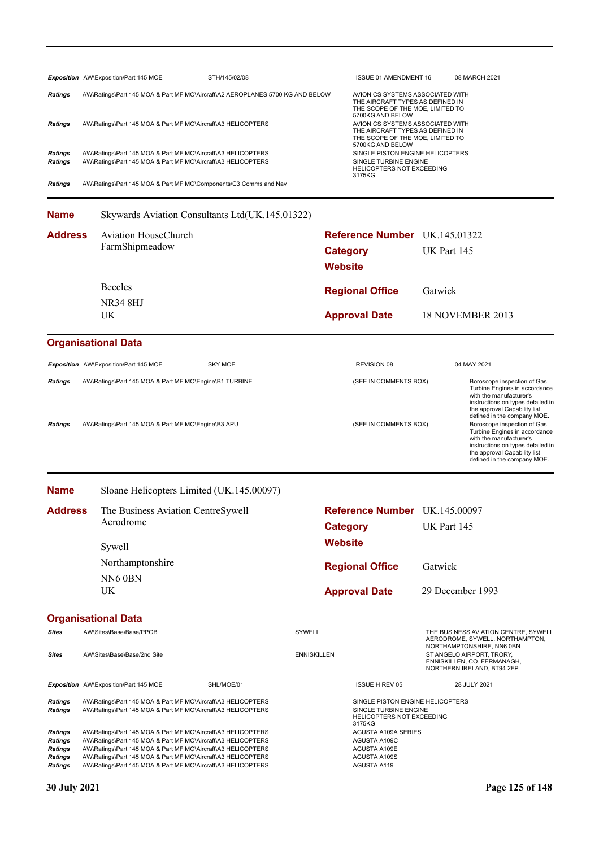|                                                                                 | Exposition AW\Exposition\Part 145 MOE                                                                                                                                                                                                                                                                                        | STH/145/02/08                                   |                                   | ISSUE 01 AMENDMENT 16                                                                                                                                            |                  | 08 MARCH 2021                                                                                                                                                                                                              |
|---------------------------------------------------------------------------------|------------------------------------------------------------------------------------------------------------------------------------------------------------------------------------------------------------------------------------------------------------------------------------------------------------------------------|-------------------------------------------------|-----------------------------------|------------------------------------------------------------------------------------------------------------------------------------------------------------------|------------------|----------------------------------------------------------------------------------------------------------------------------------------------------------------------------------------------------------------------------|
| <b>Ratings</b>                                                                  | AW\Ratings\Part 145 MOA & Part MF MO\Aircraft\A2 AEROPLANES 5700 KG AND BELOW                                                                                                                                                                                                                                                |                                                 |                                   | AVIONICS SYSTEMS ASSOCIATED WITH<br>THE AIRCRAFT TYPES AS DEFINED IN                                                                                             |                  |                                                                                                                                                                                                                            |
| <b>Ratings</b>                                                                  | AW\Ratings\Part 145 MOA & Part MF MO\Aircraft\A3 HELICOPTERS                                                                                                                                                                                                                                                                 |                                                 |                                   | THE SCOPE OF THE MOE, LIMITED TO<br>5700KG AND BELOW<br>AVIONICS SYSTEMS ASSOCIATED WITH<br>THE AIRCRAFT TYPES AS DEFINED IN<br>THE SCOPE OF THE MOE, LIMITED TO |                  |                                                                                                                                                                                                                            |
| <b>Ratings</b><br><b>Ratings</b>                                                | AW\Ratings\Part 145 MOA & Part MF MO\Aircraft\A3 HELICOPTERS<br>AW\Ratings\Part 145 MOA & Part MF MO\Aircraft\A3 HELICOPTERS                                                                                                                                                                                                 |                                                 |                                   | 5700KG AND BELOW<br>SINGLE PISTON ENGINE HELICOPTERS<br>SINGLE TURBINE ENGINE<br>HELICOPTERS NOT EXCEEDING<br>3175KG                                             |                  |                                                                                                                                                                                                                            |
| <b>Ratings</b>                                                                  | AW\Ratings\Part 145 MOA & Part MF MO\Components\C3 Comms and Nav                                                                                                                                                                                                                                                             |                                                 |                                   |                                                                                                                                                                  |                  |                                                                                                                                                                                                                            |
| <b>Name</b>                                                                     |                                                                                                                                                                                                                                                                                                                              | Skywards Aviation Consultants Ltd(UK.145.01322) |                                   |                                                                                                                                                                  |                  |                                                                                                                                                                                                                            |
| <b>Address</b>                                                                  | <b>Aviation HouseChurch</b>                                                                                                                                                                                                                                                                                                  |                                                 |                                   | Reference Number UK.145.01322                                                                                                                                    |                  |                                                                                                                                                                                                                            |
|                                                                                 | FarmShipmeadow                                                                                                                                                                                                                                                                                                               |                                                 | <b>Category</b><br><b>Website</b> |                                                                                                                                                                  | UK Part 145      |                                                                                                                                                                                                                            |
|                                                                                 | <b>Beccles</b>                                                                                                                                                                                                                                                                                                               |                                                 |                                   | <b>Regional Office</b>                                                                                                                                           | Gatwick          |                                                                                                                                                                                                                            |
|                                                                                 | <b>NR34 8HJ</b>                                                                                                                                                                                                                                                                                                              |                                                 |                                   |                                                                                                                                                                  |                  |                                                                                                                                                                                                                            |
|                                                                                 | UK                                                                                                                                                                                                                                                                                                                           |                                                 |                                   | <b>Approval Date</b>                                                                                                                                             |                  | 18 NOVEMBER 2013                                                                                                                                                                                                           |
|                                                                                 | <b>Organisational Data</b>                                                                                                                                                                                                                                                                                                   |                                                 |                                   |                                                                                                                                                                  |                  |                                                                                                                                                                                                                            |
|                                                                                 | Exposition AW\Exposition\Part 145 MOE                                                                                                                                                                                                                                                                                        | <b>SKY MOE</b>                                  |                                   | <b>REVISION 08</b>                                                                                                                                               |                  | 04 MAY 2021                                                                                                                                                                                                                |
| <b>Ratings</b>                                                                  | AW\Ratings\Part 145 MOA & Part MF MO\Engine\B1 TURBINE                                                                                                                                                                                                                                                                       |                                                 |                                   | (SEE IN COMMENTS BOX)                                                                                                                                            |                  | Boroscope inspection of Gas<br>Turbine Engines in accordance<br>with the manufacturer's<br>instructions on types detailed in<br>the approval Capability list                                                               |
| <b>Ratings</b>                                                                  | AW\Ratings\Part 145 MOA & Part MF MO\Engine\B3 APU                                                                                                                                                                                                                                                                           |                                                 |                                   | (SEE IN COMMENTS BOX)                                                                                                                                            |                  | defined in the company MOE.<br>Boroscope inspection of Gas<br>Turbine Engines in accordance<br>with the manufacturer's<br>instructions on types detailed in<br>the approval Capability list<br>defined in the company MOE. |
| <b>Name</b>                                                                     | Sloane Helicopters Limited (UK.145.00097)                                                                                                                                                                                                                                                                                    |                                                 |                                   |                                                                                                                                                                  |                  |                                                                                                                                                                                                                            |
| <b>Address</b>                                                                  | The Business Aviation CentreSywell                                                                                                                                                                                                                                                                                           |                                                 |                                   | Reference Number UK.145.00097                                                                                                                                    |                  |                                                                                                                                                                                                                            |
|                                                                                 | Aerodrome                                                                                                                                                                                                                                                                                                                    |                                                 | <b>Category</b>                   |                                                                                                                                                                  | UK Part 145      |                                                                                                                                                                                                                            |
|                                                                                 | Sywell                                                                                                                                                                                                                                                                                                                       |                                                 | <b>Website</b>                    |                                                                                                                                                                  |                  |                                                                                                                                                                                                                            |
|                                                                                 | Northamptonshire                                                                                                                                                                                                                                                                                                             |                                                 |                                   | <b>Regional Office</b>                                                                                                                                           | Gatwick          |                                                                                                                                                                                                                            |
|                                                                                 | NN6 0BN                                                                                                                                                                                                                                                                                                                      |                                                 |                                   |                                                                                                                                                                  |                  |                                                                                                                                                                                                                            |
|                                                                                 | UK                                                                                                                                                                                                                                                                                                                           |                                                 |                                   | <b>Approval Date</b>                                                                                                                                             | 29 December 1993 |                                                                                                                                                                                                                            |
|                                                                                 | <b>Organisational Data</b>                                                                                                                                                                                                                                                                                                   |                                                 |                                   |                                                                                                                                                                  |                  |                                                                                                                                                                                                                            |
| <b>Sites</b>                                                                    | AW\Sites\Base\Base/PPOB                                                                                                                                                                                                                                                                                                      |                                                 | SYWELL                            |                                                                                                                                                                  |                  | THE BUSINESS AVIATION CENTRE, SYWELL<br>AERODROME, SYWELL, NORTHAMPTON,                                                                                                                                                    |
| <b>Sites</b>                                                                    | AW\Sites\Base\Base/2nd Site                                                                                                                                                                                                                                                                                                  |                                                 | <b>ENNISKILLEN</b>                | NORTHAMPTONSHIRE, NN6 0BN<br>ST ANGELO AIRPORT, TRORY,<br>ENNISKILLEN, CO. FERMANAGH,<br>NORTHERN IRELAND, BT94 2FP                                              |                  |                                                                                                                                                                                                                            |
|                                                                                 | Exposition AW\Exposition\Part 145 MOE                                                                                                                                                                                                                                                                                        | SHL/MOE/01                                      |                                   | <b>ISSUE H REV 05</b>                                                                                                                                            |                  | 28 JULY 2021                                                                                                                                                                                                               |
| Ratings<br><b>Ratings</b>                                                       | AW\Ratings\Part 145 MOA & Part MF MO\Aircraft\A3 HELICOPTERS<br>AW\Ratings\Part 145 MOA & Part MF MO\Aircraft\A3 HELICOPTERS                                                                                                                                                                                                 |                                                 |                                   | SINGLE PISTON ENGINE HELICOPTERS<br>SINGLE TURBINE ENGINE<br>HELICOPTERS NOT EXCEEDING<br>3175KG                                                                 |                  |                                                                                                                                                                                                                            |
| Ratings<br><b>Ratings</b><br><b>Ratings</b><br><b>Ratings</b><br><b>Ratings</b> | AW\Ratings\Part 145 MOA & Part MF MO\Aircraft\A3 HELICOPTERS<br>AW\Ratings\Part 145 MOA & Part MF MO\Aircraft\A3 HELICOPTERS<br>AW\Ratings\Part 145 MOA & Part MF MO\Aircraft\A3 HELICOPTERS<br>AW\Ratings\Part 145 MOA & Part MF MO\Aircraft\A3 HELICOPTERS<br>AW\Ratings\Part 145 MOA & Part MF MO\Aircraft\A3 HELICOPTERS |                                                 |                                   | <b>AGUSTA A109A SERIES</b><br>AGUSTA A109C<br><b>AGUSTA A109E</b><br>AGUSTA A109S<br>AGUSTA A119                                                                 |                  |                                                                                                                                                                                                                            |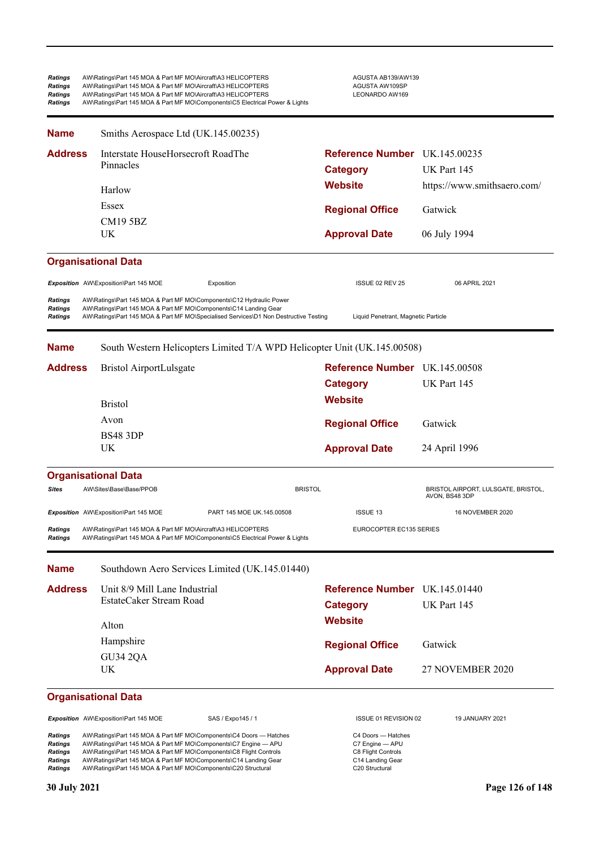| <b>Ratings</b><br><b>Ratings</b><br><b>Ratings</b><br><b>Ratings</b> | AW\Ratings\Part 145 MOA & Part MF MO\Aircraft\A3 HELICOPTERS<br>AW\Ratings\Part 145 MOA & Part MF MO\Aircraft\A3 HELICOPTERS<br>AW\Ratings\Part 145 MOA & Part MF MO\Aircraft\A3 HELICOPTERS | AW\Ratings\Part 145 MOA & Part MF MO\Components\C5 Electrical Power & Lights                                                                                | AGUSTA AB139/AW139<br>AGUSTA AW109SP<br>LEONARDO AW169 |                   |
|----------------------------------------------------------------------|----------------------------------------------------------------------------------------------------------------------------------------------------------------------------------------------|-------------------------------------------------------------------------------------------------------------------------------------------------------------|--------------------------------------------------------|-------------------|
| <b>Name</b>                                                          | Smiths Aerospace Ltd (UK.145.00235)                                                                                                                                                          |                                                                                                                                                             |                                                        |                   |
| <b>Address</b>                                                       | Interstate HouseHorsecroft RoadThe                                                                                                                                                           |                                                                                                                                                             | <b>Reference Number</b>                                | UK.145.00235      |
|                                                                      | Pinnacles                                                                                                                                                                                    |                                                                                                                                                             | <b>Category</b>                                        | UK Part 145       |
|                                                                      | Harlow                                                                                                                                                                                       |                                                                                                                                                             | Website                                                | https://www.smith |
|                                                                      | <b>Essex</b>                                                                                                                                                                                 |                                                                                                                                                             | <b>Regional Office</b>                                 | Gatwick           |
|                                                                      | <b>CM19 5BZ</b><br>UK                                                                                                                                                                        |                                                                                                                                                             | <b>Approval Date</b>                                   | 06 July 1994      |
|                                                                      | <b>Organisational Data</b>                                                                                                                                                                   |                                                                                                                                                             |                                                        |                   |
|                                                                      | Exposition AW\Exposition\Part 145 MOE                                                                                                                                                        | Exposition                                                                                                                                                  | ISSUE 02 REV 25                                        | 06 APRIL 2021     |
| <b>Ratings</b><br><b>Ratings</b><br><b>Ratings</b>                   | AW\Ratings\Part 145 MOA & Part MF MO\Components\C14 Landing Gear                                                                                                                             | AW\Ratings\Part 145 MOA & Part MF MO\Components\C12 Hydraulic Power<br>AW\Ratings\Part 145 MOA & Part MF MO\Specialised Services\D1 Non Destructive Testing | Liquid Penetrant, Magnetic Particle                    |                   |

| <b>Address</b> | Bristol AirportLulsgate | Reference Number UK.145.00508 |               |
|----------------|-------------------------|-------------------------------|---------------|
|                |                         | Category                      | UK Part 145   |
|                | <b>Bristol</b>          | <b>Website</b>                |               |
|                | Avon                    | <b>Regional Office</b>        | Gatwick       |
|                | <b>BS48 3DP</b><br>UK.  | <b>Approval Date</b>          | 24 April 1996 |

| <b>Organisational Data</b>       |                                                                                                                                              |                           |                         |                                                              |  |  |
|----------------------------------|----------------------------------------------------------------------------------------------------------------------------------------------|---------------------------|-------------------------|--------------------------------------------------------------|--|--|
| <b>Sites</b>                     | AW\Sites\Base\Base/PPOB                                                                                                                      | <b>BRISTOL</b>            |                         | <b>BRISTOL AIRPORT, LULSGATE, BRISTOL,</b><br>AVON, BS48 3DP |  |  |
|                                  | <b>Exposition</b> AW\Exposition\Part 145 MOE                                                                                                 | PART 145 MOE UK.145,00508 | <b>ISSUE 13</b>         | 16 NOVEMBER 2020                                             |  |  |
| <b>Ratings</b><br><b>Ratings</b> | AW\Ratings\Part 145 MOA & Part MF MO\Aircraft\A3 HELICOPTERS<br>AW\Ratings\Part 145 MOA & Part MF MO\Components\C5 Electrical Power & Lights |                           | EUROCOPTER EC135 SERIES |                                                              |  |  |

| <b>Name</b>    | Southdown Aero Services Limited (UK.145.01440) |                               |                  |  |
|----------------|------------------------------------------------|-------------------------------|------------------|--|
| <b>Address</b> | Unit 8/9 Mill Lane Industrial                  | Reference Number UK.145.01440 |                  |  |
|                | EstateCaker Stream Road                        | <b>Category</b>               | UK Part 145      |  |
|                | Alton                                          | <b>Website</b>                |                  |  |
|                | Hampshire                                      | <b>Regional Office</b>        | Gatwick          |  |
|                | <b>GU34 2QA</b>                                |                               |                  |  |
|                | UK.                                            | <b>Approval Date</b>          | 27 NOVEMBER 2020 |  |

### **Organisational Data**

**Exposition** AW\Exposition\Part 145 MOE SAS / Expo145 / 1 1 1 1 1 1 1 ISSUE 01 REVISION 02 19 JANUARY 2021

**Ratings** AW\Ratings\Part 145 MOA & Part MF MO\Components\C4 Doors — Hatches <br> **Ratings** AW\Ratings\Part 145 MOA & Part MF MO\Components\C7 Engine — APU C7 Engine — APU<br> **Ratings** AW\Ratings\Part 145 MOA & Part MF MO\Compo Ratings AW\Ratings\Part 145 MOA & Part MF MO\Components\C7 Engine — APU C7 Engine — APU Ratings AW\Ratings\Part 145 MOA & Part MF MO\Components\C8 Flight Controls C8 Flight Controls C8 Flight Controls Ratings AW\Ratings\Part 145 MOA & Part MF MO\Components\C14 Landing Gear C14 Landing Gear Ratings AW\Ratings\Part 145 MOA & Part MF MO\Components\C20 Structural C20 Structural C20 Structural

**Website** https://www.smithsaero.com/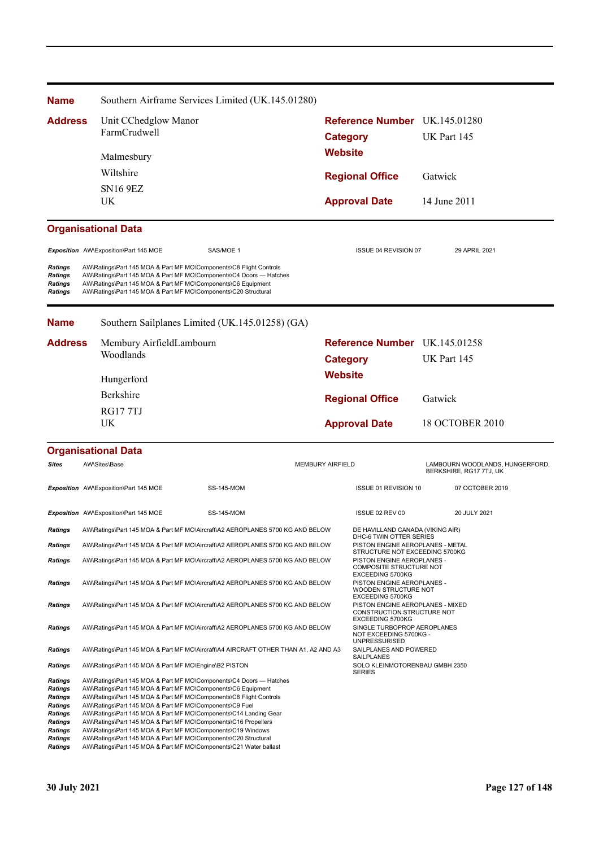| <b>Name</b>                                                                                               |                                                                                                                                                                                                                                                                                                                            | Southern Airframe Services Limited (UK.145.01280)                                                                                                                                                            |                         |                                                                                    |                                                            |
|-----------------------------------------------------------------------------------------------------------|----------------------------------------------------------------------------------------------------------------------------------------------------------------------------------------------------------------------------------------------------------------------------------------------------------------------------|--------------------------------------------------------------------------------------------------------------------------------------------------------------------------------------------------------------|-------------------------|------------------------------------------------------------------------------------|------------------------------------------------------------|
| <b>Address</b>                                                                                            | Unit CChedglow Manor                                                                                                                                                                                                                                                                                                       |                                                                                                                                                                                                              |                         | <b>Reference Number</b> UK.145.01280                                               |                                                            |
|                                                                                                           | FarmCrudwell                                                                                                                                                                                                                                                                                                               |                                                                                                                                                                                                              |                         | <b>Category</b>                                                                    | UK Part 145                                                |
|                                                                                                           | Malmesbury                                                                                                                                                                                                                                                                                                                 |                                                                                                                                                                                                              |                         | <b>Website</b>                                                                     |                                                            |
|                                                                                                           | Wiltshire                                                                                                                                                                                                                                                                                                                  |                                                                                                                                                                                                              |                         | <b>Regional Office</b>                                                             | Gatwick                                                    |
|                                                                                                           | <b>SN16 9EZ</b>                                                                                                                                                                                                                                                                                                            |                                                                                                                                                                                                              |                         |                                                                                    |                                                            |
|                                                                                                           | UK                                                                                                                                                                                                                                                                                                                         |                                                                                                                                                                                                              |                         | <b>Approval Date</b>                                                               | 14 June 2011                                               |
|                                                                                                           | <b>Organisational Data</b>                                                                                                                                                                                                                                                                                                 |                                                                                                                                                                                                              |                         |                                                                                    |                                                            |
|                                                                                                           | Exposition AW\Exposition\Part 145 MOE                                                                                                                                                                                                                                                                                      | SAS/MOE 1                                                                                                                                                                                                    |                         | ISSUE 04 REVISION 07                                                               | 29 APRIL 2021                                              |
| Ratings<br>Ratings<br><b>Ratings</b><br><b>Ratings</b>                                                    | AW\Ratings\Part 145 MOA & Part MF MO\Components\C6 Equipment<br>AW\Ratings\Part 145 MOA & Part MF MO\Components\C20 Structural                                                                                                                                                                                             | AW\Ratings\Part 145 MOA & Part MF MO\Components\C8 Flight Controls<br>AW\Ratings\Part 145 MOA & Part MF MO\Components\C4 Doors - Hatches                                                                     |                         |                                                                                    |                                                            |
| <b>Name</b>                                                                                               |                                                                                                                                                                                                                                                                                                                            | Southern Sailplanes Limited (UK.145.01258) (GA)                                                                                                                                                              |                         |                                                                                    |                                                            |
| <b>Address</b>                                                                                            | Membury AirfieldLambourn                                                                                                                                                                                                                                                                                                   |                                                                                                                                                                                                              |                         | Reference Number UK.145.01258                                                      |                                                            |
|                                                                                                           | Woodlands                                                                                                                                                                                                                                                                                                                  |                                                                                                                                                                                                              | <b>Category</b>         |                                                                                    | UK Part 145                                                |
|                                                                                                           | Hungerford                                                                                                                                                                                                                                                                                                                 |                                                                                                                                                                                                              | <b>Website</b>          |                                                                                    |                                                            |
|                                                                                                           | Berkshire                                                                                                                                                                                                                                                                                                                  |                                                                                                                                                                                                              |                         | <b>Regional Office</b>                                                             | Gatwick                                                    |
|                                                                                                           | <b>RG177TJ</b>                                                                                                                                                                                                                                                                                                             |                                                                                                                                                                                                              |                         |                                                                                    |                                                            |
|                                                                                                           | UK                                                                                                                                                                                                                                                                                                                         |                                                                                                                                                                                                              |                         | <b>Approval Date</b>                                                               | 18 OCTOBER 2010                                            |
|                                                                                                           | <b>Organisational Data</b>                                                                                                                                                                                                                                                                                                 |                                                                                                                                                                                                              |                         |                                                                                    |                                                            |
| Sites                                                                                                     | AW\Sites\Base                                                                                                                                                                                                                                                                                                              |                                                                                                                                                                                                              | <b>MEMBURY AIRFIELD</b> |                                                                                    | LAMBOURN WOODLANDS, HUNGERFORD,<br>BERKSHIRE, RG17 7TJ, UK |
|                                                                                                           | Exposition AW\Exposition\Part 145 MOE                                                                                                                                                                                                                                                                                      | <b>SS-145-MOM</b>                                                                                                                                                                                            |                         | ISSUE 01 REVISION 10                                                               | 07 OCTOBER 2019                                            |
|                                                                                                           | Exposition AW\Exposition\Part 145 MOE                                                                                                                                                                                                                                                                                      | <b>SS-145-MOM</b>                                                                                                                                                                                            |                         | ISSUE 02 REV 00                                                                    | 20 JULY 2021                                               |
| Ratings                                                                                                   |                                                                                                                                                                                                                                                                                                                            | AW\Ratings\Part 145 MOA & Part MF MO\Aircraft\A2 AEROPLANES 5700 KG AND BELOW                                                                                                                                |                         | DE HAVILLAND CANADA (VIKING AIR)<br>DHC-6 TWIN OTTER SERIES                        |                                                            |
| <b>Ratings</b>                                                                                            |                                                                                                                                                                                                                                                                                                                            | AW\Ratings\Part 145 MOA & Part MF MO\Aircraft\A2 AEROPLANES 5700 KG AND BELOW                                                                                                                                |                         | PISTON ENGINE AEROPLANES - METAL<br>STRUCTURE NOT EXCEEDING 5700KG                 |                                                            |
| <b>Ratings</b>                                                                                            |                                                                                                                                                                                                                                                                                                                            | AW\Ratings\Part 145 MOA & Part MF MO\Aircraft\A2 AEROPLANES 5700 KG AND BELOW                                                                                                                                |                         | PISTON ENGINE AEROPLANES -<br>COMPOSITE STRUCTURE NOT<br>EXCEEDING 5700KG          |                                                            |
| <b>Ratings</b>                                                                                            |                                                                                                                                                                                                                                                                                                                            | AW\Ratings\Part 145 MOA & Part MF MO\Aircraft\A2 AEROPLANES 5700 KG AND BELOW                                                                                                                                |                         | PISTON ENGINE AEROPLANES -<br>WOODEN STRUCTURE NOT<br>EXCEEDING 5700KG             |                                                            |
| <b>Ratings</b>                                                                                            |                                                                                                                                                                                                                                                                                                                            | AW\Ratings\Part 145 MOA & Part MF MO\Aircraft\A2 AEROPLANES 5700 KG AND BELOW                                                                                                                                |                         | PISTON ENGINE AEROPLANES - MIXED<br>CONSTRUCTION STRUCTURE NOT<br>EXCEEDING 5700KG |                                                            |
| Ratings                                                                                                   |                                                                                                                                                                                                                                                                                                                            | AW\Ratings\Part 145 MOA & Part MF MO\Aircraft\A2 AEROPLANES 5700 KG AND BELOW                                                                                                                                |                         | SINGLE TURBOPROP AEROPLANES<br>NOT EXCEEDING 5700KG -<br><b>UNPRESSURISED</b>      |                                                            |
| Ratings                                                                                                   |                                                                                                                                                                                                                                                                                                                            | AW\Ratings\Part 145 MOA & Part MF MO\Aircraft\A4 AIRCRAFT OTHER THAN A1, A2 AND A3                                                                                                                           |                         | SAILPLANES AND POWERED<br>SAILPLANES                                               |                                                            |
| <b>Ratings</b>                                                                                            | AW\Ratings\Part 145 MOA & Part MF MO\Engine\B2 PISTON                                                                                                                                                                                                                                                                      |                                                                                                                                                                                                              |                         | SOLO KLEINMOTORENBAU GMBH 2350<br><b>SERIES</b>                                    |                                                            |
| Ratings<br>Ratings<br>Ratings<br>Ratings<br>Ratings<br><b>Ratings</b><br><b>Ratings</b><br><b>Ratings</b> | AW\Ratings\Part 145 MOA & Part MF MO\Components\C6 Equipment<br>AW\Ratings\Part 145 MOA & Part MF MO\Components\C9 Fuel<br>AW\Ratings\Part 145 MOA & Part MF MO\Components\C16 Propellers<br>AW\Ratings\Part 145 MOA & Part MF MO\Components\C19 Windows<br>AW\Ratings\Part 145 MOA & Part MF MO\Components\C20 Structural | AW\Ratings\Part 145 MOA & Part MF MO\Components\C4 Doors — Hatches<br>AW\Ratings\Part 145 MOA & Part MF MO\Components\C8 Flight Controls<br>AW\Ratings\Part 145 MOA & Part MF MO\Components\C14 Landing Gear |                         |                                                                                    |                                                            |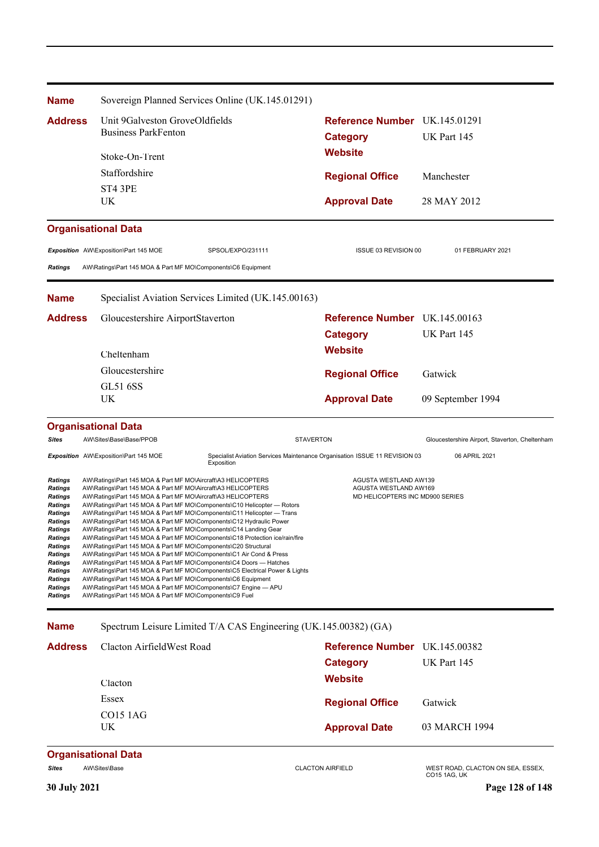| <b>Name</b>                                                                                                                                                                                                                                           |                                                                                                                                                                                                                                                                                                                                                                                                                                                                                                                                                                                                                                                                                                                                                                                                                                                                                                                                                                                                                                                                           | Sovereign Planned Services Online (UK.145.01291)                                         |                                                                                   |                                                   |  |
|-------------------------------------------------------------------------------------------------------------------------------------------------------------------------------------------------------------------------------------------------------|---------------------------------------------------------------------------------------------------------------------------------------------------------------------------------------------------------------------------------------------------------------------------------------------------------------------------------------------------------------------------------------------------------------------------------------------------------------------------------------------------------------------------------------------------------------------------------------------------------------------------------------------------------------------------------------------------------------------------------------------------------------------------------------------------------------------------------------------------------------------------------------------------------------------------------------------------------------------------------------------------------------------------------------------------------------------------|------------------------------------------------------------------------------------------|-----------------------------------------------------------------------------------|---------------------------------------------------|--|
| <b>Address</b>                                                                                                                                                                                                                                        | Unit 9Galveston GroveOldfields                                                                                                                                                                                                                                                                                                                                                                                                                                                                                                                                                                                                                                                                                                                                                                                                                                                                                                                                                                                                                                            |                                                                                          | Reference Number UK.145.01291                                                     |                                                   |  |
|                                                                                                                                                                                                                                                       | <b>Business ParkFenton</b>                                                                                                                                                                                                                                                                                                                                                                                                                                                                                                                                                                                                                                                                                                                                                                                                                                                                                                                                                                                                                                                |                                                                                          | <b>Category</b>                                                                   | UK Part 145                                       |  |
|                                                                                                                                                                                                                                                       | Stoke-On-Trent                                                                                                                                                                                                                                                                                                                                                                                                                                                                                                                                                                                                                                                                                                                                                                                                                                                                                                                                                                                                                                                            |                                                                                          | <b>Website</b>                                                                    |                                                   |  |
|                                                                                                                                                                                                                                                       | Staffordshire                                                                                                                                                                                                                                                                                                                                                                                                                                                                                                                                                                                                                                                                                                                                                                                                                                                                                                                                                                                                                                                             |                                                                                          | <b>Regional Office</b>                                                            | Manchester                                        |  |
|                                                                                                                                                                                                                                                       | ST4 3PE                                                                                                                                                                                                                                                                                                                                                                                                                                                                                                                                                                                                                                                                                                                                                                                                                                                                                                                                                                                                                                                                   |                                                                                          |                                                                                   |                                                   |  |
|                                                                                                                                                                                                                                                       | UK                                                                                                                                                                                                                                                                                                                                                                                                                                                                                                                                                                                                                                                                                                                                                                                                                                                                                                                                                                                                                                                                        |                                                                                          | <b>Approval Date</b>                                                              | 28 MAY 2012                                       |  |
|                                                                                                                                                                                                                                                       | <b>Organisational Data</b>                                                                                                                                                                                                                                                                                                                                                                                                                                                                                                                                                                                                                                                                                                                                                                                                                                                                                                                                                                                                                                                |                                                                                          |                                                                                   |                                                   |  |
|                                                                                                                                                                                                                                                       | Exposition AW\Exposition\Part 145 MOE                                                                                                                                                                                                                                                                                                                                                                                                                                                                                                                                                                                                                                                                                                                                                                                                                                                                                                                                                                                                                                     | SPSOL/EXPO/231111                                                                        | ISSUE 03 REVISION 00                                                              | 01 FEBRUARY 2021                                  |  |
| <b>Ratings</b>                                                                                                                                                                                                                                        | AW\Ratings\Part 145 MOA & Part MF MO\Components\C6 Equipment                                                                                                                                                                                                                                                                                                                                                                                                                                                                                                                                                                                                                                                                                                                                                                                                                                                                                                                                                                                                              |                                                                                          |                                                                                   |                                                   |  |
| <b>Name</b>                                                                                                                                                                                                                                           |                                                                                                                                                                                                                                                                                                                                                                                                                                                                                                                                                                                                                                                                                                                                                                                                                                                                                                                                                                                                                                                                           | Specialist Aviation Services Limited (UK.145.00163)                                      |                                                                                   |                                                   |  |
| <b>Address</b>                                                                                                                                                                                                                                        | Gloucestershire AirportStaverton                                                                                                                                                                                                                                                                                                                                                                                                                                                                                                                                                                                                                                                                                                                                                                                                                                                                                                                                                                                                                                          |                                                                                          | Reference Number UK.145.00163                                                     |                                                   |  |
|                                                                                                                                                                                                                                                       |                                                                                                                                                                                                                                                                                                                                                                                                                                                                                                                                                                                                                                                                                                                                                                                                                                                                                                                                                                                                                                                                           |                                                                                          | <b>Category</b>                                                                   | UK Part 145                                       |  |
|                                                                                                                                                                                                                                                       | Cheltenham                                                                                                                                                                                                                                                                                                                                                                                                                                                                                                                                                                                                                                                                                                                                                                                                                                                                                                                                                                                                                                                                |                                                                                          | <b>Website</b>                                                                    |                                                   |  |
|                                                                                                                                                                                                                                                       | Gloucestershire                                                                                                                                                                                                                                                                                                                                                                                                                                                                                                                                                                                                                                                                                                                                                                                                                                                                                                                                                                                                                                                           |                                                                                          | <b>Regional Office</b>                                                            | Gatwick                                           |  |
|                                                                                                                                                                                                                                                       | <b>GL51 6SS</b>                                                                                                                                                                                                                                                                                                                                                                                                                                                                                                                                                                                                                                                                                                                                                                                                                                                                                                                                                                                                                                                           |                                                                                          |                                                                                   |                                                   |  |
|                                                                                                                                                                                                                                                       | UK                                                                                                                                                                                                                                                                                                                                                                                                                                                                                                                                                                                                                                                                                                                                                                                                                                                                                                                                                                                                                                                                        |                                                                                          | <b>Approval Date</b>                                                              | 09 September 1994                                 |  |
|                                                                                                                                                                                                                                                       | <b>Organisational Data</b>                                                                                                                                                                                                                                                                                                                                                                                                                                                                                                                                                                                                                                                                                                                                                                                                                                                                                                                                                                                                                                                |                                                                                          |                                                                                   |                                                   |  |
| <b>Sites</b>                                                                                                                                                                                                                                          | AW\Sites\Base\Base/PPOB                                                                                                                                                                                                                                                                                                                                                                                                                                                                                                                                                                                                                                                                                                                                                                                                                                                                                                                                                                                                                                                   | <b>STAVERTON</b>                                                                         |                                                                                   | Gloucestershire Airport, Staverton, Cheltenham    |  |
|                                                                                                                                                                                                                                                       | Exposition AW\Exposition\Part 145 MOE                                                                                                                                                                                                                                                                                                                                                                                                                                                                                                                                                                                                                                                                                                                                                                                                                                                                                                                                                                                                                                     | Specialist Aviation Services Maintenance Organisation ISSUE 11 REVISION 03<br>Exposition |                                                                                   | 06 APRIL 2021                                     |  |
| <b>Ratings</b><br><b>Ratings</b><br><b>Ratings</b><br><b>Ratings</b><br><b>Ratings</b><br><b>Ratings</b><br>Ratings<br>Ratings<br>Ratings<br><b>Ratings</b><br><b>Ratings</b><br><b>Ratings</b><br><b>Ratings</b><br><b>Ratings</b><br><b>Ratings</b> | AW\Ratings\Part 145 MOA & Part MF MO\Aircraft\A3 HELICOPTERS<br>AW\Ratings\Part 145 MOA & Part MF MO\Aircraft\A3 HELICOPTERS<br>AW\Ratings\Part 145 MOA & Part MF MO\Aircraft\A3 HELICOPTERS<br>AW\Ratings\Part 145 MOA & Part MF MO\Components\C10 Helicopter - Rotors<br>AW\Ratings\Part 145 MOA & Part MF MO\Components\C11 Helicopter - Trans<br>AW\Ratings\Part 145 MOA & Part MF MO\Components\C12 Hydraulic Power<br>AW\Ratings\Part 145 MOA & Part MF MO\Components\C14 Landing Gear<br>AW\Ratings\Part 145 MOA & Part MF MO\Components\C18 Protection ice/rain/fire<br>AW\Ratings\Part 145 MOA & Part MF MO\Components\C20 Structural<br>AW\Ratings\Part 145 MOA & Part MF MO\Components\C1 Air Cond & Press<br>AW\Ratings\Part 145 MOA & Part MF MO\Components\C4 Doors - Hatches<br>AW\Ratings\Part 145 MOA & Part MF MO\Components\C5 Electrical Power & Lights<br>AW\Ratings\Part 145 MOA & Part MF MO\Components\C6 Equipment<br>AW\Ratings\Part 145 MOA & Part MF MO\Components\C7 Engine - APU<br>AW\Ratings\Part 145 MOA & Part MF MO\Components\C9 Fuel |                                                                                          | AGUSTA WESTLAND AW139<br>AGUSTA WESTLAND AW169<br>MD HELICOPTERS INC MD900 SERIES |                                                   |  |
| <b>Name</b>                                                                                                                                                                                                                                           |                                                                                                                                                                                                                                                                                                                                                                                                                                                                                                                                                                                                                                                                                                                                                                                                                                                                                                                                                                                                                                                                           | Spectrum Leisure Limited T/A CAS Engineering (UK.145.00382) (GA)                         |                                                                                   |                                                   |  |
| <b>Address</b>                                                                                                                                                                                                                                        | Clacton AirfieldWest Road                                                                                                                                                                                                                                                                                                                                                                                                                                                                                                                                                                                                                                                                                                                                                                                                                                                                                                                                                                                                                                                 |                                                                                          | Reference Number UK.145.00382                                                     |                                                   |  |
|                                                                                                                                                                                                                                                       |                                                                                                                                                                                                                                                                                                                                                                                                                                                                                                                                                                                                                                                                                                                                                                                                                                                                                                                                                                                                                                                                           |                                                                                          | <b>Category</b>                                                                   | UK Part 145                                       |  |
|                                                                                                                                                                                                                                                       | Clacton                                                                                                                                                                                                                                                                                                                                                                                                                                                                                                                                                                                                                                                                                                                                                                                                                                                                                                                                                                                                                                                                   |                                                                                          | <b>Website</b>                                                                    |                                                   |  |
|                                                                                                                                                                                                                                                       | Essex                                                                                                                                                                                                                                                                                                                                                                                                                                                                                                                                                                                                                                                                                                                                                                                                                                                                                                                                                                                                                                                                     |                                                                                          | <b>Regional Office</b>                                                            | Gatwick                                           |  |
|                                                                                                                                                                                                                                                       | <b>CO15 1AG</b>                                                                                                                                                                                                                                                                                                                                                                                                                                                                                                                                                                                                                                                                                                                                                                                                                                                                                                                                                                                                                                                           |                                                                                          |                                                                                   |                                                   |  |
|                                                                                                                                                                                                                                                       | UK                                                                                                                                                                                                                                                                                                                                                                                                                                                                                                                                                                                                                                                                                                                                                                                                                                                                                                                                                                                                                                                                        |                                                                                          | <b>Approval Date</b>                                                              | 03 MARCH 1994                                     |  |
|                                                                                                                                                                                                                                                       | <b>Organisational Data</b>                                                                                                                                                                                                                                                                                                                                                                                                                                                                                                                                                                                                                                                                                                                                                                                                                                                                                                                                                                                                                                                |                                                                                          |                                                                                   |                                                   |  |
| <b>Sites</b>                                                                                                                                                                                                                                          | AW\Sites\Base                                                                                                                                                                                                                                                                                                                                                                                                                                                                                                                                                                                                                                                                                                                                                                                                                                                                                                                                                                                                                                                             |                                                                                          | <b>CLACTON AIRFIELD</b>                                                           | WEST ROAD, CLACTON ON SEA, ESSEX,<br>CO15 1AG, UK |  |
| 30 July 2021                                                                                                                                                                                                                                          |                                                                                                                                                                                                                                                                                                                                                                                                                                                                                                                                                                                                                                                                                                                                                                                                                                                                                                                                                                                                                                                                           |                                                                                          |                                                                                   | Page 128 of 148                                   |  |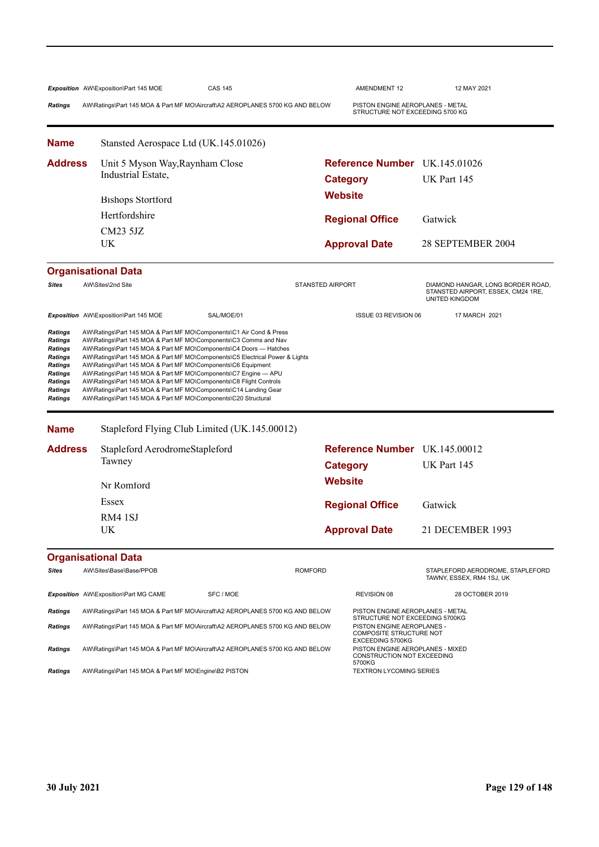|                                                     | Exposition AW\Exposition\Part 145 MOE                                                                                                                                                                                                                                                                                                       | <b>CAS 145</b>                                |                         | AMENDMENT 12                                                                                 | 12 MAY 2021                                                                               |  |  |
|-----------------------------------------------------|---------------------------------------------------------------------------------------------------------------------------------------------------------------------------------------------------------------------------------------------------------------------------------------------------------------------------------------------|-----------------------------------------------|-------------------------|----------------------------------------------------------------------------------------------|-------------------------------------------------------------------------------------------|--|--|
| <b>Ratings</b>                                      | AW\Ratings\Part 145 MOA & Part MF MO\Aircraft\A2 AEROPLANES 5700 KG AND BELOW                                                                                                                                                                                                                                                               |                                               |                         | PISTON ENGINE AEROPLANES - METAL<br>STRUCTURE NOT EXCEEDING 5700 KG                          |                                                                                           |  |  |
| <b>Name</b>                                         | Stansted Aerospace Ltd (UK.145.01026)                                                                                                                                                                                                                                                                                                       |                                               |                         |                                                                                              |                                                                                           |  |  |
| Address                                             | Unit 5 Myson Way, Raynham Close                                                                                                                                                                                                                                                                                                             |                                               |                         | <b>Reference Number</b> UK.145.01026                                                         |                                                                                           |  |  |
|                                                     | Industrial Estate,                                                                                                                                                                                                                                                                                                                          |                                               |                         | <b>Category</b>                                                                              | UK Part 145                                                                               |  |  |
|                                                     |                                                                                                                                                                                                                                                                                                                                             | <b>Bishops Stortford</b>                      |                         |                                                                                              |                                                                                           |  |  |
|                                                     | Hertfordshire                                                                                                                                                                                                                                                                                                                               |                                               |                         |                                                                                              | Gatwick                                                                                   |  |  |
|                                                     | <b>CM23 5JZ</b>                                                                                                                                                                                                                                                                                                                             |                                               |                         | <b>Regional Office</b>                                                                       |                                                                                           |  |  |
|                                                     | UK                                                                                                                                                                                                                                                                                                                                          |                                               |                         | <b>Approval Date</b>                                                                         | 28 SEPTEMBER 2004                                                                         |  |  |
|                                                     | <b>Organisational Data</b>                                                                                                                                                                                                                                                                                                                  |                                               |                         |                                                                                              |                                                                                           |  |  |
| Sites                                               | AW\Sites\2nd Site                                                                                                                                                                                                                                                                                                                           |                                               | <b>STANSTED AIRPORT</b> |                                                                                              | DIAMOND HANGAR, LONG BORDER ROAD,<br>STANSTED AIRPORT, ESSEX, CM24 1RE,<br>UNITED KINGDOM |  |  |
|                                                     | Exposition AW\Exposition\Part 145 MOE                                                                                                                                                                                                                                                                                                       | SAL/MOE/01                                    |                         | ISSUE 03 REVISION 06                                                                         | 17 MARCH 2021                                                                             |  |  |
| Ratings<br>Ratings<br>Ratings<br>Ratings<br>Ratings | AW\Ratings\Part 145 MOA & Part MF MO\Components\C6 Equipment<br>AW\Ratings\Part 145 MOA & Part MF MO\Components\C7 Engine - APU<br>AW\Ratings\Part 145 MOA & Part MF MO\Components\C8 Flight Controls<br>AW\Ratings\Part 145 MOA & Part MF MO\Components\C14 Landing Gear<br>AW\Ratings\Part 145 MOA & Part MF MO\Components\C20 Structural |                                               |                         |                                                                                              |                                                                                           |  |  |
| <b>Name</b>                                         |                                                                                                                                                                                                                                                                                                                                             | Stapleford Flying Club Limited (UK.145.00012) |                         |                                                                                              |                                                                                           |  |  |
| <b>Address</b>                                      | Stapleford AerodromeStapleford                                                                                                                                                                                                                                                                                                              |                                               |                         | Reference Number UK.145.00012                                                                |                                                                                           |  |  |
|                                                     | Tawney                                                                                                                                                                                                                                                                                                                                      |                                               |                         | <b>Category</b>                                                                              | UK Part 145                                                                               |  |  |
|                                                     | Nr Romford                                                                                                                                                                                                                                                                                                                                  |                                               | <b>Website</b>          |                                                                                              |                                                                                           |  |  |
|                                                     | Essex                                                                                                                                                                                                                                                                                                                                       |                                               |                         | <b>Regional Office</b>                                                                       | Gatwick                                                                                   |  |  |
|                                                     | RM4 1SJ                                                                                                                                                                                                                                                                                                                                     |                                               |                         |                                                                                              |                                                                                           |  |  |
|                                                     | <b>UK</b>                                                                                                                                                                                                                                                                                                                                   |                                               |                         | <b>Approval Date</b>                                                                         | 21 DECEMBER 1993                                                                          |  |  |
|                                                     | <b>Organisational Data</b>                                                                                                                                                                                                                                                                                                                  |                                               |                         |                                                                                              |                                                                                           |  |  |
| Sites                                               | AW\Sites\Base\Base/PPOB                                                                                                                                                                                                                                                                                                                     |                                               | <b>ROMFORD</b>          |                                                                                              | STAPLEFORD AERODROME, STAPLEFORD<br>TAWNY, ESSEX, RM4 1SJ, UK                             |  |  |
|                                                     | Exposition AW\Exposition\Part MG CAME                                                                                                                                                                                                                                                                                                       | SFC / MOE                                     |                         | <b>REVISION 08</b>                                                                           | 28 OCTOBER 2019                                                                           |  |  |
| Ratings                                             | AW\Ratings\Part 145 MOA & Part MF MO\Aircraft\A2 AEROPLANES 5700 KG AND BELOW                                                                                                                                                                                                                                                               |                                               |                         | PISTON ENGINE AEROPLANES - METAL<br>STRUCTURE NOT EXCEEDING 5700KG                           |                                                                                           |  |  |
| <b>Ratings</b>                                      | AW\Ratings\Part 145 MOA & Part MF MO\Aircraft\A2 AEROPLANES 5700 KG AND BELOW                                                                                                                                                                                                                                                               |                                               |                         | PISTON ENGINE AEROPLANES -<br>COMPOSITE STRUCTURE NOT                                        |                                                                                           |  |  |
| Ratings                                             | AW\Ratings\Part 145 MOA & Part MF MO\Aircraft\A2 AEROPLANES 5700 KG AND BELOW                                                                                                                                                                                                                                                               |                                               |                         | EXCEEDING 5700KG<br>PISTON ENGINE AEROPLANES - MIXED<br>CONSTRUCTION NOT EXCEEDING<br>5700KG |                                                                                           |  |  |
| Ratings                                             | AW\Ratings\Part 145 MOA & Part MF MO\Engine\B2 PISTON                                                                                                                                                                                                                                                                                       |                                               |                         | <b>TEXTRON LYCOMING SERIES</b>                                                               |                                                                                           |  |  |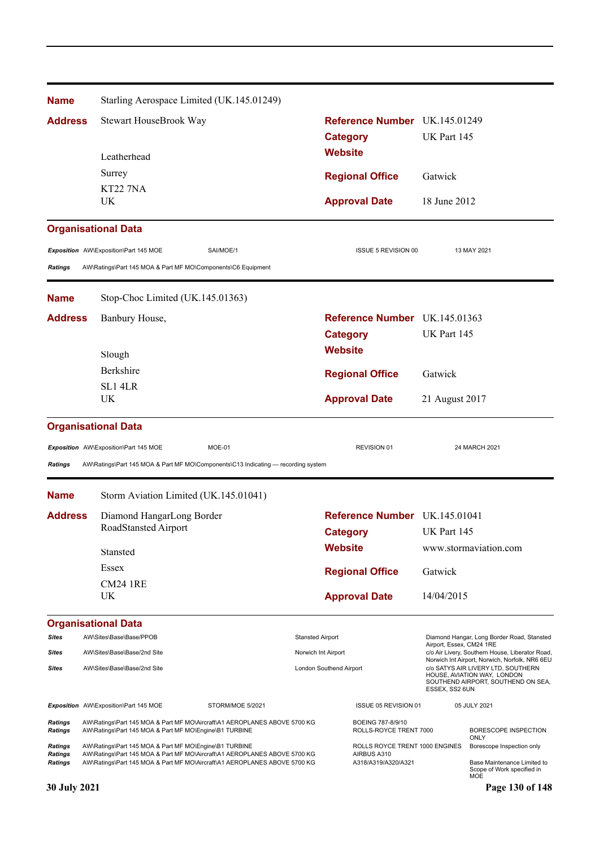| <b>Name</b>               | Starling Aerospace Limited (UK.145.01249)                                                                                           |                  |                                          |                                               |                          |                                                                                                         |  |
|---------------------------|-------------------------------------------------------------------------------------------------------------------------------------|------------------|------------------------------------------|-----------------------------------------------|--------------------------|---------------------------------------------------------------------------------------------------------|--|
| <b>Address</b>            | Stewart HouseBrook Way                                                                                                              |                  |                                          | Reference Number UK.145.01249                 |                          |                                                                                                         |  |
|                           |                                                                                                                                     |                  | <b>Category</b>                          |                                               | UK Part 145              |                                                                                                         |  |
|                           | Leatherhead                                                                                                                         |                  | <b>Website</b>                           |                                               |                          |                                                                                                         |  |
|                           | Surrey                                                                                                                              |                  |                                          | <b>Regional Office</b>                        | Gatwick                  |                                                                                                         |  |
|                           | <b>KT22 7NA</b><br>UK                                                                                                               |                  |                                          | <b>Approval Date</b>                          | 18 June 2012             |                                                                                                         |  |
|                           |                                                                                                                                     |                  |                                          |                                               |                          |                                                                                                         |  |
|                           | <b>Organisational Data</b>                                                                                                          |                  |                                          |                                               |                          |                                                                                                         |  |
|                           | Exposition AW\Exposition\Part 145 MOE                                                                                               | SAI/MOE/1        |                                          | ISSUE 5 REVISION 00                           |                          | 13 MAY 2021                                                                                             |  |
| <b>Ratings</b>            | AW\Ratings\Part 145 MOA & Part MF MO\Components\C6 Equipment                                                                        |                  |                                          |                                               |                          |                                                                                                         |  |
| <b>Name</b>               | Stop-Choc Limited (UK.145.01363)                                                                                                    |                  |                                          |                                               |                          |                                                                                                         |  |
| <b>Address</b>            | Banbury House,                                                                                                                      |                  |                                          | Reference Number UK.145.01363                 |                          |                                                                                                         |  |
|                           |                                                                                                                                     |                  | <b>Category</b>                          |                                               | UK Part 145              |                                                                                                         |  |
|                           | Slough                                                                                                                              | <b>Website</b>   |                                          |                                               |                          |                                                                                                         |  |
|                           | Berkshire<br>SL1 4LR<br><b>UK</b>                                                                                                   |                  |                                          | <b>Regional Office</b>                        |                          | Gatwick                                                                                                 |  |
|                           |                                                                                                                                     |                  |                                          | <b>Approval Date</b>                          | 21 August 2017           |                                                                                                         |  |
|                           |                                                                                                                                     |                  |                                          |                                               |                          |                                                                                                         |  |
|                           | <b>Organisational Data</b>                                                                                                          |                  |                                          |                                               |                          |                                                                                                         |  |
|                           | Exposition AW\Exposition\Part 145 MOE                                                                                               | MOE-01           |                                          | REVISION 01                                   |                          | 24 MARCH 2021                                                                                           |  |
| <b>Ratings</b>            | AW\Ratings\Part 145 MOA & Part MF MO\Components\C13 Indicating — recording system                                                   |                  |                                          |                                               |                          |                                                                                                         |  |
| <b>Name</b>               | Storm Aviation Limited (UK.145.01041)                                                                                               |                  |                                          |                                               |                          |                                                                                                         |  |
| <b>Address</b>            | Diamond HangarLong Border                                                                                                           |                  |                                          | Reference Number UK.145.01041                 |                          |                                                                                                         |  |
|                           | RoadStansted Airport                                                                                                                |                  |                                          | <b>Category</b>                               | UK Part 145              |                                                                                                         |  |
|                           | Stansted                                                                                                                            |                  | <b>Website</b><br><b>Regional Office</b> |                                               |                          | www.stormaviation.com                                                                                   |  |
|                           | Essex                                                                                                                               |                  |                                          |                                               | Gatwick                  |                                                                                                         |  |
|                           | <b>CM24 1RE</b>                                                                                                                     |                  |                                          |                                               |                          |                                                                                                         |  |
|                           | UK                                                                                                                                  |                  |                                          | <b>Approval Date</b>                          |                          | 14/04/2015                                                                                              |  |
|                           | <b>Organisational Data</b>                                                                                                          |                  |                                          |                                               |                          |                                                                                                         |  |
| <b>Sites</b>              | AW\Sites\Base\Base/PPOB                                                                                                             |                  | <b>Stansted Airport</b>                  |                                               | Airport, Essex, CM24 1RE | Diamond Hangar, Long Border Road, Stansted                                                              |  |
| Sites                     | AW\Sites\Base\Base/2nd Site                                                                                                         |                  | Norwich Int Airport                      |                                               |                          | c/o Air Livery, Southern House, Liberator Road,<br>Norwich Int Airport, Norwich, Norfolk, NR6 6EU       |  |
| <b>Sites</b>              | AW\Sites\Base\Base/2nd Site                                                                                                         |                  | London Southend Airport                  |                                               | ESSEX, SS2 6UN           | c/o SATYS AIR LIVERY LTD, SOUTHERN<br>HOUSE, AVIATION WAY, LONDON<br>SOUTHEND AIRPORT, SOUTHEND ON SEA, |  |
|                           | Exposition AW\Exposition\Part 145 MOE                                                                                               | STORM/MOE 5/2021 |                                          | ISSUE 05 REVISION 01                          |                          | 05 JULY 2021                                                                                            |  |
| Ratings<br><b>Ratings</b> | AW\Ratings\Part 145 MOA & Part MF MO\Aircraft\A1 AEROPLANES ABOVE 5700 KG<br>AW\Ratings\Part 145 MOA & Part MF MO\Engine\B1 TURBINE |                  |                                          | BOEING 787-8/9/10<br>ROLLS-ROYCE TRENT 7000   |                          | BORESCOPE INSPECTION<br>ONLY                                                                            |  |
| Ratings<br>Ratings        | AW\Ratings\Part 145 MOA & Part MF MO\Engine\B1 TURBINE<br>AW\Ratings\Part 145 MOA & Part MF MO\Aircraft\A1 AEROPLANES ABOVE 5700 KG |                  |                                          | ROLLS ROYCE TRENT 1000 ENGINES<br>AIRBUS A310 |                          | Borescope Inspection only                                                                               |  |
| Ratings                   | AW\Ratings\Part 145 MOA & Part MF MO\Aircraft\A1 AEROPLANES ABOVE 5700 KG                                                           |                  |                                          | A318/A319/A320/A321                           |                          | Base Maintenance Limited to<br>Scope of Work specified in<br>MOE                                        |  |
| 30 July 2021              |                                                                                                                                     |                  |                                          |                                               |                          | Page 130 of 148                                                                                         |  |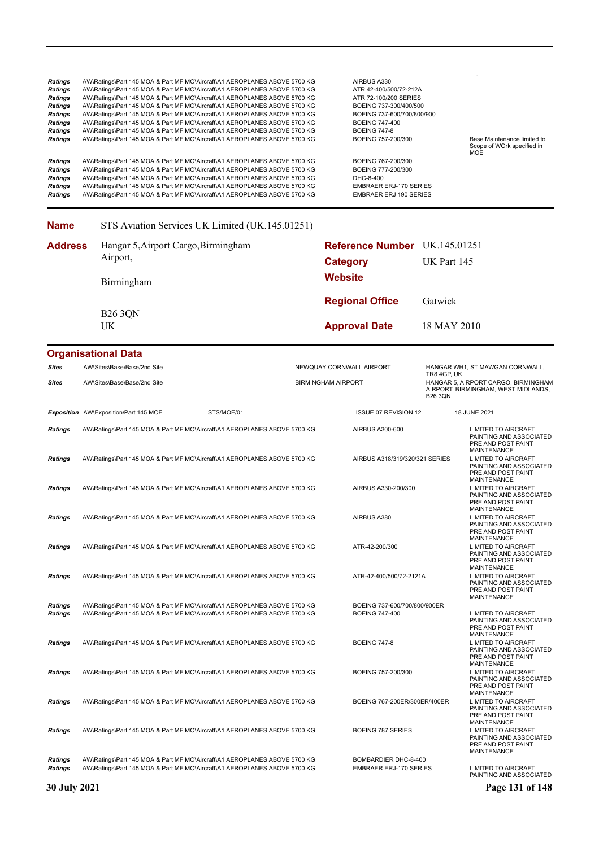| <b>Ratings</b><br>Ratings<br><b>Ratings</b><br><b>Ratings</b><br>Ratings<br><b>Ratings</b><br><b>Ratings</b><br><b>Ratings</b> | AW\Ratings\Part 145 MOA & Part MF MO\Aircraft\A1 AEROPLANES ABOVE 5700 KG<br>AW\Ratings\Part 145 MOA & Part MF MO\Aircraft\A1 AEROPLANES ABOVE 5700 KG<br>AW\Ratings\Part 145 MOA & Part MF MO\Aircraft\A1 AEROPLANES ABOVE 5700 KG<br>AW\Ratings\Part 145 MOA & Part MF MO\Aircraft\A1 AEROPLANES ABOVE 5700 KG<br>AW\Ratings\Part 145 MOA & Part MF MO\Aircraft\A1 AEROPLANES ABOVE 5700 KG<br>AW\Ratings\Part 145 MOA & Part MF MO\Aircraft\A1 AEROPLANES ABOVE 5700 KG<br>AW\Ratings\Part 145 MOA & Part MF MO\Aircraft\A1 AEROPLANES ABOVE 5700 KG<br>AW\Ratings\Part 145 MOA & Part MF MO\Aircraft\A1 AEROPLANES ABOVE 5700 KG | AIRBUS A330<br>ATR 42-400/500/72-212A<br>ATR 72-100/200 SERIES<br>BOEING 737-300/400/500<br>BOEING 737-600/700/800/900<br><b>BOEING 747-400</b><br><b>BOEING 747-8</b><br>BOEING 757-200/300 |                                      | Base Maintenance limited to<br>Scope of WOrk specified in                                                               |  |
|--------------------------------------------------------------------------------------------------------------------------------|--------------------------------------------------------------------------------------------------------------------------------------------------------------------------------------------------------------------------------------------------------------------------------------------------------------------------------------------------------------------------------------------------------------------------------------------------------------------------------------------------------------------------------------------------------------------------------------------------------------------------------------|----------------------------------------------------------------------------------------------------------------------------------------------------------------------------------------------|--------------------------------------|-------------------------------------------------------------------------------------------------------------------------|--|
| Ratings<br><b>Ratings</b><br><b>Ratings</b><br><b>Ratings</b><br><b>Ratings</b>                                                | AW\Ratings\Part 145 MOA & Part MF MO\Aircraft\A1 AEROPLANES ABOVE 5700 KG<br>AW\Ratings\Part 145 MOA & Part MF MO\Aircraft\A1 AEROPLANES ABOVE 5700 KG<br>AW\Ratings\Part 145 MOA & Part MF MO\Aircraft\A1 AEROPLANES ABOVE 5700 KG<br>AW\Ratings\Part 145 MOA & Part MF MO\Aircraft\A1 AEROPLANES ABOVE 5700 KG<br>AW\Ratings\Part 145 MOA & Part MF MO\Aircraft\A1 AEROPLANES ABOVE 5700 KG                                                                                                                                                                                                                                        | BOEING 767-200/300<br>BOEING 777-200/300<br>DHC-8-400<br><b>EMBRAER ERJ-170 SERIES</b><br><b>EMBRAER ERJ 190 SERIES</b>                                                                      |                                      | <b>MOE</b>                                                                                                              |  |
| <b>Name</b>                                                                                                                    | STS Aviation Services UK Limited (UK.145.01251)                                                                                                                                                                                                                                                                                                                                                                                                                                                                                                                                                                                      |                                                                                                                                                                                              |                                      |                                                                                                                         |  |
| <b>Address</b>                                                                                                                 | Hangar 5, Airport Cargo, Birmingham<br>Airport,                                                                                                                                                                                                                                                                                                                                                                                                                                                                                                                                                                                      | <b>Reference Number</b> UK.145.01251<br><b>Category</b>                                                                                                                                      | UK Part 145                          |                                                                                                                         |  |
|                                                                                                                                | Birmingham                                                                                                                                                                                                                                                                                                                                                                                                                                                                                                                                                                                                                           | <b>Website</b>                                                                                                                                                                               |                                      |                                                                                                                         |  |
|                                                                                                                                | <b>B26 3QN</b>                                                                                                                                                                                                                                                                                                                                                                                                                                                                                                                                                                                                                       | <b>Regional Office</b>                                                                                                                                                                       | Gatwick                              |                                                                                                                         |  |
|                                                                                                                                | <b>UK</b>                                                                                                                                                                                                                                                                                                                                                                                                                                                                                                                                                                                                                            | <b>Approval Date</b>                                                                                                                                                                         | 18 MAY 2010                          |                                                                                                                         |  |
|                                                                                                                                | <b>Organisational Data</b>                                                                                                                                                                                                                                                                                                                                                                                                                                                                                                                                                                                                           |                                                                                                                                                                                              |                                      |                                                                                                                         |  |
| <b>Sites</b><br><b>Sites</b>                                                                                                   | AW\Sites\Base\Base/2nd Site<br>AW\Sites\Base\Base/2nd Site                                                                                                                                                                                                                                                                                                                                                                                                                                                                                                                                                                           | NEWQUAY CORNWALL AIRPORT<br><b>BIRMINGHAM AIRPORT</b>                                                                                                                                        | <b>TR8 4GP, UK</b><br><b>B26 3QN</b> | HANGAR WH1, ST MAWGAN CORNWALL,<br>HANGAR 5, AIRPORT CARGO, BIRMINGHAM<br>AIRPORT, BIRMINGHAM, WEST MIDLANDS,           |  |
|                                                                                                                                | Exposition AW\Exposition\Part 145 MOE<br>STS/MOE/01                                                                                                                                                                                                                                                                                                                                                                                                                                                                                                                                                                                  | ISSUE 07 REVISION 12                                                                                                                                                                         | 18 JUNE 2021                         |                                                                                                                         |  |
| Ratings                                                                                                                        | AW\Ratings\Part 145 MOA & Part MF MO\Aircraft\A1 AEROPLANES ABOVE 5700 KG                                                                                                                                                                                                                                                                                                                                                                                                                                                                                                                                                            | AIRBUS A300-600                                                                                                                                                                              |                                      | <b>LIMITED TO AIRCRAFT</b><br>PAINTING AND ASSOCIATED<br>PRE AND POST PAINT                                             |  |
| <b>Ratings</b>                                                                                                                 | AW\Ratings\Part 145 MOA & Part MF MO\Aircraft\A1 AEROPLANES ABOVE 5700 KG                                                                                                                                                                                                                                                                                                                                                                                                                                                                                                                                                            | AIRBUS A318/319/320/321 SERIES                                                                                                                                                               |                                      | <b>MAINTENANCE</b><br><b>LIMITED TO AIRCRAFT</b><br>PAINTING AND ASSOCIATED<br>PRE AND POST PAINT                       |  |
| Ratings                                                                                                                        | AW\Ratings\Part 145 MOA & Part MF MO\Aircraft\A1 AEROPLANES ABOVE 5700 KG                                                                                                                                                                                                                                                                                                                                                                                                                                                                                                                                                            | AIRBUS A330-200/300                                                                                                                                                                          |                                      | <b>MAINTENANCE</b><br><b>LIMITED TO AIRCRAFT</b><br>PAINTING AND ASSOCIATED<br>PRE AND POST PAINT                       |  |
| <b>Ratings</b>                                                                                                                 | AW\Ratings\Part 145 MOA & Part MF MO\Aircraft\A1 AEROPLANES ABOVE 5700 KG                                                                                                                                                                                                                                                                                                                                                                                                                                                                                                                                                            | AIRBUS A380                                                                                                                                                                                  |                                      | <b>MAINTENANCE</b><br><b>LIMITED TO AIRCRAFT</b><br>PAINTING AND ASSOCIATED<br>PRE AND POST PAINT                       |  |
| <b>Ratings</b>                                                                                                                 | AW\Ratings\Part 145 MOA & Part MF MO\Aircraft\A1 AEROPLANES ABOVE 5700 KG                                                                                                                                                                                                                                                                                                                                                                                                                                                                                                                                                            | ATR-42-200/300                                                                                                                                                                               |                                      | <b>MAINTENANCE</b><br><b>LIMITED TO AIRCRAFT</b><br>PAINTING AND ASSOCIATED<br>PRE AND POST PAINT                       |  |
| <b>Ratings</b>                                                                                                                 | AW\Ratings\Part 145 MOA & Part MF MO\Aircraft\A1 AEROPLANES ABOVE 5700 KG                                                                                                                                                                                                                                                                                                                                                                                                                                                                                                                                                            | ATR-42-400/500/72-2121A                                                                                                                                                                      |                                      | <b>MAINTENANCE</b><br><b>LIMITED TO AIRCRAFT</b><br>PAINTING AND ASSOCIATED<br>PRE AND POST PAINT<br><b>MAINTENANCE</b> |  |
| Ratings<br><b>Ratings</b>                                                                                                      | AW\Ratings\Part 145 MOA & Part MF MO\Aircraft\A1 AEROPLANES ABOVE 5700 KG<br>AW\Ratings\Part 145 MOA & Part MF MO\Aircraft\A1 AEROPLANES ABOVE 5700 KG                                                                                                                                                                                                                                                                                                                                                                                                                                                                               | BOEING 737-600/700/800/900ER<br><b>BOEING 747-400</b>                                                                                                                                        |                                      | <b>LIMITED TO AIRCRAFT</b><br>PAINTING AND ASSOCIATED<br>PRE AND POST PAINT<br><b>MAINTENANCE</b>                       |  |
| <b>Ratings</b>                                                                                                                 | AW\Ratings\Part 145 MOA & Part MF MO\Aircraft\A1 AEROPLANES ABOVE 5700 KG                                                                                                                                                                                                                                                                                                                                                                                                                                                                                                                                                            | <b>BOEING 747-8</b>                                                                                                                                                                          |                                      | <b>LIMITED TO AIRCRAFT</b><br>PAINTING AND ASSOCIATED<br>PRE AND POST PAINT                                             |  |
| <b>Ratings</b>                                                                                                                 | AW\Ratings\Part 145 MOA & Part MF MO\Aircraft\A1 AEROPLANES ABOVE 5700 KG                                                                                                                                                                                                                                                                                                                                                                                                                                                                                                                                                            | BOEING 757-200/300                                                                                                                                                                           |                                      | MAINTENANCE<br><b>LIMITED TO AIRCRAFT</b><br>PAINTING AND ASSOCIATED<br>PRE AND POST PAINT<br><b>MAINTENANCE</b>        |  |
| <b>Ratings</b>                                                                                                                 | AW\Ratings\Part 145 MOA & Part MF MO\Aircraft\A1 AEROPLANES ABOVE 5700 KG                                                                                                                                                                                                                                                                                                                                                                                                                                                                                                                                                            | BOEING 767-200ER/300ER/400ER                                                                                                                                                                 |                                      | <b>LIMITED TO AIRCRAFT</b><br>PAINTING AND ASSOCIATED<br>PRE AND POST PAINT<br>MAINTENANCE                              |  |
| <b>Ratings</b>                                                                                                                 | AW\Ratings\Part 145 MOA & Part MF MO\Aircraft\A1 AEROPLANES ABOVE 5700 KG                                                                                                                                                                                                                                                                                                                                                                                                                                                                                                                                                            | <b>BOEING 787 SERIES</b>                                                                                                                                                                     |                                      | <b>LIMITED TO AIRCRAFT</b><br>PAINTING AND ASSOCIATED<br>PRE AND POST PAINT<br><b>MAINTENANCE</b>                       |  |
| Ratings<br><b>Ratings</b>                                                                                                      | AW\Ratings\Part 145 MOA & Part MF MO\Aircraft\A1 AEROPLANES ABOVE 5700 KG<br>AW\Ratings\Part 145 MOA & Part MF MO\Aircraft\A1 AEROPLANES ABOVE 5700 KG                                                                                                                                                                                                                                                                                                                                                                                                                                                                               | BOMBARDIER DHC-8-400<br><b>EMBRAER ERJ-170 SERIES</b>                                                                                                                                        |                                      | LIMITED TO AIRCRAFT<br>PAINTING AND ASSOCIATED                                                                          |  |

# **30 July 2021 Page 131 of 148**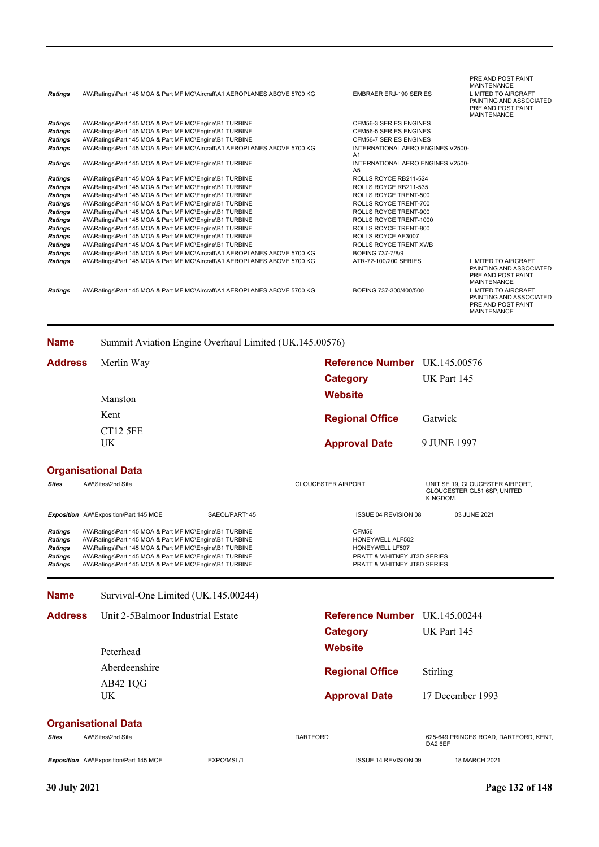| <b>Ratings</b>                                                                                                                                        | AW\Ratings\Part 145 MOA & Part MF MO\Aircraft\A1 AEROPLANES ABOVE 5700 KG                                                                                                                                                                                                                                                                                                                                                                                                                                                                                                                                                                                                                                                                                                     |                                                        |                           | <b>EMBRAER ERJ-190 SERIES</b>                                                                                                                                                                                                                                                                                   |             | PRE AND POST PAINT<br><b>MAINTENANCE</b><br><b>LIMITED TO AIRCRAFT</b><br>PAINTING AND ASSOCIATED                                                                                                      |
|-------------------------------------------------------------------------------------------------------------------------------------------------------|-------------------------------------------------------------------------------------------------------------------------------------------------------------------------------------------------------------------------------------------------------------------------------------------------------------------------------------------------------------------------------------------------------------------------------------------------------------------------------------------------------------------------------------------------------------------------------------------------------------------------------------------------------------------------------------------------------------------------------------------------------------------------------|--------------------------------------------------------|---------------------------|-----------------------------------------------------------------------------------------------------------------------------------------------------------------------------------------------------------------------------------------------------------------------------------------------------------------|-------------|--------------------------------------------------------------------------------------------------------------------------------------------------------------------------------------------------------|
|                                                                                                                                                       |                                                                                                                                                                                                                                                                                                                                                                                                                                                                                                                                                                                                                                                                                                                                                                               |                                                        |                           |                                                                                                                                                                                                                                                                                                                 |             | PRE AND POST PAINT<br><b>MAINTENANCE</b>                                                                                                                                                               |
| <b>Ratings</b><br>Ratings<br><b>Ratings</b>                                                                                                           | AW\Ratings\Part 145 MOA & Part MF MO\Engine\B1 TURBINE<br>AW\Ratings\Part 145 MOA & Part MF MO\Engine\B1 TURBINE<br>AW\Ratings\Part 145 MOA & Part MF MO\Engine\B1 TURBINE<br>AW\Ratings\Part 145 MOA & Part MF MO\Aircraft\A1 AEROPLANES ABOVE 5700 KG                                                                                                                                                                                                                                                                                                                                                                                                                                                                                                                       |                                                        |                           | <b>CFM56-3 SERIES ENGINES</b><br>CFM56-5 SERIES ENGINES<br><b>CFM56-7 SERIES ENGINES</b><br>INTERNATIONAL AERO ENGINES V2500-                                                                                                                                                                                   |             |                                                                                                                                                                                                        |
| Ratings<br>Ratings                                                                                                                                    | AW\Ratings\Part 145 MOA & Part MF MO\Engine\B1 TURBINE                                                                                                                                                                                                                                                                                                                                                                                                                                                                                                                                                                                                                                                                                                                        |                                                        |                           | A1<br>INTERNATIONAL AERO ENGINES V2500-                                                                                                                                                                                                                                                                         |             |                                                                                                                                                                                                        |
| <b>Ratings</b><br>Ratings<br><b>Ratings</b><br><b>Ratings</b><br>Ratings<br>Ratings<br>Ratings<br>Ratings<br>Ratings<br>Ratings<br>Ratings<br>Ratings | AW\Ratings\Part 145 MOA & Part MF MO\Engine\B1 TURBINE<br>AW\Ratings\Part 145 MOA & Part MF MO\Engine\B1 TURBINE<br>AW\Ratings\Part 145 MOA & Part MF MO\Engine\B1 TURBINE<br>AW\Ratings\Part 145 MOA & Part MF MO\Engine\B1 TURBINE<br>AW\Ratings\Part 145 MOA & Part MF MO\Engine\B1 TURBINE<br>AW\Ratings\Part 145 MOA & Part MF MO\Engine\B1 TURBINE<br>AW\Ratings\Part 145 MOA & Part MF MO\Engine\B1 TURBINE<br>AW\Ratings\Part 145 MOA & Part MF MO\Engine\B1 TURBINE<br>AW\Ratings\Part 145 MOA & Part MF MO\Engine\B1 TURBINE<br>AW\Ratings\Part 145 MOA & Part MF MO\Aircraft\A1 AEROPLANES ABOVE 5700 KG<br>AW\Ratings\Part 145 MOA & Part MF MO\Aircraft\A1 AEROPLANES ABOVE 5700 KG<br>AW\Ratings\Part 145 MOA & Part MF MO\Aircraft\A1 AEROPLANES ABOVE 5700 KG |                                                        |                           | A5<br>ROLLS ROYCE RB211-524<br>ROLLS ROYCE RB211-535<br><b>ROLLS ROYCE TRENT-500</b><br>ROLLS ROYCE TRENT-700<br>ROLLS ROYCE TRENT-900<br>ROLLS ROYCE TRENT-1000<br>ROLLS ROYCE TRENT-800<br>ROLLS ROYCE AE3007<br>ROLLS ROYCE TRENT XWB<br>BOEING 737-7/8/9<br>ATR-72-100/200 SERIES<br>BOEING 737-300/400/500 |             | <b>LIMITED TO AIRCRAFT</b><br>PAINTING AND ASSOCIATED<br>PRE AND POST PAINT<br><b>MAINTENANCE</b><br><b>LIMITED TO AIRCRAFT</b><br>PAINTING AND ASSOCIATED<br>PRE AND POST PAINT<br><b>MAINTENANCE</b> |
|                                                                                                                                                       |                                                                                                                                                                                                                                                                                                                                                                                                                                                                                                                                                                                                                                                                                                                                                                               |                                                        |                           |                                                                                                                                                                                                                                                                                                                 |             |                                                                                                                                                                                                        |
| <b>Name</b>                                                                                                                                           |                                                                                                                                                                                                                                                                                                                                                                                                                                                                                                                                                                                                                                                                                                                                                                               | Summit Aviation Engine Overhaul Limited (UK.145.00576) |                           |                                                                                                                                                                                                                                                                                                                 |             |                                                                                                                                                                                                        |
| <b>Address</b>                                                                                                                                        | Merlin Way                                                                                                                                                                                                                                                                                                                                                                                                                                                                                                                                                                                                                                                                                                                                                                    |                                                        |                           | <b>Reference Number</b> UK.145.00576                                                                                                                                                                                                                                                                            |             |                                                                                                                                                                                                        |
|                                                                                                                                                       |                                                                                                                                                                                                                                                                                                                                                                                                                                                                                                                                                                                                                                                                                                                                                                               |                                                        |                           | <b>Category</b>                                                                                                                                                                                                                                                                                                 | UK Part 145 |                                                                                                                                                                                                        |
|                                                                                                                                                       | Manston                                                                                                                                                                                                                                                                                                                                                                                                                                                                                                                                                                                                                                                                                                                                                                       |                                                        |                           | Website                                                                                                                                                                                                                                                                                                         |             |                                                                                                                                                                                                        |
|                                                                                                                                                       | Kent                                                                                                                                                                                                                                                                                                                                                                                                                                                                                                                                                                                                                                                                                                                                                                          |                                                        |                           | <b>Regional Office</b>                                                                                                                                                                                                                                                                                          | Gatwick     |                                                                                                                                                                                                        |
|                                                                                                                                                       | CT12 5FE                                                                                                                                                                                                                                                                                                                                                                                                                                                                                                                                                                                                                                                                                                                                                                      |                                                        |                           |                                                                                                                                                                                                                                                                                                                 |             |                                                                                                                                                                                                        |
|                                                                                                                                                       | UK                                                                                                                                                                                                                                                                                                                                                                                                                                                                                                                                                                                                                                                                                                                                                                            |                                                        |                           | <b>Approval Date</b>                                                                                                                                                                                                                                                                                            | 9 JUNE 1997 |                                                                                                                                                                                                        |
|                                                                                                                                                       | <b>Organisational Data</b>                                                                                                                                                                                                                                                                                                                                                                                                                                                                                                                                                                                                                                                                                                                                                    |                                                        |                           |                                                                                                                                                                                                                                                                                                                 |             |                                                                                                                                                                                                        |
| <b>Sites</b>                                                                                                                                          | AW\Sites\2nd Site                                                                                                                                                                                                                                                                                                                                                                                                                                                                                                                                                                                                                                                                                                                                                             |                                                        | <b>GLOUCESTER AIRPORT</b> |                                                                                                                                                                                                                                                                                                                 | KINGDOM.    | UNIT SE 19, GLOUCESTER AIRPORT,<br>GLOUCESTER GL51 6SP, UNITED                                                                                                                                         |
|                                                                                                                                                       | Exposition AW\Exposition\Part 145 MOE                                                                                                                                                                                                                                                                                                                                                                                                                                                                                                                                                                                                                                                                                                                                         | SAEOL/PART145                                          |                           | <b>ISSUE 04 REVISION 08</b>                                                                                                                                                                                                                                                                                     |             | 03 JUNE 2021                                                                                                                                                                                           |
| <b>Ratings</b><br><b>Ratings</b><br><b>Ratings</b><br>Ratings<br>Ratings                                                                              | AW\Ratings\Part 145 MOA & Part MF MO\Engine\B1 TURBINE<br>AW\Ratings\Part 145 MOA & Part MF MO\Engine\B1 TURBINE<br>AW\Ratings\Part 145 MOA & Part MF MO\Engine\B1 TURBINE<br>AW\Ratings\Part 145 MOA & Part MF MO\Engine\B1 TURBINE<br>AW\Ratings\Part 145 MOA & Part MF MO\Engine\B1 TURBINE                                                                                                                                                                                                                                                                                                                                                                                                                                                                                |                                                        |                           | CFM56<br>HONEYWELL ALF502<br>HONEYWELL LF507<br><b>PRATT &amp; WHITNEY JT3D SERIES</b><br>PRATT & WHITNEY JT8D SERIES                                                                                                                                                                                           |             |                                                                                                                                                                                                        |
| <b>Name</b>                                                                                                                                           | Survival-One Limited (UK.145.00244)                                                                                                                                                                                                                                                                                                                                                                                                                                                                                                                                                                                                                                                                                                                                           |                                                        |                           |                                                                                                                                                                                                                                                                                                                 |             |                                                                                                                                                                                                        |
| <b>Address</b>                                                                                                                                        | Unit 2-5Balmoor Industrial Estate                                                                                                                                                                                                                                                                                                                                                                                                                                                                                                                                                                                                                                                                                                                                             |                                                        |                           | Reference Number UK.145.00244                                                                                                                                                                                                                                                                                   |             |                                                                                                                                                                                                        |
|                                                                                                                                                       |                                                                                                                                                                                                                                                                                                                                                                                                                                                                                                                                                                                                                                                                                                                                                                               |                                                        |                           | <b>Category</b>                                                                                                                                                                                                                                                                                                 | UK Part 145 |                                                                                                                                                                                                        |
|                                                                                                                                                       | <b>D</b> eterhead                                                                                                                                                                                                                                                                                                                                                                                                                                                                                                                                                                                                                                                                                                                                                             |                                                        |                           | <b>Website</b>                                                                                                                                                                                                                                                                                                  |             |                                                                                                                                                                                                        |

UK AB42 1QG Aberdeenshire Peterhead

# *Sites* AW\Sites\2nd Site DARTFORD 625-649 PRINCES ROAD, DARTFORD, KENT, DA2 6EF

Stirling

**Approval Date** 17 December 1993

**Exposition** AW\Exposition\Part 145 MOE EXPO/MSL/1 EXPO/MSL/1 ISSUE 14 REVISION 09 18 MARCH 2021

**Regional Office**

**Organisational Data**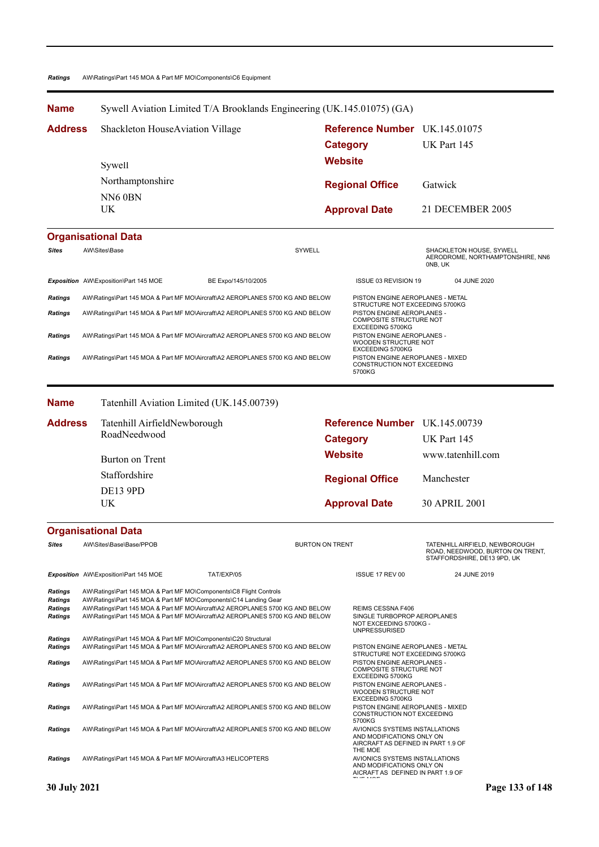### *Ratings* AW\Ratings\Part 145 MOA & Part MF MO\Components\C6 Equipment

| <b>Name</b>                                                   |                                              | Sywell Aviation Limited T/A Brooklands Engineering (UK.145.01075) (GA)                                                                                                                                                                                                                                   |                        |                                                                          |                                                                                                                    |                                                                                                   |  |  |
|---------------------------------------------------------------|----------------------------------------------|----------------------------------------------------------------------------------------------------------------------------------------------------------------------------------------------------------------------------------------------------------------------------------------------------------|------------------------|--------------------------------------------------------------------------|--------------------------------------------------------------------------------------------------------------------|---------------------------------------------------------------------------------------------------|--|--|
| <b>Address</b>                                                | Shackleton HouseAviation Village             |                                                                                                                                                                                                                                                                                                          |                        |                                                                          | <b>Reference Number</b>                                                                                            | UK.145.01075                                                                                      |  |  |
|                                                               |                                              |                                                                                                                                                                                                                                                                                                          |                        | <b>Category</b>                                                          |                                                                                                                    | UK Part 145                                                                                       |  |  |
|                                                               | Sywell                                       |                                                                                                                                                                                                                                                                                                          |                        | <b>Website</b>                                                           |                                                                                                                    |                                                                                                   |  |  |
|                                                               | Northamptonshire                             |                                                                                                                                                                                                                                                                                                          |                        |                                                                          |                                                                                                                    |                                                                                                   |  |  |
|                                                               | NN60BN                                       |                                                                                                                                                                                                                                                                                                          |                        |                                                                          | <b>Regional Office</b>                                                                                             | Gatwick                                                                                           |  |  |
|                                                               | UK                                           |                                                                                                                                                                                                                                                                                                          |                        |                                                                          | <b>Approval Date</b>                                                                                               | 21 DECEMBER 2005                                                                                  |  |  |
|                                                               | <b>Organisational Data</b>                   |                                                                                                                                                                                                                                                                                                          |                        |                                                                          |                                                                                                                    |                                                                                                   |  |  |
| <b>Sites</b>                                                  | AW\Sites\Base                                |                                                                                                                                                                                                                                                                                                          | SYWELL                 |                                                                          |                                                                                                                    | SHACKLETON HOUSE, SYWELL<br>AERODROME, NORTHAMPTONSHIRE, NN6<br>ONB, UK                           |  |  |
|                                                               | Exposition AW\Exposition\Part 145 MOE        | BE Expo/145/10/2005                                                                                                                                                                                                                                                                                      |                        |                                                                          | ISSUE 03 REVISION 19                                                                                               | 04 JUNE 2020                                                                                      |  |  |
| Ratings                                                       |                                              | AW\Ratings\Part 145 MOA & Part MF MO\Aircraft\A2 AEROPLANES 5700 KG AND BELOW                                                                                                                                                                                                                            |                        |                                                                          | PISTON ENGINE AEROPLANES - METAL                                                                                   |                                                                                                   |  |  |
| Ratings                                                       |                                              | AW\Ratings\Part 145 MOA & Part MF MO\Aircraft\A2 AEROPLANES 5700 KG AND BELOW                                                                                                                                                                                                                            |                        |                                                                          | STRUCTURE NOT EXCEEDING 5700KG<br>PISTON ENGINE AEROPLANES -<br>COMPOSITE STRUCTURE NOT<br><b>EXCEEDING 5700KG</b> |                                                                                                   |  |  |
| Ratings                                                       |                                              | AW\Ratings\Part 145 MOA & Part MF MO\Aircraft\A2 AEROPLANES 5700 KG AND BELOW                                                                                                                                                                                                                            |                        |                                                                          | PISTON ENGINE AEROPLANES -<br>WOODEN STRUCTURE NOT<br><b>EXCEEDING 5700KG</b>                                      |                                                                                                   |  |  |
| <b>Ratings</b>                                                |                                              | AW\Ratings\Part 145 MOA & Part MF MO\Aircraft\A2 AEROPLANES 5700 KG AND BELOW                                                                                                                                                                                                                            |                        | PISTON ENGINE AEROPLANES - MIXED<br>CONSTRUCTION NOT EXCEEDING<br>5700KG |                                                                                                                    |                                                                                                   |  |  |
| <b>Name</b>                                                   |                                              | Tatenhill Aviation Limited (UK.145.00739)                                                                                                                                                                                                                                                                |                        |                                                                          |                                                                                                                    |                                                                                                   |  |  |
| <b>Address</b>                                                | Tatenhill AirfieldNewborough                 |                                                                                                                                                                                                                                                                                                          |                        |                                                                          | Reference Number UK.145.00739                                                                                      |                                                                                                   |  |  |
|                                                               | RoadNeedwood                                 |                                                                                                                                                                                                                                                                                                          |                        | <b>Category</b>                                                          |                                                                                                                    | UK Part 145                                                                                       |  |  |
|                                                               | Burton on Trent                              |                                                                                                                                                                                                                                                                                                          |                        | <b>Website</b>                                                           |                                                                                                                    | www.tatenhill.com                                                                                 |  |  |
|                                                               | Staffordshire                                |                                                                                                                                                                                                                                                                                                          |                        |                                                                          | <b>Regional Office</b>                                                                                             | Manchester                                                                                        |  |  |
|                                                               | <b>DE13 9PD</b>                              |                                                                                                                                                                                                                                                                                                          |                        |                                                                          |                                                                                                                    |                                                                                                   |  |  |
|                                                               | UK                                           |                                                                                                                                                                                                                                                                                                          |                        |                                                                          | <b>Approval Date</b>                                                                                               | 30 APRIL 2001                                                                                     |  |  |
|                                                               | <b>Organisational Data</b>                   |                                                                                                                                                                                                                                                                                                          |                        |                                                                          |                                                                                                                    |                                                                                                   |  |  |
| Sites                                                         | AW\Sites\Base\Base/PPOB                      |                                                                                                                                                                                                                                                                                                          | <b>BURTON ON TRENT</b> |                                                                          |                                                                                                                    | TATENHILL AIRFIELD, NEWBOROUGH<br>ROAD, NEEDWOOD, BURTON ON TRENT,<br>STAFFORDSHIRE, DE13 9PD, UK |  |  |
|                                                               | <b>Exposition</b> AW\Exposition\Part 145 MOE | TAT/EXP/05                                                                                                                                                                                                                                                                                               |                        |                                                                          | ISSUE 17 REV 00                                                                                                    | 24 JUNE 2019                                                                                      |  |  |
| <b>Ratings</b><br>Ratings<br><b>Ratings</b><br><b>Ratings</b> |                                              | AW\Ratings\Part 145 MOA & Part MF MO\Components\C8 Flight Controls<br>AW\Ratings\Part 145 MOA & Part MF MO\Components\C14 Landing Gear<br>AW\Ratings\Part 145 MOA & Part MF MO\Aircraft\A2 AEROPLANES 5700 KG AND BELOW<br>AW\Ratings\Part 145 MOA & Part MF MO\Aircraft\A2 AEROPLANES 5700 KG AND BELOW |                        |                                                                          | REIMS CESSNA F406<br>SINGLE TURBOPROP AEROPLANES<br>NOT EXCEEDING 5700KG -<br><b>UNPRESSURISED</b>                 |                                                                                                   |  |  |
| Ratings<br>Ratings                                            |                                              | AW\Ratings\Part 145 MOA & Part MF MO\Components\C20 Structural<br>AW\Ratings\Part 145 MOA & Part MF MO\Aircraft\A2 AEROPLANES 5700 KG AND BELOW                                                                                                                                                          |                        |                                                                          | PISTON ENGINE AEROPLANES - METAL<br>STRUCTURE NOT EXCEEDING 5700KG                                                 |                                                                                                   |  |  |
| Ratings                                                       |                                              | AW\Ratings\Part 145 MOA & Part MF MO\Aircraft\A2 AEROPLANES 5700 KG AND BELOW                                                                                                                                                                                                                            |                        |                                                                          | PISTON ENGINE AEROPLANES -<br><b>COMPOSITE STRUCTURE NOT</b><br>EXCEEDING 5700KG                                   |                                                                                                   |  |  |
| Ratings                                                       |                                              | AW\Ratings\Part 145 MOA & Part MF MO\Aircraft\A2 AEROPLANES 5700 KG AND BELOW                                                                                                                                                                                                                            |                        |                                                                          | PISTON ENGINE AEROPLANES -<br>WOODEN STRUCTURE NOT<br>EXCEEDING 5700KG                                             |                                                                                                   |  |  |
| <b>Ratings</b>                                                |                                              | AW\Ratings\Part 145 MOA & Part MF MO\Aircraft\A2 AEROPLANES 5700 KG AND BELOW                                                                                                                                                                                                                            |                        |                                                                          | PISTON ENGINE AEROPLANES - MIXED<br>CONSTRUCTION NOT EXCEEDING<br>5700KG                                           |                                                                                                   |  |  |
| Ratings                                                       |                                              | AW\Ratings\Part 145 MOA & Part MF MO\Aircraft\A2 AEROPLANES 5700 KG AND BELOW                                                                                                                                                                                                                            |                        |                                                                          | AVIONICS SYSTEMS INSTALLATIONS<br>AND MODIFICATIONS ONLY ON<br>AIRCRAFT AS DEFINED IN PART 1.9 OF<br>THE MOE       |                                                                                                   |  |  |
| Ratings                                                       |                                              | AW\Ratings\Part 145 MOA & Part MF MO\Aircraft\A3 HELICOPTERS                                                                                                                                                                                                                                             |                        |                                                                          | AVIONICS SYSTEMS INSTALLATIONS<br>AND MODIFICATIONS ONLY ON<br>AICRAFT AS DEFINED IN PART 1.9 OF                   |                                                                                                   |  |  |
| 30 July 2021                                                  |                                              |                                                                                                                                                                                                                                                                                                          |                        |                                                                          |                                                                                                                    | Page 133 of 148                                                                                   |  |  |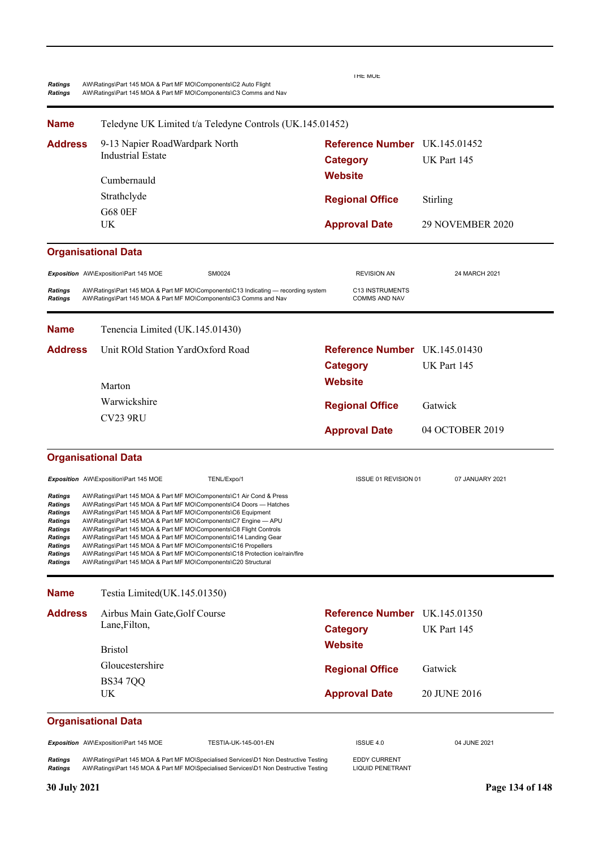| Ratings<br><b>Ratings</b>                                                                                            | AW\Ratings\Part 145 MOA & Part MF MO\Components\C2 Auto Flight<br>AW\Ratings\Part 145 MOA & Part MF MO\Components\C3 Comms and Nav                                                                                                                                                                                                                                                                                                                                                                                                                                                                                                         | THE MOE                                          |                  |
|----------------------------------------------------------------------------------------------------------------------|--------------------------------------------------------------------------------------------------------------------------------------------------------------------------------------------------------------------------------------------------------------------------------------------------------------------------------------------------------------------------------------------------------------------------------------------------------------------------------------------------------------------------------------------------------------------------------------------------------------------------------------------|--------------------------------------------------|------------------|
| <b>Name</b>                                                                                                          | Teledyne UK Limited t/a Teledyne Controls (UK.145.01452)                                                                                                                                                                                                                                                                                                                                                                                                                                                                                                                                                                                   |                                                  |                  |
| <b>Address</b>                                                                                                       | 9-13 Napier RoadWardpark North<br><b>Industrial Estate</b>                                                                                                                                                                                                                                                                                                                                                                                                                                                                                                                                                                                 | Reference Number UK.145.01452<br><b>Category</b> | UK Part 145      |
|                                                                                                                      | Cumbernauld                                                                                                                                                                                                                                                                                                                                                                                                                                                                                                                                                                                                                                | <b>Website</b>                                   |                  |
|                                                                                                                      | Strathclyde                                                                                                                                                                                                                                                                                                                                                                                                                                                                                                                                                                                                                                | <b>Regional Office</b>                           | Stirling         |
|                                                                                                                      | <b>G68 0EF</b><br>UK                                                                                                                                                                                                                                                                                                                                                                                                                                                                                                                                                                                                                       | <b>Approval Date</b>                             | 29 NOVEMBER 2020 |
|                                                                                                                      |                                                                                                                                                                                                                                                                                                                                                                                                                                                                                                                                                                                                                                            |                                                  |                  |
|                                                                                                                      | <b>Organisational Data</b>                                                                                                                                                                                                                                                                                                                                                                                                                                                                                                                                                                                                                 |                                                  |                  |
|                                                                                                                      | SM0024<br>Exposition AW\Exposition\Part 145 MOE                                                                                                                                                                                                                                                                                                                                                                                                                                                                                                                                                                                            | <b>REVISION AN</b>                               | 24 MARCH 2021    |
| <b>Ratings</b><br>Ratings                                                                                            | AW\Ratings\Part 145 MOA & Part MF MO\Components\C13 Indicating — recording system<br>AW\Ratings\Part 145 MOA & Part MF MO\Components\C3 Comms and Nav                                                                                                                                                                                                                                                                                                                                                                                                                                                                                      | C13 INSTRUMENTS<br><b>COMMS AND NAV</b>          |                  |
| <b>Name</b>                                                                                                          | Tenencia Limited (UK.145.01430)                                                                                                                                                                                                                                                                                                                                                                                                                                                                                                                                                                                                            |                                                  |                  |
| <b>Address</b>                                                                                                       | Unit ROld Station YardOxford Road                                                                                                                                                                                                                                                                                                                                                                                                                                                                                                                                                                                                          | Reference Number UK.145.01430                    |                  |
|                                                                                                                      |                                                                                                                                                                                                                                                                                                                                                                                                                                                                                                                                                                                                                                            | <b>Category</b>                                  | UK Part 145      |
|                                                                                                                      | Marton                                                                                                                                                                                                                                                                                                                                                                                                                                                                                                                                                                                                                                     | <b>Website</b>                                   |                  |
|                                                                                                                      | Warwickshire                                                                                                                                                                                                                                                                                                                                                                                                                                                                                                                                                                                                                               | <b>Regional Office</b>                           | Gatwick          |
|                                                                                                                      | <b>CV23 9RU</b>                                                                                                                                                                                                                                                                                                                                                                                                                                                                                                                                                                                                                            |                                                  |                  |
|                                                                                                                      |                                                                                                                                                                                                                                                                                                                                                                                                                                                                                                                                                                                                                                            | <b>Approval Date</b>                             | 04 OCTOBER 2019  |
|                                                                                                                      | <b>Organisational Data</b>                                                                                                                                                                                                                                                                                                                                                                                                                                                                                                                                                                                                                 |                                                  |                  |
|                                                                                                                      | Exposition AW\Exposition\Part 145 MOE<br>TENL/Expo/1                                                                                                                                                                                                                                                                                                                                                                                                                                                                                                                                                                                       | ISSUE 01 REVISION 01                             | 07 JANUARY 2021  |
| Ratings<br><b>Ratings</b><br>Ratings<br>Ratings<br><b>Ratings</b><br>Ratings<br>Ratings<br>Ratings<br><b>Ratings</b> | AW\Ratings\Part 145 MOA & Part MF MO\Components\C1 Air Cond & Press<br>AW\Ratings\Part 145 MOA & Part MF MO\Components\C4 Doors - Hatches<br>AW\Ratings\Part 145 MOA & Part MF MO\Components\C6 Equipment<br>AW\Ratings\Part 145 MOA & Part MF MO\Components\C7 Engine - APU<br>AW\Ratings\Part 145 MOA & Part MF MO\Components\C8 Flight Controls<br>AW\Ratings\Part 145 MOA & Part MF MO\Components\C14 Landing Gear<br>AW\Ratings\Part 145 MOA & Part MF MO\Components\C16 Propellers<br>AW\Ratings\Part 145 MOA & Part MF MO\Components\C18 Protection ice/rain/fire<br>AW\Ratings\Part 145 MOA & Part MF MO\Components\C20 Structural |                                                  |                  |
| <b>Name</b>                                                                                                          | Testia Limited(UK.145.01350)                                                                                                                                                                                                                                                                                                                                                                                                                                                                                                                                                                                                               |                                                  |                  |
| <b>Address</b>                                                                                                       | Airbus Main Gate, Golf Course                                                                                                                                                                                                                                                                                                                                                                                                                                                                                                                                                                                                              | Reference Number UK.145.01350                    |                  |
|                                                                                                                      | Lane, Filton,                                                                                                                                                                                                                                                                                                                                                                                                                                                                                                                                                                                                                              | <b>Category</b>                                  | UK Part 145      |
|                                                                                                                      | <b>Bristol</b>                                                                                                                                                                                                                                                                                                                                                                                                                                                                                                                                                                                                                             | <b>Website</b>                                   |                  |
|                                                                                                                      | Gloucestershire                                                                                                                                                                                                                                                                                                                                                                                                                                                                                                                                                                                                                            | <b>Regional Office</b>                           | Gatwick          |
|                                                                                                                      | <b>BS347QQ</b>                                                                                                                                                                                                                                                                                                                                                                                                                                                                                                                                                                                                                             |                                                  |                  |
|                                                                                                                      | UK                                                                                                                                                                                                                                                                                                                                                                                                                                                                                                                                                                                                                                         | <b>Approval Date</b>                             | 20 JUNE 2016     |
|                                                                                                                      | <b>Organisational Data</b>                                                                                                                                                                                                                                                                                                                                                                                                                                                                                                                                                                                                                 |                                                  |                  |
|                                                                                                                      | Exposition AW\Exposition\Part 145 MOE<br>TESTIA-UK-145-001-EN                                                                                                                                                                                                                                                                                                                                                                                                                                                                                                                                                                              | ISSUE 4.0                                        | 04 JUNE 2021     |
| <b>Ratings</b><br>Ratings                                                                                            | AW\Ratings\Part 145 MOA & Part MF MO\Specialised Services\D1 Non Destructive Testing<br>AW\Ratings\Part 145 MOA & Part MF MO\Specialised Services\D1 Non Destructive Testing                                                                                                                                                                                                                                                                                                                                                                                                                                                               | <b>EDDY CURRENT</b><br><b>LIQUID PENETRANT</b>   |                  |
| 30 July 2021                                                                                                         |                                                                                                                                                                                                                                                                                                                                                                                                                                                                                                                                                                                                                                            |                                                  | Page 134 of 148  |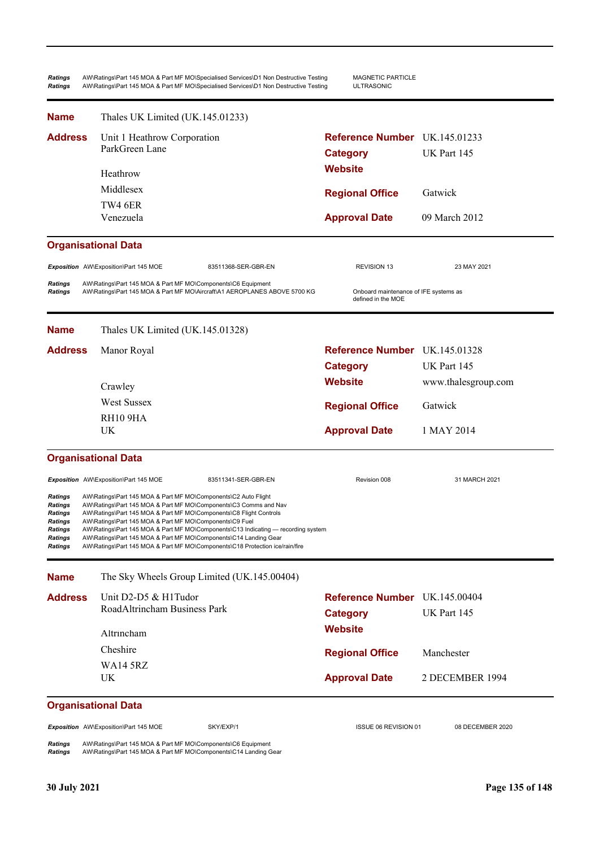*Ratings* AW\Ratings\Part 145 MOA & Part MF MO\Specialised Services\D1 Non Destructive Testing MAGNETIC PARTICLE *Ratings* AW\Ratings\Part 145 MOA & Part MF MO\Specialised Services\D1 Non Destructive Testing ULTRASONIC **Approval Date** 09 March 2012 **Organisational Data Website Category** UK Part 145 **Reference Number** UK.145.01233 **Regional Office Name Address** Gatwick Venezuela TW4 6ER Middlesex Heathrow Unit 1 Heathrow Corporation ParkGreen Lane Thales UK Limited (UK.145.01233) **Exposition** AW\Exposition\Part 145 MOE 83511368-SER-GBR-EN REVISION 13 23 MAY 2021 *Ratings* AW\Ratings\Part 145 MOA & Part MF MO\Components\C6 Equipment Ratings AW\Ratings\Part 145 MOA & Part MF MO\Aircraft\A1 AEROPLANES ABOVE 5700 KG Onboard maintenance of IFE systems as defined in the MOE **Approval Date** 1 MAY 2014 **Organisational Data Website** www.thalesgroup.com **Category** UK Part 145 Manor Royal **Contract Contract Contract Contract Contract Contract Contract Contract Contract Contract Contract Contract Contract Contract Contract Contract Contract Contract Contract Contract Contract Contract Contract Co Regional Office Name Address** Gatwick UK RH10 9HA West Sussex Crawley Thales UK Limited (UK.145.01328) **Exposition** AW\Exposition\Part 145 MOE 83511341-SER-GBR-EN Revision 008 Revision 008 31 MARCH 2021 *Ratings* AW\Ratings\Part 145 MOA & Part MF MO\Components\C2 Auto Flight *Ratings* AW\Ratings\Part 145 MOA & Part MF MO\Components\C3 Comms and Nav *Ratings* AW\Ratings\Part 145 MOA & Part MF MO\Components\C8 Flight Controls *Ratings* AW\Ratings\Part 145 MOA & Part MF MO\Components\C9 Fuel *Ratings* AW\Ratings\Part 145 MOA & Part MF MO\Components\C13 Indicating — recording system **Ratings** AW\Ratings\Part 145 MOA & Part MF MO\Components\C14 Landing Gear<br> **Ratings** AW\Ratings\Part 145 MOA & Part MF MO\Components\C18 Protection ice, *Ratings* AW\Ratings\Part 145 MOA & Part MF MO\Components\C18 Protection ice/rain/fire **Approval Date** 2 DECEMBER 1994 **Organisational Data Website Category** UK Part 145 **Reference Number** UK.145.00404 **Regional Office Name Address** Manchester UK WA14 5RZ Cheshire Altrincham Unit D2-D5 & H1Tudor RoadAltrincham Business Park The Sky Wheels Group Limited (UK.145.00404) **Exposition** AW\Exposition\Part 145 MOE SKY/EXP/1 SSUE 06 REVISION 01 08 DECEMBER 2020

*Ratings* AW\Ratings\Part 145 MOA & Part MF MO\Components\C6 Equipment *Ratings* AW\Ratings\Part 145 MOA & Part MF MO\Components\C14 Landing Gear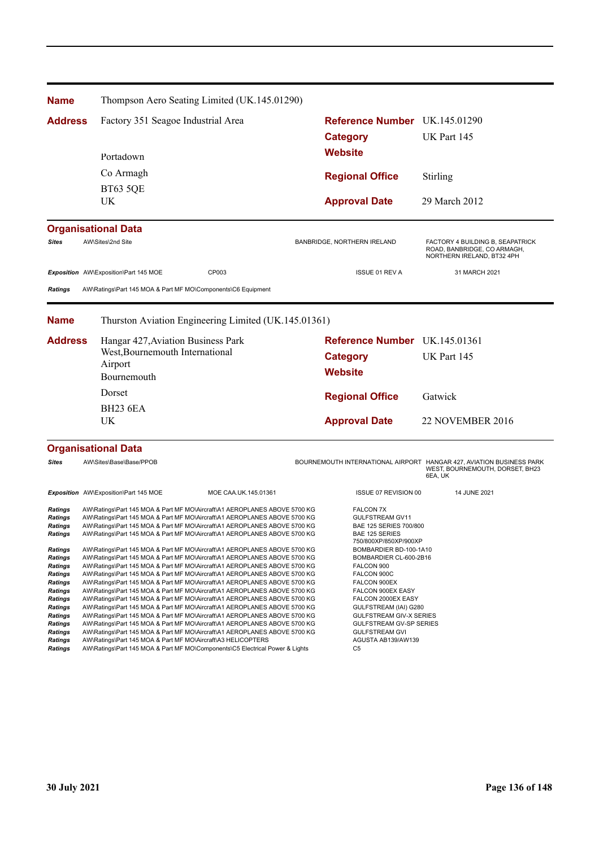| <b>Name</b>                                                                                                                                                                                                |                                                                                                                                              | Thompson Aero Seating Limited (UK.145.01290)                                                                                                                                                                                                                                                                                                                                                                                                                                                                                                                                                                                                                                                                                                                                                                                                                                |                                                                                                                                                                                                                                                                              |                                                                                                                    |
|------------------------------------------------------------------------------------------------------------------------------------------------------------------------------------------------------------|----------------------------------------------------------------------------------------------------------------------------------------------|-----------------------------------------------------------------------------------------------------------------------------------------------------------------------------------------------------------------------------------------------------------------------------------------------------------------------------------------------------------------------------------------------------------------------------------------------------------------------------------------------------------------------------------------------------------------------------------------------------------------------------------------------------------------------------------------------------------------------------------------------------------------------------------------------------------------------------------------------------------------------------|------------------------------------------------------------------------------------------------------------------------------------------------------------------------------------------------------------------------------------------------------------------------------|--------------------------------------------------------------------------------------------------------------------|
| <b>Address</b>                                                                                                                                                                                             | Factory 351 Seagoe Industrial Area                                                                                                           |                                                                                                                                                                                                                                                                                                                                                                                                                                                                                                                                                                                                                                                                                                                                                                                                                                                                             | Reference Number UK.145.01290                                                                                                                                                                                                                                                |                                                                                                                    |
|                                                                                                                                                                                                            |                                                                                                                                              |                                                                                                                                                                                                                                                                                                                                                                                                                                                                                                                                                                                                                                                                                                                                                                                                                                                                             | <b>Category</b>                                                                                                                                                                                                                                                              | UK Part 145                                                                                                        |
|                                                                                                                                                                                                            | Portadown                                                                                                                                    |                                                                                                                                                                                                                                                                                                                                                                                                                                                                                                                                                                                                                                                                                                                                                                                                                                                                             | <b>Website</b>                                                                                                                                                                                                                                                               |                                                                                                                    |
|                                                                                                                                                                                                            |                                                                                                                                              |                                                                                                                                                                                                                                                                                                                                                                                                                                                                                                                                                                                                                                                                                                                                                                                                                                                                             |                                                                                                                                                                                                                                                                              |                                                                                                                    |
|                                                                                                                                                                                                            | Co Armagh                                                                                                                                    |                                                                                                                                                                                                                                                                                                                                                                                                                                                                                                                                                                                                                                                                                                                                                                                                                                                                             | <b>Regional Office</b>                                                                                                                                                                                                                                                       | Stirling                                                                                                           |
|                                                                                                                                                                                                            | <b>BT63 5QE</b><br>UK                                                                                                                        |                                                                                                                                                                                                                                                                                                                                                                                                                                                                                                                                                                                                                                                                                                                                                                                                                                                                             | <b>Approval Date</b>                                                                                                                                                                                                                                                         | 29 March 2012                                                                                                      |
|                                                                                                                                                                                                            |                                                                                                                                              |                                                                                                                                                                                                                                                                                                                                                                                                                                                                                                                                                                                                                                                                                                                                                                                                                                                                             |                                                                                                                                                                                                                                                                              |                                                                                                                    |
|                                                                                                                                                                                                            | <b>Organisational Data</b>                                                                                                                   |                                                                                                                                                                                                                                                                                                                                                                                                                                                                                                                                                                                                                                                                                                                                                                                                                                                                             |                                                                                                                                                                                                                                                                              |                                                                                                                    |
| <b>Sites</b>                                                                                                                                                                                               | AW\Sites\2nd Site                                                                                                                            |                                                                                                                                                                                                                                                                                                                                                                                                                                                                                                                                                                                                                                                                                                                                                                                                                                                                             | BANBRIDGE, NORTHERN IRELAND                                                                                                                                                                                                                                                  | FACTORY 4 BUILDING B, SEAPATRICK<br>ROAD, BANBRIDGE, CO ARMAGH,<br>NORTHERN IRELAND, BT32 4PH                      |
|                                                                                                                                                                                                            | Exposition AW\Exposition\Part 145 MOE                                                                                                        | CP003                                                                                                                                                                                                                                                                                                                                                                                                                                                                                                                                                                                                                                                                                                                                                                                                                                                                       | <b>ISSUE 01 REV A</b>                                                                                                                                                                                                                                                        | 31 MARCH 2021                                                                                                      |
| <b>Ratings</b>                                                                                                                                                                                             | AW\Ratings\Part 145 MOA & Part MF MO\Components\C6 Equipment                                                                                 |                                                                                                                                                                                                                                                                                                                                                                                                                                                                                                                                                                                                                                                                                                                                                                                                                                                                             |                                                                                                                                                                                                                                                                              |                                                                                                                    |
|                                                                                                                                                                                                            |                                                                                                                                              |                                                                                                                                                                                                                                                                                                                                                                                                                                                                                                                                                                                                                                                                                                                                                                                                                                                                             |                                                                                                                                                                                                                                                                              |                                                                                                                    |
| <b>Name</b>                                                                                                                                                                                                |                                                                                                                                              | Thurston Aviation Engineering Limited (UK.145.01361)                                                                                                                                                                                                                                                                                                                                                                                                                                                                                                                                                                                                                                                                                                                                                                                                                        |                                                                                                                                                                                                                                                                              |                                                                                                                    |
| <b>Address</b>                                                                                                                                                                                             | Hangar 427, Aviation Business Park<br>West, Bournemouth International<br>Airport<br>Bournemouth                                              |                                                                                                                                                                                                                                                                                                                                                                                                                                                                                                                                                                                                                                                                                                                                                                                                                                                                             | Reference Number UK.145.01361                                                                                                                                                                                                                                                |                                                                                                                    |
|                                                                                                                                                                                                            |                                                                                                                                              |                                                                                                                                                                                                                                                                                                                                                                                                                                                                                                                                                                                                                                                                                                                                                                                                                                                                             | <b>Category</b>                                                                                                                                                                                                                                                              | UK Part 145                                                                                                        |
|                                                                                                                                                                                                            |                                                                                                                                              |                                                                                                                                                                                                                                                                                                                                                                                                                                                                                                                                                                                                                                                                                                                                                                                                                                                                             | <b>Website</b>                                                                                                                                                                                                                                                               |                                                                                                                    |
|                                                                                                                                                                                                            | Dorset                                                                                                                                       |                                                                                                                                                                                                                                                                                                                                                                                                                                                                                                                                                                                                                                                                                                                                                                                                                                                                             |                                                                                                                                                                                                                                                                              |                                                                                                                    |
|                                                                                                                                                                                                            | <b>BH23 6EA</b>                                                                                                                              |                                                                                                                                                                                                                                                                                                                                                                                                                                                                                                                                                                                                                                                                                                                                                                                                                                                                             | <b>Regional Office</b>                                                                                                                                                                                                                                                       | Gatwick                                                                                                            |
|                                                                                                                                                                                                            | UK                                                                                                                                           |                                                                                                                                                                                                                                                                                                                                                                                                                                                                                                                                                                                                                                                                                                                                                                                                                                                                             | <b>Approval Date</b>                                                                                                                                                                                                                                                         | 22 NOVEMBER 2016                                                                                                   |
|                                                                                                                                                                                                            |                                                                                                                                              |                                                                                                                                                                                                                                                                                                                                                                                                                                                                                                                                                                                                                                                                                                                                                                                                                                                                             |                                                                                                                                                                                                                                                                              |                                                                                                                    |
|                                                                                                                                                                                                            | <b>Organisational Data</b>                                                                                                                   |                                                                                                                                                                                                                                                                                                                                                                                                                                                                                                                                                                                                                                                                                                                                                                                                                                                                             |                                                                                                                                                                                                                                                                              |                                                                                                                    |
| <b>Sites</b>                                                                                                                                                                                               | AW\Sites\Base\Base/PPOB                                                                                                                      |                                                                                                                                                                                                                                                                                                                                                                                                                                                                                                                                                                                                                                                                                                                                                                                                                                                                             |                                                                                                                                                                                                                                                                              | BOURNEMOUTH INTERNATIONAL AIRPORT HANGAR 427, AVIATION BUSINESS PARK<br>WEST, BOURNEMOUTH, DORSET, BH23<br>6EA, UK |
|                                                                                                                                                                                                            | Exposition AW\Exposition\Part 145 MOE                                                                                                        | MOE CAA.UK.145.01361                                                                                                                                                                                                                                                                                                                                                                                                                                                                                                                                                                                                                                                                                                                                                                                                                                                        | ISSUE 07 REVISION 00                                                                                                                                                                                                                                                         | 14 JUNE 2021                                                                                                       |
| <b>Ratings</b><br><b>Ratings</b><br><b>Ratings</b><br>Ratings                                                                                                                                              |                                                                                                                                              | AW\Ratings\Part 145 MOA & Part MF MO\Aircraft\A1 AEROPLANES ABOVE 5700 KG<br>AW\Ratings\Part 145 MOA & Part MF MO\Aircraft\A1 AEROPLANES ABOVE 5700 KG<br>AW\Ratings\Part 145 MOA & Part MF MO\Aircraft\A1 AEROPLANES ABOVE 5700 KG<br>AW\Ratings\Part 145 MOA & Part MF MO\Aircraft\A1 AEROPLANES ABOVE 5700 KG                                                                                                                                                                                                                                                                                                                                                                                                                                                                                                                                                            | <b>FALCON 7X</b><br>GULFSTREAM GV11<br>BAE 125 SERIES 700/800<br>BAE 125 SERIES<br>750/800XP/850XP/900XP                                                                                                                                                                     |                                                                                                                    |
| <b>Ratings</b><br><b>Ratings</b><br><b>Ratings</b><br><b>Ratings</b><br><b>Ratings</b><br><b>Ratings</b><br>Ratings<br>Ratings<br>Ratings<br><b>Ratings</b><br>Ratings<br><b>Ratings</b><br><b>Ratings</b> | AW\Ratings\Part 145 MOA & Part MF MO\Aircraft\A3 HELICOPTERS<br>AW\Ratings\Part 145 MOA & Part MF MO\Components\C5 Electrical Power & Lights | AW\Ratings\Part 145 MOA & Part MF MO\Aircraft\A1 AEROPLANES ABOVE 5700 KG<br>AW\Ratings\Part 145 MOA & Part MF MO\Aircraft\A1 AEROPLANES ABOVE 5700 KG<br>AW\Ratings\Part 145 MOA & Part MF MO\Aircraft\A1 AEROPLANES ABOVE 5700 KG<br>AW\Ratings\Part 145 MOA & Part MF MO\Aircraft\A1 AEROPLANES ABOVE 5700 KG<br>AW\Ratings\Part 145 MOA & Part MF MO\Aircraft\A1 AEROPLANES ABOVE 5700 KG<br>AW\Ratings\Part 145 MOA & Part MF MO\Aircraft\A1 AEROPLANES ABOVE 5700 KG<br>AW\Ratings\Part 145 MOA & Part MF MO\Aircraft\A1 AEROPLANES ABOVE 5700 KG<br>AW\Ratings\Part 145 MOA & Part MF MO\Aircraft\A1 AEROPLANES ABOVE 5700 KG<br>AW\Ratings\Part 145 MOA & Part MF MO\Aircraft\A1 AEROPLANES ABOVE 5700 KG<br>AW\Ratings\Part 145 MOA & Part MF MO\Aircraft\A1 AEROPLANES ABOVE 5700 KG<br>AW\Ratings\Part 145 MOA & Part MF MO\Aircraft\A1 AEROPLANES ABOVE 5700 KG | BOMBARDIER BD-100-1A10<br>BOMBARDIER CL-600-2B16<br>FALCON 900<br>FALCON 900C<br>FALCON 900EX<br>FALCON 900EX EASY<br>FALCON 2000EX EASY<br>GULFSTREAM (IAI) G280<br>GULFSTREAM GIV-X SERIES<br>GULFSTREAM GV-SP SERIES<br><b>GULFSTREAM GVI</b><br>AGUSTA AB139/AW139<br>C5 |                                                                                                                    |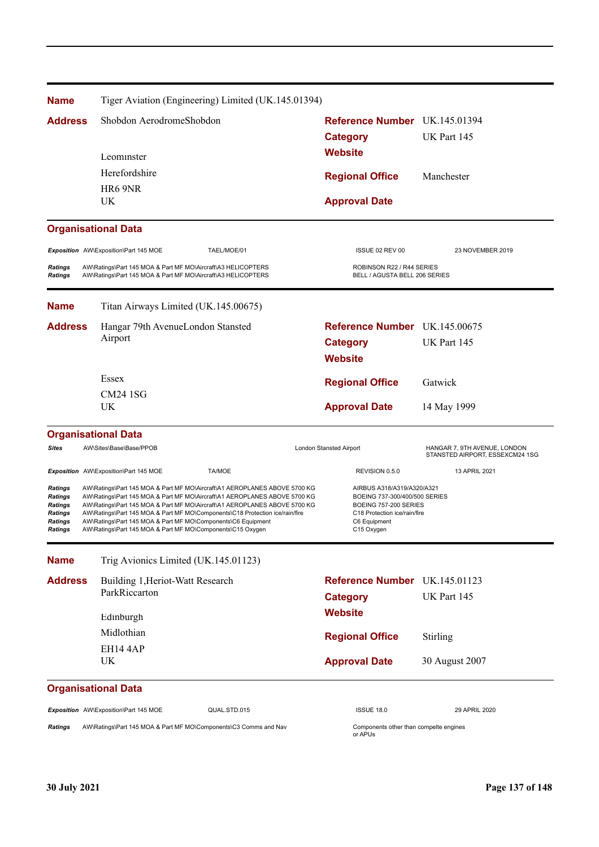| <b>Name</b>                                                                         |  |                                                                                                                              | Tiger Aviation (Engineering) Limited (UK.145.01394)                                                                                                                                                                                                                                                                 |  |                                                                                                                                                    |                                                                 |
|-------------------------------------------------------------------------------------|--|------------------------------------------------------------------------------------------------------------------------------|---------------------------------------------------------------------------------------------------------------------------------------------------------------------------------------------------------------------------------------------------------------------------------------------------------------------|--|----------------------------------------------------------------------------------------------------------------------------------------------------|-----------------------------------------------------------------|
| <b>Address</b>                                                                      |  | Shobdon AerodromeShobdon                                                                                                     |                                                                                                                                                                                                                                                                                                                     |  | Reference Number UK.145.01394                                                                                                                      |                                                                 |
|                                                                                     |  |                                                                                                                              |                                                                                                                                                                                                                                                                                                                     |  | <b>Category</b>                                                                                                                                    | UK Part 145                                                     |
|                                                                                     |  | Leominster                                                                                                                   |                                                                                                                                                                                                                                                                                                                     |  | <b>Website</b>                                                                                                                                     |                                                                 |
|                                                                                     |  | Herefordshire                                                                                                                |                                                                                                                                                                                                                                                                                                                     |  | <b>Regional Office</b>                                                                                                                             | Manchester                                                      |
|                                                                                     |  | HR6 9NR                                                                                                                      |                                                                                                                                                                                                                                                                                                                     |  |                                                                                                                                                    |                                                                 |
|                                                                                     |  | UK.                                                                                                                          |                                                                                                                                                                                                                                                                                                                     |  | <b>Approval Date</b>                                                                                                                               |                                                                 |
|                                                                                     |  | <b>Organisational Data</b>                                                                                                   |                                                                                                                                                                                                                                                                                                                     |  |                                                                                                                                                    |                                                                 |
|                                                                                     |  | Exposition AW\Exposition\Part 145 MOE                                                                                        | TAEL/MOE/01                                                                                                                                                                                                                                                                                                         |  | ISSUE 02 REV 00                                                                                                                                    | 23 NOVEMBER 2019                                                |
| <b>Ratings</b><br><b>Ratings</b>                                                    |  | AW\Ratings\Part 145 MOA & Part MF MO\Aircraft\A3 HELICOPTERS<br>AW\Ratings\Part 145 MOA & Part MF MO\Aircraft\A3 HELICOPTERS |                                                                                                                                                                                                                                                                                                                     |  | ROBINSON R22 / R44 SERIES<br>BELL / AGUSTA BELL 206 SERIES                                                                                         |                                                                 |
| <b>Name</b>                                                                         |  | Titan Airways Limited (UK.145.00675)                                                                                         |                                                                                                                                                                                                                                                                                                                     |  |                                                                                                                                                    |                                                                 |
| <b>Address</b>                                                                      |  | Hangar 79th AvenueLondon Stansted                                                                                            |                                                                                                                                                                                                                                                                                                                     |  | Reference Number UK.145.00675                                                                                                                      |                                                                 |
|                                                                                     |  | Airport                                                                                                                      |                                                                                                                                                                                                                                                                                                                     |  | <b>Category</b>                                                                                                                                    | UK Part 145                                                     |
|                                                                                     |  |                                                                                                                              |                                                                                                                                                                                                                                                                                                                     |  | <b>Website</b>                                                                                                                                     |                                                                 |
|                                                                                     |  | Essex                                                                                                                        |                                                                                                                                                                                                                                                                                                                     |  | <b>Regional Office</b>                                                                                                                             | Gatwick                                                         |
|                                                                                     |  | <b>CM24 1SG</b><br>UK                                                                                                        |                                                                                                                                                                                                                                                                                                                     |  |                                                                                                                                                    |                                                                 |
|                                                                                     |  |                                                                                                                              |                                                                                                                                                                                                                                                                                                                     |  | <b>Approval Date</b>                                                                                                                               | 14 May 1999                                                     |
|                                                                                     |  | <b>Organisational Data</b>                                                                                                   |                                                                                                                                                                                                                                                                                                                     |  |                                                                                                                                                    |                                                                 |
| <b>Sites</b>                                                                        |  | AW\Sites\Base\Base/PPOB                                                                                                      |                                                                                                                                                                                                                                                                                                                     |  | London Stansted Airport                                                                                                                            | HANGAR 7, 9TH AVENUE, LONDON<br>STANSTED AIRPORT, ESSEXCM24 1SG |
|                                                                                     |  | Exposition AW\Exposition\Part 145 MOE                                                                                        | <b>TA/MOE</b>                                                                                                                                                                                                                                                                                                       |  | REVISION 0.5.0                                                                                                                                     | 13 APRIL 2021                                                   |
| <b>Ratings</b><br><b>Ratings</b><br><b>Ratings</b><br>Ratings<br>Ratings<br>Ratings |  | AW\Ratings\Part 145 MOA & Part MF MO\Components\C6 Equipment<br>AW\Ratings\Part 145 MOA & Part MF MO\Components\C15 Oxygen   | AW\Ratings\Part 145 MOA & Part MF MO\Aircraft\A1 AEROPLANES ABOVE 5700 KG<br>AW\Ratings\Part 145 MOA & Part MF MO\Aircraft\A1 AEROPLANES ABOVE 5700 KG<br>AW\Ratings\Part 145 MOA & Part MF MO\Aircraft\A1 AEROPLANES ABOVE 5700 KG<br>AW\Ratings\Part 145 MOA & Part MF MO\Components\C18 Protection ice/rain/fire |  | AIRBUS A318/A319/A320/A321<br>BOEING 737-300/400/500 SERIES<br>BOEING 757-200 SERIES<br>C18 Protection ice/rain/fire<br>C6 Equipment<br>C15 Oxygen |                                                                 |
| <b>Name</b>                                                                         |  | Trig Avionics Limited (UK.145.01123)                                                                                         |                                                                                                                                                                                                                                                                                                                     |  |                                                                                                                                                    |                                                                 |
| <b>Address</b>                                                                      |  | Building 1, Heriot-Watt Research                                                                                             |                                                                                                                                                                                                                                                                                                                     |  | Reference Number UK.145.01123                                                                                                                      |                                                                 |
|                                                                                     |  | ParkRiccarton                                                                                                                |                                                                                                                                                                                                                                                                                                                     |  | <b>Category</b>                                                                                                                                    | UK Part 145                                                     |
|                                                                                     |  | Edinburgh                                                                                                                    |                                                                                                                                                                                                                                                                                                                     |  | <b>Website</b>                                                                                                                                     |                                                                 |
|                                                                                     |  | Midlothian                                                                                                                   |                                                                                                                                                                                                                                                                                                                     |  | <b>Regional Office</b>                                                                                                                             | Stirling                                                        |
|                                                                                     |  | <b>EH14 4AP</b>                                                                                                              |                                                                                                                                                                                                                                                                                                                     |  |                                                                                                                                                    |                                                                 |
|                                                                                     |  | <b>UK</b>                                                                                                                    |                                                                                                                                                                                                                                                                                                                     |  | <b>Approval Date</b>                                                                                                                               | 30 August 2007                                                  |
|                                                                                     |  | <b>Organisational Data</b>                                                                                                   |                                                                                                                                                                                                                                                                                                                     |  |                                                                                                                                                    |                                                                 |
|                                                                                     |  | Exposition AW\Exposition\Part 145 MOE                                                                                        | QUAL.STD.015                                                                                                                                                                                                                                                                                                        |  | <b>ISSUE 18.0</b>                                                                                                                                  | 29 APRIL 2020                                                   |
| <b>Ratings</b>                                                                      |  |                                                                                                                              | AW\Ratings\Part 145 MOA & Part MF MO\Components\C3 Comms and Nav                                                                                                                                                                                                                                                    |  | Components other than compelte engines<br>or APUs                                                                                                  |                                                                 |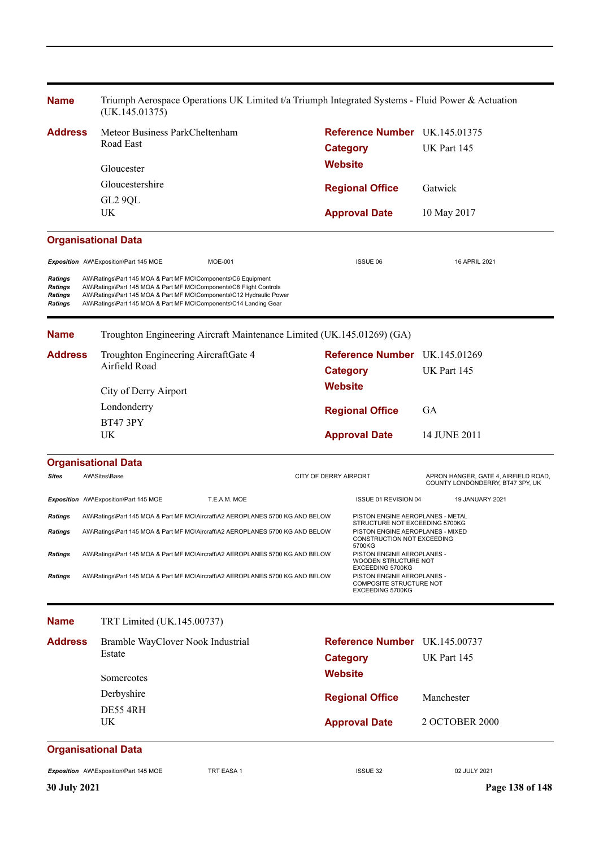| <b>Name</b><br>(UK.145.01375)                   |  |                                                                                                                                                                                                                                                                               |                       | Triumph Aerospace Operations UK Limited t/a Triumph Integrated Systems - Fluid Power & Actuation |                                                                                               |                                                                          |  |
|-------------------------------------------------|--|-------------------------------------------------------------------------------------------------------------------------------------------------------------------------------------------------------------------------------------------------------------------------------|-----------------------|--------------------------------------------------------------------------------------------------|-----------------------------------------------------------------------------------------------|--------------------------------------------------------------------------|--|
| <b>Address</b>                                  |  | Meteor Business ParkCheltenham                                                                                                                                                                                                                                                |                       | Reference Number UK.145.01375                                                                    |                                                                                               |                                                                          |  |
|                                                 |  | Road East                                                                                                                                                                                                                                                                     |                       | <b>Category</b>                                                                                  |                                                                                               | UK Part 145                                                              |  |
|                                                 |  | Gloucester                                                                                                                                                                                                                                                                    |                       | <b>Website</b>                                                                                   |                                                                                               |                                                                          |  |
|                                                 |  | Gloucestershire                                                                                                                                                                                                                                                               |                       |                                                                                                  | <b>Regional Office</b>                                                                        | Gatwick                                                                  |  |
|                                                 |  | GL2 9QL                                                                                                                                                                                                                                                                       |                       |                                                                                                  |                                                                                               |                                                                          |  |
|                                                 |  | UK                                                                                                                                                                                                                                                                            |                       |                                                                                                  | <b>Approval Date</b>                                                                          | 10 May 2017                                                              |  |
|                                                 |  | <b>Organisational Data</b>                                                                                                                                                                                                                                                    |                       |                                                                                                  |                                                                                               |                                                                          |  |
|                                                 |  | Exposition AW\Exposition\Part 145 MOE<br><b>MOE-001</b>                                                                                                                                                                                                                       |                       |                                                                                                  | ISSUE 06                                                                                      | 16 APRIL 2021                                                            |  |
| Ratings<br>Ratings<br>Ratings<br><b>Ratings</b> |  | AW\Ratings\Part 145 MOA & Part MF MO\Components\C6 Equipment<br>AW\Ratings\Part 145 MOA & Part MF MO\Components\C8 Flight Controls<br>AW\Ratings\Part 145 MOA & Part MF MO\Components\C12 Hydraulic Power<br>AW\Ratings\Part 145 MOA & Part MF MO\Components\C14 Landing Gear |                       |                                                                                                  |                                                                                               |                                                                          |  |
| <b>Name</b>                                     |  | Troughton Engineering Aircraft Maintenance Limited (UK.145.01269) (GA)                                                                                                                                                                                                        |                       |                                                                                                  |                                                                                               |                                                                          |  |
| <b>Address</b>                                  |  | Troughton Engineering AircraftGate 4                                                                                                                                                                                                                                          |                       |                                                                                                  | Reference Number UK.145.01269                                                                 |                                                                          |  |
|                                                 |  | Airfield Road                                                                                                                                                                                                                                                                 |                       | <b>Category</b>                                                                                  |                                                                                               | UK Part 145                                                              |  |
|                                                 |  | City of Derry Airport                                                                                                                                                                                                                                                         |                       | <b>Website</b>                                                                                   |                                                                                               |                                                                          |  |
|                                                 |  | Londonderry                                                                                                                                                                                                                                                                   |                       | <b>Regional Office</b>                                                                           |                                                                                               | GA                                                                       |  |
|                                                 |  | <b>BT47 3PY</b>                                                                                                                                                                                                                                                               |                       |                                                                                                  |                                                                                               |                                                                          |  |
|                                                 |  | UK                                                                                                                                                                                                                                                                            |                       |                                                                                                  | <b>Approval Date</b>                                                                          | 14 JUNE 2011                                                             |  |
|                                                 |  | <b>Organisational Data</b>                                                                                                                                                                                                                                                    |                       |                                                                                                  |                                                                                               |                                                                          |  |
| <b>Sites</b>                                    |  | AW\Sites\Base                                                                                                                                                                                                                                                                 | CITY OF DERRY AIRPORT |                                                                                                  |                                                                                               | APRON HANGER, GATE 4, AIRFIELD ROAD,<br>COUNTY LONDONDERRY, BT47 3PY, UK |  |
|                                                 |  | Exposition AW\Exposition\Part 145 MOE<br>T.E.A.M. MOE                                                                                                                                                                                                                         |                       |                                                                                                  | ISSUE 01 REVISION 04                                                                          | 19 JANUARY 2021                                                          |  |
| Ratings                                         |  | AW\Ratings\Part 145 MOA & Part MF MO\Aircraft\A2 AEROPLANES 5700 KG AND BELOW                                                                                                                                                                                                 |                       |                                                                                                  | PISTON ENGINE AEROPLANES - METAL<br>STRUCTURE NOT EXCEEDING 5700KG                            |                                                                          |  |
| <b>Ratings</b>                                  |  | AW\Ratings\Part 145 MOA & Part MF MO\Aircraft\A2 AEROPLANES 5700 KG AND BELOW                                                                                                                                                                                                 |                       |                                                                                                  | PISTON ENGINE AEROPLANES - MIXED<br>CONSTRUCTION NOT EXCEEDING                                |                                                                          |  |
| <b>Ratings</b>                                  |  | AW\Ratings\Part 145 MOA & Part MF MO\Aircraft\A2 AEROPLANES 5700 KG AND BELOW                                                                                                                                                                                                 |                       |                                                                                                  | 5700KG<br>PISTON ENGINE AEROPLANES -<br>WOODEN STRUCTURE NOT                                  |                                                                          |  |
| <b>Ratings</b>                                  |  | AW\Ratings\Part 145 MOA & Part MF MO\Aircraft\A2 AEROPLANES 5700 KG AND BELOW                                                                                                                                                                                                 |                       |                                                                                                  | EXCEEDING 5700KG<br>PISTON ENGINE AEROPLANES -<br>COMPOSITE STRUCTURE NOT<br>EXCEEDING 5700KG |                                                                          |  |
| <b>Name</b>                                     |  | TRT Limited (UK.145.00737)                                                                                                                                                                                                                                                    |                       |                                                                                                  |                                                                                               |                                                                          |  |
| <b>Address</b>                                  |  | Bramble WayClover Nook Industrial                                                                                                                                                                                                                                             |                       |                                                                                                  | Reference Number UK.145.00737                                                                 |                                                                          |  |
|                                                 |  | Estate                                                                                                                                                                                                                                                                        |                       | <b>Category</b>                                                                                  |                                                                                               | UK Part 145                                                              |  |
|                                                 |  | Somercotes                                                                                                                                                                                                                                                                    |                       | <b>Website</b>                                                                                   |                                                                                               |                                                                          |  |
|                                                 |  | Derbyshire                                                                                                                                                                                                                                                                    |                       |                                                                                                  | <b>Regional Office</b>                                                                        | Manchester                                                               |  |
|                                                 |  | DE55 4RH                                                                                                                                                                                                                                                                      |                       |                                                                                                  |                                                                                               |                                                                          |  |
|                                                 |  | UK.                                                                                                                                                                                                                                                                           |                       |                                                                                                  | <b>Approval Date</b>                                                                          | 2 OCTOBER 2000                                                           |  |
|                                                 |  | <b>Organisational Data</b>                                                                                                                                                                                                                                                    |                       |                                                                                                  |                                                                                               |                                                                          |  |
|                                                 |  | <b>Exposition</b> AW\Exposition\Part 145 MOE<br>TRT EASA 1                                                                                                                                                                                                                    |                       |                                                                                                  | ISSUE 32                                                                                      | 02 JULY 2021                                                             |  |
| <b>30 July 2021</b>                             |  |                                                                                                                                                                                                                                                                               |                       |                                                                                                  |                                                                                               | Page 138 of 148                                                          |  |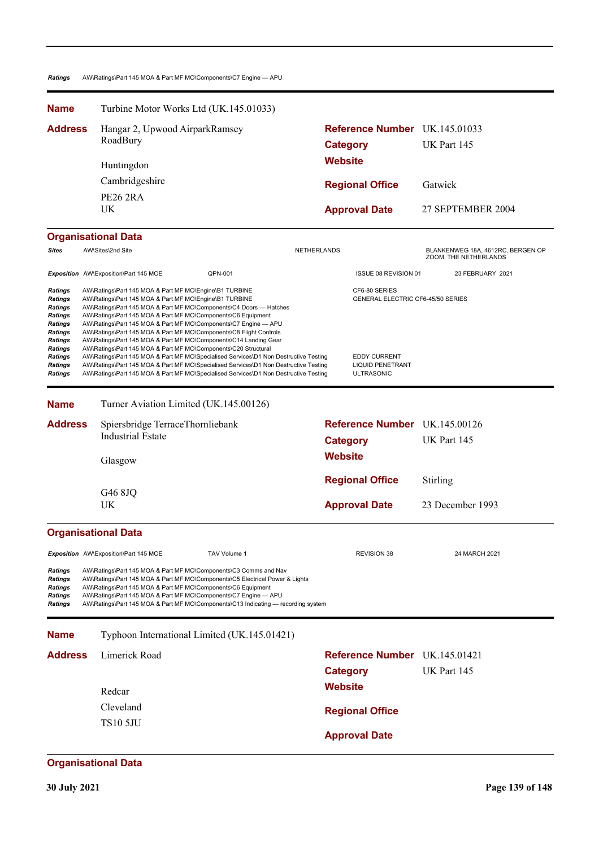### *Ratings* AW\Ratings\Part 145 MOA & Part MF MO\Components\C7 Engine — APU

| <b>Name</b>                                                                                                                                                            |  | Turbine Motor Works Ltd (UK.145.01033)                                                                                                                                                                                                             |                                                                                                                                                                                                                                                                                                                                                                                                                                                                                                                                                         |                      |                                                         |                                                                                      |                                                            |
|------------------------------------------------------------------------------------------------------------------------------------------------------------------------|--|----------------------------------------------------------------------------------------------------------------------------------------------------------------------------------------------------------------------------------------------------|---------------------------------------------------------------------------------------------------------------------------------------------------------------------------------------------------------------------------------------------------------------------------------------------------------------------------------------------------------------------------------------------------------------------------------------------------------------------------------------------------------------------------------------------------------|----------------------|---------------------------------------------------------|--------------------------------------------------------------------------------------|------------------------------------------------------------|
| <b>Address</b>                                                                                                                                                         |  | Hangar 2, Upwood AirparkRamsey<br>RoadBury                                                                                                                                                                                                         |                                                                                                                                                                                                                                                                                                                                                                                                                                                                                                                                                         |                      | <b>Reference Number</b> UK.145.01033<br><b>Category</b> |                                                                                      | UK Part 145                                                |
|                                                                                                                                                                        |  | Huntingdon                                                                                                                                                                                                                                         |                                                                                                                                                                                                                                                                                                                                                                                                                                                                                                                                                         |                      | <b>Website</b>                                          |                                                                                      |                                                            |
|                                                                                                                                                                        |  | Cambridgeshire                                                                                                                                                                                                                                     |                                                                                                                                                                                                                                                                                                                                                                                                                                                                                                                                                         |                      | <b>Regional Office</b>                                  |                                                                                      | Gatwick                                                    |
|                                                                                                                                                                        |  | <b>PE26 2RA</b>                                                                                                                                                                                                                                    |                                                                                                                                                                                                                                                                                                                                                                                                                                                                                                                                                         |                      |                                                         |                                                                                      |                                                            |
|                                                                                                                                                                        |  | <b>UK</b>                                                                                                                                                                                                                                          |                                                                                                                                                                                                                                                                                                                                                                                                                                                                                                                                                         |                      | <b>Approval Date</b>                                    |                                                                                      | 27 SEPTEMBER 2004                                          |
|                                                                                                                                                                        |  | <b>Organisational Data</b>                                                                                                                                                                                                                         |                                                                                                                                                                                                                                                                                                                                                                                                                                                                                                                                                         |                      |                                                         |                                                                                      |                                                            |
| <b>Sites</b>                                                                                                                                                           |  | AW\Sites\2nd Site                                                                                                                                                                                                                                  |                                                                                                                                                                                                                                                                                                                                                                                                                                                                                                                                                         | NETHERLANDS          |                                                         |                                                                                      | BLANKENWEG 18A, 4612RC, BERGEN OP<br>ZOOM, THE NETHERLANDS |
|                                                                                                                                                                        |  | Exposition AW\Exposition\Part 145 MOE                                                                                                                                                                                                              | QPN-001                                                                                                                                                                                                                                                                                                                                                                                                                                                                                                                                                 |                      |                                                         | ISSUE 08 REVISION 01                                                                 | 23 FEBRUARY 2021                                           |
| Ratings<br><b>Ratings</b><br>Ratings<br>Ratings<br>Ratings<br><b>Ratings</b><br><b>Ratings</b><br><b>Ratings</b><br><b>Ratings</b><br><b>Ratings</b><br><b>Ratings</b> |  | AW\Ratings\Part 145 MOA & Part MF MO\Engine\B1 TURBINE<br>AW\Ratings\Part 145 MOA & Part MF MO\Engine\B1 TURBINE<br>AW\Ratings\Part 145 MOA & Part MF MO\Components\C6 Equipment<br>AW\Ratings\Part 145 MOA & Part MF MO\Components\C20 Structural | AW\Ratings\Part 145 MOA & Part MF MO\Components\C4 Doors - Hatches<br>AW\Ratings\Part 145 MOA & Part MF MO\Components\C7 Engine - APU<br>AW\Ratings\Part 145 MOA & Part MF MO\Components\C8 Flight Controls<br>AW\Ratings\Part 145 MOA & Part MF MO\Components\C14 Landing Gear<br>AW\Ratings\Part 145 MOA & Part MF MO\Specialised Services\D1 Non Destructive Testing<br>AW\Ratings\Part 145 MOA & Part MF MO\Specialised Services\D1 Non Destructive Testing<br>AW\Ratings\Part 145 MOA & Part MF MO\Specialised Services\D1 Non Destructive Testing |                      |                                                         | CF6-80 SERIES<br><b>EDDY CURRENT</b><br><b>LIQUID PENETRANT</b><br><b>ULTRASONIC</b> | GENERAL ELECTRIC CF6-45/50 SERIES                          |
| <b>Name</b>                                                                                                                                                            |  | Turner Aviation Limited (UK.145.00126)                                                                                                                                                                                                             |                                                                                                                                                                                                                                                                                                                                                                                                                                                                                                                                                         |                      |                                                         |                                                                                      |                                                            |
| <b>Address</b>                                                                                                                                                         |  | Spiersbridge TerraceThornliebank<br><b>Industrial Estate</b>                                                                                                                                                                                       |                                                                                                                                                                                                                                                                                                                                                                                                                                                                                                                                                         |                      | <b>Category</b>                                         |                                                                                      | <b>Reference Number</b> UK.145.00126<br>UK Part 145        |
|                                                                                                                                                                        |  | Glasgow                                                                                                                                                                                                                                            |                                                                                                                                                                                                                                                                                                                                                                                                                                                                                                                                                         |                      | <b>Website</b>                                          |                                                                                      |                                                            |
|                                                                                                                                                                        |  |                                                                                                                                                                                                                                                    |                                                                                                                                                                                                                                                                                                                                                                                                                                                                                                                                                         |                      | <b>Regional Office</b>                                  |                                                                                      | Stirling                                                   |
|                                                                                                                                                                        |  | G46 8JQ                                                                                                                                                                                                                                            |                                                                                                                                                                                                                                                                                                                                                                                                                                                                                                                                                         |                      |                                                         |                                                                                      |                                                            |
|                                                                                                                                                                        |  | UK                                                                                                                                                                                                                                                 |                                                                                                                                                                                                                                                                                                                                                                                                                                                                                                                                                         |                      | <b>Approval Date</b>                                    |                                                                                      | 23 December 1993                                           |
|                                                                                                                                                                        |  | <b>Organisational Data</b>                                                                                                                                                                                                                         |                                                                                                                                                                                                                                                                                                                                                                                                                                                                                                                                                         |                      |                                                         |                                                                                      |                                                            |
|                                                                                                                                                                        |  | Exposition AW\Exposition\Part 145 MOE                                                                                                                                                                                                              | TAV Volume 1                                                                                                                                                                                                                                                                                                                                                                                                                                                                                                                                            |                      |                                                         | <b>REVISION 38</b>                                                                   | 24 MARCH 2021                                              |
| Ratings<br><b>Ratings</b><br>Ratings<br>Ratings<br>Ratings                                                                                                             |  | AW\Ratings\Part 145 MOA & Part MF MO\Components\C6 Equipment                                                                                                                                                                                       | AW\Ratings\Part 145 MOA & Part MF MO\Components\C3 Comms and Nav<br>AW\Ratings\Part 145 MOA & Part MF MO\Components\C5 Electrical Power & Lights<br>AW\Ratings\Part 145 MOA & Part MF MO\Components\C7 Engine - APU<br>AW\Ratings\Part 145 MOA & Part MF MO\Components\C13 Indicating — recording system                                                                                                                                                                                                                                                |                      |                                                         |                                                                                      |                                                            |
| <b>Name</b>                                                                                                                                                            |  |                                                                                                                                                                                                                                                    | Typhoon International Limited (UK.145.01421)                                                                                                                                                                                                                                                                                                                                                                                                                                                                                                            |                      |                                                         |                                                                                      |                                                            |
| <b>Address</b>                                                                                                                                                         |  | Limerick Road                                                                                                                                                                                                                                      |                                                                                                                                                                                                                                                                                                                                                                                                                                                                                                                                                         |                      | <b>Category</b>                                         |                                                                                      | Reference Number UK 145,01421<br>UK Part 145               |
|                                                                                                                                                                        |  | Redcar                                                                                                                                                                                                                                             |                                                                                                                                                                                                                                                                                                                                                                                                                                                                                                                                                         |                      | <b>Website</b>                                          |                                                                                      |                                                            |
|                                                                                                                                                                        |  | Cleveland                                                                                                                                                                                                                                          |                                                                                                                                                                                                                                                                                                                                                                                                                                                                                                                                                         |                      | <b>Regional Office</b>                                  |                                                                                      |                                                            |
|                                                                                                                                                                        |  | <b>TS10 5JU</b>                                                                                                                                                                                                                                    |                                                                                                                                                                                                                                                                                                                                                                                                                                                                                                                                                         | <b>Approval Date</b> |                                                         |                                                                                      |                                                            |
|                                                                                                                                                                        |  | <b>Organisational Data</b>                                                                                                                                                                                                                         |                                                                                                                                                                                                                                                                                                                                                                                                                                                                                                                                                         |                      |                                                         |                                                                                      |                                                            |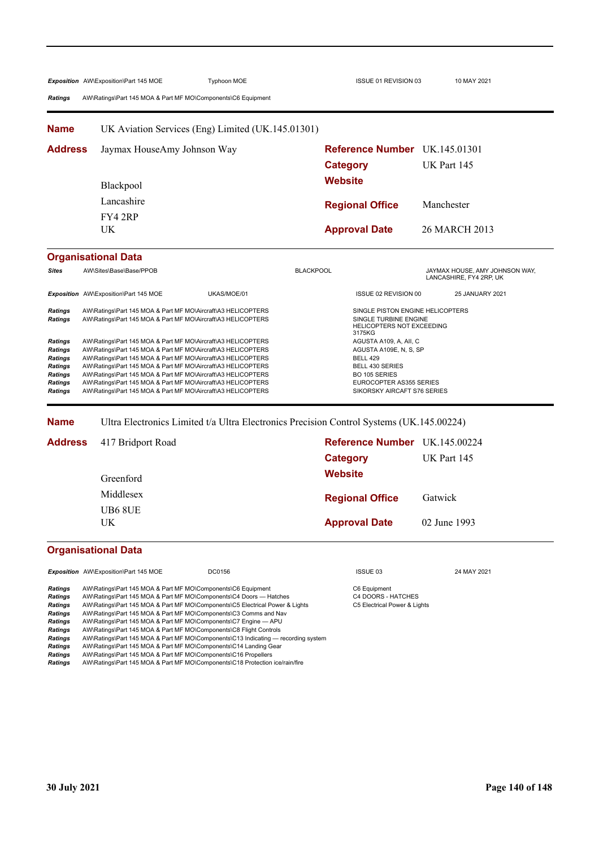| <b>Ratings</b>                                                                                                                                                                                                                                                                                                                                                                                                                                                                                                                            | Exposition AW\Exposition\Part 145 MOE<br>AW\Ratings\Part 145 MOA & Part MF MO\Components\C6 Equipment                                                                                                                                                                                                                                                                                                                                                                                                                                                                                                                                                                                                                                      | <b>Typhoon MOE</b>                                  | ISSUE 01 REVISION 03                                                                                       | 10 MAY 2021                                               |  |  |
|-------------------------------------------------------------------------------------------------------------------------------------------------------------------------------------------------------------------------------------------------------------------------------------------------------------------------------------------------------------------------------------------------------------------------------------------------------------------------------------------------------------------------------------------|--------------------------------------------------------------------------------------------------------------------------------------------------------------------------------------------------------------------------------------------------------------------------------------------------------------------------------------------------------------------------------------------------------------------------------------------------------------------------------------------------------------------------------------------------------------------------------------------------------------------------------------------------------------------------------------------------------------------------------------------|-----------------------------------------------------|------------------------------------------------------------------------------------------------------------|-----------------------------------------------------------|--|--|
| Name                                                                                                                                                                                                                                                                                                                                                                                                                                                                                                                                      | UK Aviation Services (Eng) Limited (UK.145.01301)                                                                                                                                                                                                                                                                                                                                                                                                                                                                                                                                                                                                                                                                                          |                                                     |                                                                                                            |                                                           |  |  |
| <b>Address</b>                                                                                                                                                                                                                                                                                                                                                                                                                                                                                                                            | Jaymax HouseAmy Johnson Way                                                                                                                                                                                                                                                                                                                                                                                                                                                                                                                                                                                                                                                                                                                |                                                     | <b>Reference Number</b> UK.145.01301                                                                       |                                                           |  |  |
|                                                                                                                                                                                                                                                                                                                                                                                                                                                                                                                                           |                                                                                                                                                                                                                                                                                                                                                                                                                                                                                                                                                                                                                                                                                                                                            |                                                     | <b>Category</b>                                                                                            | UK Part 145                                               |  |  |
|                                                                                                                                                                                                                                                                                                                                                                                                                                                                                                                                           | Blackpool                                                                                                                                                                                                                                                                                                                                                                                                                                                                                                                                                                                                                                                                                                                                  |                                                     | <b>Website</b>                                                                                             |                                                           |  |  |
|                                                                                                                                                                                                                                                                                                                                                                                                                                                                                                                                           | Lancashire                                                                                                                                                                                                                                                                                                                                                                                                                                                                                                                                                                                                                                                                                                                                 |                                                     | <b>Regional Office</b>                                                                                     | Manchester                                                |  |  |
|                                                                                                                                                                                                                                                                                                                                                                                                                                                                                                                                           | FY42RP                                                                                                                                                                                                                                                                                                                                                                                                                                                                                                                                                                                                                                                                                                                                     |                                                     |                                                                                                            |                                                           |  |  |
|                                                                                                                                                                                                                                                                                                                                                                                                                                                                                                                                           | UK.                                                                                                                                                                                                                                                                                                                                                                                                                                                                                                                                                                                                                                                                                                                                        |                                                     | <b>Approval Date</b>                                                                                       | 26 MARCH 2013                                             |  |  |
|                                                                                                                                                                                                                                                                                                                                                                                                                                                                                                                                           | <b>Organisational Data</b>                                                                                                                                                                                                                                                                                                                                                                                                                                                                                                                                                                                                                                                                                                                 |                                                     |                                                                                                            |                                                           |  |  |
| <b>Sites</b>                                                                                                                                                                                                                                                                                                                                                                                                                                                                                                                              | AW\Sites\Base\Base/PPOB                                                                                                                                                                                                                                                                                                                                                                                                                                                                                                                                                                                                                                                                                                                    |                                                     | <b>BLACKPOOL</b>                                                                                           | JAYMAX HOUSE, AMY JOHNSON WAY,<br>LANCASHIRE, FY4 2RP, UK |  |  |
|                                                                                                                                                                                                                                                                                                                                                                                                                                                                                                                                           | Exposition AW\Exposition\Part 145 MOE                                                                                                                                                                                                                                                                                                                                                                                                                                                                                                                                                                                                                                                                                                      | UKAS/MOE/01                                         | ISSUE 02 REVISION 00                                                                                       | 25 JANUARY 2021                                           |  |  |
| Ratings<br><b>Ratings</b>                                                                                                                                                                                                                                                                                                                                                                                                                                                                                                                 | AW\Ratings\Part 145 MOA & Part MF MO\Aircraft\A3 HELICOPTERS<br>AW\Ratings\Part 145 MOA & Part MF MO\Aircraft\A3 HELICOPTERS                                                                                                                                                                                                                                                                                                                                                                                                                                                                                                                                                                                                               |                                                     | SINGLE PISTON ENGINE HELICOPTERS<br>SINGLE TURBINE ENGINE<br>HELICOPTERS NOT EXCEEDING<br>3175KG           |                                                           |  |  |
| Ratings<br>AW\Ratings\Part 145 MOA & Part MF MO\Aircraft\A3 HELICOPTERS<br>AW\Ratings\Part 145 MOA & Part MF MO\Aircraft\A3 HELICOPTERS<br>Ratings<br>AW\Ratings\Part 145 MOA & Part MF MO\Aircraft\A3 HELICOPTERS<br>Ratings<br>AW\Ratings\Part 145 MOA & Part MF MO\Aircraft\A3 HELICOPTERS<br>Ratings<br>AW\Ratings\Part 145 MOA & Part MF MO\Aircraft\A3 HELICOPTERS<br>Ratings<br>AW\Ratings\Part 145 MOA & Part MF MO\Aircraft\A3 HELICOPTERS<br>Ratings<br>AW\Ratings\Part 145 MOA & Part MF MO\Aircraft\A3 HELICOPTERS<br>Ratings |                                                                                                                                                                                                                                                                                                                                                                                                                                                                                                                                                                                                                                                                                                                                            | <b>BELL 429</b><br>BELL 430 SERIES<br>BO 105 SERIES | AGUSTA A109, A, All, C<br>AGUSTA A109E, N, S, SP<br>EUROCOPTER AS355 SERIES<br>SIKORSKY AIRCAFT S76 SERIES |                                                           |  |  |
| <b>Name</b>                                                                                                                                                                                                                                                                                                                                                                                                                                                                                                                               |                                                                                                                                                                                                                                                                                                                                                                                                                                                                                                                                                                                                                                                                                                                                            |                                                     | Ultra Electronics Limited t/a Ultra Electronics Precision Control Systems (UK.145.00224)                   |                                                           |  |  |
| <b>Address</b>                                                                                                                                                                                                                                                                                                                                                                                                                                                                                                                            | 417 Bridport Road                                                                                                                                                                                                                                                                                                                                                                                                                                                                                                                                                                                                                                                                                                                          |                                                     | Reference Number UK.145.00224                                                                              |                                                           |  |  |
|                                                                                                                                                                                                                                                                                                                                                                                                                                                                                                                                           |                                                                                                                                                                                                                                                                                                                                                                                                                                                                                                                                                                                                                                                                                                                                            |                                                     | <b>Category</b>                                                                                            | UK Part 145                                               |  |  |
|                                                                                                                                                                                                                                                                                                                                                                                                                                                                                                                                           | Greenford                                                                                                                                                                                                                                                                                                                                                                                                                                                                                                                                                                                                                                                                                                                                  |                                                     | <b>Website</b>                                                                                             |                                                           |  |  |
|                                                                                                                                                                                                                                                                                                                                                                                                                                                                                                                                           | Middlesex                                                                                                                                                                                                                                                                                                                                                                                                                                                                                                                                                                                                                                                                                                                                  |                                                     | <b>Regional Office</b>                                                                                     | Gatwick                                                   |  |  |
|                                                                                                                                                                                                                                                                                                                                                                                                                                                                                                                                           | <b>UB6 8UE</b>                                                                                                                                                                                                                                                                                                                                                                                                                                                                                                                                                                                                                                                                                                                             |                                                     |                                                                                                            |                                                           |  |  |
|                                                                                                                                                                                                                                                                                                                                                                                                                                                                                                                                           | $\ensuremath{\text{UK}}\xspace$                                                                                                                                                                                                                                                                                                                                                                                                                                                                                                                                                                                                                                                                                                            |                                                     | <b>Approval Date</b>                                                                                       | 02 June 1993                                              |  |  |
|                                                                                                                                                                                                                                                                                                                                                                                                                                                                                                                                           | <b>Organisational Data</b>                                                                                                                                                                                                                                                                                                                                                                                                                                                                                                                                                                                                                                                                                                                 |                                                     |                                                                                                            |                                                           |  |  |
|                                                                                                                                                                                                                                                                                                                                                                                                                                                                                                                                           | Exposition AW\Exposition\Part 145 MOE                                                                                                                                                                                                                                                                                                                                                                                                                                                                                                                                                                                                                                                                                                      | DC0156                                              | ISSUE 03                                                                                                   | 24 MAY 2021                                               |  |  |
| Ratings<br>Ratings<br>Ratings<br>Ratings<br>Ratings<br>Ratings<br>Ratings<br>Ratings<br><b>Ratings</b><br><b>Patinne</b>                                                                                                                                                                                                                                                                                                                                                                                                                  | AW\Ratings\Part 145 MOA & Part MF MO\Components\C6 Equipment<br>AW\Ratings\Part 145 MOA & Part MF MO\Components\C4 Doors - Hatches<br>AW\Ratings\Part 145 MOA & Part MF MO\Components\C5 Electrical Power & Lights<br>AW\Ratings\Part 145 MOA & Part MF MO\Components\C3 Comms and Nav<br>AW\Ratings\Part 145 MOA & Part MF MO\Components\C7 Engine - APU<br>AW\Ratings\Part 145 MOA & Part MF MO\Components\C8 Flight Controls<br>AW\Ratings\Part 145 MOA & Part MF MO\Components\C13 Indicating — recording system<br>AW\Ratings\Part 145 MOA & Part MF MO\Components\C14 Landing Gear<br>AW\Ratings\Part 145 MOA & Part MF MO\Components\C16 Propellers<br>AM/Ratings\Part 145 MOA & Part ME MO\Components\C18 Protection ice/rain/fire |                                                     | C6 Equipment<br>C4 DOORS - HATCHES<br>C5 Electrical Power & Lights                                         |                                                           |  |  |

*Ratings* AW\Ratings\Part 145 MOA & Part MF MO\Components\C18 Protection ice/rain/fire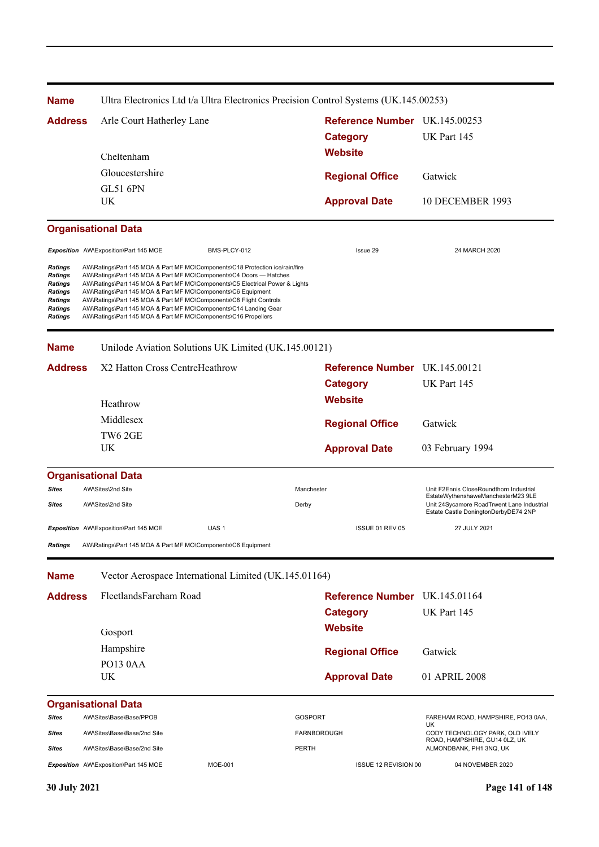| <b>Name</b>                                                                                                                |                                                                                                                                                                                                                                                                                                                                                                                                                                                                                                                | Ultra Electronics Ltd t/a Ultra Electronics Precision Control Systems (UK.145.00253) |                               |                                                                                    |  |
|----------------------------------------------------------------------------------------------------------------------------|----------------------------------------------------------------------------------------------------------------------------------------------------------------------------------------------------------------------------------------------------------------------------------------------------------------------------------------------------------------------------------------------------------------------------------------------------------------------------------------------------------------|--------------------------------------------------------------------------------------|-------------------------------|------------------------------------------------------------------------------------|--|
| <b>Address</b>                                                                                                             | Arle Court Hatherley Lane                                                                                                                                                                                                                                                                                                                                                                                                                                                                                      |                                                                                      | Reference Number UK.145.00253 |                                                                                    |  |
|                                                                                                                            |                                                                                                                                                                                                                                                                                                                                                                                                                                                                                                                |                                                                                      | <b>Category</b>               | UK Part 145                                                                        |  |
|                                                                                                                            | Cheltenham                                                                                                                                                                                                                                                                                                                                                                                                                                                                                                     |                                                                                      | <b>Website</b>                |                                                                                    |  |
|                                                                                                                            | Gloucestershire                                                                                                                                                                                                                                                                                                                                                                                                                                                                                                |                                                                                      |                               |                                                                                    |  |
|                                                                                                                            | <b>GL51 6PN</b>                                                                                                                                                                                                                                                                                                                                                                                                                                                                                                |                                                                                      | <b>Regional Office</b>        | Gatwick                                                                            |  |
|                                                                                                                            | UK                                                                                                                                                                                                                                                                                                                                                                                                                                                                                                             |                                                                                      | <b>Approval Date</b>          | 10 DECEMBER 1993                                                                   |  |
|                                                                                                                            | <b>Organisational Data</b>                                                                                                                                                                                                                                                                                                                                                                                                                                                                                     |                                                                                      |                               |                                                                                    |  |
|                                                                                                                            | Exposition AW\Exposition\Part 145 MOE                                                                                                                                                                                                                                                                                                                                                                                                                                                                          | BMS-PLCY-012                                                                         | Issue 29                      | 24 MARCH 2020                                                                      |  |
| <b>Ratings</b><br><b>Ratings</b><br><b>Ratings</b><br><b>Ratings</b><br><b>Ratings</b><br><b>Ratings</b><br><b>Ratings</b> | AW\Ratings\Part 145 MOA & Part MF MO\Components\C18 Protection ice/rain/fire<br>AW\Ratings\Part 145 MOA & Part MF MO\Components\C4 Doors - Hatches<br>AW\Ratings\Part 145 MOA & Part MF MO\Components\C5 Electrical Power & Lights<br>AW\Ratings\Part 145 MOA & Part MF MO\Components\C6 Equipment<br>AW\Ratings\Part 145 MOA & Part MF MO\Components\C8 Flight Controls<br>AW\Ratings\Part 145 MOA & Part MF MO\Components\C14 Landing Gear<br>AW\Ratings\Part 145 MOA & Part MF MO\Components\C16 Propellers |                                                                                      |                               |                                                                                    |  |
| <b>Name</b>                                                                                                                |                                                                                                                                                                                                                                                                                                                                                                                                                                                                                                                | Unilode Aviation Solutions UK Limited (UK.145.00121)                                 |                               |                                                                                    |  |
| <b>Address</b>                                                                                                             | X2 Hatton Cross CentreHeathrow                                                                                                                                                                                                                                                                                                                                                                                                                                                                                 |                                                                                      | Reference Number UK.145.00121 |                                                                                    |  |
|                                                                                                                            |                                                                                                                                                                                                                                                                                                                                                                                                                                                                                                                |                                                                                      | <b>Category</b>               | UK Part 145                                                                        |  |
|                                                                                                                            | Heathrow                                                                                                                                                                                                                                                                                                                                                                                                                                                                                                       |                                                                                      | <b>Website</b>                |                                                                                    |  |
|                                                                                                                            | Middlesex                                                                                                                                                                                                                                                                                                                                                                                                                                                                                                      |                                                                                      |                               |                                                                                    |  |
|                                                                                                                            | TW6 2GE                                                                                                                                                                                                                                                                                                                                                                                                                                                                                                        |                                                                                      | <b>Regional Office</b>        | Gatwick                                                                            |  |
|                                                                                                                            | UK                                                                                                                                                                                                                                                                                                                                                                                                                                                                                                             |                                                                                      | <b>Approval Date</b>          | 03 February 1994                                                                   |  |
|                                                                                                                            | <b>Organisational Data</b>                                                                                                                                                                                                                                                                                                                                                                                                                                                                                     |                                                                                      |                               |                                                                                    |  |
| <b>Sites</b>                                                                                                               | AW\Sites\2nd Site                                                                                                                                                                                                                                                                                                                                                                                                                                                                                              | Manchester                                                                           |                               | Unit F2Ennis CloseRoundthorn Industrial<br>EstateWythenshaweManchesterM23 9LE      |  |
| Sites                                                                                                                      | AW\Sites\2nd Site                                                                                                                                                                                                                                                                                                                                                                                                                                                                                              | Derby                                                                                |                               | Unit 24Sycamore RoadTrwent Lane Industrial<br>Estate Castle DoningtonDerbyDE74 2NP |  |
|                                                                                                                            | Exposition AW\Exposition\Part 145 MOE                                                                                                                                                                                                                                                                                                                                                                                                                                                                          | UAS <sub>1</sub>                                                                     | ISSUE 01 REV 05               | 27 JULY 2021                                                                       |  |
| <b>Ratings</b>                                                                                                             | AW\Ratings\Part 145 MOA & Part MF MO\Components\C6 Equipment                                                                                                                                                                                                                                                                                                                                                                                                                                                   |                                                                                      |                               |                                                                                    |  |
| <b>Name</b>                                                                                                                |                                                                                                                                                                                                                                                                                                                                                                                                                                                                                                                | Vector Aerospace International Limited (UK.145.01164)                                |                               |                                                                                    |  |
| <b>Address</b>                                                                                                             | FleetlandsFareham Road                                                                                                                                                                                                                                                                                                                                                                                                                                                                                         |                                                                                      | Reference Number UK.145.01164 |                                                                                    |  |
|                                                                                                                            |                                                                                                                                                                                                                                                                                                                                                                                                                                                                                                                |                                                                                      | <b>Category</b>               | UK Part 145                                                                        |  |
|                                                                                                                            | Gosport                                                                                                                                                                                                                                                                                                                                                                                                                                                                                                        |                                                                                      | <b>Website</b>                |                                                                                    |  |
|                                                                                                                            | Hampshire                                                                                                                                                                                                                                                                                                                                                                                                                                                                                                      |                                                                                      |                               |                                                                                    |  |
|                                                                                                                            | PO13 0AA                                                                                                                                                                                                                                                                                                                                                                                                                                                                                                       |                                                                                      | <b>Regional Office</b>        | Gatwick                                                                            |  |
|                                                                                                                            | UK                                                                                                                                                                                                                                                                                                                                                                                                                                                                                                             |                                                                                      | <b>Approval Date</b>          | 01 APRIL 2008                                                                      |  |
|                                                                                                                            | <b>Organisational Data</b>                                                                                                                                                                                                                                                                                                                                                                                                                                                                                     |                                                                                      |                               |                                                                                    |  |
| Sites                                                                                                                      | AW\Sites\Base\Base/PPOB                                                                                                                                                                                                                                                                                                                                                                                                                                                                                        | <b>GOSPORT</b>                                                                       |                               | FAREHAM ROAD, HAMPSHIRE, PO13 0AA,<br>UK                                           |  |
| Sites                                                                                                                      | AW\Sites\Base\Base/2nd Site                                                                                                                                                                                                                                                                                                                                                                                                                                                                                    | <b>FARNBOROUGH</b>                                                                   |                               | CODY TECHNOLOGY PARK, OLD IVELY<br>ROAD, HAMPSHIRE, GU14 0LZ, UK                   |  |
| Sites                                                                                                                      | AW\Sites\Base\Base/2nd Site                                                                                                                                                                                                                                                                                                                                                                                                                                                                                    | <b>PERTH</b>                                                                         |                               | ALMONDBANK, PH1 3NQ, UK                                                            |  |
|                                                                                                                            | Exposition AW\Exposition\Part 145 MOE                                                                                                                                                                                                                                                                                                                                                                                                                                                                          | <b>MOE-001</b>                                                                       | ISSUE 12 REVISION 00          | 04 NOVEMBER 2020                                                                   |  |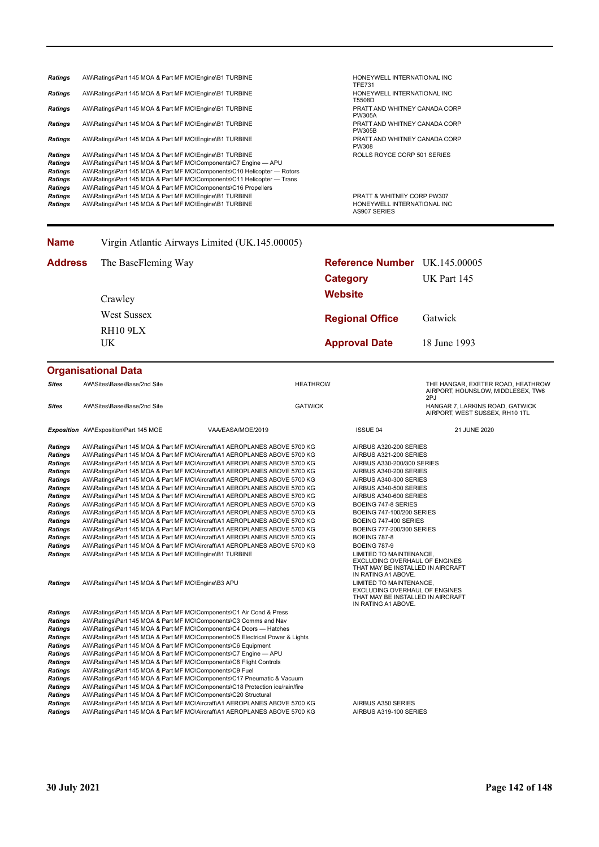| <b>Ratings</b> | AW\Ratings\Part 145 MOA & Part MF MO\Engine\B1 TURBINE                  | HONEYWELL INTERNATIONAL INC<br><b>TFE731</b>       |
|----------------|-------------------------------------------------------------------------|----------------------------------------------------|
| <b>Ratings</b> | AW\Ratings\Part 145 MOA & Part MF MO\Engine\B1 TURBINE                  | HONEYWELL INTERNATIONAL INC<br>T5508D              |
| <b>Ratings</b> | AW\Ratings\Part 145 MOA & Part MF MO\Engine\B1 TURBINE                  | PRATT AND WHITNEY CANADA CORP<br><b>PW305A</b>     |
| <b>Ratings</b> | AW\Ratings\Part 145 MOA & Part MF MO\Engine\B1 TURBINE                  | PRATT AND WHITNEY CANADA CORP<br><b>PW305B</b>     |
| <b>Ratings</b> | AW\Ratings\Part 145 MOA & Part MF MO\Engine\B1 TURBINE                  | PRATT AND WHITNEY CANADA CORP<br>PW308             |
| <b>Ratings</b> | AW\Ratings\Part 145 MOA & Part MF MO\Engine\B1 TURBINE                  | ROLLS ROYCE CORP 501 SERIES                        |
| Ratings        | AW\Ratings\Part 145 MOA & Part MF MO\Components\C7 Engine - APU         |                                                    |
| Ratings        | AW\Ratings\Part 145 MOA & Part MF MO\Components\C10 Helicopter - Rotors |                                                    |
| <b>Ratings</b> | AW\Ratings\Part 145 MOA & Part MF MO\Components\C11 Helicopter — Trans  |                                                    |
| <b>Ratings</b> | AW\Ratings\Part 145 MOA & Part MF MO\Components\C16 Propellers          |                                                    |
| Ratings        | AW\Ratings\Part 145 MOA & Part MF MO\Engine\B1 TURBINE                  | <b>PRATT &amp; WHITNEY CORP PW307</b>              |
| <b>Ratings</b> | AW\Ratings\Part 145 MOA & Part MF MO\Engine\B1 TURBINE                  | HONEYWELL INTERNATIONAL INC<br><b>AS907 SERIES</b> |

| <b>Name</b>    | Virgin Atlantic Airways Limited (UK.145.00005) |                               |              |
|----------------|------------------------------------------------|-------------------------------|--------------|
| <b>Address</b> | The BaseFleming Way                            | Reference Number UK.145.00005 |              |
|                |                                                | Category                      | UK Part 145  |
|                | Crawley                                        | <b>Website</b>                |              |
|                | <b>West Sussex</b><br><b>RH10 9LX</b>          | <b>Regional Office</b>        | Gatwick      |
|                |                                                |                               |              |
|                | UK.                                            | <b>Approval Date</b>          | 18 June 1993 |

#### **Organisational Data**

| Sites                                                                                                                                                                                                                               | AW\Sites\Base\Base/2nd Site                                                                                                                                                                                                                                                                                                                                                                                                                                                                                                                                                                                                                                                                                                                                                                                                                                                                                                                                                                                                                                                                     |                   | <b>HEATHROW</b> |                                                                                                                                                                                                                                                                                                                                                                                                                                                                        | THE HANGAR, EXETER ROAD, HEATHROW<br>AIRPORT, HOUNSLOW, MIDDLESEX, TW6<br>2PJ |
|-------------------------------------------------------------------------------------------------------------------------------------------------------------------------------------------------------------------------------------|-------------------------------------------------------------------------------------------------------------------------------------------------------------------------------------------------------------------------------------------------------------------------------------------------------------------------------------------------------------------------------------------------------------------------------------------------------------------------------------------------------------------------------------------------------------------------------------------------------------------------------------------------------------------------------------------------------------------------------------------------------------------------------------------------------------------------------------------------------------------------------------------------------------------------------------------------------------------------------------------------------------------------------------------------------------------------------------------------|-------------------|-----------------|------------------------------------------------------------------------------------------------------------------------------------------------------------------------------------------------------------------------------------------------------------------------------------------------------------------------------------------------------------------------------------------------------------------------------------------------------------------------|-------------------------------------------------------------------------------|
| Sites                                                                                                                                                                                                                               | AW\Sites\Base\Base/2nd Site                                                                                                                                                                                                                                                                                                                                                                                                                                                                                                                                                                                                                                                                                                                                                                                                                                                                                                                                                                                                                                                                     |                   | <b>GATWICK</b>  |                                                                                                                                                                                                                                                                                                                                                                                                                                                                        | HANGAR 7, LARKINS ROAD, GATWICK<br>AIRPORT, WEST SUSSEX, RH10 1TL             |
|                                                                                                                                                                                                                                     | Exposition AW\Exposition\Part 145 MOE                                                                                                                                                                                                                                                                                                                                                                                                                                                                                                                                                                                                                                                                                                                                                                                                                                                                                                                                                                                                                                                           | VAA/EASA/MOE/2019 |                 | <b>ISSUE 04</b>                                                                                                                                                                                                                                                                                                                                                                                                                                                        | 21 JUNE 2020                                                                  |
| <b>Ratings</b><br><b>Ratings</b><br><b>Ratings</b><br><b>Ratings</b><br><b>Ratings</b><br><b>Ratings</b><br>Ratings<br><b>Ratings</b><br><b>Ratings</b><br><b>Ratings</b><br>Ratings<br><b>Ratings</b><br><b>Ratings</b><br>Ratings | AW\Ratings\Part 145 MOA & Part MF MO\Aircraft\A1 AEROPLANES ABOVE 5700 KG<br>AW\Ratings\Part 145 MOA & Part MF MO\Aircraft\A1 AEROPLANES ABOVE 5700 KG<br>AW\Ratings\Part 145 MOA & Part MF MO\Aircraft\A1 AEROPLANES ABOVE 5700 KG<br>AW\Ratings\Part 145 MOA & Part MF MO\Aircraft\A1 AEROPLANES ABOVE 5700 KG<br>AW\Ratings\Part 145 MOA & Part MF MO\Aircraft\A1 AEROPLANES ABOVE 5700 KG<br>AW\Ratings\Part 145 MOA & Part MF MO\Aircraft\A1 AEROPLANES ABOVE 5700 KG<br>AW\Ratings\Part 145 MOA & Part MF MO\Aircraft\A1 AEROPLANES ABOVE 5700 KG<br>AW\Ratings\Part 145 MOA & Part MF MO\Aircraft\A1 AEROPLANES ABOVE 5700 KG<br>AW\Ratings\Part 145 MOA & Part MF MO\Aircraft\A1 AEROPLANES ABOVE 5700 KG<br>AW\Ratings\Part 145 MOA & Part MF MO\Aircraft\A1 AEROPLANES ABOVE 5700 KG<br>AW\Ratings\Part 145 MOA & Part MF MO\Aircraft\A1 AEROPLANES ABOVE 5700 KG<br>AW\Ratings\Part 145 MOA & Part MF MO\Aircraft\A1 AEROPLANES ABOVE 5700 KG<br>AW\Ratings\Part 145 MOA & Part MF MO\Aircraft\A1 AEROPLANES ABOVE 5700 KG<br>AW\Ratings\Part 145 MOA & Part MF MO\Engine\B1 TURBINE |                   |                 | AIRBUS A320-200 SERIES<br>AIRBUS A321-200 SERIES<br>AIRBUS A330-200/300 SERIES<br>AIRBUS A340-200 SERIES<br>AIRBUS A340-300 SERIES<br>AIRBUS A340-500 SERIES<br>AIRBUS A340-600 SERIES<br>BOEING 747-8 SERIES<br>BOEING 747-100/200 SERIES<br>BOEING 747-400 SERIES<br>BOEING 777-200/300 SERIES<br><b>BOEING 787-8</b><br><b>BOEING 787-9</b><br>LIMITED TO MAINTENANCE,<br>EXCLUDING OVERHAUL OF ENGINES<br>THAT MAY BE INSTALLED IN AIRCRAFT<br>IN RATING A1 ABOVE. |                                                                               |
| Ratings                                                                                                                                                                                                                             | AW\Ratings\Part 145 MOA & Part MF MO\Engine\B3 APU                                                                                                                                                                                                                                                                                                                                                                                                                                                                                                                                                                                                                                                                                                                                                                                                                                                                                                                                                                                                                                              |                   |                 | LIMITED TO MAINTENANCE,<br>EXCLUDING OVERHAUL OF ENGINES<br>THAT MAY BE INSTALLED IN AIRCRAFT<br>IN RATING A1 ABOVE.                                                                                                                                                                                                                                                                                                                                                   |                                                                               |
| <b>Ratings</b>                                                                                                                                                                                                                      | AW\Ratings\Part 145 MOA & Part MF MO\Components\C1 Air Cond & Press                                                                                                                                                                                                                                                                                                                                                                                                                                                                                                                                                                                                                                                                                                                                                                                                                                                                                                                                                                                                                             |                   |                 |                                                                                                                                                                                                                                                                                                                                                                                                                                                                        |                                                                               |
| Ratings                                                                                                                                                                                                                             | AW\Ratings\Part 145 MOA & Part MF MO\Components\C3 Comms and Nav                                                                                                                                                                                                                                                                                                                                                                                                                                                                                                                                                                                                                                                                                                                                                                                                                                                                                                                                                                                                                                |                   |                 |                                                                                                                                                                                                                                                                                                                                                                                                                                                                        |                                                                               |
| <b>Ratings</b>                                                                                                                                                                                                                      | AW\Ratings\Part 145 MOA & Part MF MO\Components\C4 Doors - Hatches                                                                                                                                                                                                                                                                                                                                                                                                                                                                                                                                                                                                                                                                                                                                                                                                                                                                                                                                                                                                                              |                   |                 |                                                                                                                                                                                                                                                                                                                                                                                                                                                                        |                                                                               |
| Ratings                                                                                                                                                                                                                             | AW\Ratings\Part 145 MOA & Part MF MO\Components\C5 Electrical Power & Lights                                                                                                                                                                                                                                                                                                                                                                                                                                                                                                                                                                                                                                                                                                                                                                                                                                                                                                                                                                                                                    |                   |                 |                                                                                                                                                                                                                                                                                                                                                                                                                                                                        |                                                                               |
| <b>Ratings</b>                                                                                                                                                                                                                      | AW\Ratings\Part 145 MOA & Part MF MO\Components\C6 Equipment                                                                                                                                                                                                                                                                                                                                                                                                                                                                                                                                                                                                                                                                                                                                                                                                                                                                                                                                                                                                                                    |                   |                 |                                                                                                                                                                                                                                                                                                                                                                                                                                                                        |                                                                               |
| Ratings                                                                                                                                                                                                                             | AW\Ratings\Part 145 MOA & Part MF MO\Components\C7 Engine - APU                                                                                                                                                                                                                                                                                                                                                                                                                                                                                                                                                                                                                                                                                                                                                                                                                                                                                                                                                                                                                                 |                   |                 |                                                                                                                                                                                                                                                                                                                                                                                                                                                                        |                                                                               |
| <b>Ratings</b>                                                                                                                                                                                                                      | AW\Ratings\Part 145 MOA & Part MF MO\Components\C8 Flight Controls                                                                                                                                                                                                                                                                                                                                                                                                                                                                                                                                                                                                                                                                                                                                                                                                                                                                                                                                                                                                                              |                   |                 |                                                                                                                                                                                                                                                                                                                                                                                                                                                                        |                                                                               |
| Ratings                                                                                                                                                                                                                             | AW\Ratings\Part 145 MOA & Part MF MO\Components\C9 Fuel                                                                                                                                                                                                                                                                                                                                                                                                                                                                                                                                                                                                                                                                                                                                                                                                                                                                                                                                                                                                                                         |                   |                 |                                                                                                                                                                                                                                                                                                                                                                                                                                                                        |                                                                               |
| <b>Ratings</b>                                                                                                                                                                                                                      | AW\Ratings\Part 145 MOA & Part MF MO\Components\C17 Pneumatic & Vacuum                                                                                                                                                                                                                                                                                                                                                                                                                                                                                                                                                                                                                                                                                                                                                                                                                                                                                                                                                                                                                          |                   |                 |                                                                                                                                                                                                                                                                                                                                                                                                                                                                        |                                                                               |
| <b>Ratings</b>                                                                                                                                                                                                                      | AW\Ratings\Part 145 MOA & Part MF MO\Components\C18 Protection ice/rain/fire                                                                                                                                                                                                                                                                                                                                                                                                                                                                                                                                                                                                                                                                                                                                                                                                                                                                                                                                                                                                                    |                   |                 |                                                                                                                                                                                                                                                                                                                                                                                                                                                                        |                                                                               |
| Ratings                                                                                                                                                                                                                             | AW\Ratings\Part 145 MOA & Part MF MO\Components\C20 Structural                                                                                                                                                                                                                                                                                                                                                                                                                                                                                                                                                                                                                                                                                                                                                                                                                                                                                                                                                                                                                                  |                   |                 |                                                                                                                                                                                                                                                                                                                                                                                                                                                                        |                                                                               |
| <b>Ratings</b>                                                                                                                                                                                                                      | AW\Ratings\Part 145 MOA & Part MF MO\Aircraft\A1 AEROPLANES ABOVE 5700 KG                                                                                                                                                                                                                                                                                                                                                                                                                                                                                                                                                                                                                                                                                                                                                                                                                                                                                                                                                                                                                       |                   |                 | AIRBUS A350 SERIES                                                                                                                                                                                                                                                                                                                                                                                                                                                     |                                                                               |
| Ratings                                                                                                                                                                                                                             | AW\Ratings\Part 145 MOA & Part MF MO\Aircraft\A1 AEROPLANES ABOVE 5700 KG                                                                                                                                                                                                                                                                                                                                                                                                                                                                                                                                                                                                                                                                                                                                                                                                                                                                                                                                                                                                                       |                   |                 | AIRBUS A319-100 SERIES                                                                                                                                                                                                                                                                                                                                                                                                                                                 |                                                                               |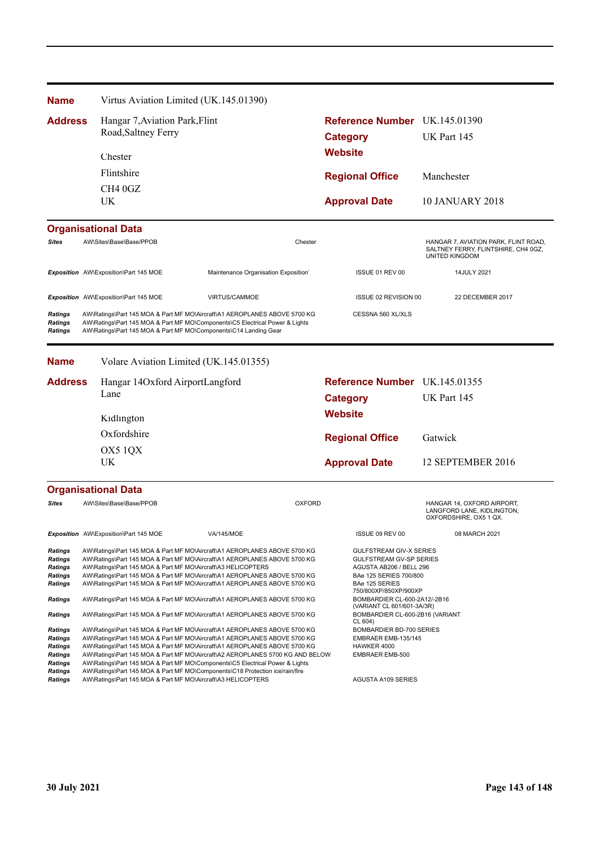| <b>Name</b>                                                                                | Virtus Aviation Limited (UK.145.01390)                           |                                                                                                                                                                                                                                                                                                                                                                                                                                                                                      |                                                                                                                                         |                                                                                               |
|--------------------------------------------------------------------------------------------|------------------------------------------------------------------|--------------------------------------------------------------------------------------------------------------------------------------------------------------------------------------------------------------------------------------------------------------------------------------------------------------------------------------------------------------------------------------------------------------------------------------------------------------------------------------|-----------------------------------------------------------------------------------------------------------------------------------------|-----------------------------------------------------------------------------------------------|
| <b>Address</b>                                                                             | Hangar 7, Aviation Park, Flint                                   |                                                                                                                                                                                                                                                                                                                                                                                                                                                                                      | Reference Number UK.145.01390                                                                                                           |                                                                                               |
|                                                                                            | Road, Saltney Ferry                                              |                                                                                                                                                                                                                                                                                                                                                                                                                                                                                      | <b>Category</b>                                                                                                                         | UK Part 145                                                                                   |
|                                                                                            | Chester                                                          |                                                                                                                                                                                                                                                                                                                                                                                                                                                                                      |                                                                                                                                         |                                                                                               |
|                                                                                            | Flintshire                                                       |                                                                                                                                                                                                                                                                                                                                                                                                                                                                                      |                                                                                                                                         |                                                                                               |
|                                                                                            | CH4 0GZ                                                          |                                                                                                                                                                                                                                                                                                                                                                                                                                                                                      | <b>Regional Office</b>                                                                                                                  | Manchester                                                                                    |
|                                                                                            | UK                                                               |                                                                                                                                                                                                                                                                                                                                                                                                                                                                                      | <b>Approval Date</b>                                                                                                                    | <b>10 JANUARY 2018</b>                                                                        |
|                                                                                            | <b>Organisational Data</b>                                       |                                                                                                                                                                                                                                                                                                                                                                                                                                                                                      |                                                                                                                                         |                                                                                               |
| Sites                                                                                      | AW\Sites\Base\Base/PPOB                                          | Chester                                                                                                                                                                                                                                                                                                                                                                                                                                                                              |                                                                                                                                         | HANGAR 7, AVIATION PARK, FLINT ROAD,<br>SALTNEY FERRY, FLINTSHIRE, CH4 0GZ,<br>UNITED KINGDOM |
|                                                                                            | Exposition AW\Exposition\Part 145 MOE                            | Maintenance Organisation Exposition'                                                                                                                                                                                                                                                                                                                                                                                                                                                 | ISSUE 01 REV 00                                                                                                                         | 14JULY 2021                                                                                   |
|                                                                                            | Exposition AW\Exposition\Part 145 MOE                            | <b>VIRTUS/CAMMOE</b>                                                                                                                                                                                                                                                                                                                                                                                                                                                                 | ISSUE 02 REVISION 00                                                                                                                    | 22 DECEMBER 2017                                                                              |
| <b>Ratings</b><br><b>Ratings</b><br><b>Ratings</b>                                         | AW\Ratings\Part 145 MOA & Part MF MO\Components\C14 Landing Gear | AW\Ratings\Part 145 MOA & Part MF MO\Aircraft\A1 AEROPLANES ABOVE 5700 KG<br>AW\Ratings\Part 145 MOA & Part MF MO\Components\C5 Electrical Power & Lights                                                                                                                                                                                                                                                                                                                            | CESSNA 560 XL/XLS                                                                                                                       |                                                                                               |
| <b>Name</b>                                                                                | Volare Aviation Limited (UK.145.01355)                           |                                                                                                                                                                                                                                                                                                                                                                                                                                                                                      |                                                                                                                                         |                                                                                               |
| <b>Address</b>                                                                             | Hangar 14Oxford AirportLangford                                  |                                                                                                                                                                                                                                                                                                                                                                                                                                                                                      | Reference Number UK.145.01355                                                                                                           |                                                                                               |
|                                                                                            | Lane                                                             |                                                                                                                                                                                                                                                                                                                                                                                                                                                                                      | <b>Category</b>                                                                                                                         | UK Part 145                                                                                   |
|                                                                                            | Kidlington                                                       |                                                                                                                                                                                                                                                                                                                                                                                                                                                                                      | <b>Website</b>                                                                                                                          |                                                                                               |
|                                                                                            | Oxfordshire                                                      |                                                                                                                                                                                                                                                                                                                                                                                                                                                                                      | <b>Regional Office</b>                                                                                                                  | Gatwick                                                                                       |
|                                                                                            | OX5 1QX                                                          |                                                                                                                                                                                                                                                                                                                                                                                                                                                                                      |                                                                                                                                         |                                                                                               |
|                                                                                            | UK                                                               |                                                                                                                                                                                                                                                                                                                                                                                                                                                                                      | <b>Approval Date</b>                                                                                                                    | 12 SEPTEMBER 2016                                                                             |
|                                                                                            | <b>Organisational Data</b>                                       |                                                                                                                                                                                                                                                                                                                                                                                                                                                                                      |                                                                                                                                         |                                                                                               |
| <b>Sites</b>                                                                               | AW\Sites\Base\Base/PPOB                                          | <b>OXFORD</b>                                                                                                                                                                                                                                                                                                                                                                                                                                                                        |                                                                                                                                         | HANGAR 14, OXFORD AIRPORT,<br>LANGFORD LANE, KIDLINGTON,<br>OXFORDSHIRE, OX5 1 QX.            |
|                                                                                            | Exposition AW\Exposition\Part 145 MOE                            | VA/145/MOE                                                                                                                                                                                                                                                                                                                                                                                                                                                                           | ISSUE 09 REV 00                                                                                                                         | 08 MARCH 2021                                                                                 |
| <b>Ratings</b><br><b>Ratings</b><br><b>Ratings</b><br>Ratings<br><b>Ratings</b>            | AW\Ratings\Part 145 MOA & Part MF MO\Aircraft\A3 HELICOPTERS     | AW\Ratings\Part 145 MOA & Part MF MO\Aircraft\A1 AEROPLANES ABOVE 5700 KG<br>AW\Ratings\Part 145 MOA & Part MF MO\Aircraft\A1 AEROPLANES ABOVE 5700 KG<br>AW\Ratings\Part 145 MOA & Part MF MO\Aircraft\A1 AEROPLANES ABOVE 5700 KG<br>AW\Ratings\Part 145 MOA & Part MF MO\Aircraft\A1 AEROPLANES ABOVE 5700 KG                                                                                                                                                                     | <b>GULFSTREAM GIV-X SERIES</b><br><b>GULFSTREAM GV-SP SERIES</b><br>AGUSTA AB206 / BELL 296<br>BAe 125 SERIES 700/800<br>BAe 125 SERIES |                                                                                               |
| <b>Ratings</b>                                                                             |                                                                  | AW\Ratings\Part 145 MOA & Part MF MO\Aircraft\A1 AEROPLANES ABOVE 5700 KG                                                                                                                                                                                                                                                                                                                                                                                                            | 750/800XP/850XP/900XP<br>BOMBARDIER CL-600-2A12/-2B16                                                                                   |                                                                                               |
| Ratings                                                                                    |                                                                  | AW\Ratings\Part 145 MOA & Part MF MO\Aircraft\A1 AEROPLANES ABOVE 5700 KG                                                                                                                                                                                                                                                                                                                                                                                                            | (VARIANT CL 601/601-3A/3R)<br>BOMBARDIER CL-600-2B16 (VARIANT<br>CL 604)                                                                |                                                                                               |
| <b>Ratings</b><br><b>Ratings</b><br>Ratings<br><b>Ratings</b><br>Ratings<br><b>Ratings</b> |                                                                  | AW\Ratings\Part 145 MOA & Part MF MO\Aircraft\A1 AEROPLANES ABOVE 5700 KG<br>AW\Ratings\Part 145 MOA & Part MF MO\Aircraft\A1 AEROPLANES ABOVE 5700 KG<br>AW\Ratings\Part 145 MOA & Part MF MO\Aircraft\A1 AEROPLANES ABOVE 5700 KG<br>AW\Ratings\Part 145 MOA & Part MF MO\Aircraft\A2 AEROPLANES 5700 KG AND BELOW<br>AW\Ratings\Part 145 MOA & Part MF MO\Components\C5 Electrical Power & Lights<br>AW\Ratings\Part 145 MOA & Part MF MO\Components\C18 Protection ice/rain/fire | BOMBARDIER BD-700 SERIES<br>EMBRAER EMB-135/145<br>HAWKER 4000<br><b>EMBRAER EMB-500</b>                                                |                                                                                               |
| <b>Ratings</b>                                                                             | AW\Ratings\Part 145 MOA & Part MF MO\Aircraft\A3 HELICOPTERS     |                                                                                                                                                                                                                                                                                                                                                                                                                                                                                      | <b>AGUSTA A109 SERIES</b>                                                                                                               |                                                                                               |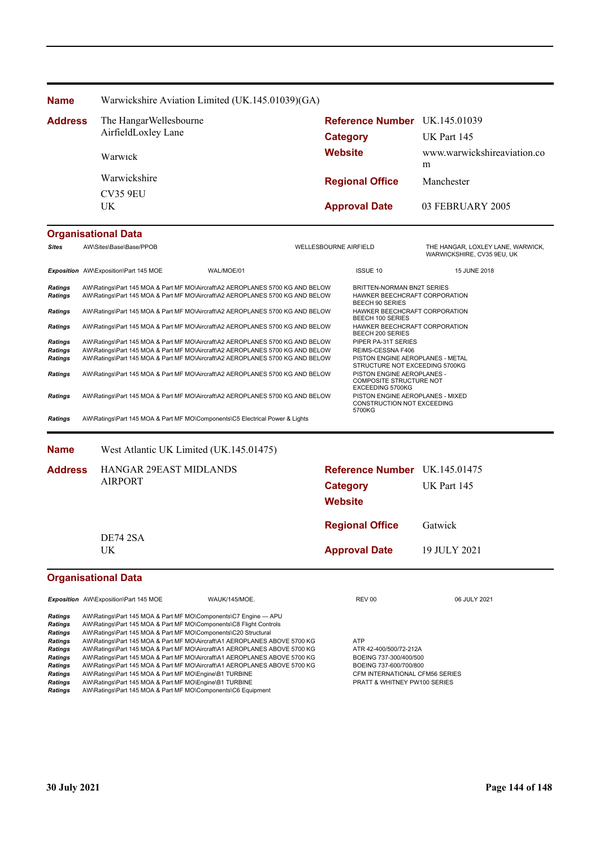| <b>Name</b>               |                                                                                                                                                                | Warwickshire Aviation Limited (UK.145.01039)(GA) |                              |                                                                                              |                                                                 |  |  |
|---------------------------|----------------------------------------------------------------------------------------------------------------------------------------------------------------|--------------------------------------------------|------------------------------|----------------------------------------------------------------------------------------------|-----------------------------------------------------------------|--|--|
| <b>Address</b>            | The Hangar Wellesbourne                                                                                                                                        |                                                  |                              | Reference Number UK.145.01039                                                                |                                                                 |  |  |
|                           | AirfieldLoxley Lane                                                                                                                                            |                                                  | Category                     |                                                                                              | UK Part 145                                                     |  |  |
|                           | Warwick                                                                                                                                                        |                                                  | <b>Website</b>               |                                                                                              | www.warwickshireaviation.co<br>m                                |  |  |
|                           | Warwickshire                                                                                                                                                   |                                                  |                              | <b>Regional Office</b>                                                                       | Manchester                                                      |  |  |
|                           | <b>CV35 9EU</b>                                                                                                                                                |                                                  |                              |                                                                                              |                                                                 |  |  |
|                           | UK.                                                                                                                                                            |                                                  |                              | <b>Approval Date</b>                                                                         | 03 FEBRUARY 2005                                                |  |  |
|                           | <b>Organisational Data</b>                                                                                                                                     |                                                  |                              |                                                                                              |                                                                 |  |  |
| <b>Sites</b>              | AW\Sites\Base\Base/PPOB                                                                                                                                        |                                                  | <b>WELLESBOURNE AIRFIELD</b> |                                                                                              | THE HANGAR, LOXLEY LANE, WARWICK,<br>WARWICKSHIRE, CV35 9EU, UK |  |  |
|                           | Exposition AW\Exposition\Part 145 MOE                                                                                                                          | WAL/MOE/01                                       |                              | <b>ISSUE 10</b>                                                                              | 15 JUNE 2018                                                    |  |  |
| Ratings<br><b>Ratings</b> | AW\Ratings\Part 145 MOA & Part MF MO\Aircraft\A2 AEROPLANES 5700 KG AND BELOW<br>AW\Ratings\Part 145 MOA & Part MF MO\Aircraft\A2 AEROPLANES 5700 KG AND BELOW |                                                  |                              | <b>BRITTEN-NORMAN BN2T SERIES</b><br>HAWKER BEECHCRAFT CORPORATION<br><b>BEECH 90 SERIES</b> |                                                                 |  |  |
| <b>Ratings</b>            | AW\Ratings\Part 145 MOA & Part MF MO\Aircraft\A2 AEROPLANES 5700 KG AND BELOW                                                                                  |                                                  |                              | HAWKER BEECHCRAFT CORPORATION<br><b>BEECH 100 SERIES</b>                                     |                                                                 |  |  |
| <b>Ratings</b>            | AW\Ratings\Part 145 MOA & Part MF MO\Aircraft\A2 AEROPLANES 5700 KG AND BELOW                                                                                  |                                                  |                              | HAWKER BEECHCRAFT CORPORATION<br><b>BEECH 200 SERIES</b>                                     |                                                                 |  |  |
| <b>Ratings</b>            | AW\Ratings\Part 145 MOA & Part MF MO\Aircraft\A2 AEROPLANES 5700 KG AND BELOW                                                                                  |                                                  |                              | PIPER PA-31T SERIES                                                                          |                                                                 |  |  |
| <b>Ratings</b>            | AW\Ratings\Part 145 MOA & Part MF MO\Aircraft\A2 AEROPLANES 5700 KG AND BELOW                                                                                  |                                                  |                              | REIMS-CESSNA F406                                                                            |                                                                 |  |  |
| <b>Ratings</b>            | AW\Ratings\Part 145 MOA & Part MF MO\Aircraft\A2 AEROPLANES 5700 KG AND BELOW                                                                                  |                                                  |                              | PISTON ENGINE AEROPLANES - METAL<br>STRUCTURE NOT EXCEEDING 5700KG                           |                                                                 |  |  |
| <b>Ratings</b>            | AW\Ratings\Part 145 MOA & Part MF MO\Aircraft\A2 AEROPLANES 5700 KG AND BELOW                                                                                  |                                                  |                              | PISTON ENGINE AEROPLANES -<br>COMPOSITE STRUCTURE NOT<br>EXCEEDING 5700KG                    |                                                                 |  |  |
| <b>Ratings</b>            | AW\Ratings\Part 145 MOA & Part MF MO\Aircraft\A2 AEROPLANES 5700 KG AND BELOW                                                                                  |                                                  |                              | PISTON ENGINE AEROPLANES - MIXED<br>CONSTRUCTION NOT EXCEEDING<br>5700KG                     |                                                                 |  |  |
| <b>Ratings</b>            | AW\Ratings\Part 145 MOA & Part MF MO\Components\C5 Electrical Power & Lights                                                                                   |                                                  |                              |                                                                                              |                                                                 |  |  |
|                           |                                                                                                                                                                |                                                  |                              |                                                                                              |                                                                 |  |  |

**Name** West Atlantic UK Limited (UK.145.01475)

| <b>Address</b>             | <b>HANGAR 29EAST MIDLANDS</b><br><b>AIRPORT</b> |               | Reference Number UK.145.01475<br>Category<br><b>Website</b> | UK Part 145  |
|----------------------------|-------------------------------------------------|---------------|-------------------------------------------------------------|--------------|
|                            | <b>DE74 2SA</b>                                 |               | <b>Regional Office</b>                                      | Gatwick      |
| UK.                        |                                                 |               | <b>Approval Date</b>                                        | 19 JULY 2021 |
| <b>Organisational Data</b> |                                                 |               |                                                             |              |
|                            | Exposition AW\Exposition\Part 145 MOE           | WAUK/145/MOE. | REV 00                                                      | 06 JULY 2021 |

| <b>Ratings</b> | AW\Ratings\Part 145 MOA & Part MF MO\Components\C7 Engine - APU           |                                         |
|----------------|---------------------------------------------------------------------------|-----------------------------------------|
| <b>Ratings</b> | AW\Ratings\Part 145 MOA & Part MF MO\Components\C8 Flight Controls        |                                         |
| <b>Ratings</b> | AW\Ratings\Part 145 MOA & Part MF MO\Components\C20 Structural            |                                         |
| <b>Ratings</b> | AW\Ratings\Part 145 MOA & Part MF MO\Aircraft\A1 AEROPLANES ABOVE 5700 KG | ATP                                     |
| <b>Ratings</b> | AW\Ratings\Part 145 MOA & Part MF MO\Aircraft\A1 AEROPLANES ABOVE 5700 KG | ATR 42-400/500/72-212A                  |
| <b>Ratings</b> | AW\Ratings\Part 145 MOA & Part MF MO\Aircraft\A1 AEROPLANES ABOVE 5700 KG | BOEING 737-300/400/500                  |
| <b>Ratings</b> | AW\Ratings\Part 145 MOA & Part MF MO\Aircraft\A1 AEROPLANES ABOVE 5700 KG | BOEING 737-600/700/800                  |
| <b>Ratings</b> | AW\Ratings\Part 145 MOA & Part MF MO\Engine\B1 TURBINE                    | CFM INTERNATIONAL CFM56 SERIES          |
| <b>Ratings</b> | AW\Ratings\Part 145 MOA & Part MF MO\Engine\B1 TURBINE                    | <b>PRATT &amp; WHITNEY PW100 SERIES</b> |
| <b>Ratings</b> | AW\Ratings\Part 145 MOA & Part MF MO\Components\C6 Equipment              |                                         |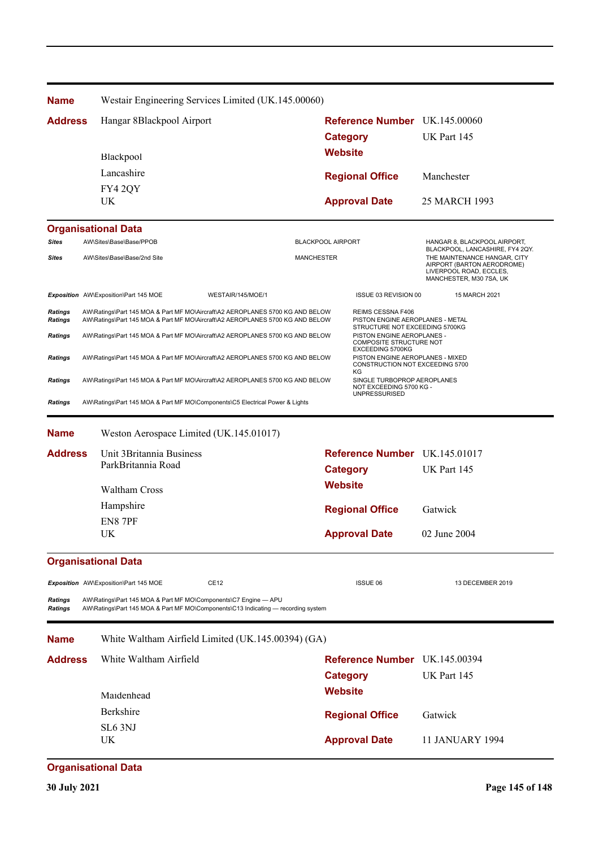| <b>Name</b>                      |                                                                              | Westair Engineering Services Limited (UK.145.00060)                                                                                                            |                                                                                                       |                                                                                                                                                     |  |  |
|----------------------------------|------------------------------------------------------------------------------|----------------------------------------------------------------------------------------------------------------------------------------------------------------|-------------------------------------------------------------------------------------------------------|-----------------------------------------------------------------------------------------------------------------------------------------------------|--|--|
| <b>Address</b>                   | Hangar 8Blackpool Airport                                                    |                                                                                                                                                                | <b>Reference Number</b> UK.145.00060                                                                  |                                                                                                                                                     |  |  |
|                                  |                                                                              |                                                                                                                                                                | <b>Category</b>                                                                                       | UK Part 145                                                                                                                                         |  |  |
|                                  | Blackpool                                                                    |                                                                                                                                                                | <b>Website</b>                                                                                        |                                                                                                                                                     |  |  |
|                                  | Lancashire                                                                   |                                                                                                                                                                |                                                                                                       | Manchester                                                                                                                                          |  |  |
|                                  | FY4 2QY                                                                      |                                                                                                                                                                | <b>Regional Office</b>                                                                                |                                                                                                                                                     |  |  |
|                                  | UK                                                                           |                                                                                                                                                                | <b>Approval Date</b>                                                                                  | 25 MARCH 1993                                                                                                                                       |  |  |
|                                  | <b>Organisational Data</b>                                                   |                                                                                                                                                                |                                                                                                       |                                                                                                                                                     |  |  |
| <b>Sites</b>                     | AW\Sites\Base\Base/PPOB                                                      |                                                                                                                                                                | <b>BLACKPOOL AIRPORT</b>                                                                              | HANGAR 8, BLACKPOOL AIRPORT,                                                                                                                        |  |  |
| <b>Sites</b>                     | AW\Sites\Base\Base/2nd Site                                                  | <b>MANCHESTER</b>                                                                                                                                              |                                                                                                       | BLACKPOOL, LANCASHIRE, FY4 2QY.<br>THE MAINTENANCE HANGAR, CITY<br>AIRPORT (BARTON AERODROME)<br>LIVERPOOL ROAD, ECCLES,<br>MANCHESTER, M30 7SA, UK |  |  |
|                                  | Exposition AW\Exposition\Part 145 MOE                                        | WESTAIR/145/MOE/1                                                                                                                                              | ISSUE 03 REVISION 00                                                                                  | 15 MARCH 2021                                                                                                                                       |  |  |
| <b>Ratings</b><br><b>Ratings</b> |                                                                              | AW\Ratings\Part 145 MOA & Part MF MO\Aircraft\A2 AEROPLANES 5700 KG AND BELOW<br>AW\Ratings\Part 145 MOA & Part MF MO\Aircraft\A2 AEROPLANES 5700 KG AND BELOW | REIMS CESSNA F406<br>PISTON ENGINE AEROPLANES - METAL                                                 |                                                                                                                                                     |  |  |
| <b>Ratings</b>                   |                                                                              | AW\Ratings\Part 145 MOA & Part MF MO\Aircraft\A2 AEROPLANES 5700 KG AND BELOW                                                                                  | STRUCTURE NOT EXCEEDING 5700KG<br>PISTON ENGINE AEROPLANES -                                          |                                                                                                                                                     |  |  |
| <b>Ratings</b>                   |                                                                              | AW\Ratings\Part 145 MOA & Part MF MO\Aircraft\A2 AEROPLANES 5700 KG AND BELOW                                                                                  | <b>COMPOSITE STRUCTURE NOT</b><br>PISTON ENGINE AEROPLANES - MIXED<br>CONSTRUCTION NOT EXCEEDING 5700 |                                                                                                                                                     |  |  |
| <b>Ratings</b>                   |                                                                              | AW\Ratings\Part 145 MOA & Part MF MO\Aircraft\A2 AEROPLANES 5700 KG AND BELOW                                                                                  | SINGLE TURBOPROP AEROPLANES<br>NOT EXCEEDING 5700 KG -                                                |                                                                                                                                                     |  |  |
| <b>Ratings</b>                   | AW\Ratings\Part 145 MOA & Part MF MO\Components\C5 Electrical Power & Lights |                                                                                                                                                                | <b>UNPRESSURISED</b>                                                                                  |                                                                                                                                                     |  |  |
|                                  |                                                                              |                                                                                                                                                                |                                                                                                       |                                                                                                                                                     |  |  |
| <b>Name</b>                      | Weston Aerospace Limited (UK.145.01017)                                      |                                                                                                                                                                |                                                                                                       |                                                                                                                                                     |  |  |
| <b>Address</b>                   |                                                                              | Unit 3 Britannia Business                                                                                                                                      |                                                                                                       | Reference Number UK.145.01017                                                                                                                       |  |  |
|                                  | ParkBritannia Road                                                           |                                                                                                                                                                | <b>Category</b>                                                                                       | UK Part 145                                                                                                                                         |  |  |
|                                  | <b>Waltham Cross</b>                                                         |                                                                                                                                                                | <b>Website</b>                                                                                        |                                                                                                                                                     |  |  |
|                                  | Hampshire                                                                    |                                                                                                                                                                |                                                                                                       | Gatwick                                                                                                                                             |  |  |
|                                  | EN8 7PF                                                                      |                                                                                                                                                                | <b>Regional Office</b>                                                                                |                                                                                                                                                     |  |  |
|                                  | UK                                                                           |                                                                                                                                                                | <b>Approval Date</b>                                                                                  | 02 June 2004                                                                                                                                        |  |  |
|                                  | <b>Organisational Data</b>                                                   |                                                                                                                                                                |                                                                                                       |                                                                                                                                                     |  |  |
|                                  | Exposition AW\Exposition\Part 145 MOE                                        | CE12                                                                                                                                                           | <b>ISSUE 06</b>                                                                                       | 13 DECEMBER 2019                                                                                                                                    |  |  |
| Ratings<br><b>Ratings</b>        | AW\Ratings\Part 145 MOA & Part MF MO\Components\C7 Engine - APU              | AW\Ratings\Part 145 MOA & Part MF MO\Components\C13 Indicating — recording system                                                                              |                                                                                                       |                                                                                                                                                     |  |  |
| <b>Name</b>                      |                                                                              | White Waltham Airfield Limited (UK.145.00394) (GA)                                                                                                             |                                                                                                       |                                                                                                                                                     |  |  |
| <b>Address</b>                   | White Waltham Airfield                                                       |                                                                                                                                                                | Reference Number UK.145.00394                                                                         |                                                                                                                                                     |  |  |
|                                  |                                                                              |                                                                                                                                                                |                                                                                                       | UK Part 145                                                                                                                                         |  |  |
|                                  | Maidenhead                                                                   |                                                                                                                                                                | <b>Website</b>                                                                                        |                                                                                                                                                     |  |  |
|                                  | Berkshire                                                                    |                                                                                                                                                                |                                                                                                       |                                                                                                                                                     |  |  |
|                                  | SL <sub>6</sub> 3NJ                                                          |                                                                                                                                                                |                                                                                                       | Gatwick                                                                                                                                             |  |  |
|                                  | UK                                                                           |                                                                                                                                                                | <b>Approval Date</b>                                                                                  | 11 JANUARY 1994                                                                                                                                     |  |  |
|                                  | <b>Organisational Data</b>                                                   |                                                                                                                                                                |                                                                                                       |                                                                                                                                                     |  |  |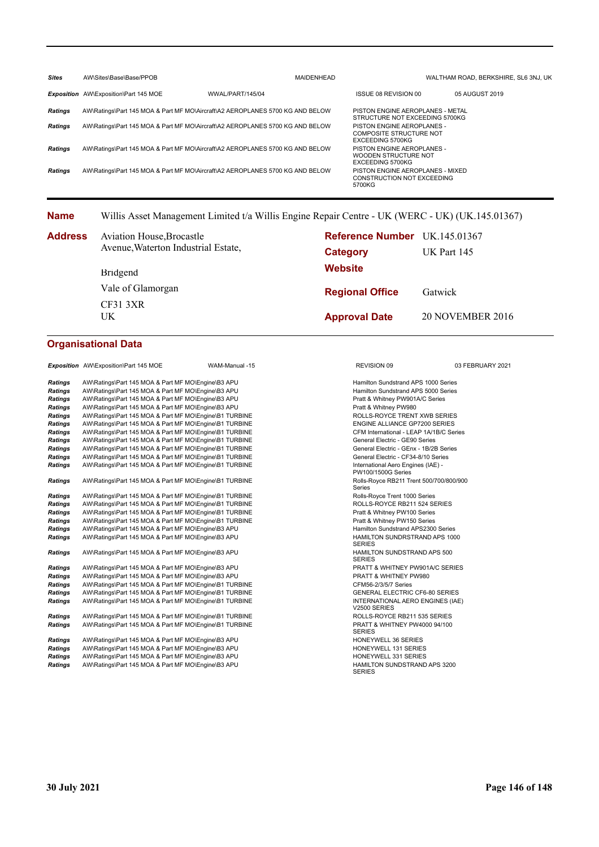| <b>Sites</b>   | AW\Sites\Base\Base/PPOB                                                       |                  | <b>MAIDENHEAD</b> |                                                                                  | WALTHAM ROAD, BERKSHIRE, SL6 3NJ, UK |  |
|----------------|-------------------------------------------------------------------------------|------------------|-------------------|----------------------------------------------------------------------------------|--------------------------------------|--|
|                | Exposition AW\Exposition\Part 145 MOE                                         | WWAL/PART/145/04 |                   | ISSUE 08 REVISION 00                                                             | 05 AUGUST 2019                       |  |
| Ratings        | AW\Ratings\Part 145 MOA & Part MF MO\Aircraft\A2 AEROPLANES 5700 KG AND BELOW |                  |                   | PISTON ENGINE AEROPLANES - METAL<br>STRUCTURE NOT EXCEEDING 5700KG               |                                      |  |
| <b>Ratings</b> | AW\Ratings\Part 145 MOA & Part MF MO\Aircraft\A2 AEROPLANES 5700 KG AND BELOW |                  |                   | PISTON ENGINE AEROPLANES -<br><b>COMPOSITE STRUCTURE NOT</b><br>EXCEEDING 5700KG |                                      |  |
| <b>Ratings</b> | AW\Ratings\Part 145 MOA & Part MF MO\Aircraft\A2 AEROPLANES 5700 KG AND BELOW |                  |                   | PISTON ENGINE AEROPLANES -<br>WOODEN STRUCTURE NOT<br>EXCEEDING 5700KG           |                                      |  |
| <b>Ratings</b> | AW\Ratings\Part 145 MOA & Part MF MO\Aircraft\A2 AEROPLANES 5700 KG AND BELOW |                  |                   | PISTON ENGINE AEROPLANES - MIXED<br>CONSTRUCTION NOT EXCEEDING<br>5700KG         |                                      |  |

## **Name** Willis Asset Management Limited t/a Willis Engine Repair Centre - UK (WERC - UK) (UK.145.01367)

| <b>Address</b> | <b>Aviation House, Brocastle</b>    | <b>Reference Number</b> UK.145.01367 |                         |  |  |
|----------------|-------------------------------------|--------------------------------------|-------------------------|--|--|
|                | Avenue, Waterton Industrial Estate, | Category                             | UK Part 145             |  |  |
|                | Bridgend                            | <b>Website</b>                       |                         |  |  |
|                | Vale of Glamorgan                   | <b>Regional Office</b>               | Gatwick                 |  |  |
|                | CF313XR<br>UK                       | <b>Approval Date</b>                 | <b>20 NOVEMBER 2016</b> |  |  |

## **Organisational Data**

**Exposition** AW\Exposition\Part 145 MOE WAM-Manual -15 REVISION 09 REVISION 09 03 FEBRUARY 2021

| Ratings        | AW\Ratings\Part 145 MOA & Part MF MO\Engine\B3 APU     | Hamilton Sundstrand APS 1000 Series                             |
|----------------|--------------------------------------------------------|-----------------------------------------------------------------|
| Ratings        | AW\Ratings\Part 145 MOA & Part MF MO\Engine\B3 APU     | Hamilton Sundstrand APS 5000 Series                             |
| Ratings        | AW\Ratings\Part 145 MOA & Part MF MO\Engine\B3 APU     | Pratt & Whitney PW901A/C Series                                 |
| <b>Ratings</b> | AW\Ratings\Part 145 MOA & Part MF MO\Engine\B3 APU     | Pratt & Whitney PW980                                           |
| <b>Ratings</b> | AW\Ratings\Part 145 MOA & Part MF MO\Engine\B1 TURBINE | ROLLS-ROYCE TRENT XWB SERIES                                    |
| <b>Ratings</b> | AW\Ratings\Part 145 MOA & Part MF MO\Engine\B1 TURBINE | <b>ENGINE ALLIANCE GP7200 SERIES</b>                            |
| <b>Ratings</b> | AW\Ratings\Part 145 MOA & Part MF MO\Engine\B1 TURBINE | CFM International - LEAP 1A/1B/C Series                         |
| <b>Ratings</b> | AW\Ratings\Part 145 MOA & Part MF MO\Engine\B1 TURBINE | General Electric - GE90 Series                                  |
| <b>Ratings</b> | AW\Ratings\Part 145 MOA & Part MF MO\Engine\B1 TURBINE | General Electric - GEnx - 1B/2B Series                          |
| Ratings        | AW\Ratings\Part 145 MOA & Part MF MO\Engine\B1 TURBINE | General Electric - CF34-8/10 Series                             |
| Ratings        | AW\Ratings\Part 145 MOA & Part MF MO\Engine\B1 TURBINE | International Aero Engines (IAE) -<br><b>PW100/1500G Series</b> |
| Ratings        | AW\Ratings\Part 145 MOA & Part MF MO\Engine\B1 TURBINE | Rolls-Royce RB211 Trent 500/700/800/90<br>Series                |
| Ratings        | AW\Ratings\Part 145 MOA & Part MF MO\Engine\B1 TURBINE | Rolls-Royce Trent 1000 Series                                   |
| <b>Ratings</b> | AW\Ratings\Part 145 MOA & Part MF MO\Engine\B1 TURBINE | ROLLS-ROYCE RB211 524 SERIES                                    |
| <b>Ratings</b> | AW\Ratings\Part 145 MOA & Part MF MO\Engine\B1 TURBINE | Pratt & Whitney PW100 Series                                    |
| <b>Ratings</b> | AW\Ratings\Part 145 MOA & Part MF MO\Engine\B1 TURBINE | Pratt & Whitney PW150 Series                                    |
| <b>Ratings</b> | AW\Ratings\Part 145 MOA & Part MF MO\Engine\B3 APU     | Hamilton Sundstrand APS2300 Series                              |
| Ratings        | AW\Ratings\Part 145 MOA & Part MF MO\Engine\B3 APU     | HAMILTON SUNDRSTRAND APS 1000<br><b>SERIES</b>                  |
| Ratings        | AW\Ratings\Part 145 MOA & Part MF MO\Engine\B3 APU     | <b>HAMILTON SUNDSTRAND APS 500</b><br><b>SERIES</b>             |
| Ratings        | AW\Ratings\Part 145 MOA & Part MF MO\Engine\B3 APU     | PRATT & WHITNEY PW901A/C SERIES                                 |
| <b>Ratings</b> | AW\Ratings\Part 145 MOA & Part MF MO\Engine\B3 APU     | PRATT & WHITNEY PW980                                           |
| <b>Ratings</b> | AW\Ratings\Part 145 MOA & Part MF MO\Engine\B1 TURBINE | CFM56-2/3/5/7 Series                                            |
| <b>Ratings</b> | AW\Ratings\Part 145 MOA & Part MF MO\Engine\B1 TURBINE | <b>GENERAL ELECTRIC CF6-80 SERIES</b>                           |
| Ratings        | AW\Ratings\Part 145 MOA & Part MF MO\Engine\B1 TURBINE | INTERNATIONAL AERO ENGINES (IAE)<br>V2500 SERIES                |
| Ratings        | AW\Ratings\Part 145 MOA & Part MF MO\Engine\B1 TURBINE | ROLLS-ROYCE RB211 535 SERIES                                    |
| Ratings        | AW\Ratings\Part 145 MOA & Part MF MO\Engine\B1 TURBINE | PRATT & WHITNEY PW4000 94/100<br><b>SERIES</b>                  |
| Ratings        | AW\Ratings\Part 145 MOA & Part MF MO\Engine\B3 APU     | <b>HONEYWELL 36 SERIES</b>                                      |
| <b>Ratings</b> | AW\Ratings\Part 145 MOA & Part MF MO\Engine\B3 APU     | <b>HONEYWELL 131 SERIES</b>                                     |
| <b>Ratings</b> | AW\Ratings\Part 145 MOA & Part MF MO\Engine\B3 APU     | HONEYWELL 331 SERIES                                            |
| <b>Ratings</b> | AW\Ratings\Part 145 MOA & Part MF MO\Engine\B3 APU     | HAMILTON SUNDSTRAND APS 3200                                    |

**Ramilton Sundstrand APS 1000 Series** Hamilton Sundstrand APS 5000 Series **Pratt & Whitney PW901A/C Series Pratt & Whitney PW980** ROLLS-ROYCE TRENT XWB SERIES **RATINGS AND MODEL 145 MODEL IN TURBINE ALLIANCE GP7200 SERIES**  $CFM$  International - LEAP 1A/1B/C Series **General Electric - GE90 Series General Electric - GEnx - 1B/2B Series** General Electric - CF34-8/10 Series *Ratings* AW\Ratings\Part 145 MOA & Part MF MO\Engine\B1 TURBINE Rolls-Royce RB211 Trent 500/700/800/900 Series  $R$ olls-Royce Trent 1000 Series  $ROLLS$ -ROYCE RB211 524 SERIES **Pratt & Whitney PW100 Series** Pratt & Whitney PW150 Series Hamilton Sundstrand APS2300 Series **Ratings: Part Manual Awarence 145 Monateur 145 Monateur MANUTON SUNDRSTRAND APS 1000** SERIES PRATT & WHITNEY PW901A/C SERIES **PRATT & WHITNEY PW980**  $CFM56-2/3/5/7$  Series *RATINGS* RATINGS AND MELTING CF6-80 SERIES  $ROLLS-ROYCE RB211 535 SERIES$ **RATT & WHITNEY PW4000 94/100** SERIES  $HONEYWELL$  36 SERIES  $HONEYWELL$  131 SERIES **RONEYWELL 331 SERIES RAMILTON SUNDSTRAND APS 3200 SERIES**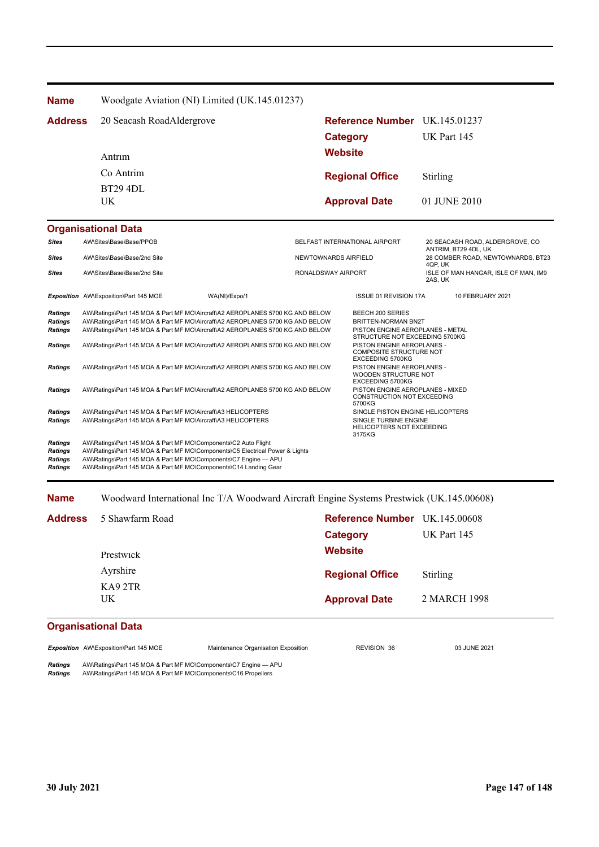| <b>Name</b>                                                          | Woodgate Aviation (NI) Limited (UK.145.01237)                                                                                                                                                                                                                                                                                    |                               |                                                                                                                                             |                                                                      |  |
|----------------------------------------------------------------------|----------------------------------------------------------------------------------------------------------------------------------------------------------------------------------------------------------------------------------------------------------------------------------------------------------------------------------|-------------------------------|---------------------------------------------------------------------------------------------------------------------------------------------|----------------------------------------------------------------------|--|
| <b>Address</b>                                                       | 20 Seacash RoadAldergrove                                                                                                                                                                                                                                                                                                        | <b>Category</b>               | Reference Number UK.145.01237                                                                                                               | UK Part 145                                                          |  |
|                                                                      | Antrim                                                                                                                                                                                                                                                                                                                           | <b>Website</b>                |                                                                                                                                             |                                                                      |  |
|                                                                      | Co Antrim                                                                                                                                                                                                                                                                                                                        |                               | <b>Regional Office</b>                                                                                                                      | Stirling                                                             |  |
|                                                                      | <b>BT29 4DL</b>                                                                                                                                                                                                                                                                                                                  |                               |                                                                                                                                             |                                                                      |  |
|                                                                      | UK.                                                                                                                                                                                                                                                                                                                              |                               | <b>Approval Date</b>                                                                                                                        | 01 JUNE 2010                                                         |  |
|                                                                      | <b>Organisational Data</b>                                                                                                                                                                                                                                                                                                       |                               |                                                                                                                                             |                                                                      |  |
| <b>Sites</b>                                                         | AW\Sites\Base\Base/PPOB                                                                                                                                                                                                                                                                                                          | BELFAST INTERNATIONAL AIRPORT |                                                                                                                                             | 20 SEACASH ROAD, ALDERGROVE, CO                                      |  |
| Sites                                                                | AW\Sites\Base\Base/2nd Site                                                                                                                                                                                                                                                                                                      | NEWTOWNARDS AIRFIELD          |                                                                                                                                             | ANTRIM, BT29 4DL, UK<br>28 COMBER ROAD, NEWTOWNARDS, BT23<br>4QP, UK |  |
| <b>Sites</b>                                                         | AW\Sites\Base\Base/2nd Site                                                                                                                                                                                                                                                                                                      | RONALDSWAY AIRPORT            |                                                                                                                                             | ISLE OF MAN HANGAR, ISLE OF MAN, IM9<br>2AS, UK                      |  |
|                                                                      | Exposition AW\Exposition\Part 145 MOE<br>WA(NI)/Expo/1                                                                                                                                                                                                                                                                           |                               | <b>ISSUE 01 REVISION 17A</b>                                                                                                                | 10 FEBRUARY 2021                                                     |  |
| <b>Ratings</b><br><b>Ratings</b><br><b>Ratings</b><br><b>Ratings</b> | AW\Ratings\Part 145 MOA & Part MF MO\Aircraft\A2 AEROPLANES 5700 KG AND BELOW<br>AW\Ratings\Part 145 MOA & Part MF MO\Aircraft\A2 AEROPLANES 5700 KG AND BELOW<br>AW\Ratings\Part 145 MOA & Part MF MO\Aircraft\A2 AEROPLANES 5700 KG AND BELOW<br>AW\Ratings\Part 145 MOA & Part MF MO\Aircraft\A2 AEROPLANES 5700 KG AND BELOW |                               | BEECH 200 SERIES<br>BRITTEN-NORMAN BN2T<br>PISTON ENGINE AEROPLANES - METAL<br>STRUCTURE NOT EXCEEDING 5700KG<br>PISTON ENGINE AEROPLANES - |                                                                      |  |
|                                                                      |                                                                                                                                                                                                                                                                                                                                  |                               | COMPOSITE STRUCTURE NOT<br>EXCEEDING 5700KG                                                                                                 |                                                                      |  |
| <b>Ratings</b>                                                       | AW\Ratings\Part 145 MOA & Part MF MO\Aircraft\A2 AEROPLANES 5700 KG AND BELOW                                                                                                                                                                                                                                                    |                               | PISTON ENGINE AEROPLANES -<br>WOODEN STRUCTURE NOT<br>EXCEEDING 5700KG                                                                      |                                                                      |  |
| Ratings                                                              | AW\Ratings\Part 145 MOA & Part MF MO\Aircraft\A2 AEROPLANES 5700 KG AND BELOW                                                                                                                                                                                                                                                    |                               | PISTON ENGINE AEROPLANES - MIXED<br>CONSTRUCTION NOT EXCEEDING<br>5700KG                                                                    |                                                                      |  |
| <b>Ratings</b><br><b>Ratings</b>                                     | AW\Ratings\Part 145 MOA & Part MF MO\Aircraft\A3 HELICOPTERS<br>AW\Ratings\Part 145 MOA & Part MF MO\Aircraft\A3 HELICOPTERS                                                                                                                                                                                                     |                               | SINGLE PISTON ENGINE HELICOPTERS<br>SINGLE TURBINE ENGINE<br>HELICOPTERS NOT EXCEEDING<br>3175KG                                            |                                                                      |  |
| Ratings<br><b>Ratings</b><br><b>Ratings</b><br><b>Ratings</b>        | AW\Ratings\Part 145 MOA & Part MF MO\Components\C2 Auto Flight<br>AW\Ratings\Part 145 MOA & Part MF MO\Components\C5 Electrical Power & Lights<br>AW\Ratings\Part 145 MOA & Part MF MO\Components\C7 Engine - APU<br>AW\Ratings\Part 145 MOA & Part MF MO\Components\C14 Landing Gear                                            |                               |                                                                                                                                             |                                                                      |  |

## **Name** Woodward International Inc T/A Woodward Aircraft Engine Systems Prestwick (UK.145.00608)

| <b>Address</b> | 5 Shawfarm Road | <b>Reference Number</b> UK.145.00608<br>Category | UK Part 145     |
|----------------|-----------------|--------------------------------------------------|-----------------|
|                | Prestwick       | <b>Website</b>                                   |                 |
|                | Ayrshire        | <b>Regional Office</b>                           | <b>Stirling</b> |
|                | KA92TR<br>UK.   | <b>Approval Date</b>                             | 2 MARCH 1998    |
| $\sim$         | .               |                                                  |                 |

## **Organisational Data**

*Exposition* AW\Exposition\Part 145 MOE Maintenance Organisation Exposition REVISION 36 03 JUNE 2021

*Ratings* AW\Ratings\Part 145 MOA & Part MF MO\Components\C7 Engine — APU *Ratings* AW\Ratings\Part 145 MOA & Part MF MO\Components\C16 Propellers